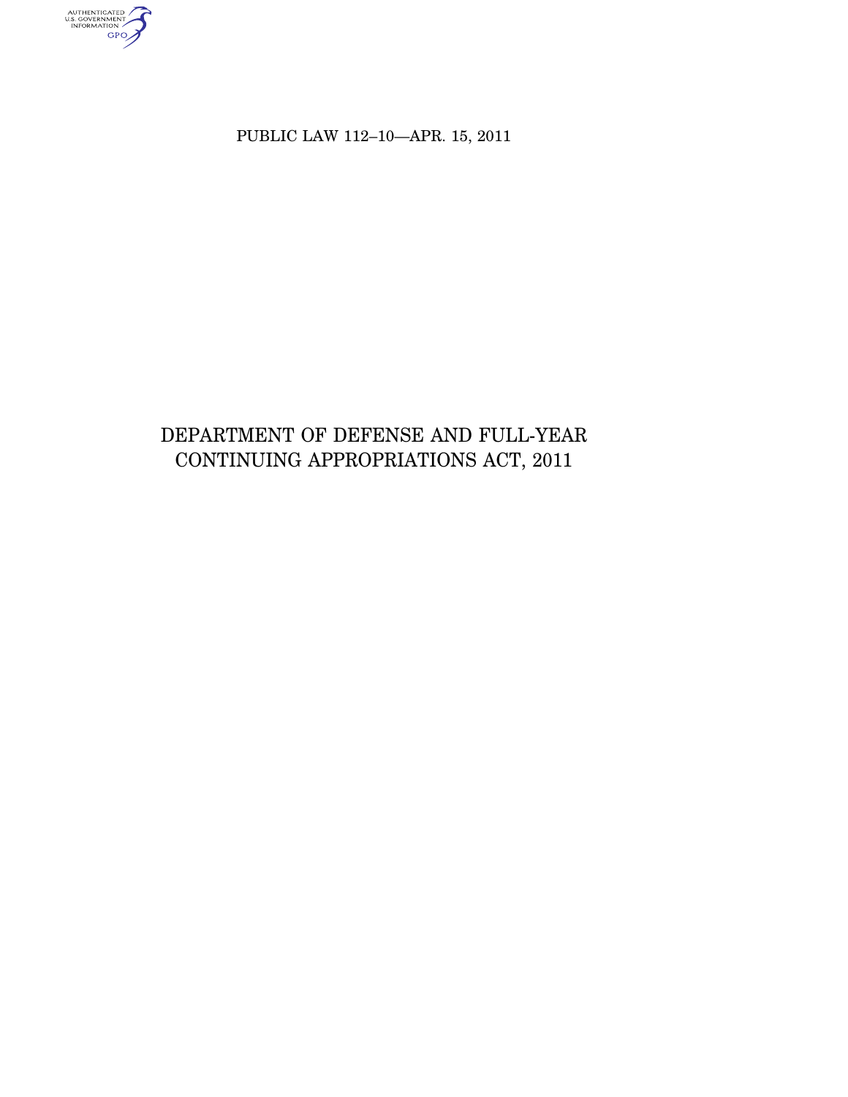authenticated<br>u.s. government<br>information<br>GPO

PUBLIC LAW 112–10—APR. 15, 2011

# DEPARTMENT OF DEFENSE AND FULL-YEAR CONTINUING APPROPRIATIONS ACT, 2011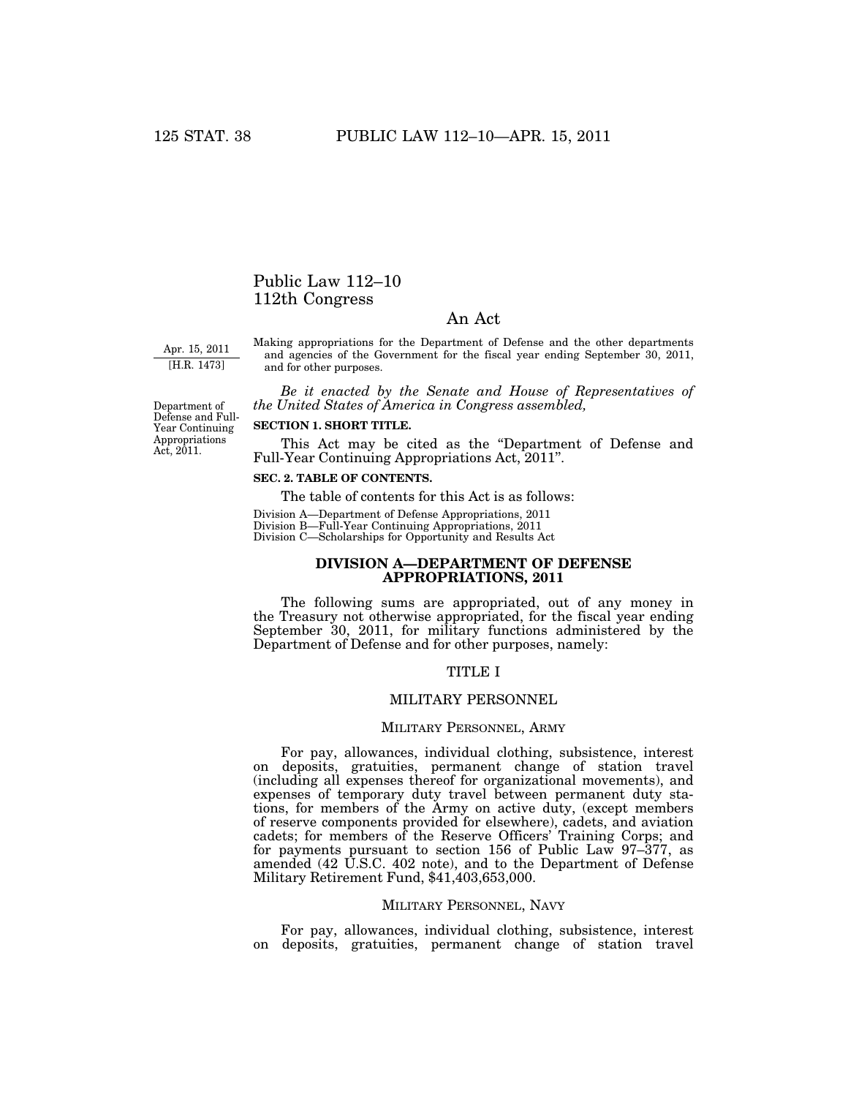# Public Law 112–10 112th Congress

# An Act

Apr. 15, 2011 [H.R. 1473]

Making appropriations for the Department of Defense and the other departments and agencies of the Government for the fiscal year ending September 30, 2011, and for other purposes.

*Be it enacted by the Senate and House of Representatives of the United States of America in Congress assembled,* 

Department of Defense and Full-Year Continuing Appropriations Act, 2011.

### **SECTION 1. SHORT TITLE.**

This Act may be cited as the ''Department of Defense and Full-Year Continuing Appropriations Act, 2011''.

# **SEC. 2. TABLE OF CONTENTS.**

The table of contents for this Act is as follows:

Division A—Department of Defense Appropriations, 2011 Division B—Full-Year Continuing Appropriations, 2011 Division C—Scholarships for Opportunity and Results Act

# **DIVISION A—DEPARTMENT OF DEFENSE APPROPRIATIONS, 2011**

The following sums are appropriated, out of any money in the Treasury not otherwise appropriated, for the fiscal year ending September 30, 2011, for military functions administered by the Department of Defense and for other purposes, namely:

### TITLE I

# MILITARY PERSONNEL

### MILITARY PERSONNEL, ARMY

For pay, allowances, individual clothing, subsistence, interest on deposits, gratuities, permanent change of station travel (including all expenses thereof for organizational movements), and expenses of temporary duty travel between permanent duty stations, for members of the Army on active duty, (except members of reserve components provided for elsewhere), cadets, and aviation cadets; for members of the Reserve Officers' Training Corps; and for payments pursuant to section 156 of Public Law 97–377, as amended (42 U.S.C. 402 note), and to the Department of Defense Military Retirement Fund, \$41,403,653,000.

### MILITARY PERSONNEL, NAVY

For pay, allowances, individual clothing, subsistence, interest on deposits, gratuities, permanent change of station travel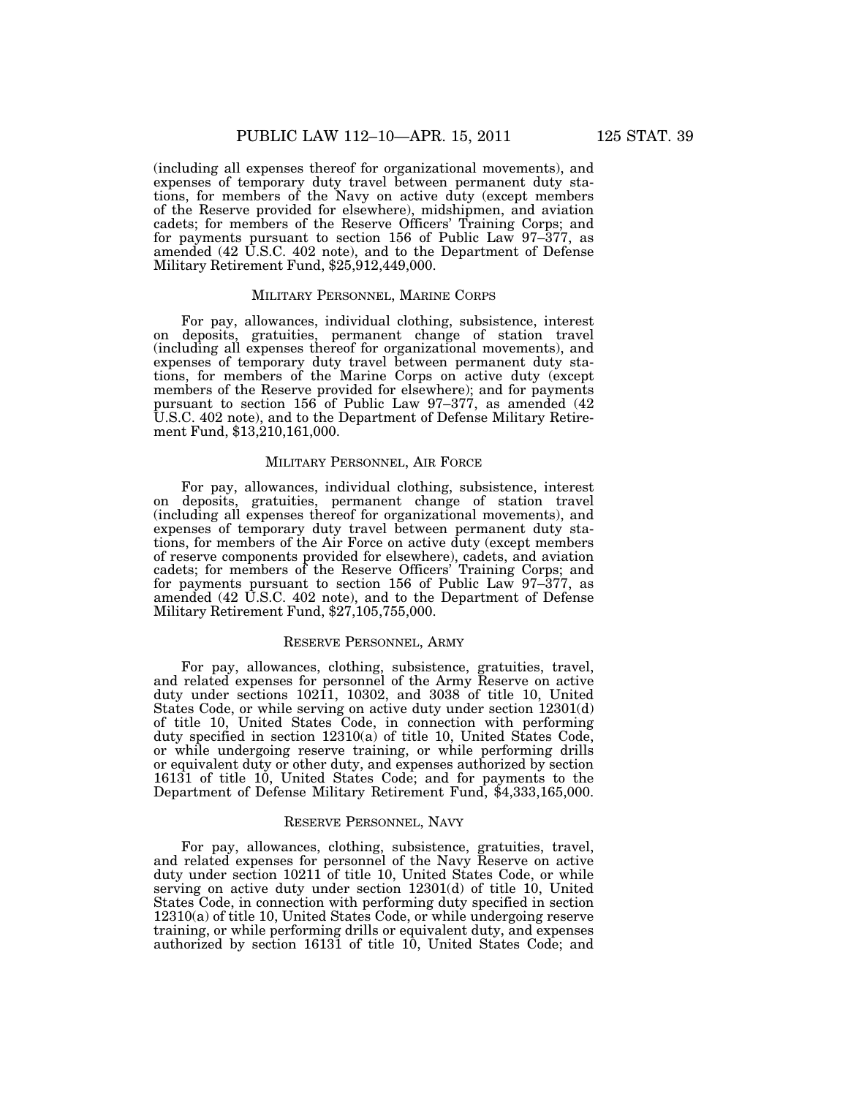(including all expenses thereof for organizational movements), and expenses of temporary duty travel between permanent duty stations, for members of the Navy on active duty (except members of the Reserve provided for elsewhere), midshipmen, and aviation cadets; for members of the Reserve Officers' Training Corps; and for payments pursuant to section 156 of Public Law 97–377, as amended (42 U.S.C. 402 note), and to the Department of Defense Military Retirement Fund, \$25,912,449,000.

#### MILITARY PERSONNEL, MARINE CORPS

For pay, allowances, individual clothing, subsistence, interest on deposits, gratuities, permanent change of station travel (including all expenses thereof for organizational movements), and expenses of temporary duty travel between permanent duty stations, for members of the Marine Corps on active duty (except members of the Reserve provided for elsewhere); and for payments pursuant to section 156 of Public Law 97-377, as amended (42 U.S.C. 402 note), and to the Department of Defense Military Retirement Fund, \$13,210,161,000.

### MILITARY PERSONNEL, AIR FORCE

For pay, allowances, individual clothing, subsistence, interest on deposits, gratuities, permanent change of station travel (including all expenses thereof for organizational movements), and expenses of temporary duty travel between permanent duty stations, for members of the Air Force on active duty (except members of reserve components provided for elsewhere), cadets, and aviation cadets; for members of the Reserve Officers' Training Corps; and for payments pursuant to section 156 of Public Law 97–377, as amended (42 U.S.C. 402 note), and to the Department of Defense Military Retirement Fund, \$27,105,755,000.

### RESERVE PERSONNEL, ARMY

For pay, allowances, clothing, subsistence, gratuities, travel, and related expenses for personnel of the Army Reserve on active duty under sections 10211, 10302, and 3038 of title 10, United States Code, or while serving on active duty under section 12301(d) of title 10, United States Code, in connection with performing duty specified in section 12310(a) of title 10, United States Code, or while undergoing reserve training, or while performing drills or equivalent duty or other duty, and expenses authorized by section 16131 of title 10, United States Code; and for payments to the Department of Defense Military Retirement Fund, \$4,333,165,000.

### RESERVE PERSONNEL, NAVY

For pay, allowances, clothing, subsistence, gratuities, travel, and related expenses for personnel of the Navy Reserve on active duty under section 10211 of title 10, United States Code, or while serving on active duty under section 12301(d) of title 10, United States Code, in connection with performing duty specified in section 12310(a) of title 10, United States Code, or while undergoing reserve training, or while performing drills or equivalent duty, and expenses authorized by section 16131 of title 10, United States Code; and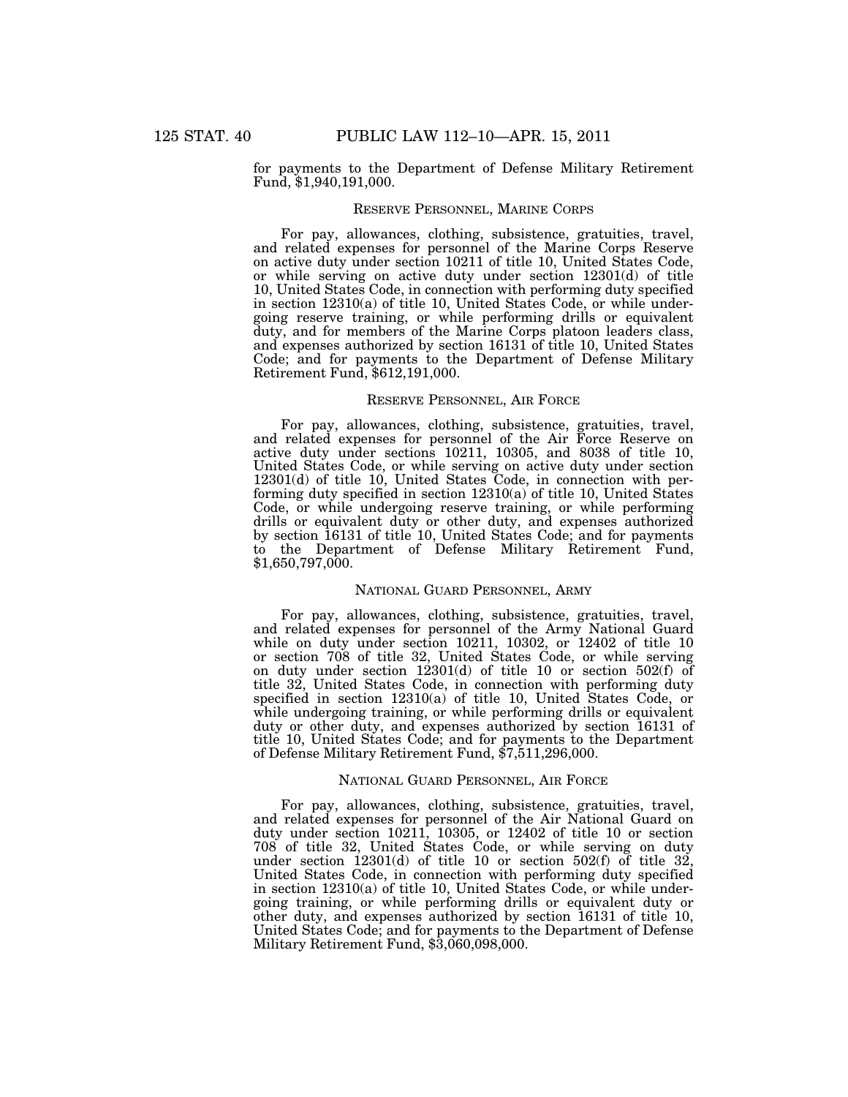for payments to the Department of Defense Military Retirement Fund, \$1,940,191,000.

### RESERVE PERSONNEL, MARINE CORPS

For pay, allowances, clothing, subsistence, gratuities, travel, and related expenses for personnel of the Marine Corps Reserve on active duty under section 10211 of title 10, United States Code, or while serving on active duty under section 12301(d) of title 10, United States Code, in connection with performing duty specified in section 12310(a) of title 10, United States Code, or while undergoing reserve training, or while performing drills or equivalent duty, and for members of the Marine Corps platoon leaders class, and expenses authorized by section 16131 of title 10, United States Code; and for payments to the Department of Defense Military Retirement Fund, \$612,191,000.

### RESERVE PERSONNEL, AIR FORCE

For pay, allowances, clothing, subsistence, gratuities, travel, and related expenses for personnel of the Air Force Reserve on active duty under sections 10211, 10305, and 8038 of title 10, United States Code, or while serving on active duty under section 12301(d) of title 10, United States Code, in connection with performing duty specified in section 12310(a) of title 10, United States Code, or while undergoing reserve training, or while performing drills or equivalent duty or other duty, and expenses authorized by section 16131 of title 10, United States Code; and for payments to the Department of Defense Military Retirement Fund, \$1,650,797,000.

### NATIONAL GUARD PERSONNEL, ARMY

For pay, allowances, clothing, subsistence, gratuities, travel, and related expenses for personnel of the Army National Guard while on duty under section 10211, 10302, or 12402 of title 10 or section 708 of title 32, United States Code, or while serving on duty under section 12301(d) of title 10 or section 502(f) of title 32, United States Code, in connection with performing duty specified in section 12310(a) of title 10, United States Code, or while undergoing training, or while performing drills or equivalent duty or other duty, and expenses authorized by section 16131 of title 10, United States Code; and for payments to the Department of Defense Military Retirement Fund, \$7,511,296,000.

### NATIONAL GUARD PERSONNEL, AIR FORCE

For pay, allowances, clothing, subsistence, gratuities, travel, and related expenses for personnel of the Air National Guard on duty under section 10211, 10305, or 12402 of title 10 or section 708 of title 32, United States Code, or while serving on duty under section 12301(d) of title 10 or section 502(f) of title 32, United States Code, in connection with performing duty specified in section 12310(a) of title 10, United States Code, or while undergoing training, or while performing drills or equivalent duty or other duty, and expenses authorized by section 16131 of title 10, United States Code; and for payments to the Department of Defense Military Retirement Fund, \$3,060,098,000.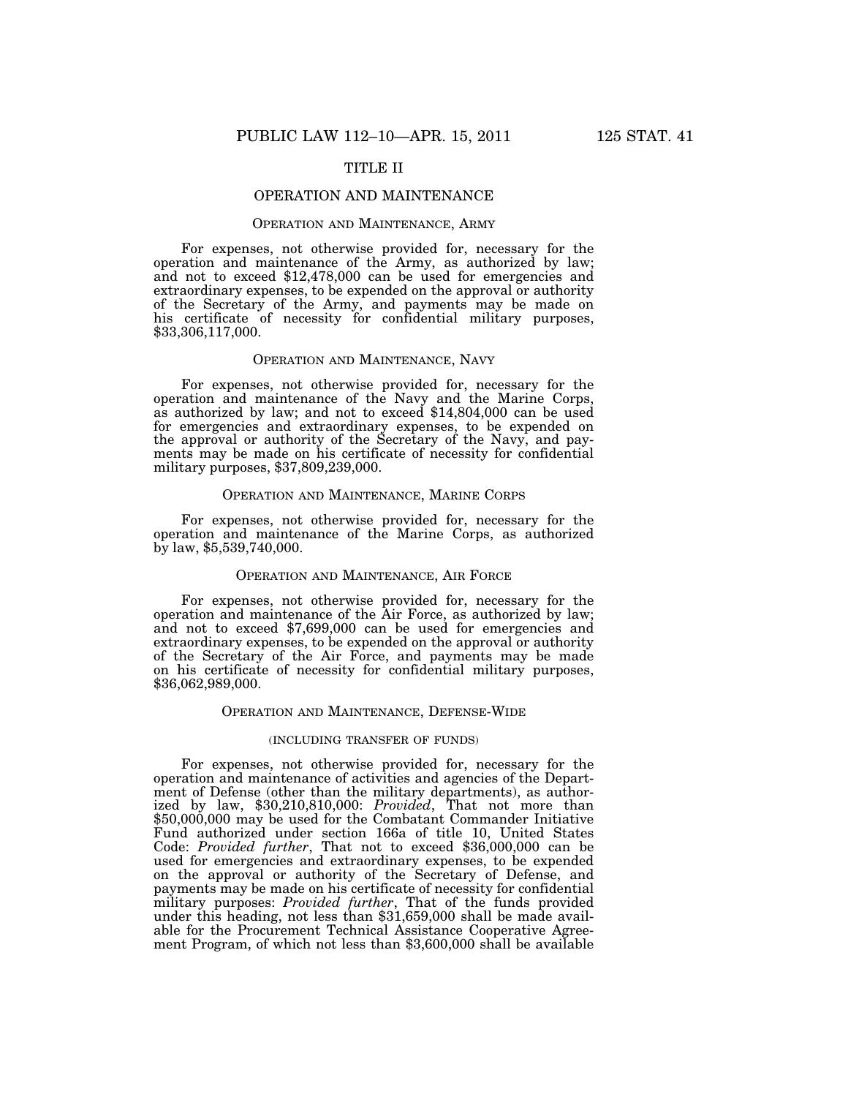# TITLE II

# OPERATION AND MAINTENANCE

### OPERATION AND MAINTENANCE, ARMY

For expenses, not otherwise provided for, necessary for the operation and maintenance of the Army, as authorized by law; and not to exceed \$12,478,000 can be used for emergencies and extraordinary expenses, to be expended on the approval or authority of the Secretary of the Army, and payments may be made on his certificate of necessity for confidential military purposes, \$33,306,117,000.

### OPERATION AND MAINTENANCE, NAVY

For expenses, not otherwise provided for, necessary for the operation and maintenance of the Navy and the Marine Corps, as authorized by law; and not to exceed \$14,804,000 can be used for emergencies and extraordinary expenses, to be expended on the approval or authority of the Secretary of the Navy, and payments may be made on his certificate of necessity for confidential military purposes, \$37,809,239,000.

# OPERATION AND MAINTENANCE, MARINE CORPS

For expenses, not otherwise provided for, necessary for the operation and maintenance of the Marine Corps, as authorized by law, \$5,539,740,000.

#### OPERATION AND MAINTENANCE, AIR FORCE

For expenses, not otherwise provided for, necessary for the operation and maintenance of the Air Force, as authorized by law; and not to exceed \$7,699,000 can be used for emergencies and extraordinary expenses, to be expended on the approval or authority of the Secretary of the Air Force, and payments may be made on his certificate of necessity for confidential military purposes, \$36,062,989,000.

### OPERATION AND MAINTENANCE, DEFENSE-WIDE

### (INCLUDING TRANSFER OF FUNDS)

For expenses, not otherwise provided for, necessary for the operation and maintenance of activities and agencies of the Department of Defense (other than the military departments), as authorized by law, \$30,210,810,000: *Provided*, That not more than \$50,000,000 may be used for the Combatant Commander Initiative Fund authorized under section 166a of title 10, United States Code: *Provided further*, That not to exceed \$36,000,000 can be used for emergencies and extraordinary expenses, to be expended on the approval or authority of the Secretary of Defense, and payments may be made on his certificate of necessity for confidential military purposes: *Provided further*, That of the funds provided under this heading, not less than \$31,659,000 shall be made available for the Procurement Technical Assistance Cooperative Agreement Program, of which not less than \$3,600,000 shall be available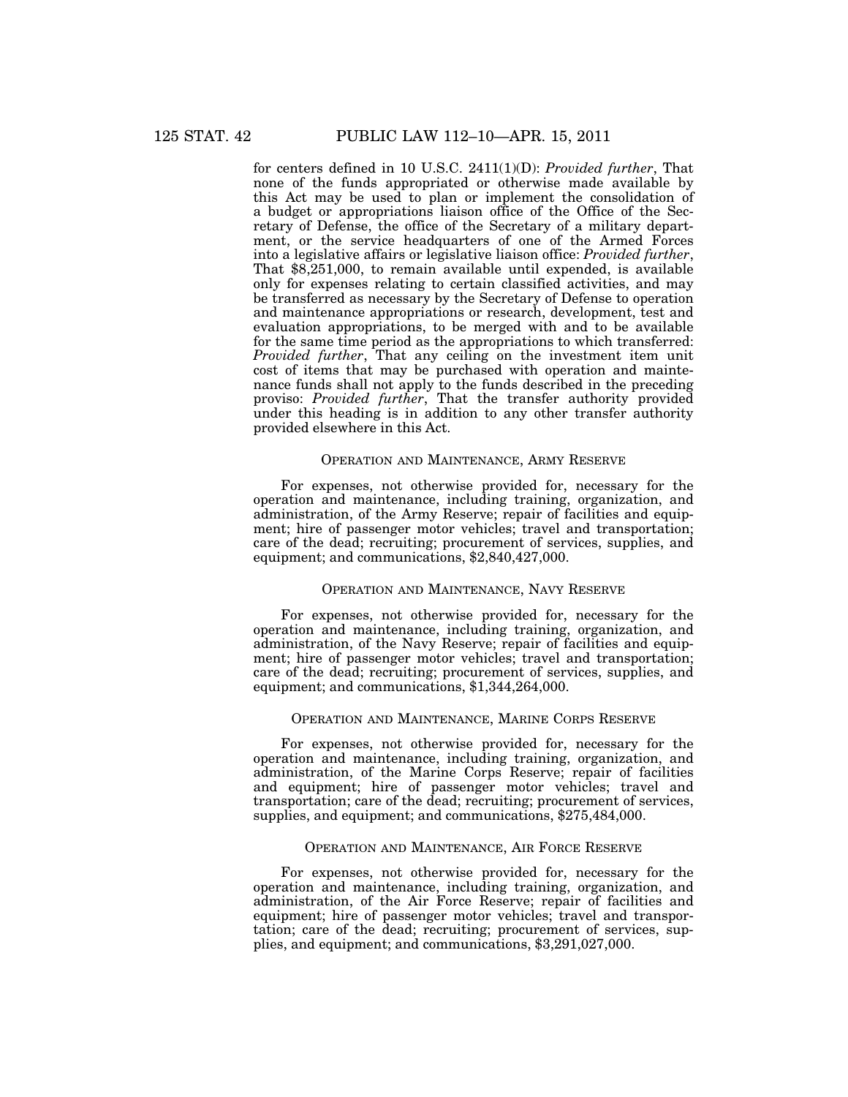for centers defined in 10 U.S.C. 2411(1)(D): *Provided further*, That none of the funds appropriated or otherwise made available by this Act may be used to plan or implement the consolidation of a budget or appropriations liaison office of the Office of the Secretary of Defense, the office of the Secretary of a military department, or the service headquarters of one of the Armed Forces into a legislative affairs or legislative liaison office: *Provided further*, That \$8,251,000, to remain available until expended, is available only for expenses relating to certain classified activities, and may be transferred as necessary by the Secretary of Defense to operation and maintenance appropriations or research, development, test and evaluation appropriations, to be merged with and to be available for the same time period as the appropriations to which transferred: *Provided further*, That any ceiling on the investment item unit cost of items that may be purchased with operation and maintenance funds shall not apply to the funds described in the preceding proviso: *Provided further*, That the transfer authority provided under this heading is in addition to any other transfer authority provided elsewhere in this Act.

# OPERATION AND MAINTENANCE, ARMY RESERVE

For expenses, not otherwise provided for, necessary for the operation and maintenance, including training, organization, and administration, of the Army Reserve; repair of facilities and equipment; hire of passenger motor vehicles; travel and transportation; care of the dead; recruiting; procurement of services, supplies, and equipment; and communications, \$2,840,427,000.

### OPERATION AND MAINTENANCE, NAVY RESERVE

For expenses, not otherwise provided for, necessary for the operation and maintenance, including training, organization, and administration, of the Navy Reserve; repair of facilities and equipment; hire of passenger motor vehicles; travel and transportation; care of the dead; recruiting; procurement of services, supplies, and equipment; and communications, \$1,344,264,000.

# OPERATION AND MAINTENANCE, MARINE CORPS RESERVE

For expenses, not otherwise provided for, necessary for the operation and maintenance, including training, organization, and administration, of the Marine Corps Reserve; repair of facilities and equipment; hire of passenger motor vehicles; travel and transportation; care of the dead; recruiting; procurement of services, supplies, and equipment; and communications, \$275,484,000.

### OPERATION AND MAINTENANCE, AIR FORCE RESERVE

For expenses, not otherwise provided for, necessary for the operation and maintenance, including training, organization, and administration, of the Air Force Reserve; repair of facilities and equipment; hire of passenger motor vehicles; travel and transportation; care of the dead; recruiting; procurement of services, supplies, and equipment; and communications, \$3,291,027,000.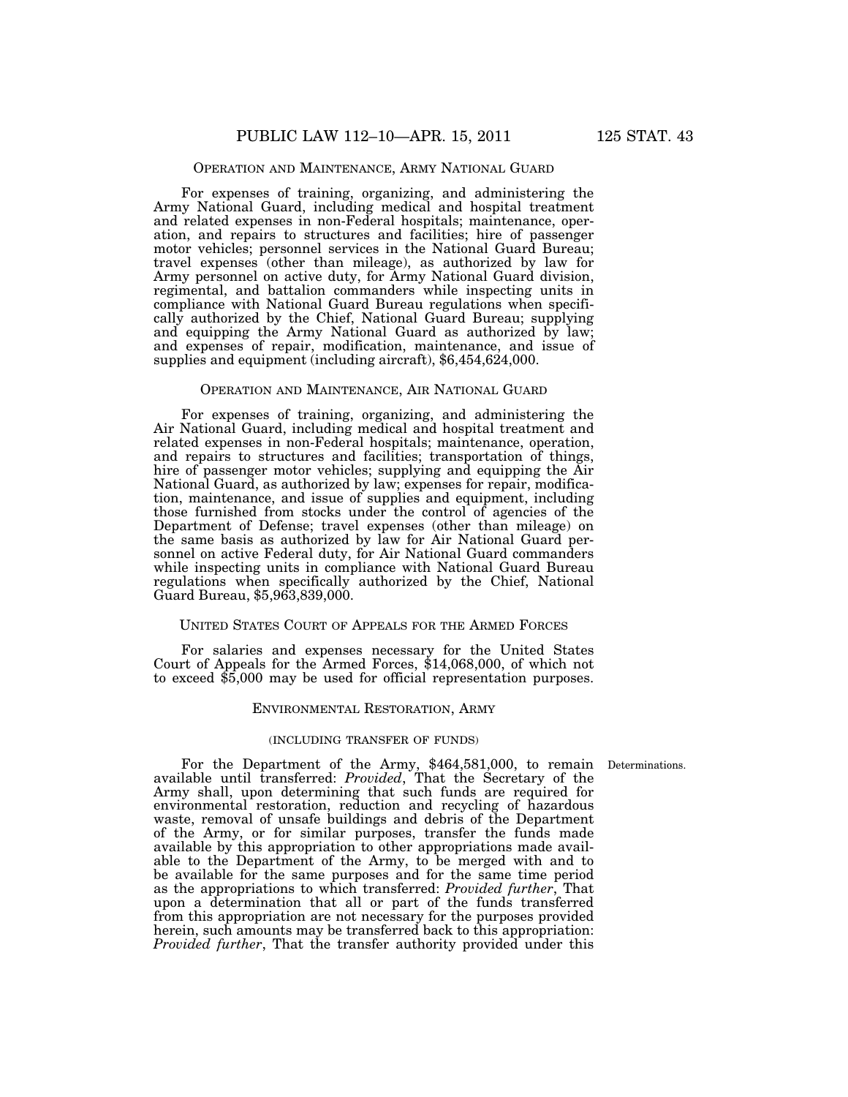# OPERATION AND MAINTENANCE, ARMY NATIONAL GUARD

For expenses of training, organizing, and administering the Army National Guard, including medical and hospital treatment and related expenses in non-Federal hospitals; maintenance, operation, and repairs to structures and facilities; hire of passenger motor vehicles; personnel services in the National Guard Bureau; travel expenses (other than mileage), as authorized by law for Army personnel on active duty, for Army National Guard division, regimental, and battalion commanders while inspecting units in compliance with National Guard Bureau regulations when specifically authorized by the Chief, National Guard Bureau; supplying and equipping the Army National Guard as authorized by law; and expenses of repair, modification, maintenance, and issue of supplies and equipment (including aircraft), \$6,454,624,000.

### OPERATION AND MAINTENANCE, AIR NATIONAL GUARD

For expenses of training, organizing, and administering the Air National Guard, including medical and hospital treatment and related expenses in non-Federal hospitals; maintenance, operation, and repairs to structures and facilities; transportation of things, hire of passenger motor vehicles; supplying and equipping the Air National Guard, as authorized by law; expenses for repair, modification, maintenance, and issue of supplies and equipment, including those furnished from stocks under the control of agencies of the Department of Defense; travel expenses (other than mileage) on the same basis as authorized by law for Air National Guard personnel on active Federal duty, for Air National Guard commanders while inspecting units in compliance with National Guard Bureau regulations when specifically authorized by the Chief, National Guard Bureau, \$5,963,839,000.

# UNITED STATES COURT OF APPEALS FOR THE ARMED FORCES

For salaries and expenses necessary for the United States Court of Appeals for the Armed Forces, \$14,068,000, of which not to exceed \$5,000 may be used for official representation purposes.

### ENVIRONMENTAL RESTORATION, ARMY

# (INCLUDING TRANSFER OF FUNDS)

Determinations.

For the Department of the Army, \$464,581,000, to remain available until transferred: *Provided*, That the Secretary of the Army shall, upon determining that such funds are required for environmental restoration, reduction and recycling of hazardous waste, removal of unsafe buildings and debris of the Department of the Army, or for similar purposes, transfer the funds made available by this appropriation to other appropriations made available to the Department of the Army, to be merged with and to be available for the same purposes and for the same time period as the appropriations to which transferred: *Provided further*, That upon a determination that all or part of the funds transferred from this appropriation are not necessary for the purposes provided herein, such amounts may be transferred back to this appropriation: *Provided further*, That the transfer authority provided under this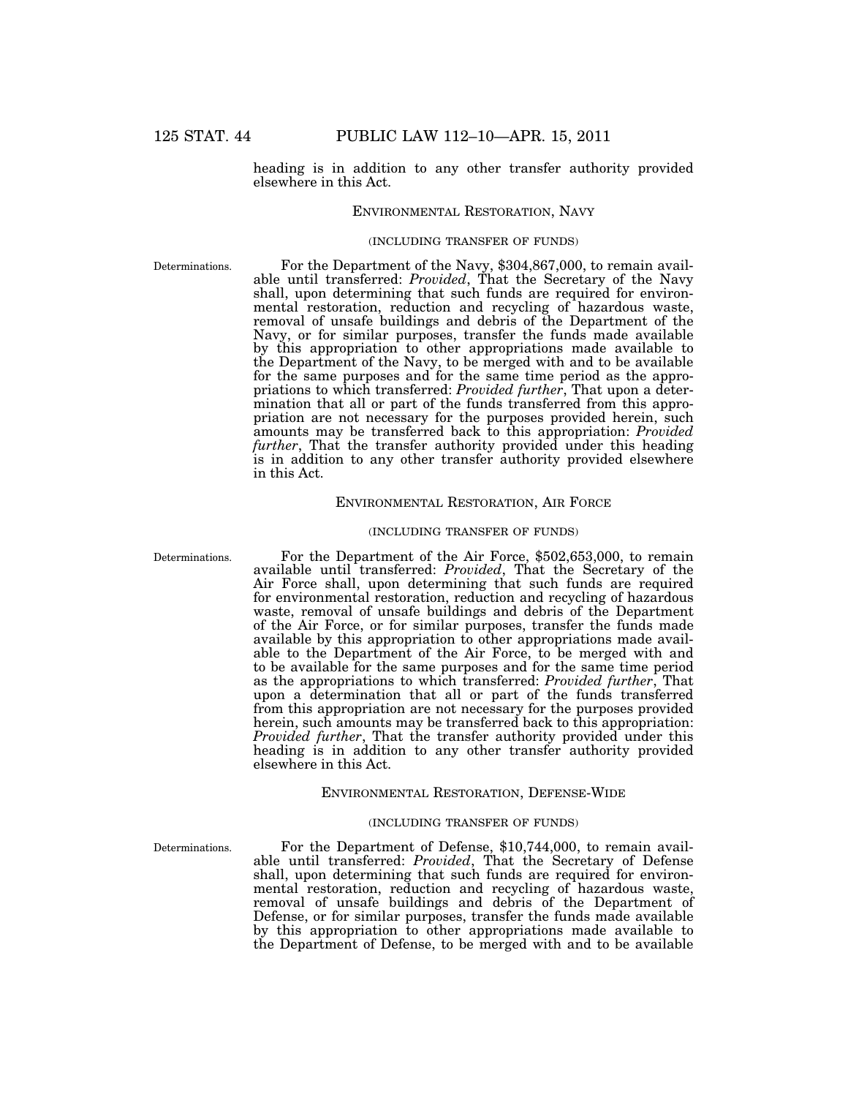# heading is in addition to any other transfer authority provided elsewhere in this Act.

### ENVIRONMENTAL RESTORATION, NAVY

#### (INCLUDING TRANSFER OF FUNDS)

Determinations.

For the Department of the Navy, \$304,867,000, to remain available until transferred: *Provided*, That the Secretary of the Navy shall, upon determining that such funds are required for environmental restoration, reduction and recycling of hazardous waste, removal of unsafe buildings and debris of the Department of the Navy, or for similar purposes, transfer the funds made available by this appropriation to other appropriations made available to the Department of the Navy, to be merged with and to be available for the same purposes and for the same time period as the appropriations to which transferred: *Provided further*, That upon a determination that all or part of the funds transferred from this appropriation are not necessary for the purposes provided herein, such amounts may be transferred back to this appropriation: *Provided further*, That the transfer authority provided under this heading is in addition to any other transfer authority provided elsewhere in this Act.

# ENVIRONMENTAL RESTORATION, AIR FORCE

### (INCLUDING TRANSFER OF FUNDS)

Determinations.

For the Department of the Air Force, \$502,653,000, to remain available until transferred: *Provided*, That the Secretary of the Air Force shall, upon determining that such funds are required for environmental restoration, reduction and recycling of hazardous waste, removal of unsafe buildings and debris of the Department of the Air Force, or for similar purposes, transfer the funds made available by this appropriation to other appropriations made available to the Department of the Air Force, to be merged with and to be available for the same purposes and for the same time period as the appropriations to which transferred: *Provided further*, That upon a determination that all or part of the funds transferred from this appropriation are not necessary for the purposes provided herein, such amounts may be transferred back to this appropriation: *Provided further*, That the transfer authority provided under this heading is in addition to any other transfer authority provided elsewhere in this Act.

#### ENVIRONMENTAL RESTORATION, DEFENSE-WIDE

#### (INCLUDING TRANSFER OF FUNDS)

Determinations.

For the Department of Defense, \$10,744,000, to remain available until transferred: *Provided*, That the Secretary of Defense shall, upon determining that such funds are required for environmental restoration, reduction and recycling of hazardous waste, removal of unsafe buildings and debris of the Department of Defense, or for similar purposes, transfer the funds made available by this appropriation to other appropriations made available to the Department of Defense, to be merged with and to be available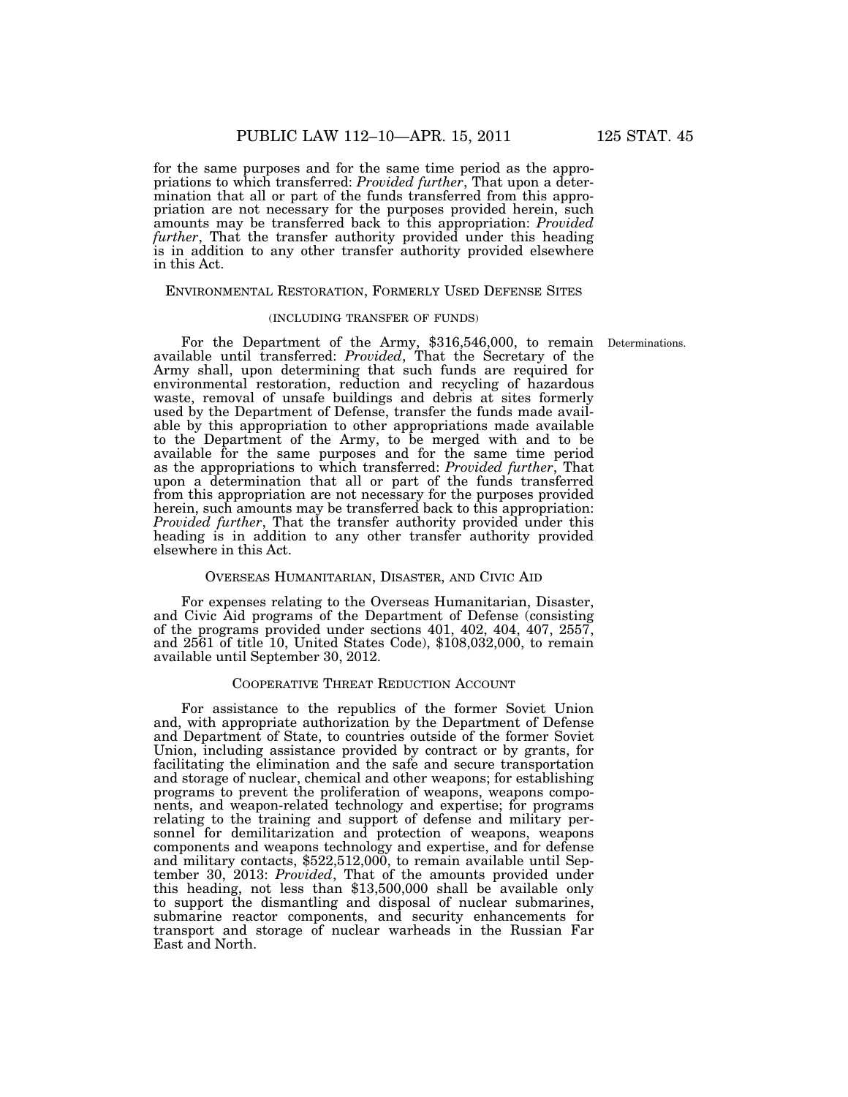for the same purposes and for the same time period as the appropriations to which transferred: *Provided further*, That upon a determination that all or part of the funds transferred from this appropriation are not necessary for the purposes provided herein, such amounts may be transferred back to this appropriation: *Provided further*, That the transfer authority provided under this heading is in addition to any other transfer authority provided elsewhere in this Act.

### ENVIRONMENTAL RESTORATION, FORMERLY USED DEFENSE SITES

### (INCLUDING TRANSFER OF FUNDS)

For the Department of the Army, \$316,546,000, to remain available until transferred: *Provided*, That the Secretary of the Army shall, upon determining that such funds are required for environmental restoration, reduction and recycling of hazardous waste, removal of unsafe buildings and debris at sites formerly used by the Department of Defense, transfer the funds made available by this appropriation to other appropriations made available to the Department of the Army, to be merged with and to be available for the same purposes and for the same time period as the appropriations to which transferred: *Provided further*, That upon a determination that all or part of the funds transferred from this appropriation are not necessary for the purposes provided herein, such amounts may be transferred back to this appropriation: *Provided further*, That the transfer authority provided under this heading is in addition to any other transfer authority provided elsewhere in this Act.

#### OVERSEAS HUMANITARIAN, DISASTER, AND CIVIC AID

For expenses relating to the Overseas Humanitarian, Disaster, and Civic Aid programs of the Department of Defense (consisting of the programs provided under sections 401, 402, 404, 407, 2557, and 2561 of title 10, United States Code), \$108,032,000, to remain available until September 30, 2012.

# COOPERATIVE THREAT REDUCTION ACCOUNT

For assistance to the republics of the former Soviet Union and, with appropriate authorization by the Department of Defense and Department of State, to countries outside of the former Soviet Union, including assistance provided by contract or by grants, for facilitating the elimination and the safe and secure transportation and storage of nuclear, chemical and other weapons; for establishing programs to prevent the proliferation of weapons, weapons components, and weapon-related technology and expertise; for programs relating to the training and support of defense and military personnel for demilitarization and protection of weapons, weapons components and weapons technology and expertise, and for defense and military contacts, \$522,512,000, to remain available until September 30, 2013: *Provided*, That of the amounts provided under this heading, not less than \$13,500,000 shall be available only to support the dismantling and disposal of nuclear submarines, submarine reactor components, and security enhancements for transport and storage of nuclear warheads in the Russian Far East and North.

Determinations.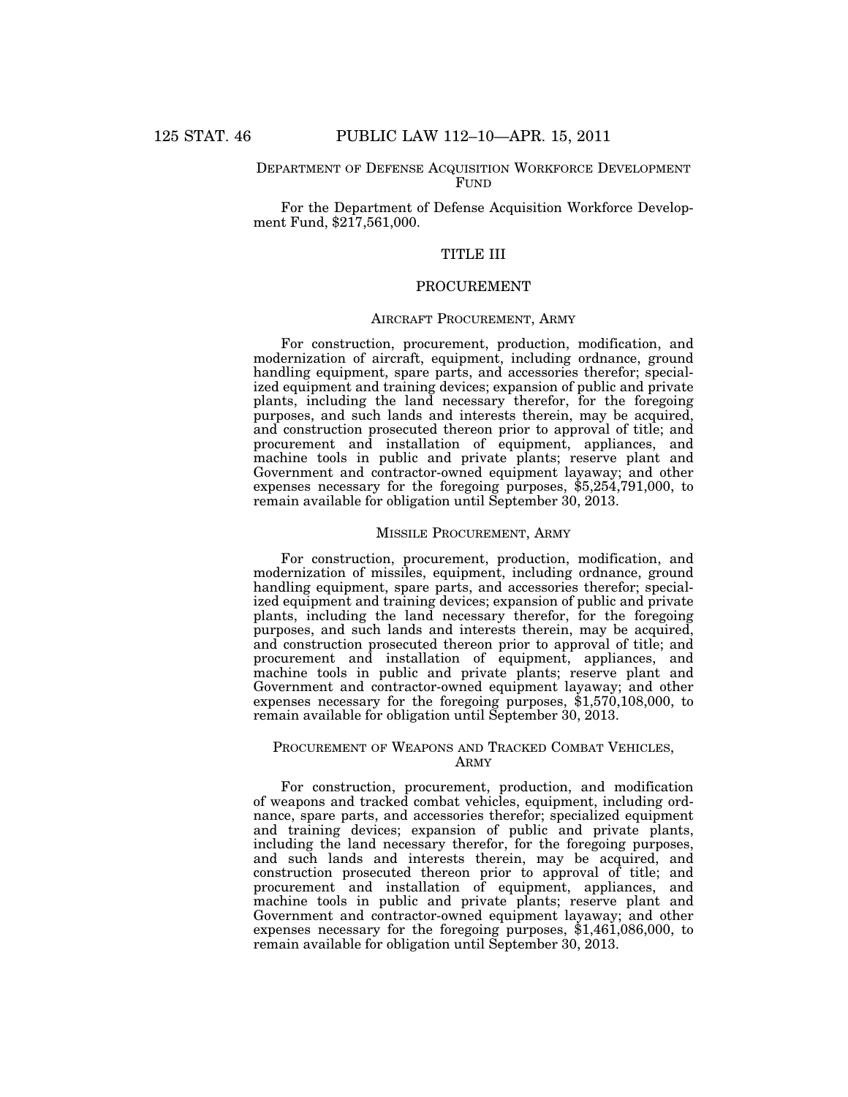### DEPARTMENT OF DEFENSE ACQUISITION WORKFORCE DEVELOPMENT FUND

For the Department of Defense Acquisition Workforce Development Fund, \$217,561,000.

# TITLE III

# **PROCUREMENT**

# AIRCRAFT PROCUREMENT, ARMY

For construction, procurement, production, modification, and modernization of aircraft, equipment, including ordnance, ground handling equipment, spare parts, and accessories therefor; specialized equipment and training devices; expansion of public and private plants, including the land necessary therefor, for the foregoing purposes, and such lands and interests therein, may be acquired, and construction prosecuted thereon prior to approval of title; and procurement and installation of equipment, appliances, and machine tools in public and private plants; reserve plant and Government and contractor-owned equipment layaway; and other expenses necessary for the foregoing purposes, \$5,254,791,000, to remain available for obligation until September 30, 2013.

#### MISSILE PROCUREMENT, ARMY

For construction, procurement, production, modification, and modernization of missiles, equipment, including ordnance, ground handling equipment, spare parts, and accessories therefor; specialized equipment and training devices; expansion of public and private plants, including the land necessary therefor, for the foregoing purposes, and such lands and interests therein, may be acquired, and construction prosecuted thereon prior to approval of title; and procurement and installation of equipment, appliances, and machine tools in public and private plants; reserve plant and Government and contractor-owned equipment layaway; and other expenses necessary for the foregoing purposes,  $\hat{$}1,570,108,000,$  to remain available for obligation until September 30, 2013.

# PROCUREMENT OF WEAPONS AND TRACKED COMBAT VEHICLES, ARMY

For construction, procurement, production, and modification of weapons and tracked combat vehicles, equipment, including ordnance, spare parts, and accessories therefor; specialized equipment and training devices; expansion of public and private plants, including the land necessary therefor, for the foregoing purposes, and such lands and interests therein, may be acquired, and construction prosecuted thereon prior to approval of title; and procurement and installation of equipment, appliances, and machine tools in public and private plants; reserve plant and Government and contractor-owned equipment layaway; and other expenses necessary for the foregoing purposes, \$1,461,086,000, to remain available for obligation until September 30, 2013.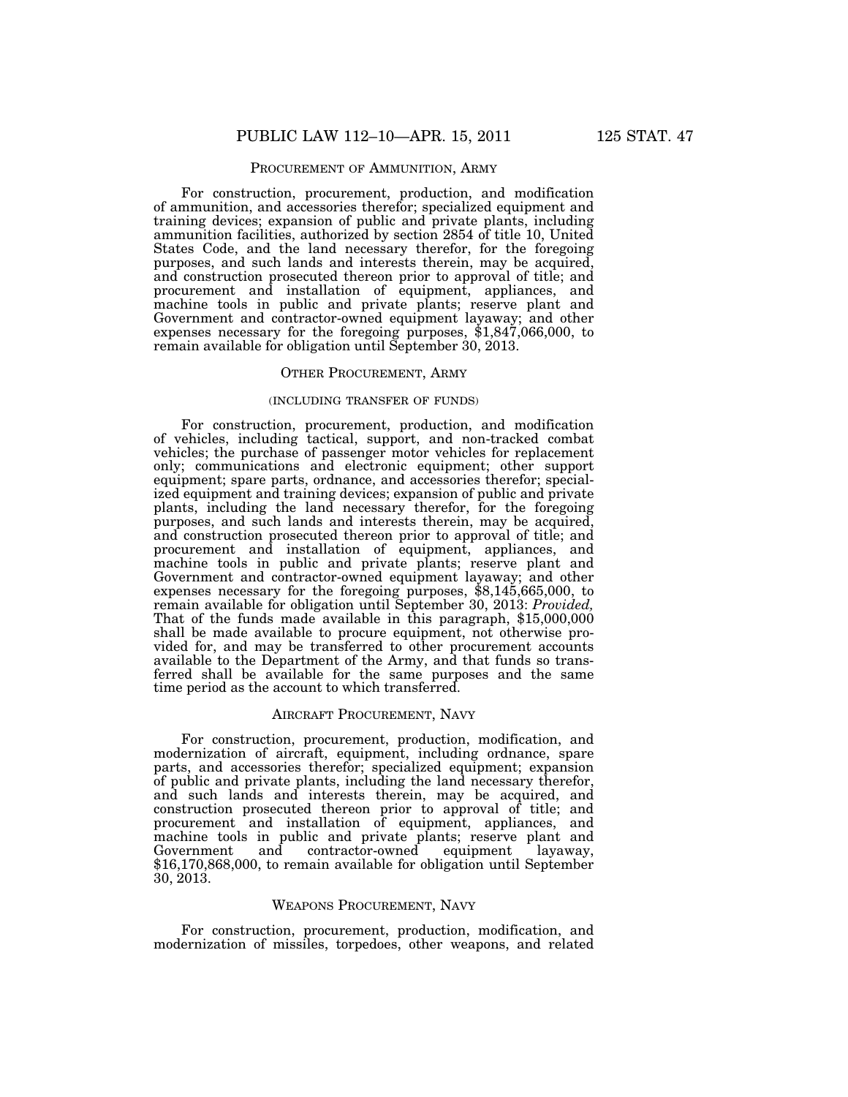### PROCUREMENT OF AMMUNITION, ARMY

For construction, procurement, production, and modification of ammunition, and accessories therefor; specialized equipment and training devices; expansion of public and private plants, including ammunition facilities, authorized by section 2854 of title 10, United States Code, and the land necessary therefor, for the foregoing purposes, and such lands and interests therein, may be acquired, and construction prosecuted thereon prior to approval of title; and procurement and installation of equipment, appliances, and machine tools in public and private plants; reserve plant and Government and contractor-owned equipment layaway; and other expenses necessary for the foregoing purposes, \$1,847,066,000, to remain available for obligation until September 30, 2013.

#### OTHER PROCUREMENT, ARMY

# (INCLUDING TRANSFER OF FUNDS)

For construction, procurement, production, and modification of vehicles, including tactical, support, and non-tracked combat vehicles; the purchase of passenger motor vehicles for replacement only; communications and electronic equipment; other support equipment; spare parts, ordnance, and accessories therefor; specialized equipment and training devices; expansion of public and private plants, including the land necessary therefor, for the foregoing purposes, and such lands and interests therein, may be acquired, and construction prosecuted thereon prior to approval of title; and procurement and installation of equipment, appliances, and machine tools in public and private plants; reserve plant and Government and contractor-owned equipment layaway; and other expenses necessary for the foregoing purposes, \$8,145,665,000, to remain available for obligation until September 30, 2013: *Provided,*  That of the funds made available in this paragraph, \$15,000,000 shall be made available to procure equipment, not otherwise provided for, and may be transferred to other procurement accounts available to the Department of the Army, and that funds so transferred shall be available for the same purposes and the same time period as the account to which transferred.

### AIRCRAFT PROCUREMENT, NAVY

For construction, procurement, production, modification, and modernization of aircraft, equipment, including ordnance, spare parts, and accessories therefor; specialized equipment; expansion of public and private plants, including the land necessary therefor, and such lands and interests therein, may be acquired, and construction prosecuted thereon prior to approval of title; and procurement and installation of equipment, appliances, and machine tools in public and private plants; reserve plant and Government and contractor-owned equipment layaway, \$16,170,868,000, to remain available for obligation until September 30, 2013.

### WEAPONS PROCUREMENT, NAVY

For construction, procurement, production, modification, and modernization of missiles, torpedoes, other weapons, and related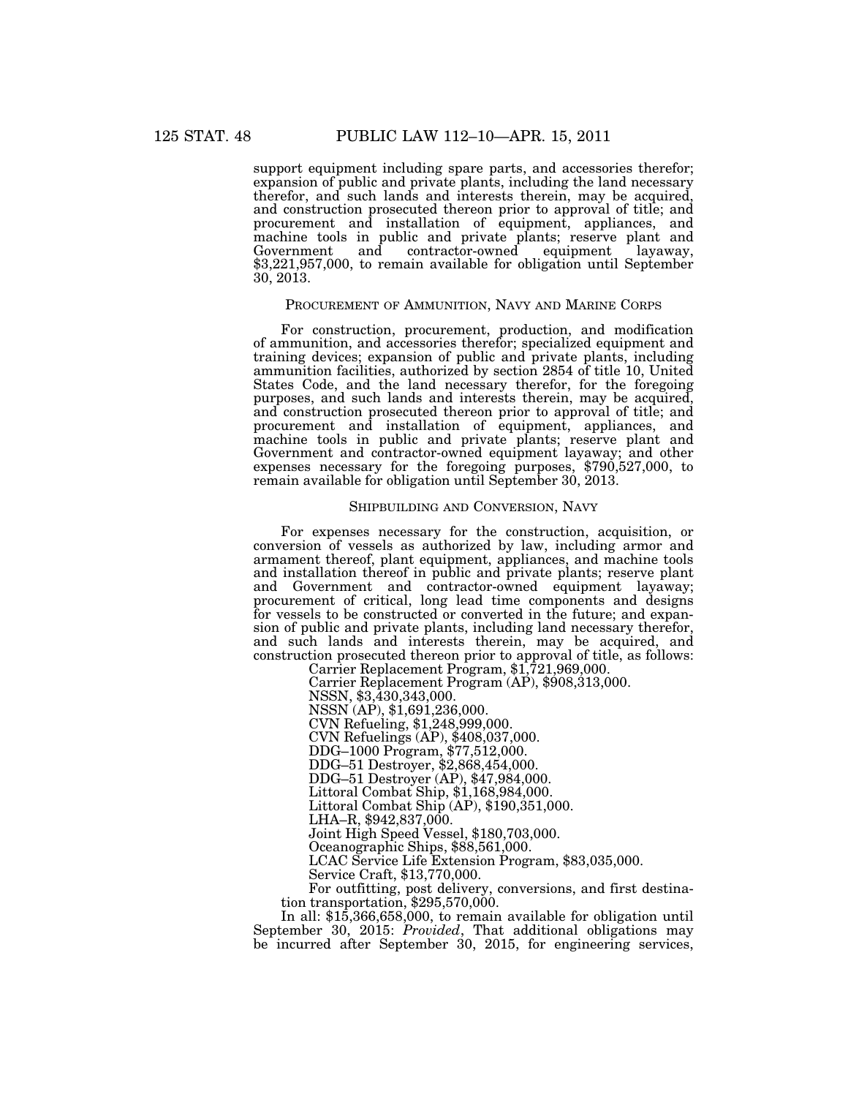support equipment including spare parts, and accessories therefor; expansion of public and private plants, including the land necessary therefor, and such lands and interests therein, may be acquired, and construction prosecuted thereon prior to approval of title; and procurement and installation of equipment, appliances, and machine tools in public and private plants; reserve plant and Government and contractor-owned equipment layaway, \$3,221,957,000, to remain available for obligation until September 30, 2013.

### PROCUREMENT OF AMMUNITION, NAVY AND MARINE CORPS

For construction, procurement, production, and modification of ammunition, and accessories therefor; specialized equipment and training devices; expansion of public and private plants, including ammunition facilities, authorized by section 2854 of title 10, United States Code, and the land necessary therefor, for the foregoing purposes, and such lands and interests therein, may be acquired, and construction prosecuted thereon prior to approval of title; and procurement and installation of equipment, appliances, and machine tools in public and private plants; reserve plant and Government and contractor-owned equipment layaway; and other expenses necessary for the foregoing purposes, \$790,527,000, to remain available for obligation until September 30, 2013.

#### SHIPBUILDING AND CONVERSION, NAVY

For expenses necessary for the construction, acquisition, or conversion of vessels as authorized by law, including armor and armament thereof, plant equipment, appliances, and machine tools and installation thereof in public and private plants; reserve plant and Government and contractor-owned equipment layaway; procurement of critical, long lead time components and designs for vessels to be constructed or converted in the future; and expansion of public and private plants, including land necessary therefor, and such lands and interests therein, may be acquired, and construction prosecuted thereon prior to approval of title, as follows: Carrier Replacement Program, \$1,721,969,000.

Carrier Replacement Program (AP), \$908,313,000. NSSN, \$3,430,343,000. NSSN (AP), \$1,691,236,000. CVN Refueling, \$1,248,999,000. CVN Refuelings (AP), \$408,037,000. DDG–1000 Program, \$77,512,000. DDG–51 Destroyer, \$2,868,454,000. DDG–51 Destroyer (AP), \$47,984,000. Littoral Combat Ship, \$1,168,984,000. Littoral Combat Ship  $(\overrightarrow{AP}), \$190, 351,000.$ LHA–R, \$942,837,000. Joint High Speed Vessel, \$180,703,000. Oceanographic Ships, \$88,561,000. LCAC Service Life Extension Program, \$83,035,000. Service Craft, \$13,770,000. For outfitting, post delivery, conversions, and first destination transportation, \$295,570,000.

In all: \$15,366,658,000, to remain available for obligation until September 30, 2015: *Provided*, That additional obligations may be incurred after September 30, 2015, for engineering services,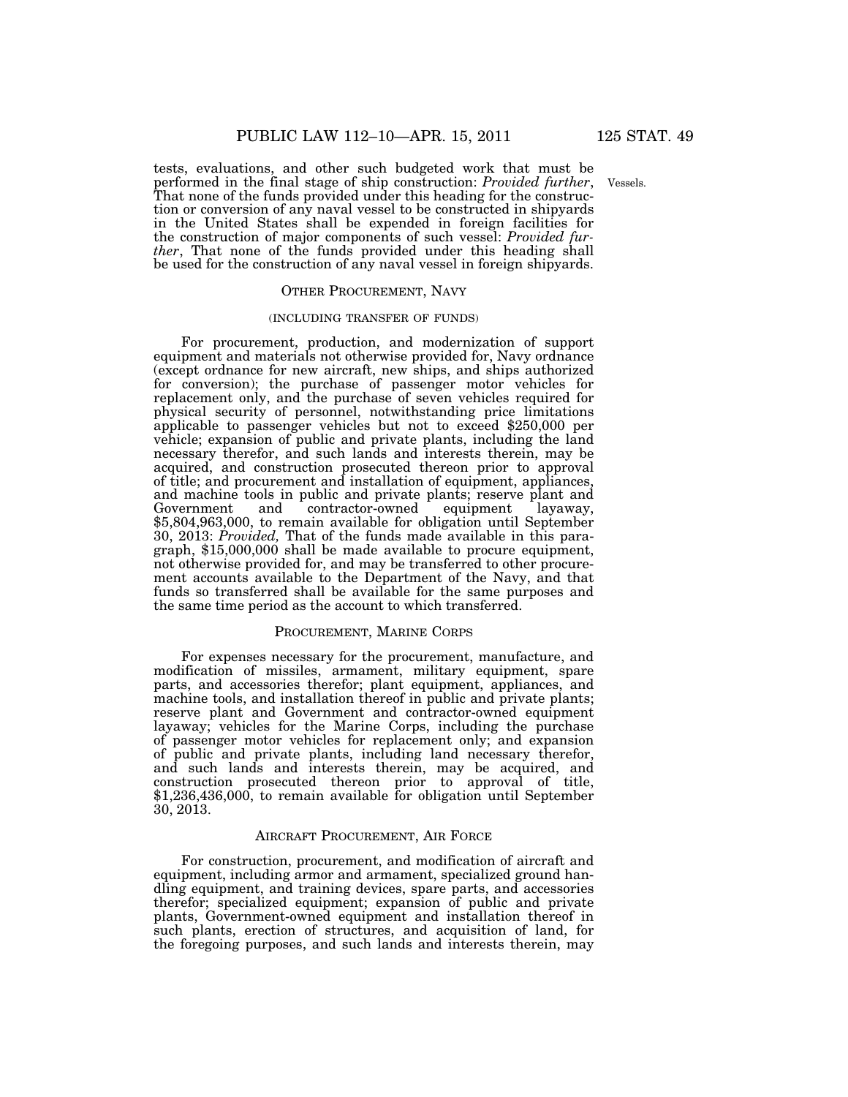Vessels.

tests, evaluations, and other such budgeted work that must be performed in the final stage of ship construction: *Provided further*, That none of the funds provided under this heading for the construction or conversion of any naval vessel to be constructed in shipyards in the United States shall be expended in foreign facilities for the construction of major components of such vessel: *Provided further*, That none of the funds provided under this heading shall be used for the construction of any naval vessel in foreign shipyards.

### OTHER PROCUREMENT, NAVY

### (INCLUDING TRANSFER OF FUNDS)

For procurement, production, and modernization of support equipment and materials not otherwise provided for, Navy ordnance (except ordnance for new aircraft, new ships, and ships authorized for conversion); the purchase of passenger motor vehicles for replacement only, and the purchase of seven vehicles required for physical security of personnel, notwithstanding price limitations applicable to passenger vehicles but not to exceed \$250,000 per vehicle; expansion of public and private plants, including the land necessary therefor, and such lands and interests therein, may be acquired, and construction prosecuted thereon prior to approval of title; and procurement and installation of equipment, appliances, and machine tools in public and private plants; reserve plant and Government and contractor-owned equipment layaway,  $\overline{\ }$  contractor-owned \$5,804,963,000, to remain available for obligation until September 30, 2013: *Provided,* That of the funds made available in this paragraph, \$15,000,000 shall be made available to procure equipment, not otherwise provided for, and may be transferred to other procurement accounts available to the Department of the Navy, and that funds so transferred shall be available for the same purposes and the same time period as the account to which transferred.

### PROCUREMENT, MARINE CORPS

For expenses necessary for the procurement, manufacture, and modification of missiles, armament, military equipment, spare parts, and accessories therefor; plant equipment, appliances, and machine tools, and installation thereof in public and private plants; reserve plant and Government and contractor-owned equipment layaway; vehicles for the Marine Corps, including the purchase of passenger motor vehicles for replacement only; and expansion of public and private plants, including land necessary therefor, and such lands and interests therein, may be acquired, and construction prosecuted thereon prior to approval of title, \$1,236,436,000, to remain available for obligation until September 30, 2013.

#### AIRCRAFT PROCUREMENT, AIR FORCE

For construction, procurement, and modification of aircraft and equipment, including armor and armament, specialized ground handling equipment, and training devices, spare parts, and accessories therefor; specialized equipment; expansion of public and private plants, Government-owned equipment and installation thereof in such plants, erection of structures, and acquisition of land, for the foregoing purposes, and such lands and interests therein, may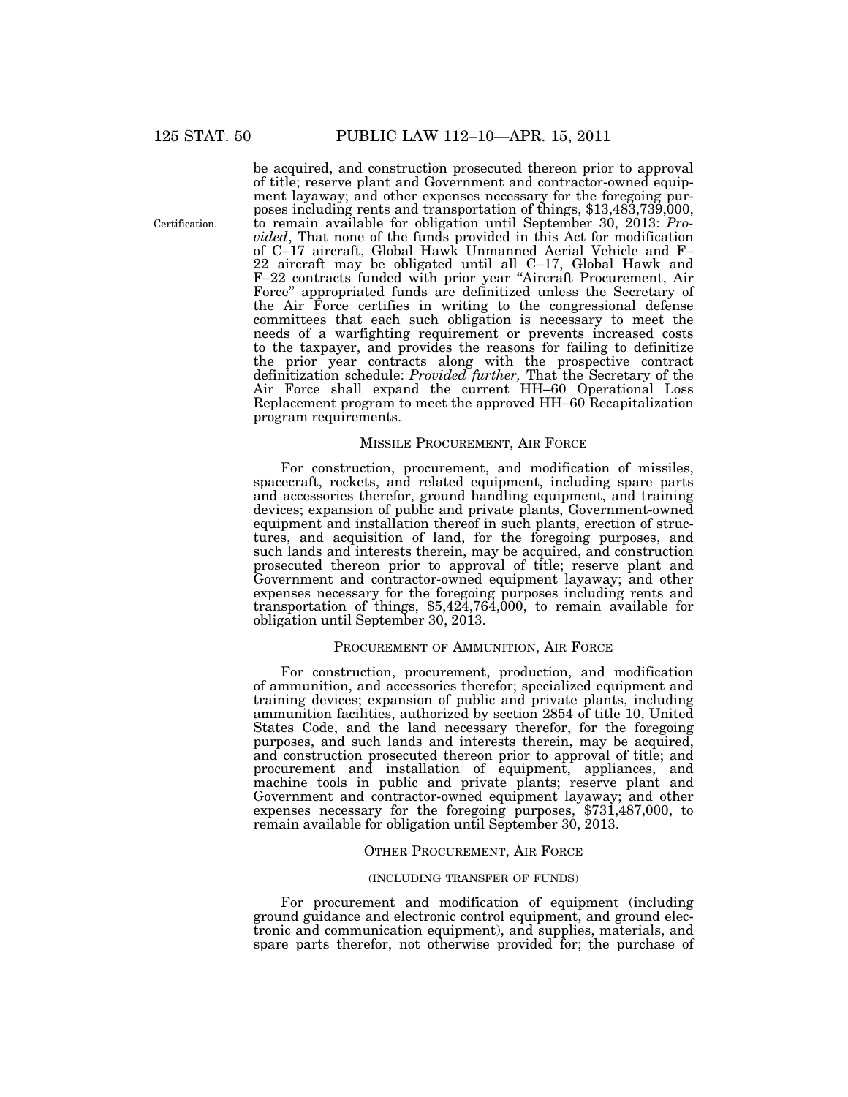Certification.

be acquired, and construction prosecuted thereon prior to approval of title; reserve plant and Government and contractor-owned equipment layaway; and other expenses necessary for the foregoing purposes including rents and transportation of things, \$13,483,739,000, to remain available for obligation until September 30, 2013: *Provided*, That none of the funds provided in this Act for modification of C–17 aircraft, Global Hawk Unmanned Aerial Vehicle and F– 22 aircraft may be obligated until all C–17, Global Hawk and F–22 contracts funded with prior year ''Aircraft Procurement, Air Force'' appropriated funds are definitized unless the Secretary of the Air Force certifies in writing to the congressional defense committees that each such obligation is necessary to meet the needs of a warfighting requirement or prevents increased costs to the taxpayer, and provides the reasons for failing to definitize the prior year contracts along with the prospective contract definitization schedule: *Provided further,* That the Secretary of the Air Force shall expand the current HH–60 Operational Loss Replacement program to meet the approved HH–60 Recapitalization program requirements.

### MISSILE PROCUREMENT, AIR FORCE

For construction, procurement, and modification of missiles, spacecraft, rockets, and related equipment, including spare parts and accessories therefor, ground handling equipment, and training devices; expansion of public and private plants, Government-owned equipment and installation thereof in such plants, erection of structures, and acquisition of land, for the foregoing purposes, and such lands and interests therein, may be acquired, and construction prosecuted thereon prior to approval of title; reserve plant and Government and contractor-owned equipment layaway; and other expenses necessary for the foregoing purposes including rents and transportation of things, \$5,424,764,000, to remain available for obligation until September 30, 2013.

### PROCUREMENT OF AMMUNITION, AIR FORCE

For construction, procurement, production, and modification of ammunition, and accessories therefor; specialized equipment and training devices; expansion of public and private plants, including ammunition facilities, authorized by section 2854 of title 10, United States Code, and the land necessary therefor, for the foregoing purposes, and such lands and interests therein, may be acquired, and construction prosecuted thereon prior to approval of title; and procurement and installation of equipment, appliances, and machine tools in public and private plants; reserve plant and Government and contractor-owned equipment layaway; and other expenses necessary for the foregoing purposes, \$731,487,000, to remain available for obligation until September 30, 2013.

### OTHER PROCUREMENT, AIR FORCE

### (INCLUDING TRANSFER OF FUNDS)

For procurement and modification of equipment (including ground guidance and electronic control equipment, and ground electronic and communication equipment), and supplies, materials, and spare parts therefor, not otherwise provided for; the purchase of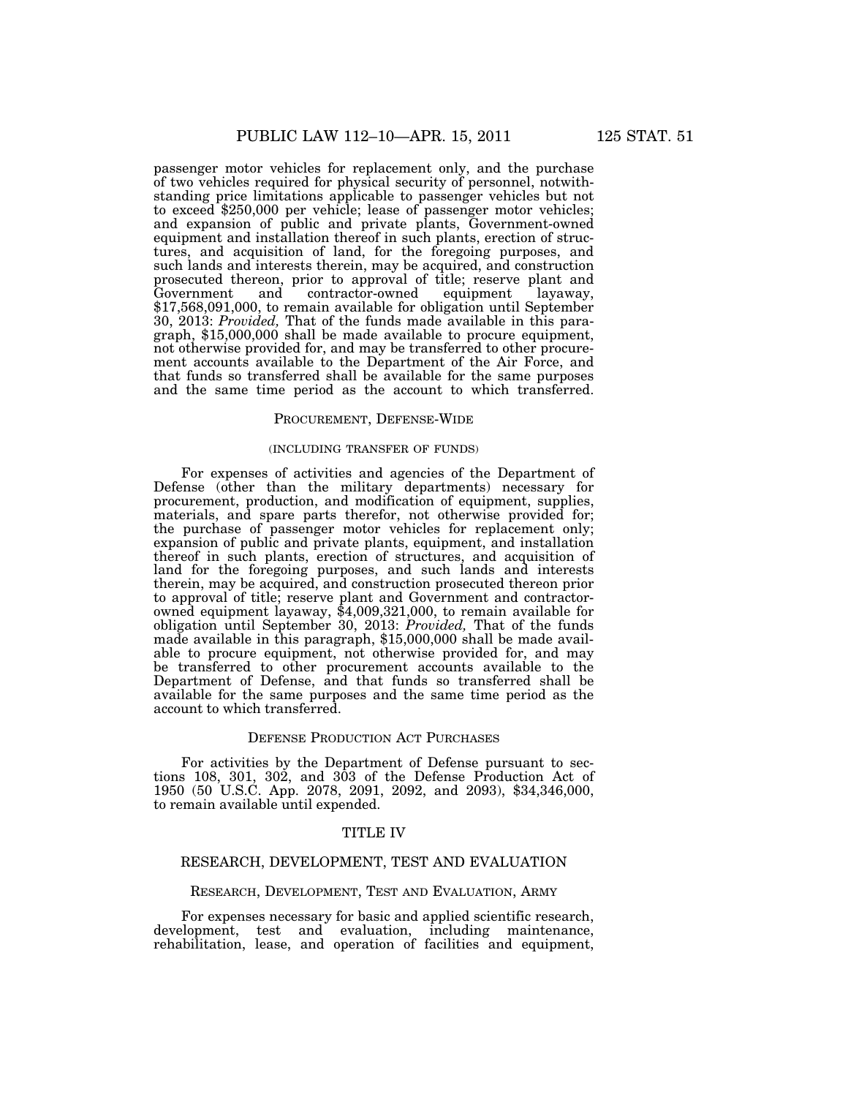passenger motor vehicles for replacement only, and the purchase of two vehicles required for physical security of personnel, notwithstanding price limitations applicable to passenger vehicles but not to exceed \$250,000 per vehicle; lease of passenger motor vehicles; and expansion of public and private plants, Government-owned equipment and installation thereof in such plants, erection of structures, and acquisition of land, for the foregoing purposes, and such lands and interests therein, may be acquired, and construction prosecuted thereon, prior to approval of title; reserve plant and  $contractor-owned$ \$17,568,091,000, to remain available for obligation until September 30, 2013: *Provided,* That of the funds made available in this paragraph, \$15,000,000 shall be made available to procure equipment, not otherwise provided for, and may be transferred to other procurement accounts available to the Department of the Air Force, and that funds so transferred shall be available for the same purposes and the same time period as the account to which transferred.

### PROCUREMENT, DEFENSE-WIDE

### (INCLUDING TRANSFER OF FUNDS)

For expenses of activities and agencies of the Department of Defense (other than the military departments) necessary for procurement, production, and modification of equipment, supplies, materials, and spare parts therefor, not otherwise provided for; the purchase of passenger motor vehicles for replacement only; expansion of public and private plants, equipment, and installation thereof in such plants, erection of structures, and acquisition of land for the foregoing purposes, and such lands and interests therein, may be acquired, and construction prosecuted thereon prior to approval of title; reserve plant and Government and contractorowned equipment layaway, \$4,009,321,000, to remain available for obligation until September 30, 2013: *Provided,* That of the funds made available in this paragraph, \$15,000,000 shall be made available to procure equipment, not otherwise provided for, and may be transferred to other procurement accounts available to the Department of Defense, and that funds so transferred shall be available for the same purposes and the same time period as the account to which transferred.

#### DEFENSE PRODUCTION ACT PURCHASES

For activities by the Department of Defense pursuant to sections 108, 301, 302, and 303 of the Defense Production Act of 1950 (50 U.S.C. App. 2078, 2091, 2092, and 2093), \$34,346,000, to remain available until expended.

# TITLE IV

# RESEARCH, DEVELOPMENT, TEST AND EVALUATION

### RESEARCH, DEVELOPMENT, TEST AND EVALUATION, ARMY

For expenses necessary for basic and applied scientific research, development, test and evaluation, including maintenance, rehabilitation, lease, and operation of facilities and equipment,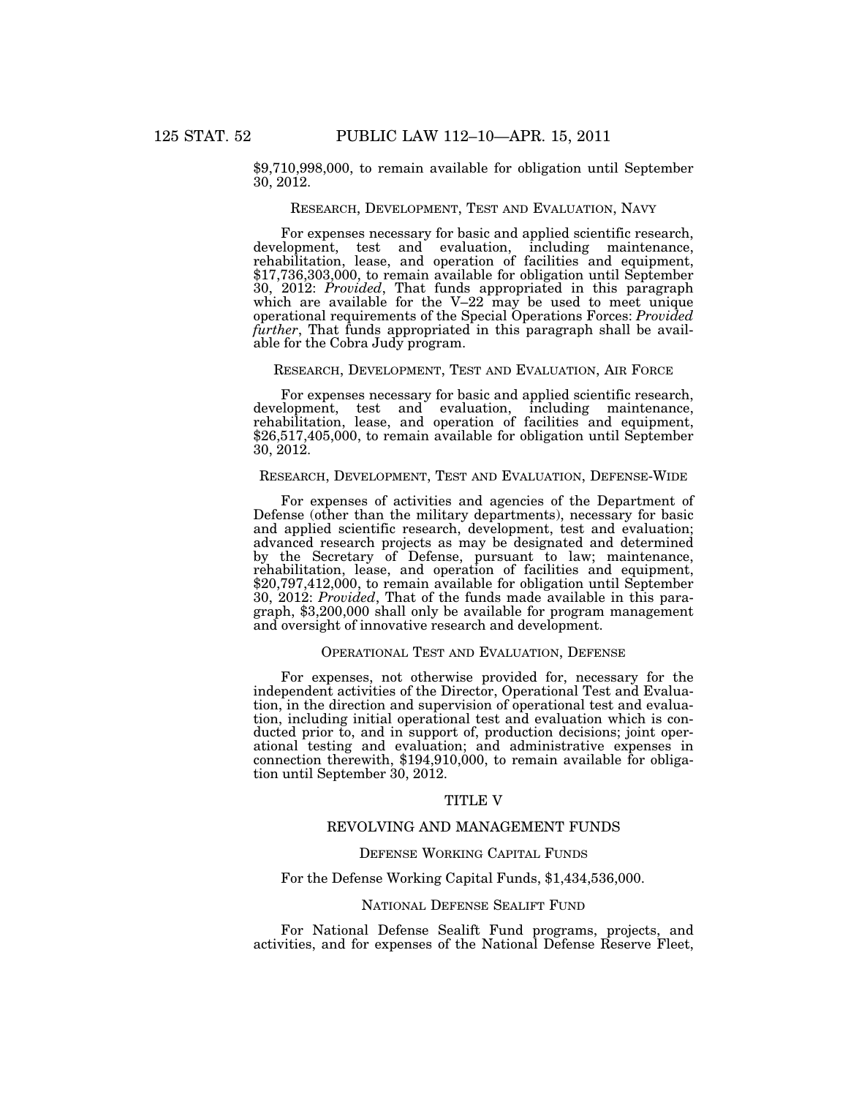\$9,710,998,000, to remain available for obligation until September 30, 2012.

### RESEARCH, DEVELOPMENT, TEST AND EVALUATION, NAVY

For expenses necessary for basic and applied scientific research, development, test and evaluation, including maintenance, rehabilitation, lease, and operation of facilities and equipment, \$17,736,303,000, to remain available for obligation until September 30, 2012: *Provided*, That funds appropriated in this paragraph which are available for the V–22 may be used to meet unique operational requirements of the Special Operations Forces: *Provided further*, That funds appropriated in this paragraph shall be available for the Cobra Judy program.

# RESEARCH, DEVELOPMENT, TEST AND EVALUATION, AIR FORCE

For expenses necessary for basic and applied scientific research, development, test and evaluation, including maintenance, rehabilitation, lease, and operation of facilities and equipment, \$26,517,405,000, to remain available for obligation until September 30, 2012.

# RESEARCH, DEVELOPMENT, TEST AND EVALUATION, DEFENSE-WIDE

For expenses of activities and agencies of the Department of Defense (other than the military departments), necessary for basic and applied scientific research, development, test and evaluation; advanced research projects as may be designated and determined by the Secretary of Defense, pursuant to law; maintenance, rehabilitation, lease, and operation of facilities and equipment, \$20,797,412,000, to remain available for obligation until September 30, 2012: *Provided*, That of the funds made available in this paragraph, \$3,200,000 shall only be available for program management and oversight of innovative research and development.

### OPERATIONAL TEST AND EVALUATION, DEFENSE

For expenses, not otherwise provided for, necessary for the independent activities of the Director, Operational Test and Evaluation, in the direction and supervision of operational test and evaluation, including initial operational test and evaluation which is conducted prior to, and in support of, production decisions; joint operational testing and evaluation; and administrative expenses in connection therewith, \$194,910,000, to remain available for obligation until September 30, 2012.

#### TITLE V

### REVOLVING AND MANAGEMENT FUNDS

# DEFENSE WORKING CAPITAL FUNDS

# For the Defense Working Capital Funds, \$1,434,536,000.

# NATIONAL DEFENSE SEALIFT FUND

For National Defense Sealift Fund programs, projects, and activities, and for expenses of the National Defense Reserve Fleet,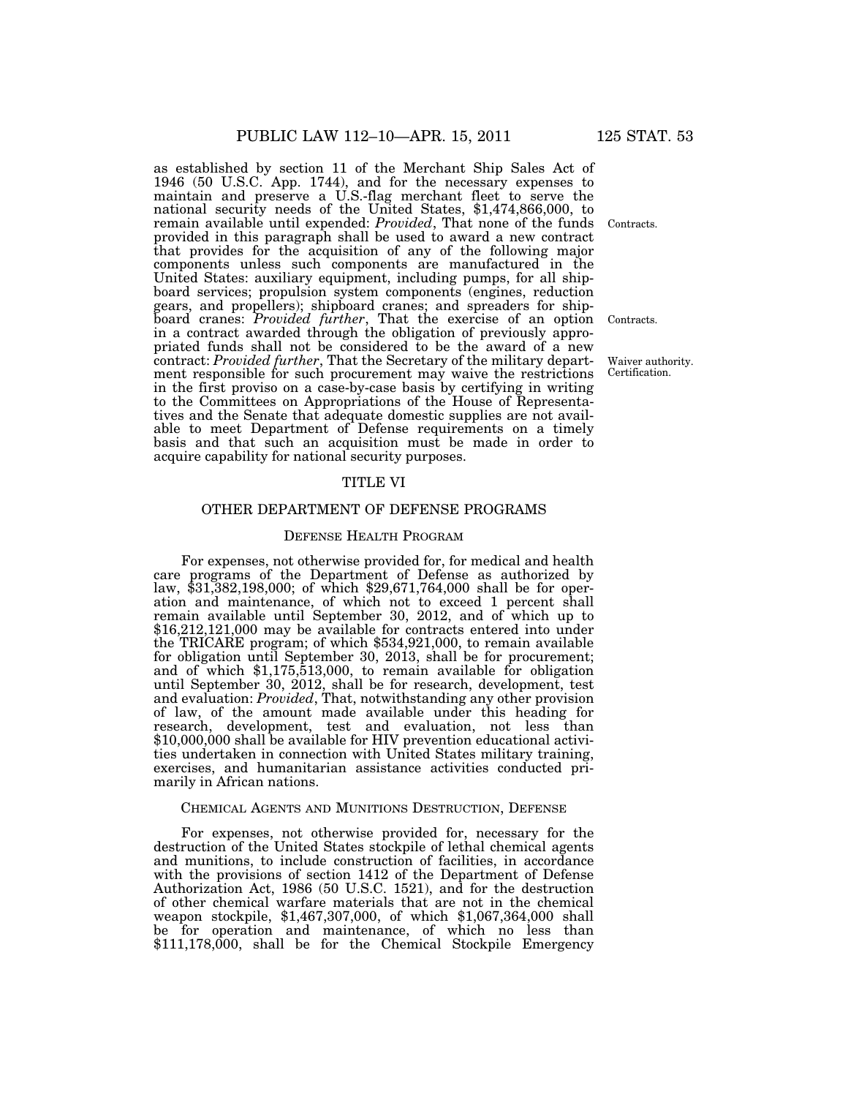as established by section 11 of the Merchant Ship Sales Act of 1946 (50 U.S.C. App. 1744), and for the necessary expenses to maintain and preserve a U.S.-flag merchant fleet to serve the national security needs of the United States, \$1,474,866,000, to remain available until expended: *Provided*, That none of the funds provided in this paragraph shall be used to award a new contract that provides for the acquisition of any of the following major components unless such components are manufactured in the United States: auxiliary equipment, including pumps, for all shipboard services; propulsion system components (engines, reduction gears, and propellers); shipboard cranes; and spreaders for shipboard cranes: *Provided further*, That the exercise of an option in a contract awarded through the obligation of previously appropriated funds shall not be considered to be the award of a new contract: *Provided further*, That the Secretary of the military department responsible for such procurement may waive the restrictions in the first proviso on a case-by-case basis by certifying in writing to the Committees on Appropriations of the House of Representatives and the Senate that adequate domestic supplies are not available to meet Department of Defense requirements on a timely basis and that such an acquisition must be made in order to acquire capability for national security purposes.

### TITLE VI

# OTHER DEPARTMENT OF DEFENSE PROGRAMS

#### DEFENSE HEALTH PROGRAM

For expenses, not otherwise provided for, for medical and health care programs of the Department of Defense as authorized by law, \$31,382,198,000; of which \$29,671,764,000 shall be for operation and maintenance, of which not to exceed 1 percent shall remain available until September 30, 2012, and of which up to \$16,212,121,000 may be available for contracts entered into under the TRICARE program; of which \$534,921,000, to remain available for obligation until September 30, 2013, shall be for procurement; and of which \$1,175,513,000, to remain available for obligation until September 30, 2012, shall be for research, development, test and evaluation: *Provided*, That, notwithstanding any other provision of law, of the amount made available under this heading for research, development, test and evaluation, not less than \$10,000,000 shall be available for HIV prevention educational activities undertaken in connection with United States military training, exercises, and humanitarian assistance activities conducted primarily in African nations.

#### CHEMICAL AGENTS AND MUNITIONS DESTRUCTION, DEFENSE

For expenses, not otherwise provided for, necessary for the destruction of the United States stockpile of lethal chemical agents and munitions, to include construction of facilities, in accordance with the provisions of section 1412 of the Department of Defense Authorization Act, 1986 (50 U.S.C. 1521), and for the destruction of other chemical warfare materials that are not in the chemical weapon stockpile, \$1,467,307,000, of which \$1,067,364,000 shall be for operation and maintenance, of which no less than \$111,178,000, shall be for the Chemical Stockpile Emergency

Contracts.

Contracts.

Waiver authority. Certification.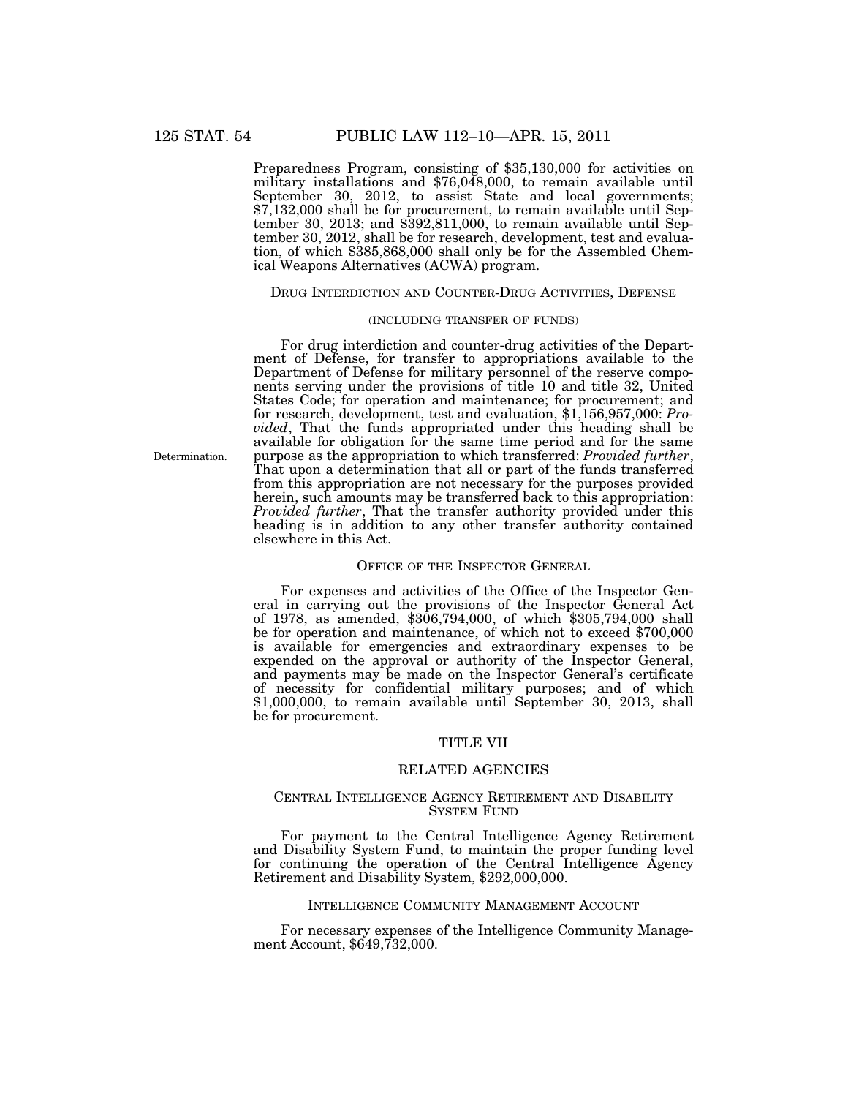Preparedness Program, consisting of \$35,130,000 for activities on military installations and \$76,048,000, to remain available until September 30, 2012, to assist State and local governments; \$7,132,000 shall be for procurement, to remain available until September 30, 2013; and \$392,811,000, to remain available until September 30, 2012, shall be for research, development, test and evaluation, of which \$385,868,000 shall only be for the Assembled Chemical Weapons Alternatives (ACWA) program.

### DRUG INTERDICTION AND COUNTER-DRUG ACTIVITIES, DEFENSE

### (INCLUDING TRANSFER OF FUNDS)

For drug interdiction and counter-drug activities of the Department of Defense, for transfer to appropriations available to the Department of Defense for military personnel of the reserve components serving under the provisions of title 10 and title 32, United States Code; for operation and maintenance; for procurement; and for research, development, test and evaluation, \$1,156,957,000: *Provided*, That the funds appropriated under this heading shall be available for obligation for the same time period and for the same purpose as the appropriation to which transferred: *Provided further*, That upon a determination that all or part of the funds transferred from this appropriation are not necessary for the purposes provided herein, such amounts may be transferred back to this appropriation: *Provided further*, That the transfer authority provided under this heading is in addition to any other transfer authority contained elsewhere in this Act.

### OFFICE OF THE INSPECTOR GENERAL

For expenses and activities of the Office of the Inspector General in carrying out the provisions of the Inspector General Act of 1978, as amended, \$306,794,000, of which \$305,794,000 shall be for operation and maintenance, of which not to exceed \$700,000 is available for emergencies and extraordinary expenses to be expended on the approval or authority of the Inspector General, and payments may be made on the Inspector General's certificate of necessity for confidential military purposes; and of which \$1,000,000, to remain available until September 30, 2013, shall be for procurement.

#### TITLE VII

# RELATED AGENCIES

### CENTRAL INTELLIGENCE AGENCY RETIREMENT AND DISABILITY SYSTEM FUND

For payment to the Central Intelligence Agency Retirement and Disability System Fund, to maintain the proper funding level for continuing the operation of the Central Intelligence Agency Retirement and Disability System, \$292,000,000.

### INTELLIGENCE COMMUNITY MANAGEMENT ACCOUNT

For necessary expenses of the Intelligence Community Management Account, \$649,732,000.

Determination.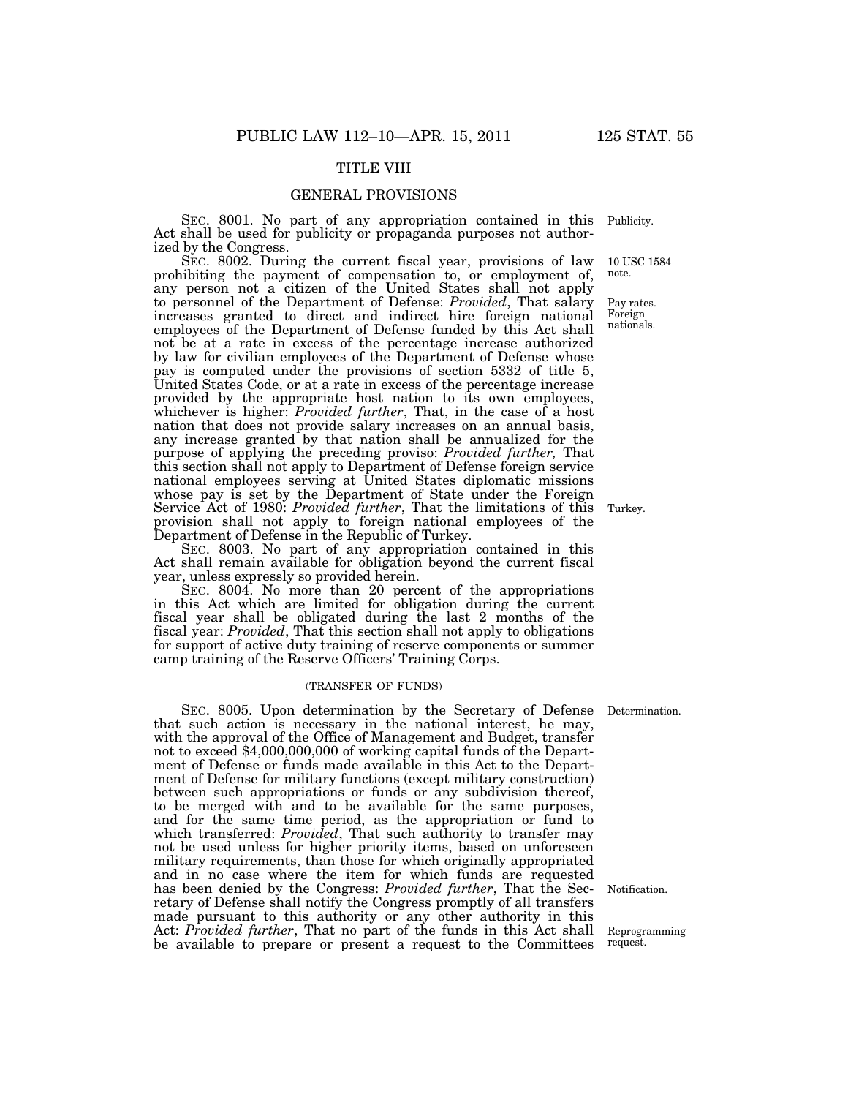# TITLE VIII

### GENERAL PROVISIONS

SEC. 8001. No part of any appropriation contained in this Act shall be used for publicity or propaganda purposes not authorized by the Congress.

SEC. 8002. During the current fiscal year, provisions of law prohibiting the payment of compensation to, or employment of, any person not a citizen of the United States shall not apply to personnel of the Department of Defense: *Provided*, That salary increases granted to direct and indirect hire foreign national employees of the Department of Defense funded by this Act shall not be at a rate in excess of the percentage increase authorized by law for civilian employees of the Department of Defense whose pay is computed under the provisions of section 5332 of title 5, United States Code, or at a rate in excess of the percentage increase provided by the appropriate host nation to its own employees, whichever is higher: *Provided further*, That, in the case of a host nation that does not provide salary increases on an annual basis, any increase granted by that nation shall be annualized for the purpose of applying the preceding proviso: *Provided further,* That this section shall not apply to Department of Defense foreign service national employees serving at United States diplomatic missions whose pay is set by the Department of State under the Foreign Service Act of 1980: *Provided further*, That the limitations of this provision shall not apply to foreign national employees of the Department of Defense in the Republic of Turkey.

SEC. 8003. No part of any appropriation contained in this Act shall remain available for obligation beyond the current fiscal year, unless expressly so provided herein.

SEC. 8004. No more than 20 percent of the appropriations in this Act which are limited for obligation during the current fiscal year shall be obligated during the last 2 months of the fiscal year: *Provided*, That this section shall not apply to obligations for support of active duty training of reserve components or summer camp training of the Reserve Officers' Training Corps.

### (TRANSFER OF FUNDS)

SEC. 8005. Upon determination by the Secretary of Defense Determination. that such action is necessary in the national interest, he may, with the approval of the Office of Management and Budget, transfer not to exceed \$4,000,000,000 of working capital funds of the Department of Defense or funds made available in this Act to the Department of Defense for military functions (except military construction) between such appropriations or funds or any subdivision thereof, to be merged with and to be available for the same purposes, and for the same time period, as the appropriation or fund to which transferred: *Provided*, That such authority to transfer may not be used unless for higher priority items, based on unforeseen military requirements, than those for which originally appropriated and in no case where the item for which funds are requested has been denied by the Congress: *Provided further*, That the Secretary of Defense shall notify the Congress promptly of all transfers made pursuant to this authority or any other authority in this Act: *Provided further*, That no part of the funds in this Act shall be available to prepare or present a request to the Committees

Publicity.

10 USC 1584 note.

Pay rates. Foreign nationals.

Turkey.

Notification.

Reprogramming request.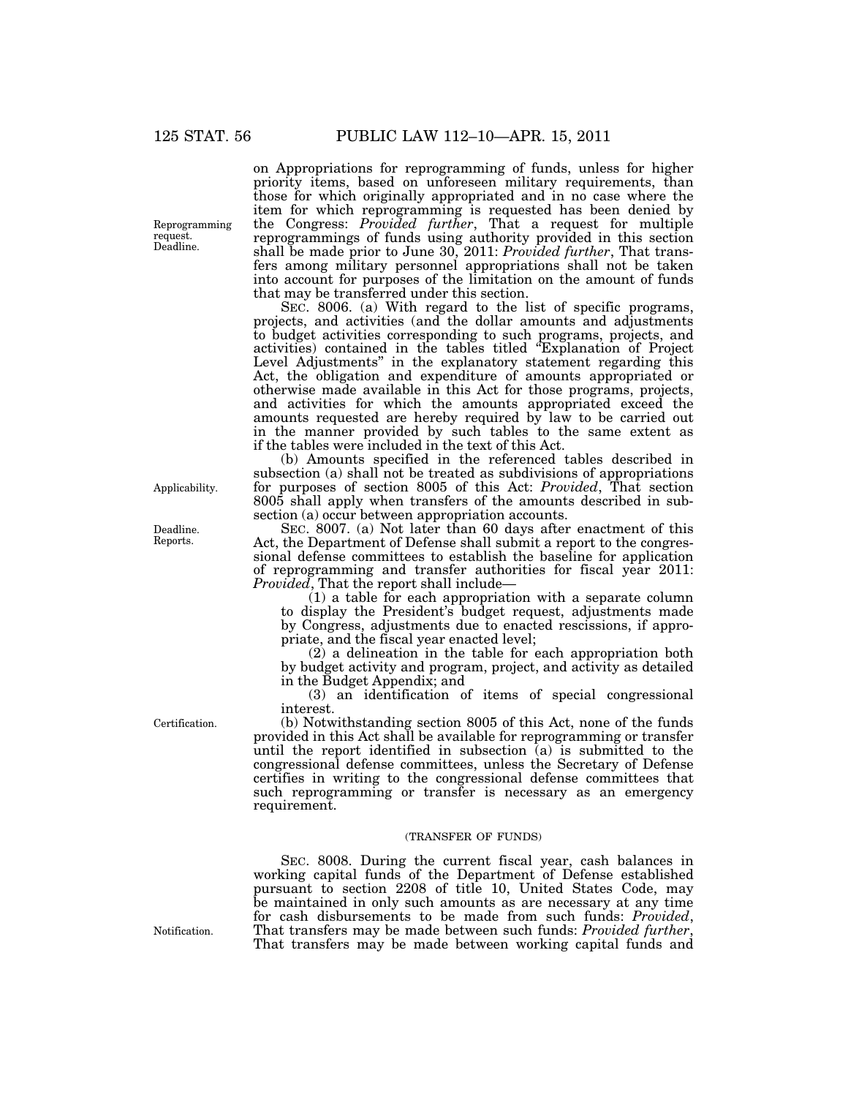Reprogramming request. Deadline.

Applicability.

Deadline. Reports.

Certification.

on Appropriations for reprogramming of funds, unless for higher priority items, based on unforeseen military requirements, than those for which originally appropriated and in no case where the item for which reprogramming is requested has been denied by the Congress: *Provided further*, That a request for multiple reprogrammings of funds using authority provided in this section shall be made prior to June 30, 2011: *Provided further*, That transfers among military personnel appropriations shall not be taken into account for purposes of the limitation on the amount of funds that may be transferred under this section.

SEC. 8006. (a) With regard to the list of specific programs, projects, and activities (and the dollar amounts and adjustments to budget activities corresponding to such programs, projects, and activities) contained in the tables titled ''Explanation of Project Level Adjustments" in the explanatory statement regarding this Act, the obligation and expenditure of amounts appropriated or otherwise made available in this Act for those programs, projects, and activities for which the amounts appropriated exceed the amounts requested are hereby required by law to be carried out in the manner provided by such tables to the same extent as if the tables were included in the text of this Act.

(b) Amounts specified in the referenced tables described in subsection (a) shall not be treated as subdivisions of appropriations for purposes of section 8005 of this Act: *Provided*, That section 8005 shall apply when transfers of the amounts described in subsection (a) occur between appropriation accounts.

SEC. 8007. (a) Not later than 60 days after enactment of this Act, the Department of Defense shall submit a report to the congressional defense committees to establish the baseline for application of reprogramming and transfer authorities for fiscal year 2011: *Provided*, That the report shall include—

(1) a table for each appropriation with a separate column to display the President's budget request, adjustments made by Congress, adjustments due to enacted rescissions, if appropriate, and the fiscal year enacted level;

(2) a delineation in the table for each appropriation both by budget activity and program, project, and activity as detailed in the Budget Appendix; and

(3) an identification of items of special congressional interest.

(b) Notwithstanding section 8005 of this Act, none of the funds provided in this Act shall be available for reprogramming or transfer until the report identified in subsection  $\overline{a}$  is submitted to the congressional defense committees, unless the Secretary of Defense certifies in writing to the congressional defense committees that such reprogramming or transfer is necessary as an emergency requirement.

#### (TRANSFER OF FUNDS)

SEC. 8008. During the current fiscal year, cash balances in working capital funds of the Department of Defense established pursuant to section 2208 of title 10, United States Code, may be maintained in only such amounts as are necessary at any time for cash disbursements to be made from such funds: *Provided*, That transfers may be made between such funds: *Provided further*, That transfers may be made between working capital funds and

Notification.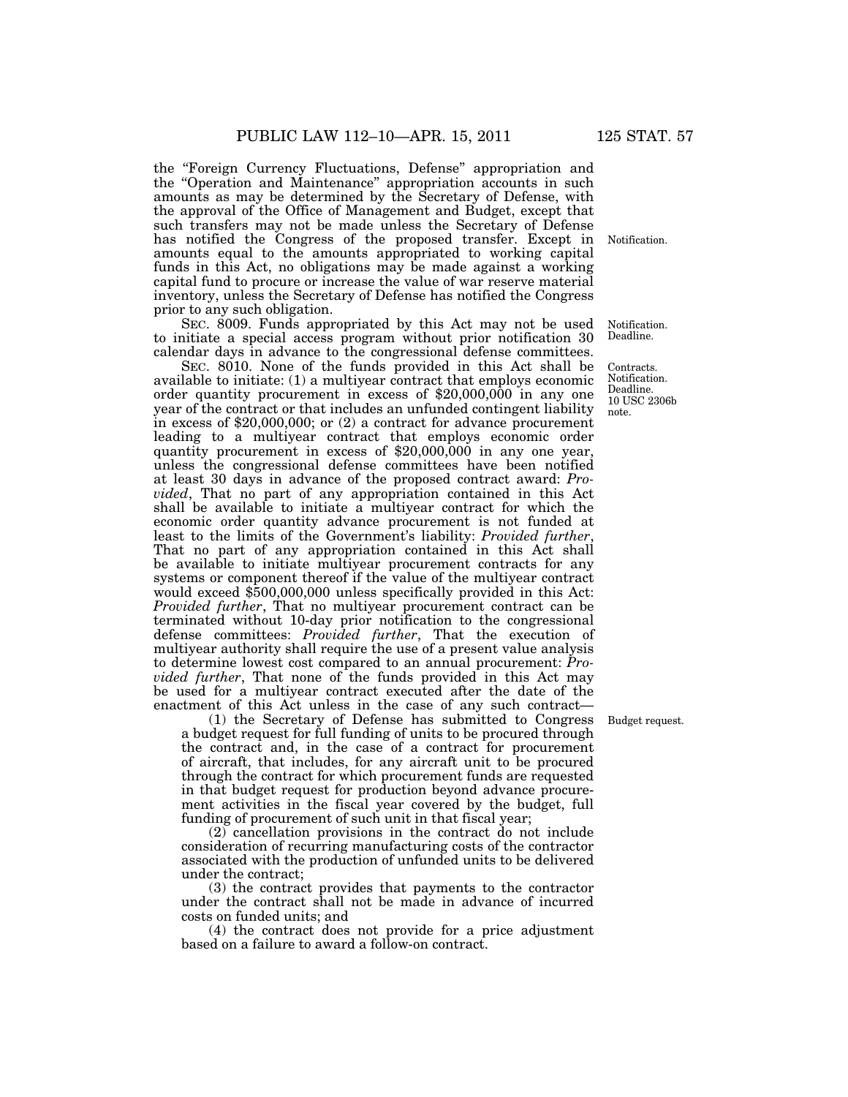the ''Foreign Currency Fluctuations, Defense'' appropriation and the "Operation and Maintenance" appropriation accounts in such amounts as may be determined by the Secretary of Defense, with the approval of the Office of Management and Budget, except that such transfers may not be made unless the Secretary of Defense has notified the Congress of the proposed transfer. Except in amounts equal to the amounts appropriated to working capital funds in this Act, no obligations may be made against a working capital fund to procure or increase the value of war reserve material inventory, unless the Secretary of Defense has notified the Congress prior to any such obligation.

SEC. 8009. Funds appropriated by this Act may not be used to initiate a special access program without prior notification 30 calendar days in advance to the congressional defense committees.

SEC. 8010. None of the funds provided in this Act shall be available to initiate: (1) a multiyear contract that employs economic order quantity procurement in excess of \$20,000,000 in any one year of the contract or that includes an unfunded contingent liability in excess of \$20,000,000; or (2) a contract for advance procurement leading to a multiyear contract that employs economic order quantity procurement in excess of \$20,000,000 in any one year, unless the congressional defense committees have been notified at least 30 days in advance of the proposed contract award: *Provided*, That no part of any appropriation contained in this Act shall be available to initiate a multiyear contract for which the economic order quantity advance procurement is not funded at least to the limits of the Government's liability: *Provided further*, That no part of any appropriation contained in this Act shall be available to initiate multiyear procurement contracts for any systems or component thereof if the value of the multiyear contract would exceed \$500,000,000 unless specifically provided in this Act: *Provided further*, That no multiyear procurement contract can be terminated without 10-day prior notification to the congressional defense committees: *Provided further*, That the execution of multiyear authority shall require the use of a present value analysis to determine lowest cost compared to an annual procurement: *Provided further*, That none of the funds provided in this Act may be used for a multiyear contract executed after the date of the enactment of this Act unless in the case of any such contract—

(1) the Secretary of Defense has submitted to Congress a budget request for full funding of units to be procured through the contract and, in the case of a contract for procurement of aircraft, that includes, for any aircraft unit to be procured through the contract for which procurement funds are requested in that budget request for production beyond advance procurement activities in the fiscal year covered by the budget, full funding of procurement of such unit in that fiscal year;

(2) cancellation provisions in the contract do not include consideration of recurring manufacturing costs of the contractor associated with the production of unfunded units to be delivered under the contract;

(3) the contract provides that payments to the contractor under the contract shall not be made in advance of incurred costs on funded units; and

(4) the contract does not provide for a price adjustment based on a failure to award a follow-on contract.

Notification.

Notification. Deadline.

Contracts. Notification. Deadline. 10 USC 2306b note.

Budget request.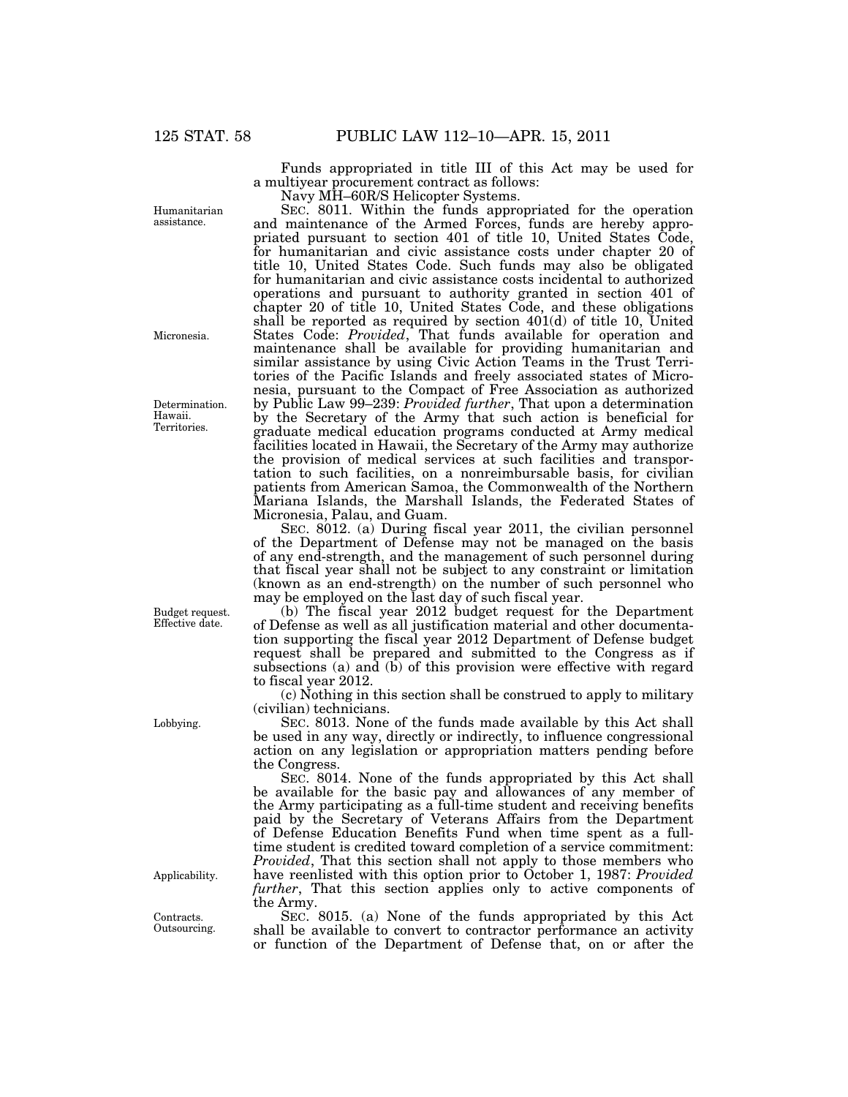Funds appropriated in title III of this Act may be used for a multiyear procurement contract as follows:

Navy MH–60R/S Helicopter Systems.

SEC. 8011. Within the funds appropriated for the operation and maintenance of the Armed Forces, funds are hereby appropriated pursuant to section 401 of title 10, United States Code, for humanitarian and civic assistance costs under chapter 20 of title 10, United States Code. Such funds may also be obligated for humanitarian and civic assistance costs incidental to authorized operations and pursuant to authority granted in section 401 of chapter 20 of title 10, United States Code, and these obligations shall be reported as required by section 401(d) of title 10, United States Code: *Provided*, That funds available for operation and maintenance shall be available for providing humanitarian and similar assistance by using Civic Action Teams in the Trust Territories of the Pacific Islands and freely associated states of Micronesia, pursuant to the Compact of Free Association as authorized by Public Law 99–239: *Provided further*, That upon a determination by the Secretary of the Army that such action is beneficial for graduate medical education programs conducted at Army medical facilities located in Hawaii, the Secretary of the Army may authorize the provision of medical services at such facilities and transportation to such facilities, on a nonreimbursable basis, for civilian patients from American Samoa, the Commonwealth of the Northern Mariana Islands, the Marshall Islands, the Federated States of Micronesia, Palau, and Guam.

SEC. 8012. (a) During fiscal year 2011, the civilian personnel of the Department of Defense may not be managed on the basis of any end-strength, and the management of such personnel during that fiscal year shall not be subject to any constraint or limitation (known as an end-strength) on the number of such personnel who may be employed on the last day of such fiscal year.

(b) The fiscal year 2012 budget request for the Department of Defense as well as all justification material and other documentation supporting the fiscal year 2012 Department of Defense budget request shall be prepared and submitted to the Congress as if subsections (a) and (b) of this provision were effective with regard to fiscal year 2012.

(c) Nothing in this section shall be construed to apply to military (civilian) technicians.

SEC. 8013. None of the funds made available by this Act shall be used in any way, directly or indirectly, to influence congressional action on any legislation or appropriation matters pending before the Congress.

SEC. 8014. None of the funds appropriated by this Act shall be available for the basic pay and allowances of any member of the Army participating as a full-time student and receiving benefits paid by the Secretary of Veterans Affairs from the Department of Defense Education Benefits Fund when time spent as a fulltime student is credited toward completion of a service commitment: *Provided*, That this section shall not apply to those members who have reenlisted with this option prior to October 1, 1987: *Provided further*, That this section applies only to active components of the Army.

SEC. 8015. (a) None of the funds appropriated by this Act shall be available to convert to contractor performance an activity or function of the Department of Defense that, on or after the

Humanitarian assistance.

Micronesia.

Determination. Hawaii. Territories.

Budget request. Effective date.

Lobbying.

Applicability.

Contracts. Outsourcing.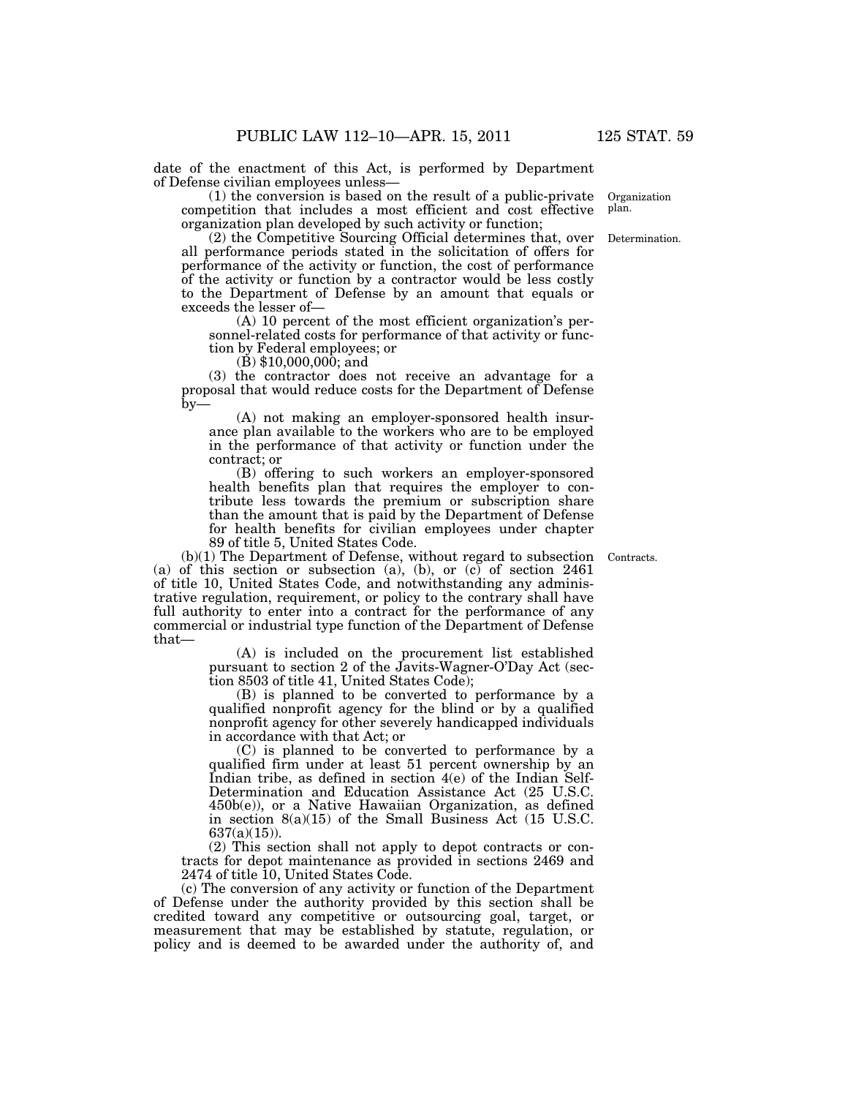date of the enactment of this Act, is performed by Department of Defense civilian employees unless—

(1) the conversion is based on the result of a public-private competition that includes a most efficient and cost effective organization plan developed by such activity or function;

(2) the Competitive Sourcing Official determines that, over all performance periods stated in the solicitation of offers for performance of the activity or function, the cost of performance of the activity or function by a contractor would be less costly to the Department of Defense by an amount that equals or exceeds the lesser of—

(A) 10 percent of the most efficient organization's personnel-related costs for performance of that activity or function by Federal employees; or

 $(\dot{B})$  \$10,000,000; and

(3) the contractor does not receive an advantage for a proposal that would reduce costs for the Department of Defense  $by-$ 

(A) not making an employer-sponsored health insurance plan available to the workers who are to be employed in the performance of that activity or function under the contract; or

(B) offering to such workers an employer-sponsored health benefits plan that requires the employer to contribute less towards the premium or subscription share than the amount that is paid by the Department of Defense for health benefits for civilian employees under chapter 89 of title 5, United States Code.

Contracts.

(b)(1) The Department of Defense, without regard to subsection (a) of this section or subsection (a), (b), or (c) of section 2461 of title 10, United States Code, and notwithstanding any administrative regulation, requirement, or policy to the contrary shall have full authority to enter into a contract for the performance of any commercial or industrial type function of the Department of Defense that—

> (A) is included on the procurement list established pursuant to section 2 of the Javits-Wagner-O'Day Act (section 8503 of title 41, United States Code);

> (B) is planned to be converted to performance by a qualified nonprofit agency for the blind or by a qualified nonprofit agency for other severely handicapped individuals in accordance with that Act; or

> (C) is planned to be converted to performance by a qualified firm under at least 51 percent ownership by an Indian tribe, as defined in section 4(e) of the Indian Self-Determination and Education Assistance Act (25 U.S.C. 450b(e)), or a Native Hawaiian Organization, as defined in section 8(a)(15) of the Small Business Act (15 U.S.C.  $637(a)(15)$ ).

(2) This section shall not apply to depot contracts or contracts for depot maintenance as provided in sections 2469 and 2474 of title 10, United States Code.

(c) The conversion of any activity or function of the Department of Defense under the authority provided by this section shall be credited toward any competitive or outsourcing goal, target, or measurement that may be established by statute, regulation, or policy and is deemed to be awarded under the authority of, and

Organization plan.

Determination.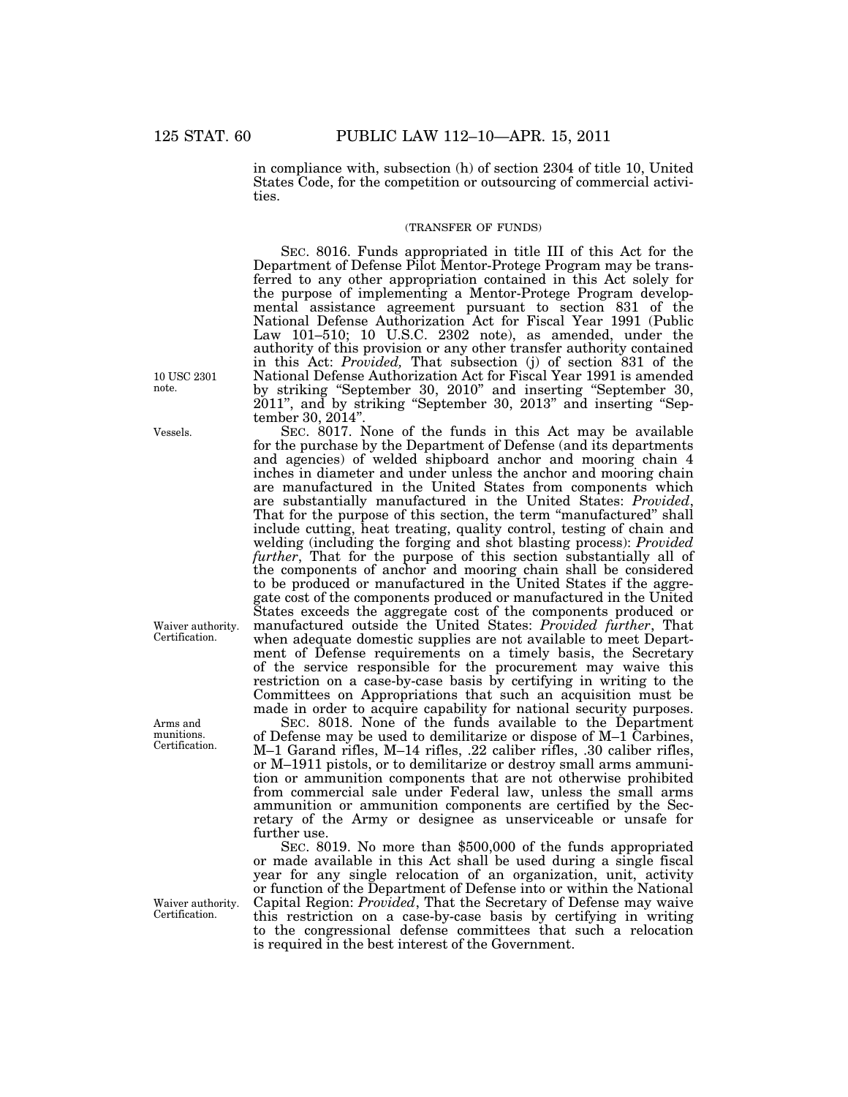in compliance with, subsection (h) of section 2304 of title 10, United States Code, for the competition or outsourcing of commercial activities.

### (TRANSFER OF FUNDS)

SEC. 8016. Funds appropriated in title III of this Act for the Department of Defense Pilot Mentor-Protege Program may be transferred to any other appropriation contained in this Act solely for the purpose of implementing a Mentor-Protege Program developmental assistance agreement pursuant to section 831 of the National Defense Authorization Act for Fiscal Year 1991 (Public Law 101–510; 10 U.S.C. 2302 note), as amended, under the authority of this provision or any other transfer authority contained in this Act: *Provided,* That subsection (j) of section 831 of the National Defense Authorization Act for Fiscal Year 1991 is amended by striking ''September 30, 2010'' and inserting ''September 30, 2011", and by striking "September 30, 2013" and inserting "September 30, 2014''.

SEC. 8017. None of the funds in this Act may be available for the purchase by the Department of Defense (and its departments and agencies) of welded shipboard anchor and mooring chain 4 inches in diameter and under unless the anchor and mooring chain are manufactured in the United States from components which are substantially manufactured in the United States: *Provided*, That for the purpose of this section, the term "manufactured" shall include cutting, heat treating, quality control, testing of chain and welding (including the forging and shot blasting process): *Provided further*, That for the purpose of this section substantially all of the components of anchor and mooring chain shall be considered to be produced or manufactured in the United States if the aggregate cost of the components produced or manufactured in the United States exceeds the aggregate cost of the components produced or manufactured outside the United States: *Provided further*, That when adequate domestic supplies are not available to meet Department of Defense requirements on a timely basis, the Secretary of the service responsible for the procurement may waive this restriction on a case-by-case basis by certifying in writing to the Committees on Appropriations that such an acquisition must be made in order to acquire capability for national security purposes.

SEC. 8018. None of the funds available to the Department of Defense may be used to demilitarize or dispose of M–1 Carbines, M–1 Garand rifles, M–14 rifles, .22 caliber rifles, .30 caliber rifles, or M–1911 pistols, or to demilitarize or destroy small arms ammunition or ammunition components that are not otherwise prohibited from commercial sale under Federal law, unless the small arms ammunition or ammunition components are certified by the Secretary of the Army or designee as unserviceable or unsafe for further use.

SEC. 8019. No more than \$500,000 of the funds appropriated or made available in this Act shall be used during a single fiscal year for any single relocation of an organization, unit, activity or function of the Department of Defense into or within the National Capital Region: *Provided*, That the Secretary of Defense may waive this restriction on a case-by-case basis by certifying in writing to the congressional defense committees that such a relocation is required in the best interest of the Government.

10 USC 2301 note.

Vessels.

Waiver authority. Certification.

Arms and munitions. Certification.

Waiver authority. Certification.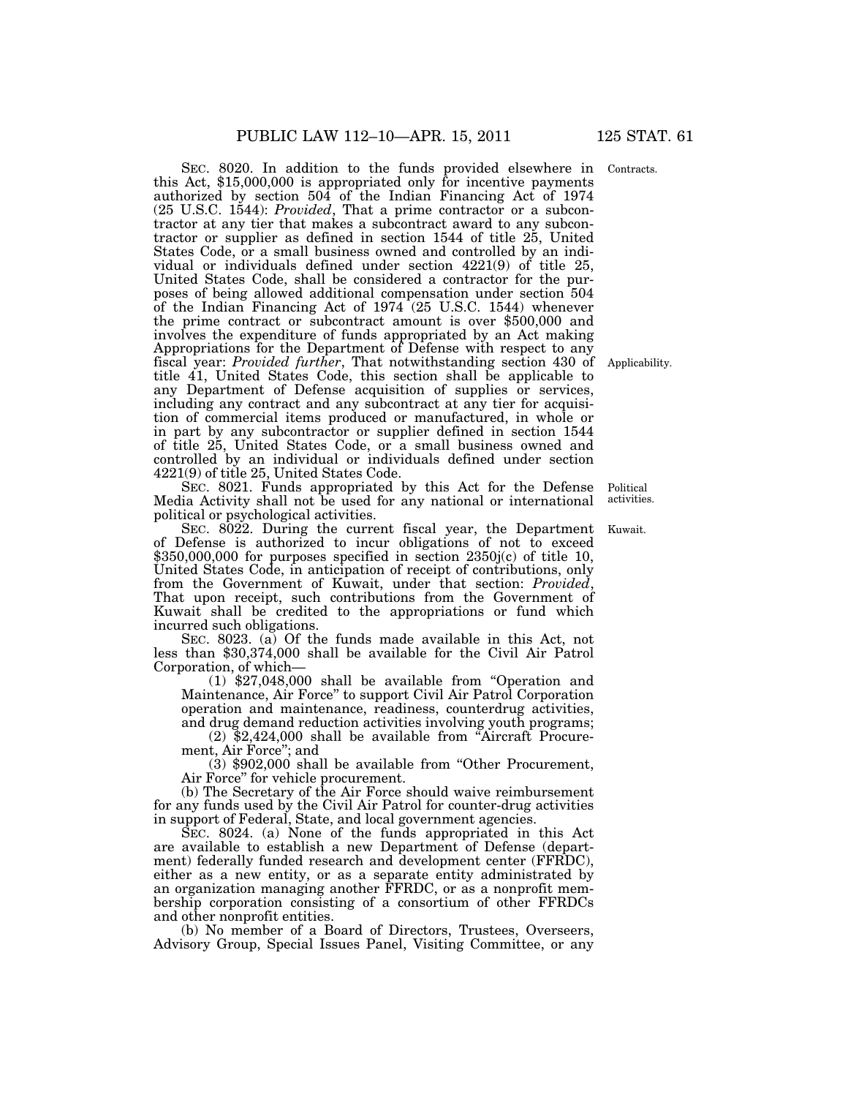SEC. 8020. In addition to the funds provided elsewhere in this Act, \$15,000,000 is appropriated only for incentive payments authorized by section 504 of the Indian Financing Act of 1974 (25 U.S.C. 1544): *Provided*, That a prime contractor or a subcontractor at any tier that makes a subcontract award to any subcontractor or supplier as defined in section 1544 of title 25, United States Code, or a small business owned and controlled by an individual or individuals defined under section 4221(9) of title 25, United States Code, shall be considered a contractor for the purposes of being allowed additional compensation under section 504 of the Indian Financing Act of 1974 (25 U.S.C. 1544) whenever the prime contract or subcontract amount is over \$500,000 and involves the expenditure of funds appropriated by an Act making Appropriations for the Department of Defense with respect to any fiscal year: *Provided further*, That notwithstanding section 430 of title 41, United States Code, this section shall be applicable to any Department of Defense acquisition of supplies or services, including any contract and any subcontract at any tier for acquisition of commercial items produced or manufactured, in whole or in part by any subcontractor or supplier defined in section 1544 of title 25, United States Code, or a small business owned and controlled by an individual or individuals defined under section 4221(9) of title 25, United States Code.

SEC. 8021. Funds appropriated by this Act for the Defense Media Activity shall not be used for any national or international political or psychological activities. Political

SEC. 8022. During the current fiscal year, the Department Kuwait. of Defense is authorized to incur obligations of not to exceed \$350,000,000 for purposes specified in section 2350j(c) of title 10, United States Code, in anticipation of receipt of contributions, only from the Government of Kuwait, under that section: *Provided*, That upon receipt, such contributions from the Government of Kuwait shall be credited to the appropriations or fund which incurred such obligations.

SEC. 8023. (a) Of the funds made available in this Act, not less than \$30,374,000 shall be available for the Civil Air Patrol Corporation, of which—

(1) \$27,048,000 shall be available from ''Operation and Maintenance, Air Force'' to support Civil Air Patrol Corporation operation and maintenance, readiness, counterdrug activities, and drug demand reduction activities involving youth programs;

(2) \$2,424,000 shall be available from ''Aircraft Procurement, Air Force''; and

(3) \$902,000 shall be available from ''Other Procurement, Air Force'' for vehicle procurement.

(b) The Secretary of the Air Force should waive reimbursement for any funds used by the Civil Air Patrol for counter-drug activities in support of Federal, State, and local government agencies.

SEC. 8024. (a) None of the funds appropriated in this Act are available to establish a new Department of Defense (department) federally funded research and development center (FFRDC), either as a new entity, or as a separate entity administrated by an organization managing another FFRDC, or as a nonprofit membership corporation consisting of a consortium of other FFRDCs and other nonprofit entities.

(b) No member of a Board of Directors, Trustees, Overseers, Advisory Group, Special Issues Panel, Visiting Committee, or any

activities.

Applicability.

Contracts.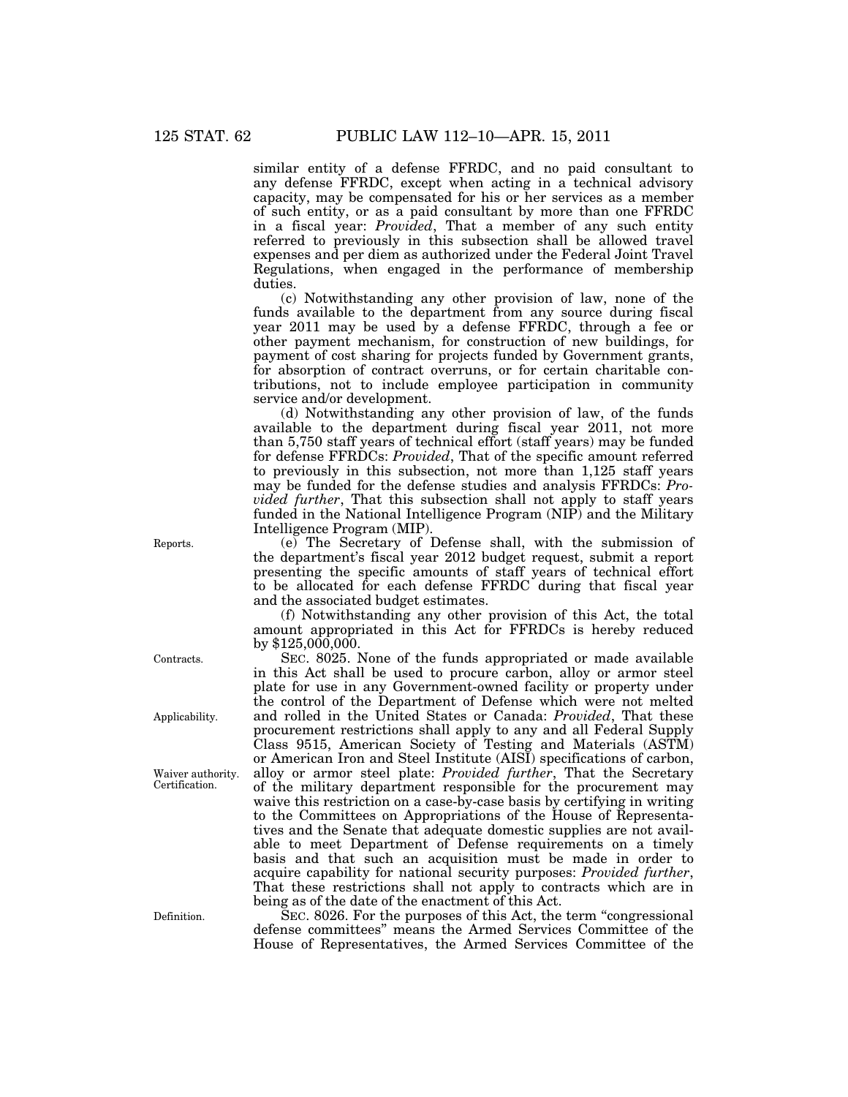similar entity of a defense FFRDC, and no paid consultant to any defense FFRDC, except when acting in a technical advisory capacity, may be compensated for his or her services as a member of such entity, or as a paid consultant by more than one FFRDC in a fiscal year: *Provided*, That a member of any such entity referred to previously in this subsection shall be allowed travel expenses and per diem as authorized under the Federal Joint Travel Regulations, when engaged in the performance of membership duties.

(c) Notwithstanding any other provision of law, none of the funds available to the department from any source during fiscal year 2011 may be used by a defense FFRDC, through a fee or other payment mechanism, for construction of new buildings, for payment of cost sharing for projects funded by Government grants, for absorption of contract overruns, or for certain charitable contributions, not to include employee participation in community service and/or development.

(d) Notwithstanding any other provision of law, of the funds available to the department during fiscal year 2011, not more than 5,750 staff years of technical effort (staff years) may be funded for defense FFRDCs: *Provided*, That of the specific amount referred to previously in this subsection, not more than 1,125 staff years may be funded for the defense studies and analysis FFRDCs: *Provided further*, That this subsection shall not apply to staff years funded in the National Intelligence Program (NIP) and the Military Intelligence Program (MIP).

(e) The Secretary of Defense shall, with the submission of the department's fiscal year 2012 budget request, submit a report presenting the specific amounts of staff years of technical effort to be allocated for each defense FFRDC during that fiscal year and the associated budget estimates.

(f) Notwithstanding any other provision of this Act, the total amount appropriated in this Act for FFRDCs is hereby reduced by \$125,000,000.

SEC. 8025. None of the funds appropriated or made available in this Act shall be used to procure carbon, alloy or armor steel plate for use in any Government-owned facility or property under the control of the Department of Defense which were not melted and rolled in the United States or Canada: *Provided*, That these procurement restrictions shall apply to any and all Federal Supply Class 9515, American Society of Testing and Materials (ASTM) or American Iron and Steel Institute (AISI) specifications of carbon, alloy or armor steel plate: *Provided further*, That the Secretary of the military department responsible for the procurement may waive this restriction on a case-by-case basis by certifying in writing to the Committees on Appropriations of the House of Representatives and the Senate that adequate domestic supplies are not available to meet Department of Defense requirements on a timely basis and that such an acquisition must be made in order to acquire capability for national security purposes: *Provided further*, That these restrictions shall not apply to contracts which are in being as of the date of the enactment of this Act.

SEC. 8026. For the purposes of this Act, the term "congressional" defense committees'' means the Armed Services Committee of the House of Representatives, the Armed Services Committee of the

Reports.

Waiver authority.

Certification.

Applicability.

Contracts.

Definition.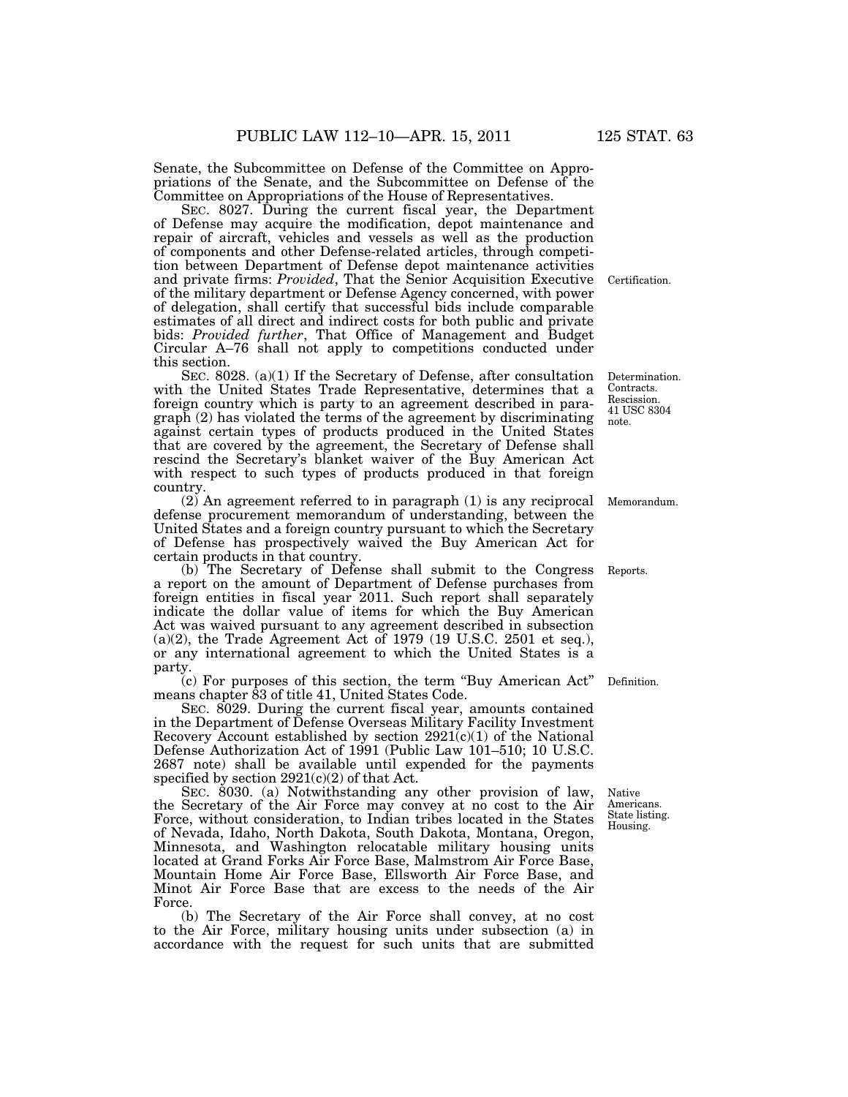Senate, the Subcommittee on Defense of the Committee on Appropriations of the Senate, and the Subcommittee on Defense of the Committee on Appropriations of the House of Representatives.

SEC. 8027. During the current fiscal year, the Department of Defense may acquire the modification, depot maintenance and repair of aircraft, vehicles and vessels as well as the production of components and other Defense-related articles, through competition between Department of Defense depot maintenance activities and private firms: *Provided*, That the Senior Acquisition Executive of the military department or Defense Agency concerned, with power of delegation, shall certify that successful bids include comparable estimates of all direct and indirect costs for both public and private bids: *Provided further*, That Office of Management and Budget Circular A–76 shall not apply to competitions conducted under this section.

SEC. 8028. (a)(1) If the Secretary of Defense, after consultation with the United States Trade Representative, determines that a foreign country which is party to an agreement described in paragraph (2) has violated the terms of the agreement by discriminating against certain types of products produced in the United States that are covered by the agreement, the Secretary of Defense shall rescind the Secretary's blanket waiver of the Buy American Act with respect to such types of products produced in that foreign country.

(2) An agreement referred to in paragraph (1) is any reciprocal defense procurement memorandum of understanding, between the United States and a foreign country pursuant to which the Secretary of Defense has prospectively waived the Buy American Act for certain products in that country.

(b) The Secretary of Defense shall submit to the Congress a report on the amount of Department of Defense purchases from foreign entities in fiscal year 2011. Such report shall separately indicate the dollar value of items for which the Buy American Act was waived pursuant to any agreement described in subsection  $(a)(2)$ , the Trade Agreement Act of 1979 (19 U.S.C. 2501 et seq.), or any international agreement to which the United States is a party.

(c) For purposes of this section, the term ''Buy American Act'' means chapter 83 of title 41, United States Code.

SEC. 8029. During the current fiscal year, amounts contained in the Department of Defense Overseas Military Facility Investment Recovery Account established by section  $2921(c)(1)$  of the National Defense Authorization Act of 1991 (Public Law 101–510; 10 U.S.C. 2687 note) shall be available until expended for the payments specified by section  $2921(c)(2)$  of that Act.

SEC. 8030. (a) Notwithstanding any other provision of law, the Secretary of the Air Force may convey at no cost to the Air Force, without consideration, to Indian tribes located in the States of Nevada, Idaho, North Dakota, South Dakota, Montana, Oregon, Minnesota, and Washington relocatable military housing units located at Grand Forks Air Force Base, Malmstrom Air Force Base, Mountain Home Air Force Base, Ellsworth Air Force Base, and Minot Air Force Base that are excess to the needs of the Air Force.

(b) The Secretary of the Air Force shall convey, at no cost to the Air Force, military housing units under subsection (a) in accordance with the request for such units that are submitted

Native Americans. State listing. Housing.

Determination. Contracts. Rescission. 41 USC 8304 note.

Memorandum.

Reports.

Definition.

Certification.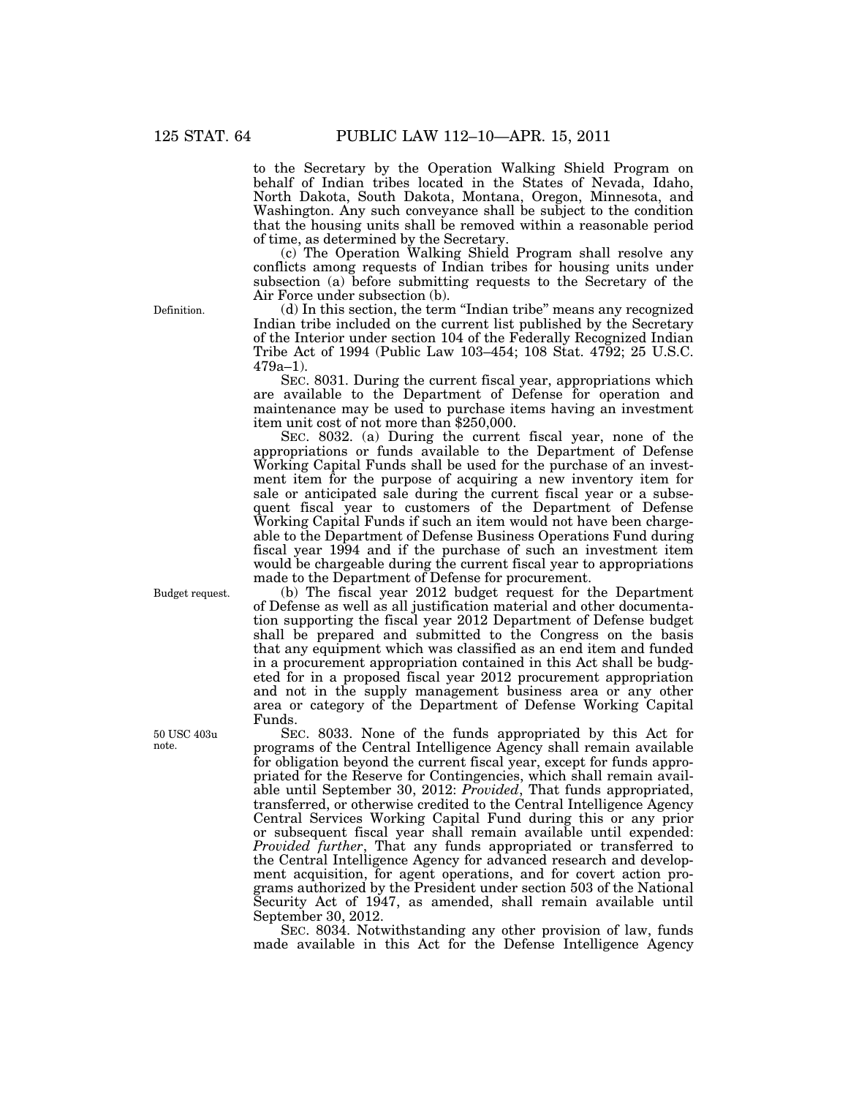to the Secretary by the Operation Walking Shield Program on behalf of Indian tribes located in the States of Nevada, Idaho, North Dakota, South Dakota, Montana, Oregon, Minnesota, and Washington. Any such conveyance shall be subject to the condition that the housing units shall be removed within a reasonable period of time, as determined by the Secretary.

(c) The Operation Walking Shield Program shall resolve any conflicts among requests of Indian tribes for housing units under subsection (a) before submitting requests to the Secretary of the Air Force under subsection (b).

(d) In this section, the term ''Indian tribe'' means any recognized Indian tribe included on the current list published by the Secretary of the Interior under section 104 of the Federally Recognized Indian Tribe Act of 1994 (Public Law 103–454; 108 Stat. 4792; 25 U.S.C. 479a–1).

SEC. 8031. During the current fiscal year, appropriations which are available to the Department of Defense for operation and maintenance may be used to purchase items having an investment item unit cost of not more than \$250,000.

SEC. 8032. (a) During the current fiscal year, none of the appropriations or funds available to the Department of Defense Working Capital Funds shall be used for the purchase of an investment item for the purpose of acquiring a new inventory item for sale or anticipated sale during the current fiscal year or a subsequent fiscal year to customers of the Department of Defense Working Capital Funds if such an item would not have been chargeable to the Department of Defense Business Operations Fund during fiscal year 1994 and if the purchase of such an investment item would be chargeable during the current fiscal year to appropriations made to the Department of Defense for procurement.

(b) The fiscal year 2012 budget request for the Department of Defense as well as all justification material and other documentation supporting the fiscal year 2012 Department of Defense budget shall be prepared and submitted to the Congress on the basis that any equipment which was classified as an end item and funded in a procurement appropriation contained in this Act shall be budgeted for in a proposed fiscal year 2012 procurement appropriation and not in the supply management business area or any other area or category of the Department of Defense Working Capital Funds.

SEC. 8033. None of the funds appropriated by this Act for programs of the Central Intelligence Agency shall remain available for obligation beyond the current fiscal year, except for funds appropriated for the Reserve for Contingencies, which shall remain available until September 30, 2012: *Provided*, That funds appropriated, transferred, or otherwise credited to the Central Intelligence Agency Central Services Working Capital Fund during this or any prior or subsequent fiscal year shall remain available until expended: *Provided further*, That any funds appropriated or transferred to the Central Intelligence Agency for advanced research and development acquisition, for agent operations, and for covert action programs authorized by the President under section 503 of the National Security Act of 1947, as amended, shall remain available until September 30, 2012.

SEC. 8034. Notwithstanding any other provision of law, funds made available in this Act for the Defense Intelligence Agency

Definition.

Budget request.

50 USC 403u note.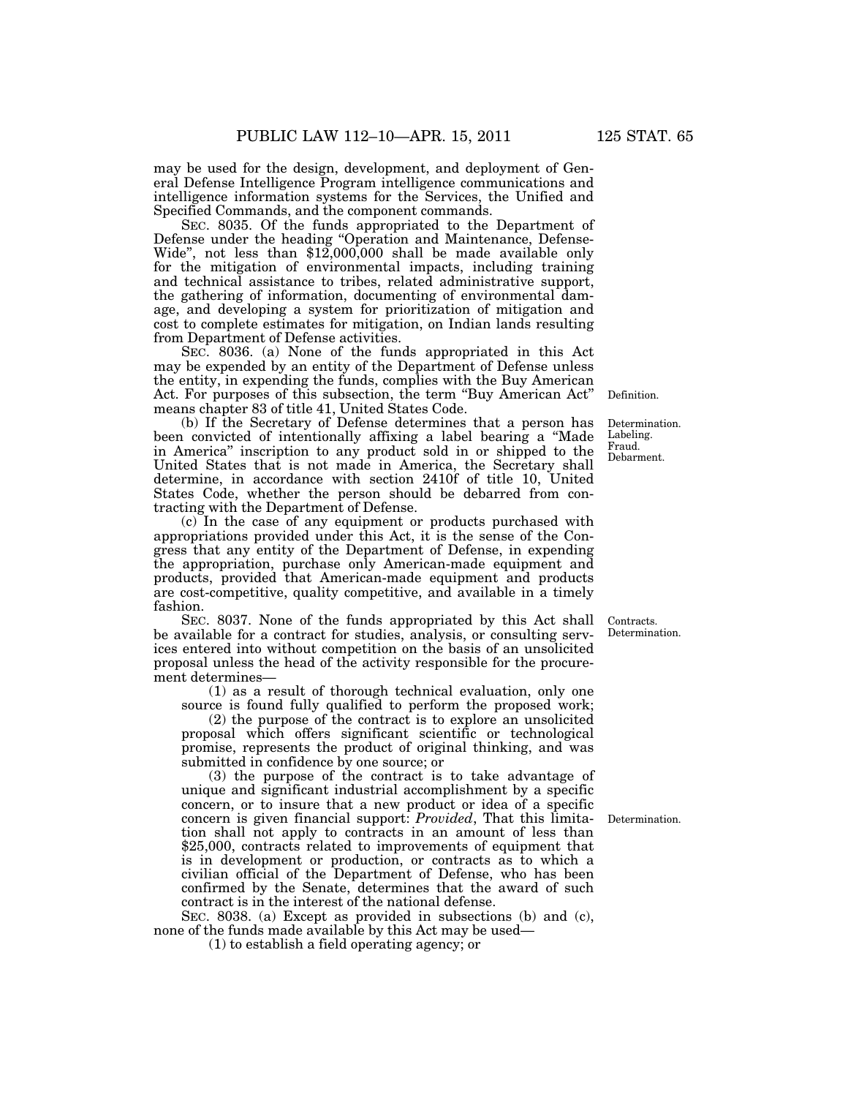may be used for the design, development, and deployment of General Defense Intelligence Program intelligence communications and intelligence information systems for the Services, the Unified and Specified Commands, and the component commands.

SEC. 8035. Of the funds appropriated to the Department of Defense under the heading ''Operation and Maintenance, Defense-Wide'', not less than \$12,000,000 shall be made available only for the mitigation of environmental impacts, including training and technical assistance to tribes, related administrative support, the gathering of information, documenting of environmental damage, and developing a system for prioritization of mitigation and cost to complete estimates for mitigation, on Indian lands resulting from Department of Defense activities.

SEC. 8036. (a) None of the funds appropriated in this Act may be expended by an entity of the Department of Defense unless the entity, in expending the funds, complies with the Buy American Act. For purposes of this subsection, the term "Buy American Act" means chapter 83 of title 41, United States Code.

(b) If the Secretary of Defense determines that a person has been convicted of intentionally affixing a label bearing a ''Made in America'' inscription to any product sold in or shipped to the United States that is not made in America, the Secretary shall determine, in accordance with section 2410f of title 10, United States Code, whether the person should be debarred from contracting with the Department of Defense.

(c) In the case of any equipment or products purchased with appropriations provided under this Act, it is the sense of the Congress that any entity of the Department of Defense, in expending the appropriation, purchase only American-made equipment and products, provided that American-made equipment and products are cost-competitive, quality competitive, and available in a timely fashion.

SEC. 8037. None of the funds appropriated by this Act shall be available for a contract for studies, analysis, or consulting services entered into without competition on the basis of an unsolicited proposal unless the head of the activity responsible for the procurement determines—

(1) as a result of thorough technical evaluation, only one source is found fully qualified to perform the proposed work;

(2) the purpose of the contract is to explore an unsolicited proposal which offers significant scientific or technological promise, represents the product of original thinking, and was submitted in confidence by one source; or

(3) the purpose of the contract is to take advantage of unique and significant industrial accomplishment by a specific concern, or to insure that a new product or idea of a specific concern is given financial support: *Provided*, That this limitation shall not apply to contracts in an amount of less than \$25,000, contracts related to improvements of equipment that is in development or production, or contracts as to which a civilian official of the Department of Defense, who has been confirmed by the Senate, determines that the award of such contract is in the interest of the national defense.

SEC. 8038. (a) Except as provided in subsections (b) and (c), none of the funds made available by this Act may be used—

(1) to establish a field operating agency; or

Contracts. Determination.

Definition.

Determination. Labeling. Fraud. Debarment.

Determination.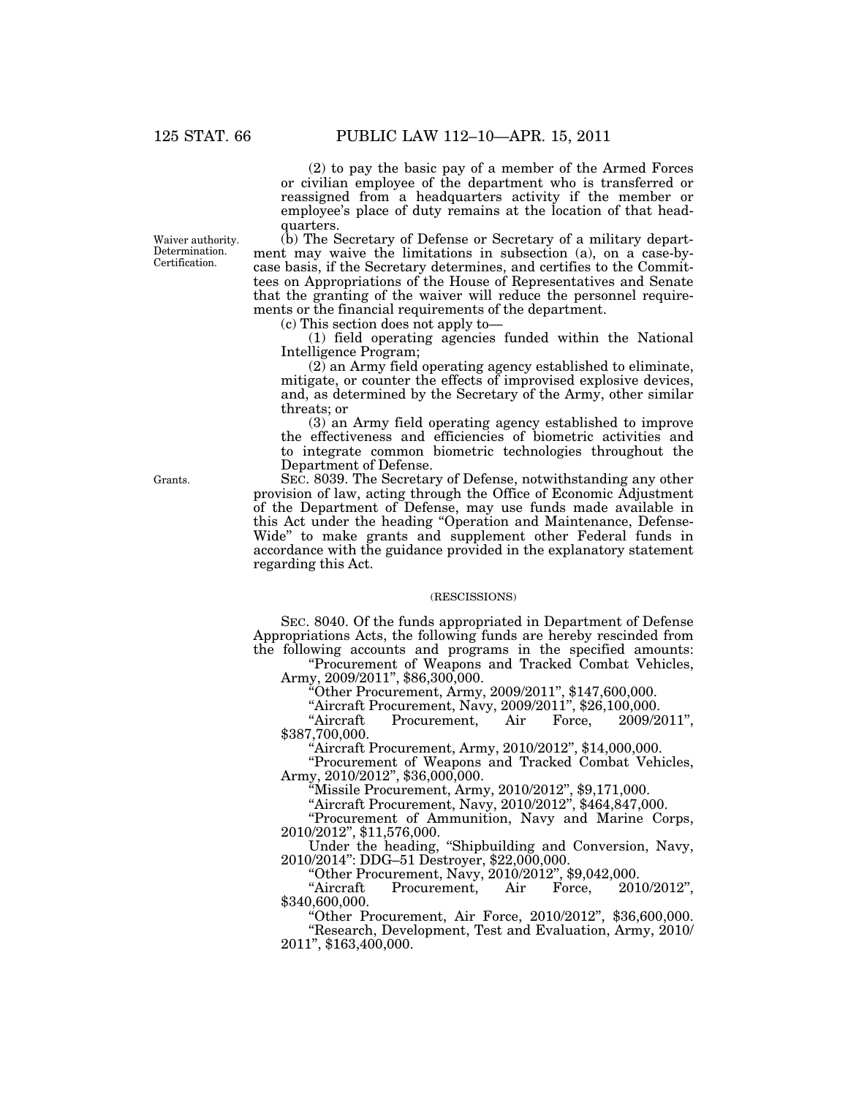(2) to pay the basic pay of a member of the Armed Forces or civilian employee of the department who is transferred or reassigned from a headquarters activity if the member or employee's place of duty remains at the location of that headquarters.

Waiver authority. Determination. Certification.

(b) The Secretary of Defense or Secretary of a military department may waive the limitations in subsection (a), on a case-bycase basis, if the Secretary determines, and certifies to the Committees on Appropriations of the House of Representatives and Senate that the granting of the waiver will reduce the personnel requirements or the financial requirements of the department.

(c) This section does not apply to—

(1) field operating agencies funded within the National Intelligence Program;

(2) an Army field operating agency established to eliminate, mitigate, or counter the effects of improvised explosive devices, and, as determined by the Secretary of the Army, other similar threats; or

(3) an Army field operating agency established to improve the effectiveness and efficiencies of biometric activities and to integrate common biometric technologies throughout the Department of Defense.

SEC. 8039. The Secretary of Defense, notwithstanding any other provision of law, acting through the Office of Economic Adjustment of the Department of Defense, may use funds made available in this Act under the heading ''Operation and Maintenance, Defense-Wide'' to make grants and supplement other Federal funds in accordance with the guidance provided in the explanatory statement regarding this Act.

#### (RESCISSIONS)

SEC. 8040. Of the funds appropriated in Department of Defense Appropriations Acts, the following funds are hereby rescinded from the following accounts and programs in the specified amounts:

''Procurement of Weapons and Tracked Combat Vehicles, Army, 2009/2011", \$86,300,000.

''Other Procurement, Army, 2009/2011'', \$147,600,000.

''Aircraft Procurement, Navy, 2009/2011'', \$26,100,000. Procurement, Air Force, 2009/2011", \$387,700,000.

''Aircraft Procurement, Army, 2010/2012'', \$14,000,000.

''Procurement of Weapons and Tracked Combat Vehicles, Army, 2010/2012", \$36,000,000.

''Missile Procurement, Army, 2010/2012'', \$9,171,000.

''Aircraft Procurement, Navy, 2010/2012'', \$464,847,000.

''Procurement of Ammunition, Navy and Marine Corps, 2010/2012'', \$11,576,000.

Under the heading, ''Shipbuilding and Conversion, Navy, 2010/2014'': DDG–51 Destroyer, \$22,000,000.

''Other Procurement, Navy, 2010/2012'', \$9,042,000. Procurement, Air \$340,600,000.

''Other Procurement, Air Force, 2010/2012'', \$36,600,000.

''Research, Development, Test and Evaluation, Army, 2010/ 2011'', \$163,400,000.

Grants.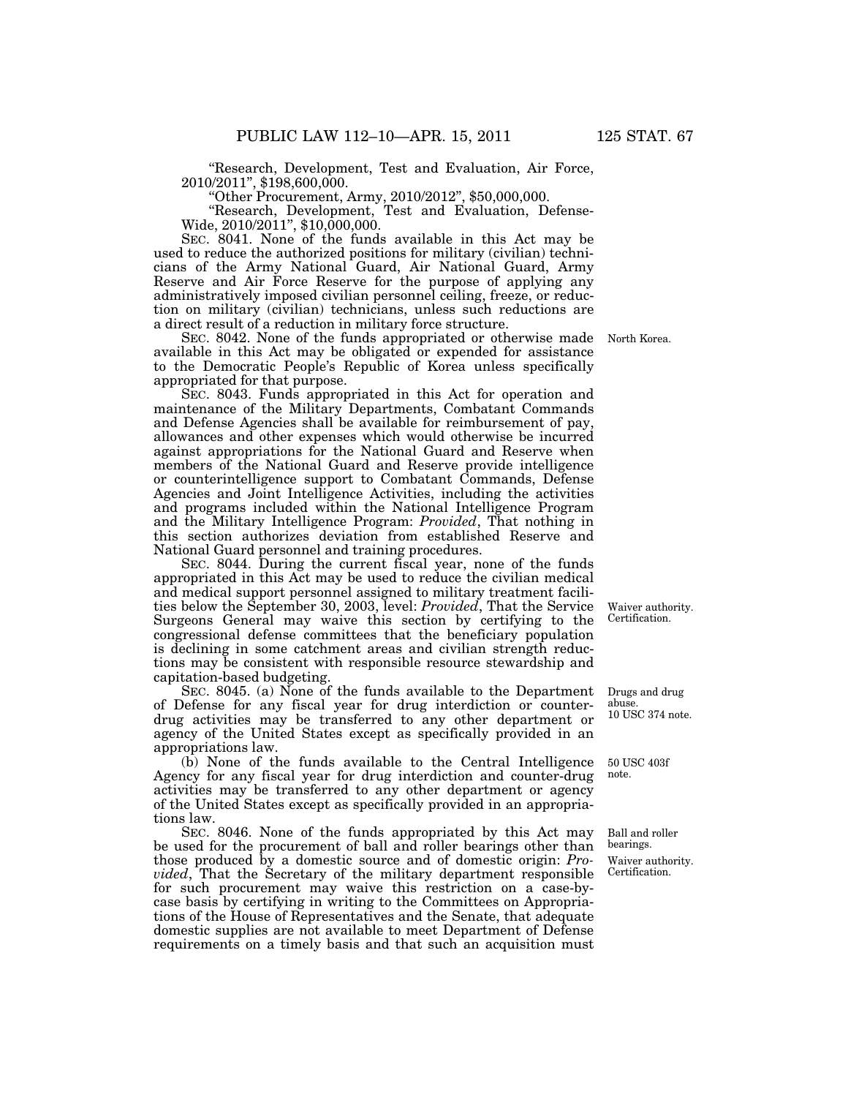''Research, Development, Test and Evaluation, Air Force, 2010/2011'', \$198,600,000.

''Other Procurement, Army, 2010/2012'', \$50,000,000.

''Research, Development, Test and Evaluation, Defense-Wide, 2010/2011", \$10,000,000.

SEC. 8041. None of the funds available in this Act may be used to reduce the authorized positions for military (civilian) technicians of the Army National Guard, Air National Guard, Army Reserve and Air Force Reserve for the purpose of applying any administratively imposed civilian personnel ceiling, freeze, or reduction on military (civilian) technicians, unless such reductions are a direct result of a reduction in military force structure.

SEC. 8042. None of the funds appropriated or otherwise made North Korea. available in this Act may be obligated or expended for assistance to the Democratic People's Republic of Korea unless specifically appropriated for that purpose.

SEC. 8043. Funds appropriated in this Act for operation and maintenance of the Military Departments, Combatant Commands and Defense Agencies shall be available for reimbursement of pay, allowances and other expenses which would otherwise be incurred against appropriations for the National Guard and Reserve when members of the National Guard and Reserve provide intelligence or counterintelligence support to Combatant Commands, Defense Agencies and Joint Intelligence Activities, including the activities and programs included within the National Intelligence Program and the Military Intelligence Program: *Provided*, That nothing in this section authorizes deviation from established Reserve and National Guard personnel and training procedures.

SEC. 8044. During the current fiscal year, none of the funds appropriated in this Act may be used to reduce the civilian medical and medical support personnel assigned to military treatment facilities below the September 30, 2003, level: *Provided*, That the Service Surgeons General may waive this section by certifying to the congressional defense committees that the beneficiary population is declining in some catchment areas and civilian strength reductions may be consistent with responsible resource stewardship and capitation-based budgeting.

SEC. 8045. (a) None of the funds available to the Department of Defense for any fiscal year for drug interdiction or counterdrug activities may be transferred to any other department or agency of the United States except as specifically provided in an appropriations law.

(b) None of the funds available to the Central Intelligence Agency for any fiscal year for drug interdiction and counter-drug activities may be transferred to any other department or agency of the United States except as specifically provided in an appropriations law.

SEC. 8046. None of the funds appropriated by this Act may be used for the procurement of ball and roller bearings other than those produced by a domestic source and of domestic origin: *Provided*, That the Secretary of the military department responsible for such procurement may waive this restriction on a case-bycase basis by certifying in writing to the Committees on Appropriations of the House of Representatives and the Senate, that adequate domestic supplies are not available to meet Department of Defense requirements on a timely basis and that such an acquisition must

Waiver authority. Certification.

Drugs and drug abuse. 10 USC 374 note.

50 USC 403f note.

Ball and roller bearings.

Waiver authority. Certification.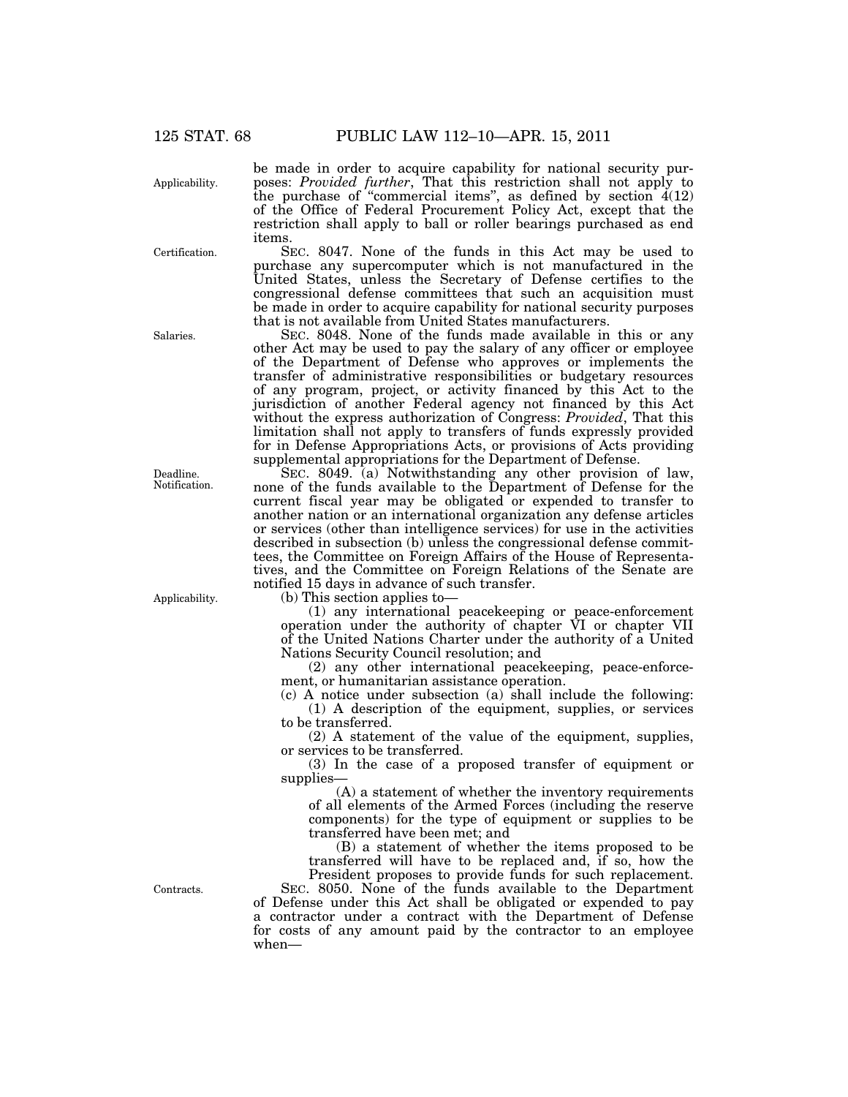Applicability.

Certification.

Salaries.

Deadline. Notification.

Applicability.

Contracts.

be made in order to acquire capability for national security purposes: *Provided further*, That this restriction shall not apply to the purchase of "commercial items", as defined by section  $4(12)$ of the Office of Federal Procurement Policy Act, except that the restriction shall apply to ball or roller bearings purchased as end items.

SEC. 8047. None of the funds in this Act may be used to purchase any supercomputer which is not manufactured in the United States, unless the Secretary of Defense certifies to the congressional defense committees that such an acquisition must be made in order to acquire capability for national security purposes that is not available from United States manufacturers.

SEC. 8048. None of the funds made available in this or any other Act may be used to pay the salary of any officer or employee of the Department of Defense who approves or implements the transfer of administrative responsibilities or budgetary resources of any program, project, or activity financed by this Act to the jurisdiction of another Federal agency not financed by this Act without the express authorization of Congress: *Provided*, That this limitation shall not apply to transfers of funds expressly provided for in Defense Appropriations Acts, or provisions of Acts providing supplemental appropriations for the Department of Defense.

SEC. 8049. (a) Notwithstanding any other provision of law, none of the funds available to the Department of Defense for the current fiscal year may be obligated or expended to transfer to another nation or an international organization any defense articles or services (other than intelligence services) for use in the activities described in subsection (b) unless the congressional defense committees, the Committee on Foreign Affairs of the House of Representatives, and the Committee on Foreign Relations of the Senate are notified 15 days in advance of such transfer.

(b) This section applies to—

(1) any international peacekeeping or peace-enforcement operation under the authority of chapter VI or chapter VII of the United Nations Charter under the authority of a United Nations Security Council resolution; and

(2) any other international peacekeeping, peace-enforcement, or humanitarian assistance operation.

(c) A notice under subsection (a) shall include the following: (1) A description of the equipment, supplies, or services to be transferred.

(2) A statement of the value of the equipment, supplies, or services to be transferred.

(3) In the case of a proposed transfer of equipment or supplies—

(A) a statement of whether the inventory requirements of all elements of the Armed Forces (including the reserve components) for the type of equipment or supplies to be transferred have been met; and

(B) a statement of whether the items proposed to be transferred will have to be replaced and, if so, how the President proposes to provide funds for such replacement.

SEC. 8050. None of the funds available to the Department of Defense under this Act shall be obligated or expended to pay a contractor under a contract with the Department of Defense for costs of any amount paid by the contractor to an employee when—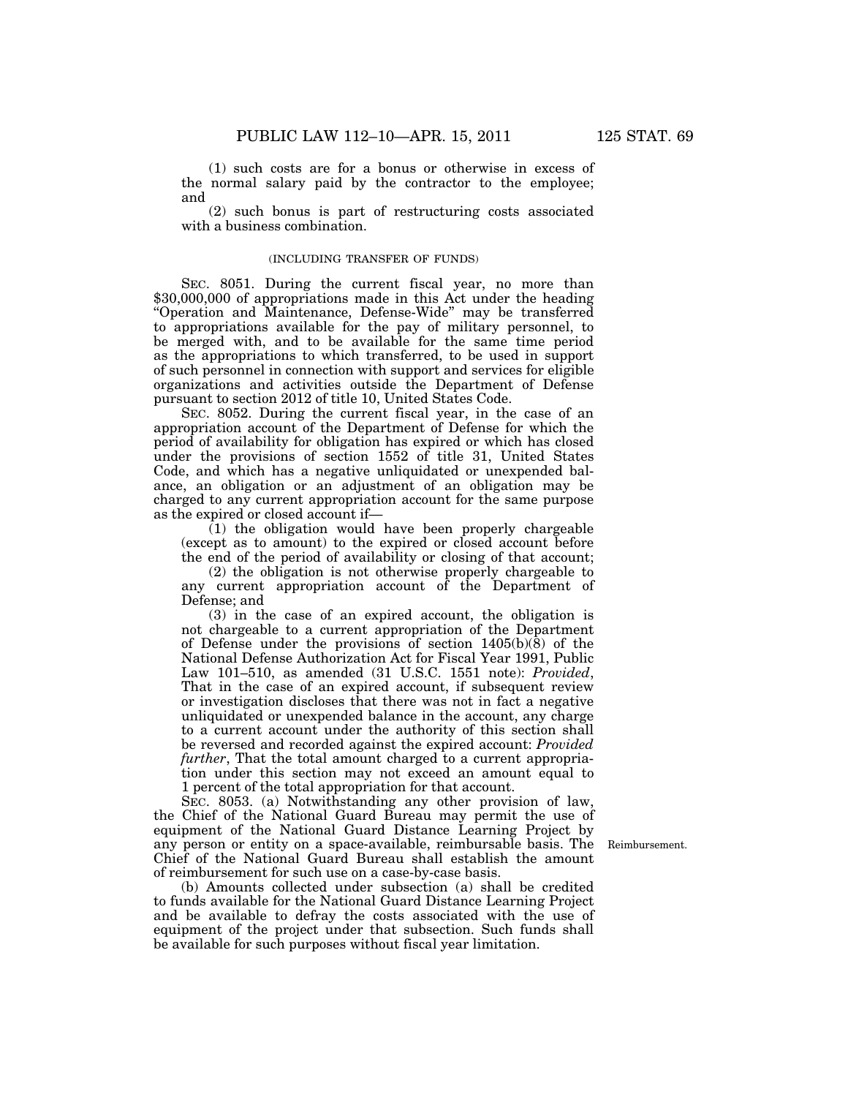(1) such costs are for a bonus or otherwise in excess of the normal salary paid by the contractor to the employee; and

(2) such bonus is part of restructuring costs associated with a business combination.

### (INCLUDING TRANSFER OF FUNDS)

SEC. 8051. During the current fiscal year, no more than \$30,000,000 of appropriations made in this Act under the heading ''Operation and Maintenance, Defense-Wide'' may be transferred to appropriations available for the pay of military personnel, to be merged with, and to be available for the same time period as the appropriations to which transferred, to be used in support of such personnel in connection with support and services for eligible organizations and activities outside the Department of Defense pursuant to section 2012 of title 10, United States Code.

SEC. 8052. During the current fiscal year, in the case of an appropriation account of the Department of Defense for which the period of availability for obligation has expired or which has closed under the provisions of section 1552 of title 31, United States Code, and which has a negative unliquidated or unexpended balance, an obligation or an adjustment of an obligation may be charged to any current appropriation account for the same purpose as the expired or closed account if—

 $(1)$  the obligation would have been properly chargeable (except as to amount) to the expired or closed account before the end of the period of availability or closing of that account;

(2) the obligation is not otherwise properly chargeable to any current appropriation account of the Department of Defense; and

(3) in the case of an expired account, the obligation is not chargeable to a current appropriation of the Department of Defense under the provisions of section 1405(b)(8) of the National Defense Authorization Act for Fiscal Year 1991, Public Law 101–510, as amended (31 U.S.C. 1551 note): *Provided*, That in the case of an expired account, if subsequent review or investigation discloses that there was not in fact a negative unliquidated or unexpended balance in the account, any charge to a current account under the authority of this section shall be reversed and recorded against the expired account: *Provided further*, That the total amount charged to a current appropriation under this section may not exceed an amount equal to 1 percent of the total appropriation for that account.

SEC. 8053. (a) Notwithstanding any other provision of law, the Chief of the National Guard Bureau may permit the use of equipment of the National Guard Distance Learning Project by any person or entity on a space-available, reimbursable basis. The Chief of the National Guard Bureau shall establish the amount of reimbursement for such use on a case-by-case basis.

(b) Amounts collected under subsection (a) shall be credited to funds available for the National Guard Distance Learning Project and be available to defray the costs associated with the use of equipment of the project under that subsection. Such funds shall be available for such purposes without fiscal year limitation.

Reimbursement.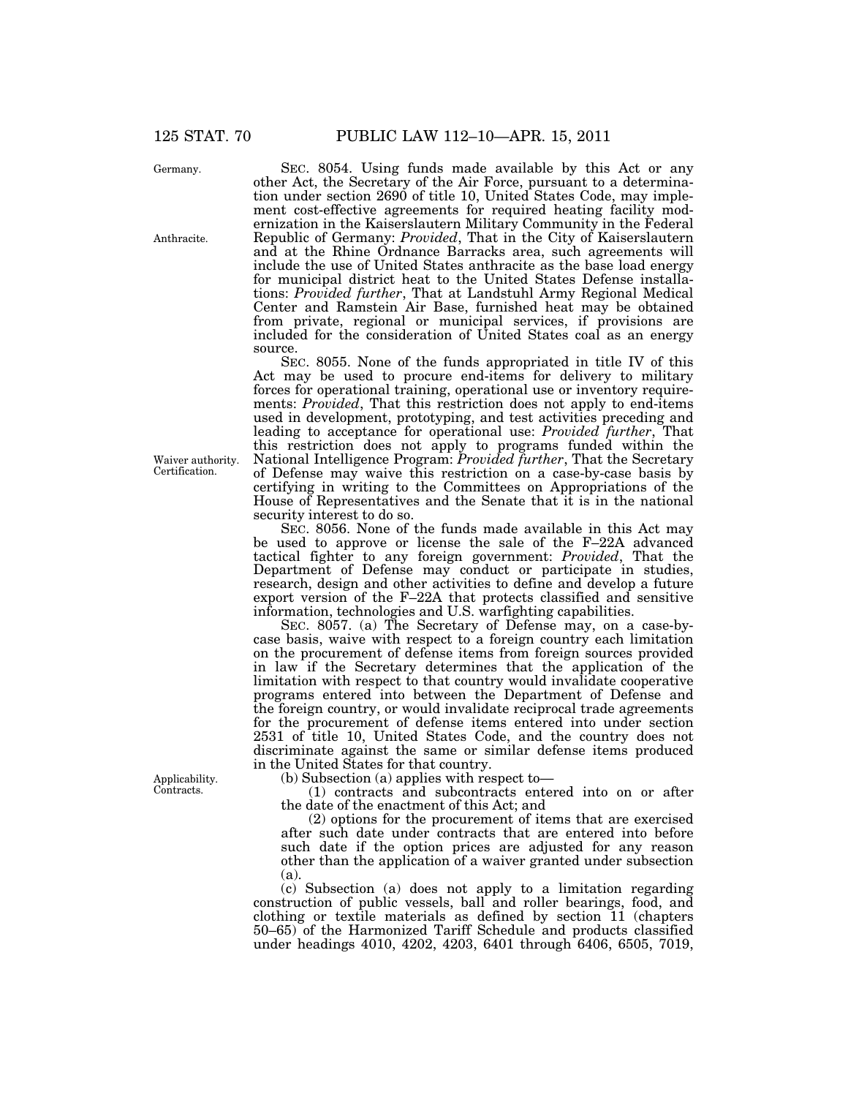Germany.

Anthracite.

Waiver authority. Certification.

Applicability. Contracts.

SEC. 8054. Using funds made available by this Act or any other Act, the Secretary of the Air Force, pursuant to a determination under section 2690 of title 10, United States Code, may implement cost-effective agreements for required heating facility modernization in the Kaiserslautern Military Community in the Federal Republic of Germany: *Provided*, That in the City of Kaiserslautern and at the Rhine Ordnance Barracks area, such agreements will include the use of United States anthracite as the base load energy for municipal district heat to the United States Defense installations: *Provided further*, That at Landstuhl Army Regional Medical Center and Ramstein Air Base, furnished heat may be obtained from private, regional or municipal services, if provisions are included for the consideration of United States coal as an energy source.

SEC. 8055. None of the funds appropriated in title IV of this Act may be used to procure end-items for delivery to military forces for operational training, operational use or inventory requirements: *Provided*, That this restriction does not apply to end-items used in development, prototyping, and test activities preceding and leading to acceptance for operational use: *Provided further*, That this restriction does not apply to programs funded within the National Intelligence Program: *Provided further*, That the Secretary of Defense may waive this restriction on a case-by-case basis by certifying in writing to the Committees on Appropriations of the House of Representatives and the Senate that it is in the national security interest to do so.

SEC. 8056. None of the funds made available in this Act may be used to approve or license the sale of the F–22A advanced tactical fighter to any foreign government: *Provided*, That the Department of Defense may conduct or participate in studies, research, design and other activities to define and develop a future export version of the F–22A that protects classified and sensitive information, technologies and U.S. warfighting capabilities.

SEC. 8057. (a) The Secretary of Defense may, on a case-bycase basis, waive with respect to a foreign country each limitation on the procurement of defense items from foreign sources provided in law if the Secretary determines that the application of the limitation with respect to that country would invalidate cooperative programs entered into between the Department of Defense and the foreign country, or would invalidate reciprocal trade agreements for the procurement of defense items entered into under section 2531 of title 10, United States Code, and the country does not discriminate against the same or similar defense items produced in the United States for that country.

(b) Subsection (a) applies with respect to—

(1) contracts and subcontracts entered into on or after the date of the enactment of this Act; and

(2) options for the procurement of items that are exercised after such date under contracts that are entered into before such date if the option prices are adjusted for any reason other than the application of a waiver granted under subsection (a).

(c) Subsection (a) does not apply to a limitation regarding construction of public vessels, ball and roller bearings, food, and clothing or textile materials as defined by section 11 (chapters 50–65) of the Harmonized Tariff Schedule and products classified under headings 4010, 4202, 4203, 6401 through 6406, 6505, 7019,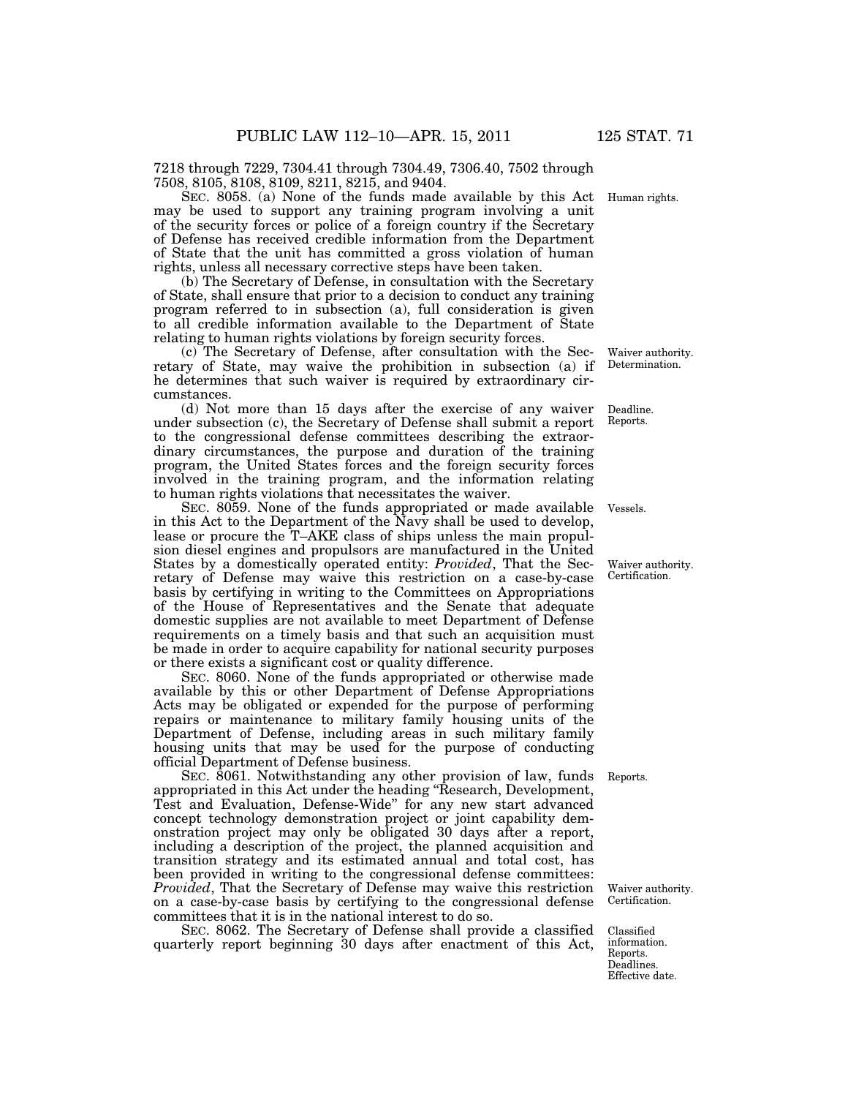7218 through 7229, 7304.41 through 7304.49, 7306.40, 7502 through 7508, 8105, 8108, 8109, 8211, 8215, and 9404.

SEC. 8058. (a) None of the funds made available by this Act may be used to support any training program involving a unit of the security forces or police of a foreign country if the Secretary of Defense has received credible information from the Department of State that the unit has committed a gross violation of human rights, unless all necessary corrective steps have been taken.

(b) The Secretary of Defense, in consultation with the Secretary of State, shall ensure that prior to a decision to conduct any training program referred to in subsection (a), full consideration is given to all credible information available to the Department of State relating to human rights violations by foreign security forces.

(c) The Secretary of Defense, after consultation with the Secretary of State, may waive the prohibition in subsection (a) if he determines that such waiver is required by extraordinary circumstances.

(d) Not more than 15 days after the exercise of any waiver under subsection (c), the Secretary of Defense shall submit a report to the congressional defense committees describing the extraordinary circumstances, the purpose and duration of the training program, the United States forces and the foreign security forces involved in the training program, and the information relating to human rights violations that necessitates the waiver.

SEC. 8059. None of the funds appropriated or made available in this Act to the Department of the Navy shall be used to develop, lease or procure the T–AKE class of ships unless the main propulsion diesel engines and propulsors are manufactured in the United States by a domestically operated entity: *Provided*, That the Secretary of Defense may waive this restriction on a case-by-case basis by certifying in writing to the Committees on Appropriations of the House of Representatives and the Senate that adequate domestic supplies are not available to meet Department of Defense requirements on a timely basis and that such an acquisition must be made in order to acquire capability for national security purposes or there exists a significant cost or quality difference.

SEC. 8060. None of the funds appropriated or otherwise made available by this or other Department of Defense Appropriations Acts may be obligated or expended for the purpose of performing repairs or maintenance to military family housing units of the Department of Defense, including areas in such military family housing units that may be used for the purpose of conducting official Department of Defense business.

SEC. 8061. Notwithstanding any other provision of law, funds appropriated in this Act under the heading ''Research, Development, Test and Evaluation, Defense-Wide'' for any new start advanced concept technology demonstration project or joint capability demonstration project may only be obligated 30 days after a report, including a description of the project, the planned acquisition and transition strategy and its estimated annual and total cost, has been provided in writing to the congressional defense committees: *Provided*, That the Secretary of Defense may waive this restriction on a case-by-case basis by certifying to the congressional defense committees that it is in the national interest to do so.

SEC. 8062. The Secretary of Defense shall provide a classified quarterly report beginning 30 days after enactment of this Act,

Human rights.

Waiver authority. Determination.

Deadline. Reports.

Vessels.

Waiver authority. Certification.

Reports.

Waiver authority. Certification.

Classified information. Reports. **Deadlines** Effective date.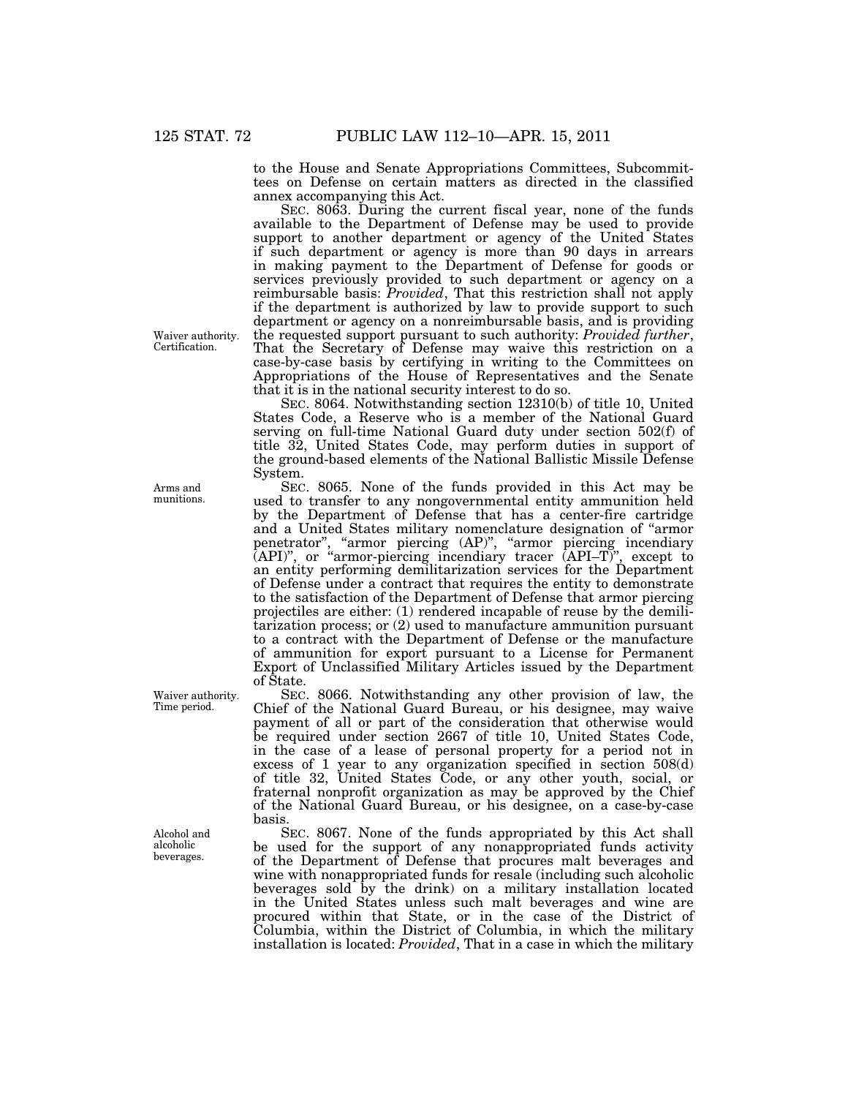to the House and Senate Appropriations Committees, Subcommittees on Defense on certain matters as directed in the classified annex accompanying this Act.

SEC. 8063. During the current fiscal year, none of the funds available to the Department of Defense may be used to provide support to another department or agency of the United States if such department or agency is more than 90 days in arrears in making payment to the Department of Defense for goods or services previously provided to such department or agency on a reimbursable basis: *Provided*, That this restriction shall not apply if the department is authorized by law to provide support to such department or agency on a nonreimbursable basis, and is providing the requested support pursuant to such authority: *Provided further*, That the Secretary of Defense may waive this restriction on a case-by-case basis by certifying in writing to the Committees on Appropriations of the House of Representatives and the Senate that it is in the national security interest to do so.

SEC. 8064. Notwithstanding section 12310(b) of title 10, United States Code, a Reserve who is a member of the National Guard serving on full-time National Guard duty under section 502(f) of title 32, United States Code, may perform duties in support of the ground-based elements of the National Ballistic Missile Defense System.

SEC. 8065. None of the funds provided in this Act may be used to transfer to any nongovernmental entity ammunition held by the Department of Defense that has a center-fire cartridge and a United States military nomenclature designation of ''armor penetrator'', ''armor piercing (AP)'', ''armor piercing incendiary (API)'', or ''armor-piercing incendiary tracer (API–T)'', except to an entity performing demilitarization services for the Department of Defense under a contract that requires the entity to demonstrate to the satisfaction of the Department of Defense that armor piercing projectiles are either: (1) rendered incapable of reuse by the demilitarization process; or (2) used to manufacture ammunition pursuant to a contract with the Department of Defense or the manufacture of ammunition for export pursuant to a License for Permanent Export of Unclassified Military Articles issued by the Department of State.

SEC. 8066. Notwithstanding any other provision of law, the Chief of the National Guard Bureau, or his designee, may waive payment of all or part of the consideration that otherwise would be required under section 2667 of title 10, United States Code, in the case of a lease of personal property for a period not in excess of 1 year to any organization specified in section 508(d) of title 32, United States Code, or any other youth, social, or fraternal nonprofit organization as may be approved by the Chief of the National Guard Bureau, or his designee, on a case-by-case basis.

SEC. 8067. None of the funds appropriated by this Act shall be used for the support of any nonappropriated funds activity of the Department of Defense that procures malt beverages and wine with nonappropriated funds for resale (including such alcoholic beverages sold by the drink) on a military installation located in the United States unless such malt beverages and wine are procured within that State, or in the case of the District of Columbia, within the District of Columbia, in which the military installation is located: *Provided*, That in a case in which the military

Waiver authority. Certification.

Arms and munitions.

Waiver authority. Time period.

Alcohol and alcoholic beverages.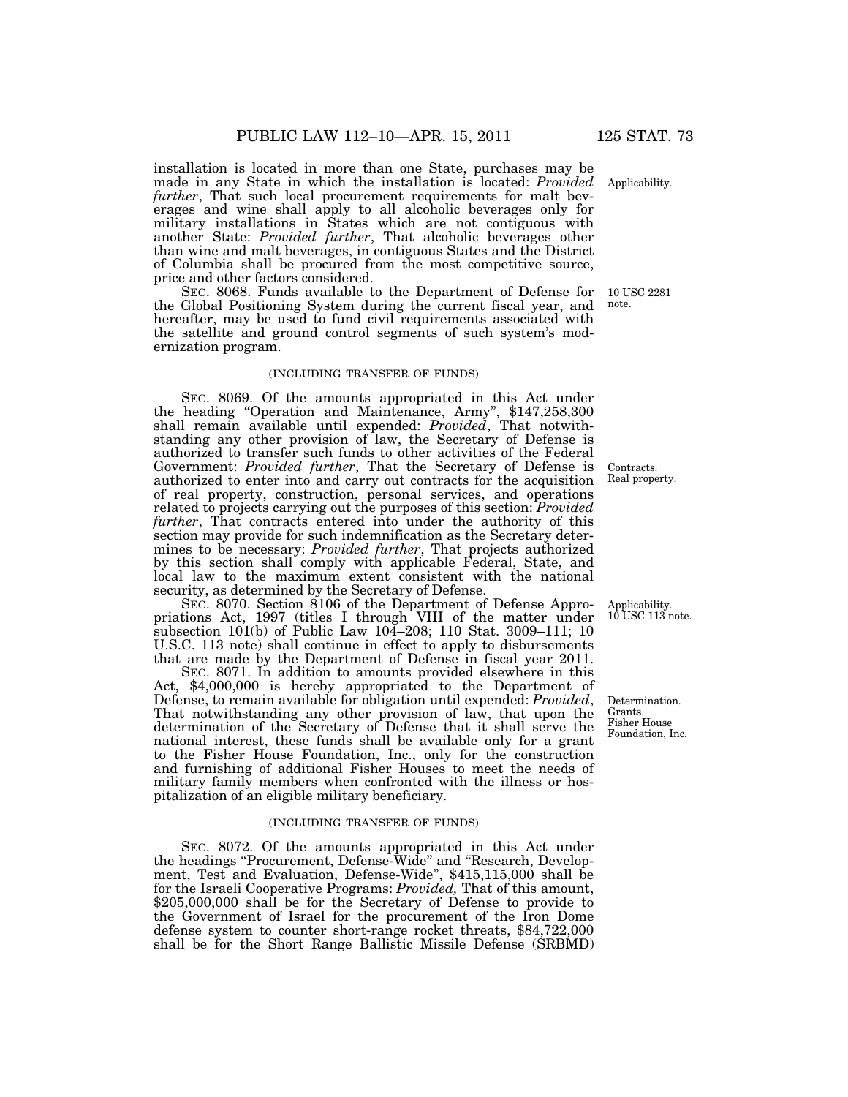installation is located in more than one State, purchases may be made in any State in which the installation is located: *Provided further*, That such local procurement requirements for malt beverages and wine shall apply to all alcoholic beverages only for military installations in States which are not contiguous with another State: *Provided further*, That alcoholic beverages other than wine and malt beverages, in contiguous States and the District of Columbia shall be procured from the most competitive source, price and other factors considered.

SEC. 8068. Funds available to the Department of Defense for the Global Positioning System during the current fiscal year, and hereafter, may be used to fund civil requirements associated with the satellite and ground control segments of such system's modernization program.

### (INCLUDING TRANSFER OF FUNDS)

SEC. 8069. Of the amounts appropriated in this Act under the heading ''Operation and Maintenance, Army'', \$147,258,300 shall remain available until expended: *Provided*, That notwithstanding any other provision of law, the Secretary of Defense is authorized to transfer such funds to other activities of the Federal Government: *Provided further*, That the Secretary of Defense is authorized to enter into and carry out contracts for the acquisition of real property, construction, personal services, and operations related to projects carrying out the purposes of this section: *Provided further*, That contracts entered into under the authority of this section may provide for such indemnification as the Secretary determines to be necessary: *Provided further*, That projects authorized by this section shall comply with applicable Federal, State, and local law to the maximum extent consistent with the national security, as determined by the Secretary of Defense.

SEC. 8070. Section 8106 of the Department of Defense Appropriations Act, 1997 (titles I through VIII of the matter under subsection 101(b) of Public Law 104–208; 110 Stat. 3009–111; 10 U.S.C. 113 note) shall continue in effect to apply to disbursements that are made by the Department of Defense in fiscal year 2011.

SEC. 8071. In addition to amounts provided elsewhere in this Act, \$4,000,000 is hereby appropriated to the Department of Defense, to remain available for obligation until expended: *Provided*, That notwithstanding any other provision of law, that upon the determination of the Secretary of Defense that it shall serve the national interest, these funds shall be available only for a grant to the Fisher House Foundation, Inc., only for the construction and furnishing of additional Fisher Houses to meet the needs of military family members when confronted with the illness or hospitalization of an eligible military beneficiary.

### (INCLUDING TRANSFER OF FUNDS)

SEC. 8072. Of the amounts appropriated in this Act under the headings "Procurement, Defense-Wide" and "Research, Development, Test and Evaluation, Defense-Wide", \$415,115,000 shall be for the Israeli Cooperative Programs: *Provided,* That of this amount, \$205,000,000 shall be for the Secretary of Defense to provide to the Government of Israel for the procurement of the Iron Dome defense system to counter short-range rocket threats, \$84,722,000 shall be for the Short Range Ballistic Missile Defense (SRBMD)

Contracts. Real property.

Determination.

Applicability. 10 USC 113 note.

Grants. Fisher House Foundation, Inc.

Applicability.

10 USC 2281 note.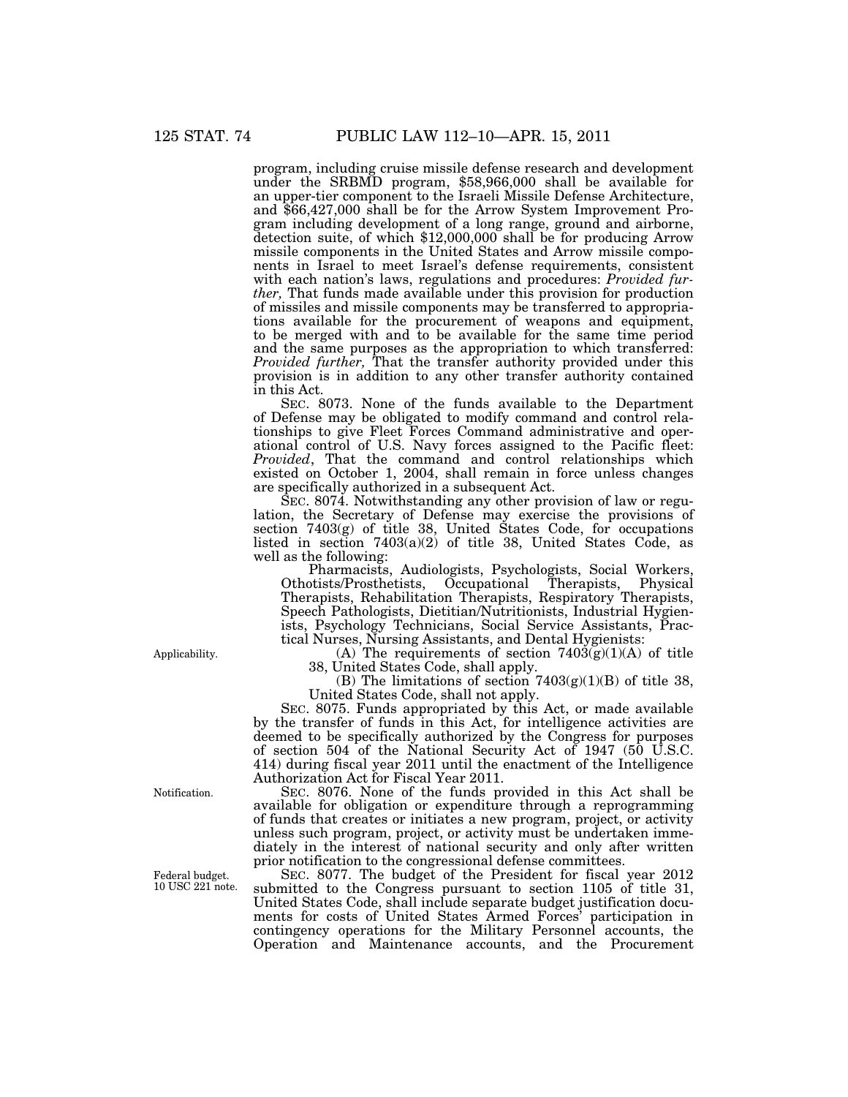program, including cruise missile defense research and development under the SRBMD program, \$58,966,000 shall be available for an upper-tier component to the Israeli Missile Defense Architecture, and \$66,427,000 shall be for the Arrow System Improvement Program including development of a long range, ground and airborne, detection suite, of which \$12,000,000 shall be for producing Arrow missile components in the United States and Arrow missile components in Israel to meet Israel's defense requirements, consistent with each nation's laws, regulations and procedures: *Provided further,* That funds made available under this provision for production of missiles and missile components may be transferred to appropriations available for the procurement of weapons and equipment, to be merged with and to be available for the same time period and the same purposes as the appropriation to which transferred: *Provided further,* That the transfer authority provided under this provision is in addition to any other transfer authority contained in this Act.

SEC. 8073. None of the funds available to the Department of Defense may be obligated to modify command and control relationships to give Fleet Forces Command administrative and operational control of U.S. Navy forces assigned to the Pacific fleet: *Provided*, That the command and control relationships which existed on October 1, 2004, shall remain in force unless changes are specifically authorized in a subsequent Act.

SEC. 8074. Notwithstanding any other provision of law or regulation, the Secretary of Defense may exercise the provisions of section 7403(g) of title 38, United States Code, for occupations listed in section  $7403(a)(2)$  of title 38, United States Code, as well as the following:

Pharmacists, Audiologists, Psychologists, Social Workers, Othotists/Prosthetists, Occupational Therapists, Physical Therapists, Rehabilitation Therapists, Respiratory Therapists, Speech Pathologists, Dietitian/Nutritionists, Industrial Hygienists, Psychology Technicians, Social Service Assistants, Practical Nurses, Nursing Assistants, and Dental Hygienists:

(A) The requirements of section  $7403(g)(1)(A)$  of title 38, United States Code, shall apply.

(B) The limitations of section  $7403(g)(1)(B)$  of title 38, United States Code, shall not apply.

SEC. 8075. Funds appropriated by this Act, or made available by the transfer of funds in this Act, for intelligence activities are deemed to be specifically authorized by the Congress for purposes of section 504 of the National Security Act of 1947 (50 U.S.C. 414) during fiscal year 2011 until the enactment of the Intelligence Authorization Act for Fiscal Year 2011.

SEC. 8076. None of the funds provided in this Act shall be available for obligation or expenditure through a reprogramming of funds that creates or initiates a new program, project, or activity unless such program, project, or activity must be undertaken immediately in the interest of national security and only after written prior notification to the congressional defense committees.

SEC. 8077. The budget of the President for fiscal year 2012 submitted to the Congress pursuant to section 1105 of title 31, United States Code, shall include separate budget justification documents for costs of United States Armed Forces' participation in contingency operations for the Military Personnel accounts, the Operation and Maintenance accounts, and the Procurement

Applicability.

Federal budget. 10 USC 221 note.

Notification.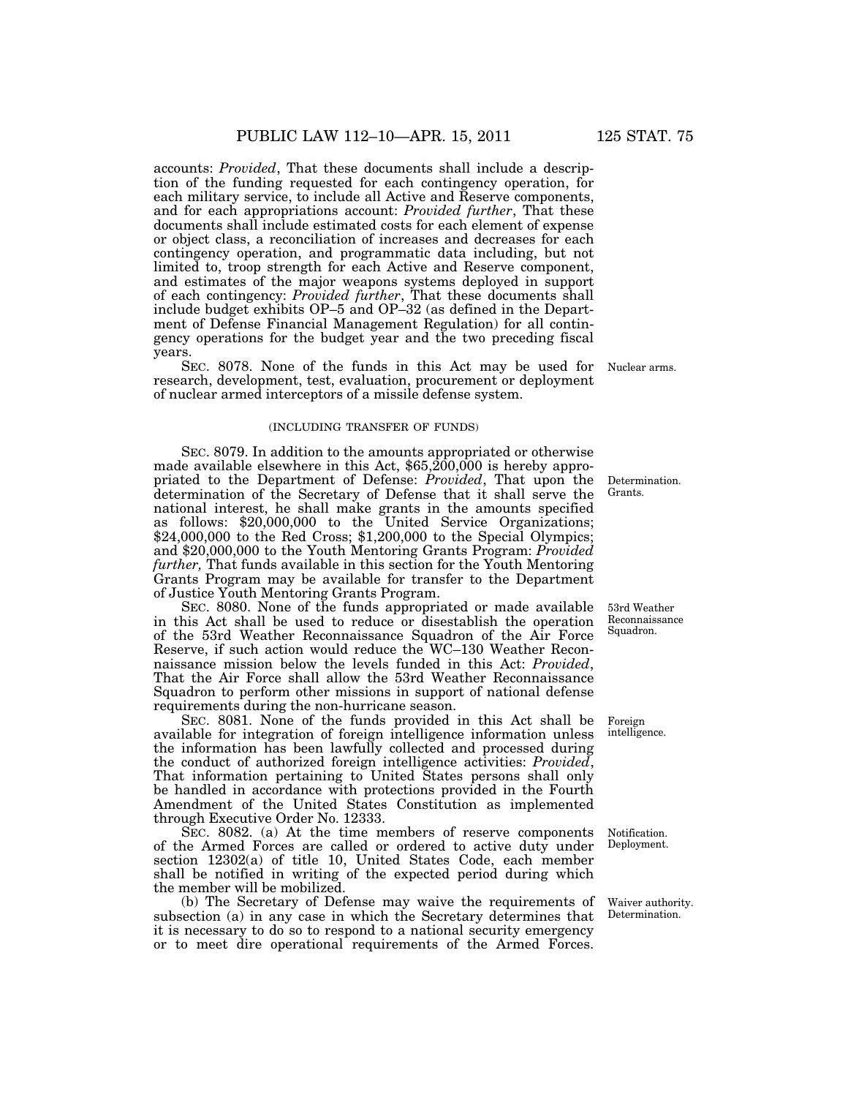accounts: *Provided*, That these documents shall include a description of the funding requested for each contingency operation, for each military service, to include all Active and Reserve components, and for each appropriations account: *Provided further*, That these documents shall include estimated costs for each element of expense or object class, a reconciliation of increases and decreases for each contingency operation, and programmatic data including, but not limited to, troop strength for each Active and Reserve component, and estimates of the major weapons systems deployed in support of each contingency: *Provided further*, That these documents shall include budget exhibits OP–5 and OP–32 (as defined in the Department of Defense Financial Management Regulation) for all contingency operations for the budget year and the two preceding fiscal years.

SEC. 8078. None of the funds in this Act may be used for research, development, test, evaluation, procurement or deployment of nuclear armed interceptors of a missile defense system.

#### (INCLUDING TRANSFER OF FUNDS)

SEC. 8079. In addition to the amounts appropriated or otherwise made available elsewhere in this Act,  $$65,\overline{200,000}$  is hereby appropriated to the Department of Defense: *Provided*, That upon the determination of the Secretary of Defense that it shall serve the national interest, he shall make grants in the amounts specified as follows: \$20,000,000 to the United Service Organizations; \$24,000,000 to the Red Cross; \$1,200,000 to the Special Olympics; and \$20,000,000 to the Youth Mentoring Grants Program: *Provided further,* That funds available in this section for the Youth Mentoring Grants Program may be available for transfer to the Department of Justice Youth Mentoring Grants Program.

SEC. 8080. None of the funds appropriated or made available in this Act shall be used to reduce or disestablish the operation of the 53rd Weather Reconnaissance Squadron of the Air Force Reserve, if such action would reduce the WC–130 Weather Reconnaissance mission below the levels funded in this Act: *Provided*, That the Air Force shall allow the 53rd Weather Reconnaissance Squadron to perform other missions in support of national defense requirements during the non-hurricane season.

SEC. 8081. None of the funds provided in this Act shall be available for integration of foreign intelligence information unless the information has been lawfully collected and processed during the conduct of authorized foreign intelligence activities: *Provided*, That information pertaining to United States persons shall only be handled in accordance with protections provided in the Fourth Amendment of the United States Constitution as implemented through Executive Order No. 12333.

SEC. 8082. (a) At the time members of reserve components of the Armed Forces are called or ordered to active duty under section 12302(a) of title 10, United States Code, each member shall be notified in writing of the expected period during which the member will be mobilized.

(b) The Secretary of Defense may waive the requirements of subsection (a) in any case in which the Secretary determines that it is necessary to do so to respond to a national security emergency or to meet dire operational requirements of the Armed Forces.

Nuclear arms.

Determination. Grants.

53rd Weather Reconnaissance

Squadron.

Foreign intelligence.

Notification. Deployment.

Waiver authority. Determination.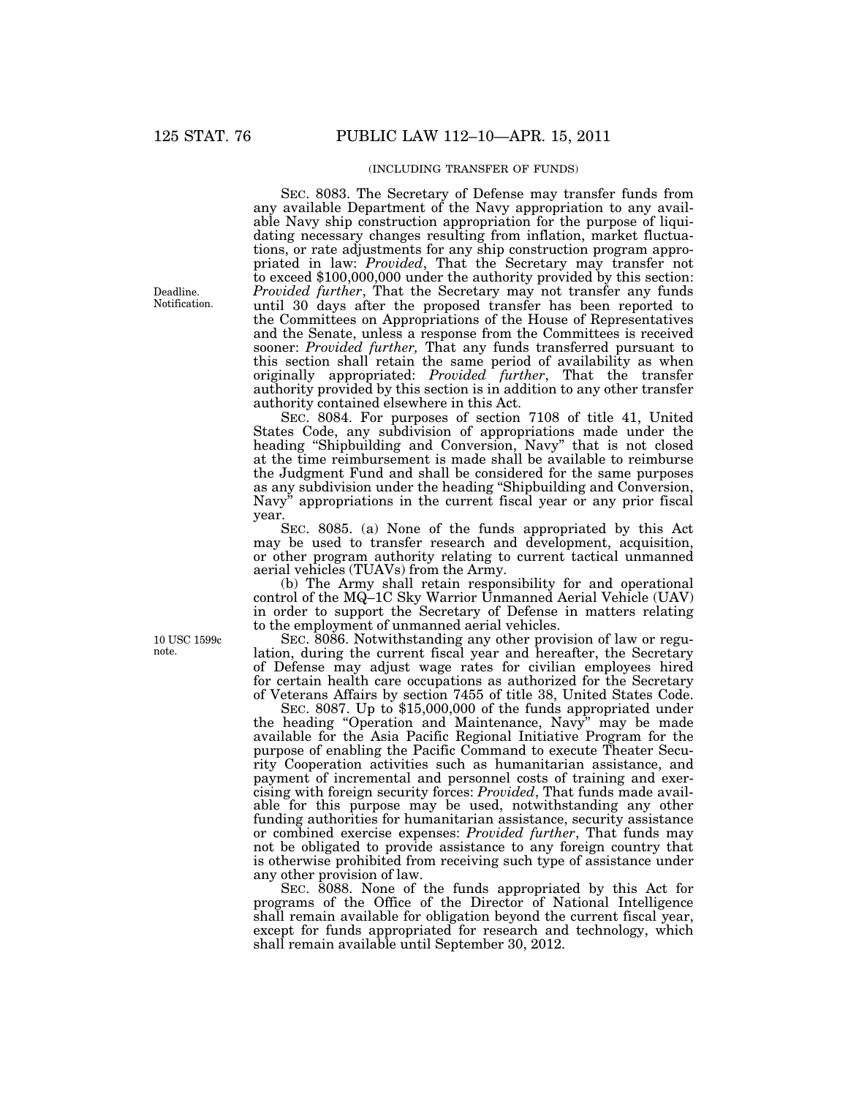### (INCLUDING TRANSFER OF FUNDS)

SEC. 8083. The Secretary of Defense may transfer funds from any available Department of the Navy appropriation to any available Navy ship construction appropriation for the purpose of liquidating necessary changes resulting from inflation, market fluctuations, or rate adjustments for any ship construction program appropriated in law: *Provided*, That the Secretary may transfer not to exceed \$100,000,000 under the authority provided by this section: *Provided further*, That the Secretary may not transfer any funds until 30 days after the proposed transfer has been reported to the Committees on Appropriations of the House of Representatives and the Senate, unless a response from the Committees is received sooner: *Provided further,* That any funds transferred pursuant to this section shall retain the same period of availability as when originally appropriated: *Provided further*, That the transfer authority provided by this section is in addition to any other transfer authority contained elsewhere in this Act.

SEC. 8084. For purposes of section 7108 of title 41, United States Code, any subdivision of appropriations made under the heading ''Shipbuilding and Conversion, Navy'' that is not closed at the time reimbursement is made shall be available to reimburse the Judgment Fund and shall be considered for the same purposes as any subdivision under the heading ''Shipbuilding and Conversion, Navy'' appropriations in the current fiscal year or any prior fiscal year.

SEC. 8085. (a) None of the funds appropriated by this Act may be used to transfer research and development, acquisition, or other program authority relating to current tactical unmanned aerial vehicles (TUAVs) from the Army.

(b) The Army shall retain responsibility for and operational control of the MQ-1C Sky Warrior Unmanned Aerial Vehicle (UAV) in order to support the Secretary of Defense in matters relating to the employment of unmanned aerial vehicles.

SEC. 8086. Notwithstanding any other provision of law or regulation, during the current fiscal year and hereafter, the Secretary of Defense may adjust wage rates for civilian employees hired for certain health care occupations as authorized for the Secretary of Veterans Affairs by section 7455 of title 38, United States Code.

SEC. 8087. Up to \$15,000,000 of the funds appropriated under the heading ''Operation and Maintenance, Navy'' may be made available for the Asia Pacific Regional Initiative Program for the purpose of enabling the Pacific Command to execute Theater Security Cooperation activities such as humanitarian assistance, and payment of incremental and personnel costs of training and exercising with foreign security forces: *Provided*, That funds made available for this purpose may be used, notwithstanding any other funding authorities for humanitarian assistance, security assistance or combined exercise expenses: *Provided further*, That funds may not be obligated to provide assistance to any foreign country that is otherwise prohibited from receiving such type of assistance under any other provision of law.

SEC. 8088. None of the funds appropriated by this Act for programs of the Office of the Director of National Intelligence shall remain available for obligation beyond the current fiscal year, except for funds appropriated for research and technology, which shall remain available until September 30, 2012.

Deadline. Notification.

10 USC 1599c note.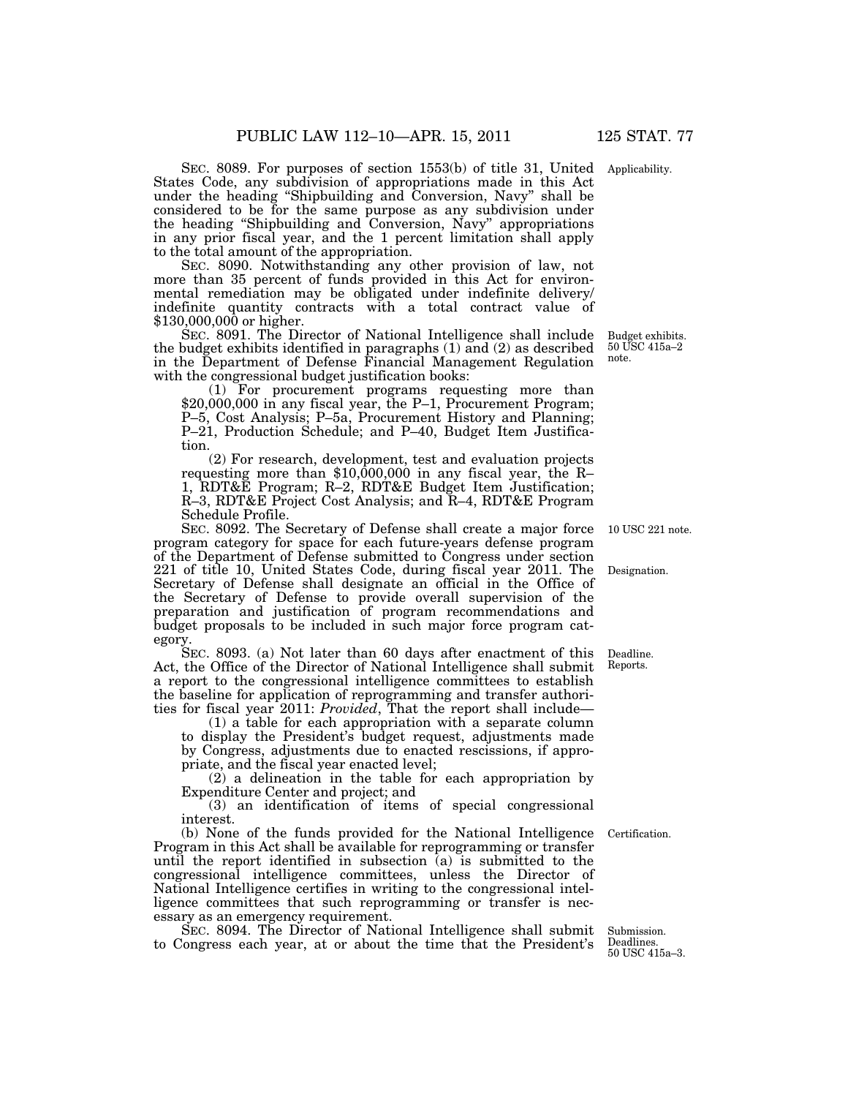SEC. 8089. For purposes of section 1553(b) of title 31, United Applicability.

States Code, any subdivision of appropriations made in this Act under the heading ''Shipbuilding and Conversion, Navy'' shall be considered to be for the same purpose as any subdivision under the heading ''Shipbuilding and Conversion, Navy'' appropriations in any prior fiscal year, and the 1 percent limitation shall apply to the total amount of the appropriation.

SEC. 8090. Notwithstanding any other provision of law, not more than 35 percent of funds provided in this Act for environmental remediation may be obligated under indefinite delivery/ indefinite quantity contracts with a total contract value of \$130,000,000 or higher.

SEC. 8091. The Director of National Intelligence shall include the budget exhibits identified in paragraphs (1) and (2) as described in the Department of Defense Financial Management Regulation with the congressional budget justification books:

(1) For procurement programs requesting more than \$20,000,000 in any fiscal year, the P–1, Procurement Program; P–5, Cost Analysis; P–5a, Procurement History and Planning; P–21, Production Schedule; and P–40, Budget Item Justification.

(2) For research, development, test and evaluation projects requesting more than \$10,000,000 in any fiscal year, the R– 1, RDT&E Program; R–2, RDT&E Budget Item Justification; R–3, RDT&E Project Cost Analysis; and R–4, RDT&E Program Schedule Profile.

SEC. 8092. The Secretary of Defense shall create a major force program category for space for each future-years defense program of the Department of Defense submitted to Congress under section 221 of title 10, United States Code, during fiscal year 2011. The Secretary of Defense shall designate an official in the Office of the Secretary of Defense to provide overall supervision of the preparation and justification of program recommendations and budget proposals to be included in such major force program category.

SEC. 8093. (a) Not later than 60 days after enactment of this Act, the Office of the Director of National Intelligence shall submit a report to the congressional intelligence committees to establish the baseline for application of reprogramming and transfer authorities for fiscal year 2011: *Provided*, That the report shall include—

(1) a table for each appropriation with a separate column to display the President's budget request, adjustments made by Congress, adjustments due to enacted rescissions, if appropriate, and the fiscal year enacted level;

(2) a delineation in the table for each appropriation by Expenditure Center and project; and

(3) an identification of items of special congressional interest.

(b) None of the funds provided for the National Intelligence Program in this Act shall be available for reprogramming or transfer until the report identified in subsection (a) is submitted to the congressional intelligence committees, unless the Director of National Intelligence certifies in writing to the congressional intelligence committees that such reprogramming or transfer is necessary as an emergency requirement.

SEC. 8094. The Director of National Intelligence shall submit to Congress each year, at or about the time that the President's

Submission.

Certification.

Deadlines. 50 USC 415a–3.

Deadline. Reports.

10 USC 221 note.

Designation.

Budget exhibits. 50 USC 415a–2 note.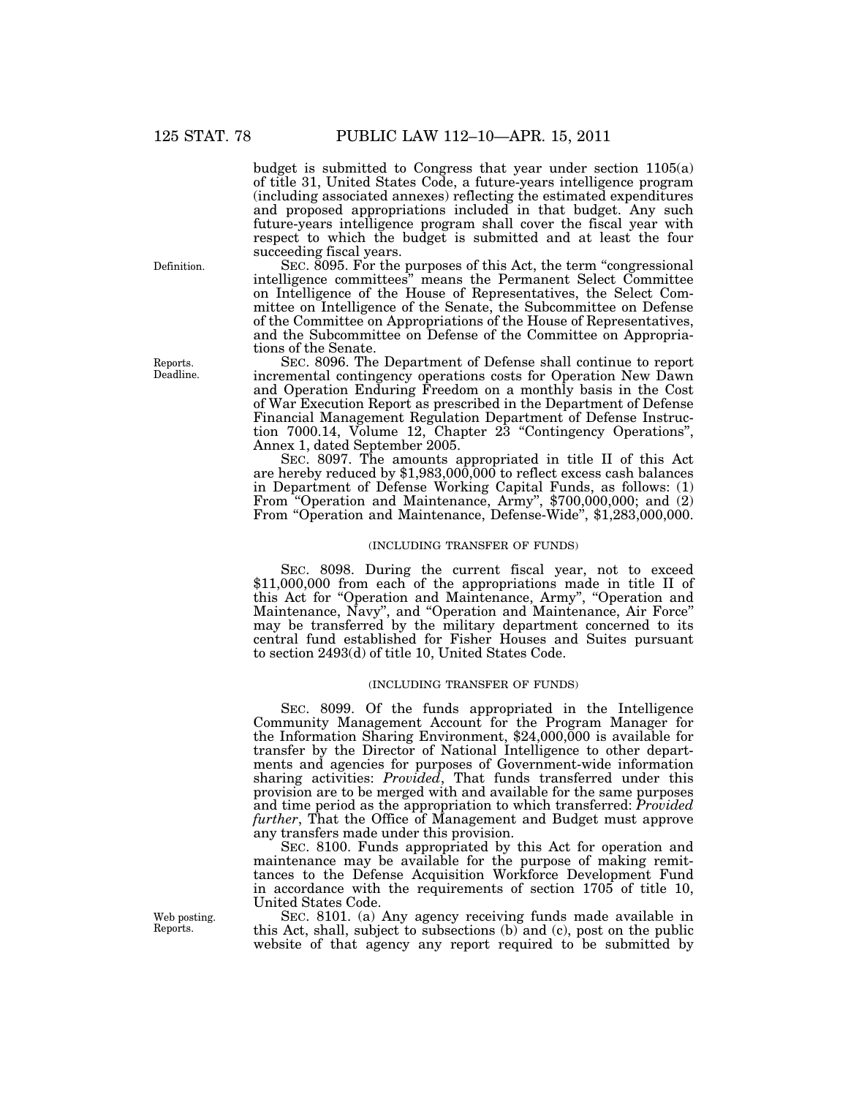budget is submitted to Congress that year under section 1105(a) of title 31, United States Code, a future-years intelligence program (including associated annexes) reflecting the estimated expenditures and proposed appropriations included in that budget. Any such future-years intelligence program shall cover the fiscal year with respect to which the budget is submitted and at least the four succeeding fiscal years.

SEC. 8095. For the purposes of this Act, the term "congressional" intelligence committees'' means the Permanent Select Committee on Intelligence of the House of Representatives, the Select Committee on Intelligence of the Senate, the Subcommittee on Defense of the Committee on Appropriations of the House of Representatives, and the Subcommittee on Defense of the Committee on Appropriations of the Senate.

SEC. 8096. The Department of Defense shall continue to report incremental contingency operations costs for Operation New Dawn and Operation Enduring Freedom on a monthly basis in the Cost of War Execution Report as prescribed in the Department of Defense Financial Management Regulation Department of Defense Instruction 7000.14, Volume 12, Chapter 23 ''Contingency Operations'', Annex 1, dated September 2005.

SEC. 8097. The amounts appropriated in title II of this Act are hereby reduced by \$1,983,000,000 to reflect excess cash balances in Department of Defense Working Capital Funds, as follows: (1) From ''Operation and Maintenance, Army'', \$700,000,000; and (2) From "Operation and Maintenance, Defense-Wide", \$1,283,000,000.

### (INCLUDING TRANSFER OF FUNDS)

SEC. 8098. During the current fiscal year, not to exceed \$11,000,000 from each of the appropriations made in title II of this Act for ''Operation and Maintenance, Army'', ''Operation and Maintenance, Navy'', and ''Operation and Maintenance, Air Force'' may be transferred by the military department concerned to its central fund established for Fisher Houses and Suites pursuant to section 2493(d) of title 10, United States Code.

### (INCLUDING TRANSFER OF FUNDS)

SEC. 8099. Of the funds appropriated in the Intelligence Community Management Account for the Program Manager for the Information Sharing Environment, \$24,000,000 is available for transfer by the Director of National Intelligence to other departments and agencies for purposes of Government-wide information sharing activities: *Provided*, That funds transferred under this provision are to be merged with and available for the same purposes and time period as the appropriation to which transferred: *Provided further*, That the Office of Management and Budget must approve any transfers made under this provision.

SEC. 8100. Funds appropriated by this Act for operation and maintenance may be available for the purpose of making remittances to the Defense Acquisition Workforce Development Fund in accordance with the requirements of section 1705 of title 10, United States Code.

SEC. 8101. (a) Any agency receiving funds made available in this Act, shall, subject to subsections (b) and (c), post on the public website of that agency any report required to be submitted by

Definition.

Reports. Deadline.

Web posting. Reports.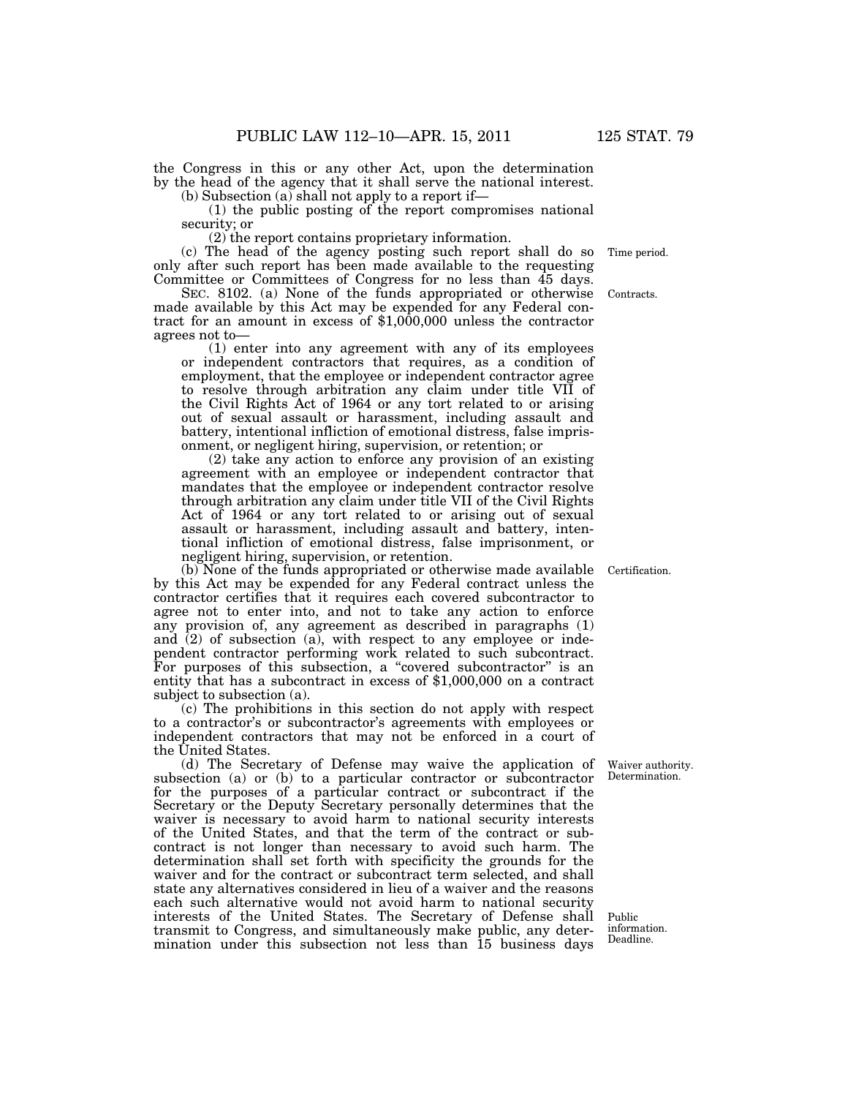the Congress in this or any other Act, upon the determination by the head of the agency that it shall serve the national interest.

(b) Subsection (a) shall not apply to a report if—

(1) the public posting of the report compromises national security; or

(2) the report contains proprietary information.

(c) The head of the agency posting such report shall do so only after such report has been made available to the requesting Committee or Committees of Congress for no less than 45 days.

SEC. 8102. (a) None of the funds appropriated or otherwise made available by this Act may be expended for any Federal contract for an amount in excess of \$1,000,000 unless the contractor agrees not to—

(1) enter into any agreement with any of its employees or independent contractors that requires, as a condition of employment, that the employee or independent contractor agree to resolve through arbitration any claim under title VII of the Civil Rights Act of 1964 or any tort related to or arising out of sexual assault or harassment, including assault and battery, intentional infliction of emotional distress, false imprisonment, or negligent hiring, supervision, or retention; or

(2) take any action to enforce any provision of an existing agreement with an employee or independent contractor that mandates that the employee or independent contractor resolve through arbitration any claim under title VII of the Civil Rights Act of 1964 or any tort related to or arising out of sexual assault or harassment, including assault and battery, intentional infliction of emotional distress, false imprisonment, or negligent hiring, supervision, or retention.

(b) None of the funds appropriated or otherwise made available by this Act may be expended for any Federal contract unless the contractor certifies that it requires each covered subcontractor to agree not to enter into, and not to take any action to enforce any provision of, any agreement as described in paragraphs (1) and  $(2)$  of subsection  $(a)$ , with respect to any employee or independent contractor performing work related to such subcontract. For purposes of this subsection, a "covered subcontractor" is an entity that has a subcontract in excess of \$1,000,000 on a contract subject to subsection (a).

(c) The prohibitions in this section do not apply with respect to a contractor's or subcontractor's agreements with employees or independent contractors that may not be enforced in a court of the United States.

(d) The Secretary of Defense may waive the application of subsection (a) or (b) to a particular contractor or subcontractor for the purposes of a particular contract or subcontract if the Secretary or the Deputy Secretary personally determines that the waiver is necessary to avoid harm to national security interests of the United States, and that the term of the contract or subcontract is not longer than necessary to avoid such harm. The determination shall set forth with specificity the grounds for the waiver and for the contract or subcontract term selected, and shall state any alternatives considered in lieu of a waiver and the reasons each such alternative would not avoid harm to national security interests of the United States. The Secretary of Defense shall transmit to Congress, and simultaneously make public, any determination under this subsection not less than 15 business days

Waiver authority. Determination.

Certification.

Contracts.

Time period.

Public information. Deadline.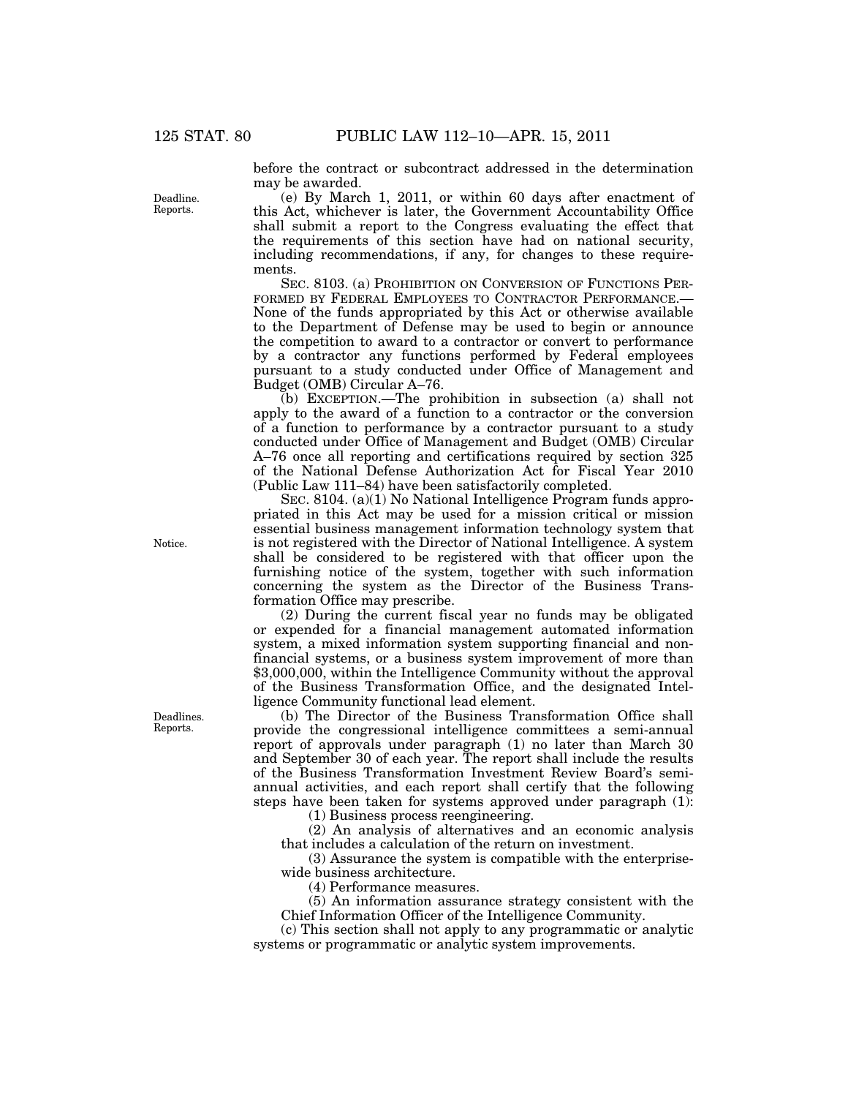before the contract or subcontract addressed in the determination may be awarded.

(e) By March 1, 2011, or within 60 days after enactment of this Act, whichever is later, the Government Accountability Office shall submit a report to the Congress evaluating the effect that the requirements of this section have had on national security, including recommendations, if any, for changes to these requirements.

SEC. 8103. (a) PROHIBITION ON CONVERSION OF FUNCTIONS PER-FORMED BY FEDERAL EMPLOYEES TO CONTRACTOR PERFORMANCE.— None of the funds appropriated by this Act or otherwise available to the Department of Defense may be used to begin or announce the competition to award to a contractor or convert to performance by a contractor any functions performed by Federal employees pursuant to a study conducted under Office of Management and Budget (OMB) Circular A–76.

(b) EXCEPTION.—The prohibition in subsection (a) shall not apply to the award of a function to a contractor or the conversion of a function to performance by a contractor pursuant to a study conducted under Office of Management and Budget (OMB) Circular A–76 once all reporting and certifications required by section 325 of the National Defense Authorization Act for Fiscal Year 2010 (Public Law 111–84) have been satisfactorily completed.

SEC. 8104. (a)(1) No National Intelligence Program funds appropriated in this Act may be used for a mission critical or mission essential business management information technology system that is not registered with the Director of National Intelligence. A system shall be considered to be registered with that officer upon the furnishing notice of the system, together with such information concerning the system as the Director of the Business Transformation Office may prescribe.

(2) During the current fiscal year no funds may be obligated or expended for a financial management automated information system, a mixed information system supporting financial and nonfinancial systems, or a business system improvement of more than \$3,000,000, within the Intelligence Community without the approval of the Business Transformation Office, and the designated Intelligence Community functional lead element.

(b) The Director of the Business Transformation Office shall provide the congressional intelligence committees a semi-annual report of approvals under paragraph (1) no later than March 30 and September 30 of each year. The report shall include the results of the Business Transformation Investment Review Board's semiannual activities, and each report shall certify that the following steps have been taken for systems approved under paragraph (1):

(1) Business process reengineering.

(2) An analysis of alternatives and an economic analysis that includes a calculation of the return on investment.

(3) Assurance the system is compatible with the enterprisewide business architecture.

(4) Performance measures.

(5) An information assurance strategy consistent with the Chief Information Officer of the Intelligence Community.

(c) This section shall not apply to any programmatic or analytic systems or programmatic or analytic system improvements.

Deadline. Reports.

Notice.

Deadlines. Reports.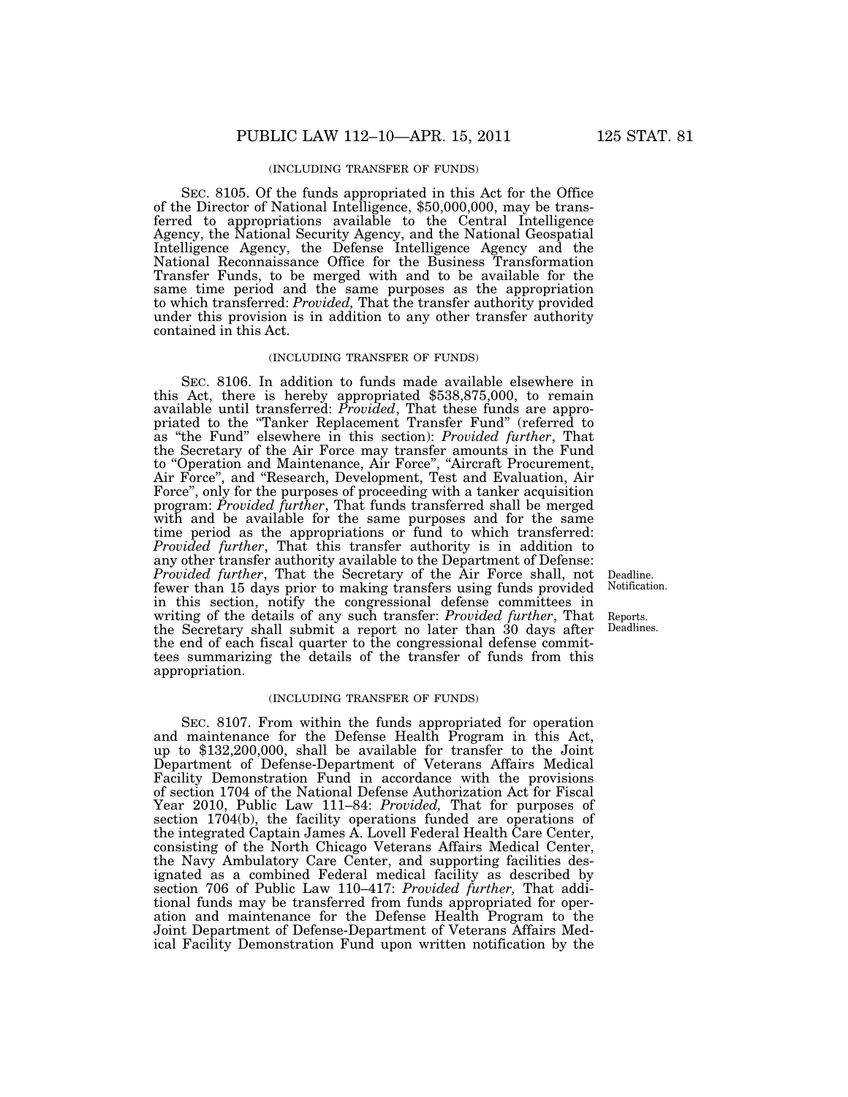#### (INCLUDING TRANSFER OF FUNDS)

SEC. 8105. Of the funds appropriated in this Act for the Office of the Director of National Intelligence, \$50,000,000, may be transferred to appropriations available to the Central Intelligence Agency, the National Security Agency, and the National Geospatial Intelligence Agency, the Defense Intelligence Agency and the National Reconnaissance Office for the Business Transformation Transfer Funds, to be merged with and to be available for the same time period and the same purposes as the appropriation to which transferred: *Provided,* That the transfer authority provided under this provision is in addition to any other transfer authority contained in this Act.

#### (INCLUDING TRANSFER OF FUNDS)

SEC. 8106. In addition to funds made available elsewhere in this Act, there is hereby appropriated \$538,875,000, to remain available until transferred: *Provided*, That these funds are appropriated to the ''Tanker Replacement Transfer Fund'' (referred to as ''the Fund'' elsewhere in this section): *Provided further*, That the Secretary of the Air Force may transfer amounts in the Fund to ''Operation and Maintenance, Air Force'', ''Aircraft Procurement, Air Force'', and ''Research, Development, Test and Evaluation, Air Force'', only for the purposes of proceeding with a tanker acquisition program: *Provided further*, That funds transferred shall be merged with and be available for the same purposes and for the same time period as the appropriations or fund to which transferred: *Provided further*, That this transfer authority is in addition to any other transfer authority available to the Department of Defense: *Provided further*, That the Secretary of the Air Force shall, not fewer than 15 days prior to making transfers using funds provided in this section, notify the congressional defense committees in writing of the details of any such transfer: *Provided further*, That the Secretary shall submit a report no later than 30 days after the end of each fiscal quarter to the congressional defense committees summarizing the details of the transfer of funds from this appropriation.

#### (INCLUDING TRANSFER OF FUNDS)

SEC. 8107. From within the funds appropriated for operation and maintenance for the Defense Health Program in this Act, up to \$132,200,000, shall be available for transfer to the Joint Department of Defense-Department of Veterans Affairs Medical Facility Demonstration Fund in accordance with the provisions of section 1704 of the National Defense Authorization Act for Fiscal Year 2010, Public Law 111–84: *Provided,* That for purposes of section 1704(b), the facility operations funded are operations of the integrated Captain James A. Lovell Federal Health Care Center, consisting of the North Chicago Veterans Affairs Medical Center, the Navy Ambulatory Care Center, and supporting facilities designated as a combined Federal medical facility as described by section 706 of Public Law 110–417: *Provided further,* That additional funds may be transferred from funds appropriated for operation and maintenance for the Defense Health Program to the Joint Department of Defense-Department of Veterans Affairs Medical Facility Demonstration Fund upon written notification by the

Deadline. Notification.

Reports. Deadlines.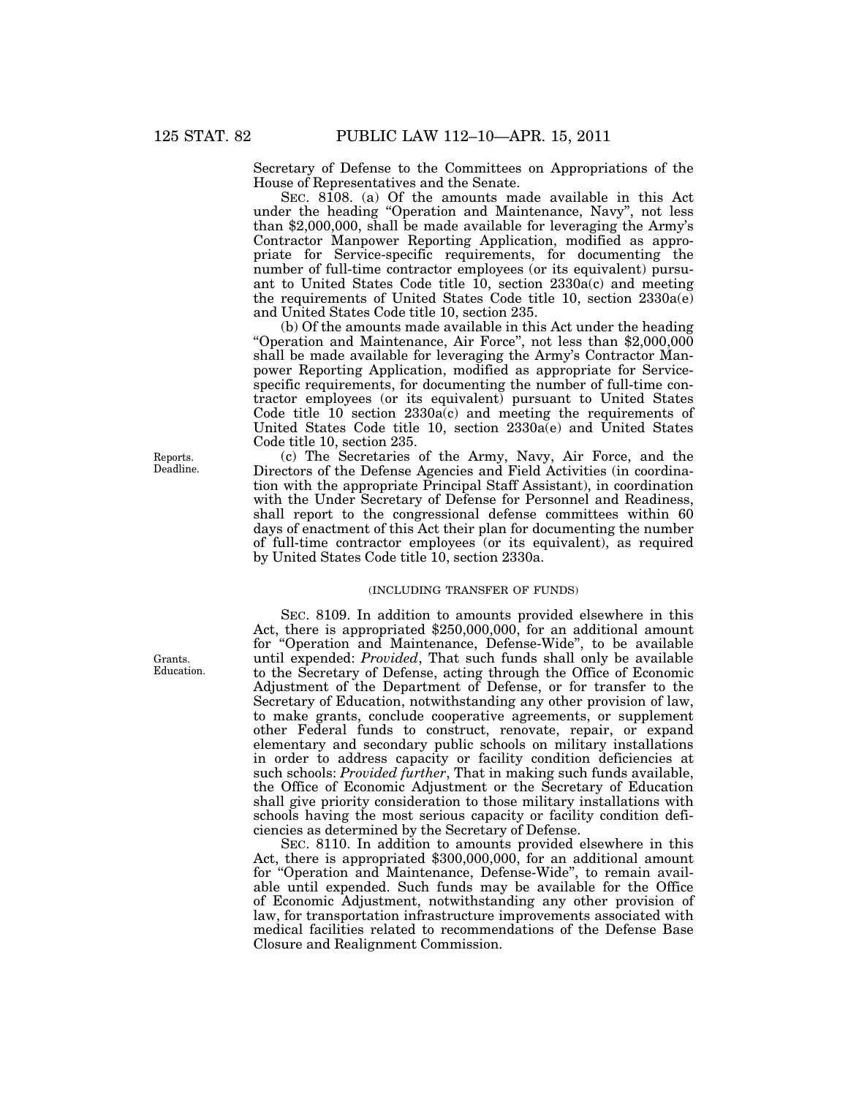Secretary of Defense to the Committees on Appropriations of the House of Representatives and the Senate.

SEC. 8108. (a) Of the amounts made available in this Act under the heading ''Operation and Maintenance, Navy'', not less than \$2,000,000, shall be made available for leveraging the Army's Contractor Manpower Reporting Application, modified as appropriate for Service-specific requirements, for documenting the number of full-time contractor employees (or its equivalent) pursuant to United States Code title 10, section 2330a(c) and meeting the requirements of United States Code title 10, section 2330a(e) and United States Code title 10, section 235.

(b) Of the amounts made available in this Act under the heading "Operation and Maintenance, Air Force", not less than \$2,000,000 shall be made available for leveraging the Army's Contractor Manpower Reporting Application, modified as appropriate for Servicespecific requirements, for documenting the number of full-time contractor employees (or its equivalent) pursuant to United States Code title  $10$  section  $2330a(c)$  and meeting the requirements of United States Code title 10, section 2330a(e) and United States Code title 10, section 235.

(c) The Secretaries of the Army, Navy, Air Force, and the Directors of the Defense Agencies and Field Activities (in coordination with the appropriate Principal Staff Assistant), in coordination with the Under Secretary of Defense for Personnel and Readiness, shall report to the congressional defense committees within 60 days of enactment of this Act their plan for documenting the number of full-time contractor employees (or its equivalent), as required by United States Code title 10, section 2330a.

### (INCLUDING TRANSFER OF FUNDS)

SEC. 8109. In addition to amounts provided elsewhere in this Act, there is appropriated \$250,000,000, for an additional amount for ''Operation and Maintenance, Defense-Wide'', to be available until expended: *Provided*, That such funds shall only be available to the Secretary of Defense, acting through the Office of Economic Adjustment of the Department of Defense, or for transfer to the Secretary of Education, notwithstanding any other provision of law, to make grants, conclude cooperative agreements, or supplement other Federal funds to construct, renovate, repair, or expand elementary and secondary public schools on military installations in order to address capacity or facility condition deficiencies at such schools: *Provided further*, That in making such funds available, the Office of Economic Adjustment or the Secretary of Education shall give priority consideration to those military installations with schools having the most serious capacity or facility condition deficiencies as determined by the Secretary of Defense.

SEC. 8110. In addition to amounts provided elsewhere in this Act, there is appropriated \$300,000,000, for an additional amount for "Operation and Maintenance, Defense-Wide", to remain available until expended. Such funds may be available for the Office of Economic Adjustment, notwithstanding any other provision of law, for transportation infrastructure improvements associated with medical facilities related to recommendations of the Defense Base Closure and Realignment Commission.

Reports. Deadline.

Grants. Education.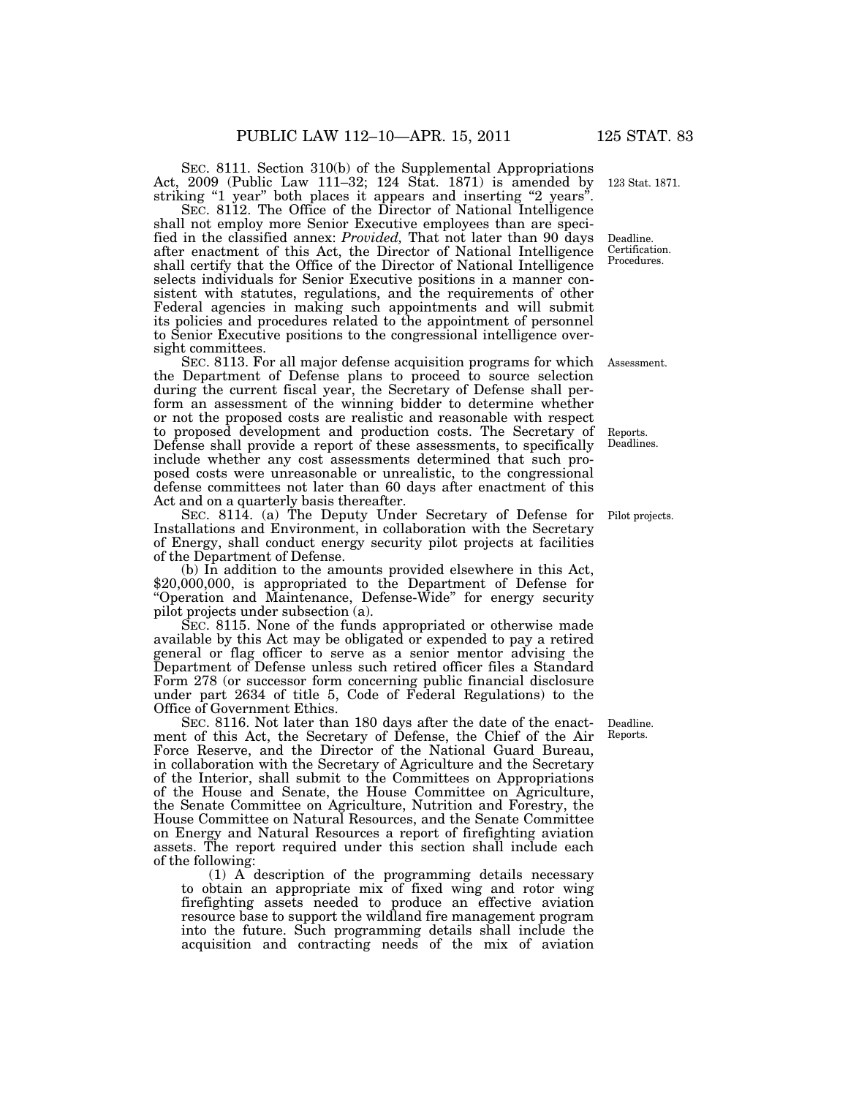SEC. 8111. Section 310(b) of the Supplemental Appropriations Act, 2009 (Public Law 111–32; 124 Stat. 1871) is amended by striking "1 year" both places it appears and inserting "2 years".

SEC. 8112. The Office of the Director of National Intelligence shall not employ more Senior Executive employees than are specified in the classified annex: *Provided,* That not later than 90 days after enactment of this Act, the Director of National Intelligence shall certify that the Office of the Director of National Intelligence selects individuals for Senior Executive positions in a manner consistent with statutes, regulations, and the requirements of other Federal agencies in making such appointments and will submit its policies and procedures related to the appointment of personnel to Senior Executive positions to the congressional intelligence oversight committees.

SEC. 8113. For all major defense acquisition programs for which Assessment. the Department of Defense plans to proceed to source selection during the current fiscal year, the Secretary of Defense shall perform an assessment of the winning bidder to determine whether or not the proposed costs are realistic and reasonable with respect to proposed development and production costs. The Secretary of Defense shall provide a report of these assessments, to specifically include whether any cost assessments determined that such proposed costs were unreasonable or unrealistic, to the congressional defense committees not later than 60 days after enactment of this Act and on a quarterly basis thereafter.

SEC. 8114. (a) The Deputy Under Secretary of Defense for Installations and Environment, in collaboration with the Secretary of Energy, shall conduct energy security pilot projects at facilities of the Department of Defense.

(b) In addition to the amounts provided elsewhere in this Act, \$20,000,000, is appropriated to the Department of Defense for "Operation and Maintenance, Defense-Wide" for energy security pilot projects under subsection (a).

SEC. 8115. None of the funds appropriated or otherwise made available by this Act may be obligated or expended to pay a retired general or flag officer to serve as a senior mentor advising the Department of Defense unless such retired officer files a Standard Form 278 (or successor form concerning public financial disclosure under part 2634 of title 5, Code of Federal Regulations) to the Office of Government Ethics.

SEC. 8116. Not later than 180 days after the date of the enactment of this Act, the Secretary of Defense, the Chief of the Air Force Reserve, and the Director of the National Guard Bureau, in collaboration with the Secretary of Agriculture and the Secretary of the Interior, shall submit to the Committees on Appropriations of the House and Senate, the House Committee on Agriculture, the Senate Committee on Agriculture, Nutrition and Forestry, the House Committee on Natural Resources, and the Senate Committee on Energy and Natural Resources a report of firefighting aviation assets. The report required under this section shall include each of the following:

(1) A description of the programming details necessary to obtain an appropriate mix of fixed wing and rotor wing firefighting assets needed to produce an effective aviation resource base to support the wildland fire management program into the future. Such programming details shall include the acquisition and contracting needs of the mix of aviation

Deadline. Reports.

123 Stat. 1871.

Deadline. Certification. Procedures.

Reports. Deadlines.

Pilot projects.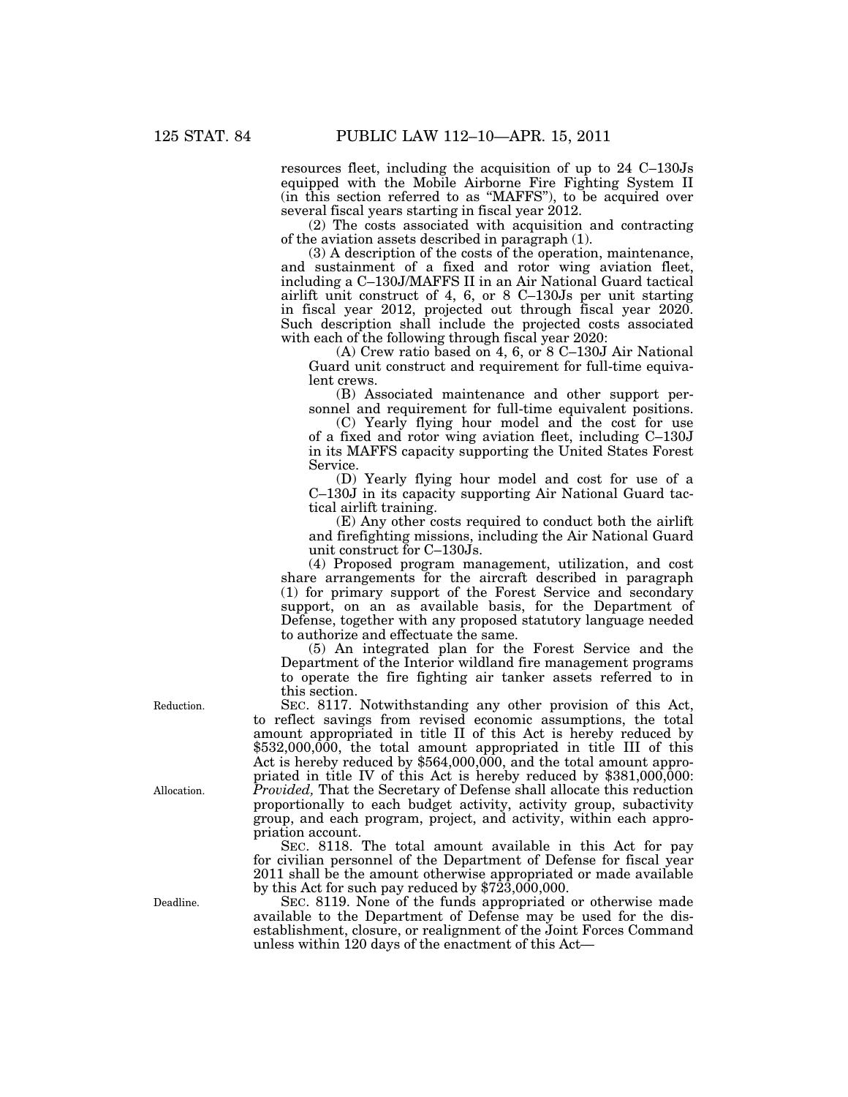resources fleet, including the acquisition of up to 24 C–130Js equipped with the Mobile Airborne Fire Fighting System II (in this section referred to as ''MAFFS''), to be acquired over several fiscal years starting in fiscal year 2012.

(2) The costs associated with acquisition and contracting of the aviation assets described in paragraph (1).

(3) A description of the costs of the operation, maintenance, and sustainment of a fixed and rotor wing aviation fleet, including a C–130J/MAFFS II in an Air National Guard tactical airlift unit construct of 4, 6, or 8 C–130Js per unit starting in fiscal year 2012, projected out through fiscal year 2020. Such description shall include the projected costs associated with each of the following through fiscal year 2020:

(A) Crew ratio based on 4, 6, or 8 C–130J Air National Guard unit construct and requirement for full-time equivalent crews.

(B) Associated maintenance and other support personnel and requirement for full-time equivalent positions.

(C) Yearly flying hour model and the cost for use of a fixed and rotor wing aviation fleet, including C–130J in its MAFFS capacity supporting the United States Forest Service.

(D) Yearly flying hour model and cost for use of a C–130J in its capacity supporting Air National Guard tactical airlift training.

(E) Any other costs required to conduct both the airlift and firefighting missions, including the Air National Guard unit construct for C–130Js.

(4) Proposed program management, utilization, and cost share arrangements for the aircraft described in paragraph (1) for primary support of the Forest Service and secondary support, on an as available basis, for the Department of Defense, together with any proposed statutory language needed to authorize and effectuate the same.

(5) An integrated plan for the Forest Service and the Department of the Interior wildland fire management programs to operate the fire fighting air tanker assets referred to in this section.

SEC. 8117. Notwithstanding any other provision of this Act, to reflect savings from revised economic assumptions, the total amount appropriated in title II of this Act is hereby reduced by \$532,000,000, the total amount appropriated in title III of this Act is hereby reduced by  $$564,000,000$ , and the total amount appropriated in title IV of this Act is hereby reduced by  $$381,000,000$ : *Provided,* That the Secretary of Defense shall allocate this reduction proportionally to each budget activity, activity group, subactivity group, and each program, project, and activity, within each appropriation account.

SEC. 8118. The total amount available in this Act for pay for civilian personnel of the Department of Defense for fiscal year 2011 shall be the amount otherwise appropriated or made available by this Act for such pay reduced by  $$7\overline{2}3,000,000$ .

SEC. 8119. None of the funds appropriated or otherwise made available to the Department of Defense may be used for the disestablishment, closure, or realignment of the Joint Forces Command unless within 120 days of the enactment of this Act—

Reduction.

Allocation.

Deadline.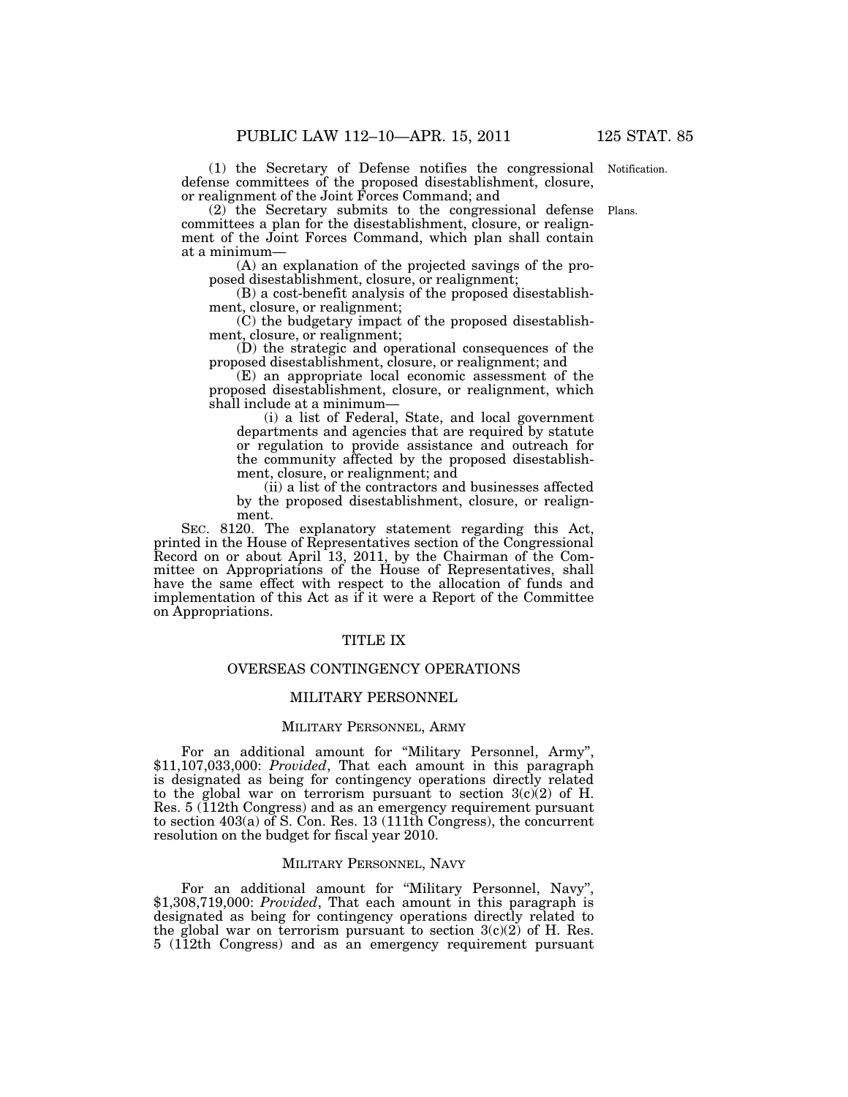(1) the Secretary of Defense notifies the congressional defense committees of the proposed disestablishment, closure, or realignment of the Joint Forces Command; and Notification.

(2) the Secretary submits to the congressional defense Plans. committees a plan for the disestablishment, closure, or realignment of the Joint Forces Command, which plan shall contain at a minimum—

(A) an explanation of the projected savings of the proposed disestablishment, closure, or realignment;

(B) a cost-benefit analysis of the proposed disestablishment, closure, or realignment;

 $(C)$  the budgetary impact of the proposed disestablishment, closure, or realignment;

(D) the strategic and operational consequences of the proposed disestablishment, closure, or realignment; and

(E) an appropriate local economic assessment of the proposed disestablishment, closure, or realignment, which shall include at a minimum—

(i) a list of Federal, State, and local government departments and agencies that are required by statute or regulation to provide assistance and outreach for the community affected by the proposed disestablishment, closure, or realignment; and

(ii) a list of the contractors and businesses affected by the proposed disestablishment, closure, or realignment.

SEC. 8120. The explanatory statement regarding this Act, printed in the House of Representatives section of the Congressional Record on or about April 13, 2011, by the Chairman of the Committee on Appropriations of the House of Representatives, shall have the same effect with respect to the allocation of funds and implementation of this Act as if it were a Report of the Committee on Appropriations.

## TITLE IX

# OVERSEAS CONTINGENCY OPERATIONS

#### MILITARY PERSONNEL

### MILITARY PERSONNEL, ARMY

For an additional amount for "Military Personnel, Army" \$11,107,033,000: *Provided*, That each amount in this paragraph is designated as being for contingency operations directly related to the global war on terrorism pursuant to section  $3(c)(2)$  of H. Res. 5 (112th Congress) and as an emergency requirement pursuant to section 403(a) of S. Con. Res. 13 (111th Congress), the concurrent resolution on the budget for fiscal year 2010.

#### MILITARY PERSONNEL, NAVY

For an additional amount for "Military Personnel, Navy", \$1,308,719,000: *Provided*, That each amount in this paragraph is designated as being for contingency operations directly related to the global war on terrorism pursuant to section  $3(c)(2)$  of H. Res. 5 (112th Congress) and as an emergency requirement pursuant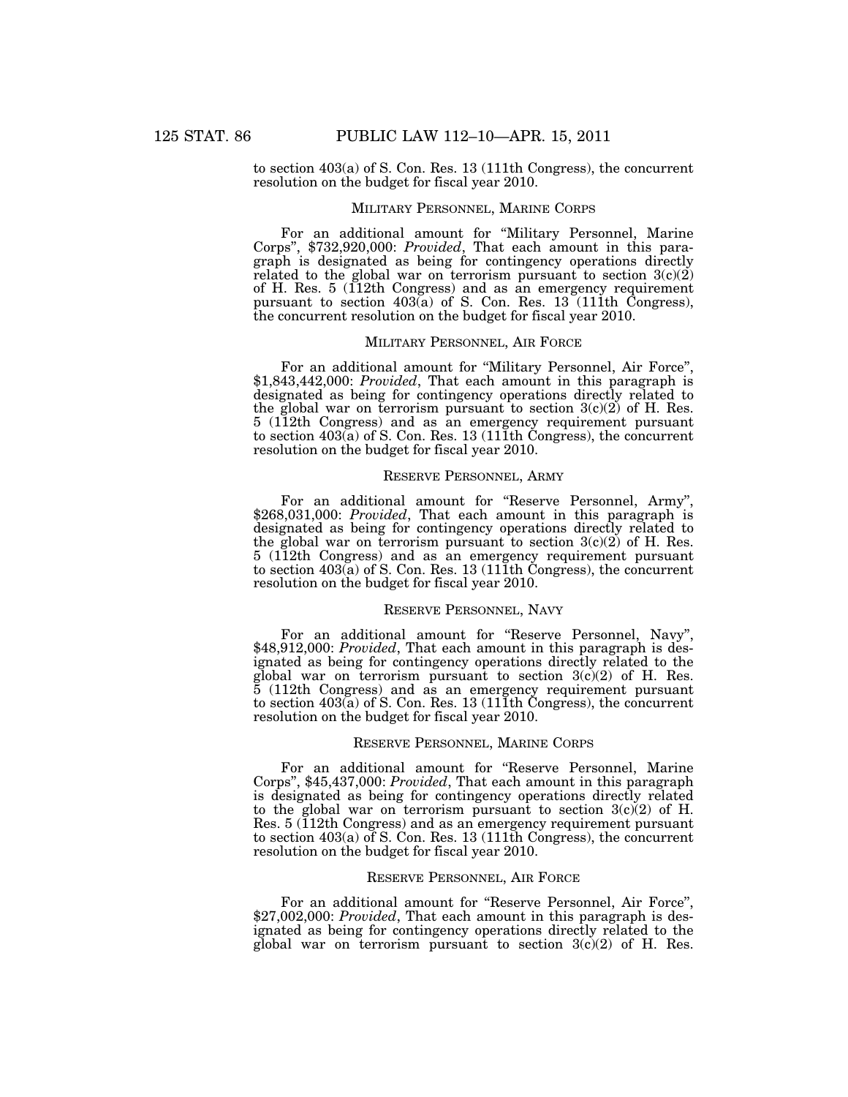to section 403(a) of S. Con. Res. 13 (111th Congress), the concurrent resolution on the budget for fiscal year 2010.

### MILITARY PERSONNEL, MARINE CORPS

For an additional amount for ''Military Personnel, Marine Corps'', \$732,920,000: *Provided*, That each amount in this paragraph is designated as being for contingency operations directly related to the global war on terrorism pursuant to section  $3(c)(2)$ of H. Res. 5 (112th Congress) and as an emergency requirement pursuant to section  $403(a)$  of S. Con. Res.  $13(111th)$  Congress), the concurrent resolution on the budget for fiscal year 2010.

## MILITARY PERSONNEL, AIR FORCE

For an additional amount for ''Military Personnel, Air Force'', \$1,843,442,000: *Provided*, That each amount in this paragraph is designated as being for contingency operations directly related to the global war on terrorism pursuant to section  $3(c)(2)$  of H. Res. 5 (112th Congress) and as an emergency requirement pursuant to section  $403(a)$  of S. Con. Res. 13 (111th Congress), the concurrent resolution on the budget for fiscal year 2010.

#### RESERVE PERSONNEL, ARMY

For an additional amount for "Reserve Personnel, Army", \$268,031,000: *Provided*, That each amount in this paragraph is designated as being for contingency operations directly related to the global war on terrorism pursuant to section  $3(c)(2)$  of H. Res. 5 (112th Congress) and as an emergency requirement pursuant to section  $403\acute{a}$ ) of S. Con. Res. 13 (111th Congress), the concurrent resolution on the budget for fiscal year 2010.

### RESERVE PERSONNEL, NAVY

For an additional amount for "Reserve Personnel, Navy", \$48,912,000: *Provided*, That each amount in this paragraph is designated as being for contingency operations directly related to the global war on terrorism pursuant to section 3(c)(2) of H. Res. 5 (112th Congress) and as an emergency requirement pursuant to section  $403\overset{\circ}{(a)}$  of S. Con. Res. 13 (111th Congress), the concurrent resolution on the budget for fiscal year 2010.

### RESERVE PERSONNEL, MARINE CORPS

For an additional amount for ''Reserve Personnel, Marine Corps'', \$45,437,000: *Provided*, That each amount in this paragraph is designated as being for contingency operations directly related to the global war on terrorism pursuant to section  $3(c)(2)$  of H. Res. 5 (112th Congress) and as an emergency requirement pursuant to section 403(a) of S. Con. Res. 13 (111th Congress), the concurrent resolution on the budget for fiscal year 2010.

#### RESERVE PERSONNEL, AIR FORCE

For an additional amount for "Reserve Personnel, Air Force", \$27,002,000: *Provided*, That each amount in this paragraph is designated as being for contingency operations directly related to the global war on terrorism pursuant to section 3(c)(2) of H. Res.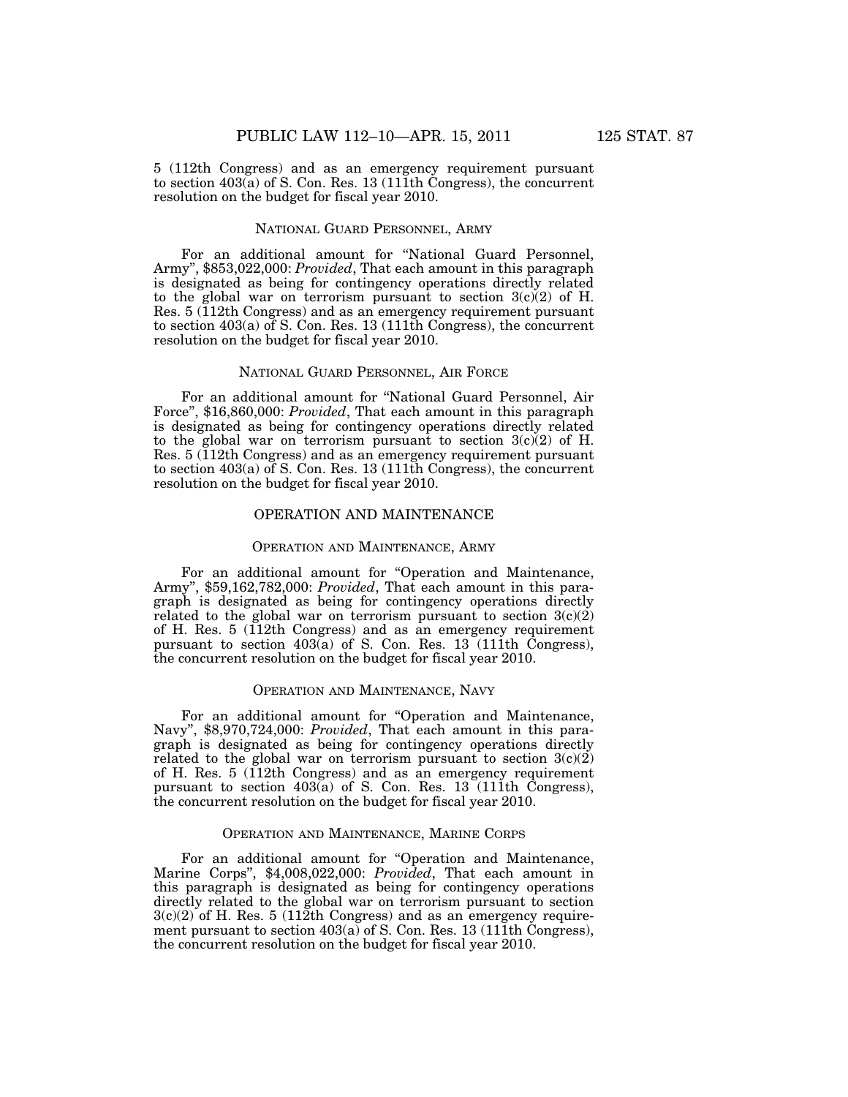5 (112th Congress) and as an emergency requirement pursuant to section  $403\acute{a}$ ) of S. Con. Res. 13 (111th Congress), the concurrent resolution on the budget for fiscal year 2010.

## NATIONAL GUARD PERSONNEL, ARMY

For an additional amount for ''National Guard Personnel, Army'', \$853,022,000: *Provided*, That each amount in this paragraph is designated as being for contingency operations directly related to the global war on terrorism pursuant to section  $3(c)(2)$  of H. Res. 5 (112th Congress) and as an emergency requirement pursuant to section 403(a) of S. Con. Res. 13 (111th Congress), the concurrent resolution on the budget for fiscal year 2010.

#### NATIONAL GUARD PERSONNEL, AIR FORCE

For an additional amount for ''National Guard Personnel, Air Force'', \$16,860,000: *Provided*, That each amount in this paragraph is designated as being for contingency operations directly related to the global war on terrorism pursuant to section  $3(c)(2)$  of H. Res. 5 (112th Congress) and as an emergency requirement pursuant to section 403(a) of S. Con. Res. 13 (111th Congress), the concurrent resolution on the budget for fiscal year 2010.

### OPERATION AND MAINTENANCE

#### OPERATION AND MAINTENANCE, ARMY

For an additional amount for "Operation and Maintenance, Army'', \$59,162,782,000: *Provided*, That each amount in this paragraph is designated as being for contingency operations directly related to the global war on terrorism pursuant to section  $3(c)(2)$ of H. Res. 5 (112th Congress) and as an emergency requirement pursuant to section  $403(a)$  of S. Con. Res. 13 (111th Congress), the concurrent resolution on the budget for fiscal year 2010.

# OPERATION AND MAINTENANCE, NAVY

For an additional amount for "Operation and Maintenance, Navy'', \$8,970,724,000: *Provided*, That each amount in this paragraph is designated as being for contingency operations directly related to the global war on terrorism pursuant to section  $3(c)(2)$ of H. Res. 5 (112th Congress) and as an emergency requirement pursuant to section  $403\ddot{\text{(a)}}$  of S. Con. Res. 13 (111th Congress), the concurrent resolution on the budget for fiscal year 2010.

#### OPERATION AND MAINTENANCE, MARINE CORPS

For an additional amount for "Operation and Maintenance, Marine Corps'', \$4,008,022,000: *Provided*, That each amount in this paragraph is designated as being for contingency operations directly related to the global war on terrorism pursuant to section 3(c)(2) of H. Res. 5 (112th Congress) and as an emergency requirement pursuant to section  $403(a)$  of S. Con. Res. 13 (111th Congress), the concurrent resolution on the budget for fiscal year 2010.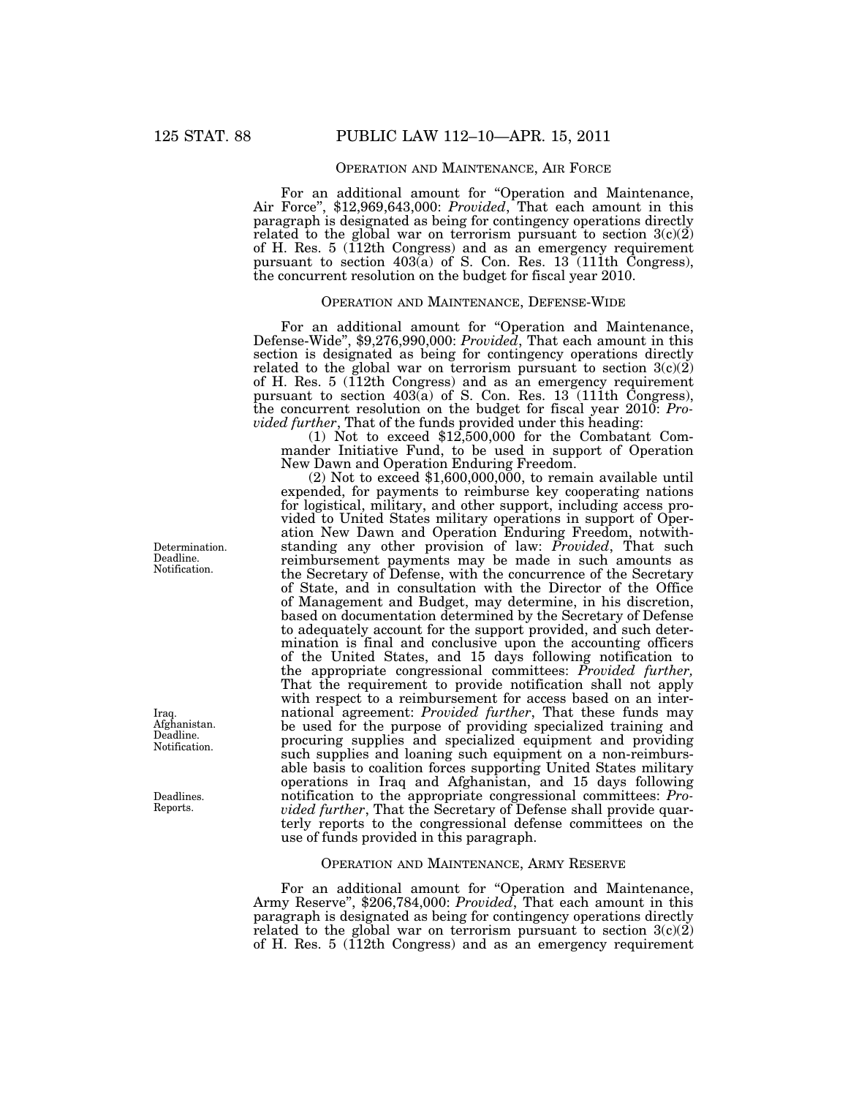## OPERATION AND MAINTENANCE, AIR FORCE

For an additional amount for ''Operation and Maintenance, Air Force'', \$12,969,643,000: *Provided*, That each amount in this paragraph is designated as being for contingency operations directly related to the global war on terrorism pursuant to section  $3(c)(2)$ of H. Res. 5 (112th Congress) and as an emergency requirement pursuant to section 403(a) of S. Con. Res. 13 (111th Congress), the concurrent resolution on the budget for fiscal year 2010.

## OPERATION AND MAINTENANCE, DEFENSE-WIDE

For an additional amount for ''Operation and Maintenance, Defense-Wide'', \$9,276,990,000: *Provided*, That each amount in this section is designated as being for contingency operations directly related to the global war on terrorism pursuant to section  $3(c)(2)$ of H. Res. 5 (112th Congress) and as an emergency requirement pursuant to section 403(a) of S. Con. Res. 13 (111th Congress), the concurrent resolution on the budget for fiscal year 2010: *Provided further*, That of the funds provided under this heading:<br>
(1) Not to exceed \$12,500,000 for the Combatant Com-

mander Initiative Fund, to be used in support of Operation New Dawn and Operation Enduring Freedom.

 $(2)$  Not to exceed \$1,600,000,000, to remain available until expended, for payments to reimburse key cooperating nations for logistical, military, and other support, including access provided to United States military operations in support of Operation New Dawn and Operation Enduring Freedom, notwithstanding any other provision of law: *Provided*, That such reimbursement payments may be made in such amounts as the Secretary of Defense, with the concurrence of the Secretary of State, and in consultation with the Director of the Office of Management and Budget, may determine, in his discretion, based on documentation determined by the Secretary of Defense to adequately account for the support provided, and such determination is final and conclusive upon the accounting officers of the United States, and 15 days following notification to the appropriate congressional committees: *Provided further,*  That the requirement to provide notification shall not apply with respect to a reimbursement for access based on an international agreement: *Provided further*, That these funds may be used for the purpose of providing specialized training and procuring supplies and specialized equipment and providing such supplies and loaning such equipment on a non-reimbursable basis to coalition forces supporting United States military operations in Iraq and Afghanistan, and 15 days following notification to the appropriate congressional committees: *Provided further*, That the Secretary of Defense shall provide quarterly reports to the congressional defense committees on the use of funds provided in this paragraph.

#### OPERATION AND MAINTENANCE, ARMY RESERVE

For an additional amount for "Operation and Maintenance, Army Reserve'', \$206,784,000: *Provided*, That each amount in this paragraph is designated as being for contingency operations directly related to the global war on terrorism pursuant to section  $3(c)(2)$ of H. Res. 5 (112th Congress) and as an emergency requirement

Determination. Deadline. Notification.

Afghanistan. Deadline. Notification.

Iraq.

Deadlines. Reports.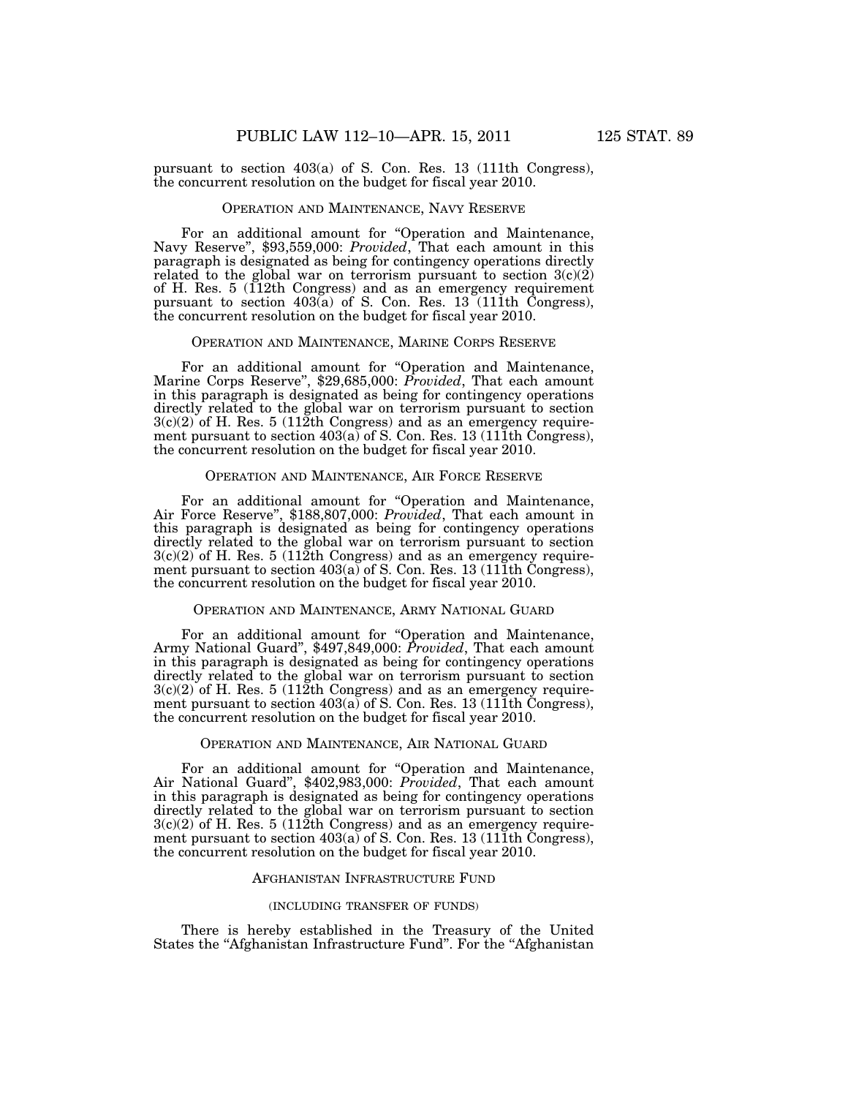pursuant to section 403(a) of S. Con. Res. 13 (111th Congress), the concurrent resolution on the budget for fiscal year 2010.

#### OPERATION AND MAINTENANCE, NAVY RESERVE

For an additional amount for ''Operation and Maintenance, Navy Reserve'', \$93,559,000: *Provided*, That each amount in this paragraph is designated as being for contingency operations directly related to the global war on terrorism pursuant to section  $3(c)(2)$ of H. Res. 5 (112th Congress) and as an emergency requirement pursuant to section  $403(a)$  of S. Con. Res.  $13(111th)$  Congress), the concurrent resolution on the budget for fiscal year 2010.

### OPERATION AND MAINTENANCE, MARINE CORPS RESERVE

For an additional amount for ''Operation and Maintenance, Marine Corps Reserve'', \$29,685,000: *Provided*, That each amount in this paragraph is designated as being for contingency operations directly related to the global war on terrorism pursuant to section  $3(c)(2)$  of H. Res. 5 (112th Congress) and as an emergency requirement pursuant to section  $403(a)$  of S. Con. Res. 13 (111th Congress), the concurrent resolution on the budget for fiscal year 2010.

#### OPERATION AND MAINTENANCE, AIR FORCE RESERVE

For an additional amount for ''Operation and Maintenance, Air Force Reserve'', \$188,807,000: *Provided*, That each amount in this paragraph is designated as being for contingency operations directly related to the global war on terrorism pursuant to section  $3(c)(2)$  of H. Res. 5 (112th Congress) and as an emergency requirement pursuant to section  $403(a)$  of S. Con. Res. 13 (111th Congress), the concurrent resolution on the budget for fiscal year 2010.

### OPERATION AND MAINTENANCE, ARMY NATIONAL GUARD

For an additional amount for ''Operation and Maintenance, Army National Guard'', \$497,849,000: *Provided*, That each amount in this paragraph is designated as being for contingency operations directly related to the global war on terrorism pursuant to section  $3(c)(2)$  of H. Res. 5 (112th Congress) and as an emergency requirement pursuant to section  $403(a)$  of S. Con. Res. 13 (111th Congress), the concurrent resolution on the budget for fiscal year 2010.

### OPERATION AND MAINTENANCE, AIR NATIONAL GUARD

For an additional amount for ''Operation and Maintenance, Air National Guard'', \$402,983,000: *Provided*, That each amount in this paragraph is designated as being for contingency operations directly related to the global war on terrorism pursuant to section  $3(c)(2)$  of H. Res. 5 (112th Congress) and as an emergency requirement pursuant to section 403(a) of S. Con. Res. 13 (111th Congress), the concurrent resolution on the budget for fiscal year 2010.

#### AFGHANISTAN INFRASTRUCTURE FUND

#### (INCLUDING TRANSFER OF FUNDS)

There is hereby established in the Treasury of the United States the "Afghanistan Infrastructure Fund". For the "Afghanistan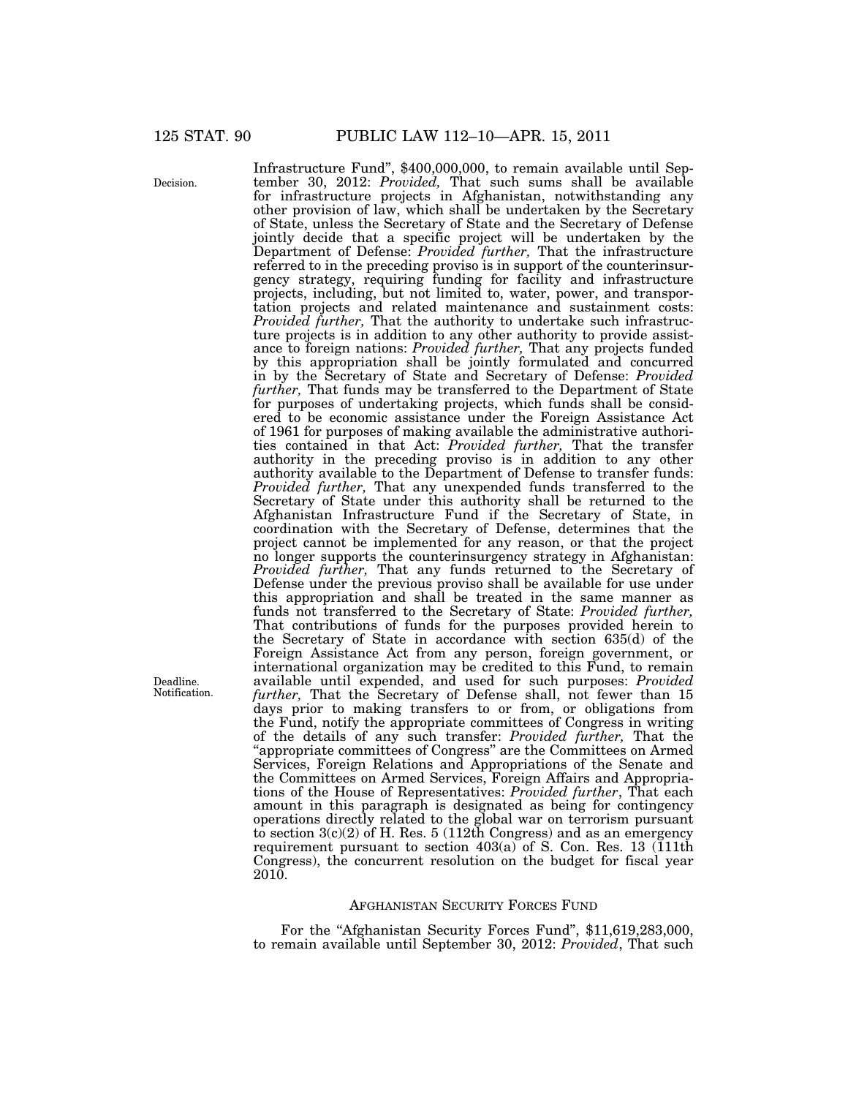Decision.

Infrastructure Fund'', \$400,000,000, to remain available until September 30, 2012: *Provided,* That such sums shall be available for infrastructure projects in Afghanistan, notwithstanding any other provision of law, which shall be undertaken by the Secretary of State, unless the Secretary of State and the Secretary of Defense jointly decide that a specific project will be undertaken by the Department of Defense: *Provided further,* That the infrastructure referred to in the preceding proviso is in support of the counterinsurgency strategy, requiring funding for facility and infrastructure projects, including, but not limited to, water, power, and transportation projects and related maintenance and sustainment costs: *Provided further,* That the authority to undertake such infrastructure projects is in addition to any other authority to provide assistance to foreign nations: *Provided further,* That any projects funded by this appropriation shall be jointly formulated and concurred in by the Secretary of State and Secretary of Defense: *Provided further,* That funds may be transferred to the Department of State for purposes of undertaking projects, which funds shall be considered to be economic assistance under the Foreign Assistance Act of 1961 for purposes of making available the administrative authorities contained in that Act: *Provided further,* That the transfer authority in the preceding proviso is in addition to any other authority available to the Department of Defense to transfer funds: *Provided further,* That any unexpended funds transferred to the Secretary of State under this authority shall be returned to the Afghanistan Infrastructure Fund if the Secretary of State, in coordination with the Secretary of Defense, determines that the project cannot be implemented for any reason, or that the project no longer supports the counterinsurgency strategy in Afghanistan: *Provided further,* That any funds returned to the Secretary of Defense under the previous proviso shall be available for use under this appropriation and shall be treated in the same manner as funds not transferred to the Secretary of State: *Provided further,*  That contributions of funds for the purposes provided herein to the Secretary of State in accordance with section 635(d) of the Foreign Assistance Act from any person, foreign government, or international organization may be credited to this Fund, to remain available until expended, and used for such purposes: *Provided further,* That the Secretary of Defense shall, not fewer than 15 days prior to making transfers to or from, or obligations from the Fund, notify the appropriate committees of Congress in writing of the details of any such transfer: *Provided further,* That the ''appropriate committees of Congress'' are the Committees on Armed Services, Foreign Relations and Appropriations of the Senate and the Committees on Armed Services, Foreign Affairs and Appropriations of the House of Representatives: *Provided further*, That each amount in this paragraph is designated as being for contingency operations directly related to the global war on terrorism pursuant to section  $3(c)(2)$  of H. Res. 5 (112th Congress) and as an emergency requirement pursuant to section  $403(a)$  of S. Con. Res. 13 (111th Congress), the concurrent resolution on the budget for fiscal year  $2010$ .

### AFGHANISTAN SECURITY FORCES FUND

For the "Afghanistan Security Forces Fund", \$11,619,283,000, to remain available until September 30, 2012: *Provided*, That such

Deadline. Notification.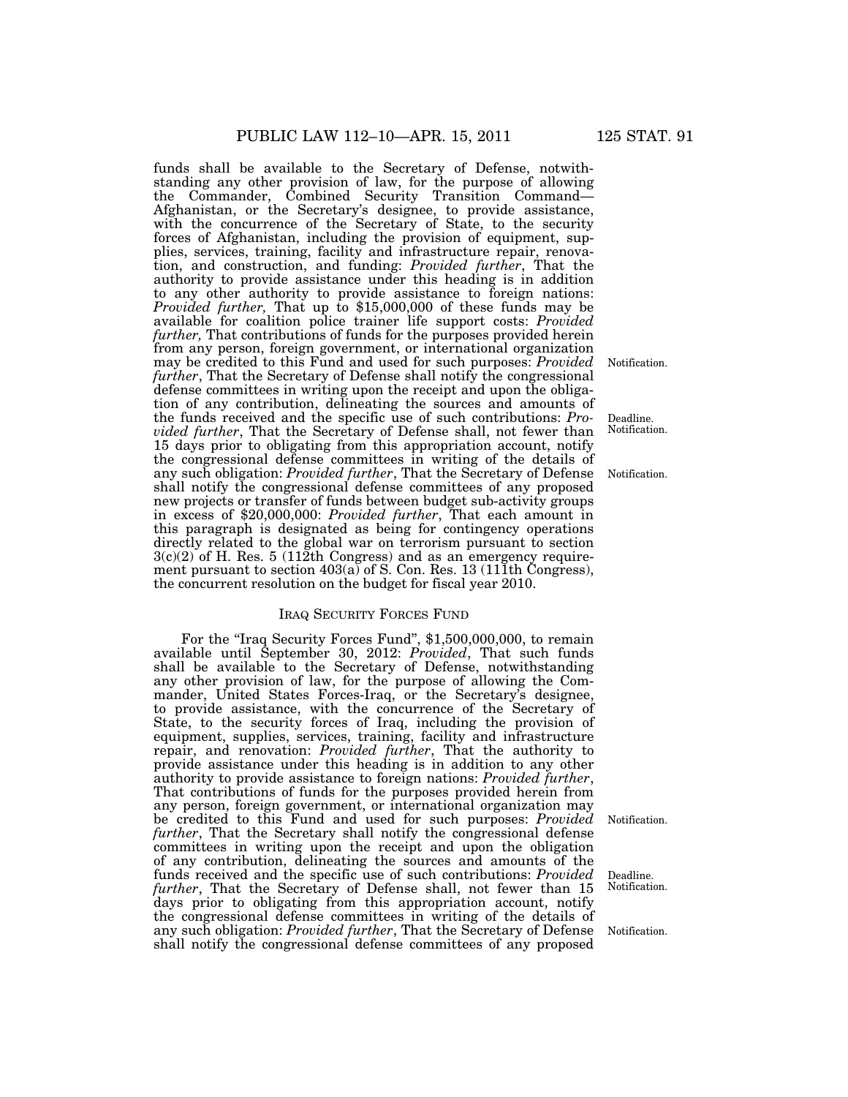funds shall be available to the Secretary of Defense, notwithstanding any other provision of law, for the purpose of allowing the Commander, Combined Security Transition Command— Afghanistan, or the Secretary's designee, to provide assistance, with the concurrence of the Secretary of State, to the security forces of Afghanistan, including the provision of equipment, supplies, services, training, facility and infrastructure repair, renovation, and construction, and funding: *Provided further*, That the authority to provide assistance under this heading is in addition to any other authority to provide assistance to foreign nations: *Provided further*, That up to \$15,000,000 of these funds may be available for coalition police trainer life support costs: *Provided further,* That contributions of funds for the purposes provided herein from any person, foreign government, or international organization may be credited to this Fund and used for such purposes: *Provided further*, That the Secretary of Defense shall notify the congressional defense committees in writing upon the receipt and upon the obligation of any contribution, delineating the sources and amounts of the funds received and the specific use of such contributions: *Provided further*, That the Secretary of Defense shall, not fewer than 15 days prior to obligating from this appropriation account, notify the congressional defense committees in writing of the details of any such obligation: *Provided further*, That the Secretary of Defense shall notify the congressional defense committees of any proposed new projects or transfer of funds between budget sub-activity groups in excess of \$20,000,000: *Provided further*, That each amount in this paragraph is designated as being for contingency operations directly related to the global war on terrorism pursuant to section  $3(c)(2)$  of H. Res.  $5(112th$  Congress) and as an emergency requirement pursuant to section  $403(a)$  of S. Con. Res. 13 (111th Congress), the concurrent resolution on the budget for fiscal year 2010.

#### IRAQ SECURITY FORCES FUND

For the "Iraq Security Forces Fund", \$1,500,000,000, to remain available until September 30, 2012: *Provided*, That such funds shall be available to the Secretary of Defense, notwithstanding any other provision of law, for the purpose of allowing the Commander, United States Forces-Iraq, or the Secretary's designee, to provide assistance, with the concurrence of the Secretary of State, to the security forces of Iraq, including the provision of equipment, supplies, services, training, facility and infrastructure repair, and renovation: *Provided further*, That the authority to provide assistance under this heading is in addition to any other authority to provide assistance to foreign nations: *Provided further*, That contributions of funds for the purposes provided herein from any person, foreign government, or international organization may be credited to this Fund and used for such purposes: *Provided further*, That the Secretary shall notify the congressional defense committees in writing upon the receipt and upon the obligation of any contribution, delineating the sources and amounts of the funds received and the specific use of such contributions: *Provided further*, That the Secretary of Defense shall, not fewer than 15 days prior to obligating from this appropriation account, notify the congressional defense committees in writing of the details of any such obligation: *Provided further*, That the Secretary of Defense shall notify the congressional defense committees of any proposed

Notification.

Deadline. Notification.

Notification.

Notification.

Deadline. Notification.

Notification.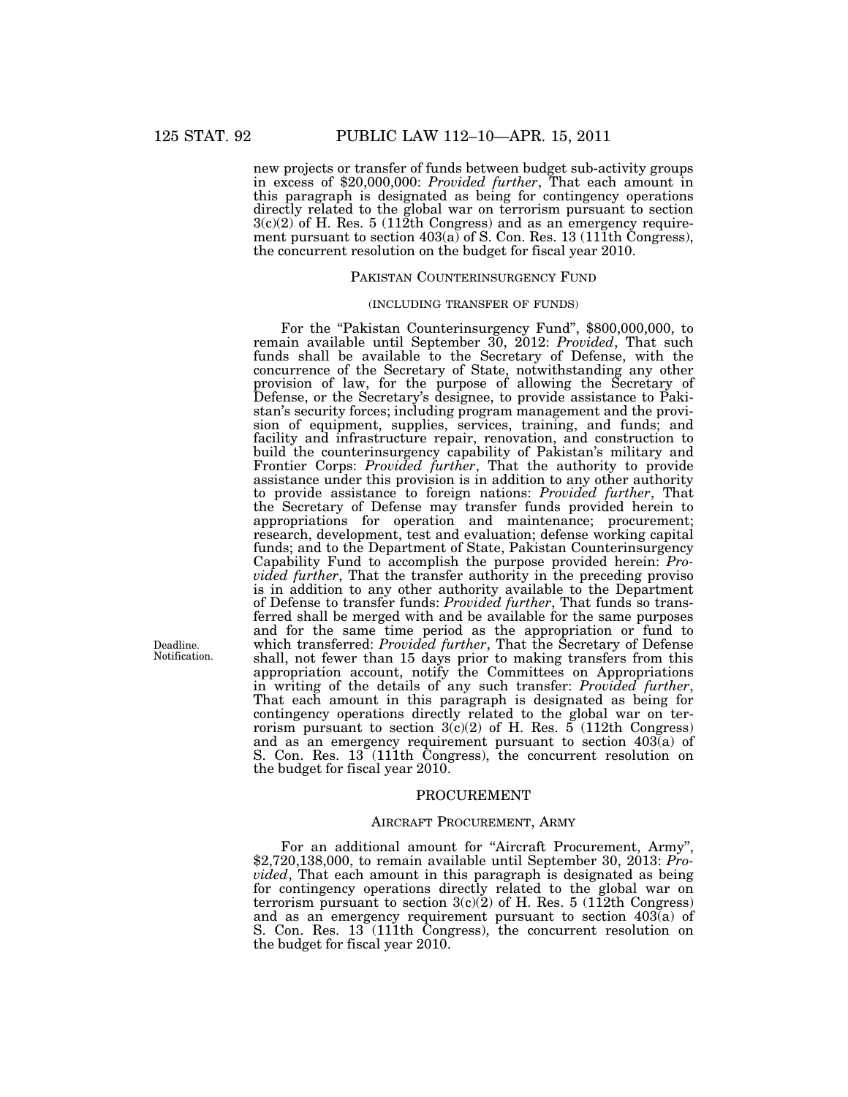new projects or transfer of funds between budget sub-activity groups in excess of \$20,000,000: *Provided further*, That each amount in this paragraph is designated as being for contingency operations directly related to the global war on terrorism pursuant to section  $3(c)(2)$  of H. Res. 5 (112th Congress) and as an emergency requirement pursuant to section 403(a) of S. Con. Res. 13 (111th Congress), the concurrent resolution on the budget for fiscal year 2010.

### PAKISTAN COUNTERINSURGENCY FUND

# (INCLUDING TRANSFER OF FUNDS)

For the "Pakistan Counterinsurgency Fund", \$800,000,000, to remain available until September 30, 2012: *Provided*, That such funds shall be available to the Secretary of Defense, with the concurrence of the Secretary of State, notwithstanding any other provision of law, for the purpose of allowing the Secretary of Defense, or the Secretary's designee, to provide assistance to Pakistan's security forces; including program management and the provision of equipment, supplies, services, training, and funds; and facility and infrastructure repair, renovation, and construction to build the counterinsurgency capability of Pakistan's military and Frontier Corps: *Provided further*, That the authority to provide assistance under this provision is in addition to any other authority to provide assistance to foreign nations: *Provided further*, That the Secretary of Defense may transfer funds provided herein to appropriations for operation and maintenance; procurement; research, development, test and evaluation; defense working capital funds; and to the Department of State, Pakistan Counterinsurgency Capability Fund to accomplish the purpose provided herein: *Provided further*, That the transfer authority in the preceding proviso is in addition to any other authority available to the Department of Defense to transfer funds: *Provided further*, That funds so transferred shall be merged with and be available for the same purposes and for the same time period as the appropriation or fund to which transferred: *Provided further*, That the Secretary of Defense shall, not fewer than 15 days prior to making transfers from this appropriation account, notify the Committees on Appropriations in writing of the details of any such transfer: *Provided further*, That each amount in this paragraph is designated as being for contingency operations directly related to the global war on terrorism pursuant to section  $3(c)(2)$  of H. Res. 5 (112th Congress) and as an emergency requirement pursuant to section 403(a) of S. Con. Res. 13 (111th Congress), the concurrent resolution on the budget for fiscal year 2010.

#### PROCUREMENT

#### AIRCRAFT PROCUREMENT, ARMY

For an additional amount for "Aircraft Procurement, Army", \$2,720,138,000, to remain available until September 30, 2013: *Provided*, That each amount in this paragraph is designated as being for contingency operations directly related to the global war on terrorism pursuant to section  $3(c)(2)$  of H. Res. 5 (112th Congress) and as an emergency requirement pursuant to section 403(a) of S. Con. Res. 13 (111th Congress), the concurrent resolution on the budget for fiscal year 2010.

Deadline. Notification.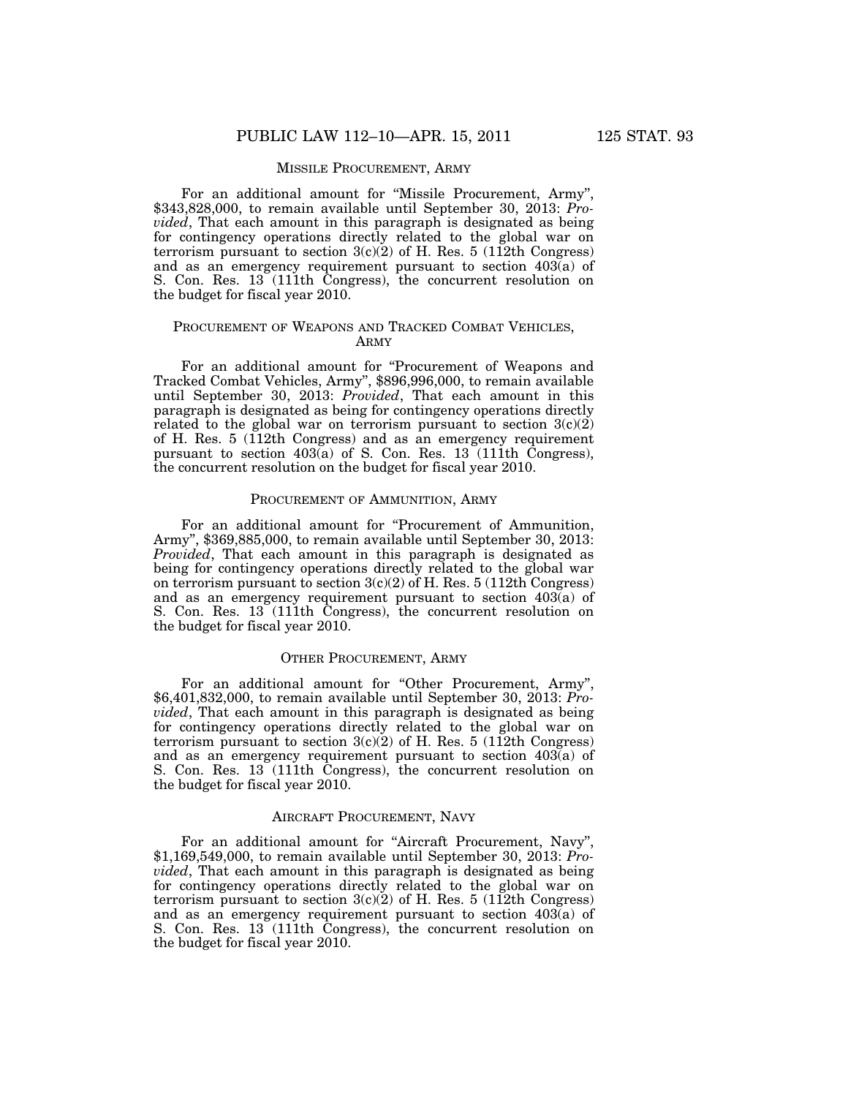### MISSILE PROCUREMENT, ARMY

For an additional amount for "Missile Procurement, Army", \$343,828,000, to remain available until September 30, 2013: *Provided*, That each amount in this paragraph is designated as being for contingency operations directly related to the global war on terrorism pursuant to section  $3(c)(2)$  of H. Res. 5 (112th Congress) and as an emergency requirement pursuant to section 403(a) of S. Con. Res. 13 (111th Congress), the concurrent resolution on the budget for fiscal year 2010.

## PROCUREMENT OF WEAPONS AND TRACKED COMBAT VEHICLES, ARMY

For an additional amount for "Procurement of Weapons and Tracked Combat Vehicles, Army'', \$896,996,000, to remain available until September 30, 2013: *Provided*, That each amount in this paragraph is designated as being for contingency operations directly related to the global war on terrorism pursuant to section  $3(c)(2)$ of H. Res. 5 (112th Congress) and as an emergency requirement pursuant to section  $403(a)$  of S. Con. Res. 13 (111th Congress), the concurrent resolution on the budget for fiscal year 2010.

### PROCUREMENT OF AMMUNITION, ARMY

For an additional amount for "Procurement of Ammunition, Army'', \$369,885,000, to remain available until September 30, 2013: *Provided*, That each amount in this paragraph is designated as being for contingency operations directly related to the global war on terrorism pursuant to section 3(c)(2) of H. Res. 5 (112th Congress) and as an emergency requirement pursuant to section  $403(a)$  of S. Con. Res. 13<sup>(111th Congress)</sup>, the concurrent resolution on the budget for fiscal year 2010.

#### OTHER PROCUREMENT, ARMY

For an additional amount for "Other Procurement, Army", \$6,401,832,000, to remain available until September 30, 2013: *Provided*, That each amount in this paragraph is designated as being for contingency operations directly related to the global war on terrorism pursuant to section  $3(c)(2)$  of H. Res. 5 (112th Congress) and as an emergency requirement pursuant to section 403(a) of S. Con. Res. 13 (111th Congress), the concurrent resolution on the budget for fiscal year 2010.

## AIRCRAFT PROCUREMENT, NAVY

For an additional amount for "Aircraft Procurement, Navy", \$1,169,549,000, to remain available until September 30, 2013: *Provided*, That each amount in this paragraph is designated as being for contingency operations directly related to the global war on terrorism pursuant to section  $3(c)(2)$  of H. Res. 5 (112th Congress) and as an emergency requirement pursuant to section 403(a) of S. Con. Res. 13 (111th Congress), the concurrent resolution on the budget for fiscal year 2010.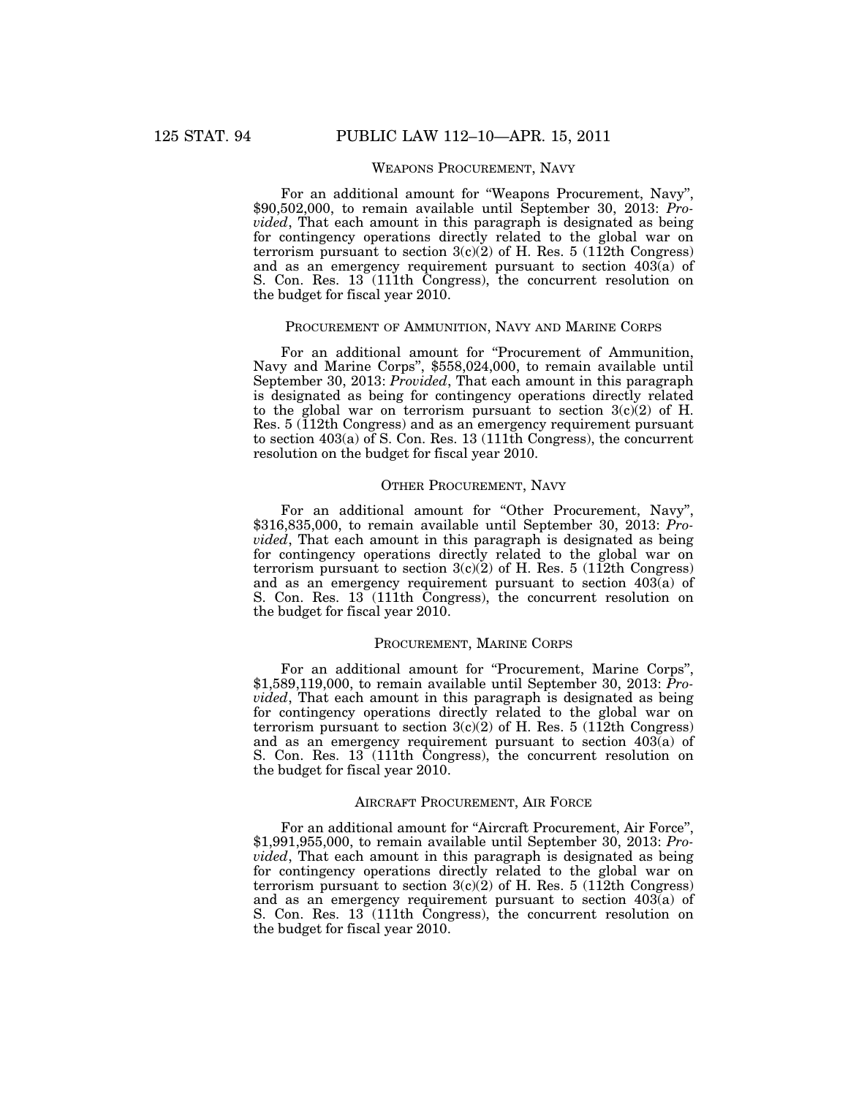# WEAPONS PROCUREMENT, NAVY

For an additional amount for ''Weapons Procurement, Navy'', \$90,502,000, to remain available until September 30, 2013: *Provided*, That each amount in this paragraph is designated as being for contingency operations directly related to the global war on terrorism pursuant to section  $3(c)(2)$  of H. Res. 5 (112th Congress) and as an emergency requirement pursuant to section 403(a) of S. Con. Res. 13 (111th Congress), the concurrent resolution on the budget for fiscal year 2010.

## PROCUREMENT OF AMMUNITION, NAVY AND MARINE CORPS

For an additional amount for "Procurement of Ammunition, Navy and Marine Corps'', \$558,024,000, to remain available until September 30, 2013: *Provided*, That each amount in this paragraph is designated as being for contingency operations directly related to the global war on terrorism pursuant to section  $3(c)$  of H. Res. 5 (112th Congress) and as an emergency requirement pursuant to section 403(a) of S. Con. Res. 13 (111th Congress), the concurrent resolution on the budget for fiscal year 2010.

#### OTHER PROCUREMENT, NAVY

For an additional amount for "Other Procurement, Navy", \$316,835,000, to remain available until September 30, 2013: *Provided*, That each amount in this paragraph is designated as being for contingency operations directly related to the global war on terrorism pursuant to section  $3(c)(2)$  of H. Res. 5 (112th Congress) and as an emergency requirement pursuant to section 403(a) of S. Con. Res. 13 (111th Congress), the concurrent resolution on the budget for fiscal year 2010.

### PROCUREMENT, MARINE CORPS

For an additional amount for "Procurement, Marine Corps", \$1,589,119,000, to remain available until September 30, 2013: *Provided*, That each amount in this paragraph is designated as being for contingency operations directly related to the global war on terrorism pursuant to section  $3(c)(2)$  of H. Res. 5 (112th Congress) and as an emergency requirement pursuant to section 403(a) of S. Con. Res. 13 (111th Congress), the concurrent resolution on the budget for fiscal year 2010.

### AIRCRAFT PROCUREMENT, AIR FORCE

For an additional amount for "Aircraft Procurement, Air Force", \$1,991,955,000, to remain available until September 30, 2013: *Provided*, That each amount in this paragraph is designated as being for contingency operations directly related to the global war on terrorism pursuant to section  $3(c)(2)$  of H. Res. 5 (112th Congress) and as an emergency requirement pursuant to section 403(a) of S. Con. Res. 13 (111th Congress), the concurrent resolution on the budget for fiscal year 2010.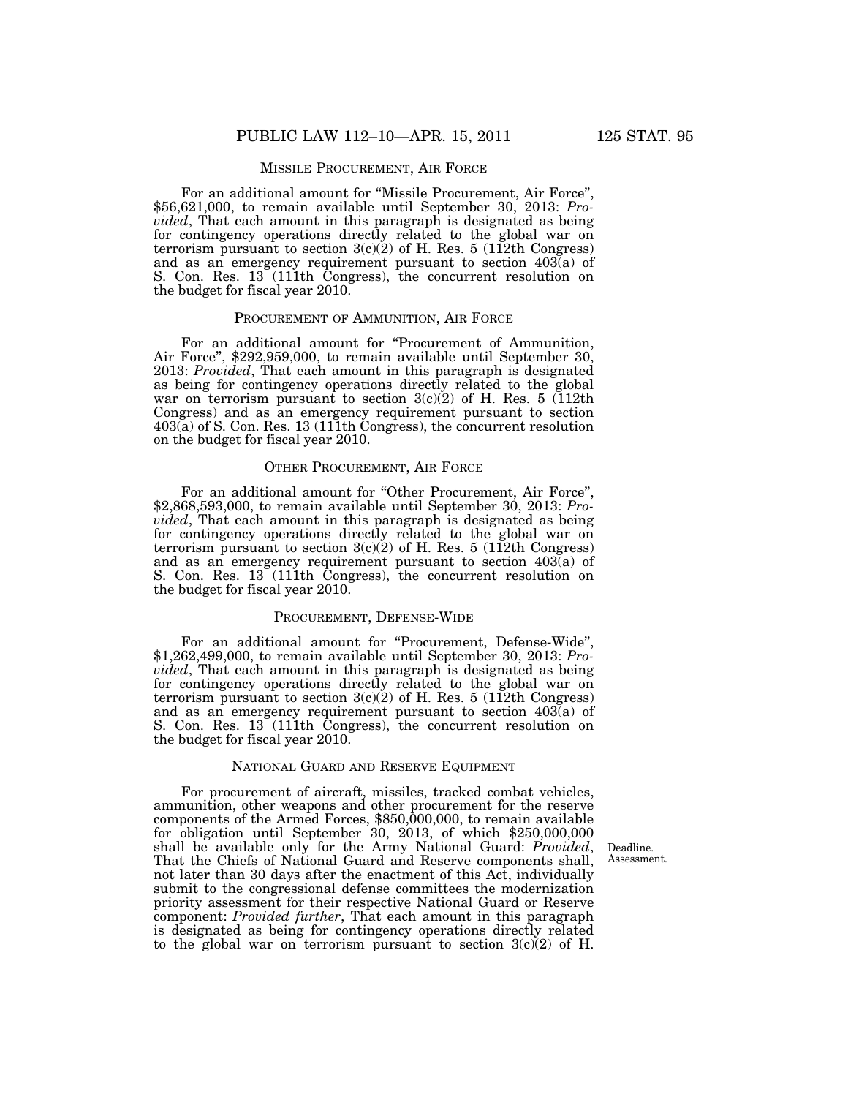For an additional amount for "Missile Procurement, Air Force", \$56,621,000, to remain available until September 30, 2013: *Provided*, That each amount in this paragraph is designated as being for contingency operations directly related to the global war on terrorism pursuant to section  $3(c)(2)$  of H. Res. 5 (112th Congress) and as an emergency requirement pursuant to section  $403(a)$  of S. Con. Res. 13 (111th Congress), the concurrent resolution on the budget for fiscal year 2010.

## PROCUREMENT OF AMMUNITION, AIR FORCE

For an additional amount for "Procurement of Ammunition, Air Force'', \$292,959,000, to remain available until September 30, 2013: *Provided*, That each amount in this paragraph is designated as being for contingency operations directly related to the global war on terrorism pursuant to section  $3(c)(2)$  of H. Res. 5 (112th Congress) and as an emergency requirement pursuant to section 403(a) of S. Con. Res. 13 (111th Congress), the concurrent resolution on the budget for fiscal year 2010.

#### OTHER PROCUREMENT, AIR FORCE

For an additional amount for "Other Procurement, Air Force", \$2,868,593,000, to remain available until September 30, 2013: *Provided*, That each amount in this paragraph is designated as being for contingency operations directly related to the global war on terrorism pursuant to section  $3(c)(2)$  of H. Res. 5 (112th Congress) and as an emergency requirement pursuant to section 403(a) of S. Con. Res. 13<sup>7</sup>(111th Congress), the concurrent resolution on the budget for fiscal year 2010.

### PROCUREMENT, DEFENSE-WIDE

For an additional amount for "Procurement, Defense-Wide", \$1,262,499,000, to remain available until September 30, 2013: *Provided*, That each amount in this paragraph is designated as being for contingency operations directly related to the global war on terrorism pursuant to section  $3(c)(2)$  of H. Res. 5 (112th Congress) and as an emergency requirement pursuant to section 403(a) of S. Con. Res. 13 (111th Congress), the concurrent resolution on the budget for fiscal year 2010.

#### NATIONAL GUARD AND RESERVE EQUIPMENT

For procurement of aircraft, missiles, tracked combat vehicles, ammunition, other weapons and other procurement for the reserve components of the Armed Forces, \$850,000,000, to remain available for obligation until September 30, 2013, of which \$250,000,000 shall be available only for the Army National Guard: *Provided*, That the Chiefs of National Guard and Reserve components shall, not later than 30 days after the enactment of this Act, individually submit to the congressional defense committees the modernization priority assessment for their respective National Guard or Reserve component: *Provided further*, That each amount in this paragraph is designated as being for contingency operations directly related to the global war on terrorism pursuant to section  $3(c)(2)$  of H.

Deadline. Assessment.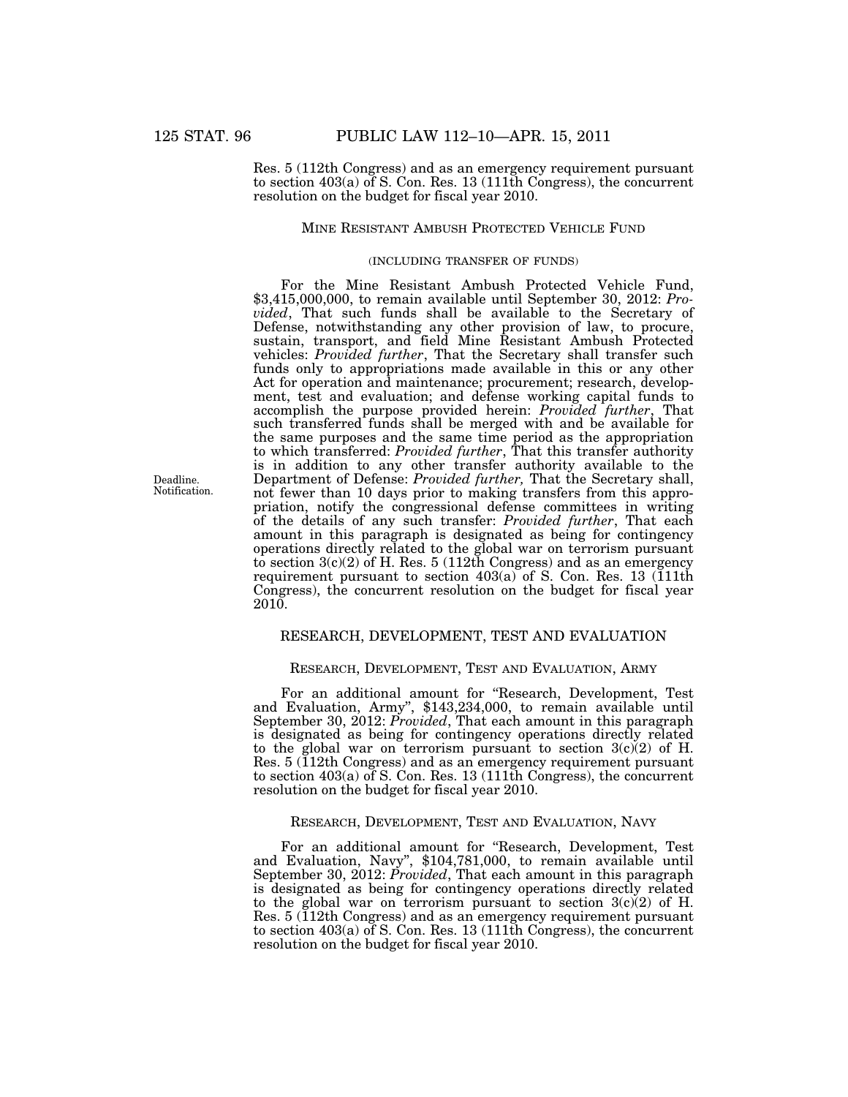Res. 5 (112th Congress) and as an emergency requirement pursuant to section 403(a) of S. Con. Res. 13 (111th Congress), the concurrent resolution on the budget for fiscal year 2010.

## MINE RESISTANT AMBUSH PROTECTED VEHICLE FUND

## (INCLUDING TRANSFER OF FUNDS)

For the Mine Resistant Ambush Protected Vehicle Fund, \$3,415,000,000, to remain available until September 30, 2012: *Provided*, That such funds shall be available to the Secretary of Defense, notwithstanding any other provision of law, to procure, sustain, transport, and field Mine Resistant Ambush Protected vehicles: *Provided further*, That the Secretary shall transfer such funds only to appropriations made available in this or any other Act for operation and maintenance; procurement; research, development, test and evaluation; and defense working capital funds to accomplish the purpose provided herein: *Provided further*, That such transferred funds shall be merged with and be available for the same purposes and the same time period as the appropriation to which transferred: *Provided further*, That this transfer authority is in addition to any other transfer authority available to the Department of Defense: *Provided further,* That the Secretary shall, not fewer than 10 days prior to making transfers from this appropriation, notify the congressional defense committees in writing of the details of any such transfer: *Provided further*, That each amount in this paragraph is designated as being for contingency operations directly related to the global war on terrorism pursuant to section 3(c)(2) of H. Res. 5 (112th Congress) and as an emergency requirement pursuant to section  $403(a)$  of S. Con. Res. 13 (111th Congress), the concurrent resolution on the budget for fiscal year 2010.

### RESEARCH, DEVELOPMENT, TEST AND EVALUATION

#### RESEARCH, DEVELOPMENT, TEST AND EVALUATION, ARMY

For an additional amount for ''Research, Development, Test and Evaluation, Army'', \$143,234,000, to remain available until September 30, 2012: *Provided*, That each amount in this paragraph is designated as being for contingency operations directly related to the global war on terrorism pursuant to section  $3(c)(2)$  of H. Res. 5 (112th Congress) and as an emergency requirement pursuant to section 403(a) of S. Con. Res. 13 (111th Congress), the concurrent resolution on the budget for fiscal year 2010.

### RESEARCH, DEVELOPMENT, TEST AND EVALUATION, NAVY

For an additional amount for ''Research, Development, Test and Evaluation, Navy'', \$104,781,000, to remain available until September 30, 2012: *Provided*, That each amount in this paragraph is designated as being for contingency operations directly related to the global war on terrorism pursuant to section  $3(c)(2)$  of H. Res. 5 (112th Congress) and as an emergency requirement pursuant to section 403(a) of S. Con. Res. 13 (111th Congress), the concurrent resolution on the budget for fiscal year 2010.

Deadline. Notification.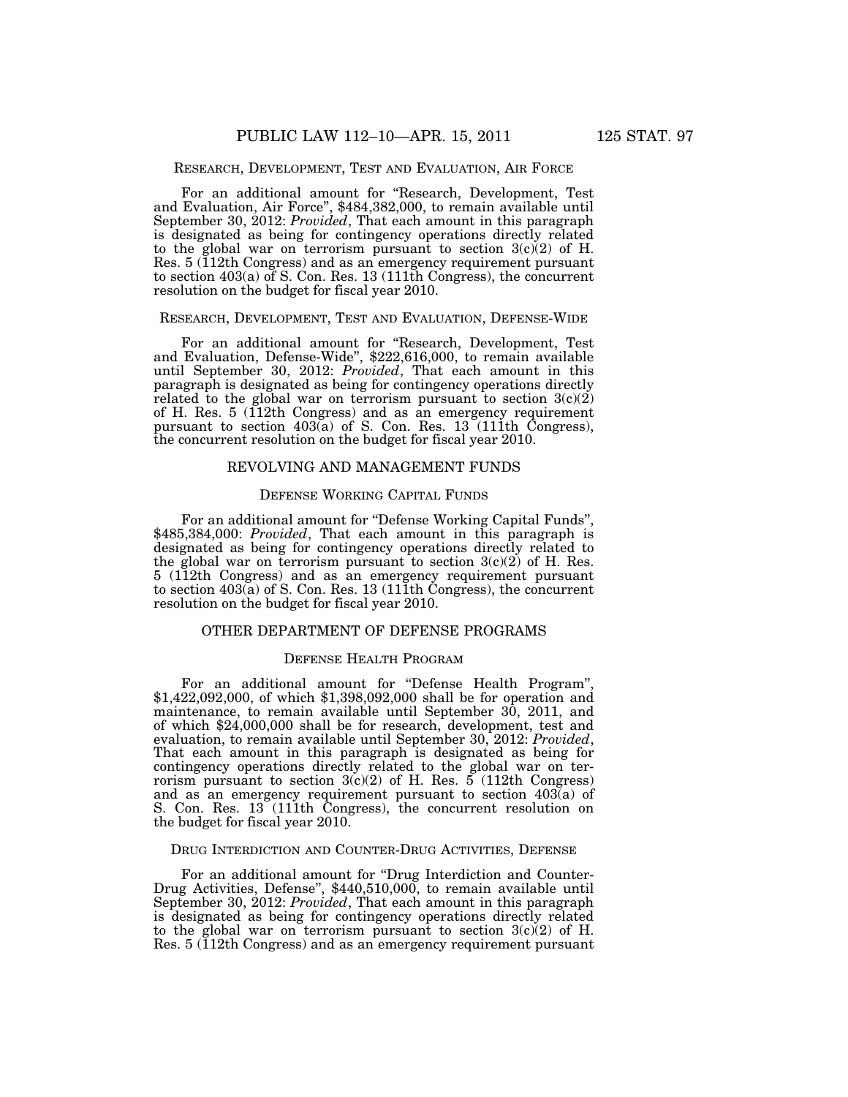### RESEARCH, DEVELOPMENT, TEST AND EVALUATION, AIR FORCE

For an additional amount for ''Research, Development, Test and Evaluation, Air Force'', \$484,382,000, to remain available until September 30, 2012: *Provided*, That each amount in this paragraph is designated as being for contingency operations directly related to the global war on terrorism pursuant to section  $3(c)(2)$  of H. Res. 5 (112th Congress) and as an emergency requirement pursuant to section 403(a) of S. Con. Res. 13 (111th Congress), the concurrent resolution on the budget for fiscal year 2010.

## RESEARCH, DEVELOPMENT, TEST AND EVALUATION, DEFENSE-WIDE

For an additional amount for ''Research, Development, Test and Evaluation, Defense-Wide'', \$222,616,000, to remain available until September 30, 2012: *Provided*, That each amount in this paragraph is designated as being for contingency operations directly related to the global war on terrorism pursuant to section  $3(c)(2)$ of H. Res. 5 (112th Congress) and as an emergency requirement pursuant to section 403(a) of S. Con. Res. 13 (111th Congress), the concurrent resolution on the budget for fiscal year 2010.

#### REVOLVING AND MANAGEMENT FUNDS

# DEFENSE WORKING CAPITAL FUNDS

For an additional amount for ''Defense Working Capital Funds'', \$485,384,000: *Provided*, That each amount in this paragraph is designated as being for contingency operations directly related to the global war on terrorism pursuant to section  $3(c)(2)$  of H. Res. 5 (112th Congress) and as an emergency requirement pursuant to section 403(a) of S. Con. Res. 13 (111th Congress), the concurrent resolution on the budget for fiscal year 2010.

## OTHER DEPARTMENT OF DEFENSE PROGRAMS

#### DEFENSE HEALTH PROGRAM

For an additional amount for "Defense Health Program", \$1,422,092,000, of which \$1,398,092,000 shall be for operation and maintenance, to remain available until September 30, 2011, and of which \$24,000,000 shall be for research, development, test and evaluation, to remain available until September 30, 2012: *Provided*, That each amount in this paragraph is designated as being for contingency operations directly related to the global war on terrorism pursuant to section  $3(c)(2)$  of H. Res. 5 (112th Congress) and as an emergency requirement pursuant to section  $403\bar{a}$  of S. Con. Res. 13 (111th Congress), the concurrent resolution on the budget for fiscal year 2010.

#### DRUG INTERDICTION AND COUNTER-DRUG ACTIVITIES, DEFENSE

For an additional amount for ''Drug Interdiction and Counter-Drug Activities, Defense'', \$440,510,000, to remain available until September 30, 2012: *Provided*, That each amount in this paragraph is designated as being for contingency operations directly related to the global war on terrorism pursuant to section  $3(c)(2)$  of H. Res. 5 (112th Congress) and as an emergency requirement pursuant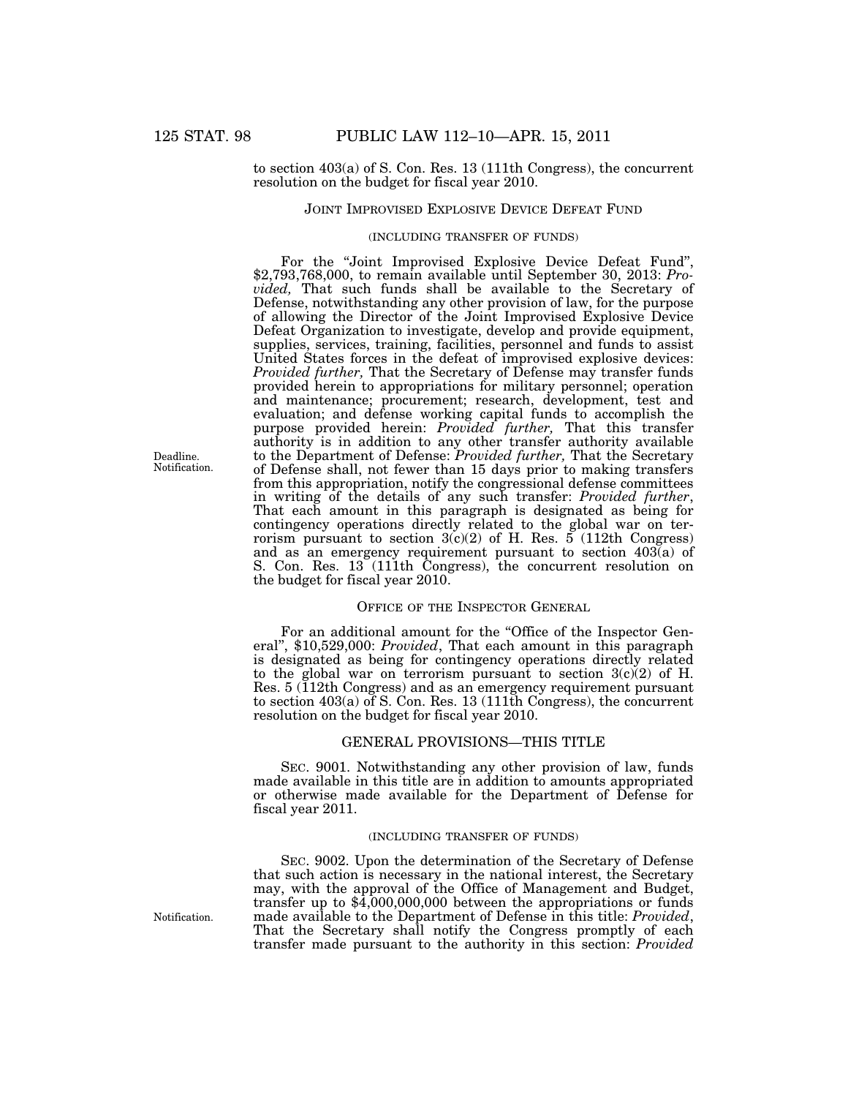# to section 403(a) of S. Con. Res. 13 (111th Congress), the concurrent resolution on the budget for fiscal year 2010.

## JOINT IMPROVISED EXPLOSIVE DEVICE DEFEAT FUND

## (INCLUDING TRANSFER OF FUNDS)

For the ''Joint Improvised Explosive Device Defeat Fund'', \$2,793,768,000, to remain available until September 30, 2013: *Provided,* That such funds shall be available to the Secretary of Defense, notwithstanding any other provision of law, for the purpose of allowing the Director of the Joint Improvised Explosive Device Defeat Organization to investigate, develop and provide equipment, supplies, services, training, facilities, personnel and funds to assist United States forces in the defeat of improvised explosive devices: *Provided further,* That the Secretary of Defense may transfer funds provided herein to appropriations for military personnel; operation and maintenance; procurement; research, development, test and evaluation; and defense working capital funds to accomplish the purpose provided herein: *Provided further,* That this transfer authority is in addition to any other transfer authority available to the Department of Defense: *Provided further,* That the Secretary of Defense shall, not fewer than 15 days prior to making transfers from this appropriation, notify the congressional defense committees in writing of the details of any such transfer: *Provided further*, That each amount in this paragraph is designated as being for contingency operations directly related to the global war on terrorism pursuant to section  $3(c)(2)$  of H. Res. 5 (112th Congress) and as an emergency requirement pursuant to section  $403\vec{a}$  of S. Con. Res. 13 (111th Congress), the concurrent resolution on the budget for fiscal year 2010.

#### OFFICE OF THE INSPECTOR GENERAL

For an additional amount for the "Office of the Inspector General'', \$10,529,000: *Provided*, That each amount in this paragraph is designated as being for contingency operations directly related to the global war on terrorism pursuant to section  $3(c)(2)$  of H. Res. 5 (112th Congress) and as an emergency requirement pursuant to section 403(a) of S. Con. Res. 13 (111th Congress), the concurrent resolution on the budget for fiscal year 2010.

#### GENERAL PROVISIONS—THIS TITLE

SEC. 9001. Notwithstanding any other provision of law, funds made available in this title are in addition to amounts appropriated or otherwise made available for the Department of Defense for fiscal year 2011.

#### (INCLUDING TRANSFER OF FUNDS)

SEC. 9002. Upon the determination of the Secretary of Defense that such action is necessary in the national interest, the Secretary may, with the approval of the Office of Management and Budget, transfer up to \$4,000,000,000 between the appropriations or funds made available to the Department of Defense in this title: *Provided*, That the Secretary shall notify the Congress promptly of each transfer made pursuant to the authority in this section: *Provided* 

Deadline. Notification.

Notification.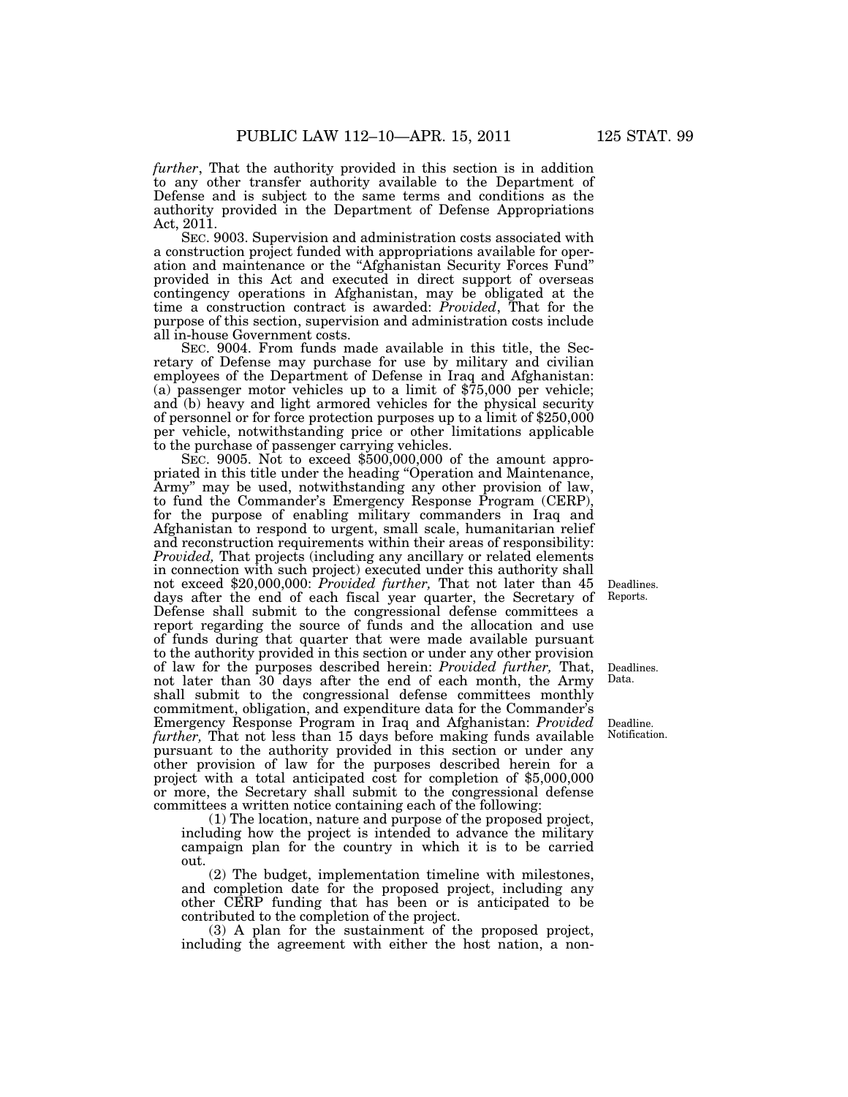*further*, That the authority provided in this section is in addition to any other transfer authority available to the Department of Defense and is subject to the same terms and conditions as the authority provided in the Department of Defense Appropriations Act, 2011.

SEC. 9003. Supervision and administration costs associated with a construction project funded with appropriations available for operation and maintenance or the ''Afghanistan Security Forces Fund'' provided in this Act and executed in direct support of overseas contingency operations in Afghanistan, may be obligated at the time a construction contract is awarded: *Provided*, That for the purpose of this section, supervision and administration costs include all in-house Government costs.

SEC. 9004. From funds made available in this title, the Secretary of Defense may purchase for use by military and civilian employees of the Department of Defense in Iraq and Afghanistan: (a) passenger motor vehicles up to a limit of \$75,000 per vehicle; and (b) heavy and light armored vehicles for the physical security of personnel or for force protection purposes up to a limit of \$250,000 per vehicle, notwithstanding price or other limitations applicable to the purchase of passenger carrying vehicles.

SEC. 9005. Not to exceed \$500,000,000 of the amount appropriated in this title under the heading ''Operation and Maintenance, Army" may be used, notwithstanding any other provision of law, to fund the Commander's Emergency Response Program (CERP), for the purpose of enabling military commanders in Iraq and Afghanistan to respond to urgent, small scale, humanitarian relief and reconstruction requirements within their areas of responsibility: *Provided*, That projects (including any ancillary or related elements in connection with such project) executed under this authority shall not exceed \$20,000,000: *Provided further,* That not later than 45 days after the end of each fiscal year quarter, the Secretary of Defense shall submit to the congressional defense committees a report regarding the source of funds and the allocation and use of funds during that quarter that were made available pursuant to the authority provided in this section or under any other provision of law for the purposes described herein: *Provided further,* That, not later than 30 days after the end of each month, the Army shall submit to the congressional defense committees monthly commitment, obligation, and expenditure data for the Commander's Emergency Response Program in Iraq and Afghanistan: *Provided further,* That not less than 15 days before making funds available pursuant to the authority provided in this section or under any other provision of law for the purposes described herein for a project with a total anticipated cost for completion of \$5,000,000 or more, the Secretary shall submit to the congressional defense committees a written notice containing each of the following:

(1) The location, nature and purpose of the proposed project, including how the project is intended to advance the military campaign plan for the country in which it is to be carried out.

(2) The budget, implementation timeline with milestones, and completion date for the proposed project, including any other CERP funding that has been or is anticipated to be contributed to the completion of the project.

(3) A plan for the sustainment of the proposed project, including the agreement with either the host nation, a non-

Deadlines. Reports.

Deadlines. Data.

Deadline. Notification.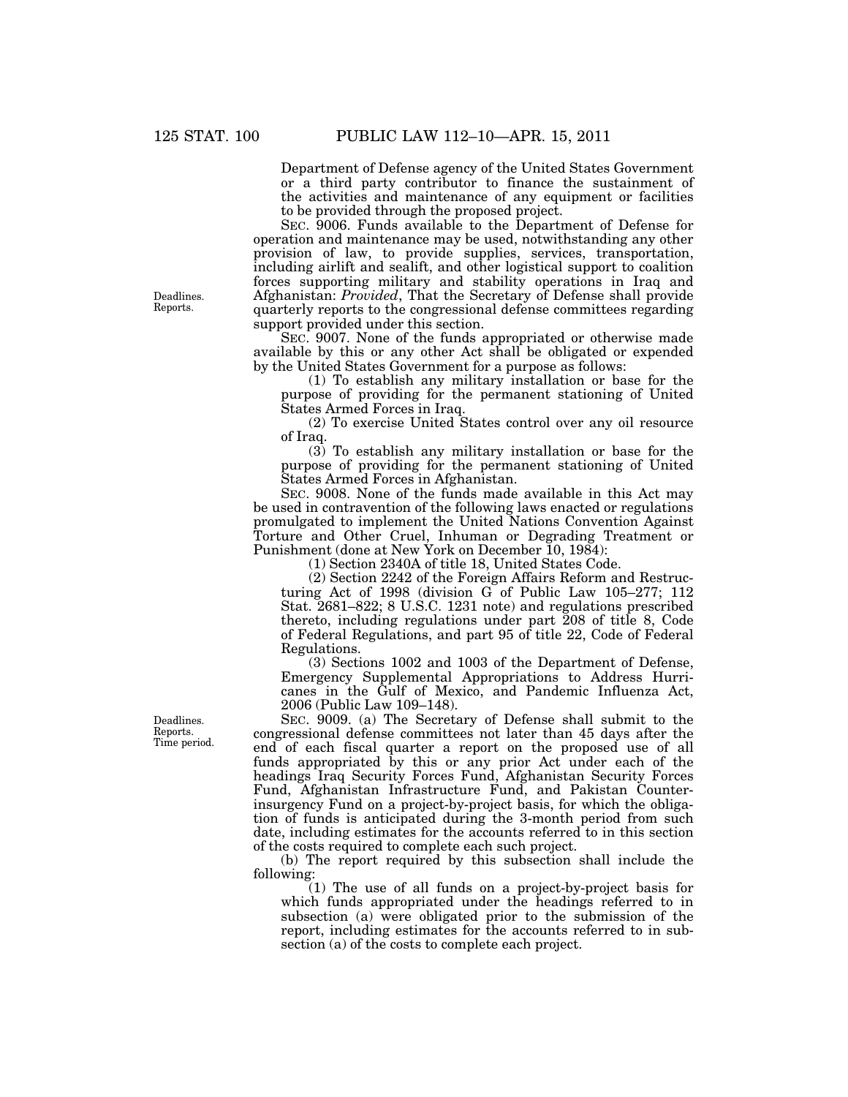Department of Defense agency of the United States Government or a third party contributor to finance the sustainment of the activities and maintenance of any equipment or facilities to be provided through the proposed project.

SEC. 9006. Funds available to the Department of Defense for operation and maintenance may be used, notwithstanding any other provision of law, to provide supplies, services, transportation, including airlift and sealift, and other logistical support to coalition forces supporting military and stability operations in Iraq and Afghanistan: *Provided*, That the Secretary of Defense shall provide quarterly reports to the congressional defense committees regarding support provided under this section.

SEC. 9007. None of the funds appropriated or otherwise made available by this or any other Act shall be obligated or expended by the United States Government for a purpose as follows:

(1) To establish any military installation or base for the purpose of providing for the permanent stationing of United States Armed Forces in Iraq.

(2) To exercise United States control over any oil resource of Iraq.

(3) To establish any military installation or base for the purpose of providing for the permanent stationing of United States Armed Forces in Afghanistan.

SEC. 9008. None of the funds made available in this Act may be used in contravention of the following laws enacted or regulations promulgated to implement the United Nations Convention Against Torture and Other Cruel, Inhuman or Degrading Treatment or Punishment (done at New York on December 10, 1984):

(1) Section 2340A of title 18, United States Code.

(2) Section 2242 of the Foreign Affairs Reform and Restructuring Act of 1998 (division G of Public Law 105–277; 112 Stat. 2681–822; 8 U.S.C. 1231 note) and regulations prescribed thereto, including regulations under part 208 of title 8, Code of Federal Regulations, and part 95 of title 22, Code of Federal Regulations.

(3) Sections 1002 and 1003 of the Department of Defense, Emergency Supplemental Appropriations to Address Hurricanes in the Gulf of Mexico, and Pandemic Influenza Act, 2006 (Public Law 109–148).

SEC. 9009. (a) The Secretary of Defense shall submit to the congressional defense committees not later than 45 days after the end of each fiscal quarter a report on the proposed use of all funds appropriated by this or any prior Act under each of the headings Iraq Security Forces Fund, Afghanistan Security Forces Fund, Afghanistan Infrastructure Fund, and Pakistan Counterinsurgency Fund on a project-by-project basis, for which the obligation of funds is anticipated during the 3-month period from such date, including estimates for the accounts referred to in this section of the costs required to complete each such project.

(b) The report required by this subsection shall include the following:

(1) The use of all funds on a project-by-project basis for which funds appropriated under the headings referred to in subsection (a) were obligated prior to the submission of the report, including estimates for the accounts referred to in subsection (a) of the costs to complete each project.

Deadlines. Reports.

Deadlines. Reports. Time period.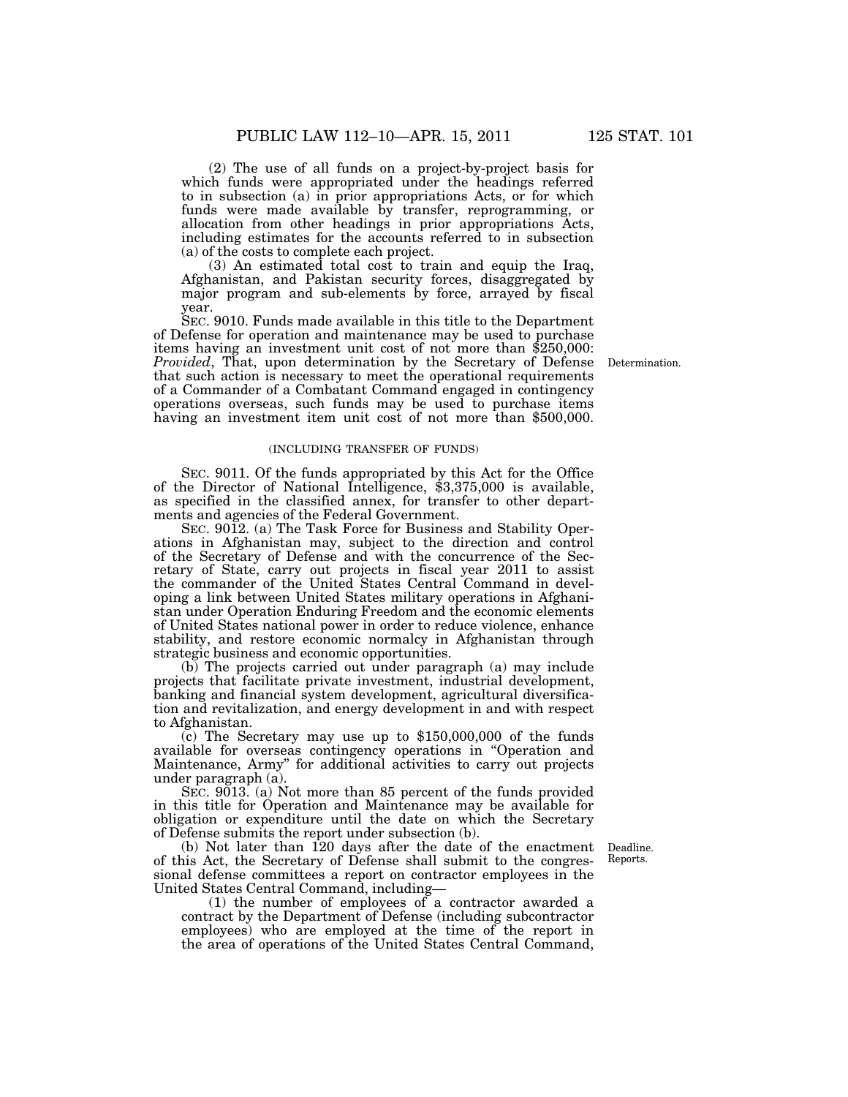(2) The use of all funds on a project-by-project basis for which funds were appropriated under the headings referred to in subsection (a) in prior appropriations Acts, or for which funds were made available by transfer, reprogramming, or allocation from other headings in prior appropriations Acts, including estimates for the accounts referred to in subsection (a) of the costs to complete each project.

(3) An estimated total cost to train and equip the Iraq, Afghanistan, and Pakistan security forces, disaggregated by major program and sub-elements by force, arrayed by fiscal year.

SEC. 9010. Funds made available in this title to the Department of Defense for operation and maintenance may be used to purchase items having an investment unit cost of not more than \$250,000: *Provided*, That, upon determination by the Secretary of Defense that such action is necessary to meet the operational requirements of a Commander of a Combatant Command engaged in contingency operations overseas, such funds may be used to purchase items having an investment item unit cost of not more than \$500,000.

#### (INCLUDING TRANSFER OF FUNDS)

SEC. 9011. Of the funds appropriated by this Act for the Office of the Director of National Intelligence, \$3,375,000 is available, as specified in the classified annex, for transfer to other departments and agencies of the Federal Government.

SEC. 9012. (a) The Task Force for Business and Stability Operations in Afghanistan may, subject to the direction and control of the Secretary of Defense and with the concurrence of the Secretary of State, carry out projects in fiscal year 2011 to assist the commander of the United States Central Command in developing a link between United States military operations in Afghanistan under Operation Enduring Freedom and the economic elements of United States national power in order to reduce violence, enhance stability, and restore economic normalcy in Afghanistan through strategic business and economic opportunities.

(b) The projects carried out under paragraph (a) may include projects that facilitate private investment, industrial development, banking and financial system development, agricultural diversification and revitalization, and energy development in and with respect to Afghanistan.

 $(c)$  The Secretary may use up to \$150,000,000 of the funds available for overseas contingency operations in ''Operation and Maintenance, Army'' for additional activities to carry out projects under paragraph (a).

SEC. 9013. (a) Not more than 85 percent of the funds provided in this title for Operation and Maintenance may be available for obligation or expenditure until the date on which the Secretary of Defense submits the report under subsection (b).

(b) Not later than 120 days after the date of the enactment of this Act, the Secretary of Defense shall submit to the congressional defense committees a report on contractor employees in the United States Central Command, including—

(1) the number of employees of a contractor awarded a contract by the Department of Defense (including subcontractor employees) who are employed at the time of the report in the area of operations of the United States Central Command,

Deadline. Reports.

Determination.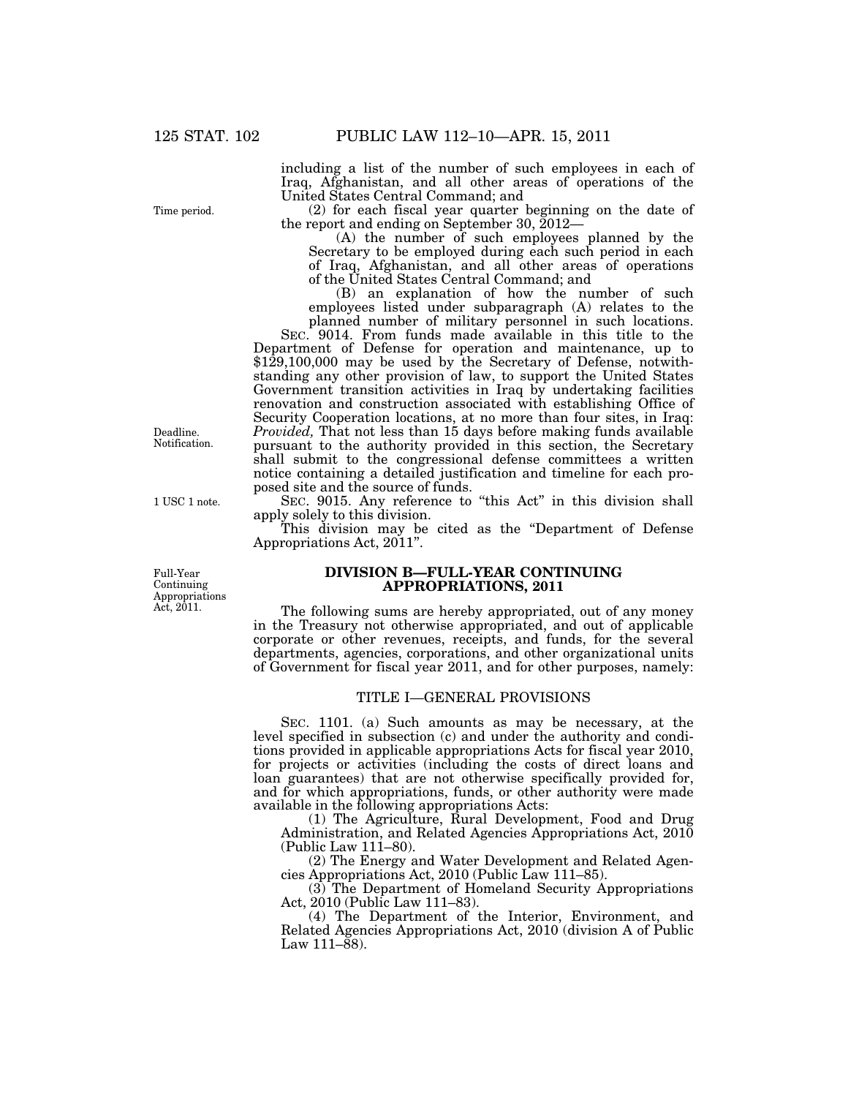including a list of the number of such employees in each of Iraq, Afghanistan, and all other areas of operations of the United States Central Command; and

(2) for each fiscal year quarter beginning on the date of the report and ending on September 30, 2012—

(A) the number of such employees planned by the Secretary to be employed during each such period in each of Iraq, Afghanistan, and all other areas of operations of the United States Central Command; and

(B) an explanation of how the number of such employees listed under subparagraph (A) relates to the planned number of military personnel in such locations.

SEC. 9014. From funds made available in this title to the Department of Defense for operation and maintenance, up to \$129,100,000 may be used by the Secretary of Defense, notwithstanding any other provision of law, to support the United States Government transition activities in Iraq by undertaking facilities renovation and construction associated with establishing Office of Security Cooperation locations, at no more than four sites, in Iraq: *Provided,* That not less than 15 days before making funds available pursuant to the authority provided in this section, the Secretary shall submit to the congressional defense committees a written notice containing a detailed justification and timeline for each proposed site and the source of funds.

SEC. 9015. Any reference to "this Act" in this division shall apply solely to this division.

This division may be cited as the ''Department of Defense Appropriations Act, 2011''.

## **DIVISION B—FULL-YEAR CONTINUING APPROPRIATIONS, 2011**

The following sums are hereby appropriated, out of any money in the Treasury not otherwise appropriated, and out of applicable corporate or other revenues, receipts, and funds, for the several departments, agencies, corporations, and other organizational units of Government for fiscal year 2011, and for other purposes, namely:

## TITLE I—GENERAL PROVISIONS

SEC. 1101. (a) Such amounts as may be necessary, at the level specified in subsection (c) and under the authority and conditions provided in applicable appropriations Acts for fiscal year 2010, for projects or activities (including the costs of direct loans and loan guarantees) that are not otherwise specifically provided for, and for which appropriations, funds, or other authority were made available in the following appropriations Acts:

(1) The Agriculture, Rural Development, Food and Drug Administration, and Related Agencies Appropriations Act, 2010 (Public Law 111–80).

(2) The Energy and Water Development and Related Agencies Appropriations Act, 2010 (Public Law 111–85).

(3) The Department of Homeland Security Appropriations Act, 2010 (Public Law 111–83).

(4) The Department of the Interior, Environment, and Related Agencies Appropriations Act, 2010 (division A of Public Law  $111-\bar{8}8$ ).

Time period.

Deadline. Notification.

1 USC 1 note.

Full-Year Continuing Appropriations Act,  $2011$ .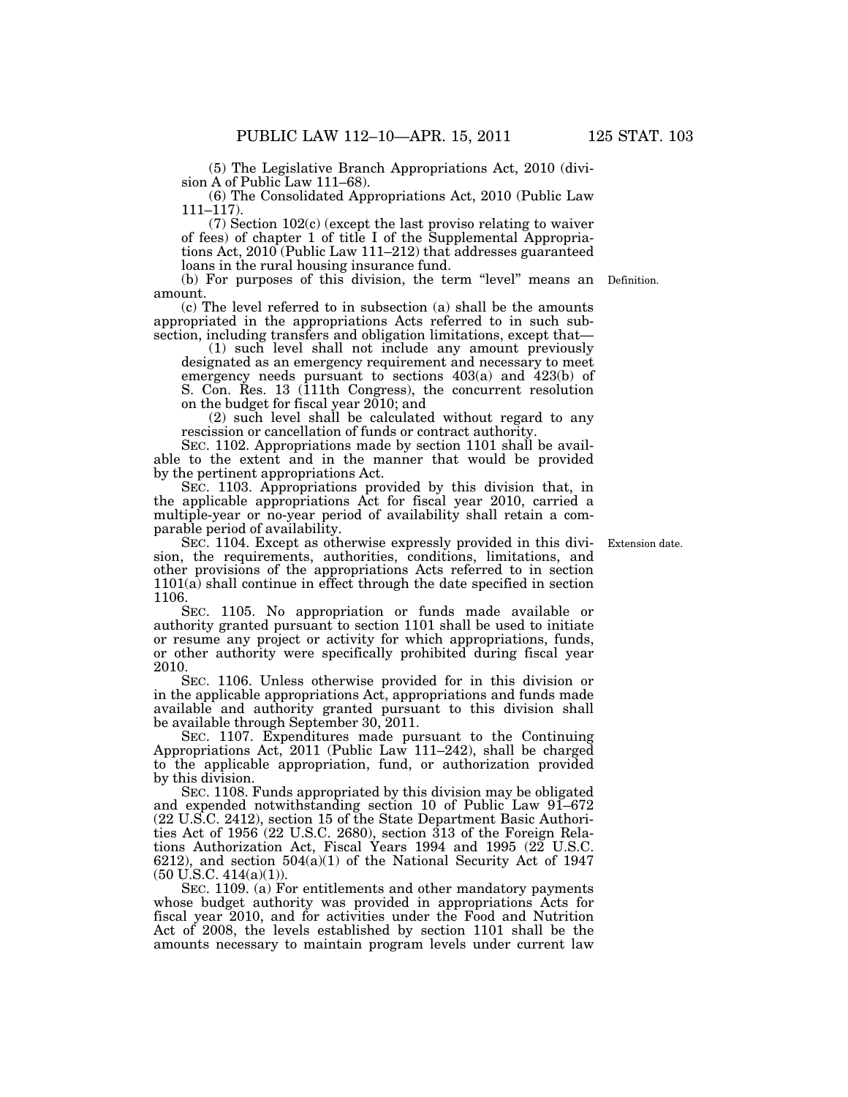(5) The Legislative Branch Appropriations Act, 2010 (division A of Public Law 111–68).

(6) The Consolidated Appropriations Act, 2010 (Public Law 111–117).

(7) Section 102(c) (except the last proviso relating to waiver of fees) of chapter 1 of title I of the Supplemental Appropriations Act, 2010 (Public Law 111–212) that addresses guaranteed loans in the rural housing insurance fund.

(b) For purposes of this division, the term ''level'' means an Definition. amount.

(c) The level referred to in subsection (a) shall be the amounts appropriated in the appropriations Acts referred to in such subsection, including transfers and obligation limitations, except that—

(1) such level shall not include any amount previously designated as an emergency requirement and necessary to meet emergency needs pursuant to sections 403(a) and 423(b) of S. Con. Res. 13 (111th Congress), the concurrent resolution on the budget for fiscal year 2010; and

(2) such level shall be calculated without regard to any rescission or cancellation of funds or contract authority.

SEC. 1102. Appropriations made by section 1101 shall be available to the extent and in the manner that would be provided by the pertinent appropriations Act.

SEC. 1103. Appropriations provided by this division that, in the applicable appropriations Act for fiscal year 2010, carried a multiple-year or no-year period of availability shall retain a comparable period of availability.

SEC. 1104. Except as otherwise expressly provided in this division, the requirements, authorities, conditions, limitations, and other provisions of the appropriations Acts referred to in section 1101(a) shall continue in effect through the date specified in section 1106.

SEC. 1105. No appropriation or funds made available or authority granted pursuant to section 1101 shall be used to initiate or resume any project or activity for which appropriations, funds, or other authority were specifically prohibited during fiscal year 2010.

SEC. 1106. Unless otherwise provided for in this division or in the applicable appropriations Act, appropriations and funds made available and authority granted pursuant to this division shall be available through September 30, 2011.

SEC. 1107. Expenditures made pursuant to the Continuing Appropriations Act, 2011 (Public Law 111–242), shall be charged to the applicable appropriation, fund, or authorization provided by this division.

SEC. 1108. Funds appropriated by this division may be obligated and expended notwithstanding section 10 of Public Law 91–672 (22 U.S.C. 2412), section 15 of the State Department Basic Authorities Act of 1956 (22 U.S.C. 2680), section 313 of the Foreign Relations Authorization Act, Fiscal Years 1994 and 1995 (22 U.S.C. 6212), and section 504(a)(1) of the National Security Act of 1947 (50 U.S.C. 414(a)(1)).

SEC. 1109. (a) For entitlements and other mandatory payments whose budget authority was provided in appropriations Acts for fiscal year 2010, and for activities under the Food and Nutrition Act of 2008, the levels established by section 1101 shall be the amounts necessary to maintain program levels under current law

Extension date.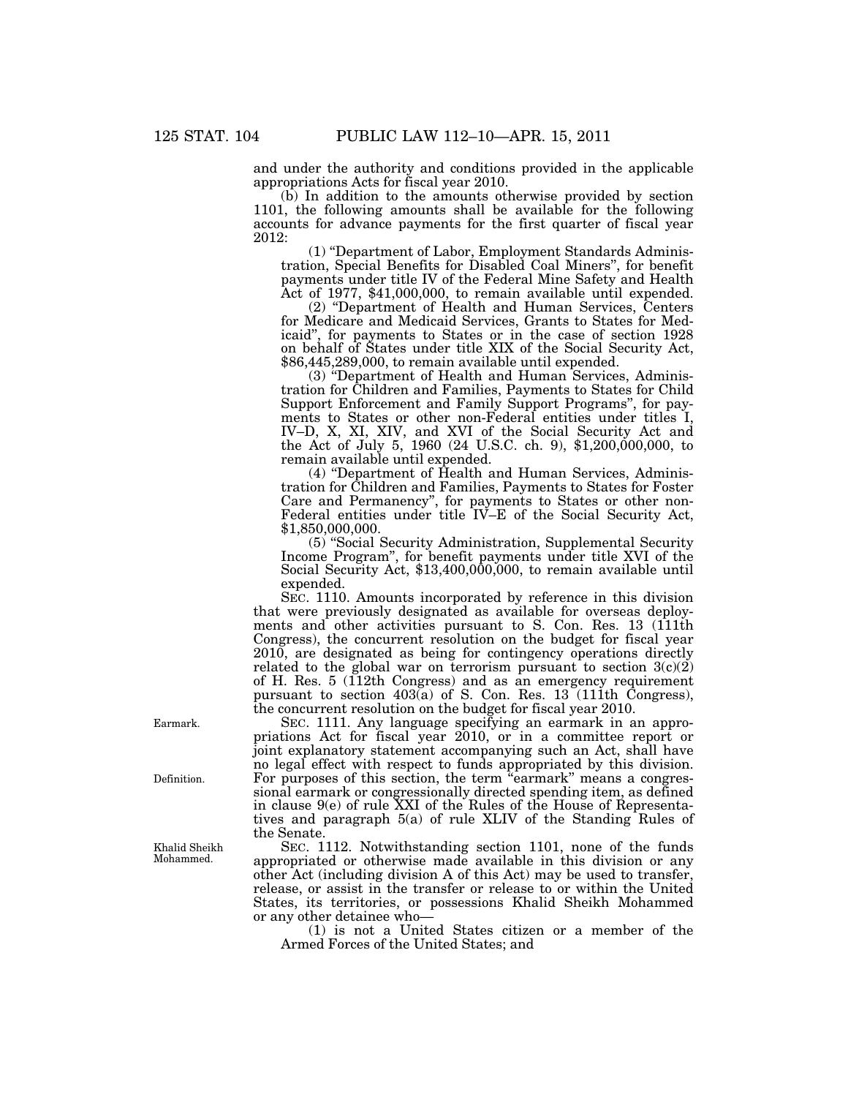and under the authority and conditions provided in the applicable appropriations Acts for fiscal year 2010.

(b) In addition to the amounts otherwise provided by section 1101, the following amounts shall be available for the following accounts for advance payments for the first quarter of fiscal year 2012:

(1) ''Department of Labor, Employment Standards Administration, Special Benefits for Disabled Coal Miners'', for benefit payments under title IV of the Federal Mine Safety and Health Act of 1977, \$41,000,000, to remain available until expended.

(2) ''Department of Health and Human Services, Centers for Medicare and Medicaid Services, Grants to States for Medicaid'', for payments to States or in the case of section 1928 on behalf of States under title XIX of the Social Security Act, \$86,445,289,000, to remain available until expended.

(3) ''Department of Health and Human Services, Administration for Children and Families, Payments to States for Child Support Enforcement and Family Support Programs'', for payments to States or other non-Federal entities under titles I, IV–D, X, XI, XIV, and XVI of the Social Security Act and the Act of July 5, 1960 (24 U.S.C. ch. 9), \$1,200,000,000, to remain available until expended.

(4) "Department of Health and Human Services, Administration for Children and Families, Payments to States for Foster Care and Permanency'', for payments to States or other non-Federal entities under title IV–E of the Social Security Act, \$1,850,000,000.

(5) ''Social Security Administration, Supplemental Security Income Program'', for benefit payments under title XVI of the Social Security Act, \$13,400,000,000, to remain available until expended.

SEC. 1110. Amounts incorporated by reference in this division that were previously designated as available for overseas deployments and other activities pursuant to S. Con. Res. 13 (111th Congress), the concurrent resolution on the budget for fiscal year 2010, are designated as being for contingency operations directly related to the global war on terrorism pursuant to section  $3(c)(2)$ of H. Res. 5 (112th Congress) and as an emergency requirement pursuant to section 403(a) of S. Con. Res. 13 (111th Congress), the concurrent resolution on the budget for fiscal year 2010.

SEC. 1111. Any language specifying an earmark in an appropriations Act for fiscal year 2010, or in a committee report or joint explanatory statement accompanying such an Act, shall have no legal effect with respect to funds appropriated by this division. For purposes of this section, the term "earmark" means a congressional earmark or congressionally directed spending item, as defined in clause 9(e) of rule XXI of the Rules of the House of Representatives and paragraph 5(a) of rule XLIV of the Standing Rules of the Senate.

SEC. 1112. Notwithstanding section 1101, none of the funds appropriated or otherwise made available in this division or any other Act (including division A of this Act) may be used to transfer, release, or assist in the transfer or release to or within the United States, its territories, or possessions Khalid Sheikh Mohammed or any other detainee who—

(1) is not a United States citizen or a member of the Armed Forces of the United States; and

Earmark.

Definition.

Khalid Sheikh Mohammed.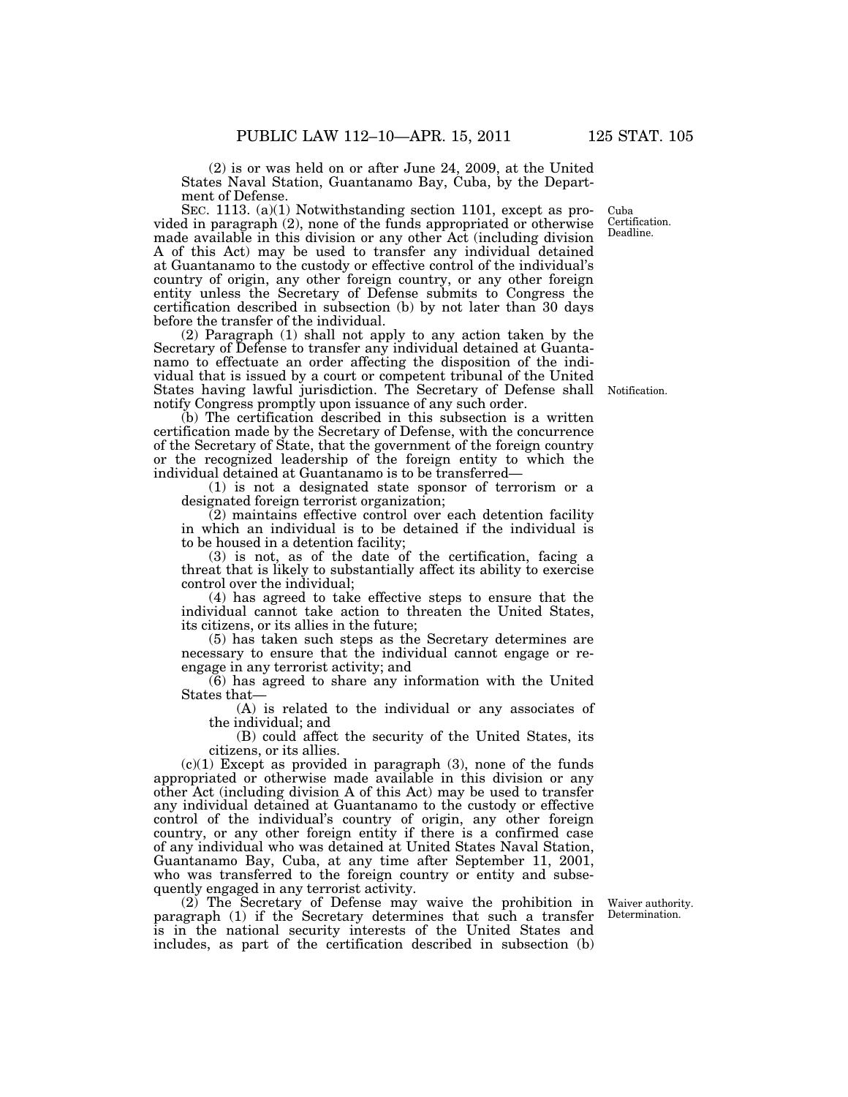(2) is or was held on or after June 24, 2009, at the United States Naval Station, Guantanamo Bay, Cuba, by the Department of Defense.

SEC. 1113. (a)(1) Notwithstanding section 1101, except as provided in paragraph (2), none of the funds appropriated or otherwise made available in this division or any other Act (including division A of this Act) may be used to transfer any individual detained at Guantanamo to the custody or effective control of the individual's country of origin, any other foreign country, or any other foreign entity unless the Secretary of Defense submits to Congress the certification described in subsection (b) by not later than 30 days before the transfer of the individual.

(2) Paragraph (1) shall not apply to any action taken by the Secretary of Defense to transfer any individual detained at Guantanamo to effectuate an order affecting the disposition of the individual that is issued by a court or competent tribunal of the United States having lawful jurisdiction. The Secretary of Defense shall Notification. notify Congress promptly upon issuance of any such order.

(b) The certification described in this subsection is a written certification made by the Secretary of Defense, with the concurrence of the Secretary of State, that the government of the foreign country or the recognized leadership of the foreign entity to which the individual detained at Guantanamo is to be transferred—

(1) is not a designated state sponsor of terrorism or a designated foreign terrorist organization;

(2) maintains effective control over each detention facility in which an individual is to be detained if the individual is to be housed in a detention facility;

(3) is not, as of the date of the certification, facing a threat that is likely to substantially affect its ability to exercise control over the individual;

(4) has agreed to take effective steps to ensure that the individual cannot take action to threaten the United States, its citizens, or its allies in the future;

(5) has taken such steps as the Secretary determines are necessary to ensure that the individual cannot engage or reengage in any terrorist activity; and

(6) has agreed to share any information with the United States that—

(A) is related to the individual or any associates of the individual; and

(B) could affect the security of the United States, its citizens, or its allies.

 $(c)(1)$  Except as provided in paragraph  $(3)$ , none of the funds appropriated or otherwise made available in this division or any other Act (including division A of this Act) may be used to transfer any individual detained at Guantanamo to the custody or effective control of the individual's country of origin, any other foreign country, or any other foreign entity if there is a confirmed case of any individual who was detained at United States Naval Station, Guantanamo Bay, Cuba, at any time after September 11, 2001, who was transferred to the foreign country or entity and subsequently engaged in any terrorist activity.

(2) The Secretary of Defense may waive the prohibition in paragraph (1) if the Secretary determines that such a transfer is in the national security interests of the United States and includes, as part of the certification described in subsection (b)

Waiver authority. Determination.

Cuba Certification. Deadline.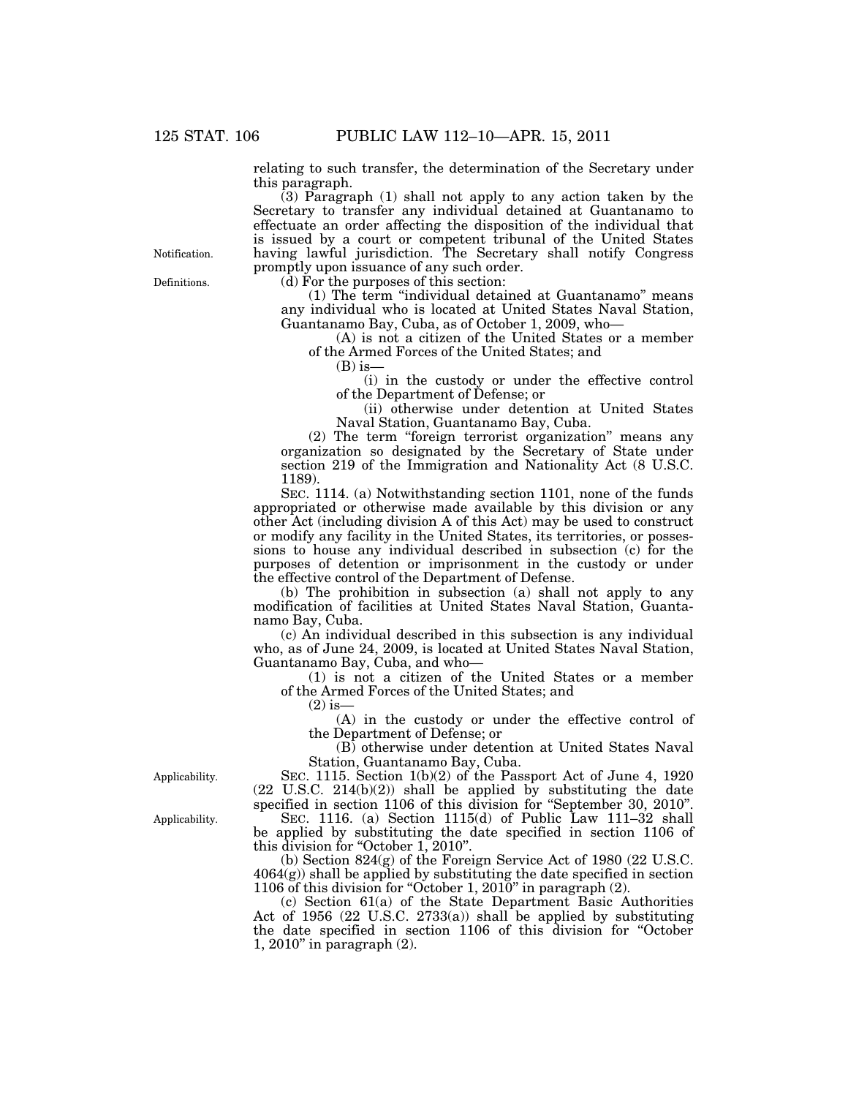relating to such transfer, the determination of the Secretary under this paragraph.

(3) Paragraph (1) shall not apply to any action taken by the Secretary to transfer any individual detained at Guantanamo to effectuate an order affecting the disposition of the individual that is issued by a court or competent tribunal of the United States having lawful jurisdiction. The Secretary shall notify Congress promptly upon issuance of any such order.

Definitions. **Notification** 

 $(d)$  For the purposes of this section:

(1) The term ''individual detained at Guantanamo'' means any individual who is located at United States Naval Station, Guantanamo Bay, Cuba, as of October 1, 2009, who—

(A) is not a citizen of the United States or a member of the Armed Forces of the United States; and

 $(B)$  is-

(i) in the custody or under the effective control of the Department of Defense; or

(ii) otherwise under detention at United States Naval Station, Guantanamo Bay, Cuba.

(2) The term ''foreign terrorist organization'' means any organization so designated by the Secretary of State under section 219 of the Immigration and Nationality Act (8 U.S.C. 1189).

SEC. 1114. (a) Notwithstanding section 1101, none of the funds appropriated or otherwise made available by this division or any other Act (including division A of this Act) may be used to construct or modify any facility in the United States, its territories, or possessions to house any individual described in subsection (c) for the purposes of detention or imprisonment in the custody or under the effective control of the Department of Defense.

(b) The prohibition in subsection (a) shall not apply to any modification of facilities at United States Naval Station, Guantanamo Bay, Cuba.

(c) An individual described in this subsection is any individual who, as of June 24, 2009, is located at United States Naval Station, Guantanamo Bay, Cuba, and who—

(1) is not a citizen of the United States or a member of the Armed Forces of the United States; and

 $(2)$  is-

(A) in the custody or under the effective control of the Department of Defense; or

(B) otherwise under detention at United States Naval Station, Guantanamo Bay, Cuba.

SEC. 1115. Section 1(b)(2) of the Passport Act of June 4, 1920 (22 U.S.C. 214(b)(2)) shall be applied by substituting the date specified in section 1106 of this division for ''September 30, 2010''.

SEC. 1116. (a) Section 1115(d) of Public Law 111–32 shall be applied by substituting the date specified in section 1106 of this division for "October 1, 2010".

(b) Section 824(g) of the Foreign Service Act of 1980 (22 U.S.C. 4064(g)) shall be applied by substituting the date specified in section 1106 of this division for ''October 1, 2010'' in paragraph (2).

(c) Section 61(a) of the State Department Basic Authorities Act of 1956 (22 U.S.C. 2733(a)) shall be applied by substituting the date specified in section 1106 of this division for ''October 1, 2010'' in paragraph (2).

Applicability.

Applicability.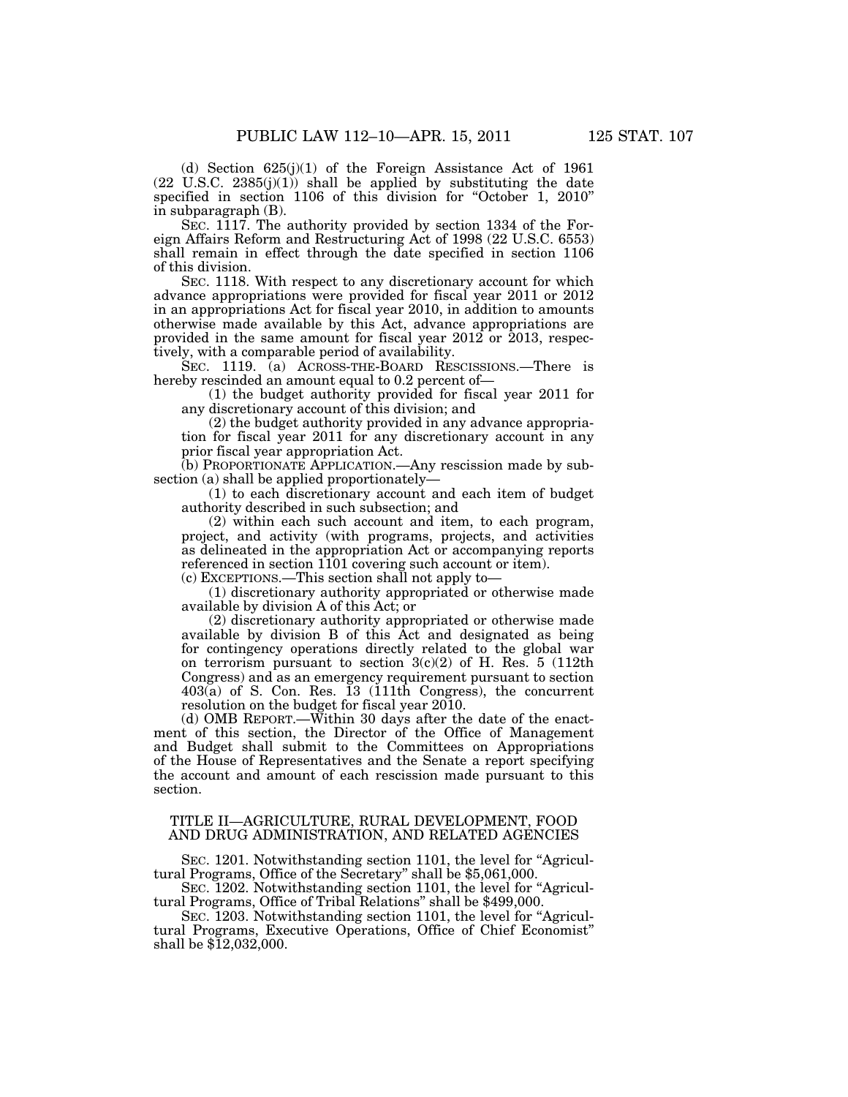(d) Section 625(j)(1) of the Foreign Assistance Act of 1961  $(22 \text{ U.S.C. } 2385(j)(1))$  shall be applied by substituting the date specified in section 1106 of this division for "October 1, 2010" in subparagraph (B).

SEC. 1117. The authority provided by section 1334 of the Foreign Affairs Reform and Restructuring Act of 1998 (22 U.S.C. 6553) shall remain in effect through the date specified in section 1106 of this division.

SEC. 1118. With respect to any discretionary account for which advance appropriations were provided for fiscal year 2011 or 2012 in an appropriations Act for fiscal year 2010, in addition to amounts otherwise made available by this Act, advance appropriations are provided in the same amount for fiscal year 2012 or 2013, respectively, with a comparable period of availability.

SEC. 1119. (a) ACROSS-THE-BOARD RESCISSIONS.—There is hereby rescinded an amount equal to 0.2 percent of—

(1) the budget authority provided for fiscal year 2011 for any discretionary account of this division; and

(2) the budget authority provided in any advance appropriation for fiscal year 2011 for any discretionary account in any prior fiscal year appropriation Act.

(b) PROPORTIONATE APPLICATION.—Any rescission made by subsection (a) shall be applied proportionately—

(1) to each discretionary account and each item of budget authority described in such subsection; and

(2) within each such account and item, to each program, project, and activity (with programs, projects, and activities as delineated in the appropriation Act or accompanying reports referenced in section 1101 covering such account or item).

(c) EXCEPTIONS.—This section shall not apply to—

(1) discretionary authority appropriated or otherwise made available by division A of this Act; or

(2) discretionary authority appropriated or otherwise made available by division B of this Act and designated as being for contingency operations directly related to the global war on terrorism pursuant to section  $3(c)(2)$  of H. Res. 5 (112th Congress) and as an emergency requirement pursuant to section 403(a) of S. Con. Res. 13 (111th Congress), the concurrent resolution on the budget for fiscal year 2010.

(d) OMB REPORT.—Within 30 days after the date of the enactment of this section, the Director of the Office of Management and Budget shall submit to the Committees on Appropriations of the House of Representatives and the Senate a report specifying the account and amount of each rescission made pursuant to this section.

## TITLE II—AGRICULTURE, RURAL DEVELOPMENT, FOOD AND DRUG ADMINISTRATION, AND RELATED AGENCIES

SEC. 1201. Notwithstanding section 1101, the level for "Agricultural Programs, Office of the Secretary'' shall be \$5,061,000.

SEC. 1202. Notwithstanding section 1101, the level for "Agricultural Programs, Office of Tribal Relations'' shall be \$499,000.

SEC. 1203. Notwithstanding section 1101, the level for "Agricultural Programs, Executive Operations, Office of Chief Economist'' shall be  $$12,032,000$ .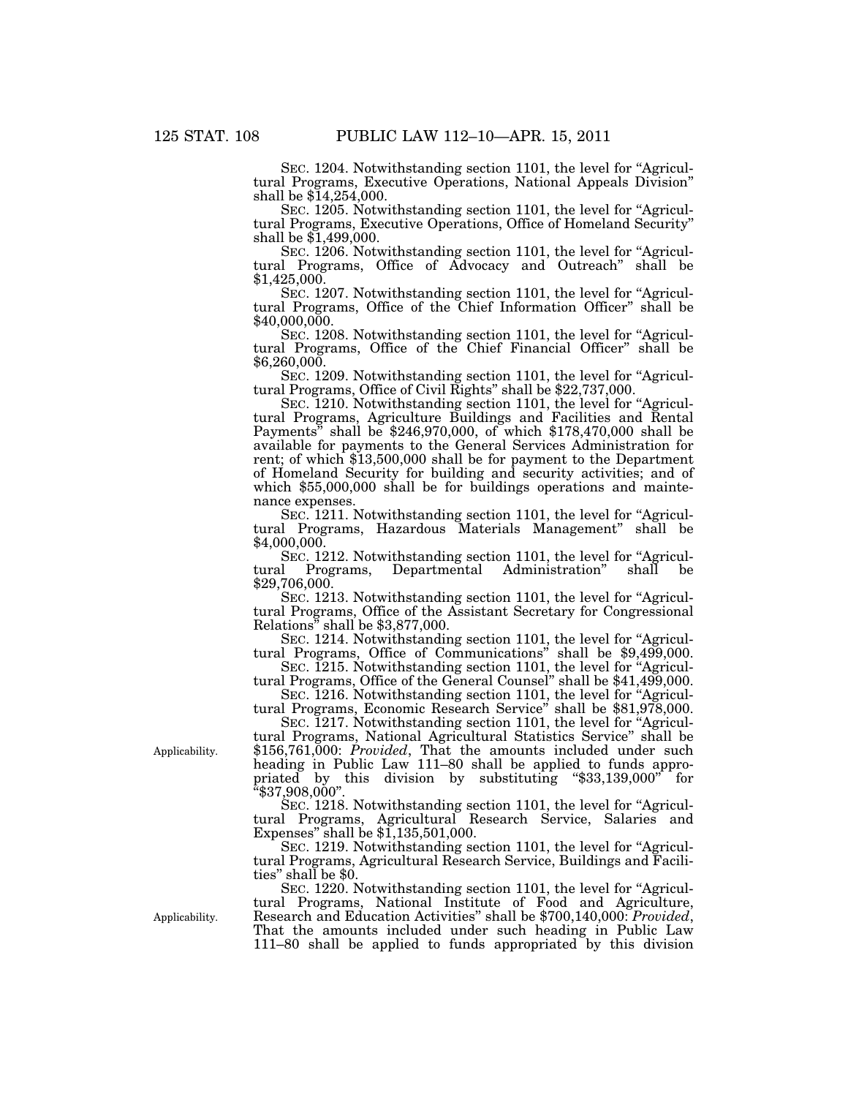SEC. 1204. Notwithstanding section 1101, the level for "Agricultural Programs, Executive Operations, National Appeals Division'' shall be \$14,254,000.

SEC. 1205. Notwithstanding section 1101, the level for "Agricultural Programs, Executive Operations, Office of Homeland Security'' shall be \$1,499,000.

SEC. 1206. Notwithstanding section 1101, the level for "Agricultural Programs, Office of Advocacy and Outreach'' shall be \$1,425,000.

SEC. 1207. Notwithstanding section 1101, the level for "Agricultural Programs, Office of the Chief Information Officer'' shall be \$40,000,000.

SEC. 1208. Notwithstanding section 1101, the level for "Agricultural Programs, Office of the Chief Financial Officer'' shall be  $$6,260,000.$ 

SEC. 1209. Notwithstanding section 1101, the level for "Agricul-<br>tural Programs, Office of Civil Rights" shall be \$22,737,000.

SEC. 1210. Notwithstanding section 1101, the level for "Agricultural Programs, Agriculture Buildings and Facilities and Rental Payments'' shall be \$246,970,000, of which \$178,470,000 shall be available for payments to the General Services Administration for rent; of which \$13,500,000 shall be for payment to the Department of Homeland Security for building and security activities; and of which \$55,000,000 shall be for buildings operations and maintenance expenses.

SEC. 1211. Notwithstanding section 1101, the level for "Agricultural Programs, Hazardous Materials Management'' shall be \$4,000,000.

SEC. 1212. Notwithstanding section 1101, the level for "Agricultural Programs, Departmental Administration" shall be Departmental Administration" \$29,706,000.

SEC. 1213. Notwithstanding section 1101, the level for "Agricultural Programs, Office of the Assistant Secretary for Congressional Relations<sup>3</sup> shall be \$3,877,000.

SEC. 1214. Notwithstanding section 1101, the level for "Agricul-<br>tural Programs, Office of Communications" shall be \$9,499,000.

SEC. 1215. Notwithstanding section 1101, the level for "Agricultural Programs, Office of the General Counsel'' shall be \$41,499,000.

SEC. 1216. Notwithstanding section 1101, the level for "Agricultural Programs, Economic Research Service'' shall be \$81,978,000.

SEC. 1217. Notwithstanding section 1101, the level for "Agricultural Programs, National Agricultural Statistics Service'' shall be \$156,761,000: *Provided*, That the amounts included under such heading in Public Law 111–80 shall be applied to funds appropriated by this division by substituting "\$33,139,000" for

 $``\$37,908,000"$ SEC. 1218. Notwithstanding section 1101, the level for ''Agricultural Programs, Agricultural Research Service, Salaries and Expenses'' shall be \$1,135,501,000.

SEC. 1219. Notwithstanding section 1101, the level for "Agricultural Programs, Agricultural Research Service, Buildings and Facilities'' shall be \$0.

SEC. 1220. Notwithstanding section 1101, the level for "Agricultural Programs, National Institute of Food and Agriculture, Research and Education Activities'' shall be \$700,140,000: *Provided*, That the amounts included under such heading in Public Law 111–80 shall be applied to funds appropriated by this division

Applicability.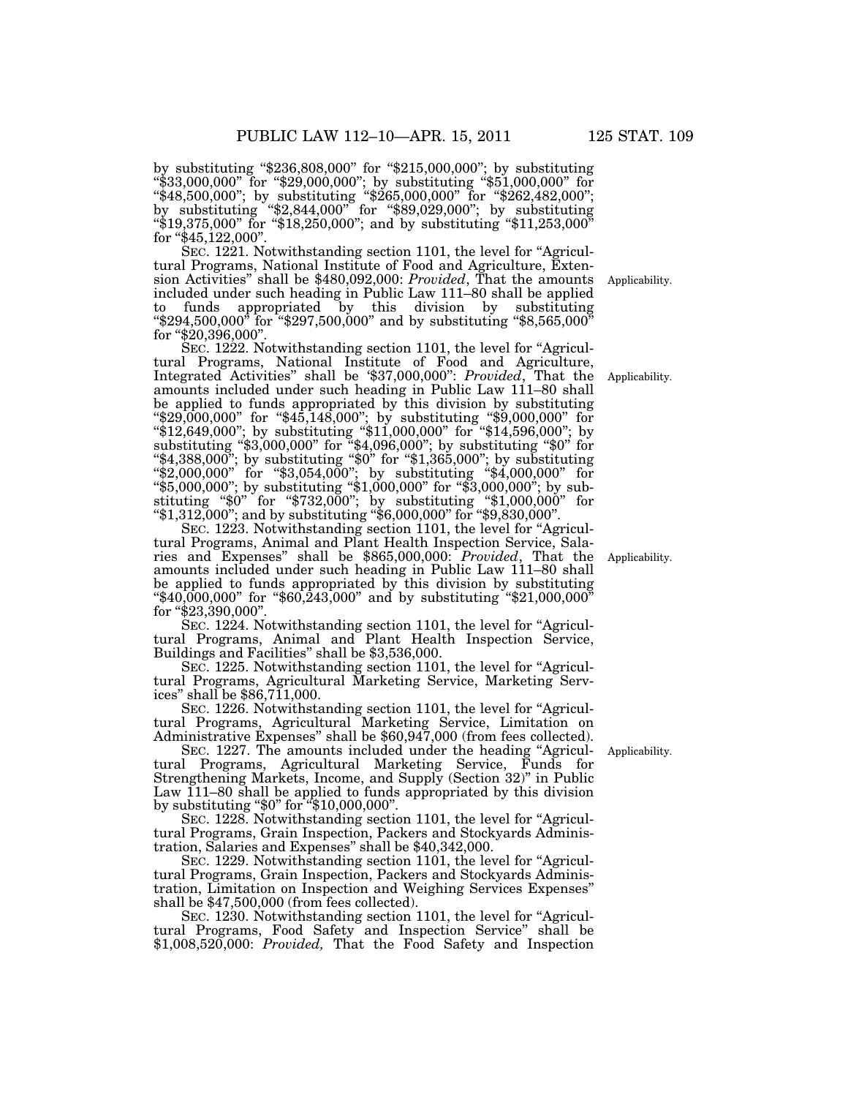by substituting ''\$236,808,000'' for ''\$215,000,000''; by substituting ''\$33,000,000'' for ''\$29,000,000''; by substituting ''\$51,000,000'' for ''\$48,500,000''; by substituting ''\$265,000,000'' for ''\$262,482,000''; by substituting ''\$2,844,000'' for ''\$89,029,000''; by substituting ''\$19,375,000'' for ''\$18,250,000''; and by substituting ''\$11,253,000'' for "\$45,122,000".

SEC. 1221. Notwithstanding section 1101, the level for "Agricultural Programs, National Institute of Food and Agriculture, Extension Activities'' shall be \$480,092,000: *Provided*, That the amounts included under such heading in Public Law 111–80 shall be applied to funds appropriated by this division by substituting " $\$294,500,000"$  for " $\$297,500,000"$  and by substituting " $\$8,565,000"$ for "\$20,396,000".

SEC. 1222. Notwithstanding section 1101, the level for "Agricultural Programs, National Institute of Food and Agriculture, Integrated Activities'' shall be '\$37,000,000'': *Provided*, That the amounts included under such heading in Public Law 111–80 shall be applied to funds appropriated by this division by substituting ''\$29,000,000'' for ''\$45,148,000''; by substituting ''\$9,000,000'' for ''\$12,649,000''; by substituting ''\$11,000,000'' for ''\$14,596,000''; by substituting ''\$3,000,000'' for ''\$4,096,000''; by substituting ''\$0'' for ''\$4,388,000''; by substituting ''\$0'' for ''\$1,365,000''; by substituting ''\$2,000,000'' for ''\$3,054,000''; by substituting ''\$4,000,000'' for ''\$5,000,000''; by substituting ''\$1,000,000'' for ''\$3,000,000''; by substituting ''\$0'' for ''\$732,000''; by substituting ''\$1,000,000'' for ''\$1,312,000''; and by substituting ''\$6,000,000'' for ''\$9,830,000''.

SEC. 1223. Notwithstanding section 1101, the level for "Agricultural Programs, Animal and Plant Health Inspection Service, Salaries and Expenses'' shall be \$865,000,000: *Provided*, That the amounts included under such heading in Public Law 111–80 shall be applied to funds appropriated by this division by substituting ''\$40,000,000'' for ''\$60,243,000'' and by substituting ''\$21,000,000'' for "\$23,390,000".

SEC. 1224. Notwithstanding section 1101, the level for "Agricultural Programs, Animal and Plant Health Inspection Service, Buildings and Facilities'' shall be \$3,536,000.

SEC. 1225. Notwithstanding section 1101, the level for ''Agricultural Programs, Agricultural Marketing Service, Marketing Services'' shall be \$86,711,000.

SEC. 1226. Notwithstanding section 1101, the level for ''Agricultural Programs, Agricultural Marketing Service, Limitation on Administrative Expenses'' shall be \$60,947,000 (from fees collected).

SEC. 1227. The amounts included under the heading "Agricultural Programs, Agricultural Marketing Service, Funds for Strengthening Markets, Income, and Supply (Section 32)'' in Public Law 111–80 shall be applied to funds appropriated by this division by substituting ''\$0'' for ''\$10,000,000''.

SEC. 1228. Notwithstanding section 1101, the level for "Agricultural Programs, Grain Inspection, Packers and Stockyards Administration, Salaries and Expenses'' shall be \$40,342,000.

SEC. 1229. Notwithstanding section 1101, the level for "Agricultural Programs, Grain Inspection, Packers and Stockyards Administration, Limitation on Inspection and Weighing Services Expenses'' shall be \$47,500,000 (from fees collected).

SEC. 1230. Notwithstanding section 1101, the level for "Agricultural Programs, Food Safety and Inspection Service'' shall be \$1,008,520,000: *Provided,* That the Food Safety and Inspection

Applicability.

Applicability.

Applicability.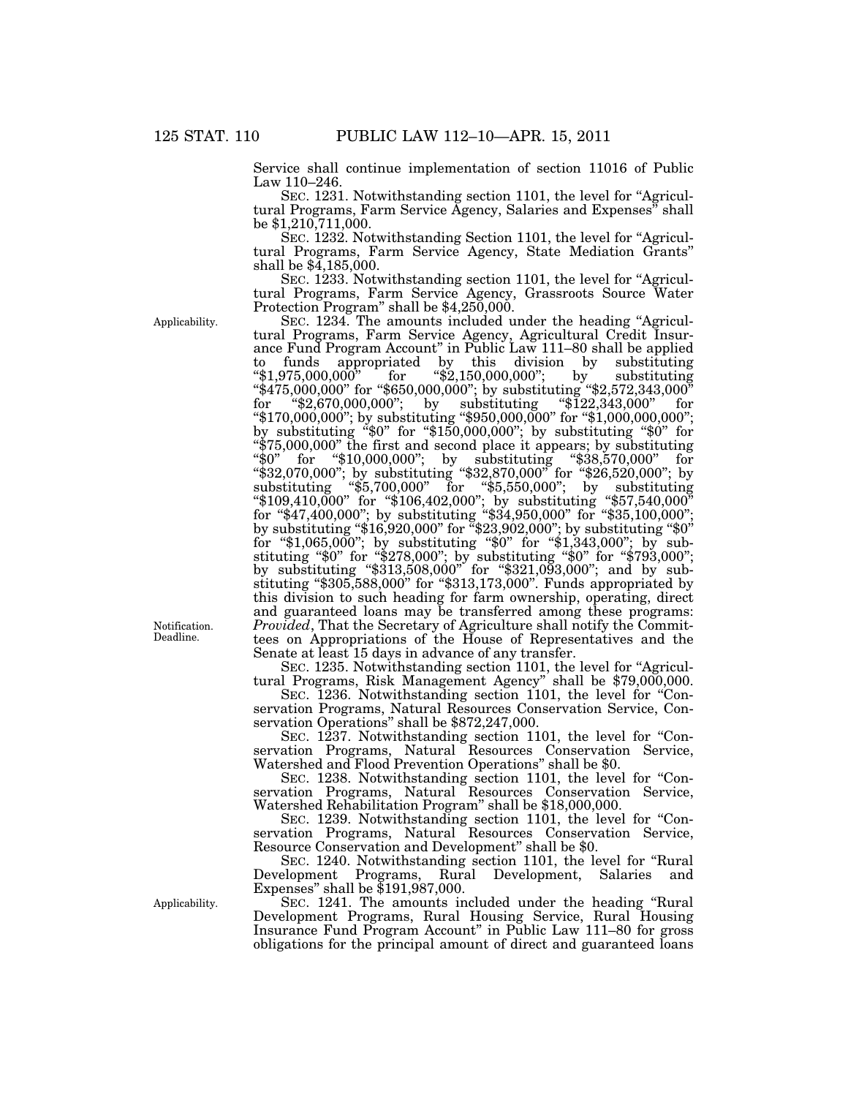Service shall continue implementation of section 11016 of Public Law 110–246.

SEC. 1231. Notwithstanding section 1101, the level for "Agricultural Programs, Farm Service Agency, Salaries and Expenses'' shall be \$1,210,711,000.

SEC. 1232. Notwithstanding Section 1101, the level for "Agricultural Programs, Farm Service Agency, State Mediation Grants'' shall be  $$4,185,000$ .

SEC. 1233. Notwithstanding section 1101, the level for "Agricultural Programs, Farm Service Agency, Grassroots Source Water Protection Program'' shall be \$4,250,000.

Applicability.

Notification. Deadline.

Applicability.

SEC. 1234. The amounts included under the heading "Agricultural Programs, Farm Service Agency, Agricultural Credit Insurance Fund Program Account'' in Public Law 111–80 shall be applied to funds appropriated by this division by substituting "\$1,975,000,000" for "\$2,150,000,000"; by substituting ''\$1,975,000,000'' for ''\$2,150,000,000''; by substituting ''\$475,000,000'' for ''\$650,000,000''; by substituting ''\$2,572,343,000'' for ''\$2,670,000,000''; by substituting ''\$122,343,000'' for ''\$170,000,000''; by substituting ''\$950,000,000'' for ''\$1,000,000,000''; by substituting ''\$0'' for ''\$150,000,000''; by substituting ''\$0'' for ''\$75,000,000'' the first and second place it appears; by substituting ''\$0'' for ''\$10,000,000''; by substituting ''\$38,570,000'' for ''\$32,070,000''; by substituting ''\$32,870,000'' for ''\$26,520,000''; by substituting ''\$5,700,000'' for ''\$5,550,000''; by substituting ''\$109,410,000'' for ''\$106,402,000''; by substituting ''\$57,540,000'' for ''\$47,400,000''; by substituting ''\$34,950,000'' for ''\$35,100,000'';

by substituting "\$16,920,000" for "\$23,902,000"; by substituting "\$0"  $\text{for ``$1,065,000''$; by substituting ``$0'' for ``$1,343,000''; by sub$ stituting ''\$0'' for ''\$278,000''; by substituting ''\$0'' for ''\$793,000''; by substituting "\$313,508,000" for "\$321,093,000"; and by substituting ''\$305,588,000'' for ''\$313,173,000''. Funds appropriated by this division to such heading for farm ownership, operating, direct and guaranteed loans may be transferred among these programs: *Provided*, That the Secretary of Agriculture shall notify the Committees on Appropriations of the House of Representatives and the Senate at least 15 days in advance of any transfer.

SEC. 1235. Notwithstanding section 1101, the level for "Agricultural Programs, Risk Management Agency'' shall be \$79,000,000.

SEC. 1236. Notwithstanding section 1101, the level for "Conservation Programs, Natural Resources Conservation Service, Conservation Operations'' shall be \$872,247,000.

SEC. 1237. Notwithstanding section 1101, the level for "Conservation Programs, Natural Resources Conservation Service, Watershed and Flood Prevention Operations'' shall be \$0.

SEC. 1238. Notwithstanding section 1101, the level for "Conservation Programs, Natural Resources Conservation Service, Watershed Rehabilitation Program'' shall be \$18,000,000.

SEC. 1239. Notwithstanding section 1101, the level for "Conservation Programs, Natural Resources Conservation Service, Resource Conservation and Development'' shall be \$0.

SEC. 1240. Notwithstanding section 1101, the level for ''Rural Development Programs, Rural Development, Salaries and Expenses'' shall be \$191,987,000.

SEC. 1241. The amounts included under the heading ''Rural Development Programs, Rural Housing Service, Rural Housing Insurance Fund Program Account'' in Public Law 111–80 for gross obligations for the principal amount of direct and guaranteed loans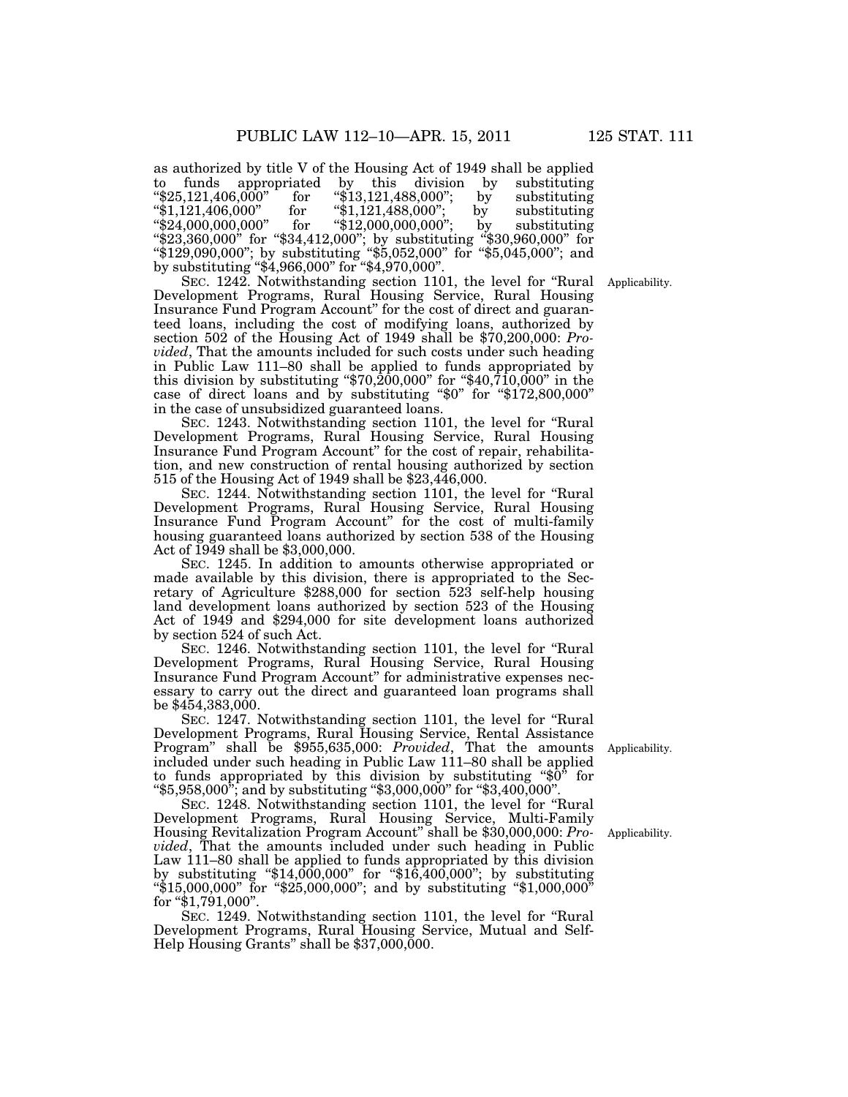as authorized by title V of the Housing Act of 1949 shall be applied<br>to funds appropriated by this division by substituting to funds appropriated by this division by substituting ''\$25,121,406,000'' for ''\$13,121,488,000''; by substituting ''\$1,121,406,000'' for ''\$1,121,488,000''; by substituting ''\$24,000,000,000'' for ''\$12,000,000,000''; by substituting ''\$23,360,000'' for ''\$34,412,000''; by substituting ''\$30,960,000'' for ''\$129,090,000''; by substituting ''\$5,052,000'' for ''\$5,045,000''; and by substituting ''\$4,966,000'' for ''\$4,970,000''.

SEC. 1242. Notwithstanding section 1101, the level for ''Rural Development Programs, Rural Housing Service, Rural Housing Insurance Fund Program Account'' for the cost of direct and guaranteed loans, including the cost of modifying loans, authorized by section 502 of the Housing Act of 1949 shall be \$70,200,000: *Provided*, That the amounts included for such costs under such heading in Public Law 111–80 shall be applied to funds appropriated by this division by substituting ''\$70,200,000'' for ''\$40,710,000'' in the case of direct loans and by substituting "\$0" for "\$172,800,000" in the case of unsubsidized guaranteed loans.

SEC. 1243. Notwithstanding section 1101, the level for ''Rural Development Programs, Rural Housing Service, Rural Housing Insurance Fund Program Account'' for the cost of repair, rehabilitation, and new construction of rental housing authorized by section 515 of the Housing Act of 1949 shall be \$23,446,000.

SEC. 1244. Notwithstanding section 1101, the level for ''Rural Development Programs, Rural Housing Service, Rural Housing Insurance Fund Program Account'' for the cost of multi-family housing guaranteed loans authorized by section 538 of the Housing Act of 1949 shall be \$3,000,000.

SEC. 1245. In addition to amounts otherwise appropriated or made available by this division, there is appropriated to the Secretary of Agriculture \$288,000 for section 523 self-help housing land development loans authorized by section 523 of the Housing Act of 1949 and \$294,000 for site development loans authorized by section 524 of such Act.

SEC. 1246. Notwithstanding section 1101, the level for ''Rural Development Programs, Rural Housing Service, Rural Housing Insurance Fund Program Account'' for administrative expenses necessary to carry out the direct and guaranteed loan programs shall be \$454,383,000.

SEC. 1247. Notwithstanding section 1101, the level for ''Rural Development Programs, Rural Housing Service, Rental Assistance Program'' shall be \$955,635,000: *Provided*, That the amounts included under such heading in Public Law 111–80 shall be applied to funds appropriated by this division by substituting " $\delta$ 0" for ''\$5,958,000''; and by substituting ''\$3,000,000'' for ''\$3,400,000''.

SEC. 1248. Notwithstanding section 1101, the level for ''Rural Development Programs, Rural Housing Service, Multi-Family Housing Revitalization Program Account'' shall be \$30,000,000: *Provided*, That the amounts included under such heading in Public Law 111–80 shall be applied to funds appropriated by this division by substituting ''\$14,000,000'' for ''\$16,400,000''; by substituting ''\$15,000,000'' for ''\$25,000,000''; and by substituting ''\$1,000,000'' for "\$1,791,000".

SEC. 1249. Notwithstanding section 1101, the level for ''Rural Development Programs, Rural Housing Service, Mutual and Self-Help Housing Grants" shall be \$37,000,000.

Applicability.

Applicability.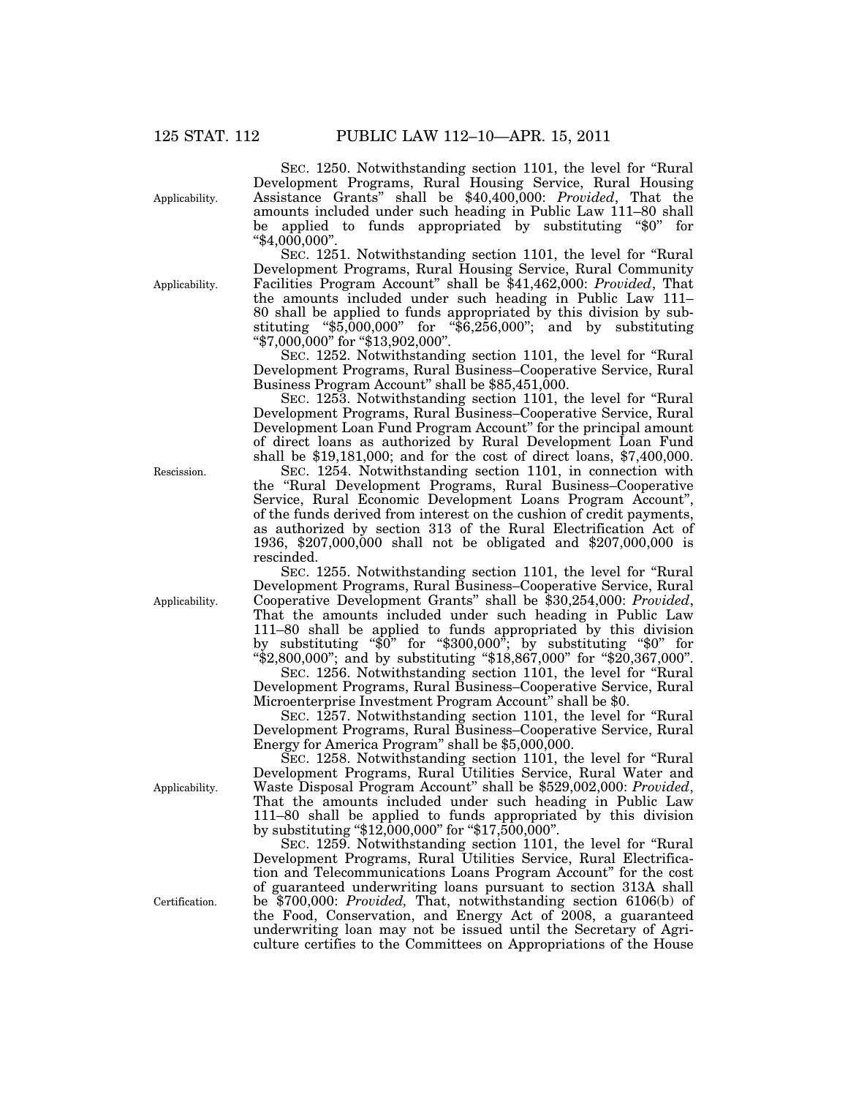Applicability.

SEC. 1250. Notwithstanding section 1101, the level for ''Rural Development Programs, Rural Housing Service, Rural Housing Assistance Grants'' shall be \$40,400,000: *Provided*, That the amounts included under such heading in Public Law 111–80 shall be applied to funds appropriated by substituting ''\$0'' for "\$4,000,000"

Applicability.

SEC. 1251. Notwithstanding section 1101, the level for ''Rural Development Programs, Rural Housing Service, Rural Community Facilities Program Account'' shall be \$41,462,000: *Provided*, That the amounts included under such heading in Public Law 111– 80 shall be applied to funds appropriated by this division by substituting " $\frac{1}{5,000,000}$ " for " $\frac{1}{5,000,000}$ "; and by substituting ''\$7,000,000'' for ''\$13,902,000''.

SEC. 1252. Notwithstanding section 1101, the level for ''Rural Development Programs, Rural Business–Cooperative Service, Rural Business Program Account" shall be \$85,451,000.

SEC. 1253. Notwithstanding section 1101, the level for ''Rural Development Programs, Rural Business–Cooperative Service, Rural Development Loan Fund Program Account" for the principal amount of direct loans as authorized by Rural Development Loan Fund shall be \$19,181,000; and for the cost of direct loans, \$7,400,000.

SEC. 1254. Notwithstanding section 1101, in connection with the ''Rural Development Programs, Rural Business–Cooperative Service, Rural Economic Development Loans Program Account'', of the funds derived from interest on the cushion of credit payments, as authorized by section 313 of the Rural Electrification Act of 1936, \$207,000,000 shall not be obligated and \$207,000,000 is rescinded.

SEC. 1255. Notwithstanding section 1101, the level for ''Rural Development Programs, Rural Business–Cooperative Service, Rural Cooperative Development Grants'' shall be \$30,254,000: *Provided*, That the amounts included under such heading in Public Law 111–80 shall be applied to funds appropriated by this division by substituting ''\$0'' for ''\$300,000''; by substituting ''\$0'' for ''\$2,800,000''; and by substituting ''\$18,867,000'' for ''\$20,367,000''.

SEC. 1256. Notwithstanding section 1101, the level for ''Rural Development Programs, Rural Business–Cooperative Service, Rural Microenterprise Investment Program Account" shall be \$0.

SEC. 1257. Notwithstanding section 1101, the level for ''Rural Development Programs, Rural Business–Cooperative Service, Rural Energy for America Program'' shall be \$5,000,000.

SEC. 1258. Notwithstanding section 1101, the level for ''Rural Development Programs, Rural Utilities Service, Rural Water and Waste Disposal Program Account'' shall be \$529,002,000: *Provided*, That the amounts included under such heading in Public Law 111–80 shall be applied to funds appropriated by this division by substituting ''\$12,000,000'' for ''\$17,500,000''.

SEC. 1259. Notwithstanding section 1101, the level for ''Rural Development Programs, Rural Utilities Service, Rural Electrification and Telecommunications Loans Program Account'' for the cost of guaranteed underwriting loans pursuant to section 313A shall be \$700,000: *Provided,* That, notwithstanding section 6106(b) of the Food, Conservation, and Energy Act of 2008, a guaranteed underwriting loan may not be issued until the Secretary of Agriculture certifies to the Committees on Appropriations of the House

Applicability.

Rescission.

Applicability.

Certification.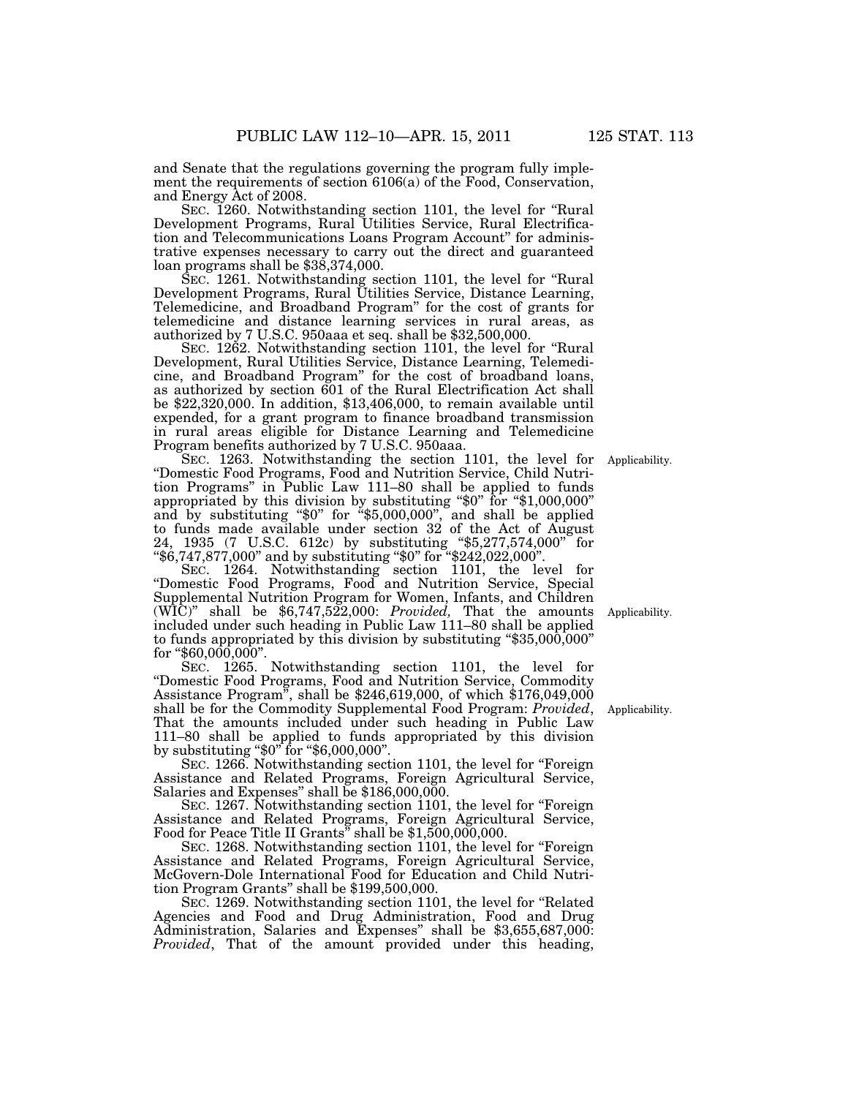and Senate that the regulations governing the program fully implement the requirements of section 6106(a) of the Food, Conservation, and Energy Act of 2008.

SEC. 1260. Notwithstanding section 1101, the level for "Rural" Development Programs, Rural Utilities Service, Rural Electrification and Telecommunications Loans Program Account'' for administrative expenses necessary to carry out the direct and guaranteed loan programs shall be \$38,374,000.

SEC. 1261. Notwithstanding section 1101, the level for ''Rural Development Programs, Rural Utilities Service, Distance Learning, Telemedicine, and Broadband Program'' for the cost of grants for telemedicine and distance learning services in rural areas, as authorized by 7 U.S.C. 950aaa et seq. shall be \$32,500,000.

SEC. 1262. Notwithstanding section 1101, the level for ''Rural Development, Rural Utilities Service, Distance Learning, Telemedicine, and Broadband Program'' for the cost of broadband loans, as authorized by section 601 of the Rural Electrification Act shall be \$22,320,000. In addition, \$13,406,000, to remain available until expended, for a grant program to finance broadband transmission in rural areas eligible for Distance Learning and Telemedicine Program benefits authorized by 7 U.S.C. 950aaa.

SEC. 1263. Notwithstanding the section 1101, the level for ''Domestic Food Programs, Food and Nutrition Service, Child Nutrition Programs'' in Public Law 111–80 shall be applied to funds appropriated by this division by substituting ''\$0'' for ''\$1,000,000'' and by substituting ''\$0'' for ''\$5,000,000'', and shall be applied to funds made available under section 32 of the Act of August 24, 1935 (7 U.S.C. 612c) by substituting ''\$5,277,574,000'' for ''\$6,747,877,000'' and by substituting ''\$0'' for ''\$242,022,000''.

SEC. 1264. Notwithstanding section 1101, the level for ''Domestic Food Programs, Food and Nutrition Service, Special Supplemental Nutrition Program for Women, Infants, and Children  $(WIC)$ " shall be  $$6,747,522,000$ : *Provided*, That the amounts included under such heading in Public Law 111–80 shall be applied to funds appropriated by this division by substituting  $\$35,000,000"$ for "\$60,000,000".

SEC. 1265. Notwithstanding section 1101, the level for ''Domestic Food Programs, Food and Nutrition Service, Commodity Assistance Program'', shall be \$246,619,000, of which \$176,049,000 shall be for the Commodity Supplemental Food Program: *Provided*, That the amounts included under such heading in Public Law 111–80 shall be applied to funds appropriated by this division by substituting " $$0"$  for " $$6,000,000"$ .

SEC. 1266. Notwithstanding section 1101, the level for "Foreign" Assistance and Related Programs, Foreign Agricultural Service, Salaries and Expenses'' shall be \$186,000,000.

SEC. 1267. Notwithstanding section 1101, the level for "Foreign" Assistance and Related Programs, Foreign Agricultural Service, Food for Peace Title II Grants'' shall be \$1,500,000,000.

SEC. 1268. Notwithstanding section 1101, the level for "Foreign" Assistance and Related Programs, Foreign Agricultural Service, McGovern-Dole International Food for Education and Child Nutrition Program Grants'' shall be \$199,500,000.

SEC. 1269. Notwithstanding section 1101, the level for ''Related Agencies and Food and Drug Administration, Food and Drug Administration, Salaries and Expenses'' shall be \$3,655,687,000: *Provided*, That of the amount provided under this heading,

Applicability.

Applicability.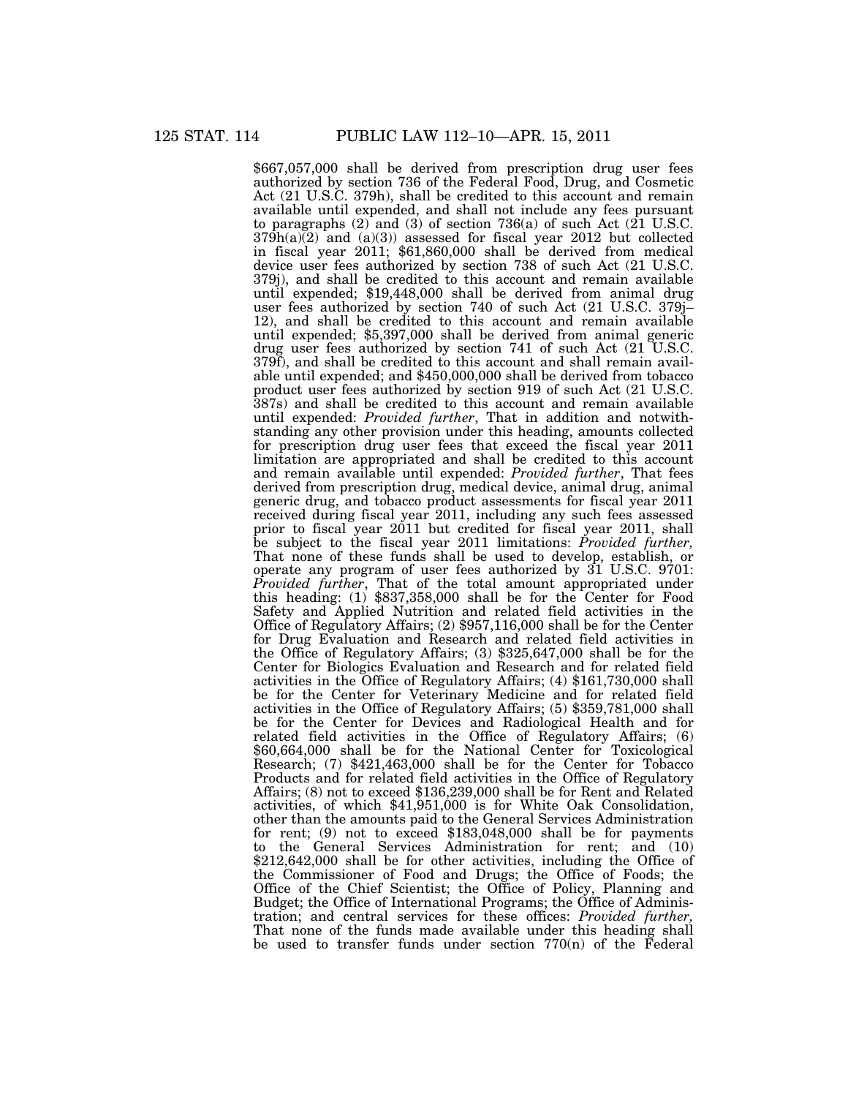\$667,057,000 shall be derived from prescription drug user fees authorized by section 736 of the Federal Food, Drug, and Cosmetic Act (21 U.S.C. 379h), shall be credited to this account and remain available until expended, and shall not include any fees pursuant to paragraphs  $(2)$  and  $(3)$  of section 736(a) of such Act  $(21 \text{ U.S.C.})$  $379h(a)(2)$  and  $(a)(3)$  assessed for fiscal year 2012 but collected in fiscal year 2011; \$61,860,000 shall be derived from medical device user fees authorized by section 738 of such Act (21 U.S.C. 379j), and shall be credited to this account and remain available until expended; \$19,448,000 shall be derived from animal drug user fees authorized by section 740 of such Act (21 U.S.C. 379j– 12), and shall be credited to this account and remain available until expended; \$5,397,000 shall be derived from animal generic drug user fees authorized by section 741 of such Act (21 U.S.C. 379f), and shall be credited to this account and shall remain available until expended; and \$450,000,000 shall be derived from tobacco product user fees authorized by section 919 of such Act (21 U.S.C. 387s) and shall be credited to this account and remain available until expended: *Provided further*, That in addition and notwithstanding any other provision under this heading, amounts collected for prescription drug user fees that exceed the fiscal year 2011 limitation are appropriated and shall be credited to this account and remain available until expended: *Provided further*, That fees derived from prescription drug, medical device, animal drug, animal generic drug, and tobacco product assessments for fiscal year 2011 received during fiscal year 2011, including any such fees assessed prior to fiscal year 2011 but credited for fiscal year 2011, shall be subject to the fiscal year 2011 limitations: *Provided further,*  That none of these funds shall be used to develop, establish, or operate any program of user fees authorized by  $31$  U.S.C. 9701: *Provided further*, That of the total amount appropriated under this heading: (1) \$837,358,000 shall be for the Center for Food Safety and Applied Nutrition and related field activities in the Office of Regulatory Affairs; (2) \$957,116,000 shall be for the Center for Drug Evaluation and Research and related field activities in the Office of Regulatory Affairs; (3) \$325,647,000 shall be for the Center for Biologics Evaluation and Research and for related field activities in the Office of Regulatory Affairs; (4) \$161,730,000 shall be for the Center for Veterinary Medicine and for related field activities in the Office of Regulatory Affairs; (5) \$359,781,000 shall be for the Center for Devices and Radiological Health and for related field activities in the Office of Regulatory Affairs; (6) \$60,664,000 shall be for the National Center for Toxicological Research; (7) \$421,463,000 shall be for the Center for Tobacco Products and for related field activities in the Office of Regulatory Affairs; (8) not to exceed \$136,239,000 shall be for Rent and Related activities, of which \$41,951,000 is for White Oak Consolidation, other than the amounts paid to the General Services Administration for rent; (9) not to exceed \$183,048,000 shall be for payments to the General Services Administration for rent; and (10) \$212,642,000 shall be for other activities, including the Office of the Commissioner of Food and Drugs; the Office of Foods; the Office of the Chief Scientist; the Office of Policy, Planning and Budget; the Office of International Programs; the Office of Administration; and central services for these offices: *Provided further,*  That none of the funds made available under this heading shall be used to transfer funds under section  $770(n)$  of the Federal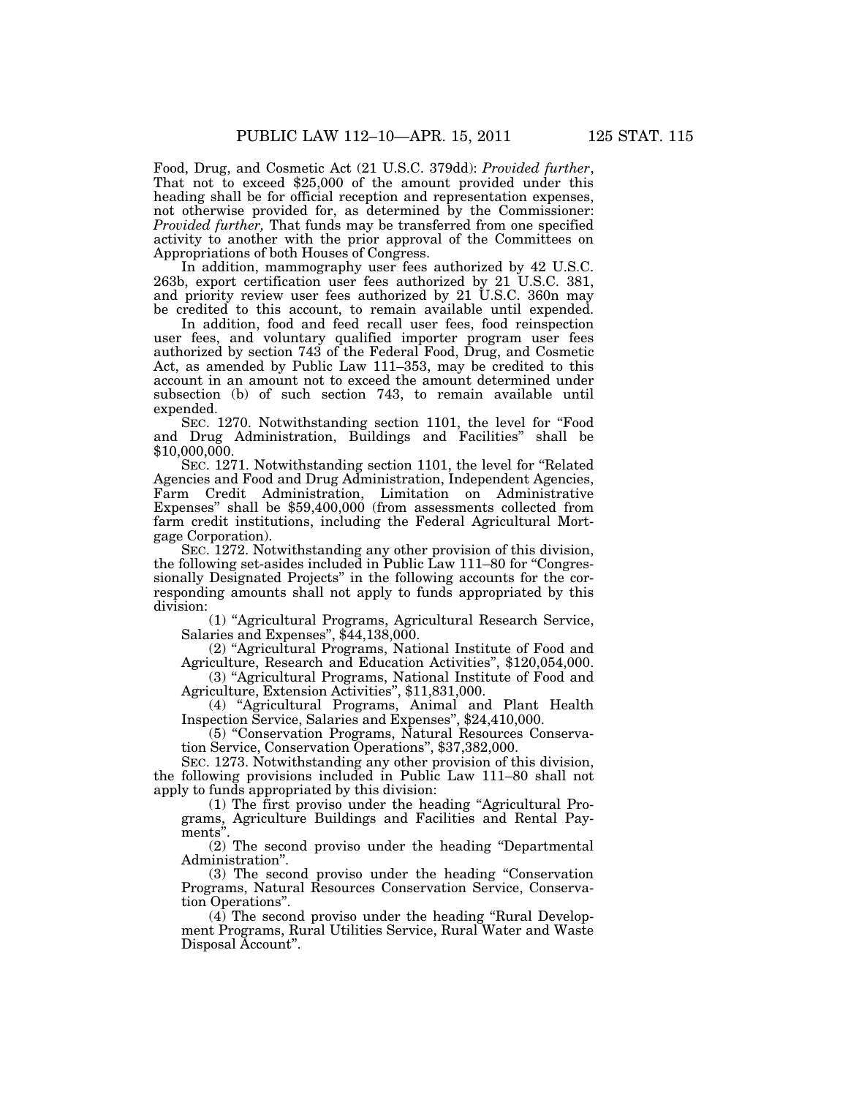Food, Drug, and Cosmetic Act (21 U.S.C. 379dd): *Provided further*, That not to exceed \$25,000 of the amount provided under this heading shall be for official reception and representation expenses, not otherwise provided for, as determined by the Commissioner: *Provided further,* That funds may be transferred from one specified activity to another with the prior approval of the Committees on Appropriations of both Houses of Congress.

In addition, mammography user fees authorized by 42 U.S.C. 263b, export certification user fees authorized by 21 U.S.C. 381, and priority review user fees authorized by 21 U.S.C. 360n may be credited to this account, to remain available until expended.

In addition, food and feed recall user fees, food reinspection user fees, and voluntary qualified importer program user fees authorized by section 743 of the Federal Food, Drug, and Cosmetic Act, as amended by Public Law 111–353, may be credited to this account in an amount not to exceed the amount determined under subsection (b) of such section 743, to remain available until expended.

SEC. 1270. Notwithstanding section 1101, the level for "Food and Drug Administration, Buildings and Facilities'' shall be \$10,000,000.

SEC. 1271. Notwithstanding section 1101, the level for ''Related Agencies and Food and Drug Administration, Independent Agencies, Farm Credit Administration, Limitation on Administrative Expenses'' shall be \$59,400,000 (from assessments collected from farm credit institutions, including the Federal Agricultural Mortgage Corporation).

SEC. 1272. Notwithstanding any other provision of this division, the following set-asides included in Public Law 111–80 for ''Congressionally Designated Projects'' in the following accounts for the corresponding amounts shall not apply to funds appropriated by this division:

(1) ''Agricultural Programs, Agricultural Research Service, Salaries and Expenses", \$44,138,000.

(2) ''Agricultural Programs, National Institute of Food and Agriculture, Research and Education Activities'', \$120,054,000.

(3) ''Agricultural Programs, National Institute of Food and Agriculture, Extension Activities'', \$11,831,000.

(4) ''Agricultural Programs, Animal and Plant Health Inspection Service, Salaries and Expenses'', \$24,410,000.

(5) ''Conservation Programs, Natural Resources Conservation Service, Conservation Operations'', \$37,382,000.

SEC. 1273. Notwithstanding any other provision of this division, the following provisions included in Public Law 111–80 shall not apply to funds appropriated by this division:

(1) The first proviso under the heading ''Agricultural Programs, Agriculture Buildings and Facilities and Rental Payments'

(2) The second proviso under the heading ''Departmental Administration''.

(3) The second proviso under the heading ''Conservation Programs, Natural Resources Conservation Service, Conservation Operations''.

 $(4)$  The second proviso under the heading "Rural Development Programs, Rural Utilities Service, Rural Water and Waste Disposal Account''.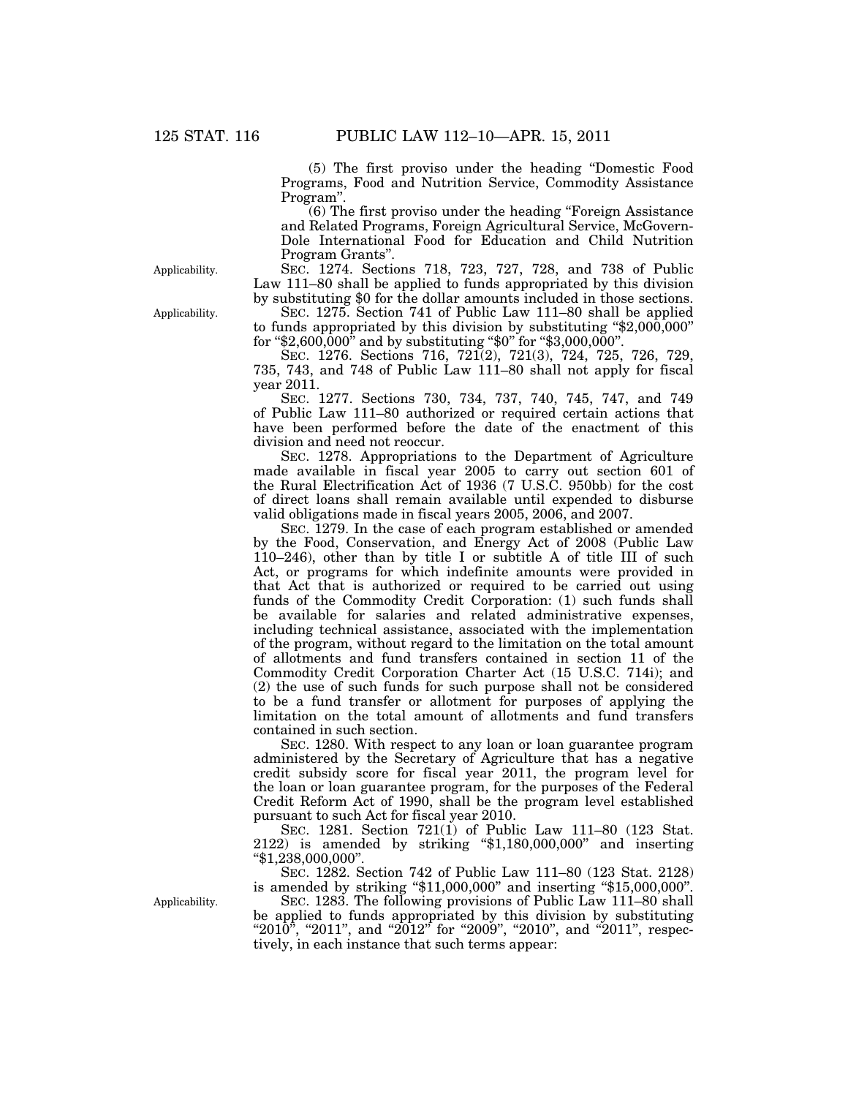(5) The first proviso under the heading ''Domestic Food Programs, Food and Nutrition Service, Commodity Assistance Program''.

(6) The first proviso under the heading ''Foreign Assistance and Related Programs, Foreign Agricultural Service, McGovern-Dole International Food for Education and Child Nutrition Program Grants''.

SEC. 1274. Sections 718, 723, 727, 728, and 738 of Public Law 111–80 shall be applied to funds appropriated by this division by substituting \$0 for the dollar amounts included in those sections.

SEC. 1275. Section 741 of Public Law 111–80 shall be applied to funds appropriated by this division by substituting " $$2,000,000$ " for ''\$2,600,000'' and by substituting ''\$0'' for ''\$3,000,000''.

SEC. 1276. Sections 716, 721(2), 721(3), 724, 725, 726, 729, 735, 743, and 748 of Public Law 111–80 shall not apply for fiscal year 2011.

SEC. 1277. Sections 730, 734, 737, 740, 745, 747, and 749 of Public Law 111–80 authorized or required certain actions that have been performed before the date of the enactment of this division and need not reoccur.

SEC. 1278. Appropriations to the Department of Agriculture made available in fiscal year 2005 to carry out section 601 of the Rural Electrification Act of 1936 (7 U.S.C. 950bb) for the cost of direct loans shall remain available until expended to disburse valid obligations made in fiscal years 2005, 2006, and 2007.

SEC. 1279. In the case of each program established or amended by the Food, Conservation, and Energy Act of 2008 (Public Law 110–246), other than by title I or subtitle A of title III of such Act, or programs for which indefinite amounts were provided in that Act that is authorized or required to be carried out using funds of the Commodity Credit Corporation: (1) such funds shall be available for salaries and related administrative expenses, including technical assistance, associated with the implementation of the program, without regard to the limitation on the total amount of allotments and fund transfers contained in section 11 of the Commodity Credit Corporation Charter Act (15 U.S.C. 714i); and (2) the use of such funds for such purpose shall not be considered to be a fund transfer or allotment for purposes of applying the limitation on the total amount of allotments and fund transfers contained in such section.

SEC. 1280. With respect to any loan or loan guarantee program administered by the Secretary of Agriculture that has a negative credit subsidy score for fiscal year 2011, the program level for the loan or loan guarantee program, for the purposes of the Federal Credit Reform Act of 1990, shall be the program level established pursuant to such Act for fiscal year 2010.

SEC. 1281. Section 721(1) of Public Law 111–80 (123 Stat. 2122) is amended by striking ''\$1,180,000,000'' and inserting ''\$1,238,000,000''.

SEC. 1282. Section 742 of Public Law 111–80 (123 Stat. 2128) is amended by striking " $$11,000,000"$  and inserting " $$15,000,000"$ .

SEC. 1283. The following provisions of Public Law 111–80 shall be applied to funds appropriated by this division by substituting " $2010$ ", " $2011$ ", and " $2012$ " for " $2009$ ", " $2010$ ", and " $2011$ ", respectively, in each instance that such terms appear:

Applicability.

Applicability.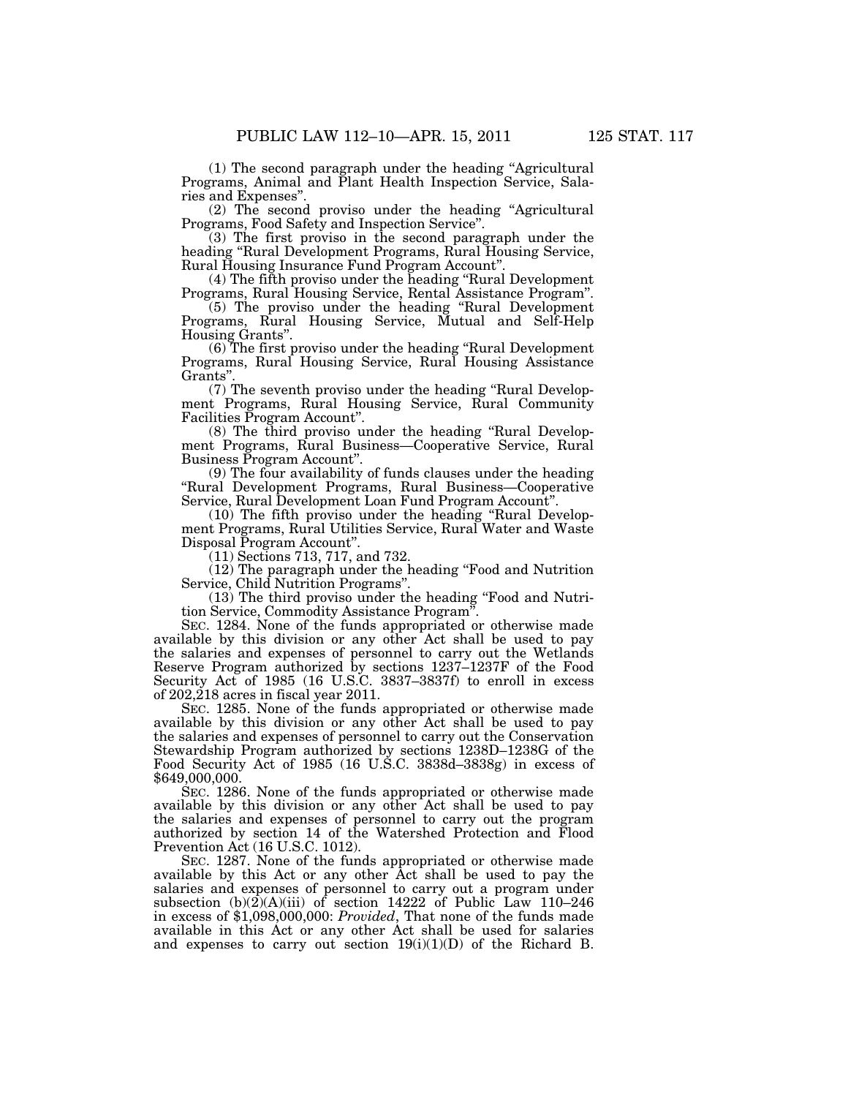(1) The second paragraph under the heading ''Agricultural Programs, Animal and Plant Health Inspection Service, Sala-

ries and Expenses''. (2) The second proviso under the heading ''Agricultural Programs, Food Safety and Inspection Service''.

(3) The first proviso in the second paragraph under the heading "Rural Development Programs, Rural Housing Service, Rural Housing Insurance Fund Program Account''.

(4) The fifth proviso under the heading ''Rural Development Programs, Rural Housing Service, Rental Assistance Program''.

(5) The proviso under the heading ''Rural Development Programs, Rural Housing Service, Mutual and Self-Help Housing Grants''.

(6) The first proviso under the heading ''Rural Development Programs, Rural Housing Service, Rural Housing Assistance Grants''.

(7) The seventh proviso under the heading ''Rural Development Programs, Rural Housing Service, Rural Community Facilities Program Account''.

(8) The third proviso under the heading ''Rural Development Programs, Rural Business—Cooperative Service, Rural Business Program Account''.

(9) The four availability of funds clauses under the heading ''Rural Development Programs, Rural Business—Cooperative Service, Rural Development Loan Fund Program Account''.

(10) The fifth proviso under the heading ''Rural Development Programs, Rural Utilities Service, Rural Water and Waste Disposal Program Account''.

(11) Sections 713, 717, and 732.

(12) The paragraph under the heading ''Food and Nutrition Service, Child Nutrition Programs''.

(13) The third proviso under the heading ''Food and Nutrition Service, Commodity Assistance Program''.

SEC. 1284. None of the funds appropriated or otherwise made available by this division or any other Act shall be used to pay the salaries and expenses of personnel to carry out the Wetlands Reserve Program authorized by sections 1237–1237F of the Food Security Act of 1985 (16 U.S.C. 3837–3837f) to enroll in excess of  $202,218$  acres in fiscal year 2011.

SEC. 1285. None of the funds appropriated or otherwise made available by this division or any other Act shall be used to pay the salaries and expenses of personnel to carry out the Conservation Stewardship Program authorized by sections 1238D–1238G of the Food Security Act of 1985 (16 U.S.C. 3838d–3838g) in excess of \$649,000,000.

SEC. 1286. None of the funds appropriated or otherwise made available by this division or any other Act shall be used to pay the salaries and expenses of personnel to carry out the program authorized by section 14 of the Watershed Protection and Flood Prevention Act (16 U.S.C. 1012).

SEC. 1287. None of the funds appropriated or otherwise made available by this Act or any other Act shall be used to pay the salaries and expenses of personnel to carry out a program under subsection  $(b)(2)(A)(iii)$  of section 14222 of Public Law 110–246 in excess of \$1,098,000,000: *Provided*, That none of the funds made available in this Act or any other Act shall be used for salaries and expenses to carry out section  $19(i)(1)(D)$  of the Richard B.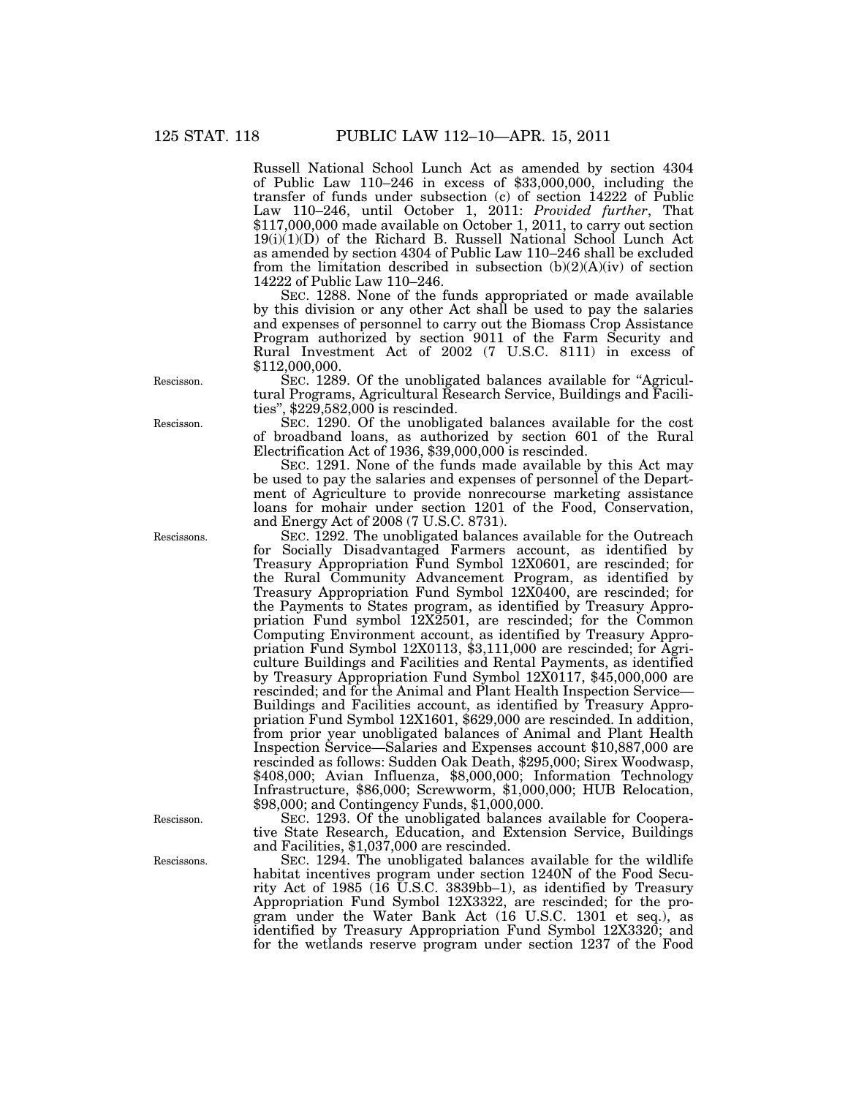Russell National School Lunch Act as amended by section 4304 of Public Law 110–246 in excess of \$33,000,000, including the transfer of funds under subsection (c) of section 14222 of Public Law 110–246, until October 1, 2011: *Provided further*, That \$117,000,000 made available on October 1, 2011, to carry out section  $19(i)(1)(D)$  of the Richard B. Russell National School Lunch Act as amended by section 4304 of Public Law 110–246 shall be excluded from the limitation described in subsection  $(b)(2)(A)(iv)$  of section 14222 of Public Law 110–246.

SEC. 1288. None of the funds appropriated or made available by this division or any other Act shall be used to pay the salaries and expenses of personnel to carry out the Biomass Crop Assistance Program authorized by section 9011 of the Farm Security and Rural Investment Act of 2002 (7 U.S.C. 8111) in excess of \$112,000,000.

SEC. 1289. Of the unobligated balances available for "Agricultural Programs, Agricultural Research Service, Buildings and Facilities'', \$229,582,000 is rescinded.

SEC. 1290. Of the unobligated balances available for the cost of broadband loans, as authorized by section 601 of the Rural Electrification Act of 1936, \$39,000,000 is rescinded.

SEC. 1291. None of the funds made available by this Act may be used to pay the salaries and expenses of personnel of the Department of Agriculture to provide nonrecourse marketing assistance loans for mohair under section 1201 of the Food, Conservation, and Energy Act of 2008 (7 U.S.C. 8731).

SEC. 1292. The unobligated balances available for the Outreach for Socially Disadvantaged Farmers account, as identified by Treasury Appropriation Fund Symbol 12X0601, are rescinded; for the Rural Community Advancement Program, as identified by Treasury Appropriation Fund Symbol 12X0400, are rescinded; for the Payments to States program, as identified by Treasury Appropriation Fund symbol 12X2501, are rescinded; for the Common Computing Environment account, as identified by Treasury Appropriation Fund Symbol 12X0113, \$3,111,000 are rescinded; for Agriculture Buildings and Facilities and Rental Payments, as identified by Treasury Appropriation Fund Symbol 12X0117, \$45,000,000 are rescinded; and for the Animal and Plant Health Inspection Service— Buildings and Facilities account, as identified by Treasury Appropriation Fund Symbol 12X1601, \$629,000 are rescinded. In addition, from prior year unobligated balances of Animal and Plant Health Inspection Service—Salaries and Expenses account \$10,887,000 are rescinded as follows: Sudden Oak Death, \$295,000; Sirex Woodwasp, \$408,000; Avian Influenza, \$8,000,000; Information Technology Infrastructure, \$86,000; Screwworm, \$1,000,000; HUB Relocation, \$98,000; and Contingency Funds, \$1,000,000.

SEC. 1293. Of the unobligated balances available for Cooperative State Research, Education, and Extension Service, Buildings and Facilities, \$1,037,000 are rescinded.

SEC. 1294. The unobligated balances available for the wildlife habitat incentives program under section 1240N of the Food Security Act of 1985 ( $16$  U.S.C. 3839bb–1), as identified by Treasury Appropriation Fund Symbol 12X3322, are rescinded; for the program under the Water Bank Act (16 U.S.C. 1301 et seq.), as identified by Treasury Appropriation Fund Symbol 12X3320; and for the wetlands reserve program under section 1237 of the Food

Rescisson.

Rescisson.

Rescissons.

Rescisson.

Rescissons.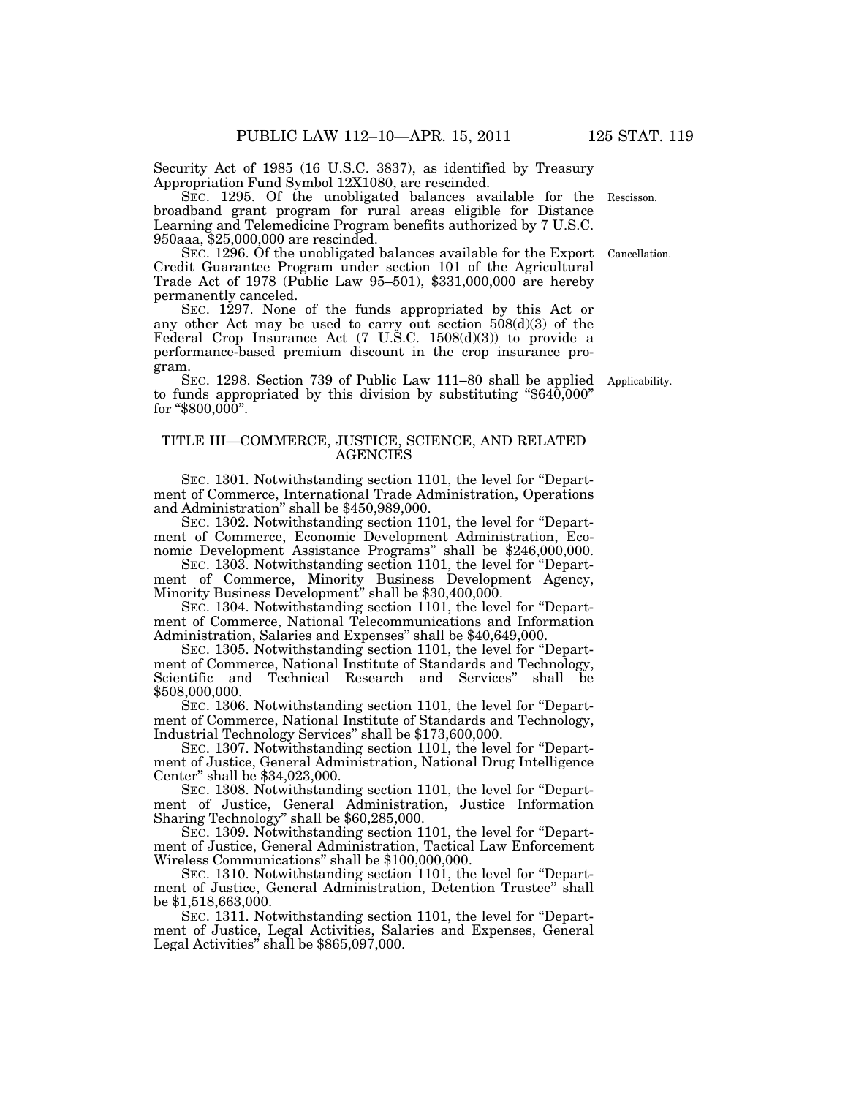Security Act of 1985 (16 U.S.C. 3837), as identified by Treasury Appropriation Fund Symbol 12X1080, are rescinded.

SEC. 1295. Of the unobligated balances available for the broadband grant program for rural areas eligible for Distance Learning and Telemedicine Program benefits authorized by 7 U.S.C. 950aaa, \$25,000,000 are rescinded. Rescisson.

SEC. 1296. Of the unobligated balances available for the Export Credit Guarantee Program under section 101 of the Agricultural Trade Act of 1978 (Public Law 95–501), \$331,000,000 are hereby permanently canceled. Cancellation.

SEC. 1297. None of the funds appropriated by this Act or any other Act may be used to carry out section 508(d)(3) of the Federal Crop Insurance Act  $(7 \text{ U.S.C. } 1508(d)(3))$  to provide a performance-based premium discount in the crop insurance program.

SEC. 1298. Section 739 of Public Law 111–80 shall be applied to funds appropriated by this division by substituting " $$640,000"$ " for " $$800,000$ ".

# TITLE III—COMMERCE, JUSTICE, SCIENCE, AND RELATED **AGENCIES**

SEC. 1301. Notwithstanding section 1101, the level for ''Department of Commerce, International Trade Administration, Operations and Administration'' shall be \$450,989,000.

SEC. 1302. Notwithstanding section 1101, the level for ''Department of Commerce, Economic Development Administration, Economic Development Assistance Programs'' shall be \$246,000,000.

SEC. 1303. Notwithstanding section 1101, the level for ''Department of Commerce, Minority Business Development Agency, Minority Business Development'' shall be \$30,400,000.

SEC. 1304. Notwithstanding section 1101, the level for "Department of Commerce, National Telecommunications and Information Administration, Salaries and Expenses'' shall be \$40,649,000.

SEC. 1305. Notwithstanding section 1101, the level for ''Department of Commerce, National Institute of Standards and Technology, Scientific and Technical Research and Services" shall be \$508,000,000.

SEC. 1306. Notwithstanding section 1101, the level for "Department of Commerce, National Institute of Standards and Technology, Industrial Technology Services'' shall be \$173,600,000.

SEC. 1307. Notwithstanding section 1101, the level for ''Department of Justice, General Administration, National Drug Intelligence Center'' shall be \$34,023,000.

SEC. 1308. Notwithstanding section 1101, the level for ''Department of Justice, General Administration, Justice Information Sharing Technology'' shall be \$60,285,000.

SEC. 1309. Notwithstanding section 1101, the level for ''Department of Justice, General Administration, Tactical Law Enforcement Wireless Communications'' shall be \$100,000,000.

SEC. 1310. Notwithstanding section 1101, the level for ''Department of Justice, General Administration, Detention Trustee'' shall be \$1,518,663,000.

SEC. 1311. Notwithstanding section 1101, the level for ''Department of Justice, Legal Activities, Salaries and Expenses, General Legal Activities" shall be  $$865,097,000$ .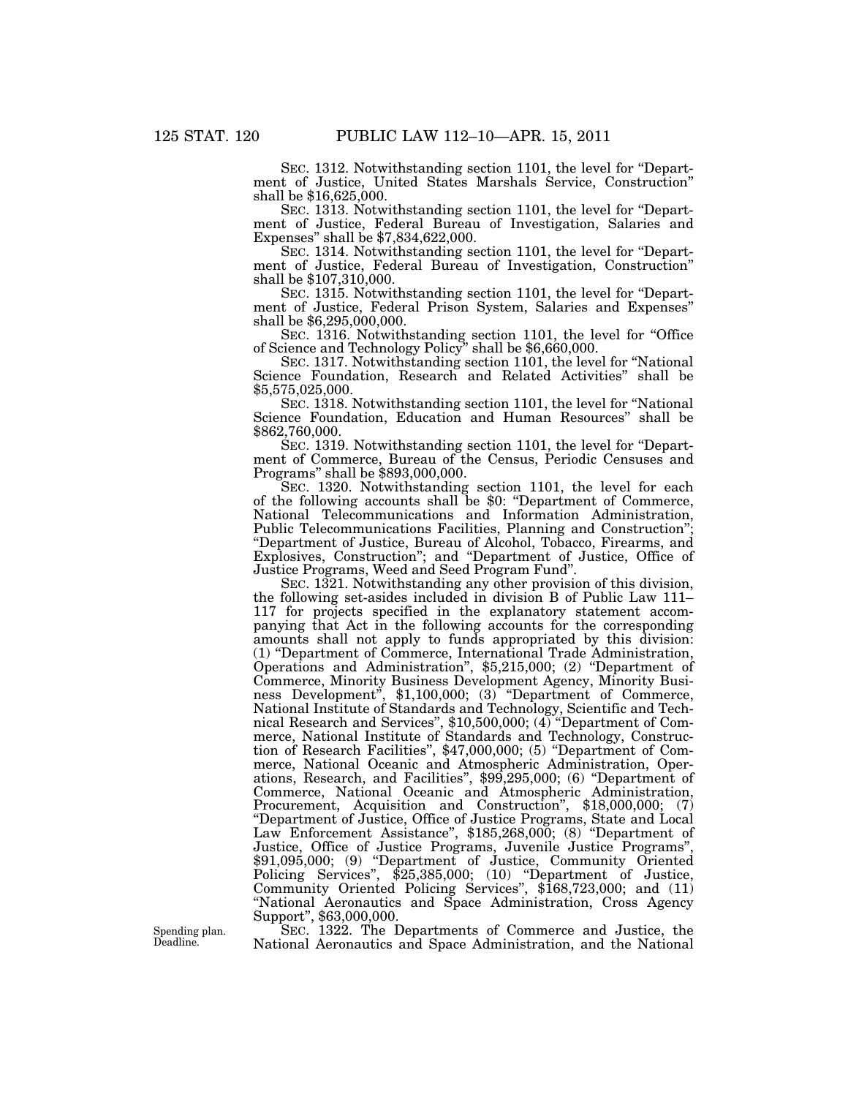SEC. 1312. Notwithstanding section 1101, the level for ''Department of Justice, United States Marshals Service, Construction'' shall be \$16,625,000.

SEC. 1313. Notwithstanding section 1101, the level for "Department of Justice, Federal Bureau of Investigation, Salaries and Expenses'' shall be \$7,834,622,000.

SEC. 1314. Notwithstanding section 1101, the level for "Department of Justice, Federal Bureau of Investigation, Construction'' shall be \$107,310,000.

SEC. 1315. Notwithstanding section 1101, the level for "Department of Justice, Federal Prison System, Salaries and Expenses'' shall be \$6,295,000,000.

SEC. 1316. Notwithstanding section 1101, the level for "Office of Science and Technology Policy" shall be \$6,660,000.

SEC. 1317. Notwithstanding section 1101, the level for ''National Science Foundation, Research and Related Activities'' shall be \$5,575,025,000.

SEC. 1318. Notwithstanding section 1101, the level for ''National Science Foundation, Education and Human Resources'' shall be \$862,760,000.

SEC. 1319. Notwithstanding section 1101, the level for ''Department of Commerce, Bureau of the Census, Periodic Censuses and Programs'' shall be \$893,000,000.

SEC. 1320. Notwithstanding section 1101, the level for each of the following accounts shall be \$0: ''Department of Commerce, National Telecommunications and Information Administration, Public Telecommunications Facilities, Planning and Construction''; ''Department of Justice, Bureau of Alcohol, Tobacco, Firearms, and Explosives, Construction''; and ''Department of Justice, Office of Justice Programs, Weed and Seed Program Fund''.

SEC. 1321. Notwithstanding any other provision of this division, the following set-asides included in division B of Public Law 111– 117 for projects specified in the explanatory statement accompanying that Act in the following accounts for the corresponding amounts shall not apply to funds appropriated by this division: (1) ''Department of Commerce, International Trade Administration, Operations and Administration'', \$5,215,000; (2) ''Department of Commerce, Minority Business Development Agency, Minority Business Development'', \$1,100,000; (3) ''Department of Commerce, National Institute of Standards and Technology, Scientific and Technical Research and Services'', \$10,500,000; (4) ''Department of Commerce, National Institute of Standards and Technology, Construction of Research Facilities", \$47,000,000; (5) "Department of Commerce, National Oceanic and Atmospheric Administration, Operations, Research, and Facilities'', \$99,295,000; (6) ''Department of Commerce, National Oceanic and Atmospheric Administration, Procurement, Acquisition and Construction", \$18,000,000; (7) ''Department of Justice, Office of Justice Programs, State and Local Law Enforcement Assistance'', \$185,268,000; (8) ''Department of Justice, Office of Justice Programs, Juvenile Justice Programs'', \$91,095,000; (9) "Department of Justice, Community Oriented Policing Services", \$25,385,000; (10) "Department of Justice, Community Oriented Policing Services'', \$168,723,000; and (11) ''National Aeronautics and Space Administration, Cross Agency Support'', \$63,000,000.

SEC. 1322. The Departments of Commerce and Justice, the National Aeronautics and Space Administration, and the National

Spending plan. Deadline.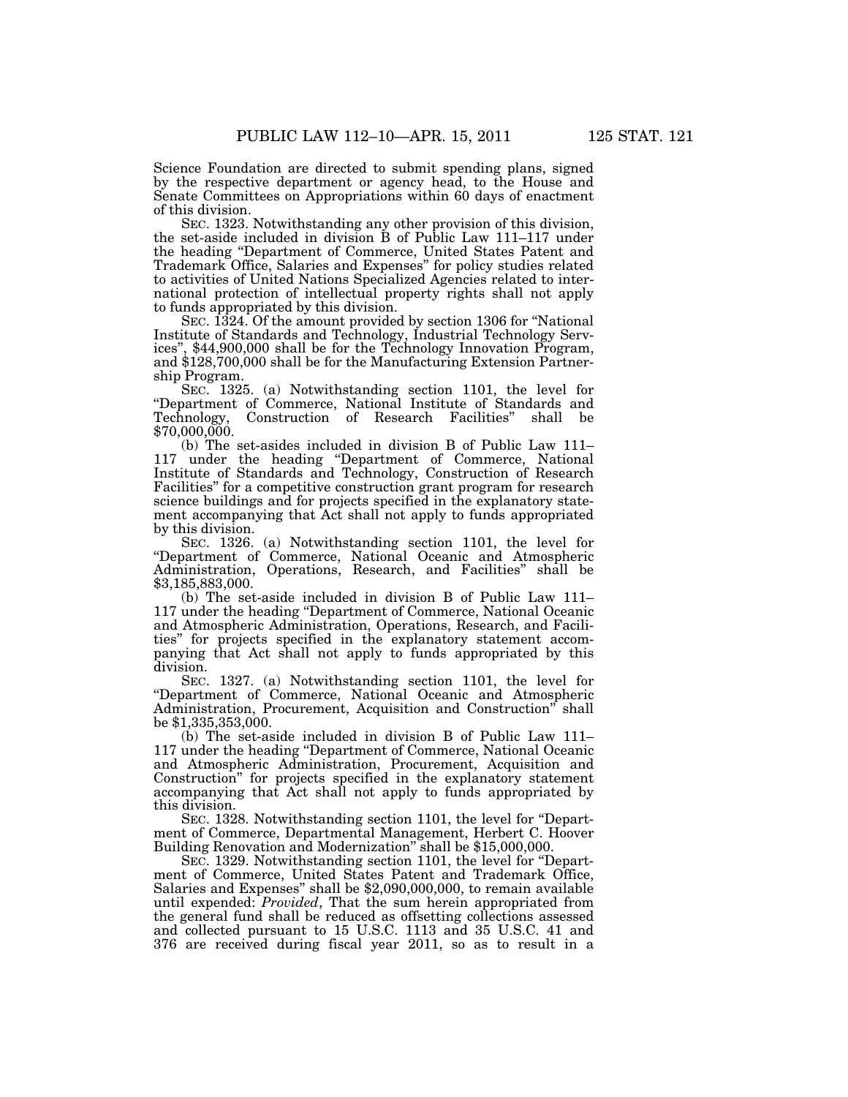Science Foundation are directed to submit spending plans, signed by the respective department or agency head, to the House and Senate Committees on Appropriations within 60 days of enactment of this division.

SEC. 1323. Notwithstanding any other provision of this division, the set-aside included in division B of Public Law 111–117 under the heading ''Department of Commerce, United States Patent and Trademark Office, Salaries and Expenses'' for policy studies related to activities of United Nations Specialized Agencies related to international protection of intellectual property rights shall not apply to funds appropriated by this division.

SEC. 1324. Of the amount provided by section 1306 for ''National Institute of Standards and Technology, Industrial Technology Services'', \$44,900,000 shall be for the Technology Innovation Program, and \$128,700,000 shall be for the Manufacturing Extension Partnership Program.

SEC. 1325. (a) Notwithstanding section 1101, the level for "Department of Commerce, National Institute of Standards and Technology, Construction of Research Facilities" shall be Construction of Research Facilities" shall be \$70,000,000.

(b) The set-asides included in division B of Public Law 111– 117 under the heading ''Department of Commerce, National Institute of Standards and Technology, Construction of Research Facilities'' for a competitive construction grant program for research science buildings and for projects specified in the explanatory statement accompanying that Act shall not apply to funds appropriated by this division.

SEC. 1326. (a) Notwithstanding section 1101, the level for ''Department of Commerce, National Oceanic and Atmospheric Administration, Operations, Research, and Facilities'' shall be \$3,185,883,000.

(b) The set-aside included in division B of Public Law 111– 117 under the heading ''Department of Commerce, National Oceanic and Atmospheric Administration, Operations, Research, and Facilities'' for projects specified in the explanatory statement accompanying that Act shall not apply to funds appropriated by this division.

SEC. 1327. (a) Notwithstanding section 1101, the level for ''Department of Commerce, National Oceanic and Atmospheric Administration, Procurement, Acquisition and Construction'' shall be \$1,335,353,000.

(b) The set-aside included in division B of Public Law 111– 117 under the heading ''Department of Commerce, National Oceanic and Atmospheric Administration, Procurement, Acquisition and Construction'' for projects specified in the explanatory statement accompanying that Act shall not apply to funds appropriated by this division.

SEC. 1328. Notwithstanding section 1101, the level for ''Department of Commerce, Departmental Management, Herbert C. Hoover Building Renovation and Modernization'' shall be \$15,000,000.

SEC. 1329. Notwithstanding section 1101, the level for ''Department of Commerce, United States Patent and Trademark Office, Salaries and Expenses'' shall be \$2,090,000,000, to remain available until expended: *Provided*, That the sum herein appropriated from the general fund shall be reduced as offsetting collections assessed and collected pursuant to 15 U.S.C. 1113 and 35 U.S.C. 41 and 376 are received during fiscal year 2011, so as to result in a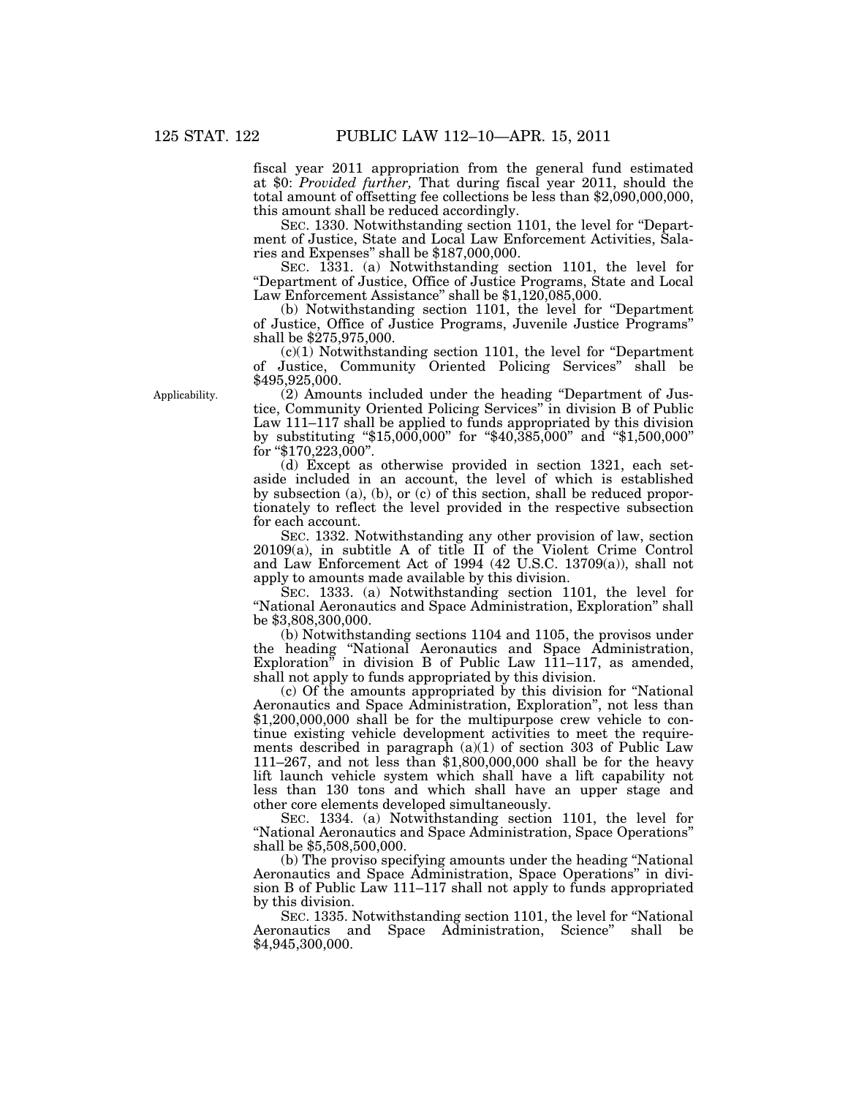fiscal year 2011 appropriation from the general fund estimated at \$0: *Provided further,* That during fiscal year 2011, should the total amount of offsetting fee collections be less than \$2,090,000,000, this amount shall be reduced accordingly.

SEC. 1330. Notwithstanding section 1101, the level for ''Department of Justice, State and Local Law Enforcement Activities, Salaries and Expenses'' shall be \$187,000,000.

SEC. 1331. (a) Notwithstanding section 1101, the level for ''Department of Justice, Office of Justice Programs, State and Local Law Enforcement Assistance'' shall be \$1,120,085,000.

(b) Notwithstanding section 1101, the level for ''Department of Justice, Office of Justice Programs, Juvenile Justice Programs'' shall be \$275,975,000.

 $(c)(1)$  Notwithstanding section 1101, the level for "Department" of Justice, Community Oriented Policing Services'' shall be \$495,925,000.

(2) Amounts included under the heading ''Department of Justice, Community Oriented Policing Services'' in division B of Public Law 111–117 shall be applied to funds appropriated by this division by substituting "\$15,000,000" for "\$40,385,000" and "\$1,500,000" for "\$170,223,000".

(d) Except as otherwise provided in section 1321, each setaside included in an account, the level of which is established by subsection (a), (b), or (c) of this section, shall be reduced proportionately to reflect the level provided in the respective subsection for each account.

SEC. 1332. Notwithstanding any other provision of law, section 20109(a), in subtitle A of title II of the Violent Crime Control and Law Enforcement Act of 1994 (42 U.S.C. 13709(a)), shall not apply to amounts made available by this division.

SEC. 1333. (a) Notwithstanding section 1101, the level for "National Aeronautics and Space Administration, Exploration" shall be \$3,808,300,000.

(b) Notwithstanding sections 1104 and 1105, the provisos under the heading ''National Aeronautics and Space Administration, Exploration'' in division B of Public Law 111–117, as amended, shall not apply to funds appropriated by this division.

(c) Of the amounts appropriated by this division for ''National Aeronautics and Space Administration, Exploration'', not less than \$1,200,000,000 shall be for the multipurpose crew vehicle to continue existing vehicle development activities to meet the requirements described in paragraph  $(a)(1)$  of section 303 of Public Law 111–267, and not less than \$1,800,000,000 shall be for the heavy lift launch vehicle system which shall have a lift capability not less than 130 tons and which shall have an upper stage and other core elements developed simultaneously.

SEC. 1334. (a) Notwithstanding section 1101, the level for ''National Aeronautics and Space Administration, Space Operations'' shall be \$5,508,500,000.

(b) The proviso specifying amounts under the heading ''National Aeronautics and Space Administration, Space Operations'' in division B of Public Law 111–117 shall not apply to funds appropriated by this division.

SEC. 1335. Notwithstanding section 1101, the level for ''National Aeronautics and Space Administration, Science'' shall be \$4,945,300,000.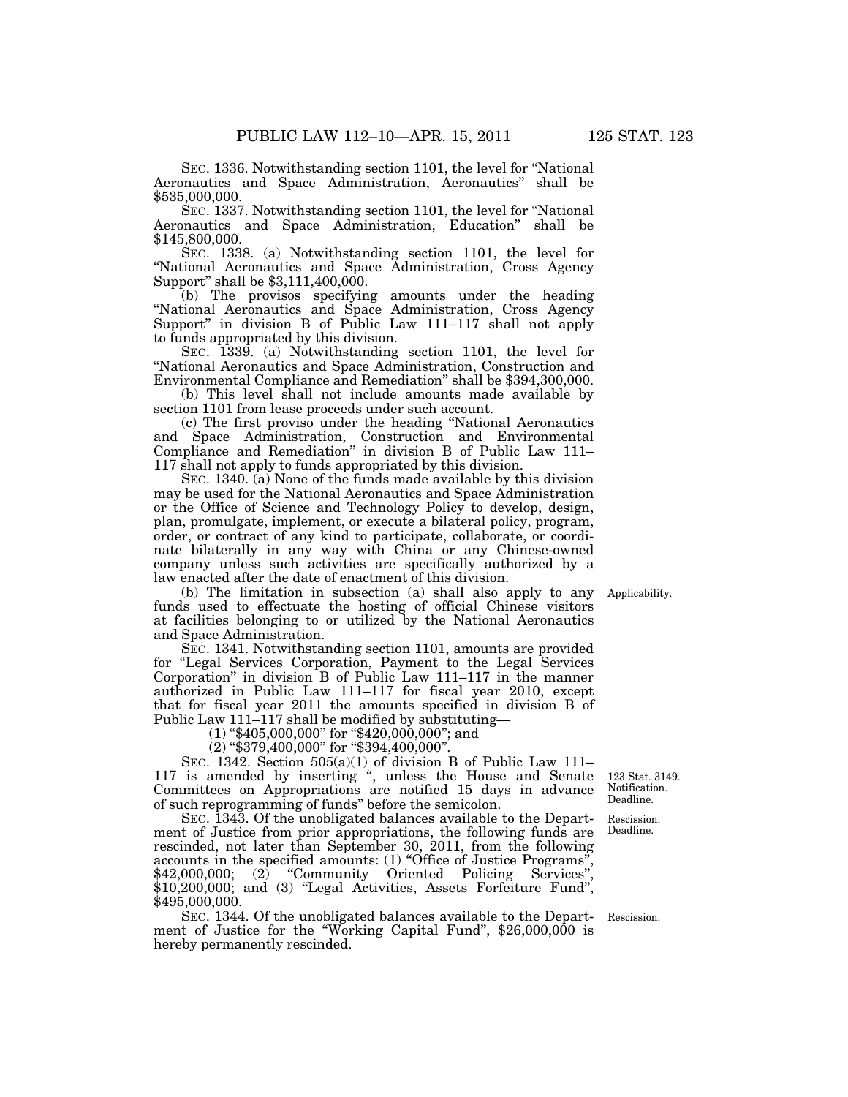SEC. 1336. Notwithstanding section 1101, the level for ''National Aeronautics and Space Administration, Aeronautics'' shall be \$535,000,000.

SEC. 1337. Notwithstanding section 1101, the level for ''National Aeronautics and Space Administration, Education'' shall be \$145,800,000.

SEC. 1338. (a) Notwithstanding section 1101, the level for ''National Aeronautics and Space Administration, Cross Agency Support'' shall be \$3,111,400,000.

(b) The provisos specifying amounts under the heading ''National Aeronautics and Space Administration, Cross Agency Support" in division B of Public Law 111–117 shall not apply to funds appropriated by this division.

SEC. 1339. (a) Notwithstanding section 1101, the level for ''National Aeronautics and Space Administration, Construction and Environmental Compliance and Remediation'' shall be \$394,300,000.

(b) This level shall not include amounts made available by section 1101 from lease proceeds under such account.

(c) The first proviso under the heading ''National Aeronautics and Space Administration, Construction and Environmental Compliance and Remediation'' in division B of Public Law 111– 117 shall not apply to funds appropriated by this division.

SEC. 1340. (a) None of the funds made available by this division may be used for the National Aeronautics and Space Administration or the Office of Science and Technology Policy to develop, design, plan, promulgate, implement, or execute a bilateral policy, program, order, or contract of any kind to participate, collaborate, or coordinate bilaterally in any way with China or any Chinese-owned company unless such activities are specifically authorized by a law enacted after the date of enactment of this division.

(b) The limitation in subsection (a) shall also apply to any funds used to effectuate the hosting of official Chinese visitors at facilities belonging to or utilized by the National Aeronautics and Space Administration.

SEC. 1341. Notwithstanding section 1101, amounts are provided for ''Legal Services Corporation, Payment to the Legal Services Corporation'' in division B of Public Law 111–117 in the manner authorized in Public Law 111–117 for fiscal year 2010, except that for fiscal year 2011 the amounts specified in division B of Public Law 111–117 shall be modified by substituting—

 $(1)$  "\$405,000,000" for "\$420,000,000"; and

(2) ''\$379,400,000'' for ''\$394,400,000''.

SEC. 1342. Section 505(a)(1) of division B of Public Law 111– 117 is amended by inserting '', unless the House and Senate Committees on Appropriations are notified 15 days in advance of such reprogramming of funds'' before the semicolon.

SEC. 1343. Of the unobligated balances available to the Department of Justice from prior appropriations, the following funds are rescinded, not later than September 30, 2011, from the following accounts in the specified amounts: (1) "Office of Justice Programs"  $$42,000,000;$  (2) "Community Oriented Policing Services", \$10,200,000; and (3) "Legal Activities, Assets Forfeiture Fund", \$495,000,000.

SEC. 1344. Of the unobligated balances available to the Depart-Rescission. ment of Justice for the "Working Capital Fund", \$26,000,000 is hereby permanently rescinded.

123 Stat. 3149. Notification. Deadline.

Rescission. Deadline.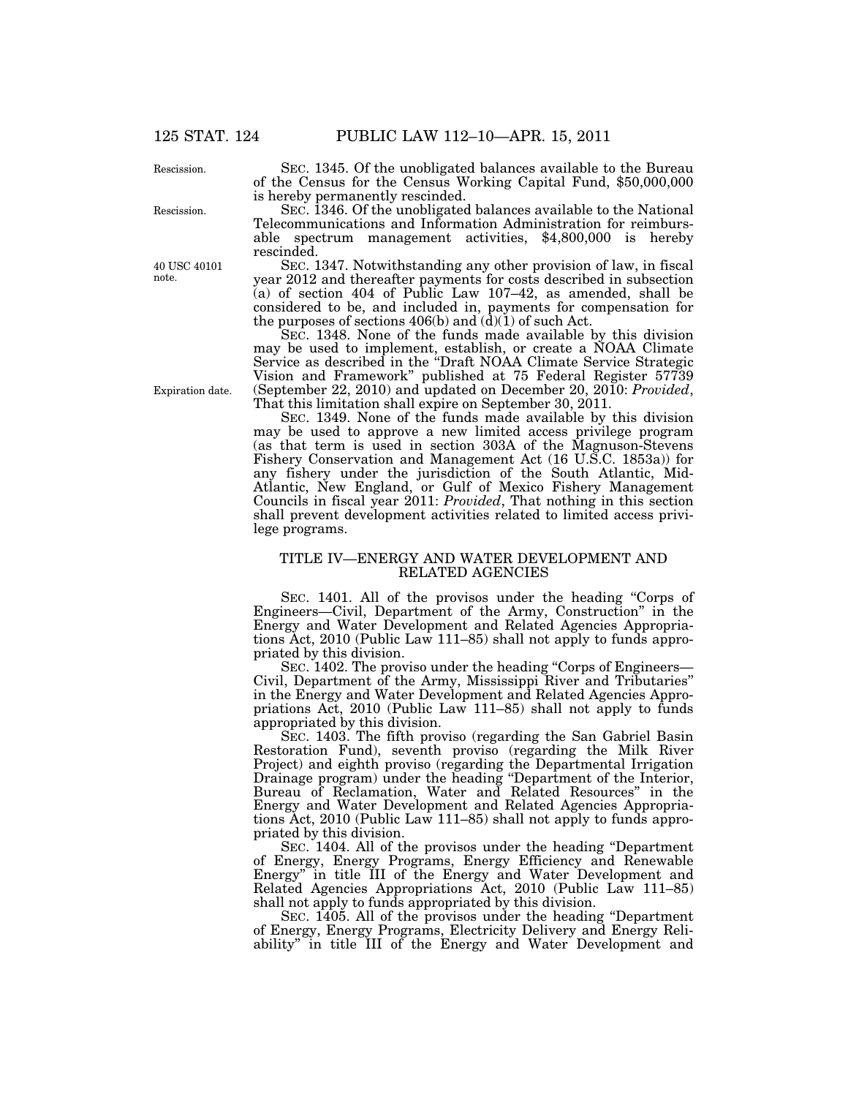Rescission.

Rescission.

40 USC 40101 note.

Expiration date.

SEC. 1345. Of the unobligated balances available to the Bureau of the Census for the Census Working Capital Fund, \$50,000,000 is hereby permanently rescinded.

SEC. 1346. Of the unobligated balances available to the National Telecommunications and Information Administration for reimbursable spectrum management activities, \$4,800,000 is hereby rescinded.

SEC. 1347. Notwithstanding any other provision of law, in fiscal year 2012 and thereafter payments for costs described in subsection (a) of section 404 of Public Law 107–42, as amended, shall be considered to be, and included in, payments for compensation for the purposes of sections  $406(b)$  and  $(d)(1)$  of such Act.

SEC. 1348. None of the funds made available by this division may be used to implement, establish, or create a NOAA Climate Service as described in the ''Draft NOAA Climate Service Strategic Vision and Framework'' published at 75 Federal Register 57739 (September 22, 2010) and updated on December 20, 2010: *Provided*, That this limitation shall expire on September 30, 2011.

SEC. 1349. None of the funds made available by this division may be used to approve a new limited access privilege program (as that term is used in section 303A of the Magnuson-Stevens Fishery Conservation and Management Act (16 U.S.C. 1853a)) for any fishery under the jurisdiction of the South Atlantic, Mid-Atlantic, New England, or Gulf of Mexico Fishery Management Councils in fiscal year 2011: *Provided*, That nothing in this section shall prevent development activities related to limited access privilege programs.

## TITLE IV—ENERGY AND WATER DEVELOPMENT AND RELATED AGENCIES

SEC. 1401. All of the provisos under the heading "Corps of Engineers—Civil, Department of the Army, Construction'' in the Energy and Water Development and Related Agencies Appropriations Act, 2010 (Public Law 111–85) shall not apply to funds appropriated by this division.

SEC. 1402. The proviso under the heading "Corps of Engineers— Civil, Department of the Army, Mississippi River and Tributaries'' in the Energy and Water Development and Related Agencies Appropriations Act, 2010 (Public Law 111–85) shall not apply to funds appropriated by this division.

SEC. 1403. The fifth proviso (regarding the San Gabriel Basin Restoration Fund), seventh proviso (regarding the Milk River Project) and eighth proviso (regarding the Departmental Irrigation Drainage program) under the heading ''Department of the Interior, Bureau of Reclamation, Water and Related Resources'' in the Energy and Water Development and Related Agencies Appropriations Act, 2010 (Public Law 111–85) shall not apply to funds appropriated by this division.

SEC. 1404. All of the provisos under the heading "Department of Energy, Energy Programs, Energy Efficiency and Renewable Energy'' in title III of the Energy and Water Development and Related Agencies Appropriations Act, 2010 (Public Law 111–85) shall not apply to funds appropriated by this division.

SEC. 1405. All of the provisos under the heading ''Department of Energy, Energy Programs, Electricity Delivery and Energy Reliability" in title III of the Energy and Water Development and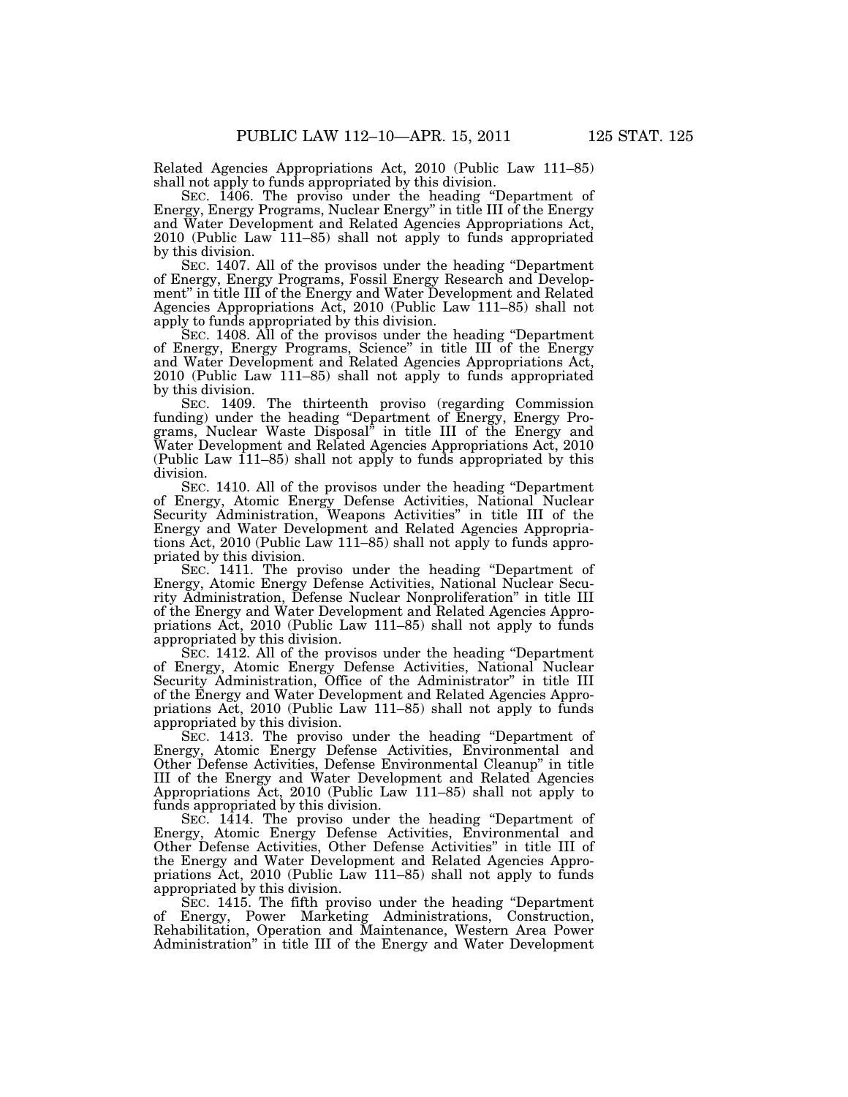Related Agencies Appropriations Act, 2010 (Public Law 111–85) shall not apply to funds appropriated by this division.

SEC. 1406. The proviso under the heading ''Department of Energy, Energy Programs, Nuclear Energy'' in title III of the Energy and Water Development and Related Agencies Appropriations Act, 2010 (Public Law 111–85) shall not apply to funds appropriated by this division.

SEC. 1407. All of the provisos under the heading "Department of Energy, Energy Programs, Fossil Energy Research and Development'' in title III of the Energy and Water Development and Related Agencies Appropriations Act, 2010 (Public Law 111–85) shall not apply to funds appropriated by this division.

SEC. 1408. All of the provisos under the heading "Department" of Energy, Energy Programs, Science'' in title III of the Energy and Water Development and Related Agencies Appropriations Act, 2010 (Public Law 111–85) shall not apply to funds appropriated by this division.

SEC. 1409. The thirteenth proviso (regarding Commission funding) under the heading ''Department of Energy, Energy Programs, Nuclear Waste Disposal'' in title III of the Energy and Water Development and Related Agencies Appropriations Act, 2010 (Public Law 111–85) shall not apply to funds appropriated by this division.

SEC. 1410. All of the provisos under the heading "Department of Energy, Atomic Energy Defense Activities, National Nuclear Security Administration, Weapons Activities'' in title III of the Energy and Water Development and Related Agencies Appropriations Act, 2010 (Public Law 111–85) shall not apply to funds appropriated by this division.

SEC. 1411. The proviso under the heading ''Department of Energy, Atomic Energy Defense Activities, National Nuclear Security Administration, Defense Nuclear Nonproliferation'' in title III of the Energy and Water Development and Related Agencies Appropriations Act, 2010 (Public Law 111–85) shall not apply to funds appropriated by this division.

SEC. 1412. All of the provisos under the heading "Department" of Energy, Atomic Energy Defense Activities, National Nuclear Security Administration, Office of the Administrator'' in title III of the Energy and Water Development and Related Agencies Appropriations Act, 2010 (Public Law 111–85) shall not apply to funds appropriated by this division.

SEC. 1413. The proviso under the heading "Department of Energy, Atomic Energy Defense Activities, Environmental and Other Defense Activities, Defense Environmental Cleanup'' in title III of the Energy and Water Development and Related Agencies Appropriations Act, 2010 (Public Law 111–85) shall not apply to funds appropriated by this division.

SEC. 1414. The proviso under the heading "Department of Energy, Atomic Energy Defense Activities, Environmental and Other Defense Activities, Other Defense Activities'' in title III of the Energy and Water Development and Related Agencies Appropriations Act, 2010 (Public Law 111–85) shall not apply to funds appropriated by this division.

SEC. 1415. The fifth proviso under the heading ''Department of Energy, Power Marketing Administrations, Construction, Rehabilitation, Operation and Maintenance, Western Area Power Administration'' in title III of the Energy and Water Development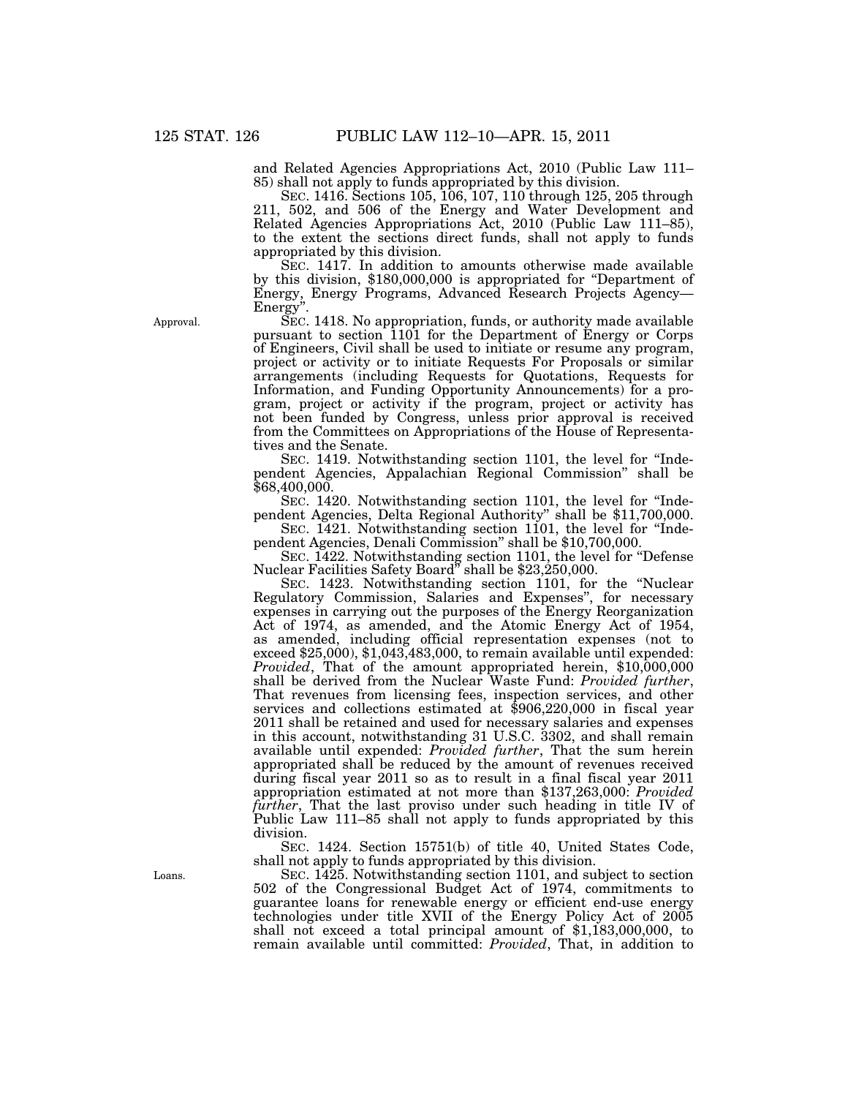and Related Agencies Appropriations Act, 2010 (Public Law 111– 85) shall not apply to funds appropriated by this division.

SEC. 1416. Sections 105, 106, 107, 110 through 125, 205 through 211, 502, and 506 of the Energy and Water Development and Related Agencies Appropriations Act, 2010 (Public Law 111–85), to the extent the sections direct funds, shall not apply to funds appropriated by this division.

SEC. 1417. In addition to amounts otherwise made available by this division, \$180,000,000 is appropriated for ''Department of Energy, Energy Programs, Advanced Research Projects Agency— Energy''.

SEC. 1418. No appropriation, funds, or authority made available pursuant to section 1101 for the Department of Energy or Corps of Engineers, Civil shall be used to initiate or resume any program, project or activity or to initiate Requests For Proposals or similar arrangements (including Requests for Quotations, Requests for Information, and Funding Opportunity Announcements) for a program, project or activity if the program, project or activity has not been funded by Congress, unless prior approval is received from the Committees on Appropriations of the House of Representatives and the Senate.

SEC. 1419. Notwithstanding section 1101, the level for "Independent Agencies, Appalachian Regional Commission'' shall be \$68,400,000.

SEC. 1420. Notwithstanding section 1101, the level for "Independent Agencies, Delta Regional Authority'' shall be \$11,700,000. SEC. 1421. Notwithstanding section 1101, the level for "Inde-

pendent Agencies, Denali Commission'' shall be \$10,700,000.

SEC. 1422. Notwithstanding section 1101, the level for ''Defense Nuclear Facilities Safety Board'' shall be \$23,250,000.

SEC. 1423. Notwithstanding section 1101, for the ''Nuclear Regulatory Commission, Salaries and Expenses'', for necessary expenses in carrying out the purposes of the Energy Reorganization Act of 1974, as amended, and the Atomic Energy Act of 1954, as amended, including official representation expenses (not to exceed \$25,000), \$1,043,483,000, to remain available until expended: *Provided*, That of the amount appropriated herein, \$10,000,000 shall be derived from the Nuclear Waste Fund: *Provided further*, That revenues from licensing fees, inspection services, and other services and collections estimated at \$906,220,000 in fiscal year 2011 shall be retained and used for necessary salaries and expenses in this account, notwithstanding 31 U.S.C. 3302, and shall remain available until expended: *Provided further*, That the sum herein appropriated shall be reduced by the amount of revenues received during fiscal year 2011 so as to result in a final fiscal year 2011 appropriation estimated at not more than \$137,263,000: *Provided further*, That the last proviso under such heading in title IV of Public Law 111–85 shall not apply to funds appropriated by this division.

SEC. 1424. Section 15751(b) of title 40, United States Code, shall not apply to funds appropriated by this division.

SEC. 1425. Notwithstanding section 1101, and subject to section 502 of the Congressional Budget Act of 1974, commitments to guarantee loans for renewable energy or efficient end-use energy technologies under title XVII of the Energy Policy Act of 2005 shall not exceed a total principal amount of  $$1,183,000,000$ , to remain available until committed: *Provided*, That, in addition to

Approval.

Loans.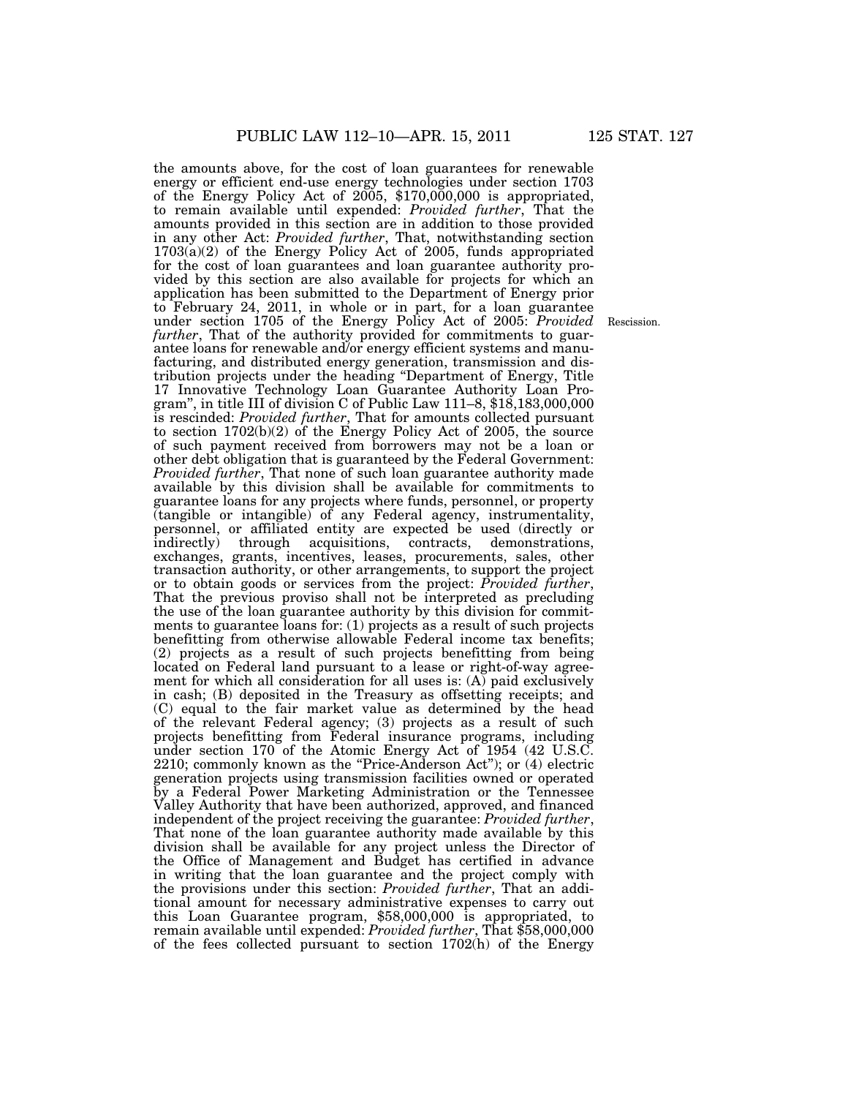the amounts above, for the cost of loan guarantees for renewable energy or efficient end-use energy technologies under section 1703 of the Energy Policy Act of 2005, \$170,000,000 is appropriated, to remain available until expended: *Provided further*, That the amounts provided in this section are in addition to those provided in any other Act: *Provided further*, That, notwithstanding section 1703(a)(2) of the Energy Policy Act of 2005, funds appropriated for the cost of loan guarantees and loan guarantee authority provided by this section are also available for projects for which an application has been submitted to the Department of Energy prior to February 24, 2011, in whole or in part, for a loan guarantee under section 1705 of the Energy Policy Act of 2005: *Provided*  further, That of the authority provided for commitments to guarantee loans for renewable and/or energy efficient systems and manufacturing, and distributed energy generation, transmission and distribution projects under the heading ''Department of Energy, Title 17 Innovative Technology Loan Guarantee Authority Loan Program'', in title III of division C of Public Law 111–8, \$18,183,000,000 is rescinded: *Provided further*, That for amounts collected pursuant to section 1702(b)(2) of the Energy Policy Act of 2005, the source of such payment received from borrowers may not be a loan or other debt obligation that is guaranteed by the Federal Government: *Provided further*, That none of such loan guarantee authority made available by this division shall be available for commitments to guarantee loans for any projects where funds, personnel, or property (tangible or intangible) of any Federal agency, instrumentality, personnel, or affiliated entity are expected be used (directly or indirectly) through acquisitions, contracts, demonstrations, exchanges, grants, incentives, leases, procurements, sales, other transaction authority, or other arrangements, to support the project or to obtain goods or services from the project: *Provided further*, That the previous proviso shall not be interpreted as precluding the use of the loan guarantee authority by this division for commitments to guarantee loans for: (1) projects as a result of such projects benefitting from otherwise allowable Federal income tax benefits; (2) projects as a result of such projects benefitting from being located on Federal land pursuant to a lease or right-of-way agreement for which all consideration for all uses is:  $(A)$  paid exclusively in cash; (B) deposited in the Treasury as offsetting receipts; and (C) equal to the fair market value as determined by the head of the relevant Federal agency; (3) projects as a result of such projects benefitting from Federal insurance programs, including under section 170 of the Atomic Energy Act of 1954 (42 U.S.C. 2210; commonly known as the "Price-Anderson Act"); or (4) electric generation projects using transmission facilities owned or operated by a Federal Power Marketing Administration or the Tennessee Valley Authority that have been authorized, approved, and financed independent of the project receiving the guarantee: *Provided further*, That none of the loan guarantee authority made available by this division shall be available for any project unless the Director of the Office of Management and Budget has certified in advance in writing that the loan guarantee and the project comply with the provisions under this section: *Provided further*, That an additional amount for necessary administrative expenses to carry out this Loan Guarantee program, \$58,000,000 is appropriated, to remain available until expended: *Provided further*, That \$58,000,000 of the fees collected pursuant to section 1702(h) of the Energy

Rescission.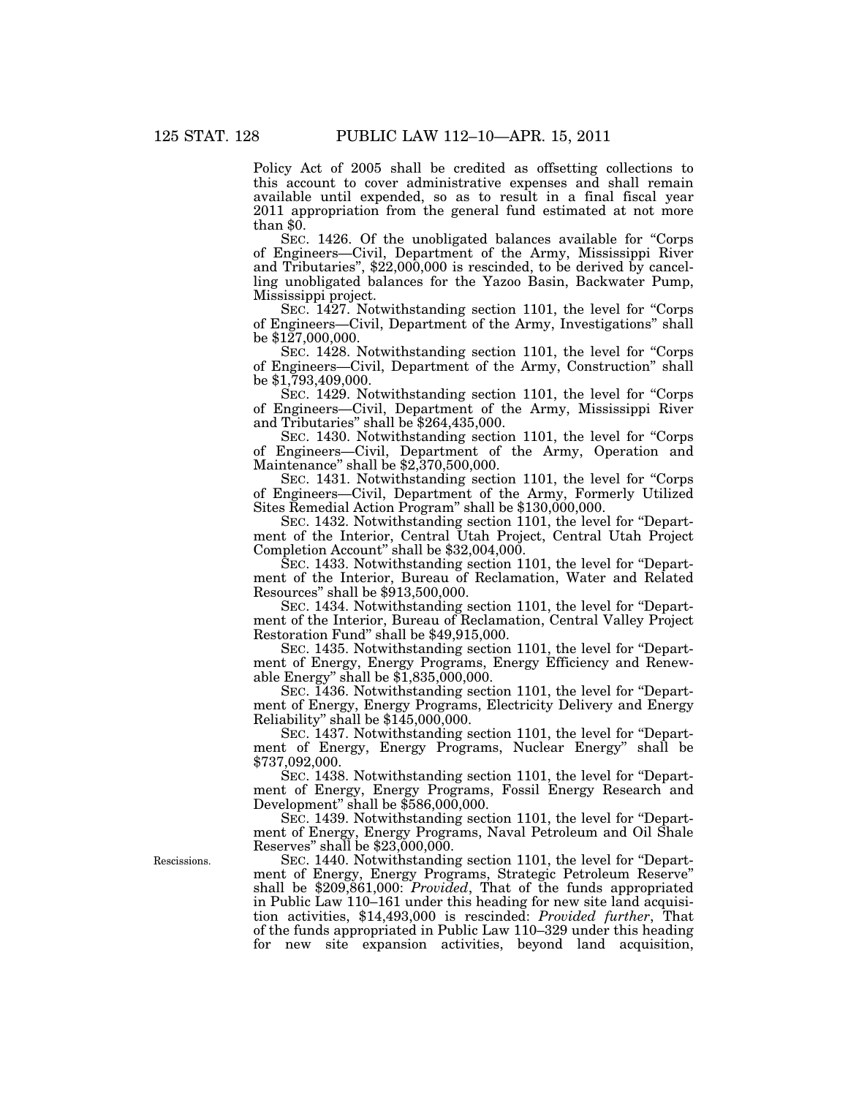Policy Act of 2005 shall be credited as offsetting collections to this account to cover administrative expenses and shall remain available until expended, so as to result in a final fiscal year 2011 appropriation from the general fund estimated at not more than  $\$0$ .

SEC. 1426. Of the unobligated balances available for "Corps of Engineers—Civil, Department of the Army, Mississippi River and Tributaries'', \$22,000,000 is rescinded, to be derived by cancelling unobligated balances for the Yazoo Basin, Backwater Pump, Mississippi project.

SEC. 1427. Notwithstanding section 1101, the level for "Corps" of Engineers—Civil, Department of the Army, Investigations'' shall be \$127,000,000.

SEC. 1428. Notwithstanding section 1101, the level for "Corps" of Engineers—Civil, Department of the Army, Construction'' shall be \$1,793,409,000.

SEC. 1429. Notwithstanding section 1101, the level for ''Corps of Engineers—Civil, Department of the Army, Mississippi River and Tributaries'' shall be \$264,435,000.

SEC. 1430. Notwithstanding section 1101, the level for "Corps of Engineers—Civil, Department of the Army, Operation and Maintenance'' shall be \$2,370,500,000.

SEC. 1431. Notwithstanding section 1101, the level for ''Corps of Engineers—Civil, Department of the Army, Formerly Utilized Sites Remedial Action Program'' shall be \$130,000,000.

SEC. 1432. Notwithstanding section 1101, the level for "Department of the Interior, Central Utah Project, Central Utah Project Completion Account'' shall be \$32,004,000.

SEC. 1433. Notwithstanding section 1101, the level for ''Department of the Interior, Bureau of Reclamation, Water and Related Resources'' shall be \$913,500,000.

SEC. 1434. Notwithstanding section 1101, the level for ''Department of the Interior, Bureau of Reclamation, Central Valley Project Restoration Fund'' shall be \$49,915,000.

SEC. 1435. Notwithstanding section 1101, the level for ''Department of Energy, Energy Programs, Energy Efficiency and Renewable Energy'' shall be \$1,835,000,000.

SEC. 1436. Notwithstanding section 1101, the level for "Department of Energy, Energy Programs, Electricity Delivery and Energy Reliability'' shall be \$145,000,000.

SEC. 1437. Notwithstanding section 1101, the level for "Department of Energy, Energy Programs, Nuclear Energy'' shall be \$737,092,000.

SEC. 1438. Notwithstanding section 1101, the level for ''Department of Energy, Energy Programs, Fossil Energy Research and Development'' shall be \$586,000,000.

SEC. 1439. Notwithstanding section 1101, the level for ''Department of Energy, Energy Programs, Naval Petroleum and Oil Shale Reserves'' shall be \$23,000,000.

SEC. 1440. Notwithstanding section 1101, the level for "Department of Energy, Energy Programs, Strategic Petroleum Reserve'' shall be \$209,861,000: *Provided*, That of the funds appropriated in Public Law 110–161 under this heading for new site land acquisition activities, \$14,493,000 is rescinded: *Provided further*, That of the funds appropriated in Public Law 110–329 under this heading for new site expansion activities, beyond land acquisition,

Rescissions.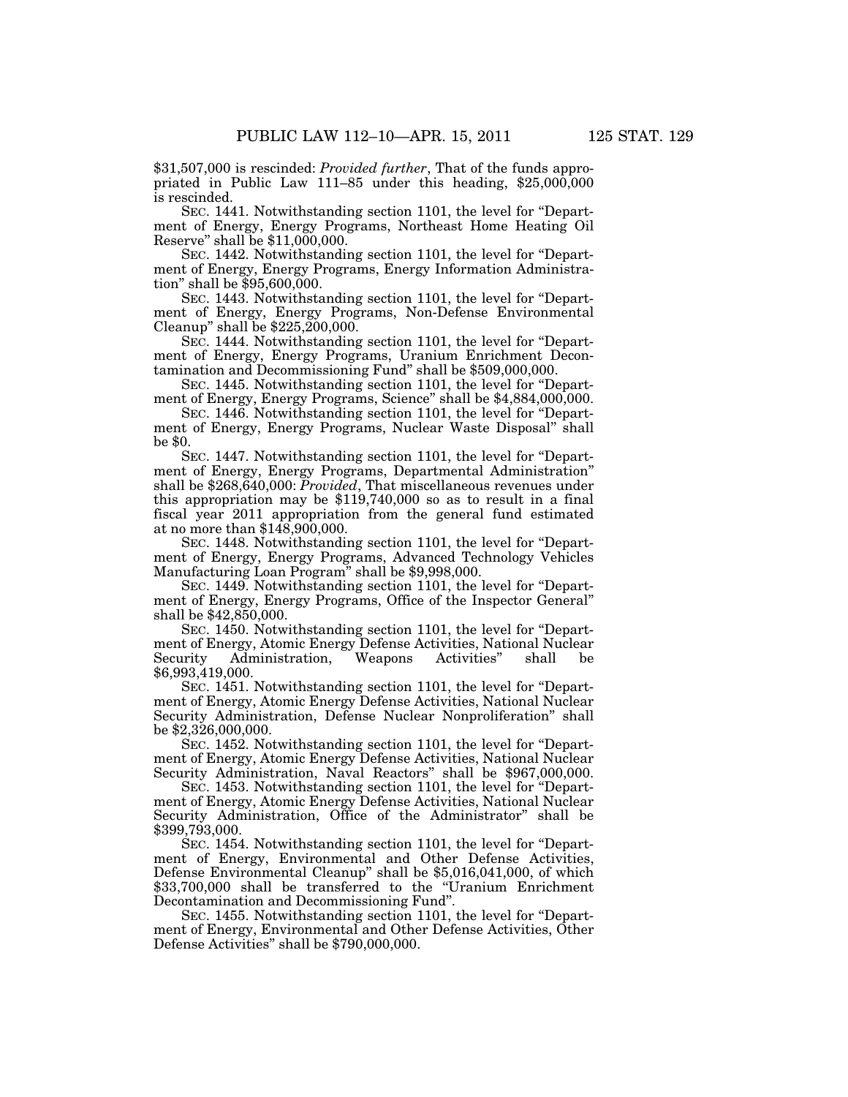\$31,507,000 is rescinded: *Provided further*, That of the funds appropriated in Public Law 111–85 under this heading, \$25,000,000 is rescinded.

SEC. 1441. Notwithstanding section 1101, the level for ''Department of Energy, Energy Programs, Northeast Home Heating Oil Reserve'' shall be \$11,000,000.

SEC. 1442. Notwithstanding section 1101, the level for ''Department of Energy, Energy Programs, Energy Information Administration'' shall be \$95,600,000.

SEC. 1443. Notwithstanding section 1101, the level for "Department of Energy, Energy Programs, Non-Defense Environmental Cleanup" shall be  $$225,\!200,000$ .

SEC. 1444. Notwithstanding section 1101, the level for ''Department of Energy, Energy Programs, Uranium Enrichment Decontamination and Decommissioning Fund'' shall be \$509,000,000.

SEC. 1445. Notwithstanding section 1101, the level for ''Department of Energy, Energy Programs, Science'' shall be \$4,884,000,000.

SEC. 1446. Notwithstanding section 1101, the level for ''Department of Energy, Energy Programs, Nuclear Waste Disposal'' shall be \$0.

SEC. 1447. Notwithstanding section 1101, the level for ''Department of Energy, Energy Programs, Departmental Administration'' shall be \$268,640,000: *Provided*, That miscellaneous revenues under this appropriation may be \$119,740,000 so as to result in a final fiscal year 2011 appropriation from the general fund estimated at no more than \$148,900,000.

SEC. 1448. Notwithstanding section 1101, the level for ''Department of Energy, Energy Programs, Advanced Technology Vehicles Manufacturing Loan Program'' shall be \$9,998,000.

SEC. 1449. Notwithstanding section 1101, the level for ''Department of Energy, Energy Programs, Office of the Inspector General'' shall be \$42,850,000.

SEC. 1450. Notwithstanding section 1101, the level for ''Department of Energy, Atomic Energy Defense Activities, National Nuclear<br>Security Administration, Weapons Activities" shall be Security Administration, Weapons Activities" shall \$6,993,419,000.

SEC. 1451. Notwithstanding section 1101, the level for ''Department of Energy, Atomic Energy Defense Activities, National Nuclear Security Administration, Defense Nuclear Nonproliferation'' shall be \$2,326,000,000.

SEC. 1452. Notwithstanding section 1101, the level for ''Department of Energy, Atomic Energy Defense Activities, National Nuclear Security Administration, Naval Reactors'' shall be \$967,000,000.

SEC. 1453. Notwithstanding section 1101, the level for "Department of Energy, Atomic Energy Defense Activities, National Nuclear Security Administration, Office of the Administrator" shall be \$399,793,000.

SEC. 1454. Notwithstanding section 1101, the level for ''Department of Energy, Environmental and Other Defense Activities, Defense Environmental Cleanup'' shall be \$5,016,041,000, of which \$33,700,000 shall be transferred to the ''Uranium Enrichment Decontamination and Decommissioning Fund''.

SEC. 1455. Notwithstanding section 1101, the level for ''Department of Energy, Environmental and Other Defense Activities, Other Defense Activities'' shall be \$790,000,000.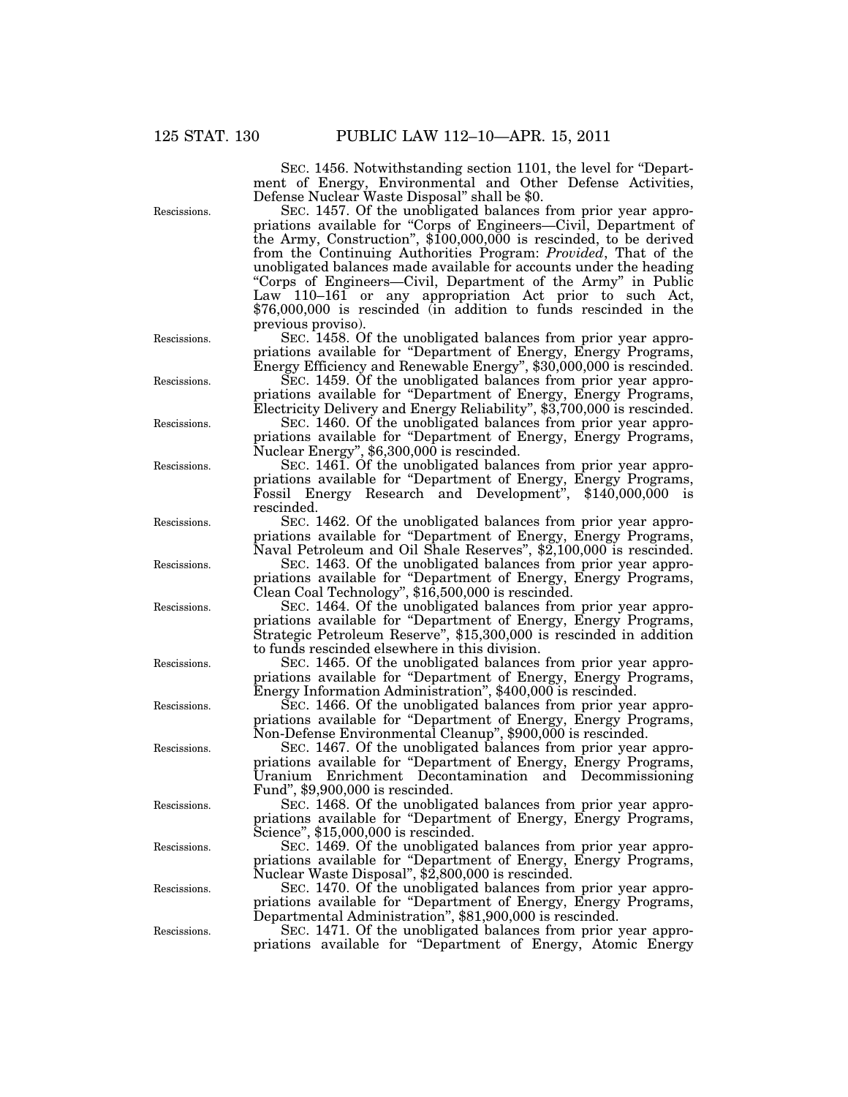SEC. 1456. Notwithstanding section 1101, the level for ''Department of Energy, Environmental and Other Defense Activities, Defense Nuclear Waste Disposal'' shall be \$0.

SEC. 1457. Of the unobligated balances from prior year appropriations available for ''Corps of Engineers—Civil, Department of the Army, Construction'', \$100,000,000 is rescinded, to be derived from the Continuing Authorities Program: *Provided*, That of the unobligated balances made available for accounts under the heading ''Corps of Engineers—Civil, Department of the Army'' in Public Law 110–161 or any appropriation Act prior to such Act, \$76,000,000 is rescinded (in addition to funds rescinded in the previous proviso).

SEC. 1458. Of the unobligated balances from prior year appropriations available for ''Department of Energy, Energy Programs, Energy Efficiency and Renewable Energy'', \$30,000,000 is rescinded.

SEC. 1459. Of the unobligated balances from prior year appropriations available for ''Department of Energy, Energy Programs, Electricity Delivery and Energy Reliability'', \$3,700,000 is rescinded.

SEC. 1460. Of the unobligated balances from prior year appropriations available for ''Department of Energy, Energy Programs, Nuclear Energy", \$6,300,000 is rescinded.

SEC. 1461. Of the unobligated balances from prior year appropriations available for ''Department of Energy, Energy Programs, Fossil Energy Research and Development'', \$140,000,000 is rescinded.

SEC. 1462. Of the unobligated balances from prior year appropriations available for ''Department of Energy, Energy Programs, Naval Petroleum and Oil Shale Reserves", \$2,100,000 is rescinded.

SEC. 1463. Of the unobligated balances from prior year appropriations available for ''Department of Energy, Energy Programs, Clean Coal Technology'', \$16,500,000 is rescinded.

SEC. 1464. Of the unobligated balances from prior year appropriations available for ''Department of Energy, Energy Programs, Strategic Petroleum Reserve'', \$15,300,000 is rescinded in addition to funds rescinded elsewhere in this division.

SEC. 1465. Of the unobligated balances from prior year appropriations available for ''Department of Energy, Energy Programs, Energy Information Administration'', \$400,000 is rescinded.

SEC. 1466. Of the unobligated balances from prior year appropriations available for ''Department of Energy, Energy Programs, Non-Defense Environmental Cleanup'', \$900,000 is rescinded.

SEC. 1467. Of the unobligated balances from prior year appropriations available for ''Department of Energy, Energy Programs, Uranium Enrichment Decontamination and Decommissioning Fund'', \$9,900,000 is rescinded.

SEC. 1468. Of the unobligated balances from prior year appropriations available for "Department of Energy, Energy Programs, Science'', \$15,000,000 is rescinded.

SEC. 1469. Of the unobligated balances from prior year appropriations available for ''Department of Energy, Energy Programs, Nuclear Waste Disposal'', \$2,800,000 is rescinded.

SEC. 1470. Of the unobligated balances from prior year appropriations available for ''Department of Energy, Energy Programs, Departmental Administration'', \$81,900,000 is rescinded.

SEC. 1471. Of the unobligated balances from prior year appropriations available for ''Department of Energy, Atomic Energy

Rescissions.

Rescissions.

Rescissions.

Rescissions.

Rescissions.

Rescissions.

Rescissions.

Rescissions.

Rescissions.

Rescissions.

Rescissions.

Rescissions.

Rescissions.

Rescissions.

Rescissions.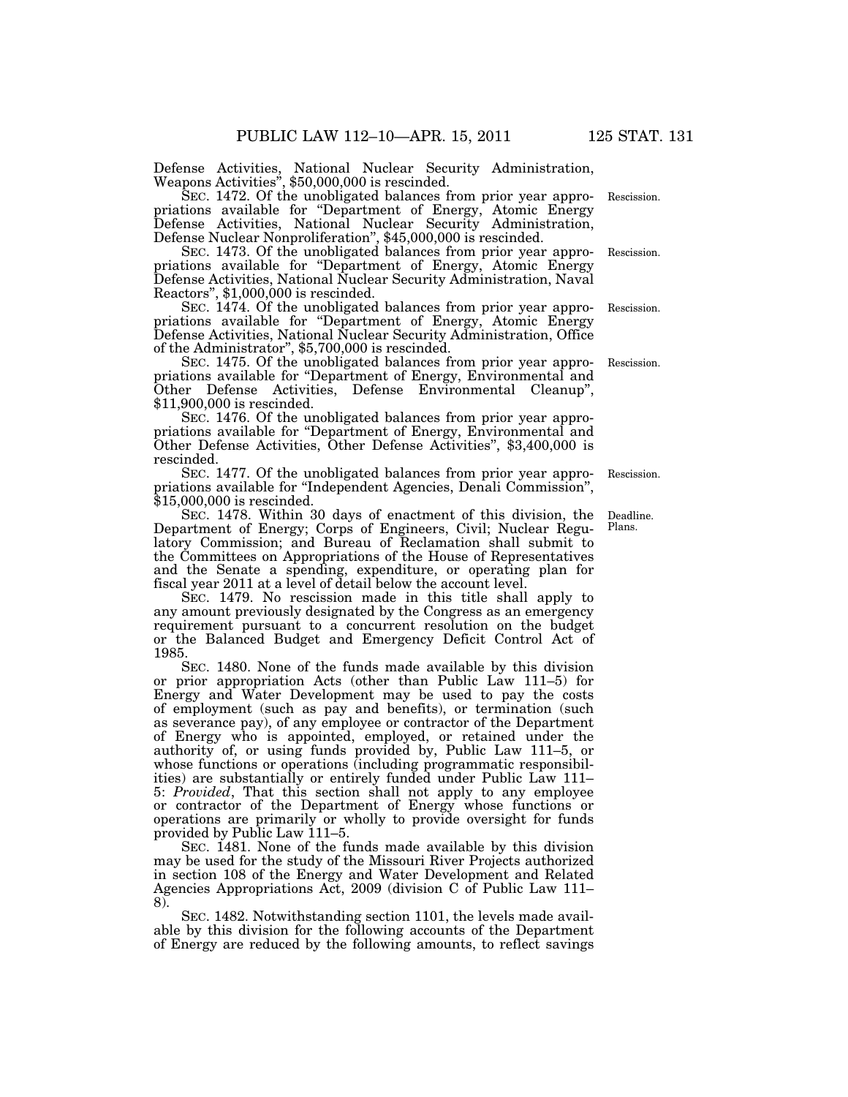Defense Activities, National Nuclear Security Administration, Weapons Activities'', \$50,000,000 is rescinded.

SEC. 1472. Of the unobligated balances from prior year appropriations available for ''Department of Energy, Atomic Energy Defense Activities, National Nuclear Security Administration, Defense Nuclear Nonproliferation'', \$45,000,000 is rescinded. Rescission.

SEC. 1473. Of the unobligated balances from prior year appropriations available for ''Department of Energy, Atomic Energy Defense Activities, National Nuclear Security Administration, Naval Reactors'', \$1,000,000 is rescinded.

SEC. 1474. Of the unobligated balances from prior year appropriations available for "Department of Energy, Atomic Energy Defense Activities, National Nuclear Security Administration, Office of the Administrator'', \$5,700,000 is rescinded.

SEC. 1475. Of the unobligated balances from prior year appropriations available for ''Department of Energy, Environmental and Other Defense Activities, Defense Environmental Cleanup'', \$11,900,000 is rescinded.

SEC. 1476. Of the unobligated balances from prior year appropriations available for ''Department of Energy, Environmental and Other Defense Activities, Other Defense Activities'', \$3,400,000 is rescinded.

SEC. 1477. Of the unobligated balances from prior year appropriations available for "Independent Agencies, Denali Commission", \$15,000,000 is rescinded.

SEC. 1478. Within 30 days of enactment of this division, the Department of Energy; Corps of Engineers, Civil; Nuclear Regulatory Commission; and Bureau of Reclamation shall submit to the Committees on Appropriations of the House of Representatives and the Senate a spending, expenditure, or operating plan for fiscal year 2011 at a level of detail below the account level.

SEC. 1479. No rescission made in this title shall apply to any amount previously designated by the Congress as an emergency requirement pursuant to a concurrent resolution on the budget or the Balanced Budget and Emergency Deficit Control Act of 1985.

SEC. 1480. None of the funds made available by this division or prior appropriation Acts (other than Public Law 111–5) for Energy and Water Development may be used to pay the costs of employment (such as pay and benefits), or termination (such as severance pay), of any employee or contractor of the Department of Energy who is appointed, employed, or retained under the authority of, or using funds provided by, Public Law 111–5, or whose functions or operations (including programmatic responsibilities) are substantially or entirely funded under Public Law 111– 5: *Provided*, That this section shall not apply to any employee or contractor of the Department of Energy whose functions or operations are primarily or wholly to provide oversight for funds provided by Public Law 111–5.

SEC. 1481. None of the funds made available by this division may be used for the study of the Missouri River Projects authorized in section 108 of the Energy and Water Development and Related Agencies Appropriations Act, 2009 (division C of Public Law 111– 8).

SEC. 1482. Notwithstanding section 1101, the levels made available by this division for the following accounts of the Department of Energy are reduced by the following amounts, to reflect savings

Deadline. Plans.

Rescission.

Rescission.

Rescission.

Rescission.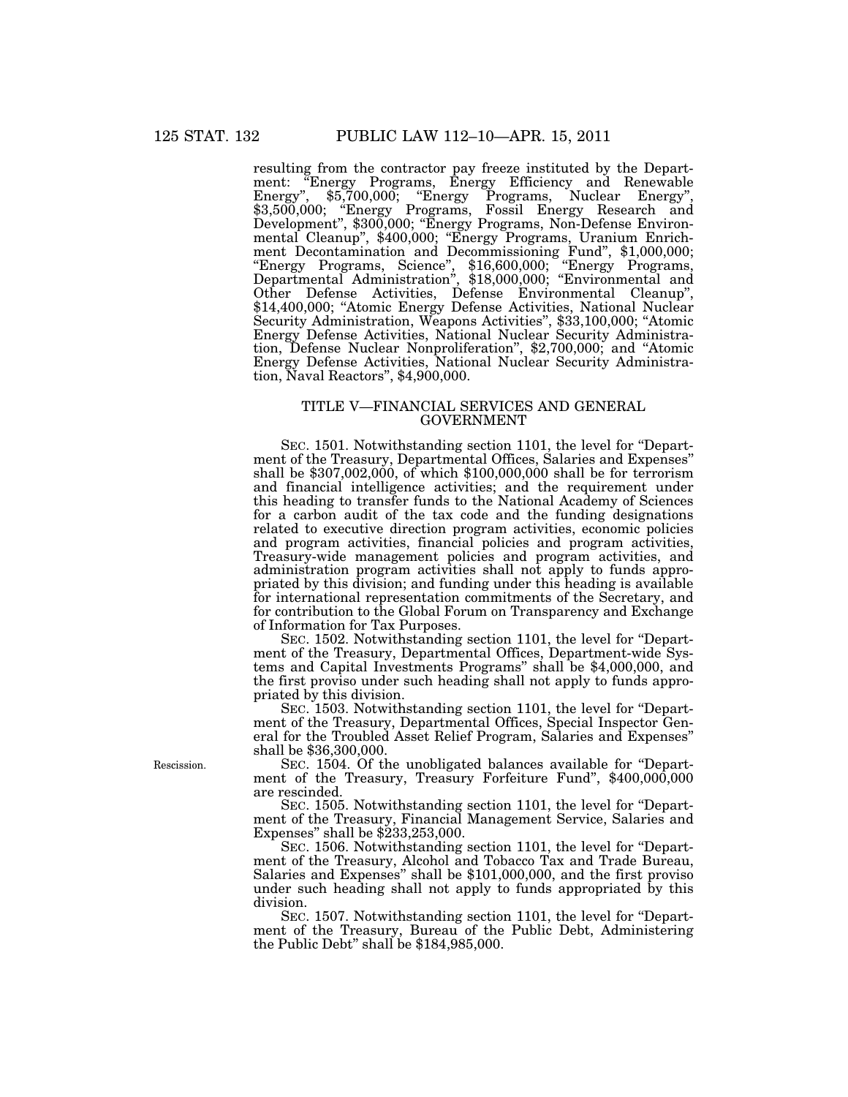resulting from the contractor pay freeze instituted by the Department: ''Energy Programs, Energy Efficiency and Renewable Energy'', \$5,700,000; ''Energy Programs, Nuclear Energy'', \$3,500,000; ''Energy Programs, Fossil Energy Research and Development'', \$300,000; ''Energy Programs, Non-Defense Environmental Cleanup", \$400,000; "Energy Programs, Uranium Enrichment Decontamination and Decommissioning Fund'', \$1,000,000; ''Energy Programs, Science'', \$16,600,000; ''Energy Programs, Departmental Administration'', \$18,000,000; ''Environmental and Other Defense Activities, Defense Environmental Cleanup'', \$14,400,000; "Atomic Energy Defense Activities, National Nuclear Security Administration, Weapons Activities'', \$33,100,000; ''Atomic Energy Defense Activities, National Nuclear Security Administration, Defense Nuclear Nonproliferation'', \$2,700,000; and ''Atomic Energy Defense Activities, National Nuclear Security Administration, Naval Reactors'', \$4,900,000.

#### TITLE V—FINANCIAL SERVICES AND GENERAL GOVERNMENT

SEC. 1501. Notwithstanding section 1101, the level for ''Department of the Treasury, Departmental Offices, Salaries and Expenses'' shall be \$307,002,000, of which \$100,000,000 shall be for terrorism and financial intelligence activities; and the requirement under this heading to transfer funds to the National Academy of Sciences for a carbon audit of the tax code and the funding designations related to executive direction program activities, economic policies and program activities, financial policies and program activities, Treasury-wide management policies and program activities, and administration program activities shall not apply to funds appropriated by this division; and funding under this heading is available for international representation commitments of the Secretary, and for contribution to the Global Forum on Transparency and Exchange of Information for Tax Purposes.

SEC. 1502. Notwithstanding section 1101, the level for ''Department of the Treasury, Departmental Offices, Department-wide Systems and Capital Investments Programs'' shall be \$4,000,000, and the first proviso under such heading shall not apply to funds appropriated by this division.

SEC. 1503. Notwithstanding section 1101, the level for "Department of the Treasury, Departmental Offices, Special Inspector General for the Troubled Asset Relief Program, Salaries and Expenses'' shall be \$36,300,000.

SEC. 1504. Of the unobligated balances available for ''Department of the Treasury, Treasury Forfeiture Fund", \$400,000,000 are rescinded.

SEC. 1505. Notwithstanding section 1101, the level for ''Department of the Treasury, Financial Management Service, Salaries and Expenses'' shall be \$233,253,000.

SEC. 1506. Notwithstanding section 1101, the level for "Department of the Treasury, Alcohol and Tobacco Tax and Trade Bureau, Salaries and Expenses'' shall be \$101,000,000, and the first proviso under such heading shall not apply to funds appropriated by this division.

SEC. 1507. Notwithstanding section 1101, the level for "Department of the Treasury, Bureau of the Public Debt, Administering the Public Debt" shall be \$184,985,000.

Rescission.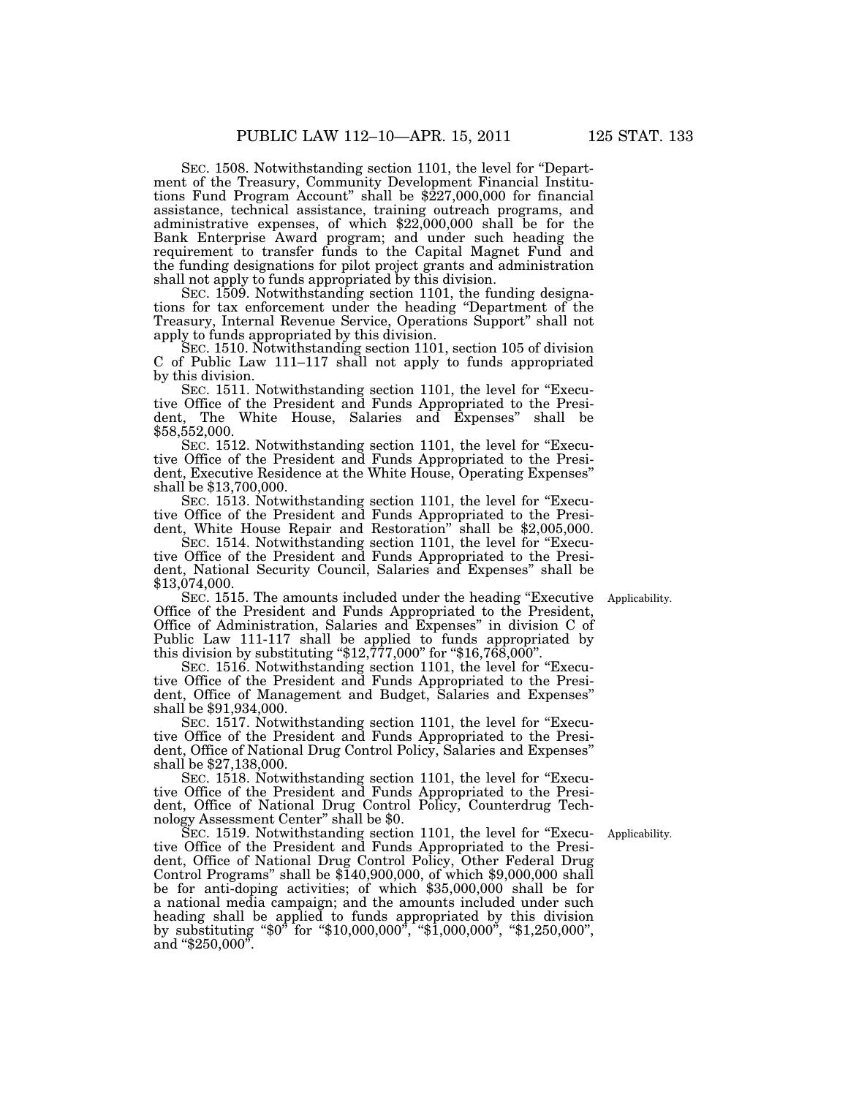SEC. 1508. Notwithstanding section 1101, the level for ''Department of the Treasury, Community Development Financial Institutions Fund Program Account" shall be \$227,000,000 for financial assistance, technical assistance, training outreach programs, and administrative expenses, of which \$22,000,000 shall be for the Bank Enterprise Award program; and under such heading the requirement to transfer funds to the Capital Magnet Fund and the funding designations for pilot project grants and administration shall not apply to funds appropriated by this division.

SEC. 1509. Notwithstanding section 1101, the funding designations for tax enforcement under the heading ''Department of the Treasury, Internal Revenue Service, Operations Support'' shall not apply to funds appropriated by this division.

SEC. 1510. Notwithstanding section 1101, section 105 of division C of Public Law 111–117 shall not apply to funds appropriated by this division.

SEC. 1511. Notwithstanding section 1101, the level for "Executive Office of the President and Funds Appropriated to the President, The White House, Salaries and Expenses'' shall be \$58,552,000.

SEC. 1512. Notwithstanding section 1101, the level for "Executive Office of the President and Funds Appropriated to the President, Executive Residence at the White House, Operating Expenses'' shall be \$13,700,000.

SEC. 1513. Notwithstanding section 1101, the level for "Executive Office of the President and Funds Appropriated to the President, White House Repair and Restoration'' shall be \$2,005,000.

SEC. 1514. Notwithstanding section 1101, the level for "Executive Office of the President and Funds Appropriated to the President, National Security Council, Salaries and Expenses'' shall be \$13,074,000.

Applicability.

SEC. 1515. The amounts included under the heading "Executive" Office of the President and Funds Appropriated to the President, Office of Administration, Salaries and Expenses'' in division C of Public Law 111-117 shall be applied to funds appropriated by this division by substituting "\$12,777,000" for "\$16,768,000". SEC. 1516. Notwithstanding section 1101, the level for "Execu-

tive Office of the President and Funds Appropriated to the President, Office of Management and Budget, Salaries and Expenses'' shall be \$91,934,000.

SEC. 1517. Notwithstanding section 1101, the level for "Executive Office of the President and Funds Appropriated to the President, Office of National Drug Control Policy, Salaries and Expenses'' shall be \$27,138,000.

SEC. 1518. Notwithstanding section 1101, the level for "Executive Office of the President and Funds Appropriated to the President, Office of National Drug Control Policy, Counterdrug Technology Assessment Center'' shall be \$0.

SEC. 1519. Notwithstanding section 1101, the level for "Executive Office of the President and Funds Appropriated to the President, Office of National Drug Control Policy, Other Federal Drug Control Programs'' shall be \$140,900,000, of which \$9,000,000 shall be for anti-doping activities; of which \$35,000,000 shall be for a national media campaign; and the amounts included under such heading shall be applied to funds appropriated by this division by substituting ''\$0'' for ''\$10,000,000'', ''\$1,000,000'', ''\$1,250,000'', and "\$250,000".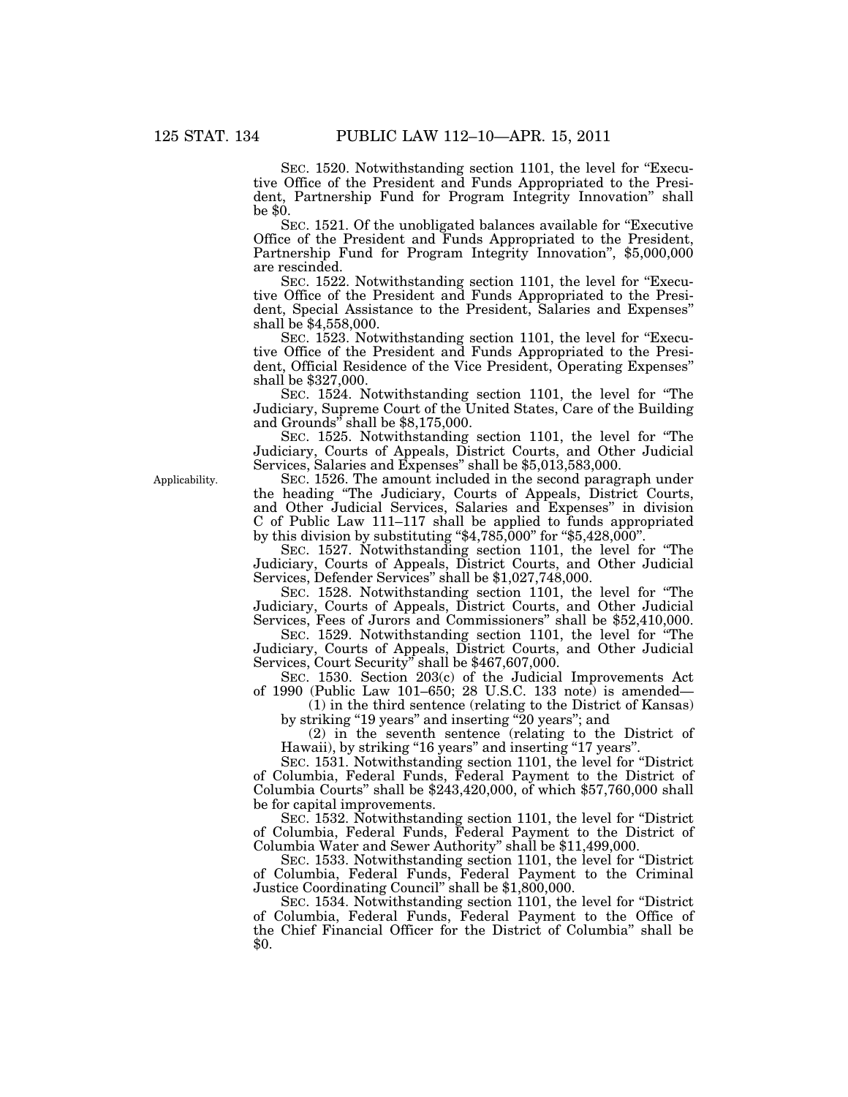SEC. 1520. Notwithstanding section 1101, the level for "Executive Office of the President and Funds Appropriated to the President, Partnership Fund for Program Integrity Innovation'' shall be \$0.

SEC. 1521. Of the unobligated balances available for "Executive" Office of the President and Funds Appropriated to the President, Partnership Fund for Program Integrity Innovation'', \$5,000,000 are rescinded.

SEC. 1522. Notwithstanding section 1101, the level for "Executive Office of the President and Funds Appropriated to the President, Special Assistance to the President, Salaries and Expenses'' shall be \$4,558,000.

SEC. 1523. Notwithstanding section 1101, the level for "Executive Office of the President and Funds Appropriated to the President, Official Residence of the Vice President, Operating Expenses'' shall be \$327,000.

SEC. 1524. Notwithstanding section 1101, the level for ''The Judiciary, Supreme Court of the United States, Care of the Building and Grounds'' shall be \$8,175,000.

SEC. 1525. Notwithstanding section 1101, the level for "The Judiciary, Courts of Appeals, District Courts, and Other Judicial Services, Salaries and Expenses'' shall be \$5,013,583,000.

SEC. 1526. The amount included in the second paragraph under the heading ''The Judiciary, Courts of Appeals, District Courts, and Other Judicial Services, Salaries and Expenses'' in division C of Public Law 111–117 shall be applied to funds appropriated by this division by substituting " $$4,785,000$ " for " $$5,428,000$ ".

SEC. 1527. Notwithstanding section 1101, the level for ''The Judiciary, Courts of Appeals, District Courts, and Other Judicial Services, Defender Services'' shall be \$1,027,748,000.

SEC. 1528. Notwithstanding section 1101, the level for ''The Judiciary, Courts of Appeals, District Courts, and Other Judicial Services, Fees of Jurors and Commissioners'' shall be \$52,410,000.

SEC. 1529. Notwithstanding section 1101, the level for ''The Judiciary, Courts of Appeals, District Courts, and Other Judicial Services, Court Security'' shall be \$467,607,000.

SEC. 1530. Section 203(c) of the Judicial Improvements Act

of 1990 (Public Law 101–650; 28 U.S.C. 133 note) is amended— (1) in the third sentence (relating to the District of Kansas)

by striking ''19 years'' and inserting ''20 years''; and

(2) in the seventh sentence (relating to the District of Hawaii), by striking "16 years" and inserting "17 years".

SEC. 1531. Notwithstanding section 1101, the level for ''District of Columbia, Federal Funds, Federal Payment to the District of Columbia Courts'' shall be \$243,420,000, of which \$57,760,000 shall be for capital improvements.

SEC. 1532. Notwithstanding section 1101, the level for ''District of Columbia, Federal Funds, Federal Payment to the District of Columbia Water and Sewer Authority'' shall be \$11,499,000.

SEC. 1533. Notwithstanding section 1101, the level for ''District of Columbia, Federal Funds, Federal Payment to the Criminal Justice Coordinating Council'' shall be \$1,800,000.

SEC. 1534. Notwithstanding section 1101, the level for "District of Columbia, Federal Funds, Federal Payment to the Office of the Chief Financial Officer for the District of Columbia'' shall be \$0.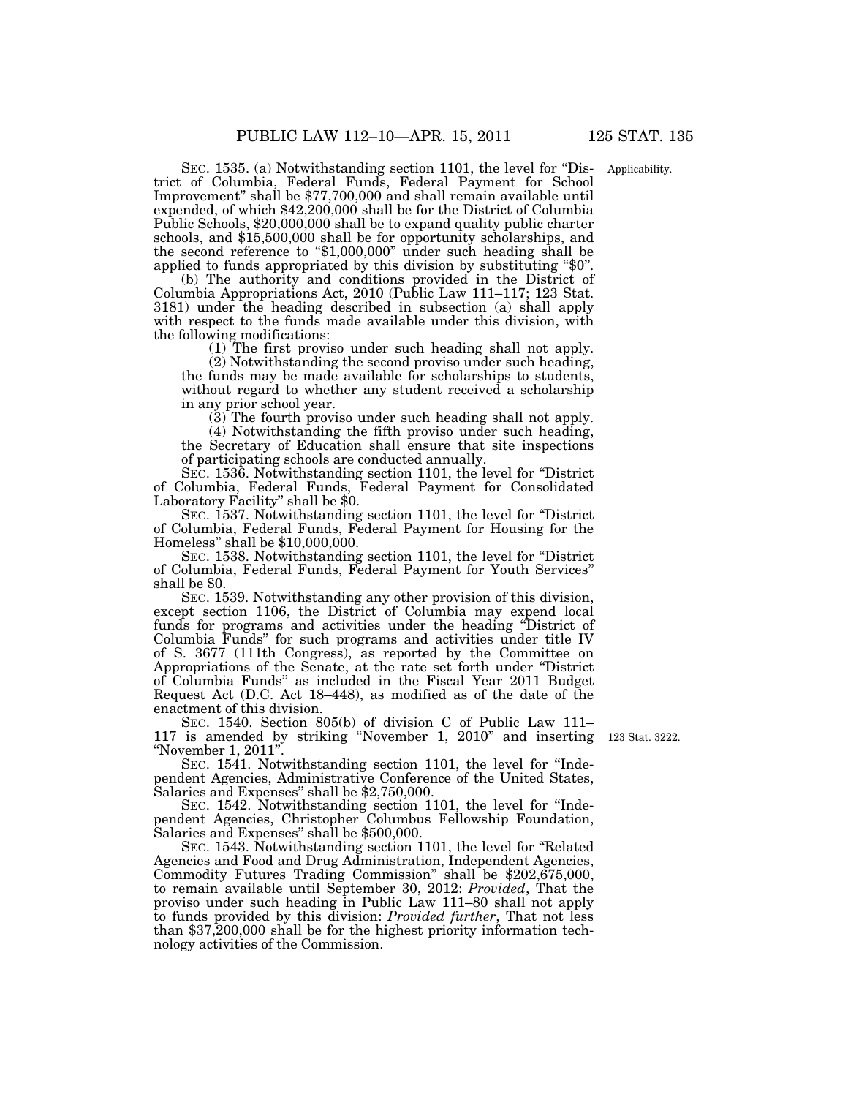SEC. 1535. (a) Notwithstanding section 1101, the level for "District of Columbia, Federal Funds, Federal Payment for School Improvement'' shall be \$77,700,000 and shall remain available until expended, of which \$42,200,000 shall be for the District of Columbia Public Schools, \$20,000,000 shall be to expand quality public charter schools, and \$15,500,000 shall be for opportunity scholarships, and the second reference to ''\$1,000,000'' under such heading shall be applied to funds appropriated by this division by substituting "\$0".

(b) The authority and conditions provided in the District of Columbia Appropriations Act, 2010 (Public Law 111–117; 123 Stat. 3181) under the heading described in subsection (a) shall apply with respect to the funds made available under this division, with the following modifications:

(1) The first proviso under such heading shall not apply.

(2) Notwithstanding the second proviso under such heading, the funds may be made available for scholarships to students, without regard to whether any student received a scholarship in any prior school year.

(3) The fourth proviso under such heading shall not apply.

(4) Notwithstanding the fifth proviso under such heading, the Secretary of Education shall ensure that site inspections of participating schools are conducted annually.

SEC. 1536. Notwithstanding section 1101, the level for ''District of Columbia, Federal Funds, Federal Payment for Consolidated Laboratory Facility'' shall be \$0.

SEC. 1537. Notwithstanding section 1101, the level for ''District of Columbia, Federal Funds, Federal Payment for Housing for the Homeless'' shall be \$10,000,000.

SEC. 1538. Notwithstanding section 1101, the level for ''District of Columbia, Federal Funds, Federal Payment for Youth Services'' shall be \$0.

SEC. 1539. Notwithstanding any other provision of this division, except section 1106, the District of Columbia may expend local funds for programs and activities under the heading ''District of Columbia Funds'' for such programs and activities under title IV of S. 3677 (111th Congress), as reported by the Committee on Appropriations of the Senate, at the rate set forth under ''District of Columbia Funds'' as included in the Fiscal Year 2011 Budget Request Act (D.C. Act 18–448), as modified as of the date of the enactment of this division.

SEC. 1540. Section 805(b) of division C of Public Law 111– 117 is amended by striking ''November 1, 2010'' and inserting ''November 1, 2011''.

SEC. 1541. Notwithstanding section 1101, the level for "Independent Agencies, Administrative Conference of the United States, Salaries and Expenses'' shall be \$2,750,000.

SEC. 1542. Notwithstanding section 1101, the level for "Independent Agencies, Christopher Columbus Fellowship Foundation, Salaries and Expenses'' shall be \$500,000.

SEC. 1543. Notwithstanding section 1101, the level for ''Related Agencies and Food and Drug Administration, Independent Agencies, Commodity Futures Trading Commission'' shall be \$202,675,000, to remain available until September 30, 2012: *Provided*, That the proviso under such heading in Public Law 111–80 shall not apply to funds provided by this division: *Provided further*, That not less than \$37,200,000 shall be for the highest priority information technology activities of the Commission.

123 Stat. 3222.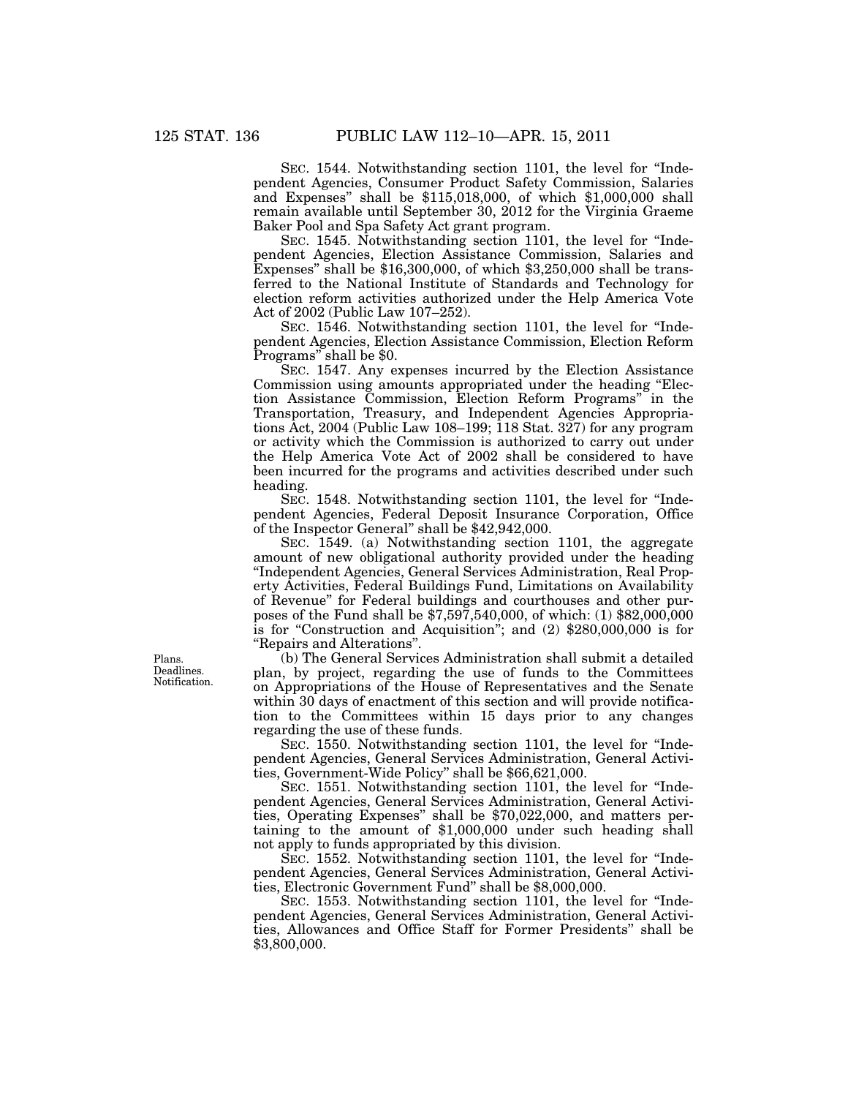SEC. 1544. Notwithstanding section 1101, the level for "Independent Agencies, Consumer Product Safety Commission, Salaries and Expenses'' shall be \$115,018,000, of which \$1,000,000 shall remain available until September 30, 2012 for the Virginia Graeme Baker Pool and Spa Safety Act grant program.

SEC. 1545. Notwithstanding section 1101, the level for "Independent Agencies, Election Assistance Commission, Salaries and Expenses" shall be \$16,300,000, of which \$3,250,000 shall be transferred to the National Institute of Standards and Technology for election reform activities authorized under the Help America Vote Act of 2002 (Public Law 107–252).

SEC. 1546. Notwithstanding section 1101, the level for "Independent Agencies, Election Assistance Commission, Election Reform Programs'' shall be \$0.

SEC. 1547. Any expenses incurred by the Election Assistance Commission using amounts appropriated under the heading ''Election Assistance Commission, Election Reform Programs'' in the Transportation, Treasury, and Independent Agencies Appropriations Act, 2004 (Public Law 108–199; 118 Stat. 327) for any program or activity which the Commission is authorized to carry out under the Help America Vote Act of 2002 shall be considered to have been incurred for the programs and activities described under such heading.

SEC. 1548. Notwithstanding section 1101, the level for "Independent Agencies, Federal Deposit Insurance Corporation, Office of the Inspector General'' shall be \$42,942,000.

SEC. 1549. (a) Notwithstanding section 1101, the aggregate amount of new obligational authority provided under the heading ''Independent Agencies, General Services Administration, Real Property Activities, Federal Buildings Fund, Limitations on Availability of Revenue'' for Federal buildings and courthouses and other purposes of the Fund shall be \$7,597,540,000, of which: (1) \$82,000,000 is for "Construction and Acquisition"; and (2) \$280,000,000 is for ''Repairs and Alterations''.

(b) The General Services Administration shall submit a detailed plan, by project, regarding the use of funds to the Committees on Appropriations of the House of Representatives and the Senate within 30 days of enactment of this section and will provide notification to the Committees within 15 days prior to any changes regarding the use of these funds.

SEC. 1550. Notwithstanding section 1101, the level for "Independent Agencies, General Services Administration, General Activities, Government-Wide Policy'' shall be \$66,621,000.

SEC. 1551. Notwithstanding section 1101, the level for ''Independent Agencies, General Services Administration, General Activities, Operating Expenses'' shall be \$70,022,000, and matters pertaining to the amount of \$1,000,000 under such heading shall not apply to funds appropriated by this division.

SEC. 1552. Notwithstanding section 1101, the level for "Independent Agencies, General Services Administration, General Activities, Electronic Government Fund'' shall be \$8,000,000.

SEC. 1553. Notwithstanding section 1101, the level for "Independent Agencies, General Services Administration, General Activities, Allowances and Office Staff for Former Presidents'' shall be \$3,800,000.

Plans. Deadlines. Notification.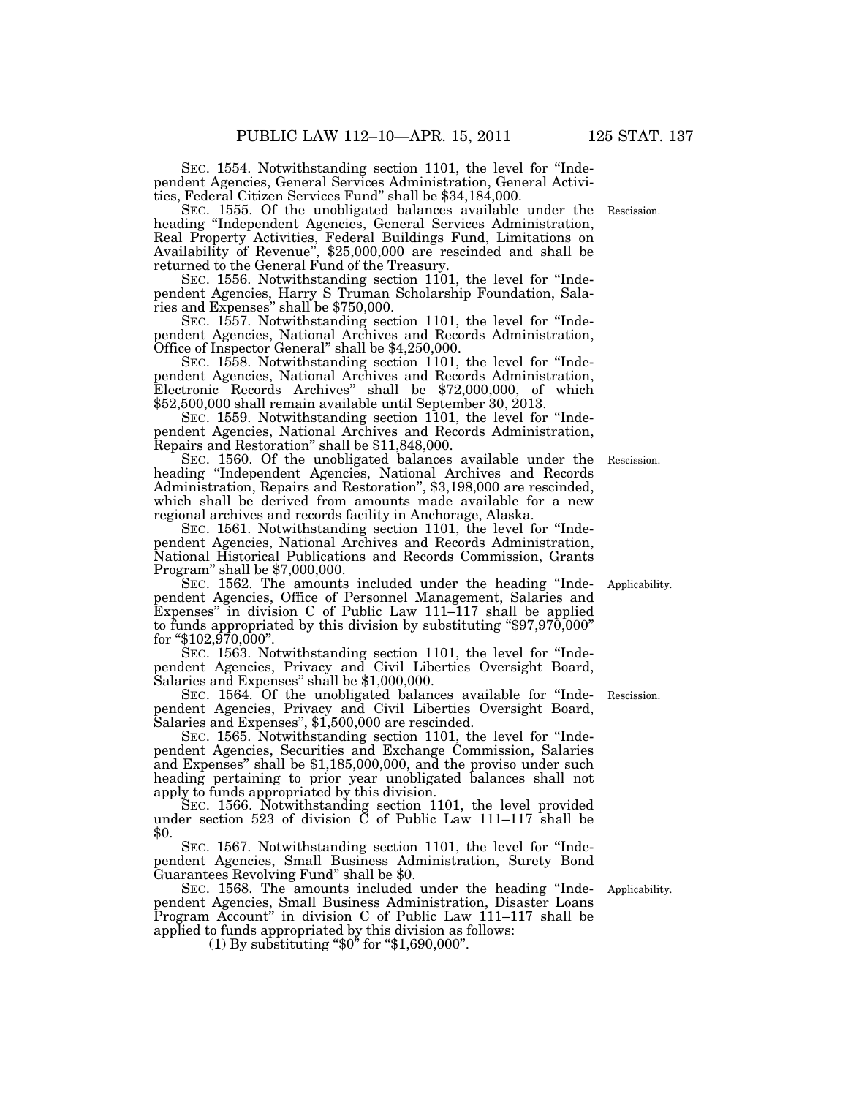SEC. 1554. Notwithstanding section 1101, the level for "Independent Agencies, General Services Administration, General Activities, Federal Citizen Services Fund'' shall be \$34,184,000.

SEC. 1555. Of the unobligated balances available under the heading ''Independent Agencies, General Services Administration, Real Property Activities, Federal Buildings Fund, Limitations on Availability of Revenue'', \$25,000,000 are rescinded and shall be returned to the General Fund of the Treasury.

SEC. 1556. Notwithstanding section 1101, the level for "Independent Agencies, Harry S Truman Scholarship Foundation, Salaries and Expenses'' shall be \$750,000.

SEC. 1557. Notwithstanding section 1101, the level for "Independent Agencies, National Archives and Records Administration, Office of Inspector General'' shall be \$4,250,000.

SEC. 1558. Notwithstanding section 1101, the level for "Independent Agencies, National Archives and Records Administration, Electronic Records Archives'' shall be \$72,000,000, of which \$52,500,000 shall remain available until September 30, 2013.

SEC. 1559. Notwithstanding section 1101, the level for "Independent Agencies, National Archives and Records Administration, Repairs and Restoration'' shall be \$11,848,000.

SEC. 1560. Of the unobligated balances available under the heading ''Independent Agencies, National Archives and Records Administration, Repairs and Restoration'', \$3,198,000 are rescinded, which shall be derived from amounts made available for a new regional archives and records facility in Anchorage, Alaska.

SEC. 1561. Notwithstanding section 1101, the level for "Independent Agencies, National Archives and Records Administration, National Historical Publications and Records Commission, Grants Program'' shall be \$7,000,000.

SEC. 1562. The amounts included under the heading "Independent Agencies, Office of Personnel Management, Salaries and Expenses'' in division C of Public Law 111–117 shall be applied to funds appropriated by this division by substituting "\$97,970,000" for " $$102,970,000$ ".

SEC. 1563. Notwithstanding section 1101, the level for "Independent Agencies, Privacy and Civil Liberties Oversight Board, Salaries and Expenses'' shall be \$1,000,000.

SEC. 1564. Of the unobligated balances available for ''Independent Agencies, Privacy and Civil Liberties Oversight Board, Salaries and Expenses'', \$1,500,000 are rescinded.

SEC. 1565. Notwithstanding section 1101, the level for "Independent Agencies, Securities and Exchange Commission, Salaries and Expenses'' shall be \$1,185,000,000, and the proviso under such heading pertaining to prior year unobligated balances shall not apply to funds appropriated by this division.

SEC. 1566. Notwithstanding section 1101, the level provided under section 523 of division C of Public Law 111–117 shall be \$0.

SEC. 1567. Notwithstanding section 1101, the level for "Independent Agencies, Small Business Administration, Surety Bond Guarantees Revolving Fund'' shall be \$0.

SEC. 1568. The amounts included under the heading "Independent Agencies, Small Business Administration, Disaster Loans Program Account'' in division C of Public Law 111–117 shall be applied to funds appropriated by this division as follows:

 $(1)$  By substituting "\$0" for "\$1,690,000".

Applicability.

Rescission.

Rescission.

Applicability.

Rescission.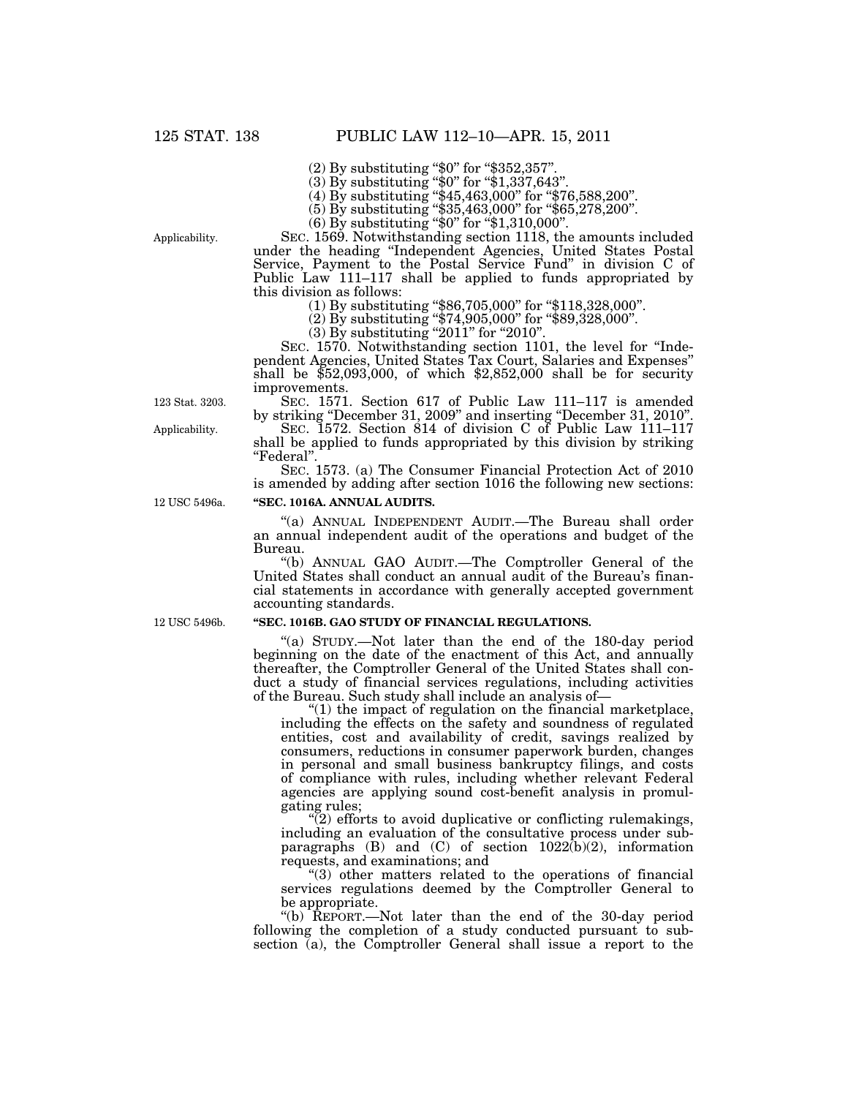(2) By substituting "\$0" for "\$352,357".

(3) By substituting "\$0" for "\$1,337,643".

(4) By substituting ''\$45,463,000'' for ''\$76,588,200''.

(5) By substituting ''\$35,463,000'' for ''\$65,278,200''.

(6) By substituting ''\$0'' for ''\$1,310,000''.

Applicability.

SEC. 1569. Notwithstanding section 1118, the amounts included under the heading ''Independent Agencies, United States Postal Service, Payment to the Postal Service Fund'' in division C of Public Law 111–117 shall be applied to funds appropriated by this division as follows:

(1) By substituting ''\$86,705,000'' for ''\$118,328,000''.

(2) By substituting ''\$74,905,000'' for ''\$89,328,000''.

 $(3)$  By substituting "2011" for "2010".

SEC. 1570. Notwithstanding section 1101, the level for ''Independent Agencies, United States Tax Court, Salaries and Expenses'' shall be  $$52,093,000$ , of which  $$2,852,000$  shall be for security improvements.

SEC. 1571. Section 617 of Public Law 111–117 is amended by striking "December 31, 2009" and inserting "December 31, 2010".

SEC. 1572. Section 814 of division C of Public Law 111–117 shall be applied to funds appropriated by this division by striking ''Federal''.

SEC. 1573. (a) The Consumer Financial Protection Act of 2010 is amended by adding after section 1016 the following new sections:

## **''SEC. 1016A. ANNUAL AUDITS.**

''(a) ANNUAL INDEPENDENT AUDIT.—The Bureau shall order an annual independent audit of the operations and budget of the Bureau.

''(b) ANNUAL GAO AUDIT.—The Comptroller General of the United States shall conduct an annual audit of the Bureau's financial statements in accordance with generally accepted government accounting standards.

#### **''SEC. 1016B. GAO STUDY OF FINANCIAL REGULATIONS.**

''(a) STUDY.—Not later than the end of the 180-day period beginning on the date of the enactment of this Act, and annually thereafter, the Comptroller General of the United States shall conduct a study of financial services regulations, including activities of the Bureau. Such study shall include an analysis of—

" $(1)$  the impact of regulation on the financial marketplace, including the effects on the safety and soundness of regulated entities, cost and availability of credit, savings realized by consumers, reductions in consumer paperwork burden, changes in personal and small business bankruptcy filings, and costs of compliance with rules, including whether relevant Federal agencies are applying sound cost-benefit analysis in promulgating rules;

 $(2)$  efforts to avoid duplicative or conflicting rulemakings, including an evaluation of the consultative process under subparagraphs  $(B)$  and  $(C)$  of section  $1022(b)(2)$ , information requests, and examinations; and

''(3) other matters related to the operations of financial services regulations deemed by the Comptroller General to be appropriate.

''(b) REPORT.—Not later than the end of the 30-day period following the completion of a study conducted pursuant to subsection  $\bar{a}$ , the Comptroller General shall issue a report to the

123 Stat. 3203.

Applicability.

12 USC 5496a.

12 USC 5496b.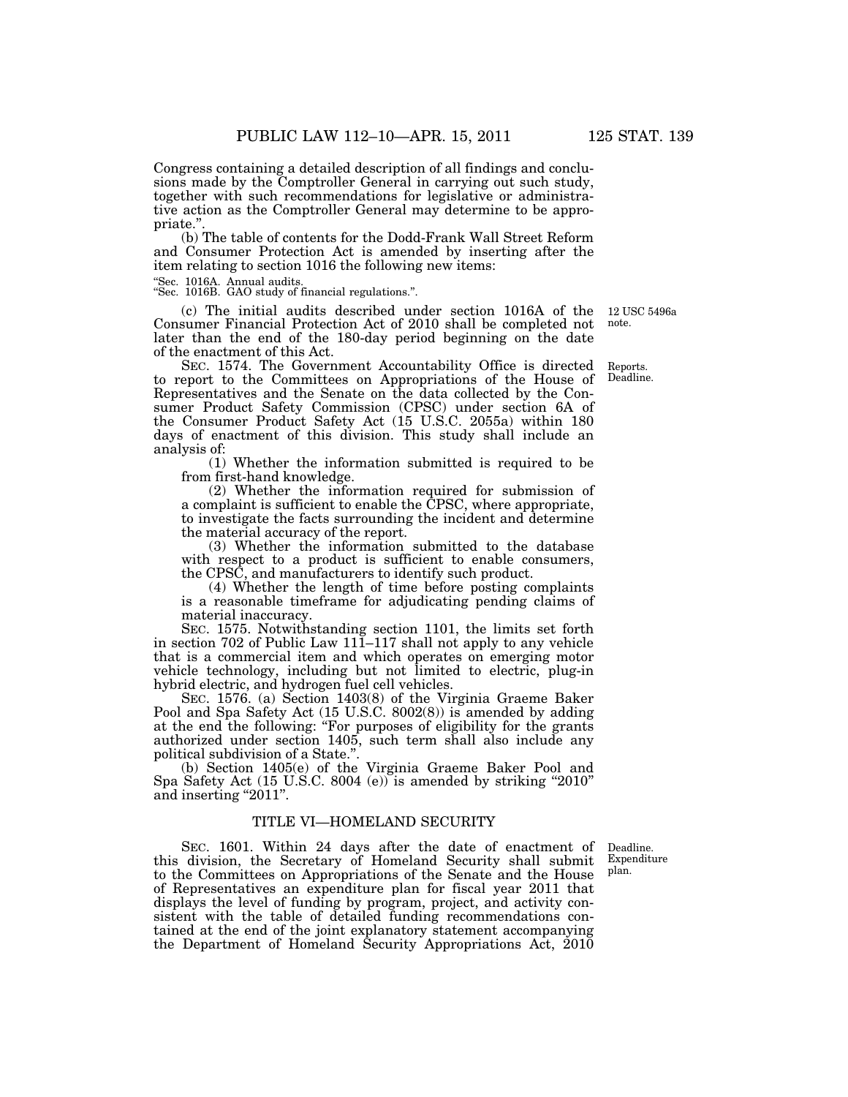Congress containing a detailed description of all findings and conclusions made by the Comptroller General in carrying out such study, together with such recommendations for legislative or administrative action as the Comptroller General may determine to be appropriate.'

(b) The table of contents for the Dodd-Frank Wall Street Reform and Consumer Protection Act is amended by inserting after the item relating to section 1016 the following new items:

''Sec. 1016A. Annual audits. ''Sec. 1016B. GAO study of financial regulations.''.

(c) The initial audits described under section 1016A of the 12 USC 5496a Consumer Financial Protection Act of 2010 shall be completed not later than the end of the 180-day period beginning on the date of the enactment of this Act.

SEC. 1574. The Government Accountability Office is directed to report to the Committees on Appropriations of the House of Representatives and the Senate on the data collected by the Consumer Product Safety Commission (CPSC) under section 6A of the Consumer Product Safety Act (15 U.S.C. 2055a) within 180 days of enactment of this division. This study shall include an analysis of:

(1) Whether the information submitted is required to be from first-hand knowledge.

(2) Whether the information required for submission of a complaint is sufficient to enable the CPSC, where appropriate, to investigate the facts surrounding the incident and determine the material accuracy of the report.

(3) Whether the information submitted to the database with respect to a product is sufficient to enable consumers, the CPSC, and manufacturers to identify such product.

(4) Whether the length of time before posting complaints is a reasonable timeframe for adjudicating pending claims of material inaccuracy.

SEC. 1575. Notwithstanding section 1101, the limits set forth in section 702 of Public Law 111–117 shall not apply to any vehicle that is a commercial item and which operates on emerging motor vehicle technology, including but not limited to electric, plug-in hybrid electric, and hydrogen fuel cell vehicles.

SEC. 1576. (a) Section 1403(8) of the Virginia Graeme Baker Pool and Spa Safety Act (15 U.S.C. 8002(8)) is amended by adding at the end the following: ''For purposes of eligibility for the grants authorized under section 1405, such term shall also include any political subdivision of a State."

(b) Section 1405(e) of the Virginia Graeme Baker Pool and Spa Safety Act (15 U.S.C. 8004 (e)) is amended by striking "2010" and inserting "2011".

## TITLE VI—HOMELAND SECURITY

SEC. 1601. Within 24 days after the date of enactment of this division, the Secretary of Homeland Security shall submit to the Committees on Appropriations of the Senate and the House of Representatives an expenditure plan for fiscal year 2011 that displays the level of funding by program, project, and activity consistent with the table of detailed funding recommendations contained at the end of the joint explanatory statement accompanying the Department of Homeland Security Appropriations Act, 2010

Deadline. Expenditure plan.

Reports. Deadline.

note.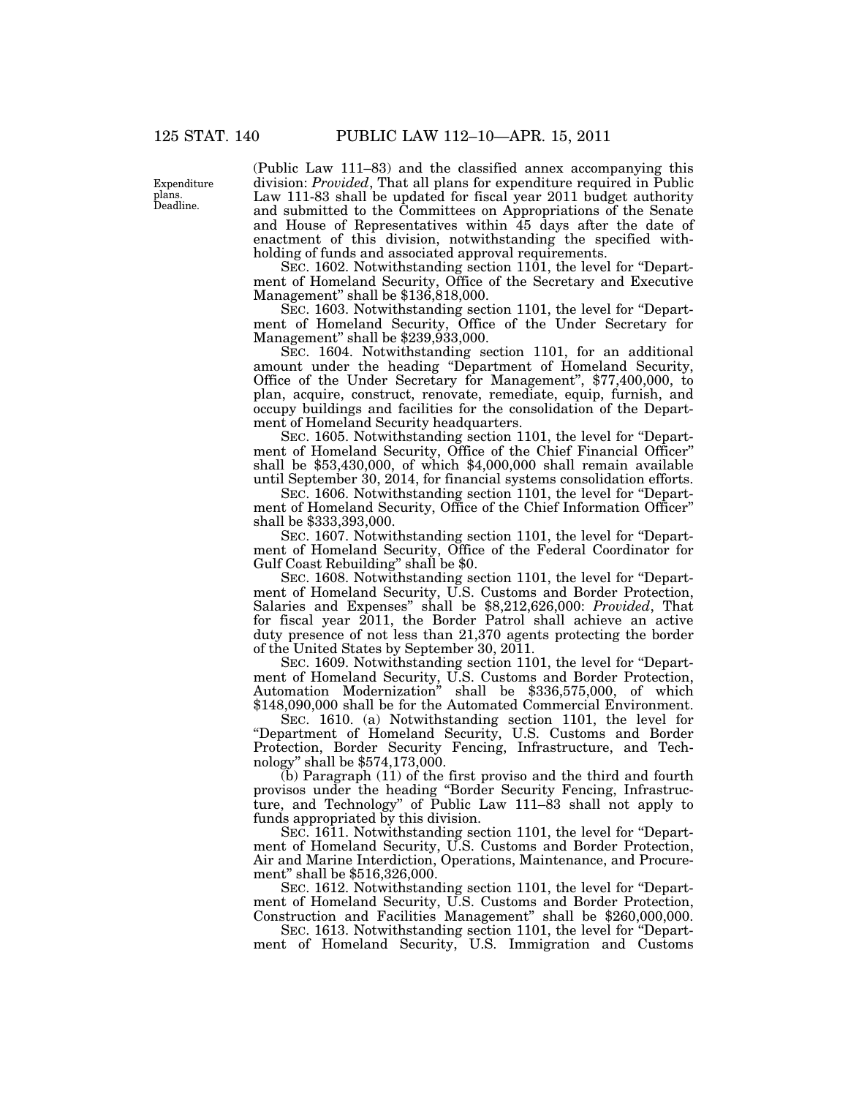Expenditure plans. Deadline.

(Public Law 111–83) and the classified annex accompanying this division: *Provided*, That all plans for expenditure required in Public Law 111-83 shall be updated for fiscal year 2011 budget authority and submitted to the Committees on Appropriations of the Senate and House of Representatives within 45 days after the date of enactment of this division, notwithstanding the specified withholding of funds and associated approval requirements.

SEC. 1602. Notwithstanding section 1101, the level for "Department of Homeland Security, Office of the Secretary and Executive Management'' shall be \$136,818,000.

SEC. 1603. Notwithstanding section 1101, the level for "Department of Homeland Security, Office of the Under Secretary for Management" shall be \$239,933,000.

SEC. 1604. Notwithstanding section 1101, for an additional amount under the heading ''Department of Homeland Security, Office of the Under Secretary for Management'', \$77,400,000, to plan, acquire, construct, renovate, remediate, equip, furnish, and occupy buildings and facilities for the consolidation of the Department of Homeland Security headquarters.

SEC. 1605. Notwithstanding section 1101, the level for "Department of Homeland Security, Office of the Chief Financial Officer'' shall be \$53,430,000, of which \$4,000,000 shall remain available until September 30, 2014, for financial systems consolidation efforts.

SEC. 1606. Notwithstanding section 1101, the level for "Department of Homeland Security, Office of the Chief Information Officer'' shall be \$333,393,000.

SEC. 1607. Notwithstanding section 1101, the level for ''Department of Homeland Security, Office of the Federal Coordinator for Gulf Coast Rebuilding" shall be \$0.

SEC. 1608. Notwithstanding section 1101, the level for ''Department of Homeland Security, U.S. Customs and Border Protection, Salaries and Expenses'' shall be \$8,212,626,000: *Provided*, That for fiscal year 2011, the Border Patrol shall achieve an active duty presence of not less than 21,370 agents protecting the border of the United States by September 30, 2011.

SEC. 1609. Notwithstanding section 1101, the level for ''Department of Homeland Security, U.S. Customs and Border Protection, Automation Modernization'' shall be \$336,575,000, of which \$148,090,000 shall be for the Automated Commercial Environment.

SEC. 1610. (a) Notwithstanding section 1101, the level for ''Department of Homeland Security, U.S. Customs and Border Protection, Border Security Fencing, Infrastructure, and Technology'' shall be \$574,173,000.

(b) Paragraph (11) of the first proviso and the third and fourth provisos under the heading ''Border Security Fencing, Infrastructure, and Technology'' of Public Law 111–83 shall not apply to funds appropriated by this division.

SEC. 1611. Notwithstanding section 1101, the level for "Department of Homeland Security, U.S. Customs and Border Protection, Air and Marine Interdiction, Operations, Maintenance, and Procurement'' shall be \$516,326,000.

SEC. 1612. Notwithstanding section 1101, the level for "Department of Homeland Security, U.S. Customs and Border Protection, Construction and Facilities Management'' shall be \$260,000,000.

SEC. 1613. Notwithstanding section 1101, the level for ''Department of Homeland Security, U.S. Immigration and Customs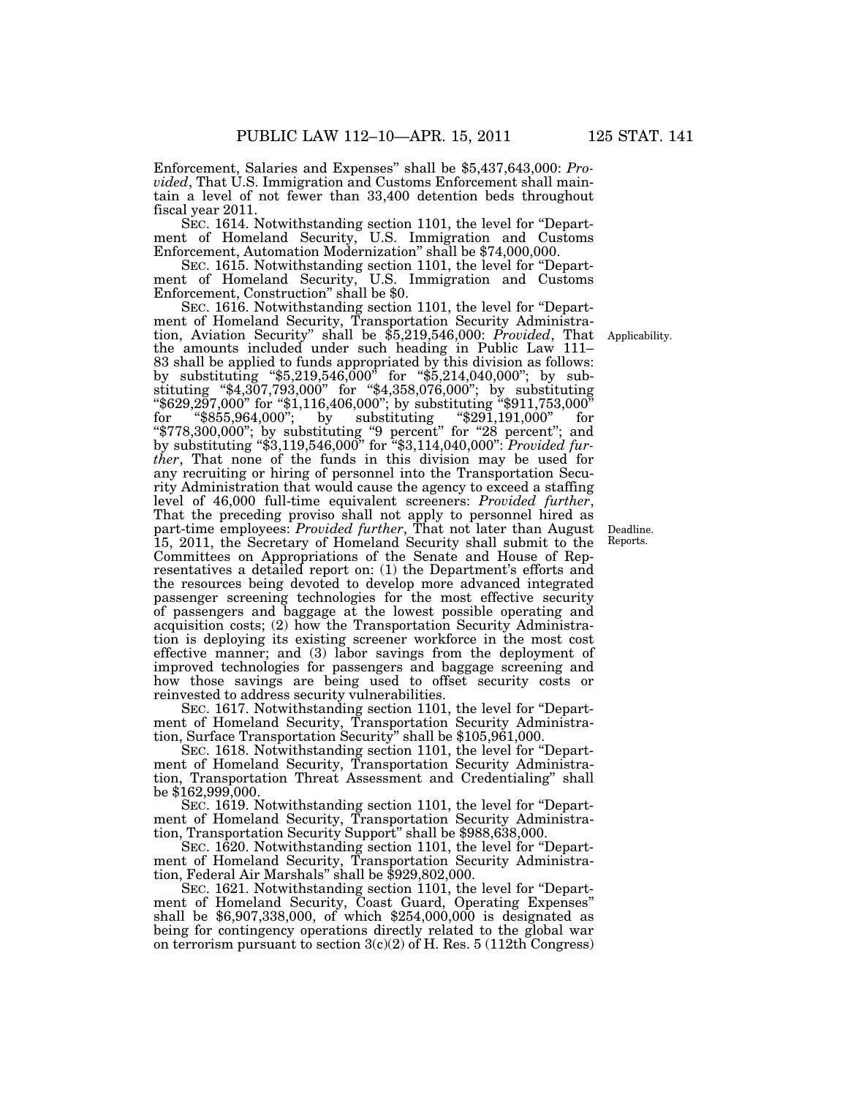Enforcement, Salaries and Expenses'' shall be \$5,437,643,000: *Provided*, That U.S. Immigration and Customs Enforcement shall maintain a level of not fewer than 33,400 detention beds throughout fiscal year 2011.

SEC. 1614. Notwithstanding section 1101, the level for ''Department of Homeland Security, U.S. Immigration and Customs Enforcement, Automation Modernization'' shall be \$74,000,000.

SEC. 1615. Notwithstanding section 1101, the level for ''Department of Homeland Security, U.S. Immigration and Customs Enforcement, Construction'' shall be \$0.

SEC. 1616. Notwithstanding section 1101, the level for ''Department of Homeland Security, Transportation Security Administration, Aviation Security'' shall be \$5,219,546,000: *Provided*, That the amounts included under such heading in Public Law 111– 83 shall be applied to funds appropriated by this division as follows: by substituting ''\$5,219,546,000'' for ''\$5,214,040,000''; by substituting ''\$4,307,793,000'' for ''\$4,358,076,000''; by substituting ''\$629,297,000'' for ''\$1,116,406,000''; by substituting ''\$911,753,000'' for ''\$855,964,000''; by substituting ''\$291,191,000'' for ''\$778,300,000''; by substituting ''9 percent'' for ''28 percent''; and by substituting ''\$3,119,546,000'' for ''\$3,114,040,000'': *Provided further*, That none of the funds in this division may be used for any recruiting or hiring of personnel into the Transportation Security Administration that would cause the agency to exceed a staffing<br>level of 46,000 full-time equivalent screeners: Provided further, level of 46,000 full-time equivalent screeners: *Provided further*, That the preceding proviso shall not apply to personnel hired as part-time employees: *Provided further*, That not later than August 15, 2011, the Secretary of Homeland Security shall submit to the Committees on Appropriations of the Senate and House of Representatives a detailed report on: (1) the Department's efforts and the resources being devoted to develop more advanced integrated passenger screening technologies for the most effective security of passengers and baggage at the lowest possible operating and acquisition costs; (2) how the Transportation Security Administration is deploying its existing screener workforce in the most cost effective manner; and (3) labor savings from the deployment of improved technologies for passengers and baggage screening and how those savings are being used to offset security costs or reinvested to address security vulnerabilities.

SEC. 1617. Notwithstanding section 1101, the level for "Department of Homeland Security, Transportation Security Administration, Surface Transportation Security'' shall be \$105,961,000.

SEC. 1618. Notwithstanding section 1101, the level for ''Department of Homeland Security, Transportation Security Administration, Transportation Threat Assessment and Credentialing'' shall be \$162,999,000.

SEC. 1619. Notwithstanding section 1101, the level for ''Department of Homeland Security, Transportation Security Administration, Transportation Security Support'' shall be \$988,638,000.

SEC. 1620. Notwithstanding section 1101, the level for ''Department of Homeland Security, Transportation Security Administration, Federal Air Marshals'' shall be \$929,802,000.

SEC. 1621. Notwithstanding section 1101, the level for "Department of Homeland Security, Coast Guard, Operating Expenses'' shall be \$6,907,338,000, of which \$254,000,000 is designated as being for contingency operations directly related to the global war on terrorism pursuant to section  $3(c)(2)$  of H. Res.  $5(112th$  Congress)

Applicability.

Deadline. Reports.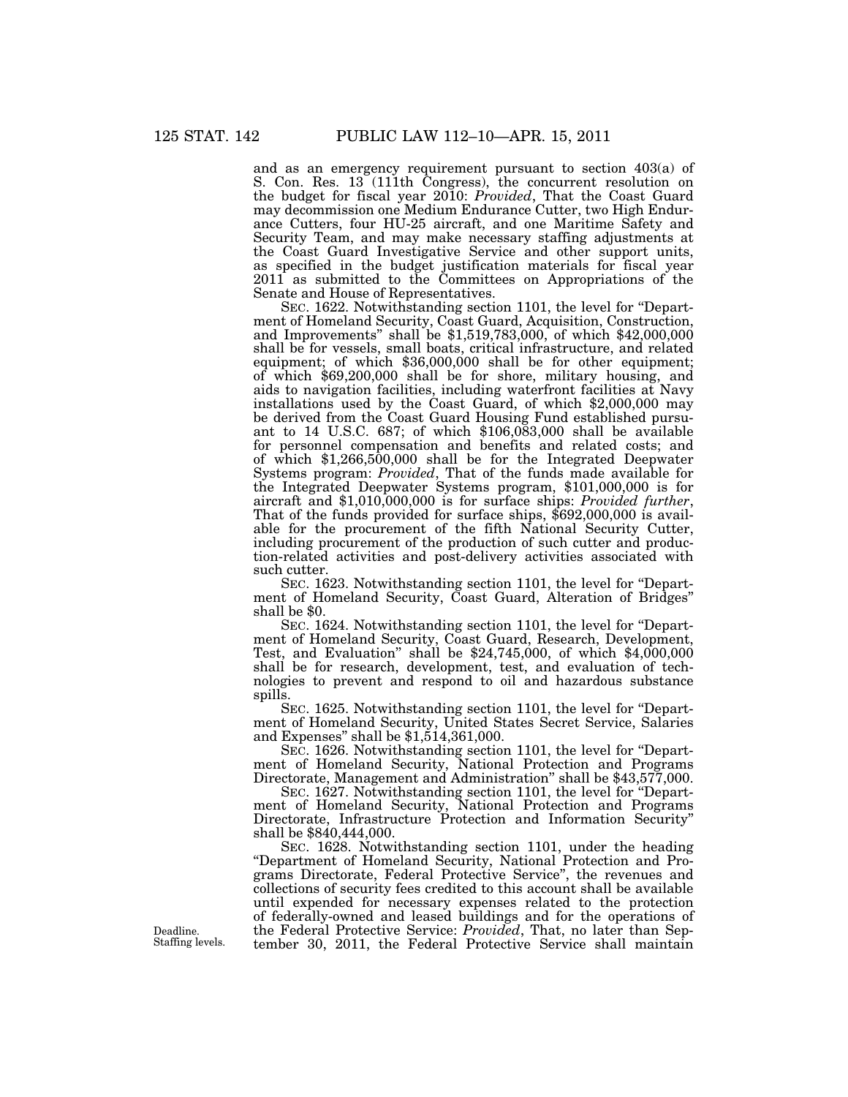and as an emergency requirement pursuant to section 403(a) of S. Con. Res. 13 (111th Congress), the concurrent resolution on the budget for fiscal year 2010: *Provided*, That the Coast Guard may decommission one Medium Endurance Cutter, two High Endurance Cutters, four HU-25 aircraft, and one Maritime Safety and Security Team, and may make necessary staffing adjustments at the Coast Guard Investigative Service and other support units, as specified in the budget justification materials for fiscal year 2011 as submitted to the Committees on Appropriations of the Senate and House of Representatives.

SEC. 1622. Notwithstanding section 1101, the level for "Department of Homeland Security, Coast Guard, Acquisition, Construction, and Improvements" shall be \$1,519,783,000, of which \$42,000,000 shall be for vessels, small boats, critical infrastructure, and related equipment; of which \$36,000,000 shall be for other equipment; of which \$69,200,000 shall be for shore, military housing, and aids to navigation facilities, including waterfront facilities at Navy installations used by the Coast Guard, of which \$2,000,000 may be derived from the Coast Guard Housing Fund established pursuant to 14 U.S.C. 687; of which \$106,083,000 shall be available for personnel compensation and benefits and related costs; and of which \$1,266,500,000 shall be for the Integrated Deepwater Systems program: *Provided*, That of the funds made available for the Integrated Deepwater Systems program, \$101,000,000 is for aircraft and \$1,010,000,000 is for surface ships: *Provided further*, That of the funds provided for surface ships, \$692,000,000 is available for the procurement of the fifth National Security Cutter, including procurement of the production of such cutter and production-related activities and post-delivery activities associated with such cutter.

SEC. 1623. Notwithstanding section 1101, the level for "Department of Homeland Security, Coast Guard, Alteration of Bridges'' shall be \$0.

SEC. 1624. Notwithstanding section 1101, the level for "Department of Homeland Security, Coast Guard, Research, Development, Test, and Evaluation'' shall be \$24,745,000, of which \$4,000,000 shall be for research, development, test, and evaluation of technologies to prevent and respond to oil and hazardous substance spills.

SEC. 1625. Notwithstanding section 1101, the level for ''Department of Homeland Security, United States Secret Service, Salaries and Expenses" shall be  $$1,\!514,361,000$ .

SEC. 1626. Notwithstanding section 1101, the level for "Department of Homeland Security, National Protection and Programs Directorate, Management and Administration'' shall be \$43,577,000.

SEC. 1627. Notwithstanding section 1101, the level for "Department of Homeland Security, National Protection and Programs Directorate, Infrastructure Protection and Information Security'' shall be \$840,444,000.

SEC. 1628. Notwithstanding section 1101, under the heading ''Department of Homeland Security, National Protection and Programs Directorate, Federal Protective Service'', the revenues and collections of security fees credited to this account shall be available until expended for necessary expenses related to the protection of federally-owned and leased buildings and for the operations of the Federal Protective Service: *Provided*, That, no later than September 30, 2011, the Federal Protective Service shall maintain

Staffing levels.

Deadline.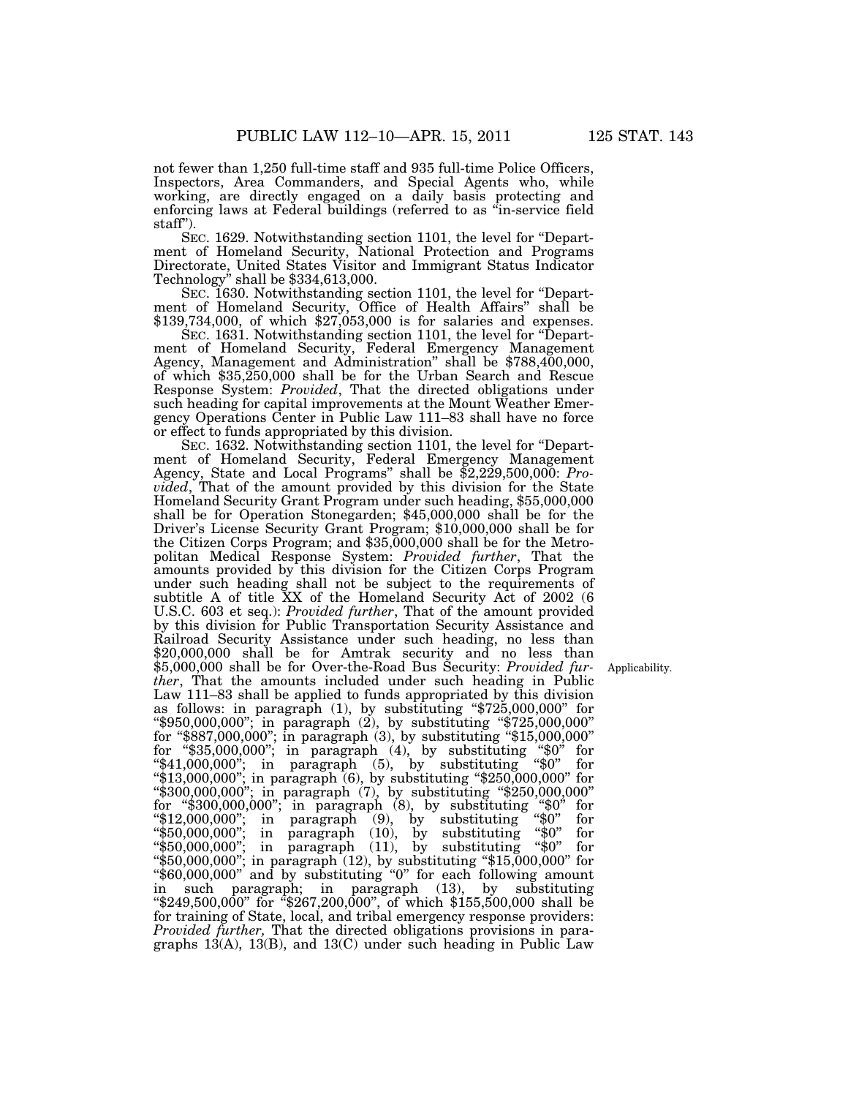not fewer than 1,250 full-time staff and 935 full-time Police Officers, Inspectors, Area Commanders, and Special Agents who, while working, are directly engaged on a daily basis protecting and enforcing laws at Federal buildings (referred to as ''in-service field staff'').

SEC. 1629. Notwithstanding section 1101, the level for ''Department of Homeland Security, National Protection and Programs Directorate, United States Visitor and Immigrant Status Indicator Technology'' shall be \$334,613,000.

SEC. 1630. Notwithstanding section 1101, the level for "Department of Homeland Security, Office of Health Affairs'' shall be \$139,734,000, of which \$27,053,000 is for salaries and expenses.

SEC. 1631. Notwithstanding section 1101, the level for "Department of Homeland Security, Federal Emergency Management Agency, Management and Administration'' shall be \$788,400,000, of which \$35,250,000 shall be for the Urban Search and Rescue Response System: *Provided*, That the directed obligations under such heading for capital improvements at the Mount Weather Emergency Operations Center in Public Law 111–83 shall have no force or effect to funds appropriated by this division.

SEC. 1632. Notwithstanding section 1101, the level for "Department of Homeland Security, Federal Emergency Management Agency, State and Local Programs'' shall be \$2,229,500,000: *Provided*, That of the amount provided by this division for the State Homeland Security Grant Program under such heading, \$55,000,000 shall be for Operation Stonegarden; \$45,000,000 shall be for the Driver's License Security Grant Program; \$10,000,000 shall be for the Citizen Corps Program; and \$35,000,000 shall be for the Metropolitan Medical Response System: *Provided further*, That the amounts provided by this division for the Citizen Corps Program under such heading shall not be subject to the requirements of subtitle A of title XX of the Homeland Security Act of 2002 (6 U.S.C. 603 et seq.): *Provided further*, That of the amount provided by this division for Public Transportation Security Assistance and Railroad Security Assistance under such heading, no less than \$20,000,000 shall be for Amtrak security and no less than \$5,000,000 shall be for Over-the-Road Bus Security: *Provided further*, That the amounts included under such heading in Public Law 111–83 shall be applied to funds appropriated by this division as follows: in paragraph (1), by substituting ''\$725,000,000'' for ''\$950,000,000''; in paragraph (2), by substituting ''\$725,000,000'' for ''\$887,000,000''; in paragraph (3), by substituting ''\$15,000,000'' for ''\$35,000,000''; in paragraph (4), by substituting ''\$0'' for ''\$41,000,000''; in paragraph (5), by substituting ''\$0'' for ''\$13,000,000''; in paragraph (6), by substituting ''\$250,000,000'' for ''\$300,000,000''; in paragraph (7), by substituting ''\$250,000,000'' for "\$300,000,000"; in paragraph  $(8)$ , by substituting "\$0" for " $12,000,000$ "; in paragraph  $(9)$ , by substituting " $0$ " for ''\$50,000,000''; in paragraph (10), by substituting ''\$0'' for ''\$50,000,000''; in paragraph (11), by substituting ''\$0'' for ''\$50,000,000''; in paragraph (12), by substituting ''\$15,000,000'' for ''\$60,000,000'' and by substituting ''0'' for each following amount in such paragraph; in paragraph (13), by substituting ''\$249,500,000'' for ''\$267,200,000'', of which \$155,500,000 shall be for training of State, local, and tribal emergency response providers: *Provided further,* That the directed obligations provisions in paragraphs  $13(A)$ ,  $13(B)$ , and  $13(C)$  under such heading in Public Law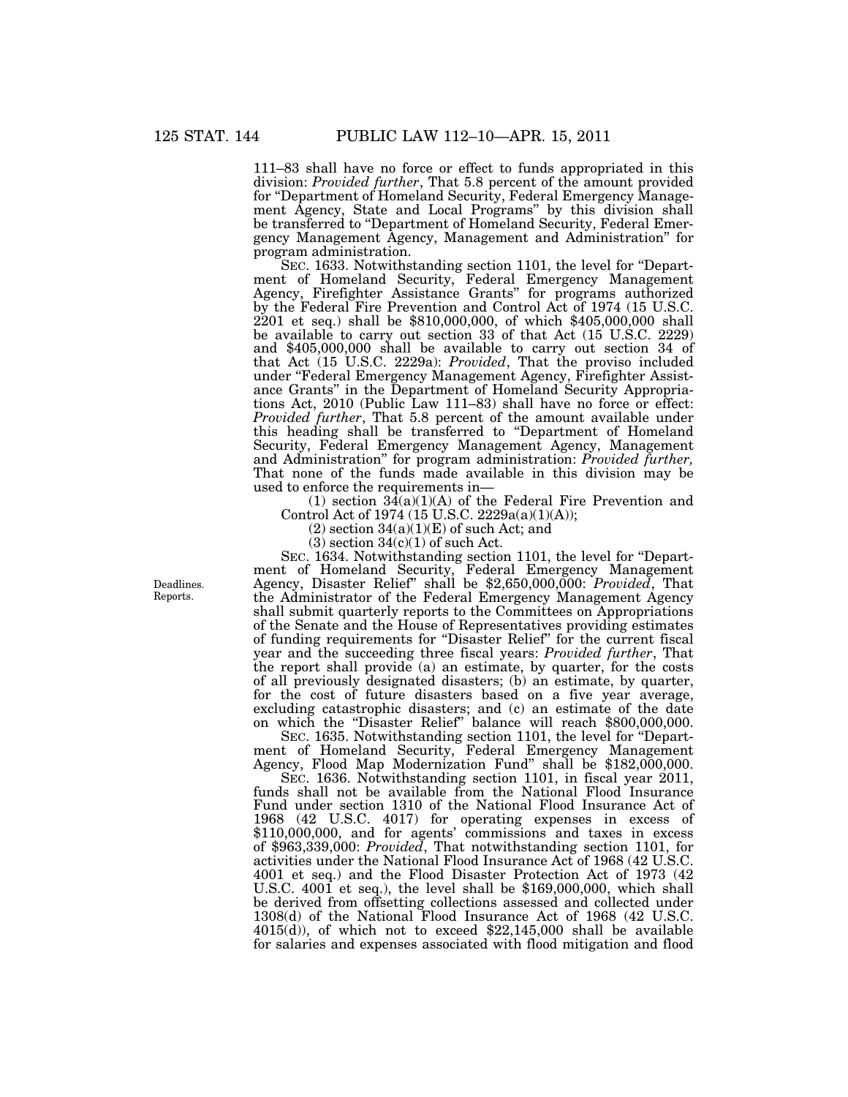111–83 shall have no force or effect to funds appropriated in this division: *Provided further*, That 5.8 percent of the amount provided for ''Department of Homeland Security, Federal Emergency Management Agency, State and Local Programs'' by this division shall be transferred to ''Department of Homeland Security, Federal Emergency Management Agency, Management and Administration'' for program administration.

SEC. 1633. Notwithstanding section 1101, the level for "Department of Homeland Security, Federal Emergency Management Agency, Firefighter Assistance Grants'' for programs authorized by the Federal Fire Prevention and Control Act of 1974 (15 U.S.C. 2201 et seq.) shall be \$810,000,000, of which \$405,000,000 shall be available to carry out section 33 of that Act (15 U.S.C. 2229) and \$405,000,000 shall be available to carry out section 34 of that Act (15 U.S.C. 2229a): *Provided*, That the proviso included under ''Federal Emergency Management Agency, Firefighter Assistance Grants'' in the Department of Homeland Security Appropriations Act, 2010 (Public Law 111–83) shall have no force or effect: *Provided further*, That 5.8 percent of the amount available under this heading shall be transferred to ''Department of Homeland Security, Federal Emergency Management Agency, Management and Administration'' for program administration: *Provided further,*  That none of the funds made available in this division may be used to enforce the requirements in—

(1) section  $34(a)(1)(A)$  of the Federal Fire Prevention and Control Act of 1974 (15 U.S.C. 2229a(a)(1)(A));

 $(2)$  section  $34(a)(1)(E)$  of such Act; and

 $(3)$  section  $34(c)(1)$  of such Act.

SEC. 1634. Notwithstanding section 1101, the level for ''Department of Homeland Security, Federal Emergency Management Agency, Disaster Relief'' shall be \$2,650,000,000: *Provided*, That the Administrator of the Federal Emergency Management Agency shall submit quarterly reports to the Committees on Appropriations of the Senate and the House of Representatives providing estimates of funding requirements for ''Disaster Relief'' for the current fiscal year and the succeeding three fiscal years: *Provided further*, That the report shall provide (a) an estimate, by quarter, for the costs of all previously designated disasters; (b) an estimate, by quarter, for the cost of future disasters based on a five year average, excluding catastrophic disasters; and (c) an estimate of the date on which the ''Disaster Relief'' balance will reach \$800,000,000.

SEC. 1635. Notwithstanding section 1101, the level for "Department of Homeland Security, Federal Emergency Management Agency, Flood Map Modernization Fund'' shall be \$182,000,000.

SEC. 1636. Notwithstanding section 1101, in fiscal year 2011, funds shall not be available from the National Flood Insurance Fund under section 1310 of the National Flood Insurance Act of 1968 (42 U.S.C. 4017) for operating expenses in excess of \$110,000,000, and for agents' commissions and taxes in excess of \$963,339,000: *Provided*, That notwithstanding section 1101, for activities under the National Flood Insurance Act of 1968 (42 U.S.C. 4001 et seq.) and the Flood Disaster Protection Act of 1973 (42 U.S.C. 4001 et seq.), the level shall be \$169,000,000, which shall be derived from offsetting collections assessed and collected under 1308(d) of the National Flood Insurance Act of 1968 (42 U.S.C. 4015(d)), of which not to exceed \$22,145,000 shall be available for salaries and expenses associated with flood mitigation and flood

Deadlines. Reports.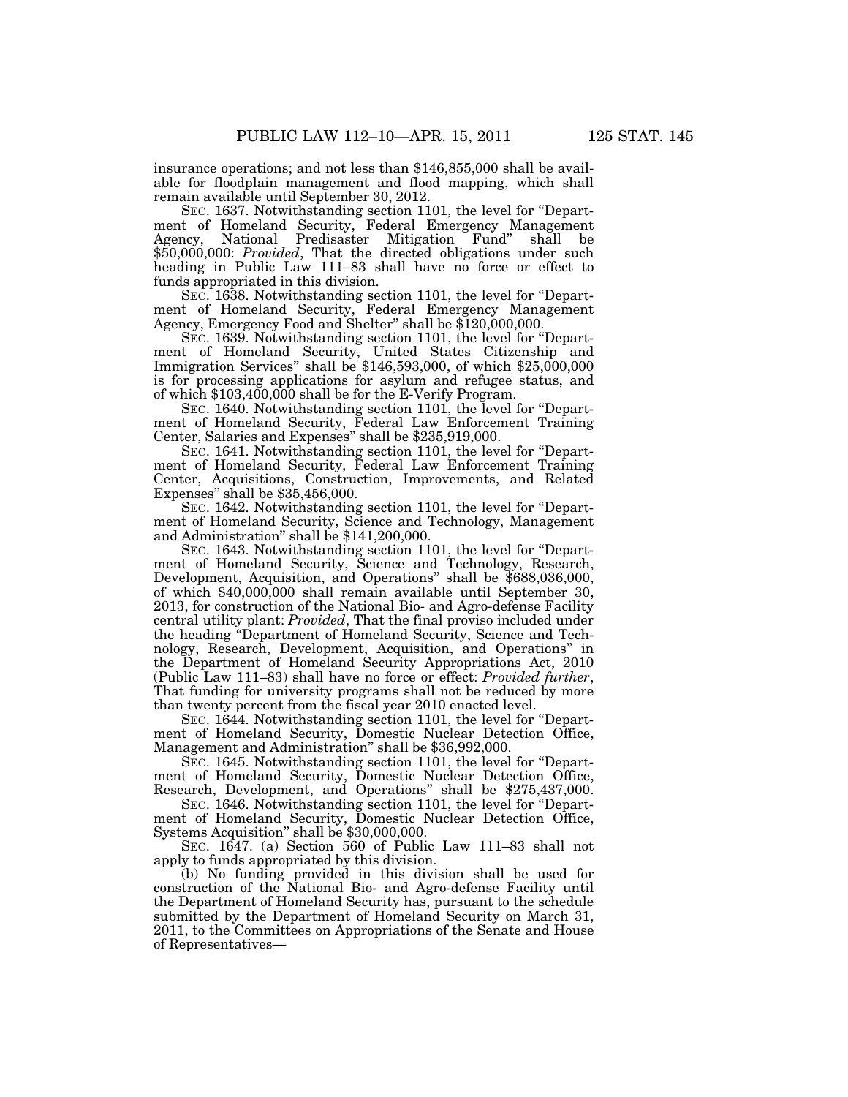insurance operations; and not less than \$146,855,000 shall be available for floodplain management and flood mapping, which shall remain available until September 30, 2012.

SEC. 1637. Notwithstanding section 1101, the level for "Department of Homeland Security, Federal Emergency Management Agency, National Predisaster Mitigation Fund'' shall be \$50,000,000: *Provided*, That the directed obligations under such heading in Public Law 111–83 shall have no force or effect to funds appropriated in this division.

SEC. 1638. Notwithstanding section 1101, the level for ''Department of Homeland Security, Federal Emergency Management Agency, Emergency Food and Shelter'' shall be \$120,000,000.

SEC. 1639. Notwithstanding section 1101, the level for "Department of Homeland Security, United States Citizenship and Immigration Services'' shall be \$146,593,000, of which \$25,000,000 is for processing applications for asylum and refugee status, and of which \$103,400,000 shall be for the E-Verify Program.

SEC. 1640. Notwithstanding section 1101, the level for "Department of Homeland Security, Federal Law Enforcement Training Center, Salaries and Expenses'' shall be \$235,919,000.

SEC. 1641. Notwithstanding section 1101, the level for "Department of Homeland Security, Federal Law Enforcement Training Center, Acquisitions, Construction, Improvements, and Related Expenses'' shall be \$35,456,000.

SEC. 1642. Notwithstanding section 1101, the level for ''Department of Homeland Security, Science and Technology, Management and Administration'' shall be \$141,200,000.

SEC. 1643. Notwithstanding section 1101, the level for "Department of Homeland Security, Science and Technology, Research, Development, Acquisition, and Operations'' shall be \$688,036,000, of which \$40,000,000 shall remain available until September 30, 2013, for construction of the National Bio- and Agro-defense Facility central utility plant: *Provided*, That the final proviso included under the heading ''Department of Homeland Security, Science and Technology, Research, Development, Acquisition, and Operations'' in the Department of Homeland Security Appropriations Act, 2010 (Public Law 111–83) shall have no force or effect: *Provided further*, That funding for university programs shall not be reduced by more than twenty percent from the fiscal year 2010 enacted level.

SEC. 1644. Notwithstanding section 1101, the level for ''Department of Homeland Security, Domestic Nuclear Detection Office, Management and Administration'' shall be \$36,992,000.

SEC. 1645. Notwithstanding section 1101, the level for ''Department of Homeland Security, Domestic Nuclear Detection Office, Research, Development, and Operations'' shall be \$275,437,000.

SEC. 1646. Notwithstanding section 1101, the level for "Department of Homeland Security, Domestic Nuclear Detection Office, Systems Acquisition'' shall be \$30,000,000.

SEC. 1647. (a) Section 560 of Public Law 111–83 shall not apply to funds appropriated by this division.

(b) No funding provided in this division shall be used for construction of the National Bio- and Agro-defense Facility until the Department of Homeland Security has, pursuant to the schedule submitted by the Department of Homeland Security on March 31, 2011, to the Committees on Appropriations of the Senate and House of Representatives—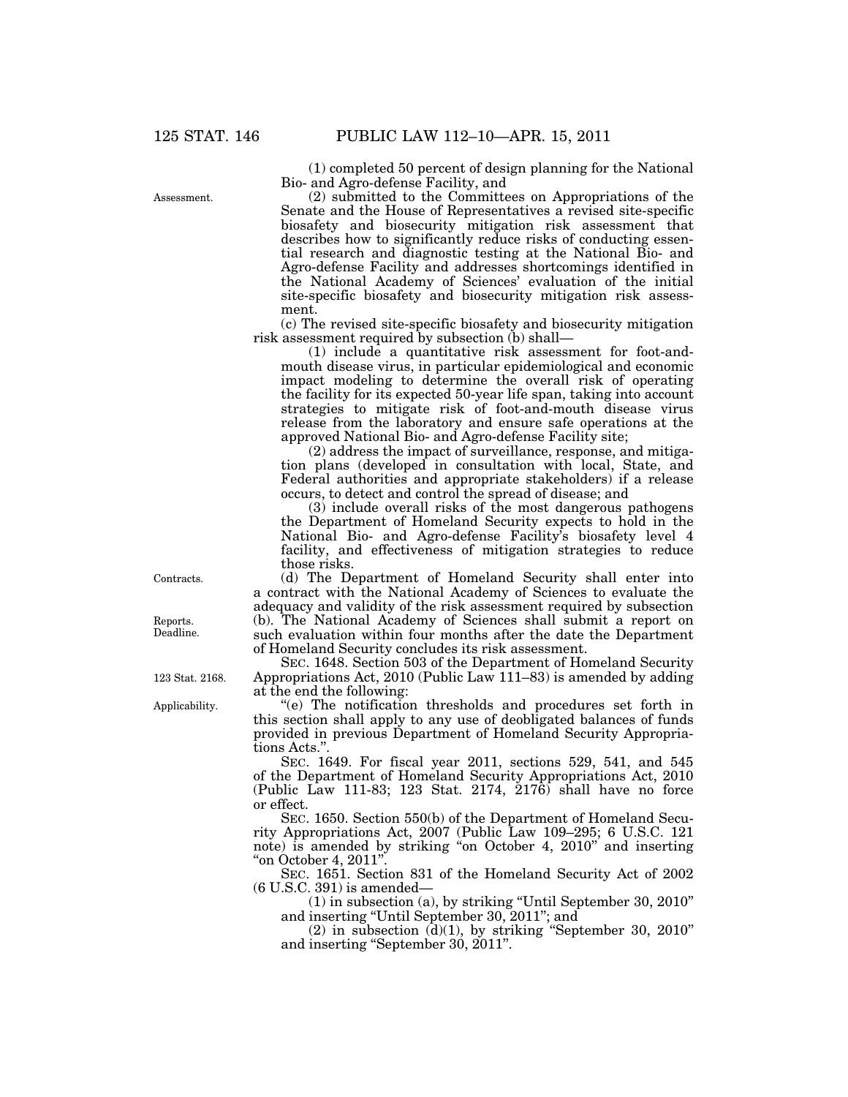(1) completed 50 percent of design planning for the National Bio- and Agro-defense Facility, and

(2) submitted to the Committees on Appropriations of the Senate and the House of Representatives a revised site-specific biosafety and biosecurity mitigation risk assessment that describes how to significantly reduce risks of conducting essential research and diagnostic testing at the National Bio- and Agro-defense Facility and addresses shortcomings identified in the National Academy of Sciences' evaluation of the initial site-specific biosafety and biosecurity mitigation risk assessment.

(c) The revised site-specific biosafety and biosecurity mitigation risk assessment required by subsection (b) shall—

(1) include a quantitative risk assessment for foot-andmouth disease virus, in particular epidemiological and economic impact modeling to determine the overall risk of operating the facility for its expected 50-year life span, taking into account strategies to mitigate risk of foot-and-mouth disease virus release from the laboratory and ensure safe operations at the approved National Bio- and Agro-defense Facility site;

(2) address the impact of surveillance, response, and mitigation plans (developed in consultation with local, State, and Federal authorities and appropriate stakeholders) if a release occurs, to detect and control the spread of disease; and

(3) include overall risks of the most dangerous pathogens the Department of Homeland Security expects to hold in the National Bio- and Agro-defense Facility's biosafety level 4 facility, and effectiveness of mitigation strategies to reduce those risks.

(d) The Department of Homeland Security shall enter into a contract with the National Academy of Sciences to evaluate the adequacy and validity of the risk assessment required by subsection (b). The National Academy of Sciences shall submit a report on such evaluation within four months after the date the Department of Homeland Security concludes its risk assessment.

SEC. 1648. Section 503 of the Department of Homeland Security Appropriations Act, 2010 (Public Law 111–83) is amended by adding at the end the following:

''(e) The notification thresholds and procedures set forth in this section shall apply to any use of deobligated balances of funds provided in previous Department of Homeland Security Appropriations Acts."

SEC. 1649. For fiscal year 2011, sections 529, 541, and 545 of the Department of Homeland Security Appropriations Act, 2010 (Public Law 111-83; 123 Stat. 2174,  $2176$ ) shall have no force or effect.

SEC. 1650. Section 550(b) of the Department of Homeland Security Appropriations Act, 2007 (Public Law 109–295; 6 U.S.C. 121 note) is amended by striking ''on October 4, 2010'' and inserting ''on October 4, 2011''.

SEC. 1651. Section 831 of the Homeland Security Act of 2002 (6 U.S.C. 391) is amended—

(1) in subsection (a), by striking ''Until September 30, 2010'' and inserting ''Until September 30, 2011''; and

 $(2)$  in subsection  $(d)(1)$ , by striking "September 30, 2010" and inserting ''September 30, 2011''.

Contracts.

Reports. Deadline.

123 Stat. 2168.

Applicability.

Assessment.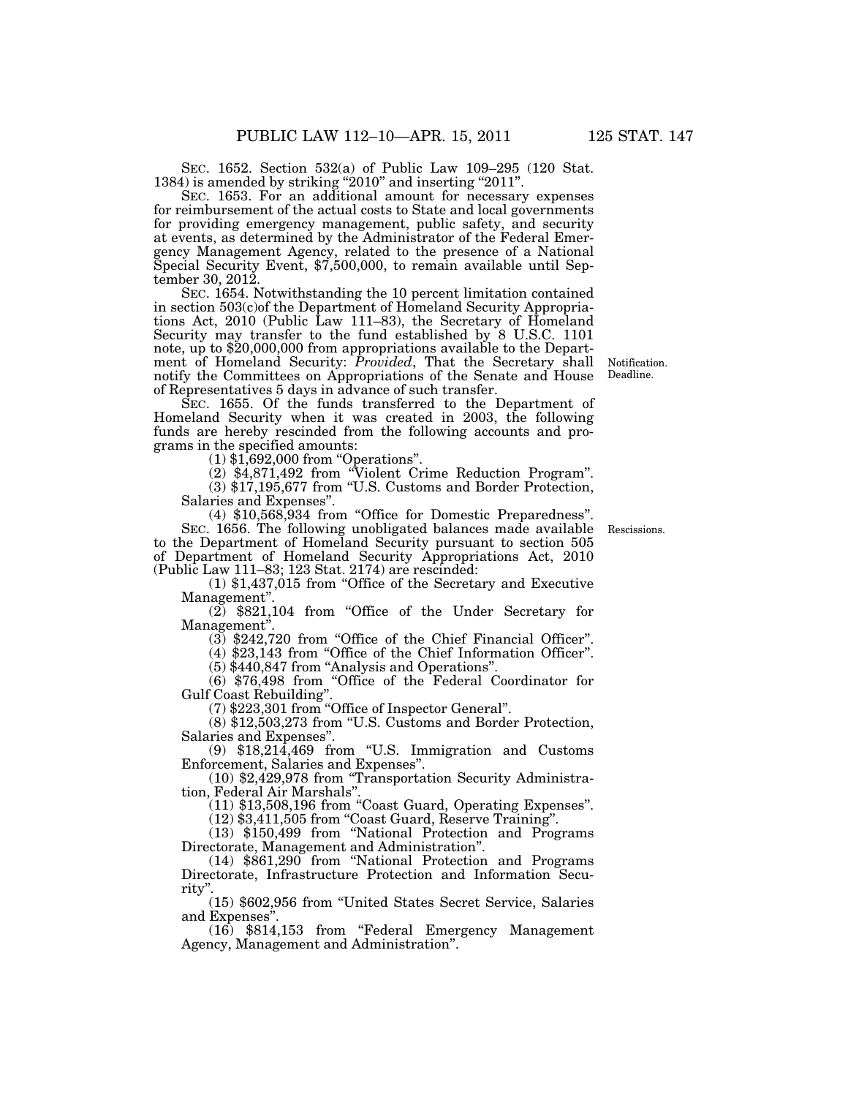SEC. 1652. Section 532(a) of Public Law 109–295 (120 Stat. 1384) is amended by striking "2010" and inserting "2011".

SEC. 1653. For an additional amount for necessary expenses for reimbursement of the actual costs to State and local governments for providing emergency management, public safety, and security at events, as determined by the Administrator of the Federal Emergency Management Agency, related to the presence of a National Special Security Event, \$7,500,000, to remain available until September 30, 2012.

SEC. 1654. Notwithstanding the 10 percent limitation contained in section 503(c)of the Department of Homeland Security Appropriations Act, 2010 (Public Law 111-83), the Secretary of Homeland Security may transfer to the fund established by 8 U.S.C. 1101 note, up to \$20,000,000 from appropriations available to the Department of Homeland Security: *Provided*, That the Secretary shall notify the Committees on Appropriations of the Senate and House of Representatives 5 days in advance of such transfer.

SEC. 1655. Of the funds transferred to the Department of Homeland Security when it was created in 2003, the following funds are hereby rescinded from the following accounts and programs in the specified amounts:

(1) \$1,692,000 from ''Operations''.

(2) \$4,871,492 from ''Violent Crime Reduction Program''. (3) \$17,195,677 from ''U.S. Customs and Border Protection,

Salaries and Expenses''.

(4) \$10,568,934 from ''Office for Domestic Preparedness''.

SEC. 1656. The following unobligated balances made available to the Department of Homeland Security pursuant to section 505 of Department of Homeland Security Appropriations Act, 2010 (Public Law 111–83; 123 Stat. 2174) are rescinded:

 $(1)$  \$1,437,015 from "Office of the Secretary and Executive Management''.

(2) \$821,104 from ''Office of the Under Secretary for Management''.

 $(3)$  \$242,720 from "Office of the Chief Financial Officer".

(4) \$23,143 from ''Office of the Chief Information Officer''.

(5) \$440,847 from ''Analysis and Operations''.

(6) \$76,498 from ''Office of the Federal Coordinator for Gulf Coast Rebuilding''.

(7) \$223,301 from ''Office of Inspector General''.

(8) \$12,503,273 from ''U.S. Customs and Border Protection, Salaries and Expenses''.

(9) \$18,214,469 from ''U.S. Immigration and Customs Enforcement, Salaries and Expenses''.

(10) \$2,429,978 from ''Transportation Security Administration, Federal Air Marshals''.

(11) \$13,508,196 from ''Coast Guard, Operating Expenses''.

(12) \$3,411,505 from ''Coast Guard, Reserve Training''.

(13) \$150,499 from ''National Protection and Programs Directorate, Management and Administration''.

(14) \$861,290 from ''National Protection and Programs Directorate, Infrastructure Protection and Information Security''.

(15) \$602,956 from ''United States Secret Service, Salaries and Expenses''.

(16) \$814,153 from ''Federal Emergency Management Agency, Management and Administration''.

Rescissions.

Notification. Deadline.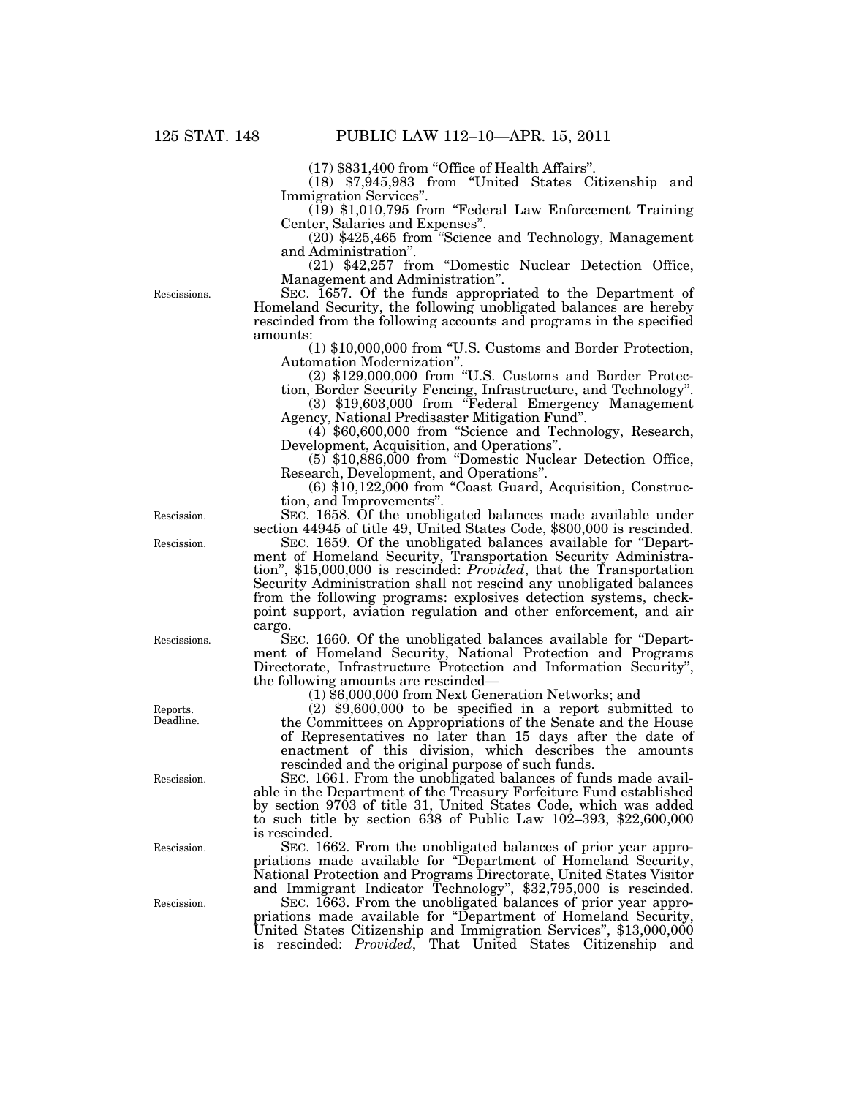$(17)$  \$831,400 from "Office of Health Affairs".

(18) \$7,945,983 from ''United States Citizenship and Immigration Services".<br>(19) \$1,010,795 from "Federal Law Enforcement Training

Center, Salaries and Expenses''.

 $(20)$  \$425,465 from "Science and Technology, Management and Administration''.

(21) \$42,257 from ''Domestic Nuclear Detection Office, Management and Administration''.

Rescissions.

SEC. 1657. Of the funds appropriated to the Department of Homeland Security, the following unobligated balances are hereby rescinded from the following accounts and programs in the specified amounts:

(1) \$10,000,000 from ''U.S. Customs and Border Protection, Automation Modernization''.

(2) \$129,000,000 from ''U.S. Customs and Border Protec-

tion, Border Security Fencing, Infrastructure, and Technology".<br>
(3) \$19,603,000 from "Federal Emergency Management

Agency, National Predisaster Mitigation Fund".<br>
(4) \$60,600,000 from "Science and Technology, Research,

Development, Acquisition, and Operations".<br>
(5) \$10,886,000 from "Domestic Nuclear Detection Office,<br>
Research, Development, and Operations".

 $(6)$  \$10,122,000 from "Coast Guard, Acquisition, Construction, and Improvements''.

SEC. 1658. Of the unobligated balances made available under section 44945 of title 49, United States Code, \$800,000 is rescinded.

SEC. 1659. Of the unobligated balances available for "Department of Homeland Security, Transportation Security Administration'', \$15,000,000 is rescinded: *Provided*, that the Transportation Security Administration shall not rescind any unobligated balances from the following programs: explosives detection systems, checkpoint support, aviation regulation and other enforcement, and air cargo.

SEC. 1660. Of the unobligated balances available for ''Department of Homeland Security, National Protection and Programs Directorate, Infrastructure Protection and Information Security'', the following amounts are rescinded—

(1) \$6,000,000 from Next Generation Networks; and

(2) \$9,600,000 to be specified in a report submitted to the Committees on Appropriations of the Senate and the House of Representatives no later than 15 days after the date of enactment of this division, which describes the amounts rescinded and the original purpose of such funds.

SEC. 1661. From the unobligated balances of funds made available in the Department of the Treasury Forfeiture Fund established by section 9703 of title 31, United States Code, which was added to such title by section 638 of Public Law 102–393, \$22,600,000 is rescinded.

SEC. 1662. From the unobligated balances of prior year appropriations made available for ''Department of Homeland Security, National Protection and Programs Directorate, United States Visitor and Immigrant Indicator Technology'', \$32,795,000 is rescinded.

SEC. 1663. From the unobligated balances of prior year appropriations made available for ''Department of Homeland Security, United States Citizenship and Immigration Services'', \$13,000,000 is rescinded: *Provided*, That United States Citizenship and

Rescission.

Rescission.

Rescissions.

Reports. Deadline.

Rescission.

Rescission.

Rescission.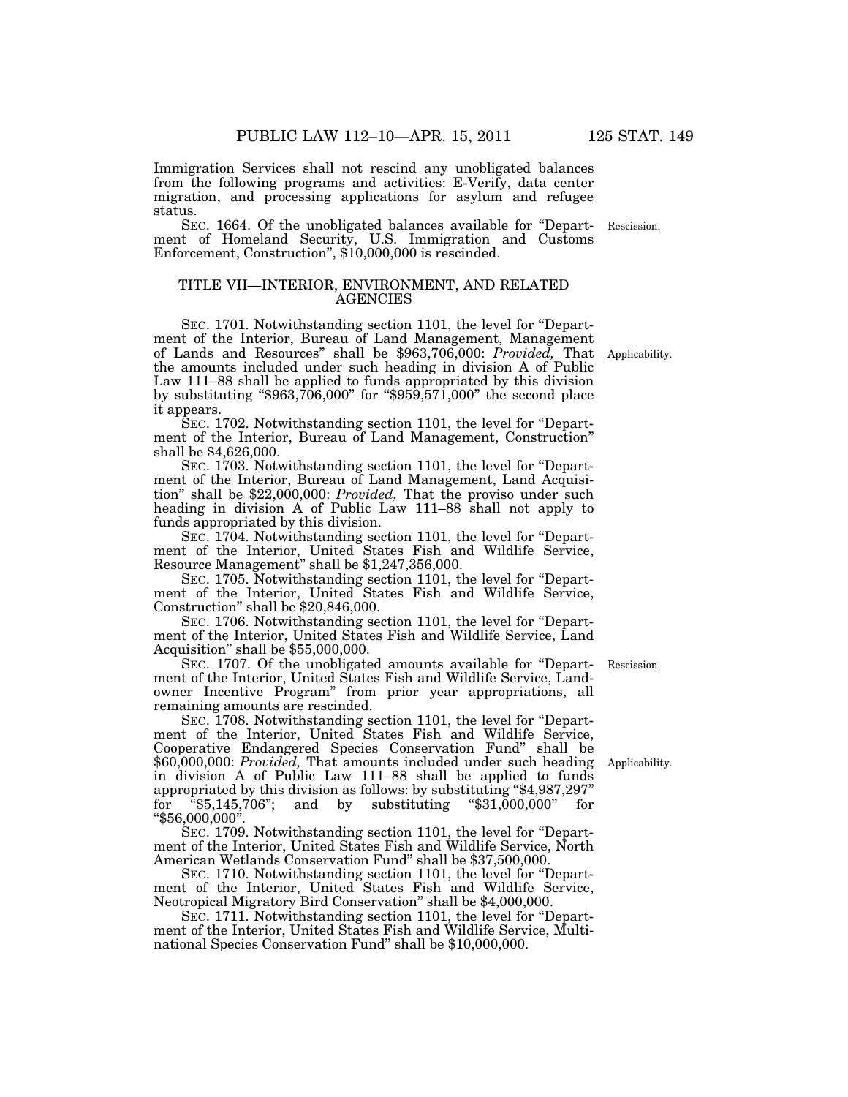Immigration Services shall not rescind any unobligated balances from the following programs and activities: E-Verify, data center

status.

migration, and processing applications for asylum and refugee

SEC. 1664. Of the unobligated balances available for ''Depart-Rescission. ment of Homeland Security, U.S. Immigration and Customs Enforcement, Construction'', \$10,000,000 is rescinded.

## TITLE VII—INTERIOR, ENVIRONMENT, AND RELATED AGENCIES

SEC. 1701. Notwithstanding section 1101, the level for ''Department of the Interior, Bureau of Land Management, Management of Lands and Resources'' shall be \$963,706,000: *Provided,* That Applicability. the amounts included under such heading in division A of Public Law 111–88 shall be applied to funds appropriated by this division by substituting " $$963,\overline{706},000"$  for " $$95\overline{9},57\overline{1},000"$ " the second place it appears.

SEC. 1702. Notwithstanding section 1101, the level for ''Department of the Interior, Bureau of Land Management, Construction'' shall be \$4,626,000.

SEC. 1703. Notwithstanding section 1101, the level for "Department of the Interior, Bureau of Land Management, Land Acquisition'' shall be \$22,000,000: *Provided,* That the proviso under such heading in division A of Public Law 111–88 shall not apply to funds appropriated by this division.

SEC. 1704. Notwithstanding section 1101, the level for ''Department of the Interior, United States Fish and Wildlife Service, Resource Management'' shall be \$1,247,356,000.

SEC. 1705. Notwithstanding section 1101, the level for ''Department of the Interior, United States Fish and Wildlife Service, Construction'' shall be \$20,846,000.

SEC. 1706. Notwithstanding section 1101, the level for ''Department of the Interior, United States Fish and Wildlife Service, Land Acquisition'' shall be \$55,000,000.

SEC. 1707. Of the unobligated amounts available for ''Department of the Interior, United States Fish and Wildlife Service, Landowner Incentive Program'' from prior year appropriations, all remaining amounts are rescinded.

SEC. 1708. Notwithstanding section 1101, the level for ''Department of the Interior, United States Fish and Wildlife Service, Cooperative Endangered Species Conservation Fund'' shall be \$60,000,000: *Provided,* That amounts included under such heading in division A of Public Law 111–88 shall be applied to funds appropriated by this division as follows: by substituting "\$4,987,297"<br>for "\$5,145,706"; and by substituting "\$31,000,000" for for " $$5,145,706$ "; and by substituting " $$31,000,000$ " ''\$56,000,000''.

SEC. 1709. Notwithstanding section 1101, the level for ''Department of the Interior, United States Fish and Wildlife Service, North American Wetlands Conservation Fund'' shall be \$37,500,000.

SEC. 1710. Notwithstanding section 1101, the level for ''Department of the Interior, United States Fish and Wildlife Service, Neotropical Migratory Bird Conservation'' shall be \$4,000,000.

SEC. 1711. Notwithstanding section 1101, the level for ''Department of the Interior, United States Fish and Wildlife Service, Multinational Species Conservation Fund'' shall be \$10,000,000.

Rescission.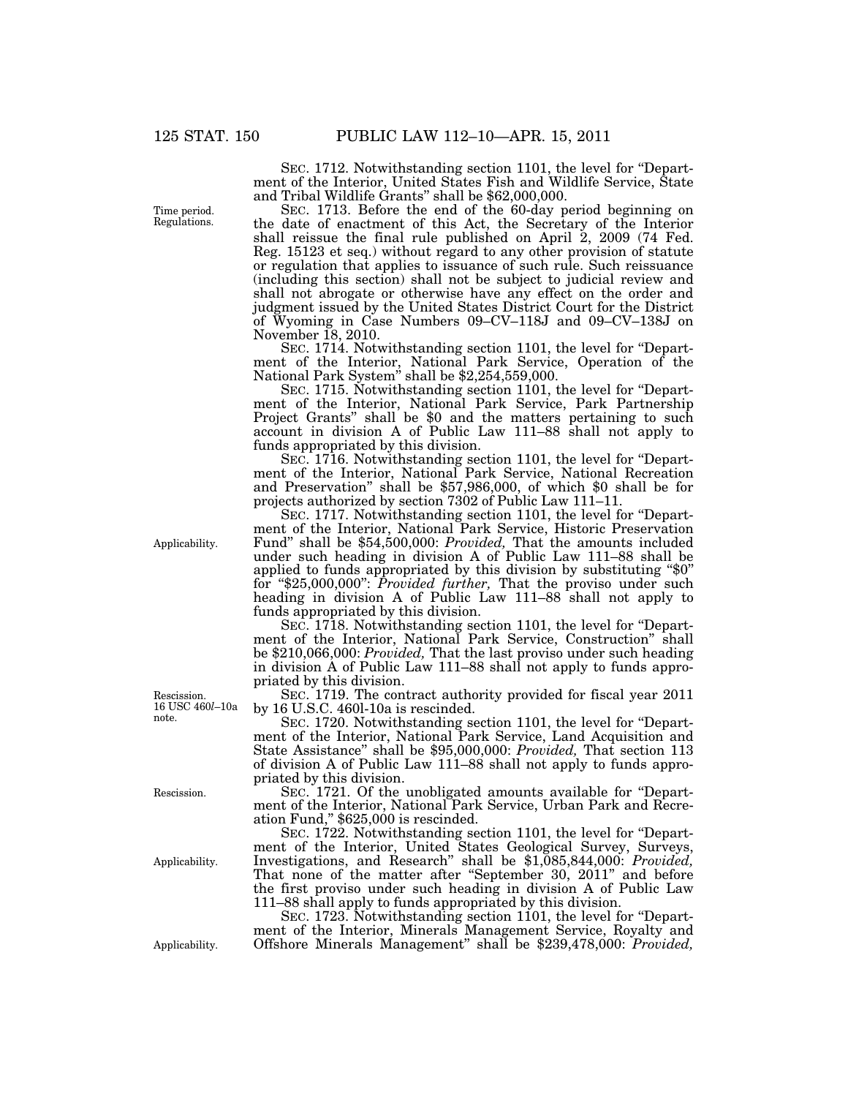Time period. Regulations.

SEC. 1712. Notwithstanding section 1101, the level for "Department of the Interior, United States Fish and Wildlife Service, State and Tribal Wildlife Grants'' shall be \$62,000,000.

SEC. 1713. Before the end of the 60-day period beginning on the date of enactment of this Act, the Secretary of the Interior shall reissue the final rule published on April 2, 2009 (74 Fed. Reg. 15123 et seq.) without regard to any other provision of statute or regulation that applies to issuance of such rule. Such reissuance (including this section) shall not be subject to judicial review and shall not abrogate or otherwise have any effect on the order and judgment issued by the United States District Court for the District of Wyoming in Case Numbers 09–CV–118J and 09–CV–138J on November 18, 2010.

SEC. 1714. Notwithstanding section 1101, the level for "Department of the Interior, National Park Service, Operation of the National Park System'' shall be \$2,254,559,000.

SEC. 1715. Notwithstanding section 1101, the level for ''Department of the Interior, National Park Service, Park Partnership Project Grants'' shall be \$0 and the matters pertaining to such account in division A of Public Law 111–88 shall not apply to funds appropriated by this division.

SEC. 1716. Notwithstanding section 1101, the level for "Department of the Interior, National Park Service, National Recreation and Preservation'' shall be \$57,986,000, of which \$0 shall be for projects authorized by section 7302 of Public Law 111–11.

SEC. 1717. Notwithstanding section 1101, the level for ''Department of the Interior, National Park Service, Historic Preservation Fund'' shall be \$54,500,000: *Provided,* That the amounts included under such heading in division A of Public Law 111–88 shall be applied to funds appropriated by this division by substituting ''\$0'' for ''\$25,000,000'': *Provided further,* That the proviso under such heading in division A of Public Law 111–88 shall not apply to funds appropriated by this division.

SEC. 1718. Notwithstanding section 1101, the level for ''Department of the Interior, National Park Service, Construction'' shall be \$210,066,000: *Provided,* That the last proviso under such heading in division A of Public Law 111–88 shall not apply to funds appropriated by this division.

SEC. 1719. The contract authority provided for fiscal year 2011 by 16 U.S.C. 460l-10a is rescinded.

SEC. 1720. Notwithstanding section 1101, the level for ''Department of the Interior, National Park Service, Land Acquisition and State Assistance'' shall be \$95,000,000: *Provided,* That section 113 of division A of Public Law 111–88 shall not apply to funds appropriated by this division.

SEC. 1721. Of the unobligated amounts available for ''Department of the Interior, National Park Service, Urban Park and Recreation Fund,'' \$625,000 is rescinded.

SEC. 1722. Notwithstanding section 1101, the level for "Department of the Interior, United States Geological Survey, Surveys, Investigations, and Research'' shall be \$1,085,844,000: *Provided,*  That none of the matter after "September 30, 2011" and before the first proviso under such heading in division A of Public Law 111–88 shall apply to funds appropriated by this division.

SEC. 1723. Notwithstanding section 1101, the level for ''Department of the Interior, Minerals Management Service, Royalty and Applicability. Offshore Minerals Management'' shall be \$239,478,000: *Provided,* 

Applicability.

Rescission. 16 USC 460*l*–10a note.

Rescission.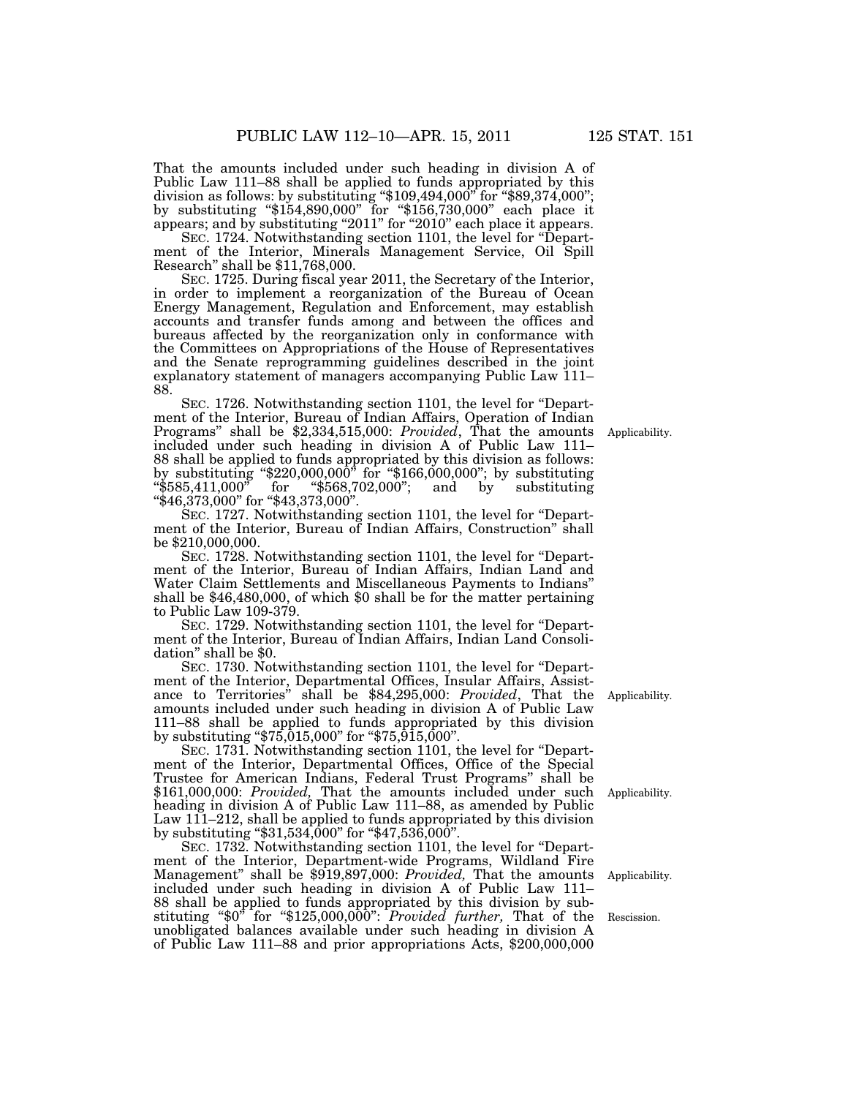That the amounts included under such heading in division A of Public Law 111–88 shall be applied to funds appropriated by this division as follows: by substituting "\$109,494,000" for "\$89,374,000"; by substituting ''\$154,890,000'' for ''\$156,730,000'' each place it appears; and by substituting "2011" for "2010" each place it appears.

SEC. 1724. Notwithstanding section 1101, the level for "Department of the Interior, Minerals Management Service, Oil Spill Research'' shall be \$11,768,000.

SEC. 1725. During fiscal year 2011, the Secretary of the Interior, in order to implement a reorganization of the Bureau of Ocean Energy Management, Regulation and Enforcement, may establish accounts and transfer funds among and between the offices and bureaus affected by the reorganization only in conformance with the Committees on Appropriations of the House of Representatives and the Senate reprogramming guidelines described in the joint explanatory statement of managers accompanying Public Law 111– 88.

SEC. 1726. Notwithstanding section 1101, the level for "Department of the Interior, Bureau of Indian Affairs, Operation of Indian Programs'' shall be \$2,334,515,000: *Provided*, That the amounts included under such heading in division A of Public Law 111– 88 shall be applied to funds appropriated by this division as follows: by substituting ''\$220,000,000'' for ''\$166,000,000''; by substituting ''\$585,411,000'' for ''\$568,702,000''; and by substituting "\$46,373,000" for "\$43,373,000".

SEC. 1727. Notwithstanding section 1101, the level for "Department of the Interior, Bureau of Indian Affairs, Construction'' shall be \$210,000,000.

SEC. 1728. Notwithstanding section 1101, the level for ''Department of the Interior, Bureau of Indian Affairs, Indian Land and Water Claim Settlements and Miscellaneous Payments to Indians'' shall be \$46,480,000, of which \$0 shall be for the matter pertaining to Public Law 109-379.

SEC. 1729. Notwithstanding section 1101, the level for "Department of the Interior, Bureau of Indian Affairs, Indian Land Consolidation'' shall be \$0.

SEC. 1730. Notwithstanding section 1101, the level for ''Department of the Interior, Departmental Offices, Insular Affairs, Assistance to Territories'' shall be \$84,295,000: *Provided*, That the amounts included under such heading in division A of Public Law 111–88 shall be applied to funds appropriated by this division by substituting "\$75,015,000" for "\$75,915,000".

SEC. 1731. Notwithstanding section 1101, the level for "Department of the Interior, Departmental Offices, Office of the Special Trustee for American Indians, Federal Trust Programs'' shall be \$161,000,000: *Provided,* That the amounts included under such heading in division A of Public Law 111–88, as amended by Public Law 111–212, shall be applied to funds appropriated by this division by substituting ''\$31,534,000'' for ''\$47,536,000''.

SEC. 1732. Notwithstanding section 1101, the level for ''Department of the Interior, Department-wide Programs, Wildland Fire Management'' shall be \$919,897,000: *Provided,* That the amounts included under such heading in division A of Public Law 111– 88 shall be applied to funds appropriated by this division by substituting ''\$0'' for ''\$125,000,000'': *Provided further,* That of the unobligated balances available under such heading in division A of Public Law 111–88 and prior appropriations Acts, \$200,000,000

Applicability.

Applicability.

Applicability.

Rescission.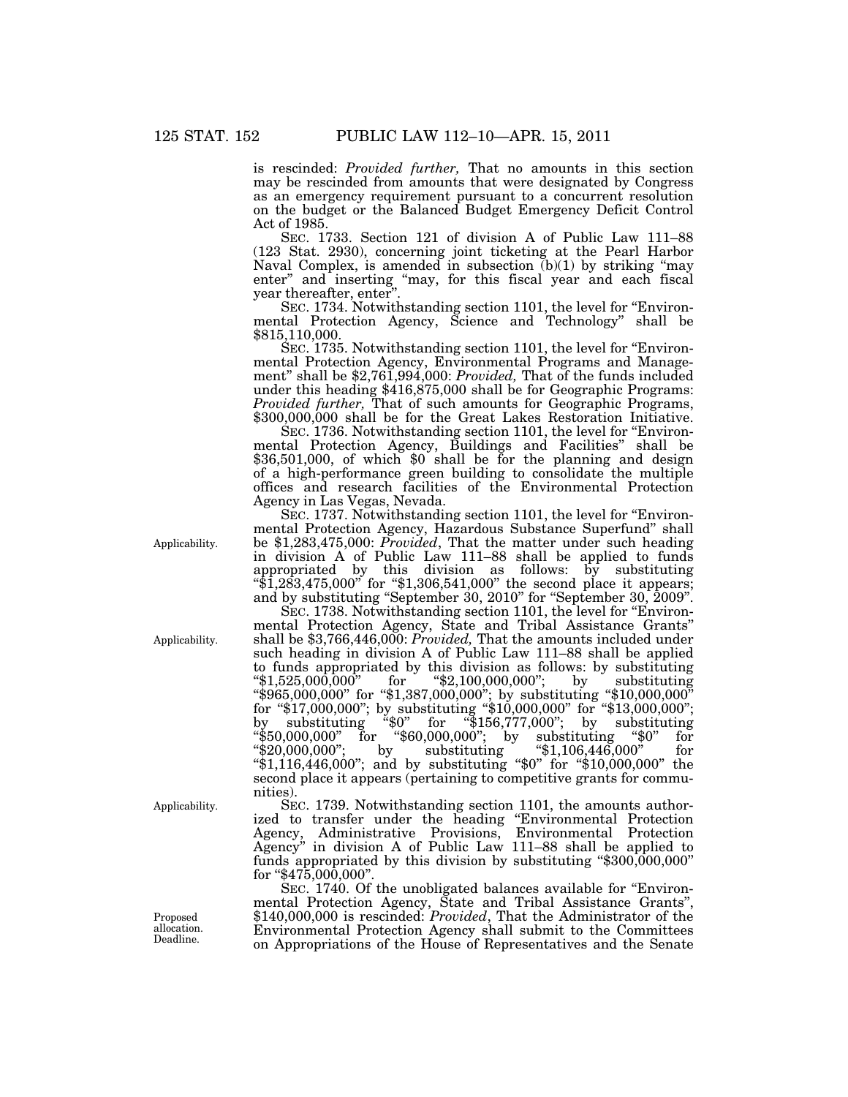is rescinded: *Provided further,* That no amounts in this section may be rescinded from amounts that were designated by Congress as an emergency requirement pursuant to a concurrent resolution on the budget or the Balanced Budget Emergency Deficit Control Act of 1985.

SEC. 1733. Section 121 of division A of Public Law 111–88 (123 Stat. 2930), concerning joint ticketing at the Pearl Harbor Naval Complex, is amended in subsection  $(b)(1)$  by striking "may enter'' and inserting ''may, for this fiscal year and each fiscal year thereafter, enter''.

SEC. 1734. Notwithstanding section 1101, the level for "Environmental Protection Agency, Science and Technology'' shall be \$815,110,000.

SEC. 1735. Notwithstanding section 1101, the level for "Environmental Protection Agency, Environmental Programs and Management'' shall be \$2,761,994,000: *Provided,* That of the funds included under this heading \$416,875,000 shall be for Geographic Programs:<br>*Provided further*, That of such amounts for Geographic Programs, \$300,000,000 shall be for the Great Lakes Restoration Initiative.

SEC. 1736. Notwithstanding section 1101, the level for "Environmental Protection Agency, Buildings and Facilities'' shall be \$36,501,000, of which \$0 shall be for the planning and design of a high-performance green building to consolidate the multiple offices and research facilities of the Environmental Protection Agency in Las Vegas, Nevada.

SEC. 1737. Notwithstanding section 1101, the level for "Environmental Protection Agency, Hazardous Substance Superfund'' shall be \$1,283,475,000: *Provided*, That the matter under such heading in division A of Public Law 111–88 shall be applied to funds appropriated by this division as follows: by substituting " $1,283,475,000$ " for "\$1,306,541,000" the second place it appears; and by substituting ''September 30, 2010'' for ''September 30, 2009''.

SEC. 1738. Notwithstanding section 1101, the level for "Environmental Protection Agency, State and Tribal Assistance Grants'' shall be \$3,766,446,000: *Provided,* That the amounts included under such heading in division A of Public Law 111–88 shall be applied to funds appropriated by this division as follows: by substituting ''\$1,525,000,000'' for ''\$2,100,000,000''; by substituting ''\$965,000,000'' for ''\$1,387,000,000''; by substituting ''\$10,000,000'' for ''\$17,000,000''; by substituting ''\$10,000,000'' for ''\$13,000,000''; by substituting ''\$0'' for ''\$156,777,000''; by substituting  $\frac{1}{2}$   $\frac{1}{2}$   $\frac{1}{2}$   $\frac{1}{2}$   $\frac{1}{2}$   $\frac{1}{2}$  for  $\frac{1}{2}$   $\frac{1}{2}$   $\frac{1}{2}$   $\frac{1}{2}$   $\frac{1}{2}$   $\frac{1}{2}$   $\frac{1}{2}$   $\frac{1}{2}$   $\frac{1}{2}$   $\frac{1}{2}$   $\frac{1}{2}$   $\frac{1}{2}$   $\frac{1}{2}$   $\frac{1}{2}$   $\frac{1}{2}$   $\frac{1}{2$ ''\$20,000,000''; by substituting ''\$1,106,446,000'' for ''\$1,116,446,000''; and by substituting ''\$0'' for ''\$10,000,000'' the second place it appears (pertaining to competitive grants for communities).

SEC. 1739. Notwithstanding section 1101, the amounts authorized to transfer under the heading ''Environmental Protection Agency, Administrative Provisions, Environmental Protection Agency'' in division A of Public Law 111–88 shall be applied to funds appropriated by this division by substituting "\$300,000,000" for ''\$475,000,000''.

SEC. 1740. Of the unobligated balances available for "Environmental Protection Agency, State and Tribal Assistance Grants'', \$140,000,000 is rescinded: *Provided*, That the Administrator of the Environmental Protection Agency shall submit to the Committees on Appropriations of the House of Representatives and the Senate

Applicability.

Applicability.

Applicability.

Proposed allocation. Deadline.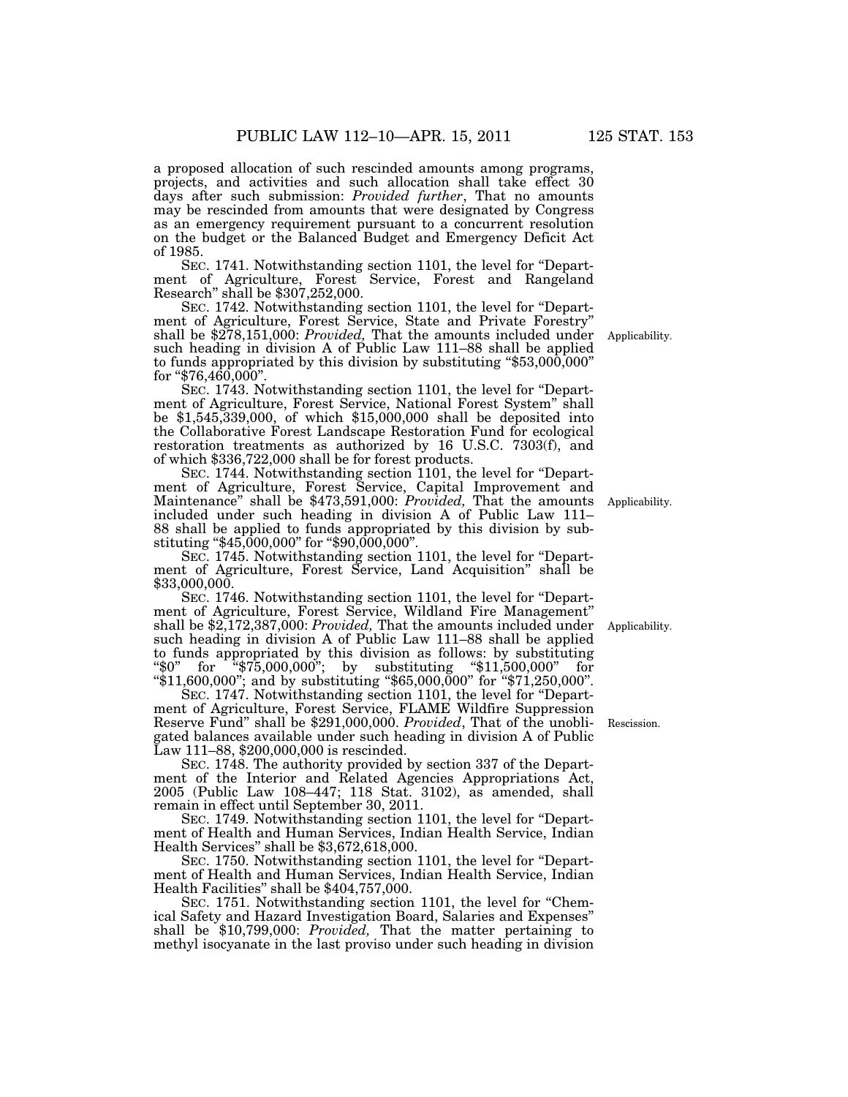a proposed allocation of such rescinded amounts among programs, projects, and activities and such allocation shall take effect 30 days after such submission: *Provided further*, That no amounts may be rescinded from amounts that were designated by Congress as an emergency requirement pursuant to a concurrent resolution on the budget or the Balanced Budget and Emergency Deficit Act of 1985.

SEC. 1741. Notwithstanding section 1101, the level for ''Department of Agriculture, Forest Service, Forest and Rangeland Research'' shall be \$307,252,000.

SEC. 1742. Notwithstanding section 1101, the level for ''Department of Agriculture, Forest Service, State and Private Forestry'' shall be \$278,151,000: *Provided,* That the amounts included under such heading in division A of Public Law 111–88 shall be applied to funds appropriated by this division by substituting  $\text{\textdegree$}53,000,000$ " for " $$76,460,000$ ".

SEC. 1743. Notwithstanding section 1101, the level for ''Department of Agriculture, Forest Service, National Forest System'' shall be \$1,545,339,000, of which \$15,000,000 shall be deposited into the Collaborative Forest Landscape Restoration Fund for ecological restoration treatments as authorized by 16 U.S.C. 7303(f), and of which \$336,722,000 shall be for forest products.

SEC. 1744. Notwithstanding section 1101, the level for ''Department of Agriculture, Forest Service, Capital Improvement and Maintenance'' shall be \$473,591,000: *Provided,* That the amounts included under such heading in division A of Public Law 111– 88 shall be applied to funds appropriated by this division by substituting ''\$45,000,000'' for ''\$90,000,000''.

SEC. 1745. Notwithstanding section 1101, the level for ''Department of Agriculture, Forest Service, Land Acquisition'' shall be \$33,000,000.

SEC. 1746. Notwithstanding section 1101, the level for "Department of Agriculture, Forest Service, Wildland Fire Management'' shall be \$2,172,387,000: *Provided,* That the amounts included under such heading in division A of Public Law 111–88 shall be applied to funds appropriated by this division as follows: by substituting ''\$0'' for ''\$75,000,000''; by substituting ''\$11,500,000'' for ''\$11,600,000''; and by substituting ''\$65,000,000'' for ''\$71,250,000''.

SEC. 1747. Notwithstanding section 1101, the level for "Department of Agriculture, Forest Service, FLAME Wildfire Suppression Reserve Fund'' shall be \$291,000,000. *Provided*, That of the unobligated balances available under such heading in division A of Public Law 111–88, \$200,000,000 is rescinded.

SEC. 1748. The authority provided by section 337 of the Department of the Interior and Related Agencies Appropriations Act, 2005 (Public Law 108–447; 118 Stat. 3102), as amended, shall remain in effect until September 30, 2011.

SEC. 1749. Notwithstanding section 1101, the level for "Department of Health and Human Services, Indian Health Service, Indian Health Services'' shall be \$3,672,618,000.

SEC. 1750. Notwithstanding section 1101, the level for "Department of Health and Human Services, Indian Health Service, Indian Health Facilities'' shall be \$404,757,000.

SEC. 1751. Notwithstanding section 1101, the level for "Chemical Safety and Hazard Investigation Board, Salaries and Expenses'' shall be \$10,799,000: *Provided,* That the matter pertaining to methyl isocyanate in the last proviso under such heading in division

Applicability.

Applicability.

Rescission.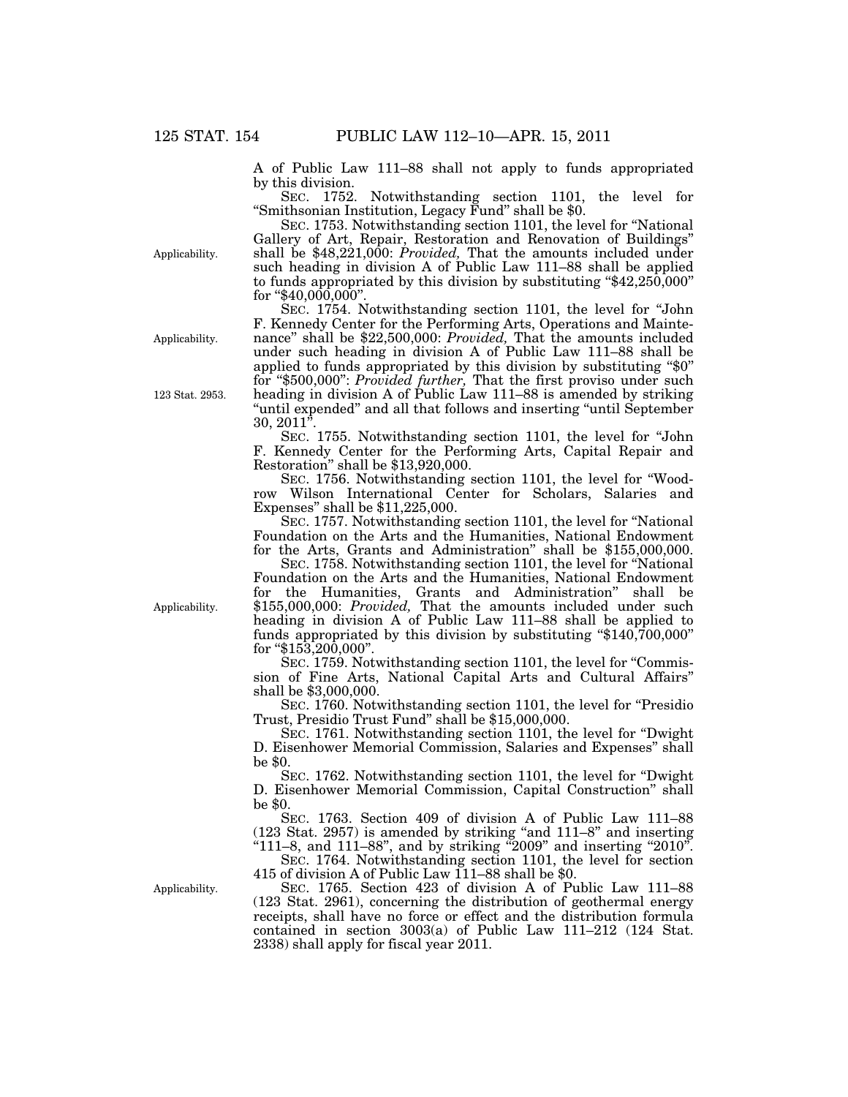A of Public Law 111–88 shall not apply to funds appropriated by this division.

SEC. 1752. Notwithstanding section 1101, the level for ''Smithsonian Institution, Legacy Fund'' shall be \$0.

SEC. 1753. Notwithstanding section 1101, the level for ''National Gallery of Art, Repair, Restoration and Renovation of Buildings'' shall be \$48,221,000: *Provided,* That the amounts included under such heading in division A of Public Law 111–88 shall be applied to funds appropriated by this division by substituting " $$42,250,000"$ " for " $$40,000,000$ ".

SEC. 1754. Notwithstanding section 1101, the level for "John" F. Kennedy Center for the Performing Arts, Operations and Maintenance'' shall be \$22,500,000: *Provided,* That the amounts included under such heading in division A of Public Law 111–88 shall be applied to funds appropriated by this division by substituting ''\$0'' for ''\$500,000'': *Provided further,* That the first proviso under such heading in division A of Public Law 111–88 is amended by striking "until expended" and all that follows and inserting "until September  $30, 2011'$ 

SEC. 1755. Notwithstanding section 1101, the level for ''John F. Kennedy Center for the Performing Arts, Capital Repair and Restoration'' shall be \$13,920,000.

SEC. 1756. Notwithstanding section 1101, the level for ''Woodrow Wilson International Center for Scholars, Salaries and Expenses'' shall be \$11,225,000.

SEC. 1757. Notwithstanding section 1101, the level for ''National Foundation on the Arts and the Humanities, National Endowment for the Arts, Grants and Administration'' shall be \$155,000,000.

SEC. 1758. Notwithstanding section 1101, the level for ''National Foundation on the Arts and the Humanities, National Endowment for the Humanities, Grants and Administration'' shall be \$155,000,000: *Provided,* That the amounts included under such heading in division A of Public Law 111–88 shall be applied to funds appropriated by this division by substituting ''\$140,700,000'' for  $\textdegree\$153,200,000$ ".

SEC. 1759. Notwithstanding section 1101, the level for "Commission of Fine Arts, National Capital Arts and Cultural Affairs'' shall be \$3,000,000.

SEC. 1760. Notwithstanding section 1101, the level for ''Presidio Trust, Presidio Trust Fund'' shall be \$15,000,000.

SEC. 1761. Notwithstanding section 1101, the level for ''Dwight D. Eisenhower Memorial Commission, Salaries and Expenses'' shall be \$0.

SEC. 1762. Notwithstanding section 1101, the level for "Dwight" D. Eisenhower Memorial Commission, Capital Construction'' shall be \$0.

SEC. 1763. Section 409 of division A of Public Law 111–88 (123 Stat. 2957) is amended by striking ''and 111–8'' and inserting " $111-8$ , and  $111-88$ ", and by striking "2009" and inserting "2010".

SEC. 1764. Notwithstanding section 1101, the level for section 415 of division A of Public Law 111–88 shall be \$0.

SEC. 1765. Section 423 of division A of Public Law 111–88 (123 Stat. 2961), concerning the distribution of geothermal energy receipts, shall have no force or effect and the distribution formula contained in section 3003(a) of Public Law 111–212 (124 Stat. 2338) shall apply for fiscal year 2011.

Applicability.

Applicability.

123 Stat. 2953.

Applicability.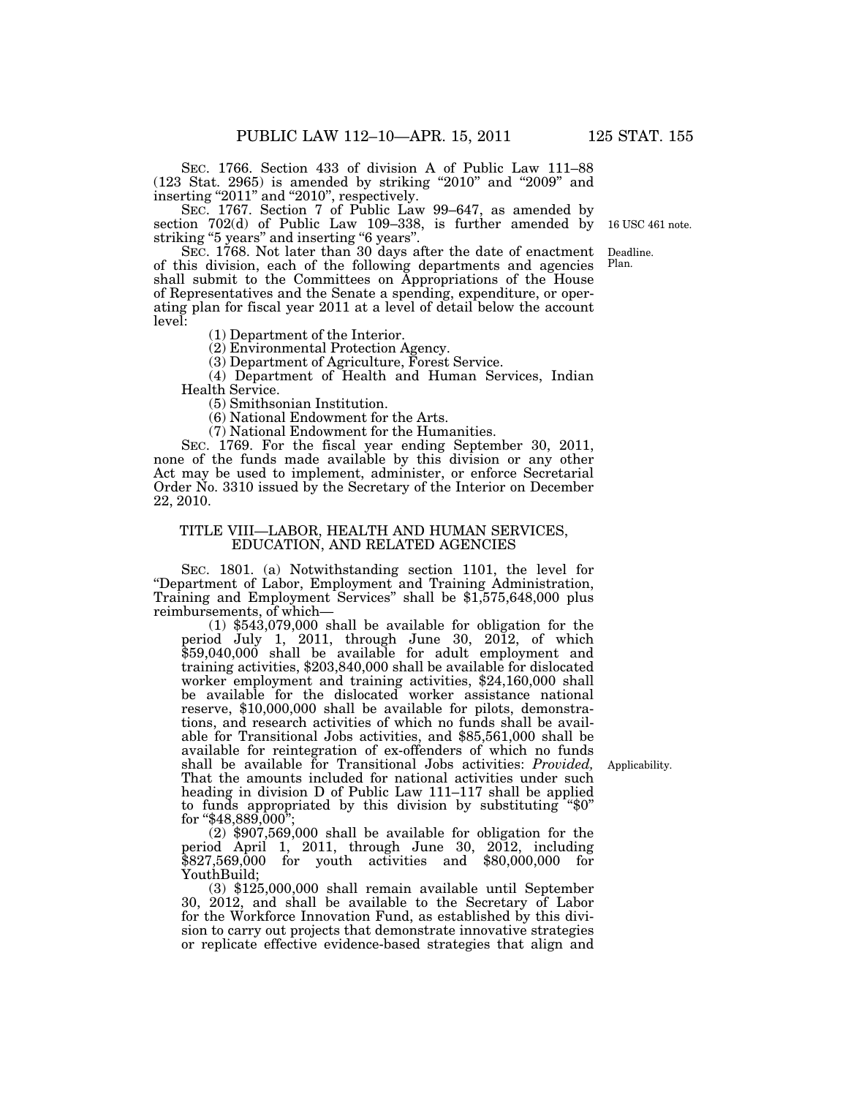SEC. 1766. Section 433 of division A of Public Law 111–88 (123 Stat. 2965) is amended by striking ''2010'' and ''2009'' and inserting "2011" and "2010", respectively.

SEC. 1767. Section 7 of Public Law 99–647, as amended by section  $702(d)$  of Public Law 109-338, is further amended by stead  $\frac{1}{2}$  (a) or 1 as the Eaw 100 000 striking "5 years".

SEC. 1768. Not later than 30 days after the date of enactment of this division, each of the following departments and agencies shall submit to the Committees on Appropriations of the House of Representatives and the Senate a spending, expenditure, or operating plan for fiscal year 2011 at a level of detail below the account level: Deadline. Plan.

(1) Department of the Interior.

(2) Environmental Protection Agency.

(3) Department of Agriculture, Forest Service.

(4) Department of Health and Human Services, Indian Health Service.

(5) Smithsonian Institution.

(6) National Endowment for the Arts.

(7) National Endowment for the Humanities.

SEC. 1769. For the fiscal year ending September 30, 2011, none of the funds made available by this division or any other Act may be used to implement, administer, or enforce Secretarial Order No. 3310 issued by the Secretary of the Interior on December 22, 2010.

#### TITLE VIII—LABOR, HEALTH AND HUMAN SERVICES, EDUCATION, AND RELATED AGENCIES

SEC. 1801. (a) Notwithstanding section 1101, the level for ''Department of Labor, Employment and Training Administration, Training and Employment Services'' shall be \$1,575,648,000 plus reimbursements, of which—

(1) \$543,079,000 shall be available for obligation for the period July 1, 2011, through June 30, 2012, of which \$59,040,000 shall be available for adult employment and training activities, \$203,840,000 shall be available for dislocated worker employment and training activities, \$24,160,000 shall be available for the dislocated worker assistance national reserve, \$10,000,000 shall be available for pilots, demonstrations, and research activities of which no funds shall be available for Transitional Jobs activities, and \$85,561,000 shall be available for reintegration of ex-offenders of which no funds shall be available for Transitional Jobs activities: *Provided,*  That the amounts included for national activities under such heading in division D of Public Law 111–117 shall be applied to funds appropriated by this division by substituting " $$0"$ " for " $$48,889,000$ "

(2) \$907,569,000 shall be available for obligation for the period April 1, 2011, through June 30, 2012, including \$827,569,000 for youth activities and \$80,000,000 for YouthBuild;

(3) \$125,000,000 shall remain available until September 30, 2012, and shall be available to the Secretary of Labor for the Workforce Innovation Fund, as established by this division to carry out projects that demonstrate innovative strategies or replicate effective evidence-based strategies that align and

Applicability.

16 USC 461 note.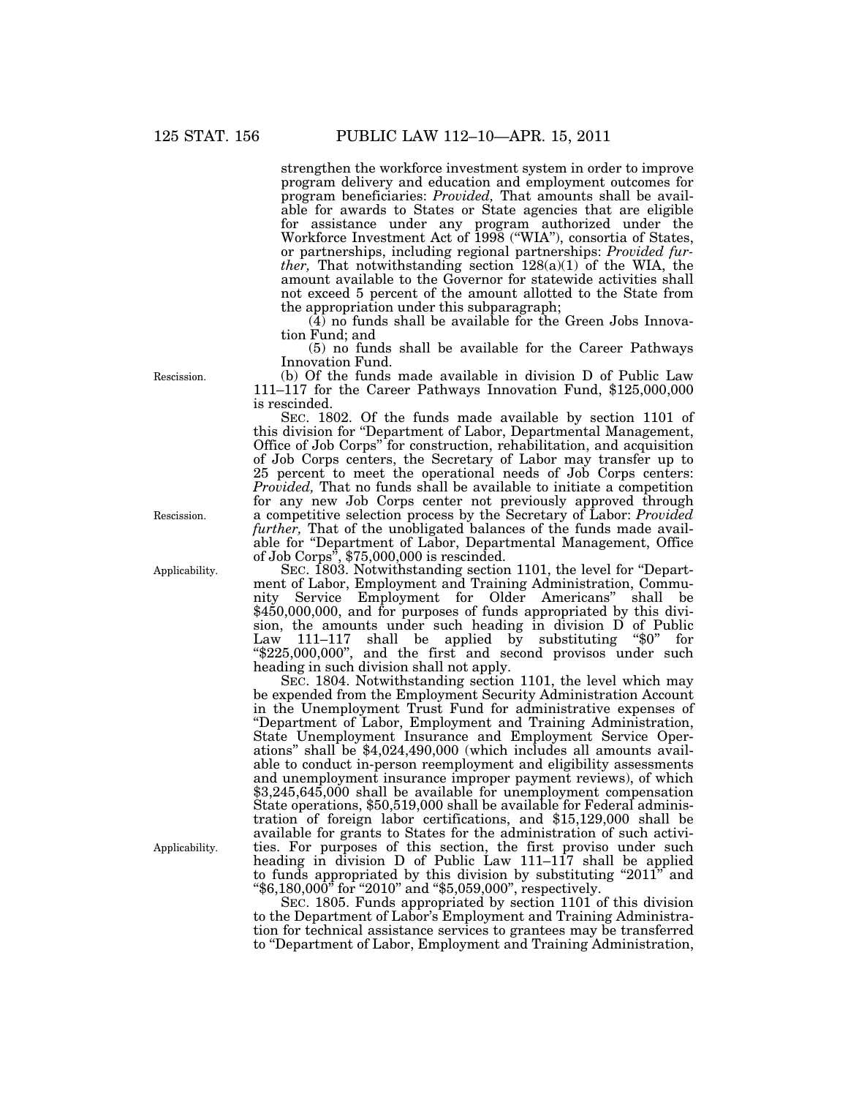strengthen the workforce investment system in order to improve program delivery and education and employment outcomes for program beneficiaries: *Provided,* That amounts shall be available for awards to States or State agencies that are eligible for assistance under any program authorized under the Workforce Investment Act of 1998 (''WIA''), consortia of States, or partnerships, including regional partnerships: *Provided further,* That notwithstanding section 128(a)(1) of the WIA, the amount available to the Governor for statewide activities shall not exceed 5 percent of the amount allotted to the State from the appropriation under this subparagraph;

 $(4)$  no funds shall be available for the Green Jobs Innovation Fund; and

(5) no funds shall be available for the Career Pathways Innovation Fund.

(b) Of the funds made available in division D of Public Law 111–117 for the Career Pathways Innovation Fund, \$125,000,000 is rescinded.

SEC. 1802. Of the funds made available by section 1101 of this division for ''Department of Labor, Departmental Management, Office of Job Corps'' for construction, rehabilitation, and acquisition of Job Corps centers, the Secretary of Labor may transfer up to 25 percent to meet the operational needs of Job Corps centers: *Provided,* That no funds shall be available to initiate a competition for any new Job Corps center not previously approved through a competitive selection process by the Secretary of Labor: *Provided further,* That of the unobligated balances of the funds made available for ''Department of Labor, Departmental Management, Office of Job Corps'', \$75,000,000 is rescinded.

SEC. 1803. Notwithstanding section 1101, the level for ''Department of Labor, Employment and Training Administration, Community Service Employment for Older Americans'' shall be \$450,000,000, and for purposes of funds appropriated by this division, the amounts under such heading in division D of Public Law 111–117 shall be applied by substituting "\$0" for ''\$225,000,000'', and the first and second provisos under such heading in such division shall not apply.

SEC. 1804. Notwithstanding section 1101, the level which may be expended from the Employment Security Administration Account in the Unemployment Trust Fund for administrative expenses of ''Department of Labor, Employment and Training Administration, State Unemployment Insurance and Employment Service Operations'' shall be \$4,024,490,000 (which includes all amounts available to conduct in-person reemployment and eligibility assessments and unemployment insurance improper payment reviews), of which \$3,245,645,000 shall be available for unemployment compensation State operations, \$50,519,000 shall be available for Federal administration of foreign labor certifications, and \$15,129,000 shall be available for grants to States for the administration of such activities. For purposes of this section, the first proviso under such heading in division D of Public Law 111–117 shall be applied to funds appropriated by this division by substituting "2011" and " $$6,180,000"$  for "2010" and " $$5,059,000"$ , respectively.

SEC. 1805. Funds appropriated by section 1101 of this division to the Department of Labor's Employment and Training Administration for technical assistance services to grantees may be transferred to ''Department of Labor, Employment and Training Administration,

Rescission.

Rescission.

Applicability.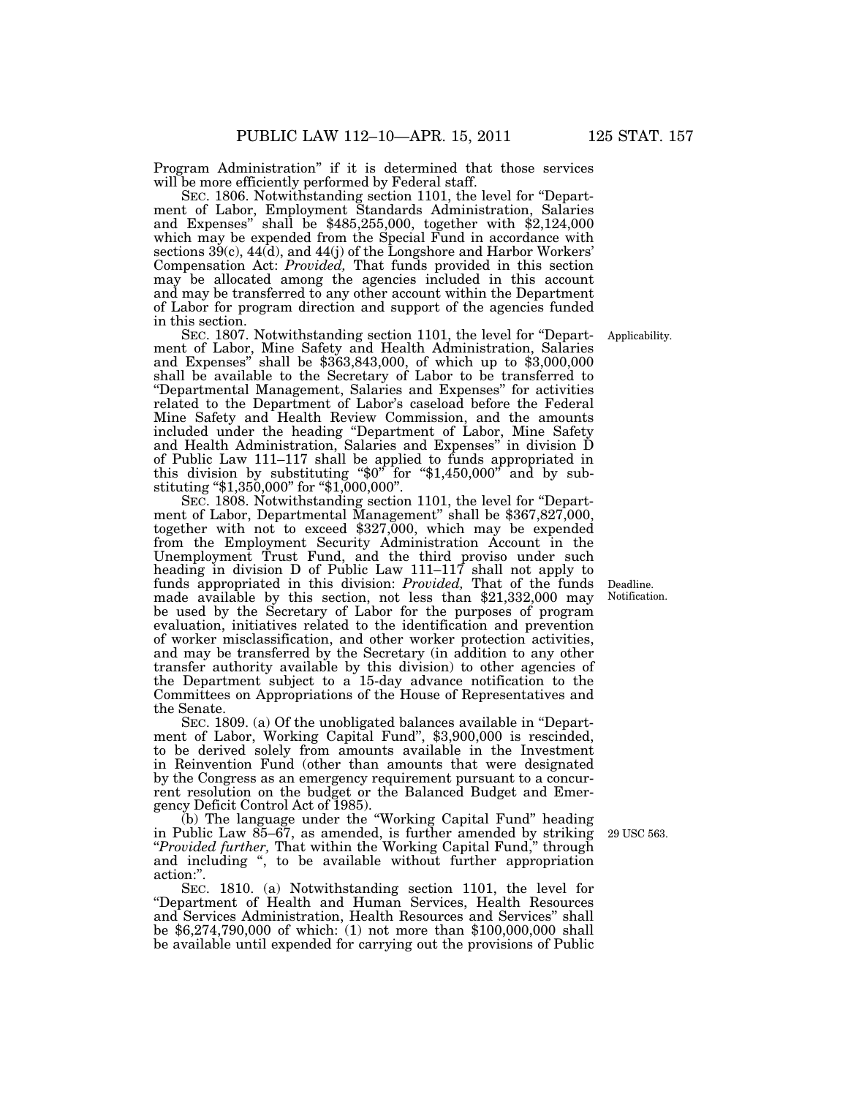Program Administration'' if it is determined that those services will be more efficiently performed by Federal staff.

SEC. 1806. Notwithstanding section 1101, the level for ''Department of Labor, Employment Standards Administration, Salaries and Expenses'' shall be \$485,255,000, together with \$2,124,000 which may be expended from the Special Fund in accordance with sections 39(c), 44(d), and 44(j) of the Longshore and Harbor Workers' Compensation Act: *Provided,* That funds provided in this section may be allocated among the agencies included in this account and may be transferred to any other account within the Department of Labor for program direction and support of the agencies funded in this section.

SEC. 1807. Notwithstanding section 1101, the level for ''Department of Labor, Mine Safety and Health Administration, Salaries and Expenses'' shall be \$363,843,000, of which up to \$3,000,000 shall be available to the Secretary of Labor to be transferred to ''Departmental Management, Salaries and Expenses'' for activities related to the Department of Labor's caseload before the Federal Mine Safety and Health Review Commission, and the amounts included under the heading ''Department of Labor, Mine Safety and Health Administration, Salaries and Expenses'' in division D of Public Law 111–117 shall be applied to funds appropriated in this division by substituting "\$0" for "\$1,450,000" and by substituting "\$1,350,000" for "\$1,000,000".

SEC. 1808. Notwithstanding section 1101, the level for "Department of Labor, Departmental Management'' shall be \$367,827,000, together with not to exceed \$327,000, which may be expended from the Employment Security Administration Account in the Unemployment Trust Fund, and the third proviso under such heading in division D of Public Law 111–117 shall not apply to funds appropriated in this division: *Provided,* That of the funds made available by this section, not less than \$21,332,000 may be used by the Secretary of Labor for the purposes of program evaluation, initiatives related to the identification and prevention of worker misclassification, and other worker protection activities, and may be transferred by the Secretary (in addition to any other transfer authority available by this division) to other agencies of the Department subject to a 15-day advance notification to the Committees on Appropriations of the House of Representatives and the Senate.

SEC. 1809. (a) Of the unobligated balances available in ''Department of Labor, Working Capital Fund'', \$3,900,000 is rescinded, to be derived solely from amounts available in the Investment in Reinvention Fund (other than amounts that were designated by the Congress as an emergency requirement pursuant to a concurrent resolution on the budget or the Balanced Budget and Emergency Deficit Control Act of 1985).

(b) The language under the ''Working Capital Fund'' heading in Public Law 85–67, as amended, is further amended by striking ''*Provided further,* That within the Working Capital Fund,'' through and including '', to be available without further appropriation action:''.

SEC. 1810. (a) Notwithstanding section 1101, the level for ''Department of Health and Human Services, Health Resources and Services Administration, Health Resources and Services'' shall be \$6,274,790,000 of which: (1) not more than \$100,000,000 shall be available until expended for carrying out the provisions of Public

Applicability.

Deadline. Notification.

29 USC 563.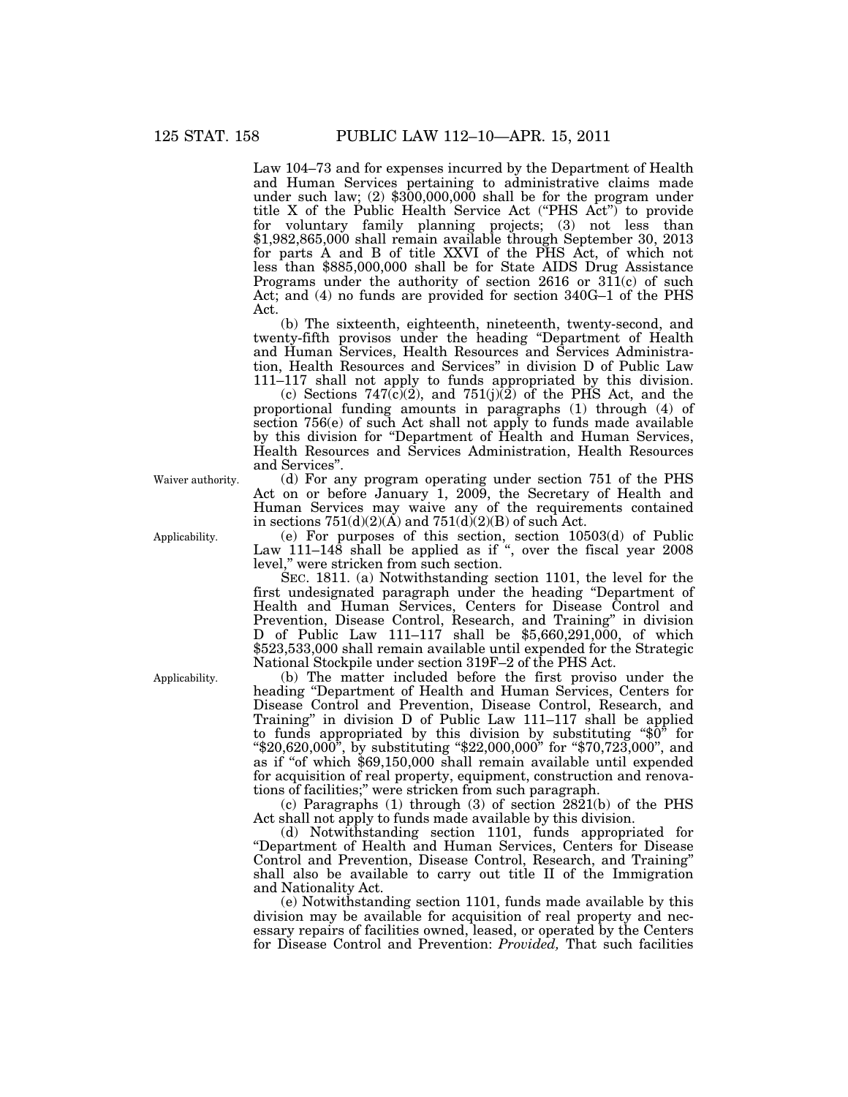Law 104–73 and for expenses incurred by the Department of Health and Human Services pertaining to administrative claims made under such law; (2) \$300,000,000 shall be for the program under title X of the Public Health Service Act (''PHS Act'') to provide for voluntary family planning projects; (3) not less than \$1,982,865,000 shall remain available through September 30, 2013 for parts A and B of title XXVI of the PHS Act, of which not less than \$885,000,000 shall be for State AIDS Drug Assistance Programs under the authority of section 2616 or 311(c) of such Act; and (4) no funds are provided for section 340G–1 of the PHS Act.

(b) The sixteenth, eighteenth, nineteenth, twenty-second, and twenty-fifth provisos under the heading ''Department of Health and Human Services, Health Resources and Services Administration, Health Resources and Services'' in division D of Public Law 111–117 shall not apply to funds appropriated by this division.

(c) Sections  $747(c)(2)$ , and  $751(j)(2)$  of the PHS Act, and the proportional funding amounts in paragraphs (1) through (4) of section 756(e) of such Act shall not apply to funds made available by this division for ''Department of Health and Human Services, Health Resources and Services Administration, Health Resources and Services''.

(d) For any program operating under section 751 of the PHS Act on or before January 1, 2009, the Secretary of Health and Human Services may waive any of the requirements contained in sections  $751(d)(2)(A)$  and  $751(d)(2)(B)$  of such Act.

(e) For purposes of this section, section 10503(d) of Public Law 111–148 shall be applied as if ", over the fiscal year 2008 level,'' were stricken from such section.

SEC. 1811. (a) Notwithstanding section 1101, the level for the first undesignated paragraph under the heading ''Department of Health and Human Services, Centers for Disease Control and Prevention, Disease Control, Research, and Training'' in division D of Public Law 111–117 shall be \$5,660,291,000, of which \$523,533,000 shall remain available until expended for the Strategic National Stockpile under section 319F–2 of the PHS Act.

(b) The matter included before the first proviso under the heading ''Department of Health and Human Services, Centers for Disease Control and Prevention, Disease Control, Research, and Training'' in division D of Public Law 111–117 shall be applied to funds appropriated by this division by substituting ''\$0'' for ''\$20,620,000'', by substituting ''\$22,000,000'' for ''\$70,723,000'', and as if ''of which \$69,150,000 shall remain available until expended for acquisition of real property, equipment, construction and renovations of facilities;'' were stricken from such paragraph.

(c) Paragraphs (1) through (3) of section 2821(b) of the PHS Act shall not apply to funds made available by this division.

(d) Notwithstanding section 1101, funds appropriated for ''Department of Health and Human Services, Centers for Disease Control and Prevention, Disease Control, Research, and Training'' shall also be available to carry out title II of the Immigration and Nationality Act.

(e) Notwithstanding section 1101, funds made available by this division may be available for acquisition of real property and necessary repairs of facilities owned, leased, or operated by the Centers for Disease Control and Prevention: *Provided,* That such facilities

Waiver authority.

Applicability.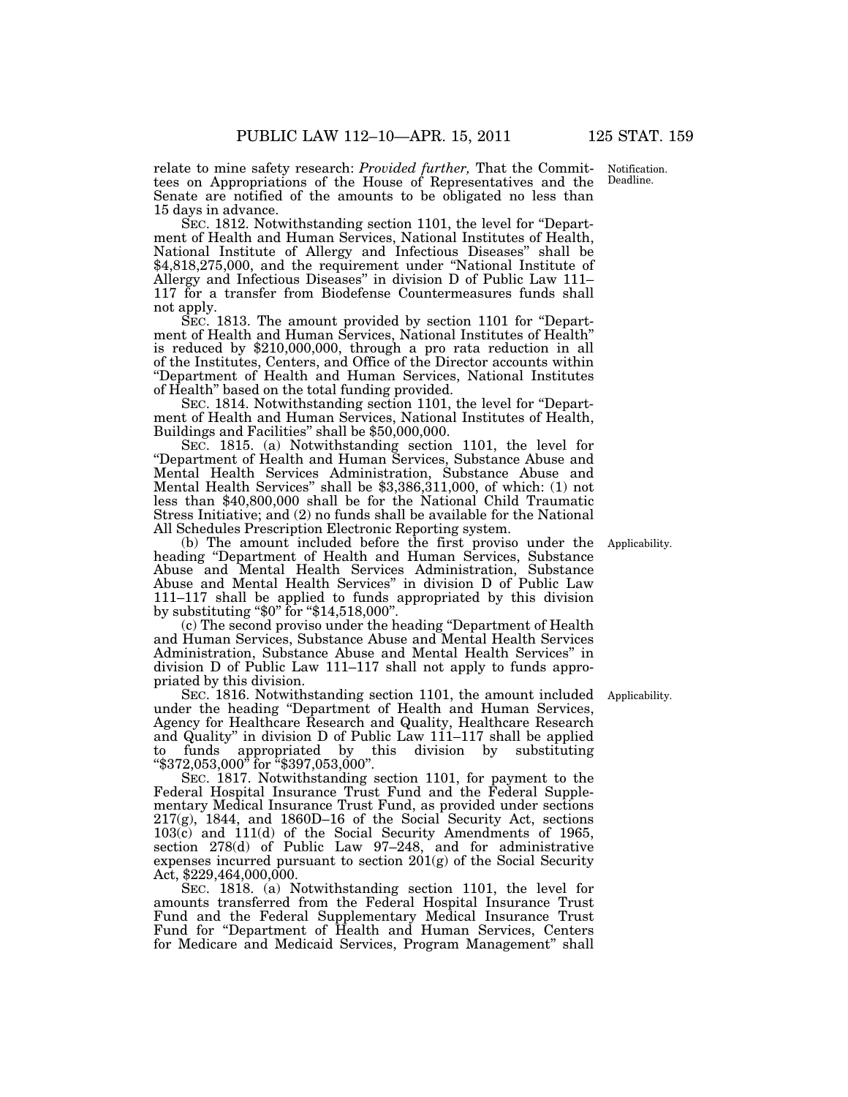relate to mine safety research: *Provided further,* That the Committees on Appropriations of the House of Representatives and the Senate are notified of the amounts to be obligated no less than 15 days in advance.

SEC. 1812. Notwithstanding section 1101, the level for ''Department of Health and Human Services, National Institutes of Health, National Institute of Allergy and Infectious Diseases'' shall be \$4,818,275,000, and the requirement under "National Institute of Allergy and Infectious Diseases'' in division D of Public Law 111– 117 for a transfer from Biodefense Countermeasures funds shall not apply.

SEC. 1813. The amount provided by section 1101 for "Department of Health and Human Services, National Institutes of Health'' is reduced by \$210,000,000, through a pro rata reduction in all of the Institutes, Centers, and Office of the Director accounts within ''Department of Health and Human Services, National Institutes of Health'' based on the total funding provided.

SEC. 1814. Notwithstanding section 1101, the level for "Department of Health and Human Services, National Institutes of Health, Buildings and Facilities'' shall be \$50,000,000.

SEC. 1815. (a) Notwithstanding section 1101, the level for ''Department of Health and Human Services, Substance Abuse and Mental Health Services Administration, Substance Abuse and Mental Health Services'' shall be \$3,386,311,000, of which: (1) not less than \$40,800,000 shall be for the National Child Traumatic Stress Initiative; and (2) no funds shall be available for the National All Schedules Prescription Electronic Reporting system.

(b) The amount included before the first proviso under the heading ''Department of Health and Human Services, Substance Abuse and Mental Health Services Administration, Substance Abuse and Mental Health Services'' in division D of Public Law 111–117 shall be applied to funds appropriated by this division by substituting "\$0" for "\$14,518,000".

(c) The second proviso under the heading ''Department of Health and Human Services, Substance Abuse and Mental Health Services Administration, Substance Abuse and Mental Health Services'' in division D of Public Law 111–117 shall not apply to funds appropriated by this division.

SEC. 1816. Notwithstanding section 1101, the amount included Applicability. under the heading ''Department of Health and Human Services, Agency for Healthcare Research and Quality, Healthcare Research and Quality'' in division D of Public Law 111–117 shall be applied to funds appropriated by this division by substituting ''\$372,053,000'' for ''\$397,053,000''.

SEC. 1817. Notwithstanding section 1101, for payment to the Federal Hospital Insurance Trust Fund and the Federal Supplementary Medical Insurance Trust Fund, as provided under sections 217(g), 1844, and 1860D–16 of the Social Security Act, sections 103(c) and 111(d) of the Social Security Amendments of 1965, section 278(d) of Public Law 97–248, and for administrative expenses incurred pursuant to section 201(g) of the Social Security Act, \$229,464,000,000.

SEC. 1818. (a) Notwithstanding section 1101, the level for amounts transferred from the Federal Hospital Insurance Trust Fund and the Federal Supplementary Medical Insurance Trust Fund for ''Department of Health and Human Services, Centers for Medicare and Medicaid Services, Program Management'' shall

Applicability.

Notification. Deadline.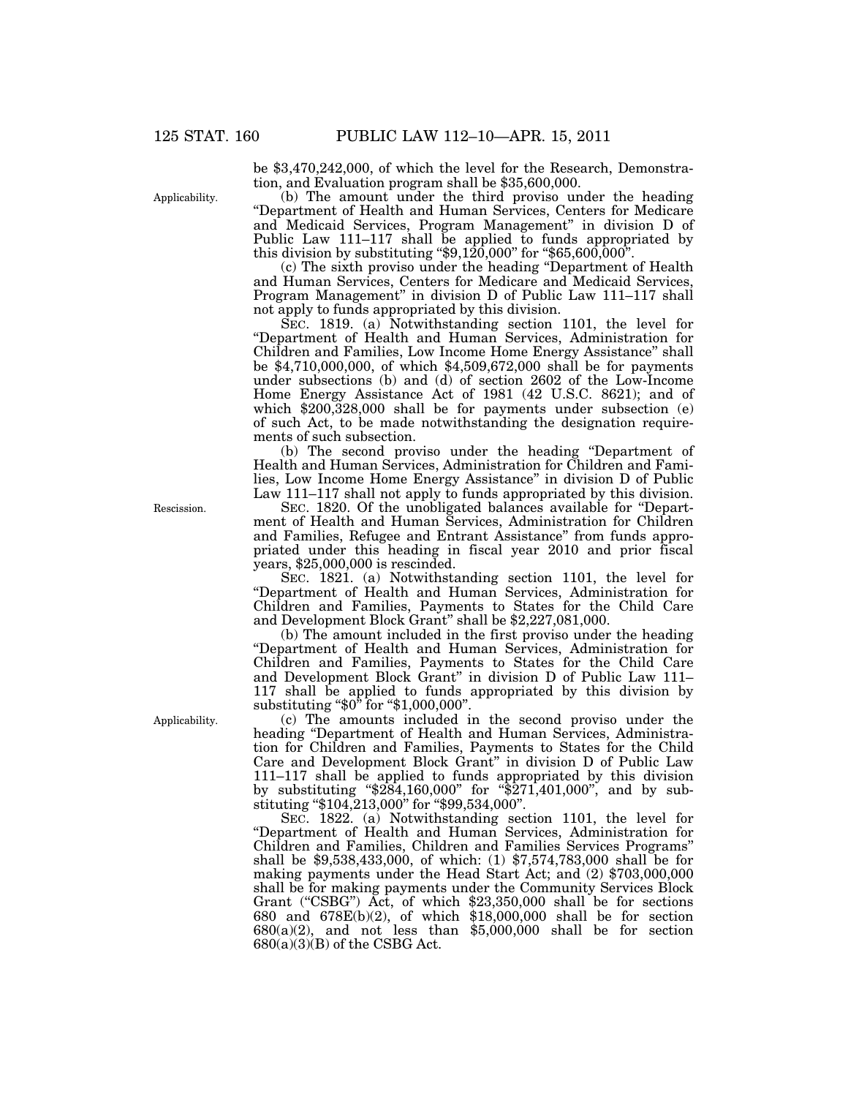be \$3,470,242,000, of which the level for the Research, Demonstration, and Evaluation program shall be \$35,600,000.

(b) The amount under the third proviso under the heading ''Department of Health and Human Services, Centers for Medicare and Medicaid Services, Program Management'' in division D of Public Law 111–117 shall be applied to funds appropriated by this division by substituting ''\$9,120,000'' for ''\$65,600,000''.

(c) The sixth proviso under the heading ''Department of Health and Human Services, Centers for Medicare and Medicaid Services, Program Management'' in division D of Public Law 111–117 shall not apply to funds appropriated by this division.

SEC. 1819. (a) Notwithstanding section 1101, the level for ''Department of Health and Human Services, Administration for Children and Families, Low Income Home Energy Assistance'' shall be \$4,710,000,000, of which \$4,509,672,000 shall be for payments under subsections (b) and (d) of section 2602 of the Low-Income Home Energy Assistance Act of 1981 (42 U.S.C. 8621); and of which \$200,328,000 shall be for payments under subsection (e) of such Act, to be made notwithstanding the designation requirements of such subsection.

(b) The second proviso under the heading ''Department of Health and Human Services, Administration for Children and Families, Low Income Home Energy Assistance'' in division D of Public Law 111–117 shall not apply to funds appropriated by this division.

SEC. 1820. Of the unobligated balances available for ''Department of Health and Human Services, Administration for Children and Families, Refugee and Entrant Assistance'' from funds appropriated under this heading in fiscal year 2010 and prior fiscal years, \$25,000,000 is rescinded.

SEC. 1821. (a) Notwithstanding section 1101, the level for ''Department of Health and Human Services, Administration for Children and Families, Payments to States for the Child Care and Development Block Grant'' shall be \$2,227,081,000.

(b) The amount included in the first proviso under the heading ''Department of Health and Human Services, Administration for Children and Families, Payments to States for the Child Care and Development Block Grant'' in division D of Public Law 111– 117 shall be applied to funds appropriated by this division by substituting ''\$0'' for ''\$1,000,000''.

(c) The amounts included in the second proviso under the heading "Department of Health and Human Services, Administration for Children and Families, Payments to States for the Child Care and Development Block Grant'' in division D of Public Law 111–117 shall be applied to funds appropriated by this division by substituting ''\$284,160,000'' for ''\$271,401,000'', and by substituting ''\$104,213,000'' for ''\$99,534,000''.

SEC. 1822. (a) Notwithstanding section 1101, the level for ''Department of Health and Human Services, Administration for Children and Families, Children and Families Services Programs'' shall be \$9,538,433,000, of which: (1) \$7,574,783,000 shall be for making payments under the Head Start Act; and (2) \$703,000,000 shall be for making payments under the Community Services Block Grant ("CSBG") Act, of which \$23,350,000 shall be for sections 680 and 678E(b)(2), of which \$18,000,000 shall be for section  $680(a)(2)$ , and not less than  $$5,000,000$  shall be for section  $680(a)(3)(B)$  of the CSBG Act.

Applicability.

Rescission.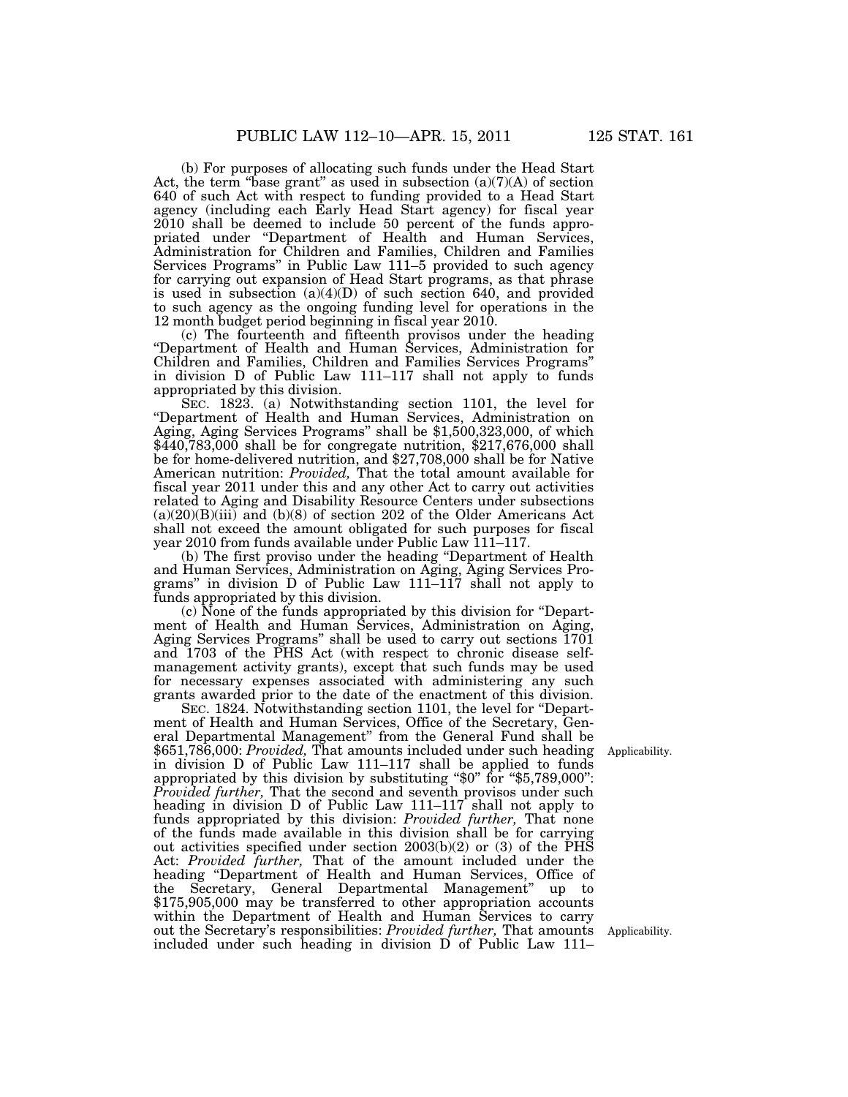(b) For purposes of allocating such funds under the Head Start Act, the term "base grant" as used in subsection  $(a)(7)(A)$  of section 640 of such Act with respect to funding provided to a Head Start agency (including each Early Head Start agency) for fiscal year 2010 shall be deemed to include 50 percent of the funds appropriated under ''Department of Health and Human Services, Administration for Children and Families, Children and Families Services Programs'' in Public Law 111–5 provided to such agency for carrying out expansion of Head Start programs, as that phrase is used in subsection (a)(4)(D) of such section 640, and provided to such agency as the ongoing funding level for operations in the 12 month budget period beginning in fiscal year 2010.

(c) The fourteenth and fifteenth provisos under the heading ''Department of Health and Human Services, Administration for Children and Families, Children and Families Services Programs'' in division D of Public Law 111–117 shall not apply to funds appropriated by this division.

SEC. 1823. (a) Notwithstanding section 1101, the level for ''Department of Health and Human Services, Administration on Aging, Aging Services Programs'' shall be \$1,500,323,000, of which \$440,783,000 shall be for congregate nutrition, \$217,676,000 shall be for home-delivered nutrition, and \$27,708,000 shall be for Native American nutrition: *Provided,* That the total amount available for fiscal year 2011 under this and any other Act to carry out activities related to Aging and Disability Resource Centers under subsections  $(a)(20)(B)(iii)$  and  $(b)(8)$  of section 202 of the Older Americans Act shall not exceed the amount obligated for such purposes for fiscal year 2010 from funds available under Public Law 111–117.

(b) The first proviso under the heading ''Department of Health and Human Services, Administration on Aging, Aging Services Programs'' in division D of Public Law 111–117 shall not apply to funds appropriated by this division.

(c) None of the funds appropriated by this division for ''Department of Health and Human Services, Administration on Aging, Aging Services Programs'' shall be used to carry out sections 1701 and 1703 of the PHS Act (with respect to chronic disease selfmanagement activity grants), except that such funds may be used for necessary expenses associated with administering any such grants awarded prior to the date of the enactment of this division.

SEC. 1824. Notwithstanding section 1101, the level for ''Department of Health and Human Services, Office of the Secretary, General Departmental Management'' from the General Fund shall be \$651,786,000: *Provided,* That amounts included under such heading in division D of Public Law 111–117 shall be applied to funds appropriated by this division by substituting "\$0" for "\$5,789,000": *Provided further,* That the second and seventh provisos under such heading in division D of Public Law 111–117 shall not apply to funds appropriated by this division: *Provided further,* That none of the funds made available in this division shall be for carrying out activities specified under section 2003(b)(2) or (3) of the PHS Act: *Provided further,* That of the amount included under the heading ''Department of Health and Human Services, Office of the Secretary, General Departmental Management'' up to \$175,905,000 may be transferred to other appropriation accounts within the Department of Health and Human Services to carry out the Secretary's responsibilities: *Provided further,* That amounts included under such heading in division D of Public Law 111–

Applicability.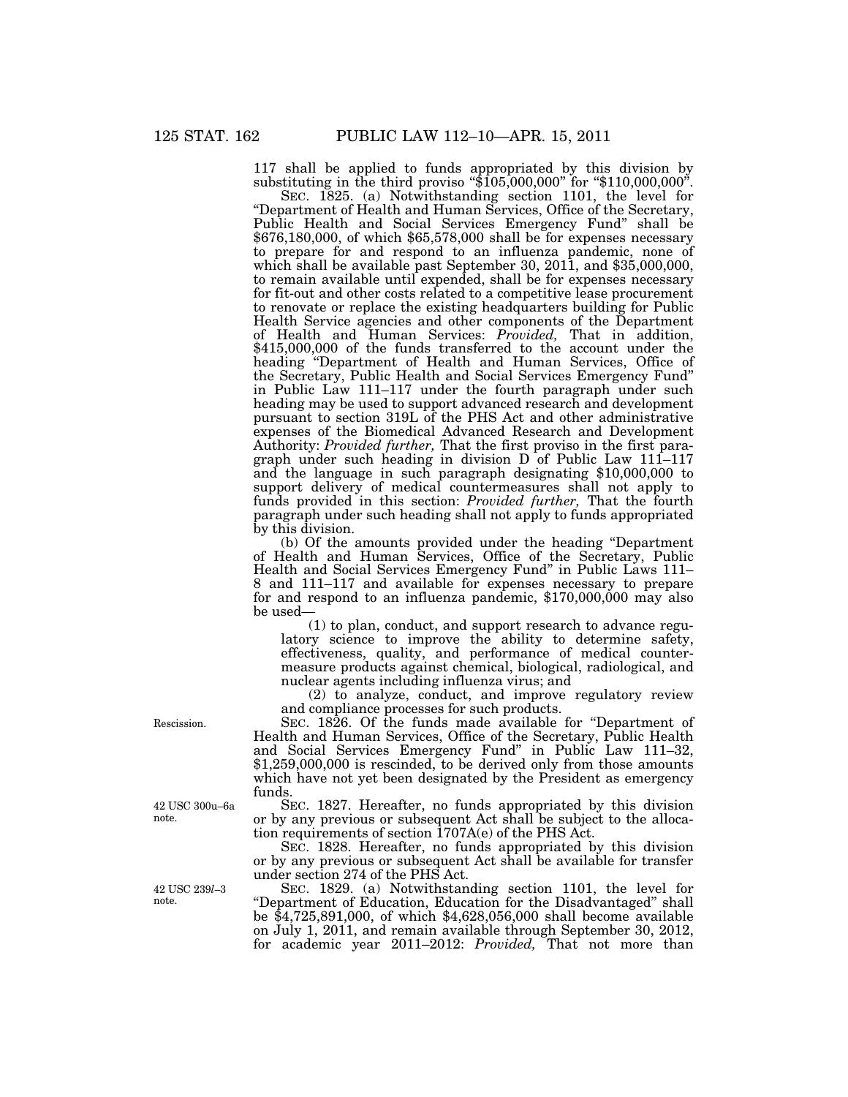117 shall be applied to funds appropriated by this division by substituting in the third proviso "\$105,000,000" for "\$110,000,000".

SEC. 1825. (a) Notwithstanding section 1101, the level for ''Department of Health and Human Services, Office of the Secretary, Public Health and Social Services Emergency Fund'' shall be \$676,180,000, of which \$65,578,000 shall be for expenses necessary to prepare for and respond to an influenza pandemic, none of which shall be available past September 30, 2011, and \$35,000,000, to remain available until expended, shall be for expenses necessary for fit-out and other costs related to a competitive lease procurement to renovate or replace the existing headquarters building for Public Health Service agencies and other components of the Department of Health and Human Services: *Provided,* That in addition, \$415,000,000 of the funds transferred to the account under the heading ''Department of Health and Human Services, Office of the Secretary, Public Health and Social Services Emergency Fund'' in Public Law 111–117 under the fourth paragraph under such heading may be used to support advanced research and development pursuant to section 319L of the PHS Act and other administrative expenses of the Biomedical Advanced Research and Development Authority: *Provided further,* That the first proviso in the first paragraph under such heading in division D of Public Law 111–117 and the language in such paragraph designating \$10,000,000 to support delivery of medical countermeasures shall not apply to funds provided in this section: *Provided further,* That the fourth paragraph under such heading shall not apply to funds appropriated by this division.

(b) Of the amounts provided under the heading ''Department of Health and Human Services, Office of the Secretary, Public Health and Social Services Emergency Fund'' in Public Laws 111– 8 and 111–117 and available for expenses necessary to prepare for and respond to an influenza pandemic,  $$170,000,000$  may also be used—

(1) to plan, conduct, and support research to advance regulatory science to improve the ability to determine safety, effectiveness, quality, and performance of medical countermeasure products against chemical, biological, radiological, and nuclear agents including influenza virus; and

(2) to analyze, conduct, and improve regulatory review and compliance processes for such products.

SEC. 1826. Of the funds made available for "Department of Health and Human Services, Office of the Secretary, Public Health and Social Services Emergency Fund'' in Public Law 111–32,  $$1,259,000,000$  is rescinded, to be derived only from those amounts which have not yet been designated by the President as emergency funds.

SEC. 1827. Hereafter, no funds appropriated by this division or by any previous or subsequent Act shall be subject to the allocation requirements of section 1707A(e) of the PHS Act.

SEC. 1828. Hereafter, no funds appropriated by this division or by any previous or subsequent Act shall be available for transfer under section 274 of the PHS Act.

SEC. 1829. (a) Notwithstanding section 1101, the level for ''Department of Education, Education for the Disadvantaged'' shall be \$4,725,891,000, of which \$4,628,056,000 shall become available on July 1, 2011, and remain available through September 30, 2012, for academic year 2011–2012: *Provided,* That not more than

Rescission.

42 USC 300u–6a note.

42 USC 239*l*–3 note.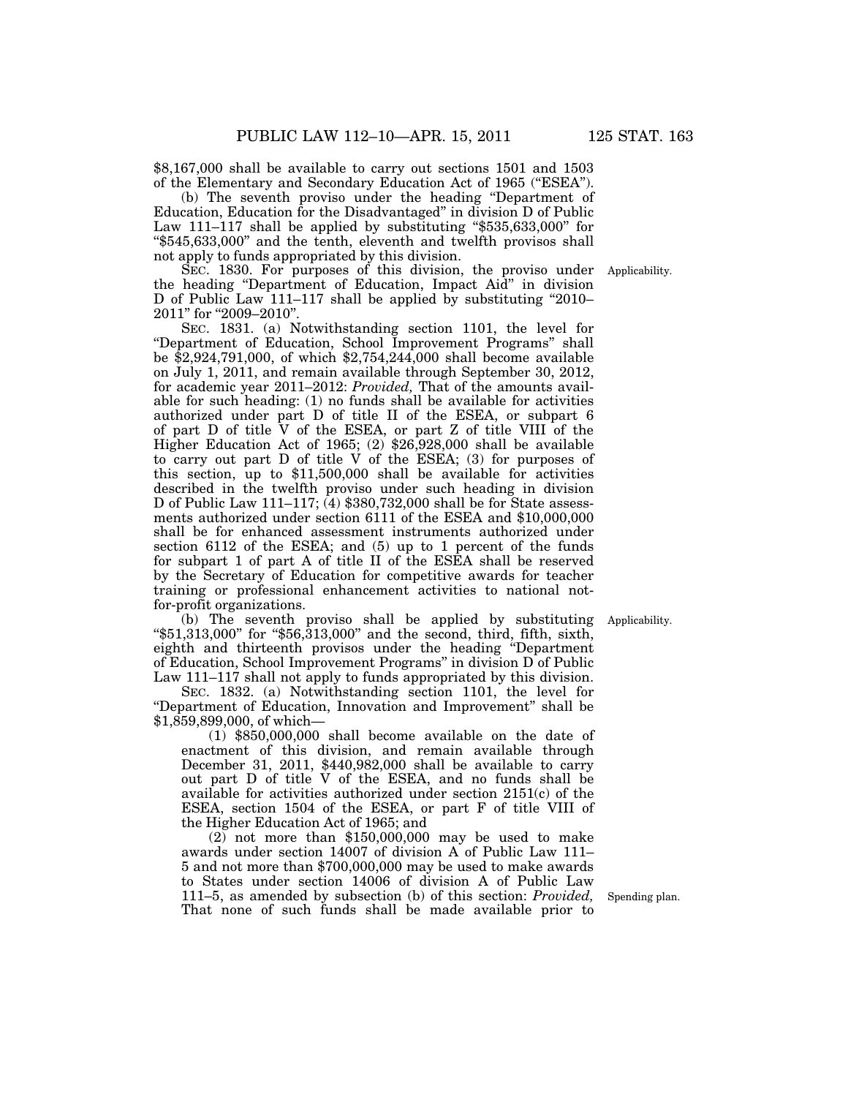\$8,167,000 shall be available to carry out sections 1501 and 1503 of the Elementary and Secondary Education Act of 1965 ("ESEA").

(b) The seventh proviso under the heading ''Department of Education, Education for the Disadvantaged'' in division D of Public Law 111–117 shall be applied by substituting "\$535,633,000" for ''\$545,633,000'' and the tenth, eleventh and twelfth provisos shall not apply to funds appropriated by this division.

SEC. 1830. For purposes of this division, the proviso under the heading ''Department of Education, Impact Aid'' in division D of Public Law 111–117 shall be applied by substituting ''2010– 2011" for "2009-2010".

SEC. 1831. (a) Notwithstanding section 1101, the level for ''Department of Education, School Improvement Programs'' shall be \$2,924,791,000, of which \$2,754,244,000 shall become available on July 1, 2011, and remain available through September 30, 2012, for academic year 2011–2012: *Provided,* That of the amounts available for such heading: (1) no funds shall be available for activities authorized under part D of title II of the ESEA, or subpart 6 of part D of title V of the ESEA, or part Z of title VIII of the Higher Education Act of 1965; (2) \$26,928,000 shall be available to carry out part D of title V of the ESEA; (3) for purposes of this section, up to \$11,500,000 shall be available for activities described in the twelfth proviso under such heading in division D of Public Law 111–117;  $(4)$  \$380,732,000 shall be for State assessments authorized under section 6111 of the ESEA and \$10,000,000 shall be for enhanced assessment instruments authorized under section 6112 of the ESEA; and (5) up to 1 percent of the funds for subpart 1 of part A of title II of the ESEA shall be reserved by the Secretary of Education for competitive awards for teacher training or professional enhancement activities to national notfor-profit organizations.

(b) The seventh proviso shall be applied by substituting ''\$51,313,000'' for ''\$56,313,000'' and the second, third, fifth, sixth, eighth and thirteenth provisos under the heading ''Department of Education, School Improvement Programs'' in division D of Public Law 111–117 shall not apply to funds appropriated by this division.

SEC. 1832. (a) Notwithstanding section 1101, the level for ''Department of Education, Innovation and Improvement'' shall be \$1,859,899,000, of which—

(1) \$850,000,000 shall become available on the date of enactment of this division, and remain available through December 31, 2011, \$440,982,000 shall be available to carry out part D of title V of the ESEA, and no funds shall be available for activities authorized under section 2151(c) of the ESEA, section 1504 of the ESEA, or part F of title VIII of the Higher Education Act of 1965; and

(2) not more than \$150,000,000 may be used to make awards under section 14007 of division A of Public Law 111– 5 and not more than \$700,000,000 may be used to make awards to States under section 14006 of division A of Public Law 111–5, as amended by subsection (b) of this section: *Provided,*  That none of such funds shall be made available prior to

Spending plan.

Applicability.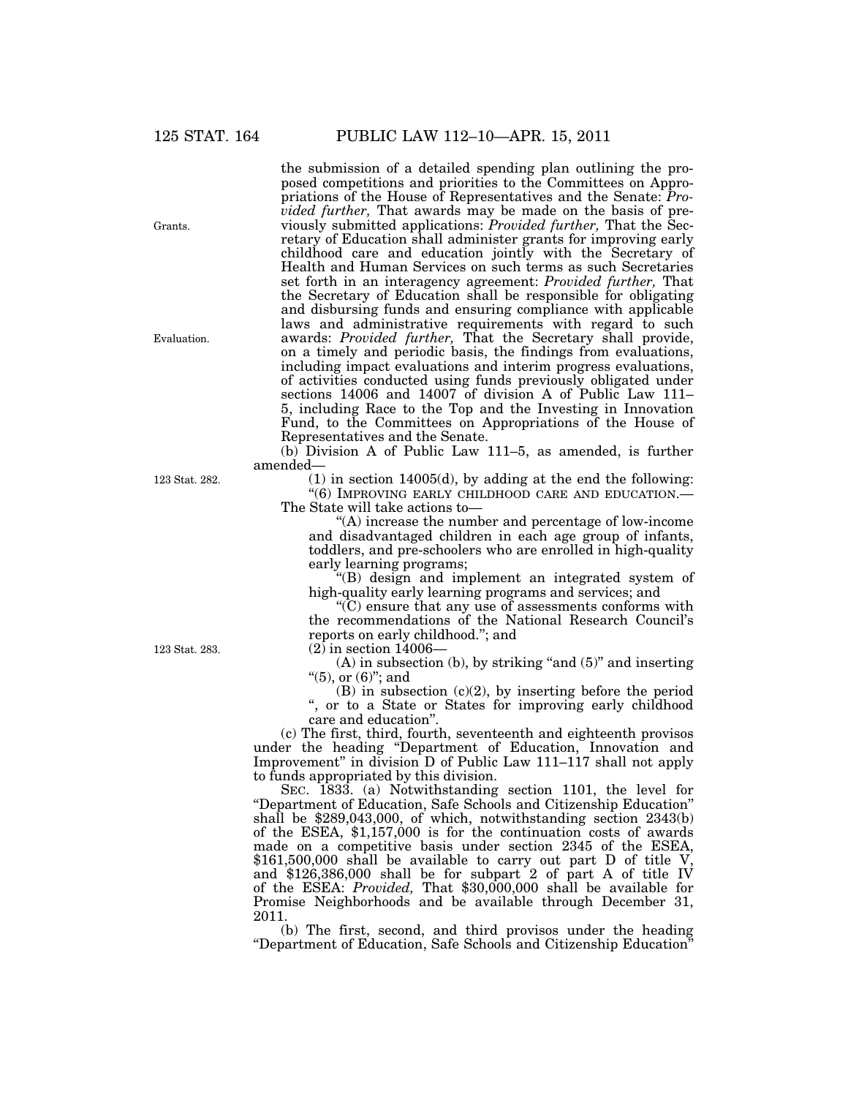the submission of a detailed spending plan outlining the proposed competitions and priorities to the Committees on Appropriations of the House of Representatives and the Senate: *Provided further,* That awards may be made on the basis of previously submitted applications: *Provided further,* That the Secretary of Education shall administer grants for improving early childhood care and education jointly with the Secretary of Health and Human Services on such terms as such Secretaries set forth in an interagency agreement: *Provided further,* That the Secretary of Education shall be responsible for obligating and disbursing funds and ensuring compliance with applicable laws and administrative requirements with regard to such awards: *Provided further,* That the Secretary shall provide, on a timely and periodic basis, the findings from evaluations, including impact evaluations and interim progress evaluations, of activities conducted using funds previously obligated under sections 14006 and 14007 of division A of Public Law 111– 5, including Race to the Top and the Investing in Innovation Fund, to the Committees on Appropriations of the House of Representatives and the Senate.

(b) Division A of Public Law 111–5, as amended, is further amended—

(1) in section 14005(d), by adding at the end the following: ''(6) IMPROVING EARLY CHILDHOOD CARE AND EDUCATION.— The State will take actions to—

''(A) increase the number and percentage of low-income and disadvantaged children in each age group of infants, toddlers, and pre-schoolers who are enrolled in high-quality early learning programs;

''(B) design and implement an integrated system of high-quality early learning programs and services; and

''(C) ensure that any use of assessments conforms with the recommendations of the National Research Council's reports on early childhood.''; and

 $(2)$  in section 14006–

 $(A)$  in subsection  $(b)$ , by striking "and  $(5)$ " and inserting " $(5)$ , or  $(6)$ "; and

 $(B)$  in subsection  $(c)(2)$ , by inserting before the period '', or to a State or States for improving early childhood care and education''.

(c) The first, third, fourth, seventeenth and eighteenth provisos under the heading ''Department of Education, Innovation and Improvement'' in division D of Public Law 111–117 shall not apply to funds appropriated by this division.

SEC. 1833. (a) Notwithstanding section 1101, the level for ''Department of Education, Safe Schools and Citizenship Education'' shall be \$289,043,000, of which, notwithstanding section 2343(b) of the ESEA, \$1,157,000 is for the continuation costs of awards made on a competitive basis under section 2345 of the ESEA, \$161,500,000 shall be available to carry out part D of title V, and \$126,386,000 shall be for subpart 2 of part A of title IV of the ESEA: *Provided,* That \$30,000,000 shall be available for Promise Neighborhoods and be available through December 31, 2011.

(b) The first, second, and third provisos under the heading ''Department of Education, Safe Schools and Citizenship Education''

123 Stat. 283.

Grants.

Evaluation.

123 Stat. 282.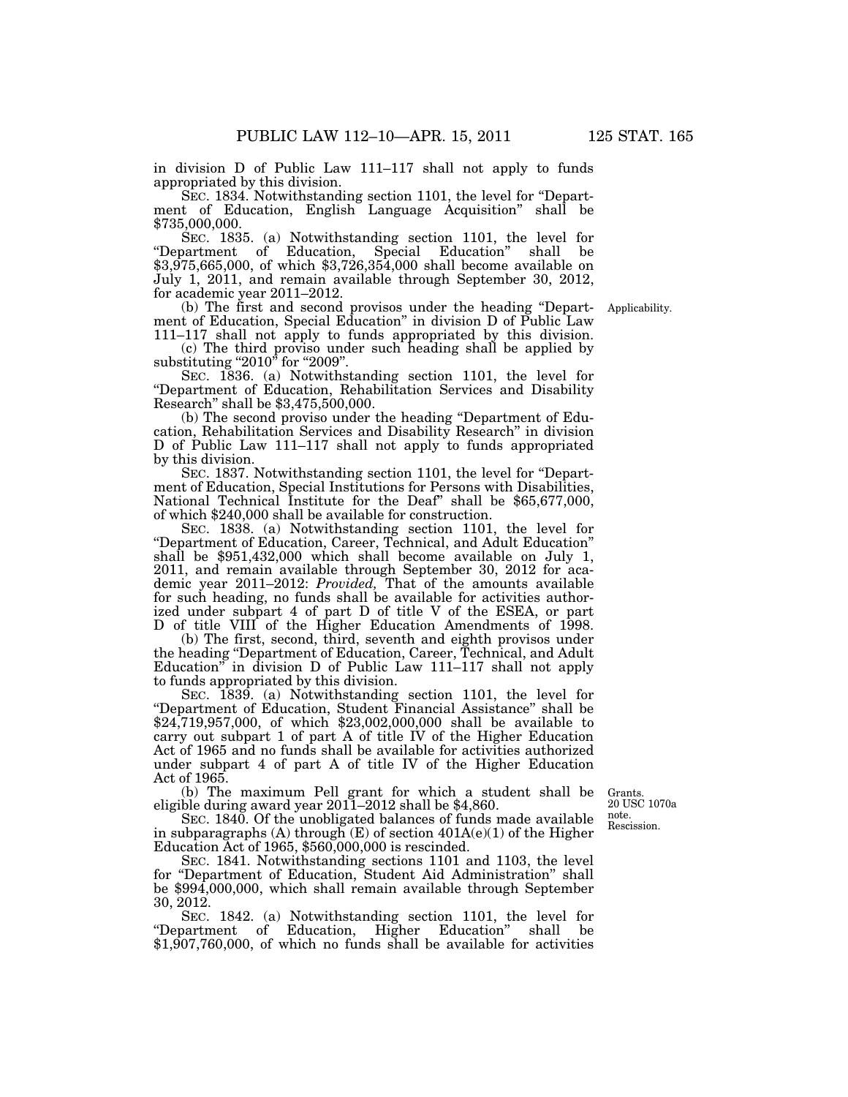in division D of Public Law 111–117 shall not apply to funds appropriated by this division.

SEC. 1834. Notwithstanding section 1101, the level for "Department of Education, English Language Acquisition" shall be \$735,000,000.

SEC. 1835. (a) Notwithstanding section 1101, the level for "Department of Education, Special Education" shall be \$3,975,665,000, of which \$3,726,354,000 shall become available on July 1, 2011, and remain available through September 30, 2012, for academic year 2011–2012.

(b) The first and second provisos under the heading ''Department of Education, Special Education'' in division D of Public Law 111–117 shall not apply to funds appropriated by this division.

(c) The third proviso under such heading shall be applied by substituting " $2010$ " for " $2009$ ".

SEC. 1836. (a) Notwithstanding section 1101, the level for ''Department of Education, Rehabilitation Services and Disability Research'' shall be \$3,475,500,000.

(b) The second proviso under the heading ''Department of Education, Rehabilitation Services and Disability Research'' in division D of Public Law 111–117 shall not apply to funds appropriated by this division.

SEC. 1837. Notwithstanding section 1101, the level for ''Department of Education, Special Institutions for Persons with Disabilities, National Technical Institute for the Deaf'' shall be \$65,677,000, of which \$240,000 shall be available for construction.

SEC. 1838. (a) Notwithstanding section 1101, the level for ''Department of Education, Career, Technical, and Adult Education'' shall be \$951,432,000 which shall become available on July 1, 2011, and remain available through September 30, 2012 for academic year 2011–2012: *Provided,* That of the amounts available for such heading, no funds shall be available for activities authorized under subpart 4 of part D of title V of the ESEA, or part D of title VIII of the Higher Education Amendments of 1998.

(b) The first, second, third, seventh and eighth provisos under the heading ''Department of Education, Career, Technical, and Adult Education'' in division D of Public Law 111–117 shall not apply to funds appropriated by this division.

SEC. 1839. (a) Notwithstanding section 1101, the level for ''Department of Education, Student Financial Assistance'' shall be \$24,719,957,000, of which \$23,002,000,000 shall be available to carry out subpart 1 of part A of title IV of the Higher Education Act of 1965 and no funds shall be available for activities authorized under subpart 4 of part A of title IV of the Higher Education Act of 1965.

(b) The maximum Pell grant for which a student shall be eligible during award year 2011–2012 shall be \$4,860.

Rescission. Grants. 20 USC 1070a note.

SEC. 1840. Of the unobligated balances of funds made available in subparagraphs (A) through  $(E)$  of section  $401A(e)(1)$  of the Higher Education Act of 1965, \$560,000,000 is rescinded.

SEC. 1841. Notwithstanding sections 1101 and 1103, the level for "Department of Education, Student Aid Administration" shall be \$994,000,000, which shall remain available through September 30, 2012.

SEC. 1842. (a) Notwithstanding section 1101, the level for ''Department of Education, Higher Education'' shall be \$1,907,760,000, of which no funds shall be available for activities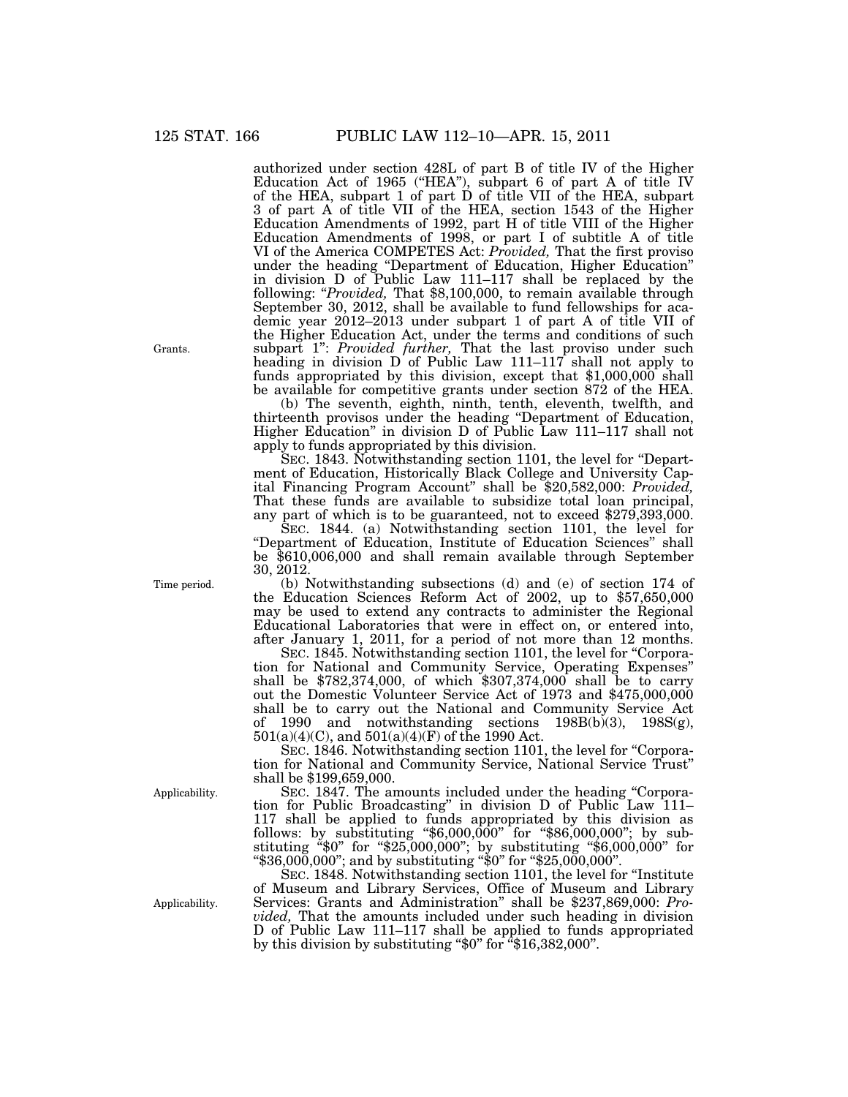authorized under section 428L of part B of title IV of the Higher Education Act of 1965 ("HEA"), subpart 6 of part A of title IV of the HEA, subpart 1 of part D of title VII of the HEA, subpart 3 of part A of title VII of the HEA, section 1543 of the Higher Education Amendments of 1992, part H of title VIII of the Higher Education Amendments of 1998, or part I of subtitle A of title VI of the America COMPETES Act: *Provided,* That the first proviso under the heading ''Department of Education, Higher Education'' in division D of Public Law 111–117 shall be replaced by the following: ''*Provided,* That \$8,100,000, to remain available through September 30, 2012, shall be available to fund fellowships for academic year 2012–2013 under subpart 1 of part A of title VII of the Higher Education Act, under the terms and conditions of such subpart 1'': *Provided further,* That the last proviso under such heading in division  $D'$  of Public Law 111–117 shall not apply to funds appropriated by this division, except that \$1,000,000 shall be available for competitive grants under section 872 of the HEA.

(b) The seventh, eighth, ninth, tenth, eleventh, twelfth, and thirteenth provisos under the heading ''Department of Education, Higher Education'' in division D of Public Law 111–117 shall not apply to funds appropriated by this division.

SEC. 1843. Notwithstanding section 1101, the level for "Department of Education, Historically Black College and University Capital Financing Program Account'' shall be \$20,582,000: *Provided,*  That these funds are available to subsidize total loan principal, any part of which is to be guaranteed, not to exceed \$279,393,000.

 $\rm{S}_{EC.}$  1844. (a) Notwithstanding section 1101, the level for ''Department of Education, Institute of Education Sciences'' shall be \$610,006,000 and shall remain available through September 30, 2012.

(b) Notwithstanding subsections (d) and (e) of section 174 of the Education Sciences Reform Act of 2002, up to \$57,650,000 may be used to extend any contracts to administer the Regional Educational Laboratories that were in effect on, or entered into, after January 1, 2011, for a period of not more than 12 months.

SEC. 1845. Notwithstanding section 1101, the level for "Corporation for National and Community Service, Operating Expenses'' shall be \$782,374,000, of which \$307,374,000 shall be to carry out the Domestic Volunteer Service Act of 1973 and \$475,000,000 shall be to carry out the National and Community Service Act of 1990 and notwithstanding sections 198B(b)(3), 198S(g), 501(a)(4)(C), and 501(a)(4)(F) of the 1990 Act.

SEC. 1846. Notwithstanding section 1101, the level for "Corporation for National and Community Service, National Service Trust'' shall be \$199,659,000.

SEC. 1847. The amounts included under the heading "Corporation for Public Broadcasting'' in division D of Public Law 111– 117 shall be applied to funds appropriated by this division as follows: by substituting ''\$6,000,000'' for ''\$86,000,000''; by substituting ''\$0'' for ''\$25,000,000''; by substituting ''\$6,000,000'' for ''\$36,000,000''; and by substituting ''\$0'' for ''\$25,000,000''.

SEC. 1848. Notwithstanding section 1101, the level for "Institute" of Museum and Library Services, Office of Museum and Library Services: Grants and Administration'' shall be \$237,869,000: *Provided,* That the amounts included under such heading in division D of Public Law 111–117 shall be applied to funds appropriated by this division by substituting " $$0"$  for  $4\frac{16}{382,000"$ .

Time period.

Applicability.

Applicability.

Grants.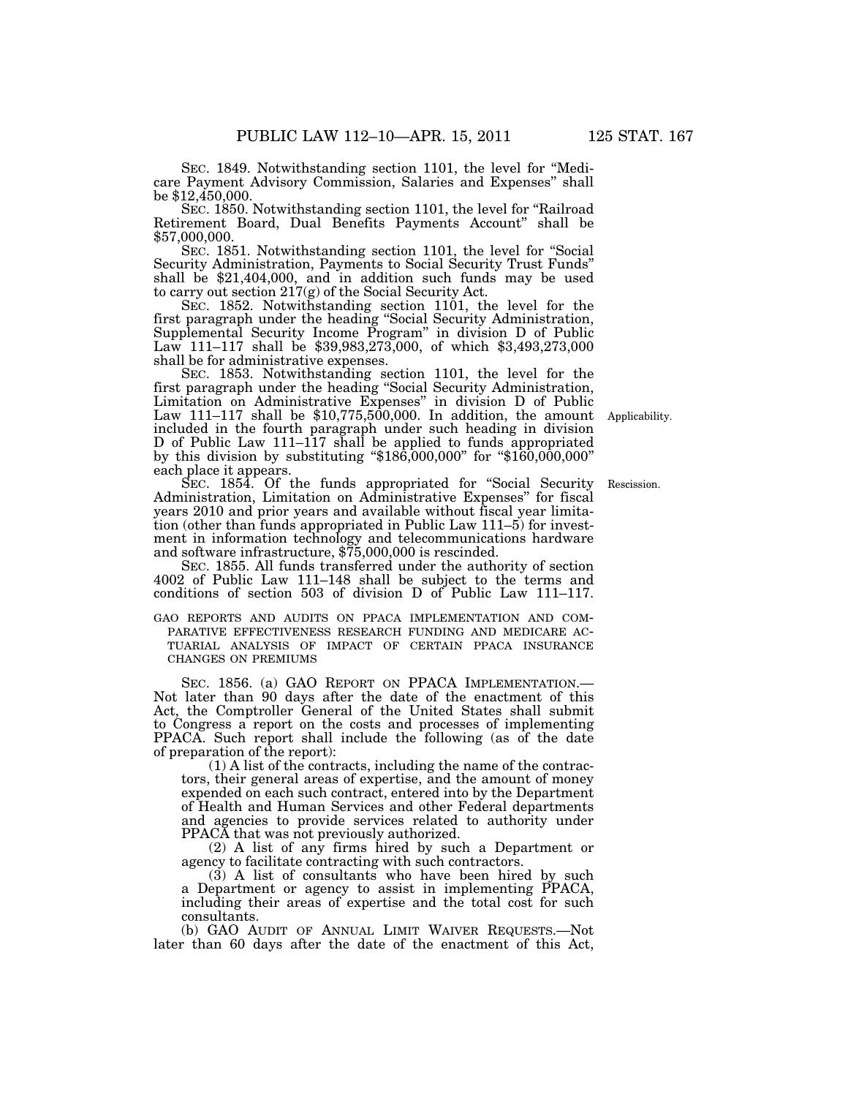SEC. 1849. Notwithstanding section 1101, the level for ''Medicare Payment Advisory Commission, Salaries and Expenses'' shall be \$12,450,000.

SEC. 1850. Notwithstanding section 1101, the level for ''Railroad Retirement Board, Dual Benefits Payments Account'' shall be \$57,000,000.

SEC. 1851. Notwithstanding section 1101, the level for ''Social Security Administration, Payments to Social Security Trust Funds'' shall be \$21,404,000, and in addition such funds may be used to carry out section 217(g) of the Social Security Act.

SEC. 1852. Notwithstanding section 1101, the level for the first paragraph under the heading ''Social Security Administration, Supplemental Security Income Program'' in division D of Public Law 111–117 shall be \$39,983,273,000, of which \$3,493,273,000 shall be for administrative expenses.

SEC. 1853. Notwithstanding section 1101, the level for the first paragraph under the heading "Social Security Administration, Limitation on Administrative Expenses'' in division D of Public Law 111–117 shall be  $$10,775,500,000$ . In addition, the amount included in the fourth paragraph under such heading in division D of Public Law 111–117 shall be applied to funds appropriated by this division by substituting " $$186,000,000$ " for " $$160,000,000$ " each place it appears. Applicability.

SEC. 1854. Of the funds appropriated for "Social Security" Administration, Limitation on Administrative Expenses'' for fiscal years 2010 and prior years and available without fiscal year limitation (other than funds appropriated in Public Law 111–5) for investment in information technology and telecommunications hardware and software infrastructure, \$75,000,000 is rescinded.

SEC. 1855. All funds transferred under the authority of section 4002 of Public Law 111–148 shall be subject to the terms and conditions of section 503 of division D of Public Law 111–117.

GAO REPORTS AND AUDITS ON PPACA IMPLEMENTATION AND COM- PARATIVE EFFECTIVENESS RESEARCH FUNDING AND MEDICARE AC- TUARIAL ANALYSIS OF IMPACT OF CERTAIN PPACA INSURANCE CHANGES ON PREMIUMS

SEC. 1856. (a) GAO REPORT ON PPACA IMPLEMENTATION.— Not later than 90 days after the date of the enactment of this Act, the Comptroller General of the United States shall submit to Congress a report on the costs and processes of implementing PPACA. Such report shall include the following (as of the date of preparation of the report):

(1) A list of the contracts, including the name of the contractors, their general areas of expertise, and the amount of money expended on each such contract, entered into by the Department of Health and Human Services and other Federal departments and agencies to provide services related to authority under PPACA that was not previously authorized.

(2) A list of any firms hired by such a Department or agency to facilitate contracting with such contractors.

 $(3)$  A list of consultants who have been hired by such a Department or agency to assist in implementing PPACA, including their areas of expertise and the total cost for such consultants.

(b) GAO AUDIT OF ANNUAL LIMIT WAIVER REQUESTS.—Not later than 60 days after the date of the enactment of this Act,

Rescission.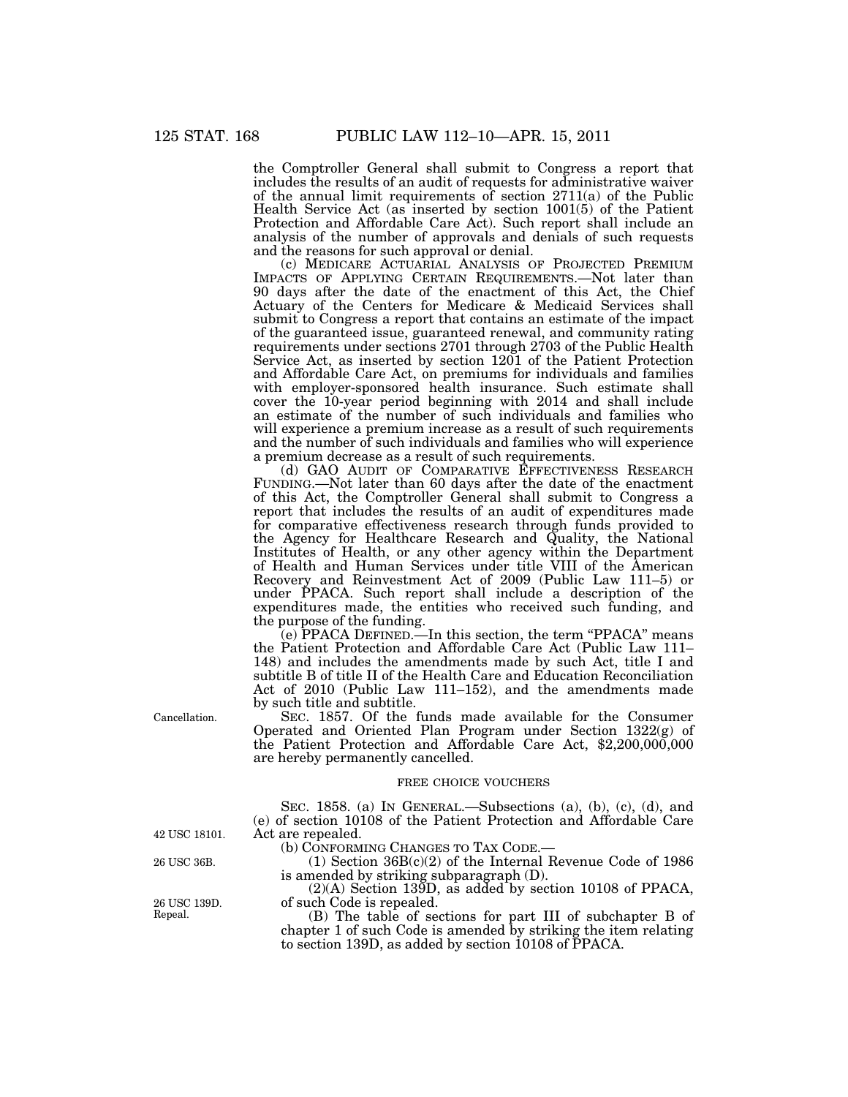the Comptroller General shall submit to Congress a report that includes the results of an audit of requests for administrative waiver of the annual limit requirements of section 2711(a) of the Public Health Service Act (as inserted by section 1001(5) of the Patient Protection and Affordable Care Act). Such report shall include an analysis of the number of approvals and denials of such requests and the reasons for such approval or denial.

(c) MEDICARE ACTUARIAL ANALYSIS OF PROJECTED PREMIUM IMPACTS OF APPLYING CERTAIN REQUIREMENTS.—Not later than 90 days after the date of the enactment of this Act, the Chief Actuary of the Centers for Medicare & Medicaid Services shall submit to Congress a report that contains an estimate of the impact of the guaranteed issue, guaranteed renewal, and community rating requirements under sections 2701 through 2703 of the Public Health Service Act, as inserted by section 1201 of the Patient Protection and Affordable Care Act, on premiums for individuals and families with employer-sponsored health insurance. Such estimate shall cover the 10-year period beginning with 2014 and shall include an estimate of the number of such individuals and families who will experience a premium increase as a result of such requirements and the number of such individuals and families who will experience a premium decrease as a result of such requirements.

(d) GAO AUDIT OF COMPARATIVE EFFECTIVENESS RESEARCH FUNDING.—Not later than 60 days after the date of the enactment of this Act, the Comptroller General shall submit to Congress a report that includes the results of an audit of expenditures made for comparative effectiveness research through funds provided to the Agency for Healthcare Research and Quality, the National Institutes of Health, or any other agency within the Department of Health and Human Services under title VIII of the American Recovery and Reinvestment Act of 2009 (Public Law 111–5) or under PPACA. Such report shall include a description of the expenditures made, the entities who received such funding, and the purpose of the funding.

(e) PPACA DEFINED.—In this section, the term ''PPACA'' means the Patient Protection and Affordable Care Act (Public Law 111– 148) and includes the amendments made by such Act, title I and subtitle B of title II of the Health Care and Education Reconciliation Act of 2010 (Public Law 111–152), and the amendments made by such title and subtitle.

SEC. 1857. Of the funds made available for the Consumer Operated and Oriented Plan Program under Section 1322(g) of the Patient Protection and Affordable Care Act, \$2,200,000,000 are hereby permanently cancelled.

#### FREE CHOICE VOUCHERS

SEC. 1858. (a) IN GENERAL.—Subsections (a), (b), (c), (d), and (e) of section 10108 of the Patient Protection and Affordable Care Act are repealed.<br>(b) CONFORMING CHANGES TO TAX CODE.-

(1) Section  $36B(c)(2)$  of the Internal Revenue Code of 1986 is amended by striking subparagraph (D).

(2)(A) Section 139D, as added by section 10108 of PPACA, of such Code is repealed.

(B) The table of sections for part III of subchapter B of chapter 1 of such Code is amended by striking the item relating to section 139D, as added by section 10108 of PPACA.

Cancellation.

42 USC 18101.

26 USC 36B.

26 USC 139D. Repeal.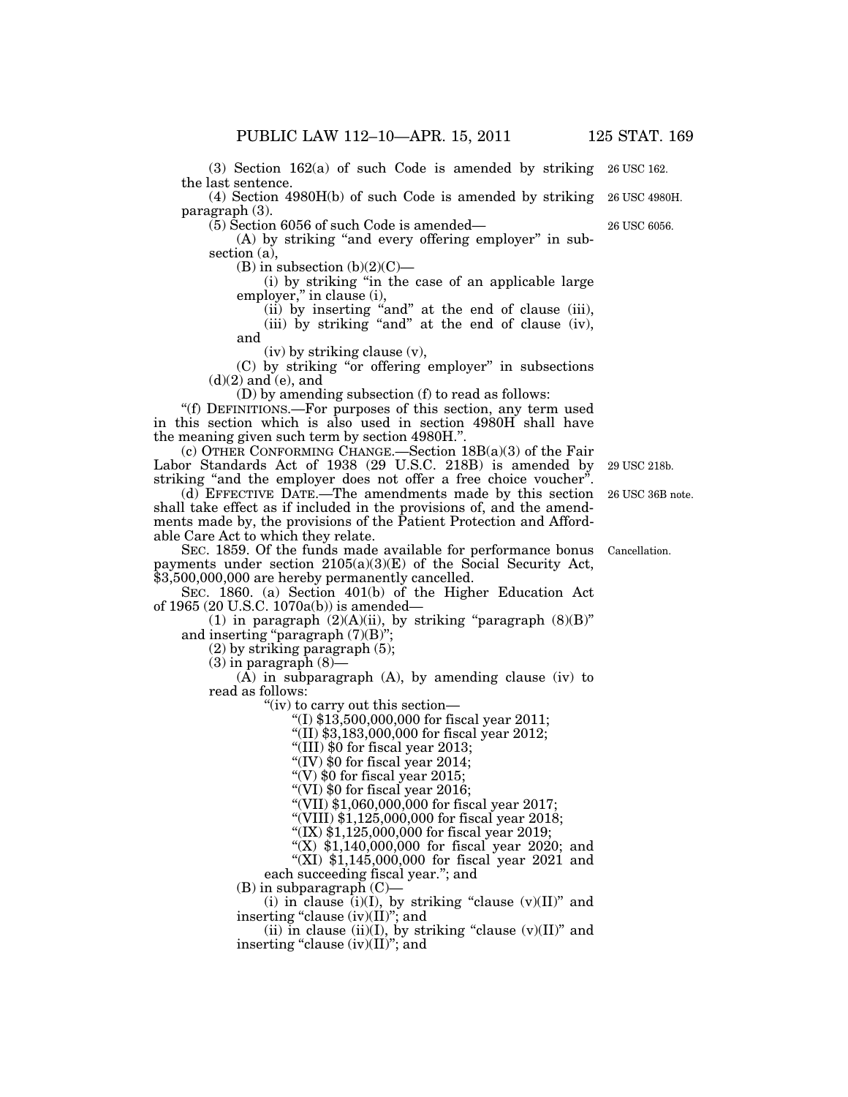(3) Section 162(a) of such Code is amended by striking 26 USC 162. the last sentence.

(4) Section 4980H(b) of such Code is amended by striking paragraph (3).

(5) Section 6056 of such Code is amended—

(A) by striking "and every offering employer" in subsection (a),

(B) in subsection  $(b)(2)(C)$ —

(i) by striking ''in the case of an applicable large employer," in clause (i),

(ii) by inserting ''and'' at the end of clause (iii),

(iii) by striking ''and'' at the end of clause (iv), and

(iv) by striking clause (v),

(C) by striking ''or offering employer'' in subsections (d)(2) and (e), and

(D) by amending subsection (f) to read as follows:

''(f) DEFINITIONS.—For purposes of this section, any term used in this section which is also used in section 4980H shall have the meaning given such term by section 4980H.''.

(c) OTHER CONFORMING CHANGE.—Section 18B(a)(3) of the Fair Labor Standards Act of 1938 (29 U.S.C. 218B) is amended by striking "and the employer does not offer a free choice voucher".

(d) EFFECTIVE DATE.—The amendments made by this section shall take effect as if included in the provisions of, and the amendments made by, the provisions of the Patient Protection and Affordable Care Act to which they relate.

SEC. 1859. Of the funds made available for performance bonus payments under section  $2105(a)(3)(E)$  of the Social Security Act, \$3,500,000,000 are hereby permanently cancelled.

SEC. 1860. (a) Section 401(b) of the Higher Education Act of 1965 (20 U.S.C. 1070a(b)) is amended—

(1) in paragraph  $(2)(A)(ii)$ , by striking "paragraph  $(8)(B)$ " and inserting "paragraph  $(7)(B)$ ";

(2) by striking paragraph (5);

 $(3)$  in paragraph  $(8)$ —

 $(A)$  in subparagraph  $(A)$ , by amending clause (iv) to read as follows:

''(iv) to carry out this section—

''(I) \$13,500,000,000 for fiscal year 2011;

''(II) \$3,183,000,000 for fiscal year 2012;

''(III) \$0 for fiscal year 2013;

"(IV) \$0 for fiscal year 2014;

"(V)  $$0$  for fiscal year 2015;

''(VI) \$0 for fiscal year 2016;

''(VII) \$1,060,000,000 for fiscal year 2017;

''(VIII) \$1,125,000,000 for fiscal year 2018;

''(IX) \$1,125,000,000 for fiscal year 2019;

"(X)  $$1,140,000,000$  for fiscal year 2020; and

''(XI) \$1,145,000,000 for fiscal year 2021 and

each succeeding fiscal year.''; and

 $(B)$  in subparagraph  $(C)$ —

(i) in clause (i)(I), by striking "clause  $(v)(II)$ " and inserting "clause  $(iv)(II)$ "; and

(ii) in clause (ii)(I), by striking "clause  $(v)(II)$ " and inserting "clause  $(iv)(II)$ "; and

26 USC 36B note. 29 USC 218b.

Cancellation.

26 USC 4980H.

26 USC 6056.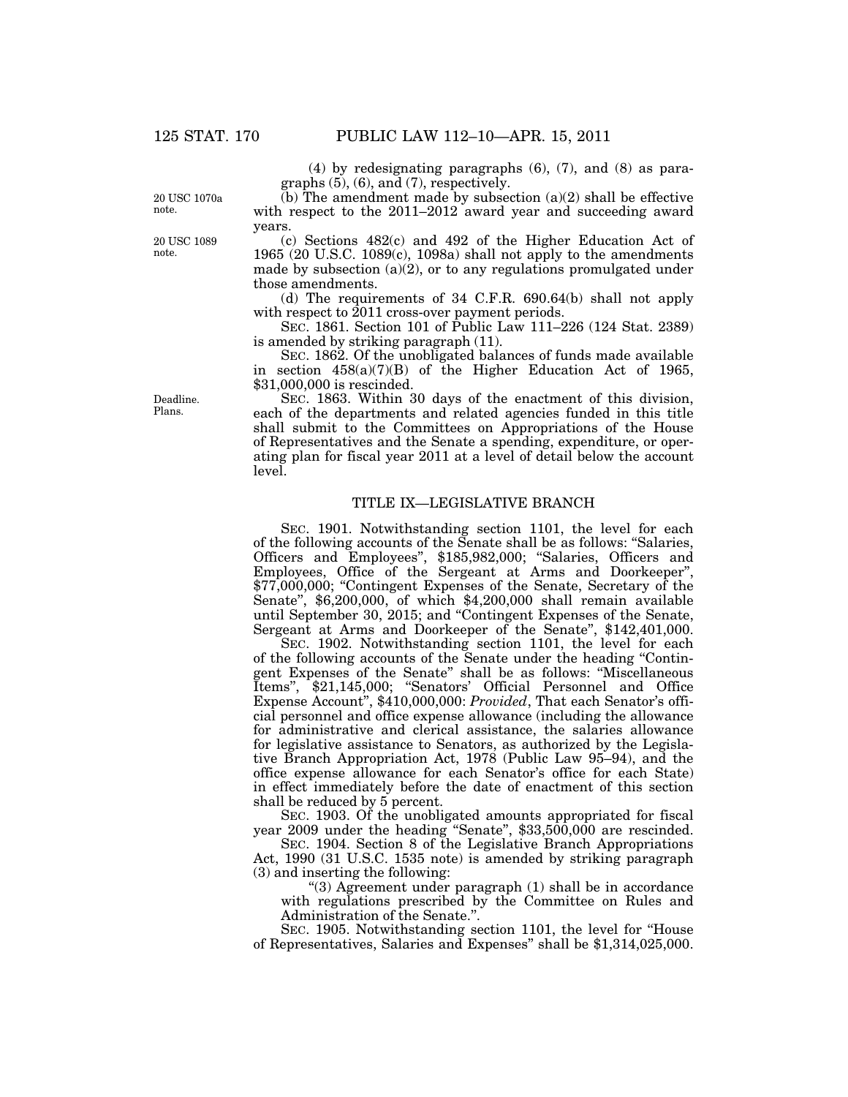(4) by redesignating paragraphs (6), (7), and (8) as paragraphs (5), (6), and (7), respectively.  $(b)$  The amendment made by subsection  $(a)(2)$  shall be effective

20 USC 1070a note.

years.

20 USC 1089 note.

(c) Sections 482(c) and 492 of the Higher Education Act of 1965 (20 U.S.C. 1089 $(c)$ , 1098a) shall not apply to the amendments made by subsection  $(a)(2)$ , or to any regulations promulgated under those amendments.

with respect to the 2011–2012 award year and succeeding award

(d) The requirements of 34 C.F.R. 690.64(b) shall not apply with respect to 2011 cross-over payment periods.

SEC. 1861. Section 101 of Public Law 111–226 (124 Stat. 2389) is amended by striking paragraph (11).

SEC. 1862. Of the unobligated balances of funds made available in section 458(a)(7)(B) of the Higher Education Act of 1965, \$31,000,000 is rescinded.

SEC. 1863. Within 30 days of the enactment of this division, each of the departments and related agencies funded in this title shall submit to the Committees on Appropriations of the House of Representatives and the Senate a spending, expenditure, or operating plan for fiscal year 2011 at a level of detail below the account level.

## TITLE IX—LEGISLATIVE BRANCH

SEC. 1901. Notwithstanding section 1101, the level for each of the following accounts of the Senate shall be as follows: ''Salaries, Officers and Employees'', \$185,982,000; ''Salaries, Officers and Employees, Office of the Sergeant at Arms and Doorkeeper'', \$77,000,000; "Contingent Expenses of the Senate, Secretary of the Senate'', \$6,200,000, of which \$4,200,000 shall remain available until September 30, 2015; and ''Contingent Expenses of the Senate, Sergeant at Arms and Doorkeeper of the Senate'', \$142,401,000.

SEC. 1902. Notwithstanding section 1101, the level for each of the following accounts of the Senate under the heading ''Contingent Expenses of the Senate'' shall be as follows: ''Miscellaneous Items", \$21,145,000; "Senators' Official Personnel and Office Expense Account'', \$410,000,000: *Provided*, That each Senator's official personnel and office expense allowance (including the allowance for administrative and clerical assistance, the salaries allowance for legislative assistance to Senators, as authorized by the Legislative Branch Appropriation Act, 1978 (Public Law 95–94), and the office expense allowance for each Senator's office for each State) in effect immediately before the date of enactment of this section shall be reduced by 5 percent.

SEC. 1903. Of the unobligated amounts appropriated for fiscal year 2009 under the heading "Senate", \$33,500,000 are rescinded.

SEC. 1904. Section 8 of the Legislative Branch Appropriations Act, 1990 (31 U.S.C. 1535 note) is amended by striking paragraph (3) and inserting the following:

''(3) Agreement under paragraph (1) shall be in accordance with regulations prescribed by the Committee on Rules and Administration of the Senate.''.

SEC. 1905. Notwithstanding section 1101, the level for "House" of Representatives, Salaries and Expenses'' shall be \$1,314,025,000.

Deadline. Plans.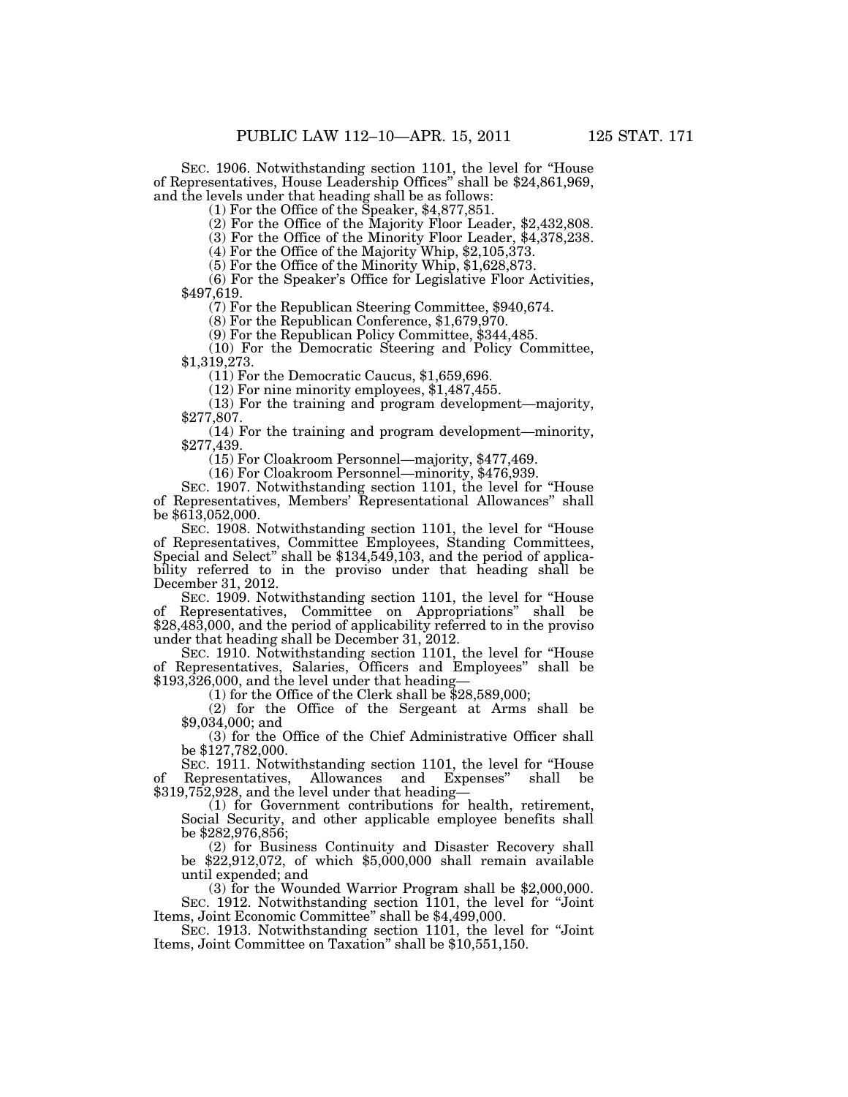SEC. 1906. Notwithstanding section 1101, the level for ''House of Representatives, House Leadership Offices'' shall be \$24,861,969, and the levels under that heading shall be as follows: (1) For the Office of the Speaker, \$4,877,851.

(2) For the Office of the Majority Floor Leader, \$2,432,808.

(3) For the Office of the Minority Floor Leader, \$4,378,238.

(4) For the Office of the Majority Whip, \$2,105,373.

(5) For the Office of the Minority Whip, \$1,628,873.

(6) For the Speaker's Office for Legislative Floor Activities, \$497,619.

(7) For the Republican Steering Committee, \$940,674.

(8) For the Republican Conference, \$1,679,970.

(9) For the Republican Policy Committee, \$344,485.

(10) For the Democratic Steering and Policy Committee, \$1,319,273.

(11) For the Democratic Caucus, \$1,659,696.

(12) For nine minority employees, \$1,487,455.

(13) For the training and program development—majority, \$277,807.

(14) For the training and program development—minority, \$277,439.

(15) For Cloakroom Personnel—majority, \$477,469.

(16) For Cloakroom Personnel—minority, \$476,939.

SEC. 1907. Notwithstanding section 1101, the level for ''House of Representatives, Members' Representational Allowances'' shall be \$613,052,000.

SEC. 1908. Notwithstanding section 1101, the level for ''House of Representatives, Committee Employees, Standing Committees, Special and Select" shall be \$134,549,103, and the period of applicability referred to in the proviso under that heading shall be December 31, 2012.

SEC. 1909. Notwithstanding section 1101, the level for ''House of Representatives, Committee on Appropriations'' shall be \$28,483,000, and the period of applicability referred to in the proviso under that heading shall be December 31, 2012.

SEC. 1910. Notwithstanding section 1101, the level for ''House of Representatives, Salaries, Officers and Employees'' shall be \$193,326,000, and the level under that heading—

(1) for the Office of the Clerk shall be \$28,589,000;

(2) for the Office of the Sergeant at Arms shall be \$9,034,000; and

(3) for the Office of the Chief Administrative Officer shall be \$127,782,000.

SEC. 1911. Notwithstanding section 1101, the level for ''House of Representatives, Allowances and Expenses'' shall be \$319,752,928, and the level under that heading—

(1) for Government contributions for health, retirement, Social Security, and other applicable employee benefits shall be \$282,976,856;

(2) for Business Continuity and Disaster Recovery shall be  $$22,912,072$ , of which  $$5,000,000$  shall remain available until expended; and

(3) for the Wounded Warrior Program shall be \$2,000,000. SEC. 1912. Notwithstanding section 1101, the level for ''Joint

Items, Joint Economic Committee" shall be \$4,499,000.<br>SEC. 1913. Notwithstanding section 1101, the level for "Joint" Items, Joint Committee on Taxation" shall be \$10,551,150.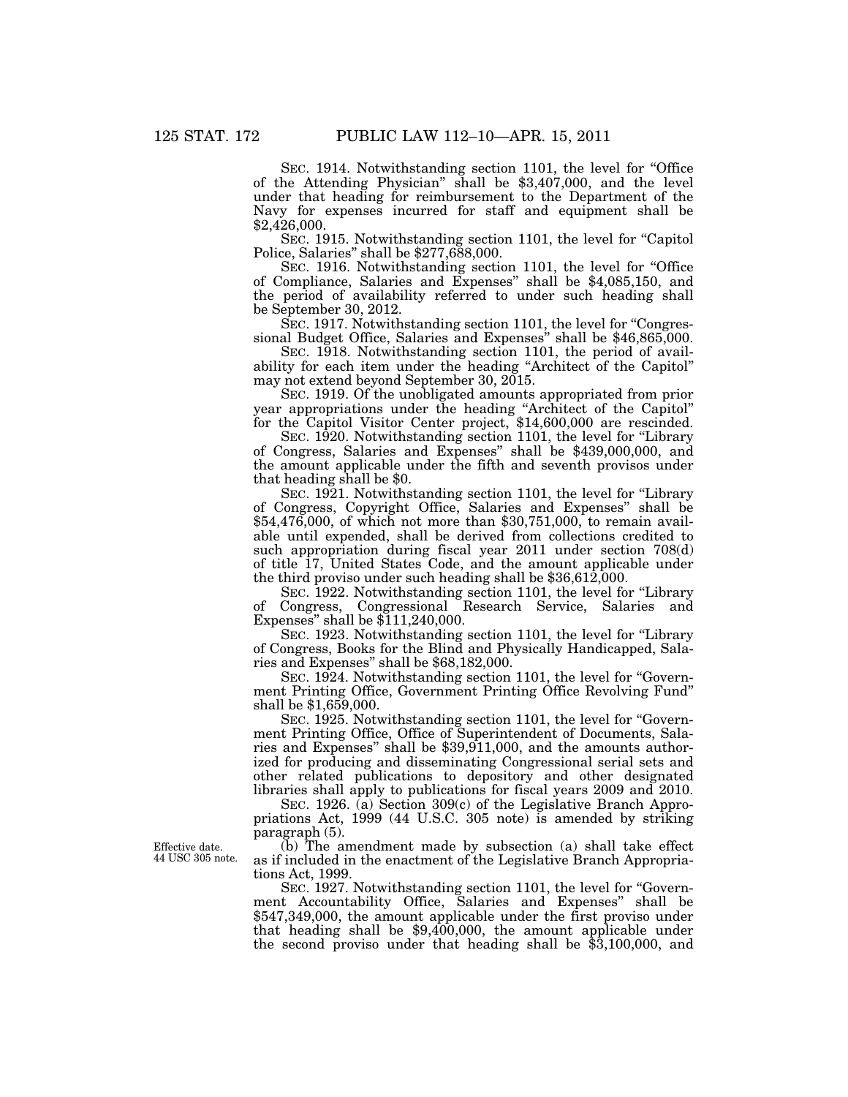SEC. 1914. Notwithstanding section 1101, the level for ''Office of the Attending Physician'' shall be \$3,407,000, and the level under that heading for reimbursement to the Department of the Navy for expenses incurred for staff and equipment shall be \$2,426,000.

SEC. 1915. Notwithstanding section 1101, the level for "Capitol Police, Salaries'' shall be \$277,688,000.

SEC. 1916. Notwithstanding section 1101, the level for "Office of Compliance, Salaries and Expenses'' shall be \$4,085,150, and the period of availability referred to under such heading shall be September 30, 2012.

SEC. 1917. Notwithstanding section 1101, the level for "Congressional Budget Office, Salaries and Expenses'' shall be \$46,865,000.

SEC. 1918. Notwithstanding section 1101, the period of availability for each item under the heading "Architect of the Capitol" may not extend beyond September 30, 2015.

SEC. 1919. Of the unobligated amounts appropriated from prior year appropriations under the heading ''Architect of the Capitol'' for the Capitol Visitor Center project, \$14,600,000 are rescinded.

SEC. 1920. Notwithstanding section 1101, the level for "Library of Congress, Salaries and Expenses'' shall be \$439,000,000, and the amount applicable under the fifth and seventh provisos under that heading shall be \$0.

SEC. 1921. Notwithstanding section 1101, the level for "Library" of Congress, Copyright Office, Salaries and Expenses'' shall be \$54,476,000, of which not more than \$30,751,000, to remain available until expended, shall be derived from collections credited to such appropriation during fiscal year 2011 under section 708(d) of title 17, United States Code, and the amount applicable under the third proviso under such heading shall be \$36,612,000.

SEC. 1922. Notwithstanding section 1101, the level for "Library" of Congress, Congressional Research Service, Salaries and Expenses'' shall be \$111,240,000.

SEC. 1923. Notwithstanding section 1101, the level for "Library" of Congress, Books for the Blind and Physically Handicapped, Salaries and Expenses'' shall be \$68,182,000.

SEC. 1924. Notwithstanding section 1101, the level for "Government Printing Office, Government Printing Office Revolving Fund'' shall be \$1,659,000.

SEC. 1925. Notwithstanding section 1101, the level for ''Government Printing Office, Office of Superintendent of Documents, Salaries and Expenses'' shall be \$39,911,000, and the amounts authorized for producing and disseminating Congressional serial sets and other related publications to depository and other designated libraries shall apply to publications for fiscal years 2009 and 2010.

SEC. 1926. (a) Section 309(c) of the Legislative Branch Appropriations Act, 1999 (44 U.S.C. 305 note) is amended by striking paragraph (5).

(b) The amendment made by subsection (a) shall take effect as if included in the enactment of the Legislative Branch Appropriations Act, 1999.

SEC. 1927. Notwithstanding section 1101, the level for "Government Accountability Office, Salaries and Expenses'' shall be \$547,349,000, the amount applicable under the first proviso under that heading shall be \$9,400,000, the amount applicable under the second proviso under that heading shall be \$3,100,000, and

Effective date. 44 USC 305 note.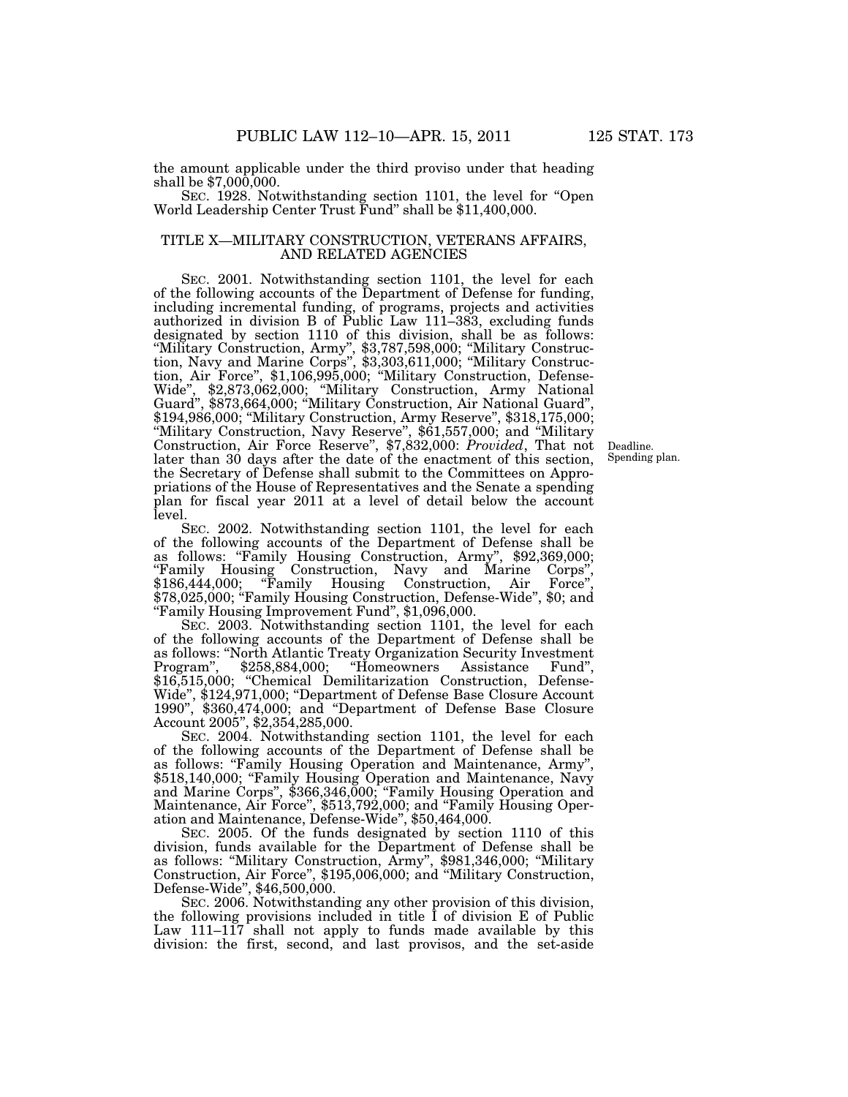the amount applicable under the third proviso under that heading shall be \$7,000,000.

SEC. 1928. Notwithstanding section 1101, the level for "Open World Leadership Center Trust Fund'' shall be \$11,400,000.

## TITLE X—MILITARY CONSTRUCTION, VETERANS AFFAIRS, AND RELATED AGENCIES

SEC. 2001. Notwithstanding section 1101, the level for each of the following accounts of the Department of Defense for funding, including incremental funding, of programs, projects and activities authorized in division B of Public Law 111–383, excluding funds designated by section 1110 of this division, shall be as follows: ''Military Construction, Army'', \$3,787,598,000; ''Military Construction, Navy and Marine Corps'', \$3,303,611,000; ''Military Construction, Air Force'', \$1,106,995,000; ''Military Construction, Defense-Wide'', \$2,873,062,000; ''Military Construction, Army National Guard'', \$873,664,000; ''Military Construction, Air National Guard'', \$194,986,000; ''Military Construction, Army Reserve'', \$318,175,000; ''Military Construction, Navy Reserve'', \$61,557,000; and ''Military Construction, Air Force Reserve'', \$7,832,000: *Provided*, That not later than 30 days after the date of the enactment of this section, the Secretary of Defense shall submit to the Committees on Appropriations of the House of Representatives and the Senate a spending plan for fiscal year 2011 at a level of detail below the account level.

Deadline. Spending plan.

SEC. 2002. Notwithstanding section 1101, the level for each of the following accounts of the Department of Defense shall be as follows: ''Family Housing Construction, Army'', \$92,369,000; ''Family Housing Construction, Navy and Marine Corps'', \$186,444,000; "Family Housing Construction, Air Force", \$78,025,000; "Family Housing Construction, Defense-Wide", \$0; and ''Family Housing Improvement Fund'', \$1,096,000.

SEC. 2003. Notwithstanding section 1101, the level for each of the following accounts of the Department of Defense shall be as follows: ''North Atlantic Treaty Organization Security Investment Program'', \$258,884,000; ''Homeowners Assistance Fund'', \$16,515,000; "Chemical Demilitarization Construction, Defense-Wide'', \$124,971,000; ''Department of Defense Base Closure Account 1990'', \$360,474,000; and ''Department of Defense Base Closure Account 2005'', \$2,354,285,000.

SEC. 2004. Notwithstanding section 1101, the level for each of the following accounts of the Department of Defense shall be as follows: "Family Housing Operation and Maintenance, Army", \$518,140,000; "Family Housing Operation and Maintenance, Navy and Marine Corps'', \$366,346,000; ''Family Housing Operation and Maintenance, Air Force'', \$513,792,000; and ''Family Housing Operation and Maintenance, Defense-Wide'', \$50,464,000.

SEC. 2005. Of the funds designated by section 1110 of this division, funds available for the Department of Defense shall be as follows: ''Military Construction, Army'', \$981,346,000; ''Military Construction, Air Force'', \$195,006,000; and ''Military Construction, Defense-Wide'', \$46,500,000.

SEC. 2006. Notwithstanding any other provision of this division, the following provisions included in title I of division E of Public Law 111–117 shall not apply to funds made available by this division: the first, second, and last provisos, and the set-aside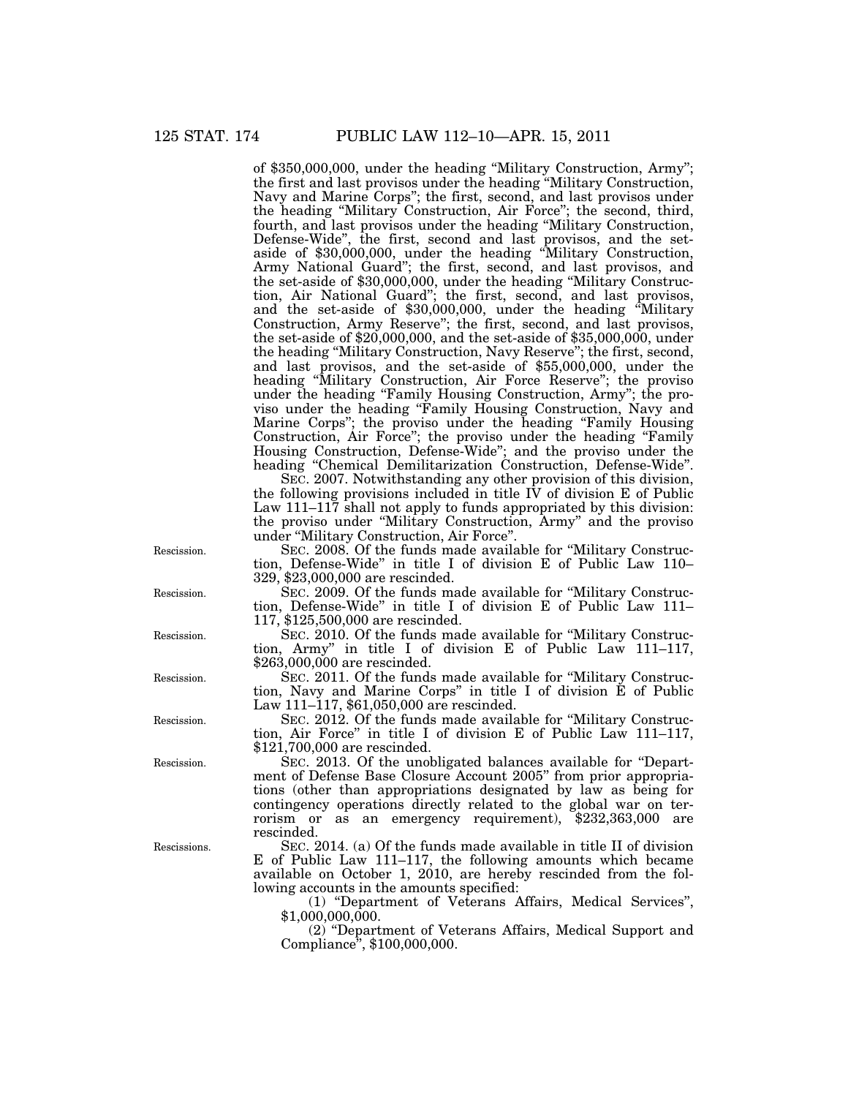of \$350,000,000, under the heading ''Military Construction, Army''; the first and last provisos under the heading ''Military Construction, Navy and Marine Corps''; the first, second, and last provisos under the heading ''Military Construction, Air Force''; the second, third, fourth, and last provisos under the heading ''Military Construction, Defense-Wide'', the first, second and last provisos, and the setaside of \$30,000,000, under the heading ''Military Construction, Army National Guard''; the first, second, and last provisos, and the set-aside of \$30,000,000, under the heading ''Military Construction, Air National Guard''; the first, second, and last provisos, and the set-aside of \$30,000,000, under the heading ''Military Construction, Army Reserve''; the first, second, and last provisos, the set-aside of \$20,000,000, and the set-aside of \$35,000,000, under the heading ''Military Construction, Navy Reserve''; the first, second, and last provisos, and the set-aside of \$55,000,000, under the heading ''Military Construction, Air Force Reserve''; the proviso under the heading ''Family Housing Construction, Army''; the proviso under the heading ''Family Housing Construction, Navy and Marine Corps''; the proviso under the heading ''Family Housing Construction, Air Force''; the proviso under the heading ''Family Housing Construction, Defense-Wide''; and the proviso under the heading ''Chemical Demilitarization Construction, Defense-Wide''.

SEC. 2007. Notwithstanding any other provision of this division, the following provisions included in title  $\dot{IV}$  of division  $E$  of Public Law 111–117 shall not apply to funds appropriated by this division: the proviso under ''Military Construction, Army'' and the proviso under ''Military Construction, Air Force''.

SEC. 2008. Of the funds made available for ''Military Construction, Defense-Wide'' in title I of division E of Public Law 110– 329, \$23,000,000 are rescinded.

SEC. 2009. Of the funds made available for ''Military Construction, Defense-Wide'' in title I of division E of Public Law 111– 117, \$125,500,000 are rescinded.

SEC. 2010. Of the funds made available for "Military Construction, Army'' in title I of division E of Public Law 111–117, \$263,000,000 are rescinded.

SEC. 2011. Of the funds made available for ''Military Construction, Navy and Marine Corps'' in title I of division E of Public Law 111–117, \$61,050,000 are rescinded.

SEC. 2012. Of the funds made available for ''Military Construction, Air Force'' in title I of division E of Public Law 111–117, \$121,700,000 are rescinded.

SEC. 2013. Of the unobligated balances available for ''Department of Defense Base Closure Account 2005'' from prior appropriations (other than appropriations designated by law as being for contingency operations directly related to the global war on terrorism or as an emergency requirement), \$232,363,000 are rescinded.

SEC. 2014. (a) Of the funds made available in title II of division E of Public Law 111–117, the following amounts which became available on October 1, 2010, are hereby rescinded from the following accounts in the amounts specified:

(1) ''Department of Veterans Affairs, Medical Services'',  $$1,000,000,000.$ 

(2) ''Department of Veterans Affairs, Medical Support and Compliance'', \$100,000,000.

Rescission.

Rescission.

Rescission.

Rescission.

Rescission.

Rescission.

Rescissions.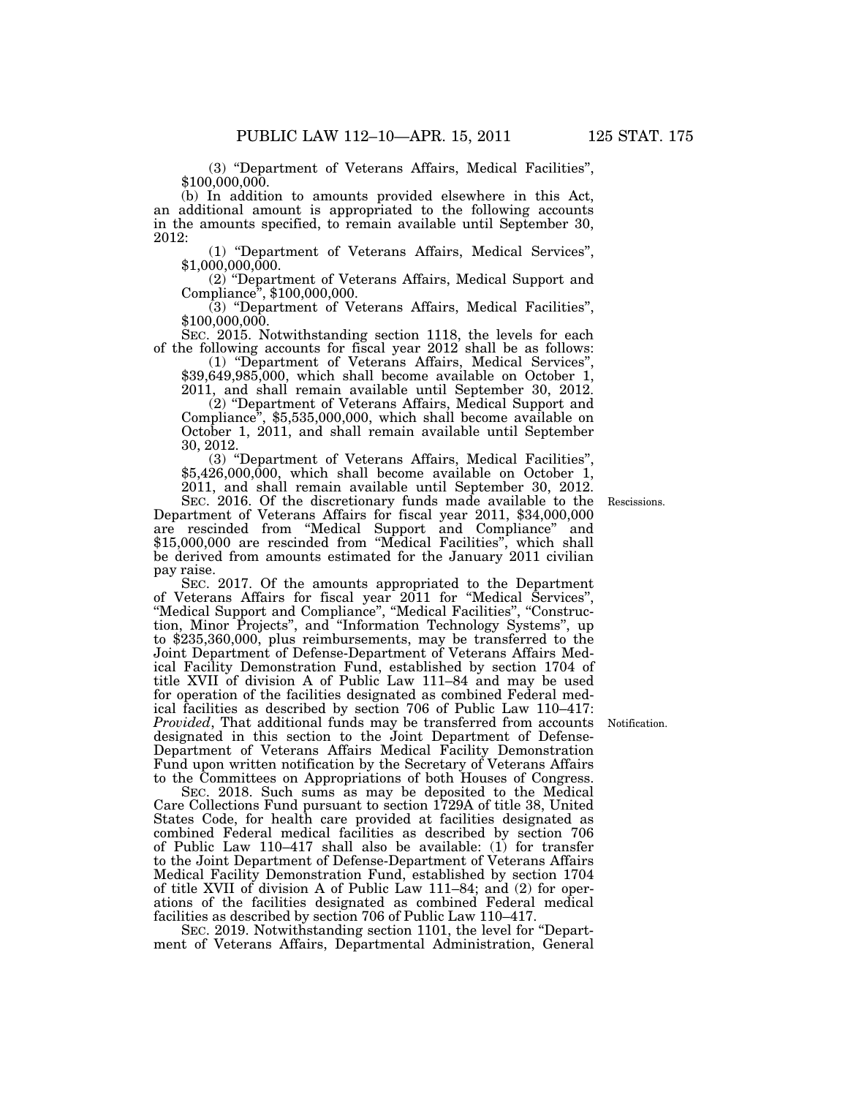(3) ''Department of Veterans Affairs, Medical Facilities'', \$100,000,000.

(b) In addition to amounts provided elsewhere in this Act, an additional amount is appropriated to the following accounts in the amounts specified, to remain available until September 30, 2012:

(1) ''Department of Veterans Affairs, Medical Services'',  $$1,000,000,000.$ 

(2) ''Department of Veterans Affairs, Medical Support and Compliance'', \$100,000,000.

(3) ''Department of Veterans Affairs, Medical Facilities'', \$100,000,000.

SEC. 2015. Notwithstanding section 1118, the levels for each of the following accounts for fiscal year 2012 shall be as follows:

 $$39,649,985,000$ , which shall become available on October 1,

2011, and shall remain available until September 30, 2012. Compliance",  $$5,535,000,000$ , which shall become available on October 1, 2011, and shall remain available until September

30, 2012.  $$5,426,000,000$ , which shall become available on October 1, 2011, and shall remain available until September 30, 2012.

SEC. 2016. Of the discretionary funds made available to the Department of Veterans Affairs for fiscal year 2011, \$34,000,000 are rescinded from ''Medical Support and Compliance'' and \$15,000,000 are rescinded from ''Medical Facilities'', which shall be derived from amounts estimated for the January 2011 civilian pay raise.

SEC. 2017. Of the amounts appropriated to the Department of Veterans Affairs for fiscal year 2011 for ''Medical Services'', ''Medical Support and Compliance'', ''Medical Facilities'', ''Construction, Minor Projects", and "Information Technology Systems", up to \$235,360,000, plus reimbursements, may be transferred to the Joint Department of Defense-Department of Veterans Affairs Medical Facility Demonstration Fund, established by section 1704 of title XVII of division A of Public Law 111–84 and may be used for operation of the facilities designated as combined Federal medical facilities as described by section 706 of Public Law 110–417: *Provided*, That additional funds may be transferred from accounts designated in this section to the Joint Department of Defense-Department of Veterans Affairs Medical Facility Demonstration Fund upon written notification by the Secretary of Veterans Affairs to the Committees on Appropriations of both Houses of Congress.

SEC. 2018. Such sums as may be deposited to the Medical Care Collections Fund pursuant to section 1729A of title 38, United States Code, for health care provided at facilities designated as combined Federal medical facilities as described by section 706 of Public Law 110–417 shall also be available: (1) for transfer to the Joint Department of Defense-Department of Veterans Affairs Medical Facility Demonstration Fund, established by section 1704 of title XVII of division A of Public Law 111–84; and (2) for operations of the facilities designated as combined Federal medical facilities as described by section 706 of Public Law 110–417.

SEC. 2019. Notwithstanding section 1101, the level for "Department of Veterans Affairs, Departmental Administration, General

Rescissions.

Notification.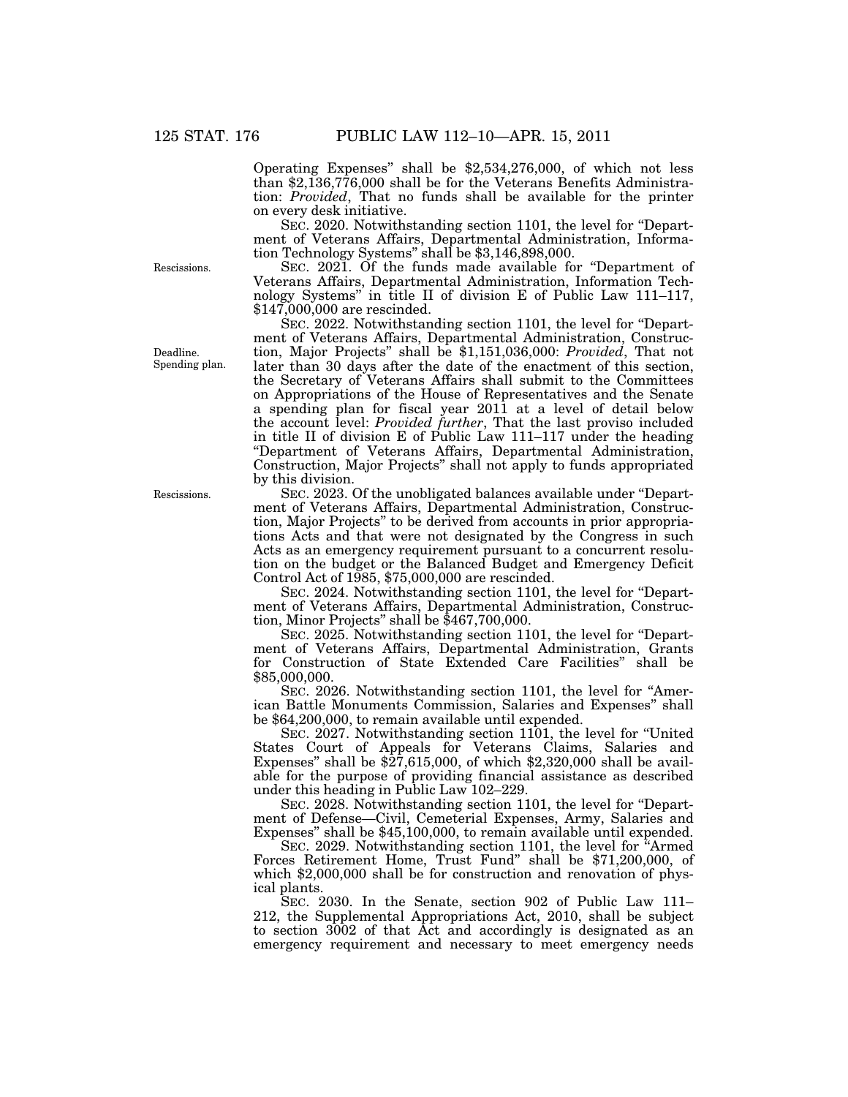Operating Expenses'' shall be \$2,534,276,000, of which not less than \$2,136,776,000 shall be for the Veterans Benefits Administration: *Provided*, That no funds shall be available for the printer on every desk initiative.

SEC. 2020. Notwithstanding section 1101, the level for "Department of Veterans Affairs, Departmental Administration, Information Technology Systems'' shall be \$3,146,898,000.

SEC. 2021. Of the funds made available for "Department of Veterans Affairs, Departmental Administration, Information Technology Systems'' in title II of division E of Public Law 111–117, \$147,000,000 are rescinded.

SEC. 2022. Notwithstanding section 1101, the level for "Department of Veterans Affairs, Departmental Administration, Construction, Major Projects'' shall be \$1,151,036,000: *Provided*, That not later than 30 days after the date of the enactment of this section, the Secretary of Veterans Affairs shall submit to the Committees on Appropriations of the House of Representatives and the Senate a spending plan for fiscal year 2011 at a level of detail below the account level: *Provided further*, That the last proviso included in title II of division E of Public Law 111–117 under the heading ''Department of Veterans Affairs, Departmental Administration, Construction, Major Projects'' shall not apply to funds appropriated by this division.

SEC. 2023. Of the unobligated balances available under ''Department of Veterans Affairs, Departmental Administration, Construction, Major Projects'' to be derived from accounts in prior appropriations Acts and that were not designated by the Congress in such Acts as an emergency requirement pursuant to a concurrent resolution on the budget or the Balanced Budget and Emergency Deficit Control Act of 1985, \$75,000,000 are rescinded.

SEC. 2024. Notwithstanding section 1101, the level for ''Department of Veterans Affairs, Departmental Administration, Construction, Minor Projects'' shall be \$467,700,000.

SEC. 2025. Notwithstanding section 1101, the level for ''Department of Veterans Affairs, Departmental Administration, Grants for Construction of State Extended Care Facilities'' shall be \$85,000,000.

SEC. 2026. Notwithstanding section 1101, the level for ''American Battle Monuments Commission, Salaries and Expenses'' shall be \$64,200,000, to remain available until expended.

SEC. 2027. Notwithstanding section 1101, the level for ''United States Court of Appeals for Veterans Claims, Salaries and Expenses" shall be  $\frac{27,615,000}{27,615,000}$ , of which  $\frac{2,320,000}{2}$  shall be available for the purpose of providing financial assistance as described under this heading in Public Law 102–229.

SEC. 2028. Notwithstanding section 1101, the level for ''Department of Defense—Civil, Cemeterial Expenses, Army, Salaries and Expenses'' shall be \$45,100,000, to remain available until expended.

SEC. 2029. Notwithstanding section 1101, the level for ''Armed Forces Retirement Home, Trust Fund'' shall be \$71,200,000, of which \$2,000,000 shall be for construction and renovation of physical plants.

SEC. 2030. In the Senate, section 902 of Public Law 111– 212, the Supplemental Appropriations Act, 2010, shall be subject to section 3002 of that Act and accordingly is designated as an emergency requirement and necessary to meet emergency needs

Rescissions.

Deadline. Spending plan.

Rescissions.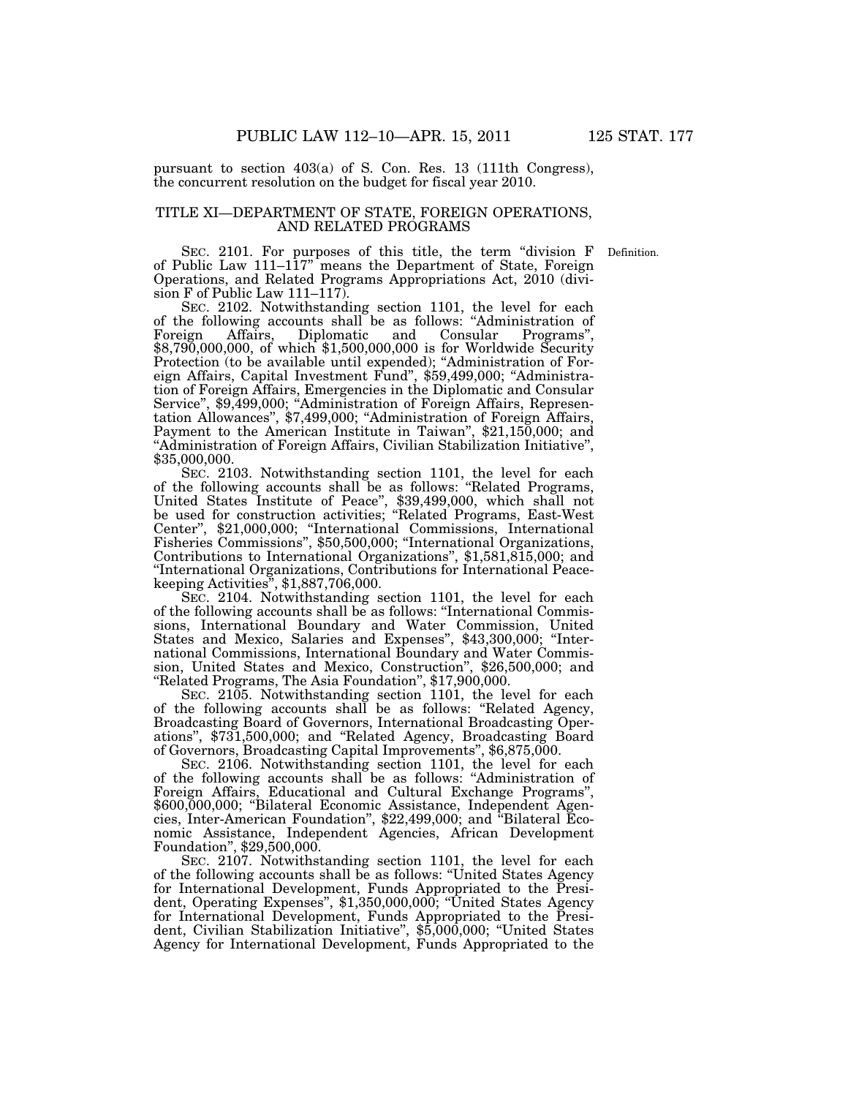pursuant to section 403(a) of S. Con. Res. 13 (111th Congress), the concurrent resolution on the budget for fiscal year 2010.

# TITLE XI—DEPARTMENT OF STATE, FOREIGN OPERATIONS, AND RELATED PROGRAMS

Definition.

SEC. 2101. For purposes of this title, the term "division F of Public Law 111–117'' means the Department of State, Foreign Operations, and Related Programs Appropriations Act, 2010 (division F of Public Law 111–117).

SEC. 2102. Notwithstanding section 1101, the level for each of the following accounts shall be as follows: ''Administration of Foreign Affairs, Diplomatic and Consular Programs'', \$8,790,000,000, of which \$1,500,000,000 is for Worldwide Security Protection (to be available until expended); "Administration of Foreign Affairs, Capital Investment Fund'', \$59,499,000; ''Administration of Foreign Affairs, Emergencies in the Diplomatic and Consular Service'', \$9,499,000; ''Administration of Foreign Affairs, Representation Allowances'', \$7,499,000; ''Administration of Foreign Affairs, Payment to the American Institute in Taiwan'', \$21,150,000; and ''Administration of Foreign Affairs, Civilian Stabilization Initiative'', \$35,000,000.

SEC. 2103. Notwithstanding section 1101, the level for each of the following accounts shall be as follows: ''Related Programs, United States Institute of Peace'', \$39,499,000, which shall not be used for construction activities; ''Related Programs, East-West Center'', \$21,000,000; ''International Commissions, International Fisheries Commissions'', \$50,500,000; ''International Organizations, Contributions to International Organizations'', \$1,581,815,000; and ''International Organizations, Contributions for International Peacekeeping Activities'', \$1,887,706,000.

SEC. 2104. Notwithstanding section 1101, the level for each of the following accounts shall be as follows: ''International Commissions, International Boundary and Water Commission, United States and Mexico, Salaries and Expenses'', \$43,300,000; ''International Commissions, International Boundary and Water Commission, United States and Mexico, Construction'', \$26,500,000; and ''Related Programs, The Asia Foundation'', \$17,900,000.

SEC. 2105. Notwithstanding section 1101, the level for each of the following accounts shall be as follows: ''Related Agency, Broadcasting Board of Governors, International Broadcasting Operations'', \$731,500,000; and ''Related Agency, Broadcasting Board of Governors, Broadcasting Capital Improvements'', \$6,875,000.

SEC. 2106. Notwithstanding section 1101, the level for each of the following accounts shall be as follows: ''Administration of Foreign Affairs, Educational and Cultural Exchange Programs'', \$600,000,000; ''Bilateral Economic Assistance, Independent Agencies, Inter-American Foundation'', \$22,499,000; and ''Bilateral Economic Assistance, Independent Agencies, African Development Foundation'', \$29,500,000.

SEC. 2107. Notwithstanding section 1101, the level for each of the following accounts shall be as follows: ''United States Agency for International Development, Funds Appropriated to the President, Operating Expenses'', \$1,350,000,000; ''United States Agency for International Development, Funds Appropriated to the President, Civilian Stabilization Initiative'', \$5,000,000; ''United States Agency for International Development, Funds Appropriated to the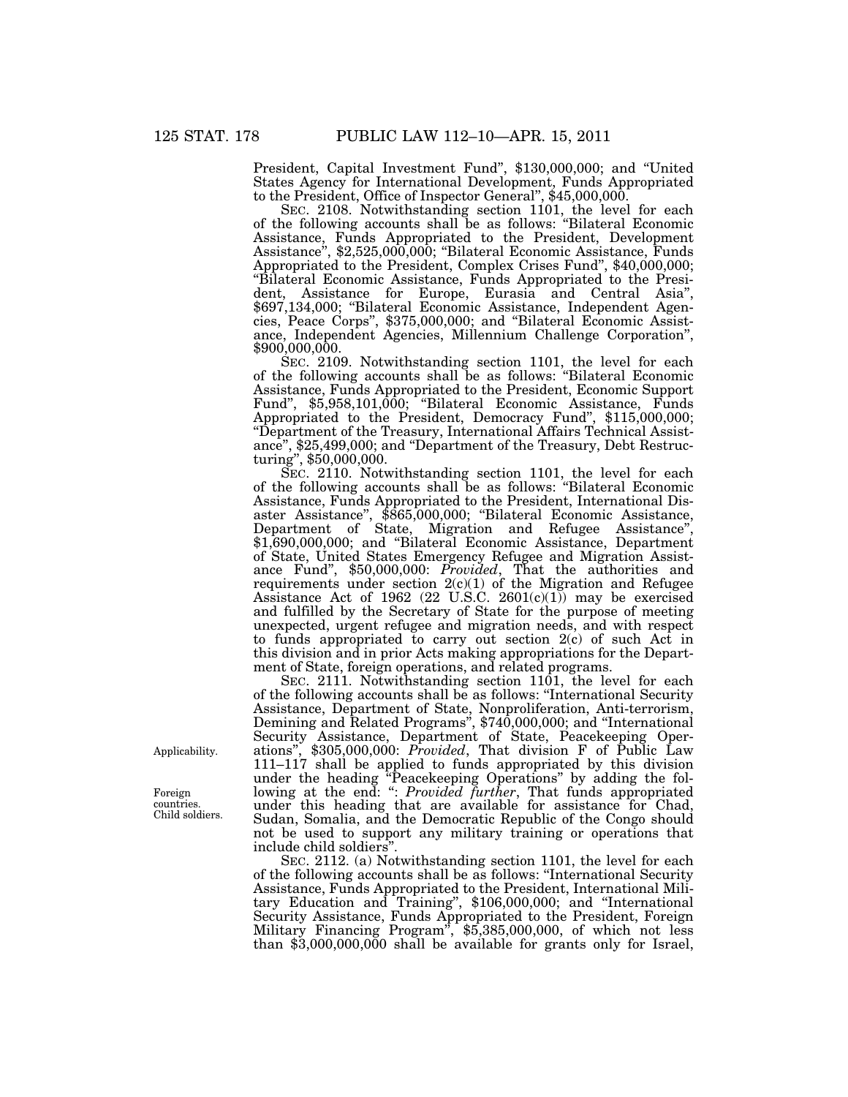President, Capital Investment Fund'', \$130,000,000; and ''United States Agency for International Development, Funds Appropriated to the President, Office of Inspector General'', \$45,000,000.

SEC. 2108. Notwithstanding section 1101, the level for each of the following accounts shall be as follows: ''Bilateral Economic Assistance, Funds Appropriated to the President, Development Assistance", \$2,525,000,000; "Bilateral Economic Assistance, Funds Appropriated to the President, Complex Crises Fund'', \$40,000,000; ''Bilateral Economic Assistance, Funds Appropriated to the President, Assistance for Europe, Eurasia and Central Asia'', \$697,134,000; ''Bilateral Economic Assistance, Independent Agencies, Peace Corps'', \$375,000,000; and ''Bilateral Economic Assistance, Independent Agencies, Millennium Challenge Corporation'', \$900,000,000.

SEC. 2109. Notwithstanding section 1101, the level for each of the following accounts shall be as follows: ''Bilateral Economic Assistance, Funds Appropriated to the President, Economic Support Fund'', \$5,958,101,000; ''Bilateral Economic Assistance, Funds Appropriated to the President, Democracy Fund'', \$115,000,000; ''Department of the Treasury, International Affairs Technical Assistance", \$25,499,000; and "Department of the Treasury, Debt Restructuring'', \$50,000,000.

SEC. 2110. Notwithstanding section 1101, the level for each of the following accounts shall be as follows: ''Bilateral Economic Assistance, Funds Appropriated to the President, International Disaster Assistance'', \$865,000,000; ''Bilateral Economic Assistance, Department of State, Migration and Refugee Assistance'', \$1,690,000,000; and "Bilateral Economic Assistance, Department of State, United States Emergency Refugee and Migration Assistance Fund'', \$50,000,000: *Provided*, That the authorities and requirements under section  $2(c)(1)$  of the Migration and Refugee Assistance Act of 1962  $(22 \text{ U.S.C. } 2601(c)(1))$  may be exercised and fulfilled by the Secretary of State for the purpose of meeting unexpected, urgent refugee and migration needs, and with respect to funds appropriated to carry out section  $2(c)$  of such Act in this division and in prior Acts making appropriations for the Department of State, foreign operations, and related programs.

SEC. 2111. Notwithstanding section 1101, the level for each of the following accounts shall be as follows: ''International Security Assistance, Department of State, Nonproliferation, Anti-terrorism, Demining and Related Programs'', \$740,000,000; and ''International Security Assistance, Department of State, Peacekeeping Operations'', \$305,000,000: *Provided*, That division F of Public Law 111–117 shall be applied to funds appropriated by this division under the heading ''Peacekeeping Operations'' by adding the following at the end: '': *Provided further*, That funds appropriated under this heading that are available for assistance for Chad, Sudan, Somalia, and the Democratic Republic of the Congo should not be used to support any military training or operations that include child soldiers''.

SEC. 2112. (a) Notwithstanding section 1101, the level for each of the following accounts shall be as follows: ''International Security Assistance, Funds Appropriated to the President, International Military Education and Training'', \$106,000,000; and ''International Security Assistance, Funds Appropriated to the President, Foreign Military Financing Program'', \$5,385,000,000, of which not less than \$3,000,000,000 shall be available for grants only for Israel,

Applicability.

Foreign countries. Child soldiers.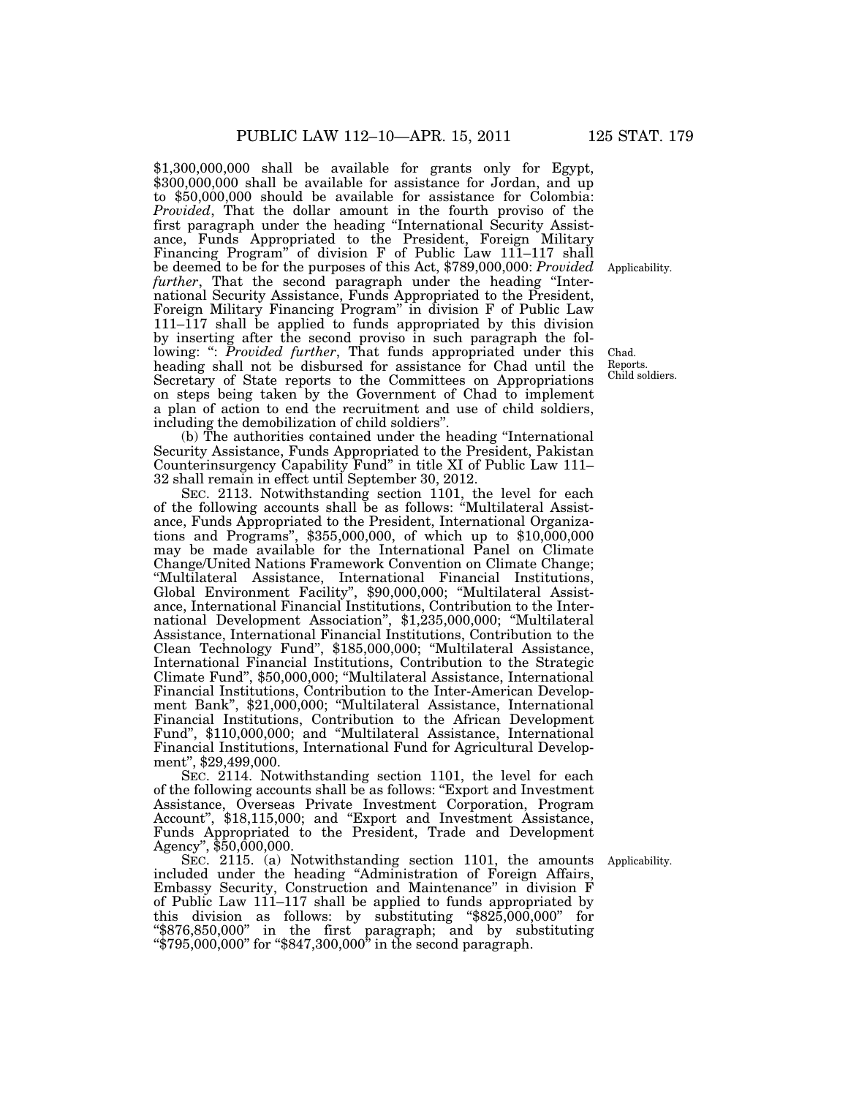\$1,300,000,000 shall be available for grants only for Egypt, \$300,000,000 shall be available for assistance for Jordan, and up to \$50,000,000 should be available for assistance for Colombia: *Provided*, That the dollar amount in the fourth proviso of the first paragraph under the heading ''International Security Assistance, Funds Appropriated to the President, Foreign Military Financing Program" of division F of Public Law 111-117 shall be deemed to be for the purposes of this Act, \$789,000,000: *Provided*  further, That the second paragraph under the heading "International Security Assistance, Funds Appropriated to the President, Foreign Military Financing Program'' in division F of Public Law 111–117 shall be applied to funds appropriated by this division by inserting after the second proviso in such paragraph the following: ": *Provided further*, That funds appropriated under this heading shall not be disbursed for assistance for Chad until the Secretary of State reports to the Committees on Appropriations on steps being taken by the Government of Chad to implement a plan of action to end the recruitment and use of child soldiers, including the demobilization of child soldiers''.

(b) The authorities contained under the heading ''International Security Assistance, Funds Appropriated to the President, Pakistan Counterinsurgency Capability Fund'' in title XI of Public Law 111– 32 shall remain in effect until September 30, 2012.

SEC. 2113. Notwithstanding section 1101, the level for each of the following accounts shall be as follows: ''Multilateral Assistance, Funds Appropriated to the President, International Organizations and Programs'', \$355,000,000, of which up to \$10,000,000 may be made available for the International Panel on Climate Change/United Nations Framework Convention on Climate Change; ''Multilateral Assistance, International Financial Institutions, Global Environment Facility'', \$90,000,000; ''Multilateral Assistance, International Financial Institutions, Contribution to the International Development Association'', \$1,235,000,000; ''Multilateral Assistance, International Financial Institutions, Contribution to the Clean Technology Fund'', \$185,000,000; ''Multilateral Assistance, International Financial Institutions, Contribution to the Strategic Climate Fund'', \$50,000,000; ''Multilateral Assistance, International Financial Institutions, Contribution to the Inter-American Development Bank'', \$21,000,000; ''Multilateral Assistance, International Financial Institutions, Contribution to the African Development Fund'', \$110,000,000; and ''Multilateral Assistance, International Financial Institutions, International Fund for Agricultural Development'', \$29,499,000.

SEC. 2114. Notwithstanding section 1101, the level for each of the following accounts shall be as follows: ''Export and Investment Assistance, Overseas Private Investment Corporation, Program Account'', \$18,115,000; and ''Export and Investment Assistance, Funds Appropriated to the President, Trade and Development Agency'', \$50,000,000.

SEC. 2115. (a) Notwithstanding section 1101, the amounts included under the heading ''Administration of Foreign Affairs, Embassy Security, Construction and Maintenance'' in division F of Public Law 111–117 shall be applied to funds appropriated by this division as follows: by substituting ''\$825,000,000'' for ''\$876,850,000'' in the first paragraph; and by substituting "\$795,000,000" for "\$847,300,000" in the second paragraph.

Applicability.

Chad. Reports. Child soldiers.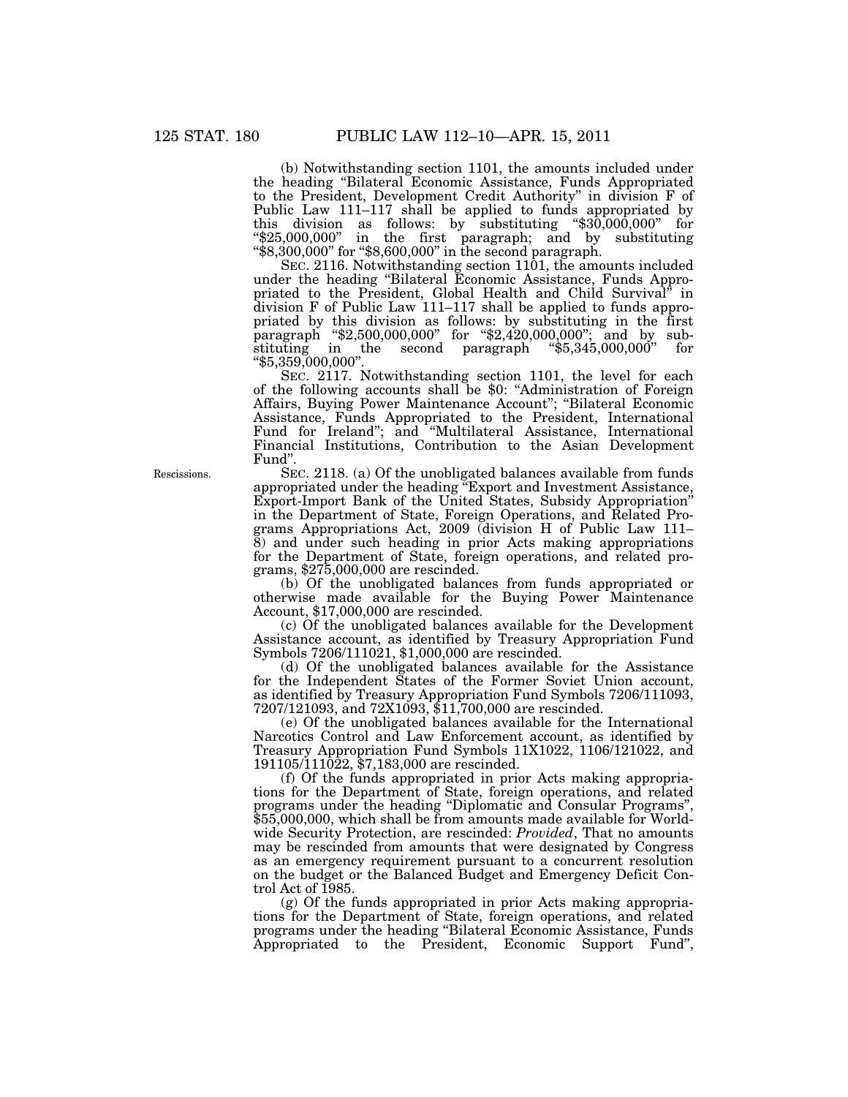(b) Notwithstanding section 1101, the amounts included under the heading ''Bilateral Economic Assistance, Funds Appropriated to the President, Development Credit Authority'' in division F of Public Law 111–117 shall be applied to funds appropriated by this division as follows: by substituting " $$30,000,000$ " for ''\$25,000,000'' in the first paragraph; and by substituting ''\$8,300,000'' for ''\$8,600,000'' in the second paragraph.

SEC. 2116. Notwithstanding section 1101, the amounts included under the heading ''Bilateral Economic Assistance, Funds Appropriated to the President, Global Health and Child Survival'' in division F of Public Law 111–117 shall be applied to funds appropriated by this division as follows: by substituting in the first paragraph ''\$2,500,000,000'' for ''\$2,420,000,000''; and by substituting in the second paragraph ''\$5,345,000,000'' for ''\$5,359,000,000''.

SEC. 2117. Notwithstanding section 1101, the level for each of the following accounts shall be \$0: ''Administration of Foreign Affairs, Buying Power Maintenance Account''; ''Bilateral Economic Assistance, Funds Appropriated to the President, International Fund for Ireland''; and ''Multilateral Assistance, International Financial Institutions, Contribution to the Asian Development Fund''.

SEC. 2118. (a) Of the unobligated balances available from funds appropriated under the heading ''Export and Investment Assistance, Export-Import Bank of the United States, Subsidy Appropriation'' in the Department of State, Foreign Operations, and Related Programs Appropriations Act, 2009 (division H of Public Law 111– 8) and under such heading in prior Acts making appropriations for the Department of State, foreign operations, and related programs, \$275,000,000 are rescinded.

(b) Of the unobligated balances from funds appropriated or otherwise made available for the Buying Power Maintenance Account, \$17,000,000 are rescinded.

(c) Of the unobligated balances available for the Development Assistance account, as identified by Treasury Appropriation Fund Symbols 7206/111021, \$1,000,000 are rescinded.

(d) Of the unobligated balances available for the Assistance for the Independent States of the Former Soviet Union account, as identified by Treasury Appropriation Fund Symbols 7206/111093, 7207/121093, and 72X1093, \$11,700,000 are rescinded.

(e) Of the unobligated balances available for the International Narcotics Control and Law Enforcement account, as identified by Treasury Appropriation Fund Symbols 11X1022, 1106/121022, and 191105/111022, \$7,183,000 are rescinded.

(f) Of the funds appropriated in prior Acts making appropriations for the Department of State, foreign operations, and related programs under the heading ''Diplomatic and Consular Programs'', \$55,000,000, which shall be from amounts made available for Worldwide Security Protection, are rescinded: *Provided*, That no amounts may be rescinded from amounts that were designated by Congress as an emergency requirement pursuant to a concurrent resolution on the budget or the Balanced Budget and Emergency Deficit Control Act of 1985.

(g) Of the funds appropriated in prior Acts making appropriations for the Department of State, foreign operations, and related programs under the heading ''Bilateral Economic Assistance, Funds Appropriated to the President, Economic Support Fund'',

Rescissions.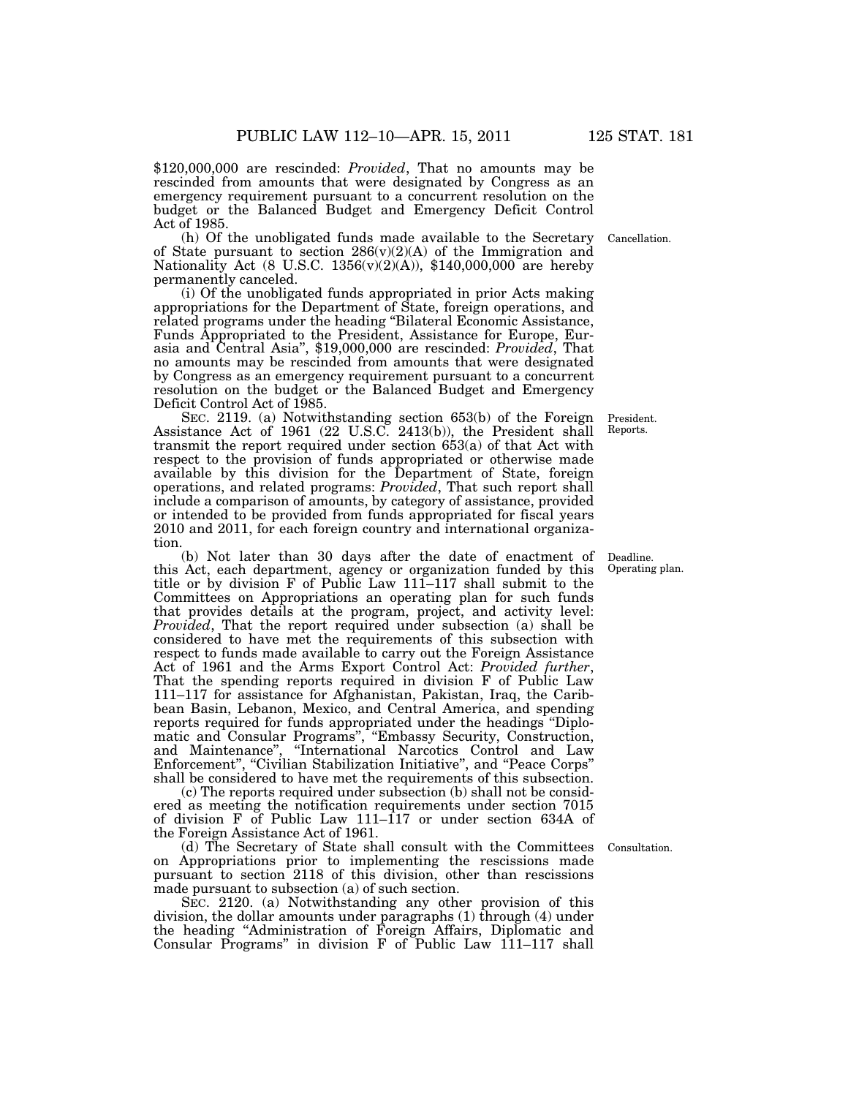\$120,000,000 are rescinded: *Provided*, That no amounts may be rescinded from amounts that were designated by Congress as an emergency requirement pursuant to a concurrent resolution on the budget or the Balanced Budget and Emergency Deficit Control Act of 1985.

(h) Of the unobligated funds made available to the Secretary of State pursuant to section  $286(v)(2)(A)$  of the Immigration and Nationality Act (8 U.S.C. 1356(v)(2)(A)), \$140,000,000 are hereby permanently canceled.

(i) Of the unobligated funds appropriated in prior Acts making appropriations for the Department of State, foreign operations, and related programs under the heading ''Bilateral Economic Assistance, Funds Appropriated to the President, Assistance for Europe, Eurasia and Central Asia'', \$19,000,000 are rescinded: *Provided*, That no amounts may be rescinded from amounts that were designated by Congress as an emergency requirement pursuant to a concurrent resolution on the budget or the Balanced Budget and Emergency Deficit Control Act of 1985.

SEC. 2119. (a) Notwithstanding section 653(b) of the Foreign Assistance Act of 1961 (22 U.S.C. 2413(b)), the President shall transmit the report required under section 653(a) of that Act with respect to the provision of funds appropriated or otherwise made available by this division for the Department of State, foreign operations, and related programs: *Provided*, That such report shall include a comparison of amounts, by category of assistance, provided or intended to be provided from funds appropriated for fiscal years 2010 and 2011, for each foreign country and international organization.

(b) Not later than 30 days after the date of enactment of this Act, each department, agency or organization funded by this title or by division F of Public Law 111–117 shall submit to the Committees on Appropriations an operating plan for such funds that provides details at the program, project, and activity level: *Provided*, That the report required under subsection (a) shall be considered to have met the requirements of this subsection with respect to funds made available to carry out the Foreign Assistance Act of 1961 and the Arms Export Control Act: *Provided further*, That the spending reports required in division F of Public Law 111–117 for assistance for Afghanistan, Pakistan, Iraq, the Caribbean Basin, Lebanon, Mexico, and Central America, and spending reports required for funds appropriated under the headings ''Diplomatic and Consular Programs'', ''Embassy Security, Construction, and Maintenance'', ''International Narcotics Control and Law Enforcement", "Civilian Stabilization Initiative", and "Peace Corps" shall be considered to have met the requirements of this subsection.

(c) The reports required under subsection (b) shall not be considered as meeting the notification requirements under section 7015 of division F of Public Law 111–117 or under section 634A of the Foreign Assistance Act of 1961.

(d) The Secretary of State shall consult with the Committees on Appropriations prior to implementing the rescissions made pursuant to section 2118 of this division, other than rescissions made pursuant to subsection (a) of such section.

SEC. 2120. (a) Notwithstanding any other provision of this division, the dollar amounts under paragraphs (1) through (4) under the heading ''Administration of Foreign Affairs, Diplomatic and Consular Programs'' in division F of Public Law 111–117 shall

Cancellation.

President. Reports.

Deadline. Operating plan.

Consultation.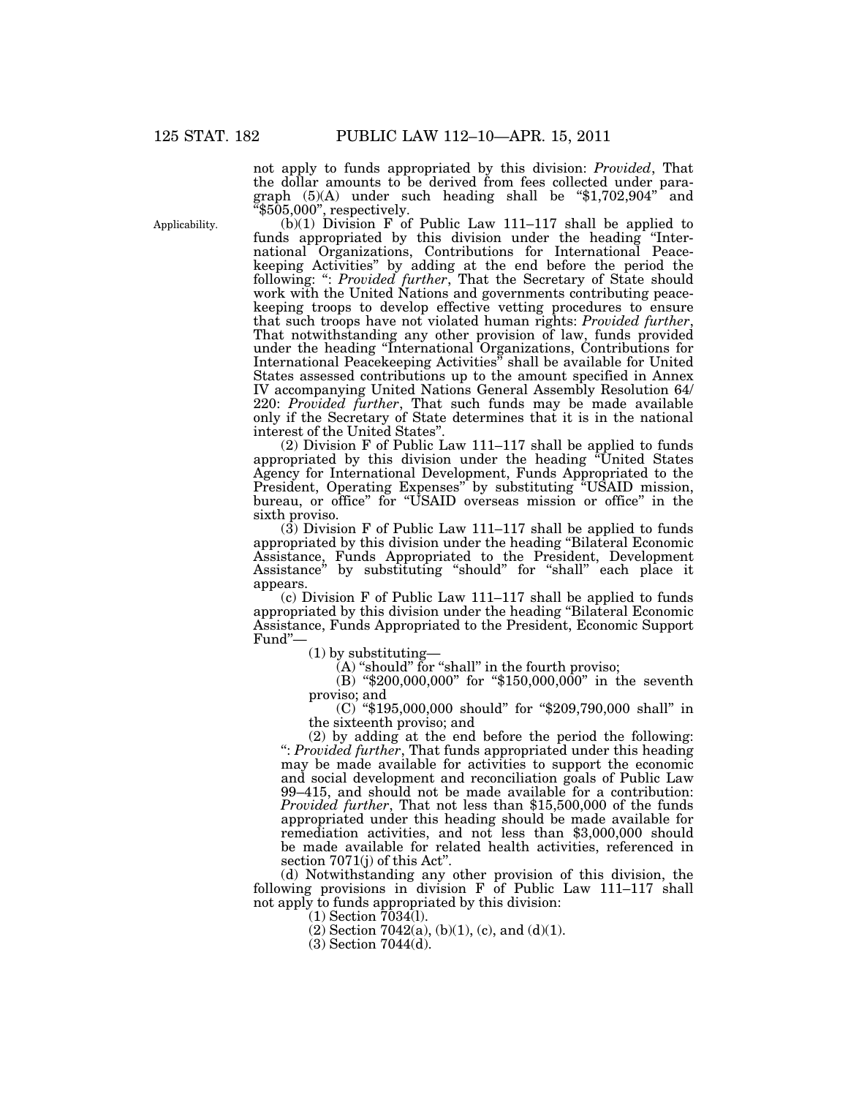Applicability.

not apply to funds appropriated by this division: *Provided*, That the dollar amounts to be derived from fees collected under paragraph  $(5)(A)$  under such heading shall be "\$1,702,904" and  $"§505,000"$ , respectively.

(b)(1) Division F of Public Law 111–117 shall be applied to funds appropriated by this division under the heading "International Organizations, Contributions for International Peacekeeping Activities'' by adding at the end before the period the following: '': *Provided further*, That the Secretary of State should work with the United Nations and governments contributing peacekeeping troops to develop effective vetting procedures to ensure that such troops have not violated human rights: *Provided further*, That notwithstanding any other provision of law, funds provided under the heading ''International Organizations, Contributions for International Peacekeeping Activities'' shall be available for United States assessed contributions up to the amount specified in Annex IV accompanying United Nations General Assembly Resolution 64/ 220: *Provided further*, That such funds may be made available only if the Secretary of State determines that it is in the national interest of the United States''.

(2) Division F of Public Law 111–117 shall be applied to funds appropriated by this division under the heading ''United States Agency for International Development, Funds Appropriated to the President, Operating Expenses" by substituting "USAID mission, bureau, or office'' for ''USAID overseas mission or office'' in the sixth proviso.

 $(3)$  Division F of Public Law 111–117 shall be applied to funds appropriated by this division under the heading ''Bilateral Economic Assistance, Funds Appropriated to the President, Development Assistance'' by substituting ''should'' for ''shall'' each place it appears.

(c) Division F of Public Law 111–117 shall be applied to funds appropriated by this division under the heading ''Bilateral Economic Assistance, Funds Appropriated to the President, Economic Support Fund''—

(1) by substituting—

 $(A)$  "should" for "shall" in the fourth proviso;

(B) "\$200,000,000" for "\$150,000,000" in the seventh proviso; and

(C) ''\$195,000,000 should'' for ''\$209,790,000 shall'' in the sixteenth proviso; and

(2) by adding at the end before the period the following: '': *Provided further*, That funds appropriated under this heading may be made available for activities to support the economic and social development and reconciliation goals of Public Law 99–415, and should not be made available for a contribution: *Provided further*, That not less than \$15,500,000 of the funds appropriated under this heading should be made available for remediation activities, and not less than \$3,000,000 should be made available for related health activities, referenced in section 7071(j) of this Act''.

(d) Notwithstanding any other provision of this division, the following provisions in division  $\overline{F}$  of Public Law 111–117 shall not apply to funds appropriated by this division:

(1) Section 7034(l).

 $(2)$  Section 7042(a), (b)(1), (c), and (d)(1).

(3) Section 7044(d).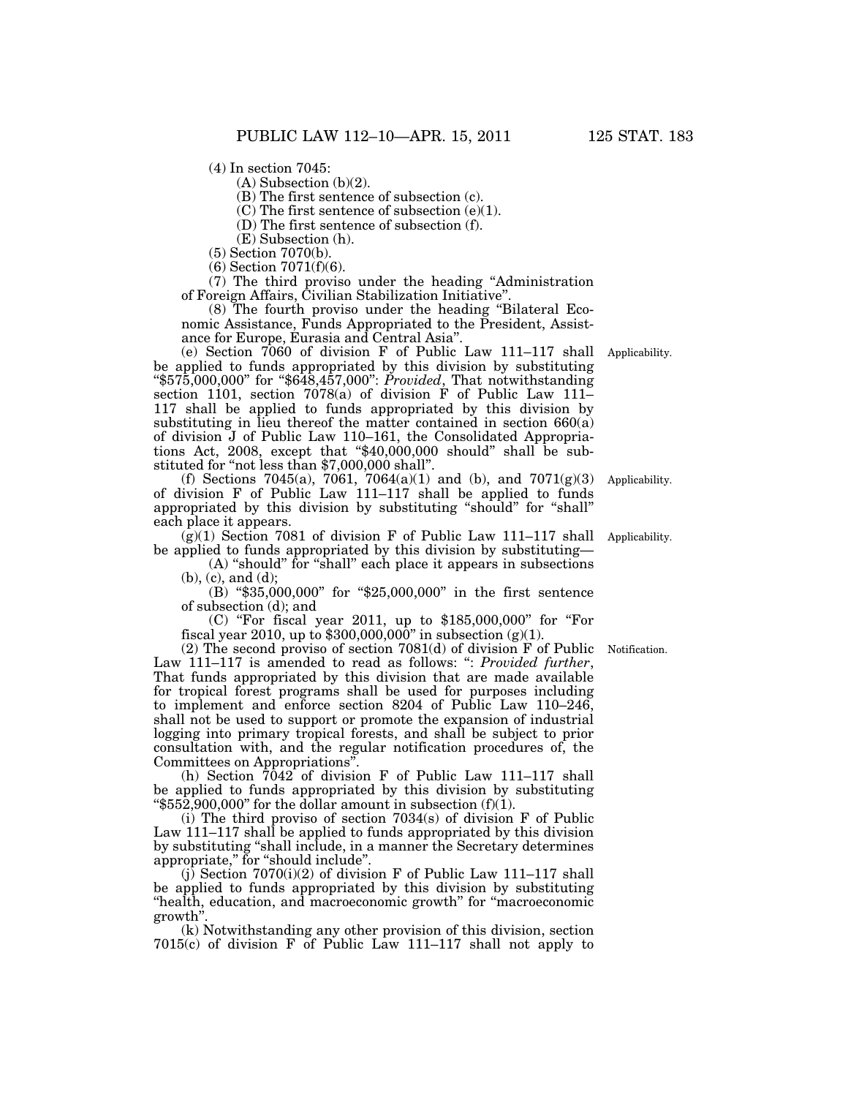(4) In section 7045:

 $(A)$  Subsection  $(b)(2)$ .

(B) The first sentence of subsection (c).

(C) The first sentence of subsection (e)(1).

(D) The first sentence of subsection (f).

(E) Subsection (h).

(5) Section 7070(b).

(6) Section 7071(f)(6).

(7) The third proviso under the heading ''Administration of Foreign Affairs, Civilian Stabilization Initiative''.

(8) The fourth proviso under the heading ''Bilateral Economic Assistance, Funds Appropriated to the President, Assistance for Europe, Eurasia and Central Asia''.

(e) Section 7060 of division F of Public Law 111–117 shall Applicability. be applied to funds appropriated by this division by substituting ''\$575,000,000'' for ''\$648,457,000'': *Provided*, That notwithstanding section 1101, section 7078(a) of division F of Public Law 111– 117 shall be applied to funds appropriated by this division by substituting in lieu thereof the matter contained in section  $660(a)$ of division J of Public Law 110–161, the Consolidated Appropriations Act, 2008, except that  $\text{\textdegree$40,000,000}$  should" shall be substituted for "not less than \$7,000,000 shall".

(f) Sections 7045(a), 7061, 7064(a)(1) and (b), and 7071(g)(3) of division F of Public Law 111–117 shall be applied to funds appropriated by this division by substituting ''should'' for ''shall'' each place it appears.

 $(g)(1)$  Section 7081 of division F of Public Law 111–117 shall Applicability. be applied to funds appropriated by this division by substituting—

(A) "should" for "shall" each place it appears in subsections (b), (c), and (d);

(B) "\$35,000,000" for "\$25,000,000" in the first sentence of subsection (d); and

(C) ''For fiscal year 2011, up to \$185,000,000'' for ''For fiscal year 2010, up to  $$300,000,000"$  in subsection (g)(1).

(2) The second proviso of section 7081(d) of division F of Public Notification. Law 111–117 is amended to read as follows: '': *Provided further*, That funds appropriated by this division that are made available for tropical forest programs shall be used for purposes including to implement and enforce section 8204 of Public Law 110–246, shall not be used to support or promote the expansion of industrial logging into primary tropical forests, and shall be subject to prior consultation with, and the regular notification procedures of, the Committees on Appropriations''.

(h) Section  $7042$  of division F of Public Law 111–117 shall be applied to funds appropriated by this division by substituting " $$552,900,000$ " for the dollar amount in subsection (f)(1).

(i) The third proviso of section 7034(s) of division F of Public Law 111–117 shall be applied to funds appropriated by this division by substituting ''shall include, in a manner the Secretary determines appropriate," for "should include".

(j) Section 7070(i)(2) of division F of Public Law 111–117 shall be applied to funds appropriated by this division by substituting ''health, education, and macroeconomic growth'' for ''macroeconomic growth''.

(k) Notwithstanding any other provision of this division, section 7015(c) of division F of Public Law 111–117 shall not apply to

Applicability.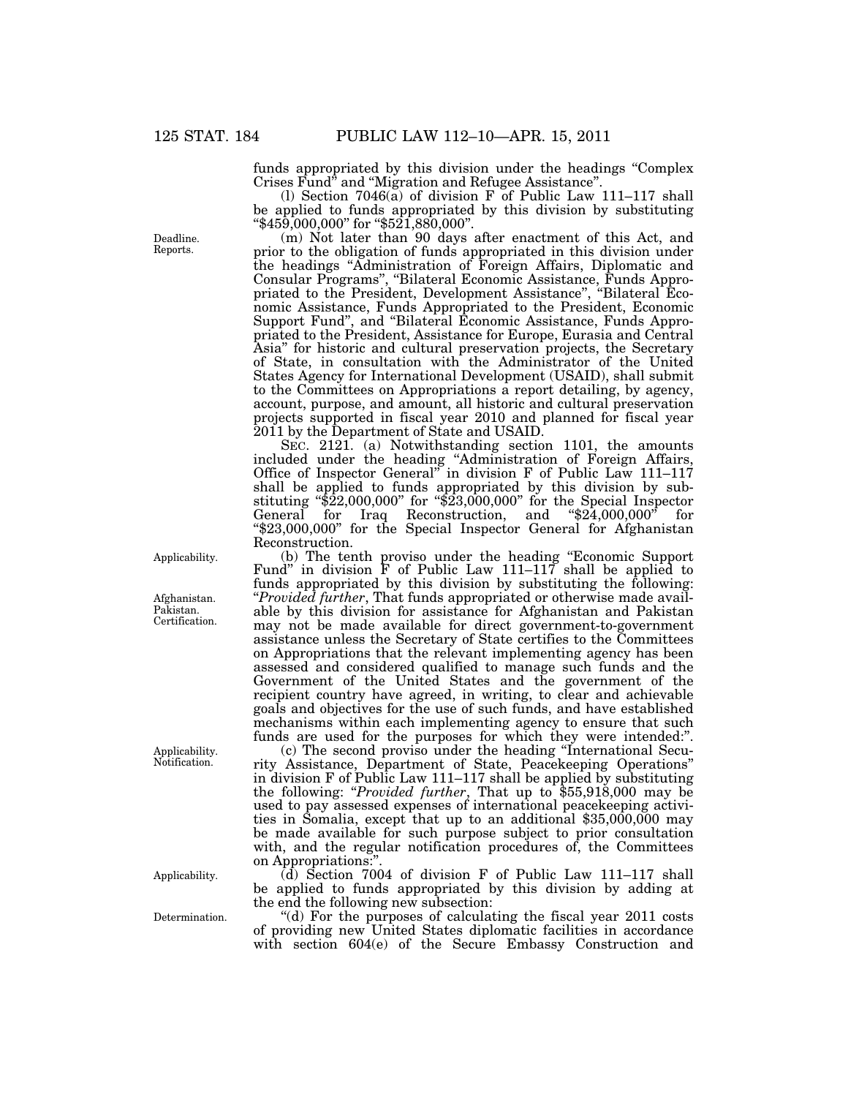funds appropriated by this division under the headings ''Complex Crises Fund'' and ''Migration and Refugee Assistance''.

(l) Section 7046(a) of division F of Public Law 111–117 shall be applied to funds appropriated by this division by substituting ''\$459,000,000'' for ''\$521,880,000''.

(m) Not later than 90 days after enactment of this Act, and prior to the obligation of funds appropriated in this division under the headings ''Administration of Foreign Affairs, Diplomatic and Consular Programs'', ''Bilateral Economic Assistance, Funds Appropriated to the President, Development Assistance'', ''Bilateral Economic Assistance, Funds Appropriated to the President, Economic Support Fund'', and ''Bilateral Economic Assistance, Funds Appropriated to the President, Assistance for Europe, Eurasia and Central Asia'' for historic and cultural preservation projects, the Secretary of State, in consultation with the Administrator of the United States Agency for International Development (USAID), shall submit to the Committees on Appropriations a report detailing, by agency, account, purpose, and amount, all historic and cultural preservation projects supported in fiscal year 2010 and planned for fiscal year 2011 by the Department of State and USAID.

SEC. 2121. (a) Notwithstanding section 1101, the amounts included under the heading ''Administration of Foreign Affairs, Office of Inspector General'' in division F of Public Law 111–117 shall be applied to funds appropriated by this division by substituting " $$2,000,000$ " for " $$2,000,000$ " for the Special Inspector General for Iraq Reconstruction, and ''\$24,000,000'' for ''\$23,000,000'' for the Special Inspector General for Afghanistan Reconstruction.

(b) The tenth proviso under the heading ''Economic Support Fund'' in division F of Public Law 111–117 shall be applied to funds appropriated by this division by substituting the following: ''*Provided further*, That funds appropriated or otherwise made available by this division for assistance for Afghanistan and Pakistan may not be made available for direct government-to-government assistance unless the Secretary of State certifies to the Committees on Appropriations that the relevant implementing agency has been assessed and considered qualified to manage such funds and the Government of the United States and the government of the recipient country have agreed, in writing, to clear and achievable goals and objectives for the use of such funds, and have established mechanisms within each implementing agency to ensure that such funds are used for the purposes for which they were intended:''.

(c) The second proviso under the heading ''International Security Assistance, Department of State, Peacekeeping Operations'' in division F of Public Law 111–117 shall be applied by substituting the following: ''*Provided further*, That up to \$55,918,000 may be used to pay assessed expenses of international peacekeeping activities in Somalia, except that up to an additional \$35,000,000 may be made available for such purpose subject to prior consultation with, and the regular notification procedures of, the Committees on Appropriations:''.

 $(d)$  Section 7004 of division F of Public Law 111–117 shall be applied to funds appropriated by this division by adding at the end the following new subsection:

''(d) For the purposes of calculating the fiscal year 2011 costs of providing new United States diplomatic facilities in accordance with section 604(e) of the Secure Embassy Construction and

Deadline. Reports.

Applicability.

Afghanistan. Pakistan. Certification.

Applicability. Notification.

Applicability.

Determination.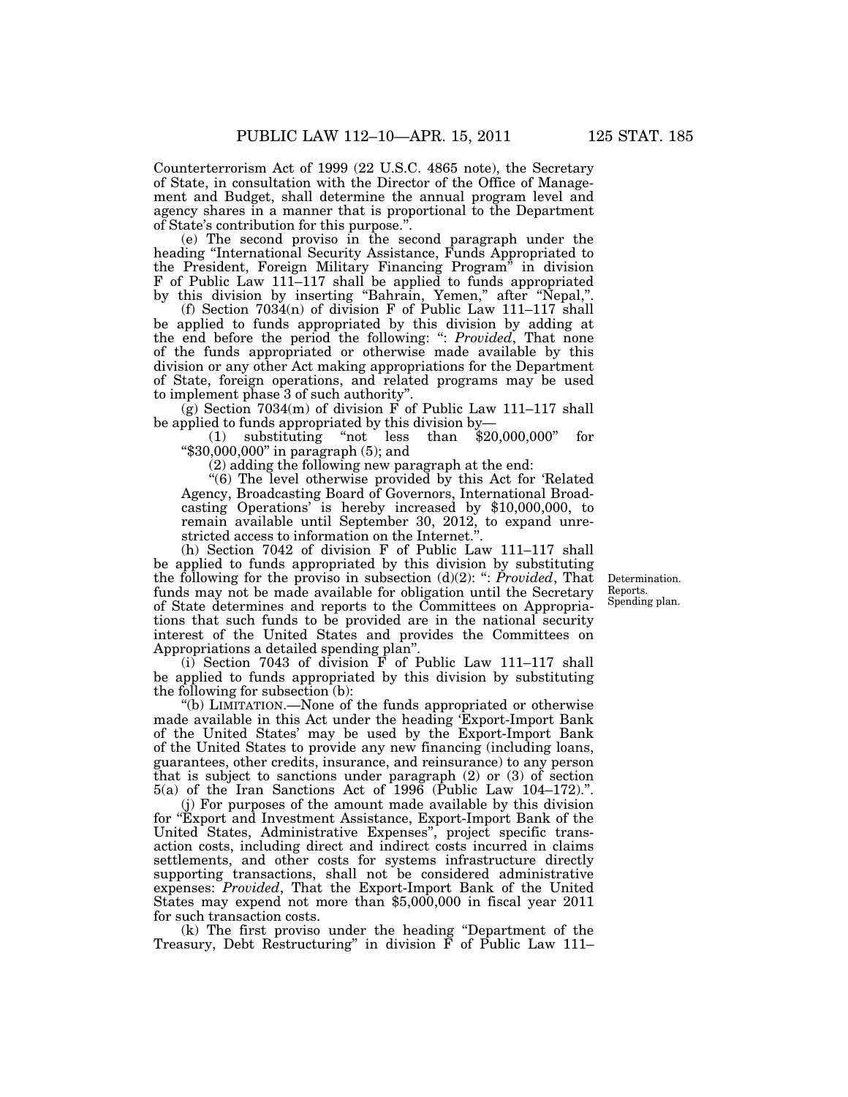Counterterrorism Act of 1999 (22 U.S.C. 4865 note), the Secretary of State, in consultation with the Director of the Office of Management and Budget, shall determine the annual program level and agency shares in a manner that is proportional to the Department of State's contribution for this purpose.''.

(e) The second proviso in the second paragraph under the heading ''International Security Assistance, Funds Appropriated to the President, Foreign Military Financing Program'' in division F of Public Law 111–117 shall be applied to funds appropriated by this division by inserting "Bahrain, Yemen," after "Nepal,".

(f) Section 7034(n) of division F of Public Law 111–117 shall be applied to funds appropriated by this division by adding at the end before the period the following: '': *Provided*, That none of the funds appropriated or otherwise made available by this division or any other Act making appropriations for the Department of State, foreign operations, and related programs may be used to implement phase 3 of such authority''.

 $(\hat{g})$  Section 7034(m) of division F of Public Law 111-117 shall be applied to funds appropriated by this division by—<br>(1) substituting "not less than \$20,000,000"

 $(1)$  substituting "not less than \$20,000,000" for ''\$30,000,000'' in paragraph (5); and

(2) adding the following new paragraph at the end:

''(6) The level otherwise provided by this Act for 'Related Agency, Broadcasting Board of Governors, International Broadcasting Operations' is hereby increased by \$10,000,000, to remain available until September 30, 2012, to expand unrestricted access to information on the Internet.''.

(h) Section 7042 of division F of Public Law 111–117 shall be applied to funds appropriated by this division by substituting the following for the proviso in subsection  $(d)(2)$ : ": *Provided*, That funds may not be made available for obligation until the Secretary of State determines and reports to the Committees on Appropriations that such funds to be provided are in the national security interest of the United States and provides the Committees on Appropriations a detailed spending plan''.

(i) Section 7043 of division  $\overrightarrow{F}$  of Public Law 111–117 shall be applied to funds appropriated by this division by substituting the following for subsection (b):

''(b) LIMITATION.—None of the funds appropriated or otherwise made available in this Act under the heading 'Export-Import Bank of the United States' may be used by the Export-Import Bank of the United States to provide any new financing (including loans, guarantees, other credits, insurance, and reinsurance) to any person that is subject to sanctions under paragraph (2) or (3) of section 5(a) of the Iran Sanctions Act of 1996 (Public Law 104–172).''.

(j) For purposes of the amount made available by this division for ''Export and Investment Assistance, Export-Import Bank of the United States, Administrative Expenses'', project specific transaction costs, including direct and indirect costs incurred in claims settlements, and other costs for systems infrastructure directly supporting transactions, shall not be considered administrative expenses: *Provided*, That the Export-Import Bank of the United States may expend not more than \$5,000,000 in fiscal year 2011 for such transaction costs.

(k) The first proviso under the heading ''Department of the Treasury, Debt Restructuring" in division  $\tilde{F}$  of Public Law 111-

Determination. Reports. Spending plan.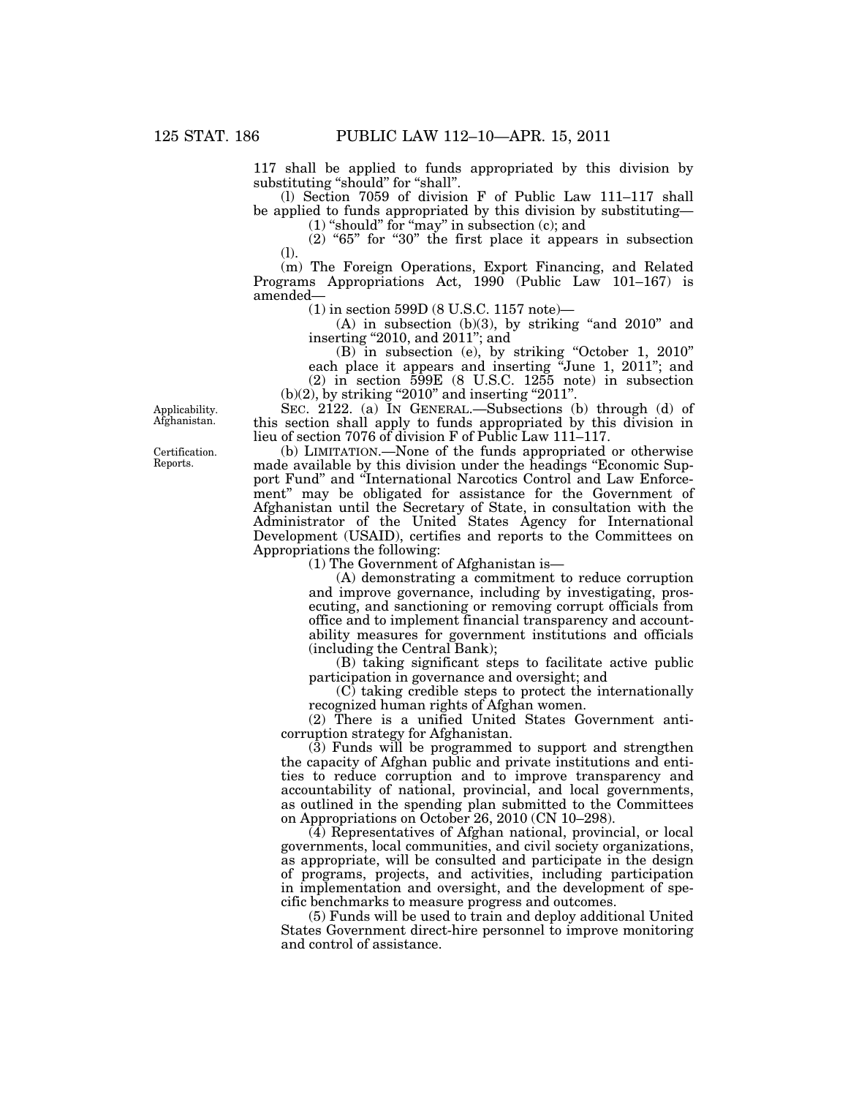117 shall be applied to funds appropriated by this division by substituting "should" for "shall".

(l) Section 7059 of division F of Public Law 111–117 shall be applied to funds appropriated by this division by substituting—

 $(1)$  "should" for "may" in subsection  $(c)$ ; and

 $(2)$  "65" for "30" the first place it appears in subsection (l).

(m) The Foreign Operations, Export Financing, and Related Programs Appropriations Act, 1990 (Public Law 101–167) is amended—

(1) in section 599D (8 U.S.C. 1157 note)—

(A) in subsection  $(b)(3)$ , by striking "and  $2010$ " and inserting "2010, and 2011"; and

(B) in subsection (e), by striking ''October 1, 2010'' each place it appears and inserting "June 1, 2011"; and (2) in section 599E (8 U.S.C. 1255 note) in subsection  $(b)(2)$ , by striking "2010" and inserting "2011".

SEC. 2122. (a) IN GENERAL.—Subsections (b) through (d) of this section shall apply to funds appropriated by this division in lieu of section 7076 of division F of Public Law 111–117.

(b) LIMITATION.—None of the funds appropriated or otherwise made available by this division under the headings "Economic Support Fund'' and ''International Narcotics Control and Law Enforcement" may be obligated for assistance for the Government of Afghanistan until the Secretary of State, in consultation with the Administrator of the United States Agency for International Development (USAID), certifies and reports to the Committees on Appropriations the following:

(1) The Government of Afghanistan is—

(A) demonstrating a commitment to reduce corruption and improve governance, including by investigating, prosecuting, and sanctioning or removing corrupt officials from office and to implement financial transparency and accountability measures for government institutions and officials (including the Central Bank);

(B) taking significant steps to facilitate active public participation in governance and oversight; and

(C) taking credible steps to protect the internationally recognized human rights of Afghan women.

(2) There is a unified United States Government anticorruption strategy for Afghanistan.

(3) Funds will be programmed to support and strengthen the capacity of Afghan public and private institutions and entities to reduce corruption and to improve transparency and accountability of national, provincial, and local governments, as outlined in the spending plan submitted to the Committees on Appropriations on October 26, 2010 (CN 10–298).

(4) Representatives of Afghan national, provincial, or local governments, local communities, and civil society organizations, as appropriate, will be consulted and participate in the design of programs, projects, and activities, including participation in implementation and oversight, and the development of specific benchmarks to measure progress and outcomes.

 $(5)$  Funds will be used to train and deploy additional United States Government direct-hire personnel to improve monitoring and control of assistance.

Applicability. Afghanistan.

Certification. Reports.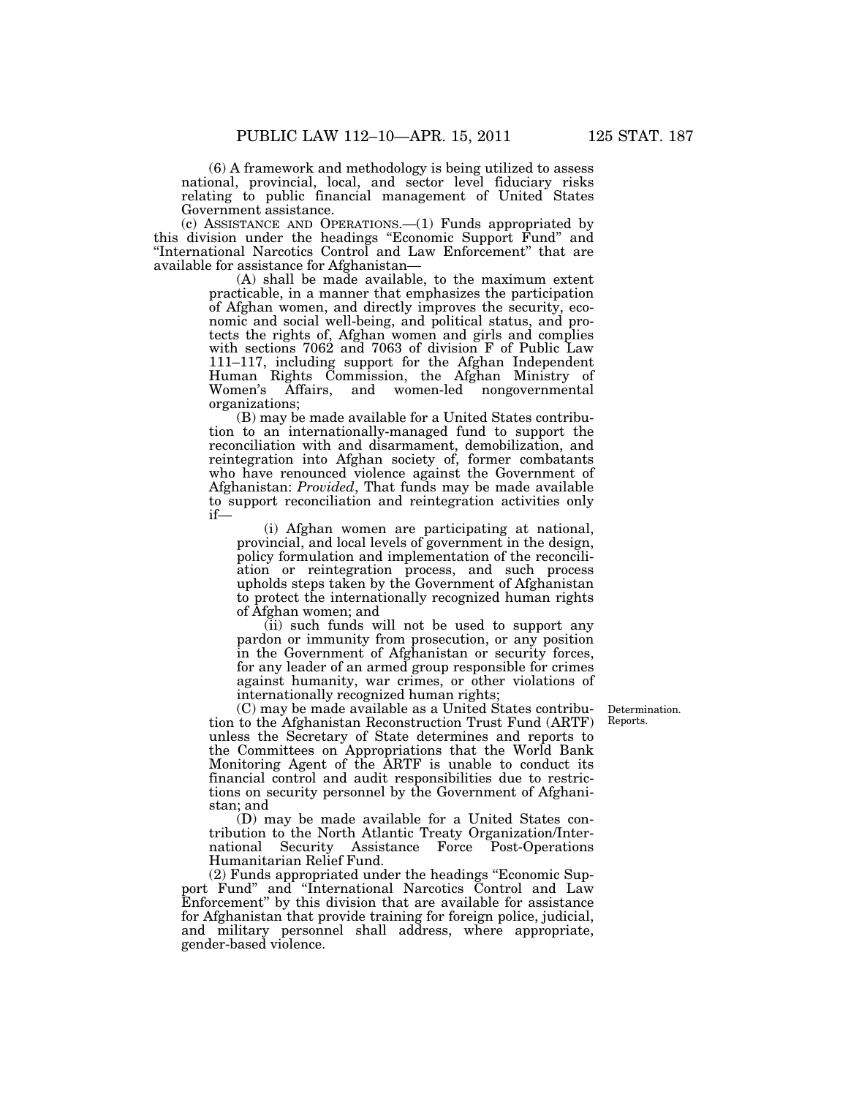(6) A framework and methodology is being utilized to assess national, provincial, local, and sector level fiduciary risks relating to public financial management of United States Government assistance.

(c) ASSISTANCE AND OPERATIONS.—(1) Funds appropriated by this division under the headings ''Economic Support Fund'' and ''International Narcotics Control and Law Enforcement'' that are available for assistance for Afghanistan—

(A) shall be made available, to the maximum extent practicable, in a manner that emphasizes the participation of Afghan women, and directly improves the security, economic and social well-being, and political status, and protects the rights of, Afghan women and girls and complies with sections 7062 and 7063 of division F of Public Law 111–117, including support for the Afghan Independent Human Rights Commission, the Afghan Ministry of Women's Affairs, and women-led nongovernmental organizations;

(B) may be made available for a United States contribution to an internationally-managed fund to support the reconciliation with and disarmament, demobilization, and reintegration into Afghan society of, former combatants who have renounced violence against the Government of Afghanistan: *Provided*, That funds may be made available to support reconciliation and reintegration activities only if—

(i) Afghan women are participating at national, provincial, and local levels of government in the design, policy formulation and implementation of the reconciliation or reintegration process, and such process upholds steps taken by the Government of Afghanistan to protect the internationally recognized human rights of Afghan women; and

(ii) such funds will not be used to support any pardon or immunity from prosecution, or any position in the Government of Afghanistan or security forces, for any leader of an armed group responsible for crimes against humanity, war crimes, or other violations of internationally recognized human rights;

(C) may be made available as a United States contribution to the Afghanistan Reconstruction Trust Fund (ARTF) unless the Secretary of State determines and reports to the Committees on Appropriations that the World Bank Monitoring Agent of the ARTF is unable to conduct its financial control and audit responsibilities due to restrictions on security personnel by the Government of Afghanistan; and

(D) may be made available for a United States contribution to the North Atlantic Treaty Organization/International Security Assistance Force Post-Operations Humanitarian Relief Fund.

(2) Funds appropriated under the headings ''Economic Support Fund'' and ''International Narcotics Control and Law Enforcement'' by this division that are available for assistance for Afghanistan that provide training for foreign police, judicial, and military personnel shall address, where appropriate, gender-based violence.

Determination. Reports.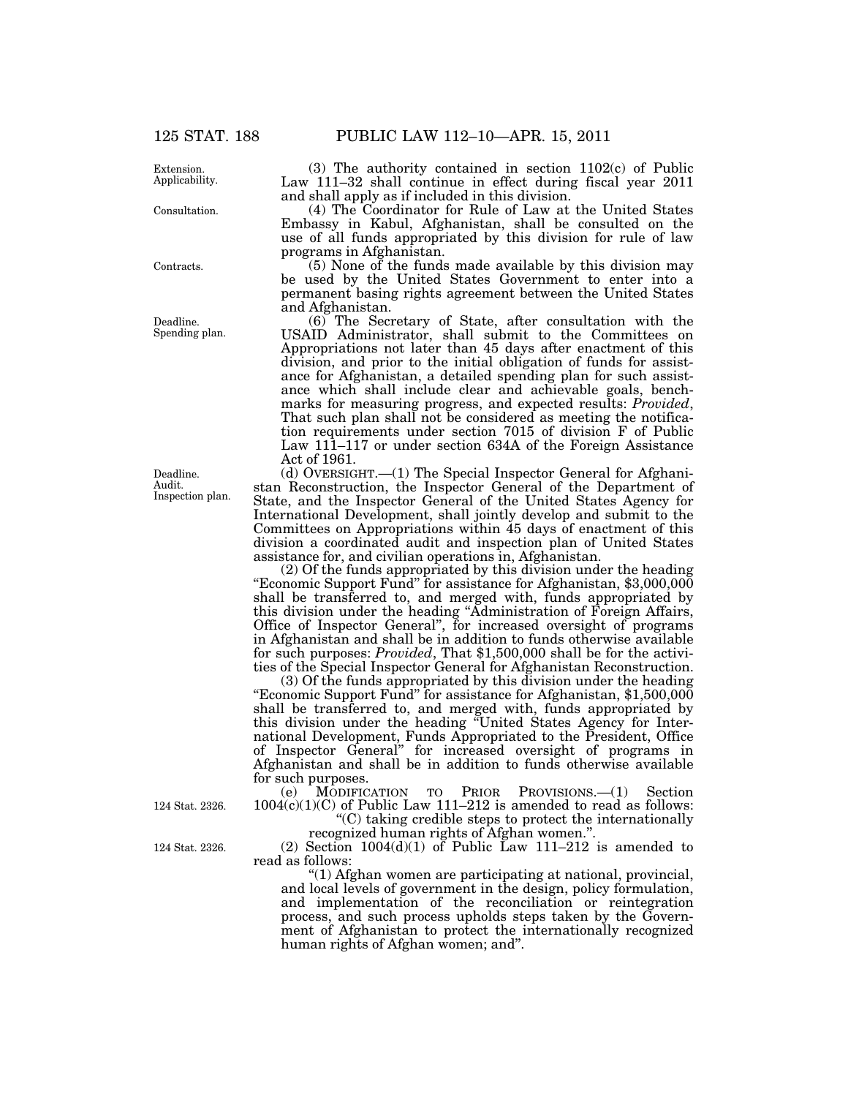**Extension** Applicability.

Consultation.

Contracts.

Deadline. Spending plan.

Deadline. Audit. Inspection plan.

124 Stat. 2326.

124 Stat. 2326.

(3) The authority contained in section 1102(c) of Public Law 111–32 shall continue in effect during fiscal year 2011 and shall apply as if included in this division.

(4) The Coordinator for Rule of Law at the United States Embassy in Kabul, Afghanistan, shall be consulted on the use of all funds appropriated by this division for rule of law programs in Afghanistan.

(5) None of the funds made available by this division may be used by the United States Government to enter into a permanent basing rights agreement between the United States and Afghanistan.

(6) The Secretary of State, after consultation with the USAID Administrator, shall submit to the Committees on Appropriations not later than 45 days after enactment of this division, and prior to the initial obligation of funds for assistance for Afghanistan, a detailed spending plan for such assistance which shall include clear and achievable goals, benchmarks for measuring progress, and expected results: *Provided*, That such plan shall not be considered as meeting the notification requirements under section 7015 of division F of Public Law 111–117 or under section 634A of the Foreign Assistance Act of 1961.

(d) OVERSIGHT.—(1) The Special Inspector General for Afghanistan Reconstruction, the Inspector General of the Department of State, and the Inspector General of the United States Agency for International Development, shall jointly develop and submit to the Committees on Appropriations within 45 days of enactment of this division a coordinated audit and inspection plan of United States assistance for, and civilian operations in, Afghanistan.

(2) Of the funds appropriated by this division under the heading ''Economic Support Fund'' for assistance for Afghanistan, \$3,000,000 shall be transferred to, and merged with, funds appropriated by this division under the heading ''Administration of Foreign Affairs, Office of Inspector General'', for increased oversight of programs in Afghanistan and shall be in addition to funds otherwise available for such purposes: *Provided*, That \$1,500,000 shall be for the activities of the Special Inspector General for Afghanistan Reconstruction.

(3) Of the funds appropriated by this division under the heading "Economic Support Fund" for assistance for Afghanistan, \$1,500,000 shall be transferred to, and merged with, funds appropriated by this division under the heading ''United States Agency for International Development, Funds Appropriated to the President, Office of Inspector General'' for increased oversight of programs in Afghanistan and shall be in addition to funds otherwise available for such purposes.

(e) MODIFICATION TO PRIOR PROVISIONS.—(1) Section  $1004(c)(1)(C)$  of Public Law 111–212 is amended to read as follows:

''(C) taking credible steps to protect the internationally recognized human rights of Afghan women.''.

(2) Section  $1004(d)(1)$  of Public Law  $111-212$  is amended to read as follows:

''(1) Afghan women are participating at national, provincial, and local levels of government in the design, policy formulation, and implementation of the reconciliation or reintegration process, and such process upholds steps taken by the Government of Afghanistan to protect the internationally recognized human rights of Afghan women; and''.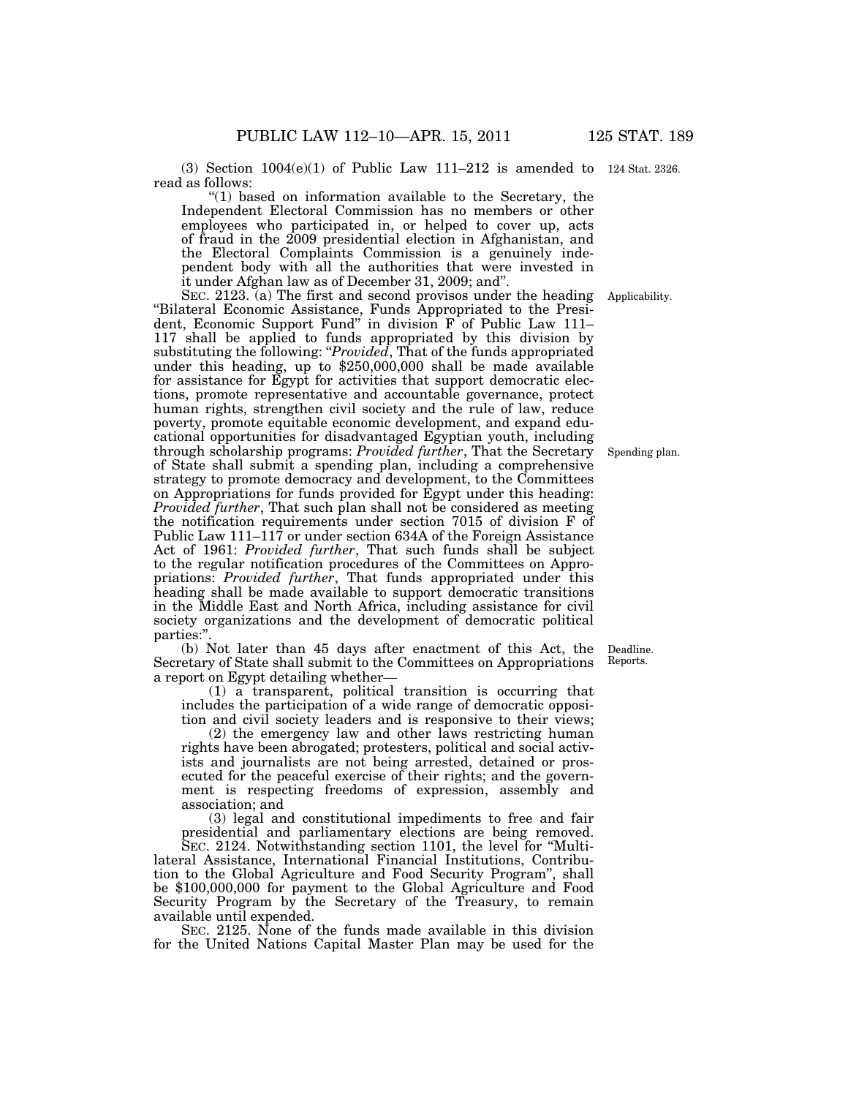(3) Section 1004(e)(1) of Public Law 111–212 is amended to 124 Stat. 2326. read as follows:

 $(1)$  based on information available to the Secretary, the Independent Electoral Commission has no members or other employees who participated in, or helped to cover up, acts of fraud in the 2009 presidential election in Afghanistan, and the Electoral Complaints Commission is a genuinely independent body with all the authorities that were invested in it under Afghan law as of December 31, 2009; and''.

SEC. 2123. (a) The first and second provisos under the heading Applicability. ''Bilateral Economic Assistance, Funds Appropriated to the President, Economic Support Fund'' in division F of Public Law 111– 117 shall be applied to funds appropriated by this division by substituting the following: "*Provided*, That of the funds appropriated under this heading, up to \$250,000,000 shall be made available for assistance for Egypt for activities that support democratic elections, promote representative and accountable governance, protect human rights, strengthen civil society and the rule of law, reduce poverty, promote equitable economic development, and expand educational opportunities for disadvantaged Egyptian youth, including through scholarship programs: *Provided further*, That the Secretary of State shall submit a spending plan, including a comprehensive strategy to promote democracy and development, to the Committees on Appropriations for funds provided for Egypt under this heading: *Provided further*, That such plan shall not be considered as meeting the notification requirements under section 7015 of division F of Public Law 111–117 or under section 634A of the Foreign Assistance Act of 1961: *Provided further*, That such funds shall be subject to the regular notification procedures of the Committees on Appropriations: *Provided further*, That funds appropriated under this heading shall be made available to support democratic transitions in the Middle East and North Africa, including assistance for civil society organizations and the development of democratic political parties:'

(b) Not later than 45 days after enactment of this Act, the Secretary of State shall submit to the Committees on Appropriations a report on Egypt detailing whether—

(1) a transparent, political transition is occurring that includes the participation of a wide range of democratic opposition and civil society leaders and is responsive to their views;

(2) the emergency law and other laws restricting human rights have been abrogated; protesters, political and social activists and journalists are not being arrested, detained or prosecuted for the peaceful exercise of their rights; and the government is respecting freedoms of expression, assembly and association; and

(3) legal and constitutional impediments to free and fair presidential and parliamentary elections are being removed.

SEC. 2124. Notwithstanding section 1101, the level for ''Multilateral Assistance, International Financial Institutions, Contribution to the Global Agriculture and Food Security Program'', shall be \$100,000,000 for payment to the Global Agriculture and Food Security Program by the Secretary of the Treasury, to remain available until expended.

SEC. 2125. None of the funds made available in this division for the United Nations Capital Master Plan may be used for the

Deadline. Reports.

Spending plan.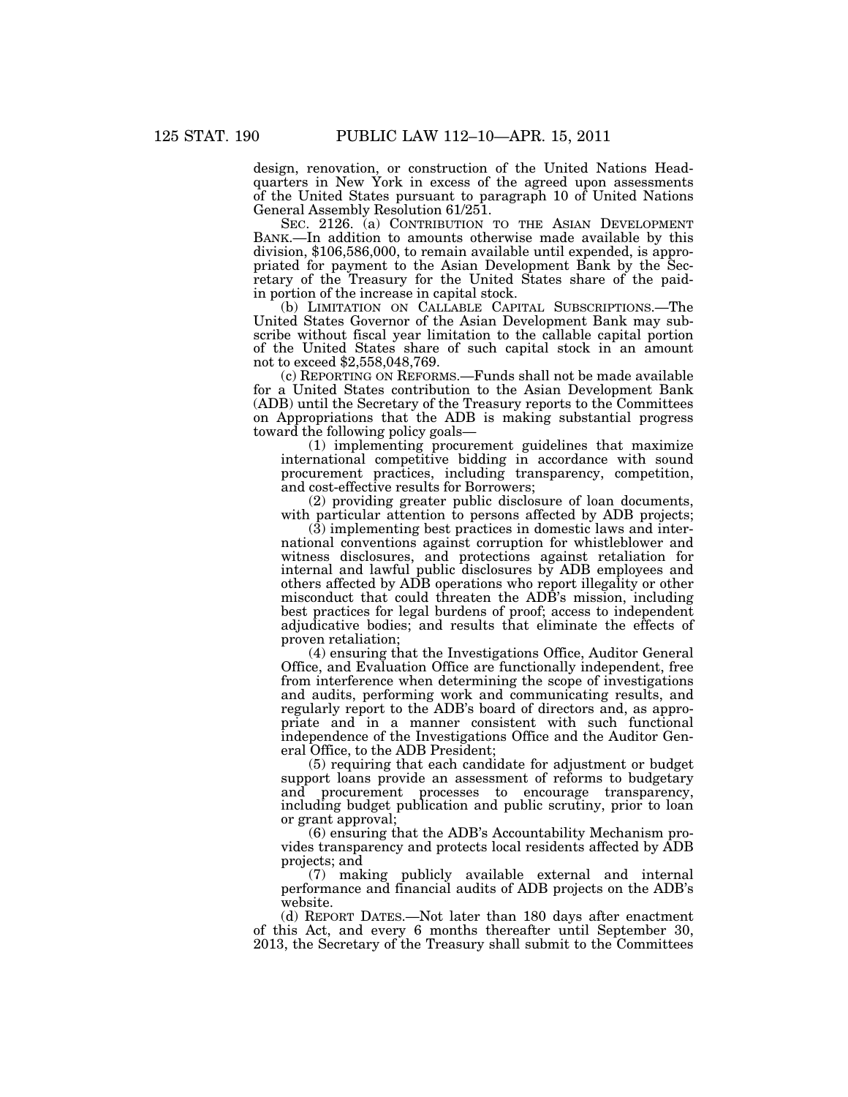design, renovation, or construction of the United Nations Headquarters in New York in excess of the agreed upon assessments of the United States pursuant to paragraph 10 of United Nations General Assembly Resolution 61/251.

SEC. 2126. (a) CONTRIBUTION TO THE ASIAN DEVELOPMENT BANK.—In addition to amounts otherwise made available by this division, \$106,586,000, to remain available until expended, is appropriated for payment to the Asian Development Bank by the Secretary of the Treasury for the United States share of the paidin portion of the increase in capital stock.

(b) LIMITATION ON CALLABLE CAPITAL SUBSCRIPTIONS.—The United States Governor of the Asian Development Bank may subscribe without fiscal year limitation to the callable capital portion of the United States share of such capital stock in an amount not to exceed \$2,558,048,769.

(c) REPORTING ON REFORMS.—Funds shall not be made available for a United States contribution to the Asian Development Bank (ADB) until the Secretary of the Treasury reports to the Committees on Appropriations that the ADB is making substantial progress toward the following policy goals—

(1) implementing procurement guidelines that maximize international competitive bidding in accordance with sound procurement practices, including transparency, competition, and cost-effective results for Borrowers;

(2) providing greater public disclosure of loan documents, with particular attention to persons affected by ADB projects;

(3) implementing best practices in domestic laws and international conventions against corruption for whistleblower and witness disclosures, and protections against retaliation for internal and lawful public disclosures by ADB employees and others affected by ADB operations who report illegality or other misconduct that could threaten the ADB's mission, including best practices for legal burdens of proof; access to independent adjudicative bodies; and results that eliminate the effects of proven retaliation;

(4) ensuring that the Investigations Office, Auditor General Office, and Evaluation Office are functionally independent, free from interference when determining the scope of investigations and audits, performing work and communicating results, and regularly report to the ADB's board of directors and, as appropriate and in a manner consistent with such functional independence of the Investigations Office and the Auditor General Office, to the ADB President;

(5) requiring that each candidate for adjustment or budget support loans provide an assessment of reforms to budgetary and procurement processes to encourage transparency, including budget publication and public scrutiny, prior to loan or grant approval;

(6) ensuring that the ADB's Accountability Mechanism provides transparency and protects local residents affected by ADB projects; and

(7) making publicly available external and internal performance and financial audits of ADB projects on the ADB's website.

(d) REPORT DATES.—Not later than 180 days after enactment of this Act, and every 6 months thereafter until September 30, 2013, the Secretary of the Treasury shall submit to the Committees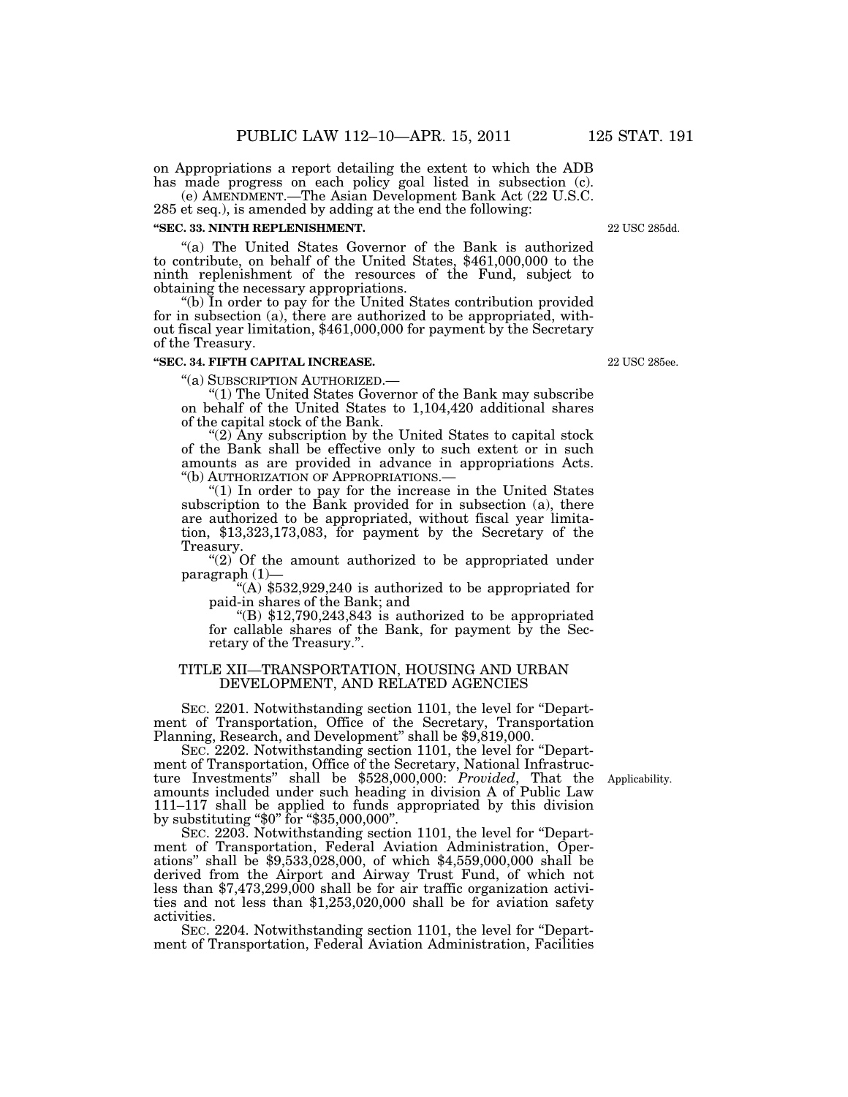on Appropriations a report detailing the extent to which the ADB has made progress on each policy goal listed in subsection (c).

(e) AMENDMENT.—The Asian Development Bank Act (22 U.S.C. 285 et seq.), is amended by adding at the end the following:

#### **''SEC. 33. NINTH REPLENISHMENT.**

''(a) The United States Governor of the Bank is authorized to contribute, on behalf of the United States, \$461,000,000 to the ninth replenishment of the resources of the Fund, subject to obtaining the necessary appropriations.

''(b) In order to pay for the United States contribution provided for in subsection (a), there are authorized to be appropriated, without fiscal year limitation, \$461,000,000 for payment by the Secretary of the Treasury.

#### **''SEC. 34. FIFTH CAPITAL INCREASE.**

''(a) SUBSCRIPTION AUTHORIZED.— ''(1) The United States Governor of the Bank may subscribe on behalf of the United States to 1,104,420 additional shares of the capital stock of the Bank.

" $(2)$  Any subscription by the United States to capital stock of the Bank shall be effective only to such extent or in such amounts as are provided in advance in appropriations Acts. ''(b) AUTHORIZATION OF APPROPRIATIONS.—

 $(1)$  In order to pay for the increase in the United States subscription to the Bank provided for in subsection (a), there are authorized to be appropriated, without fiscal year limitation, \$13,323,173,083, for payment by the Secretary of the Treasury.

"(2) Of the amount authorized to be appropriated under paragraph (1)—

 $(4)$  \$532,929,240 is authorized to be appropriated for paid-in shares of the Bank; and

"(B)  $$12,790,243,843$  is authorized to be appropriated for callable shares of the Bank, for payment by the Secretary of the Treasury.''.

## TITLE XII—TRANSPORTATION, HOUSING AND URBAN DEVELOPMENT, AND RELATED AGENCIES

SEC. 2201. Notwithstanding section 1101, the level for ''Department of Transportation, Office of the Secretary, Transportation Planning, Research, and Development" shall be  $$9,819,000$ .

SEC. 2202. Notwithstanding section 1101, the level for ''Department of Transportation, Office of the Secretary, National Infrastructure Investments'' shall be \$528,000,000: *Provided*, That the Applicability. amounts included under such heading in division A of Public Law 111–117 shall be applied to funds appropriated by this division by substituting "\$0" for "\$35,000,000".

SEC. 2203. Notwithstanding section 1101, the level for "Department of Transportation, Federal Aviation Administration, Operations'' shall be \$9,533,028,000, of which \$4,559,000,000 shall be derived from the Airport and Airway Trust Fund, of which not less than \$7,473,299,000 shall be for air traffic organization activities and not less than \$1,253,020,000 shall be for aviation safety activities.

SEC. 2204. Notwithstanding section 1101, the level for ''Department of Transportation, Federal Aviation Administration, Facilities

22 USC 285ee.

22 USC 285dd.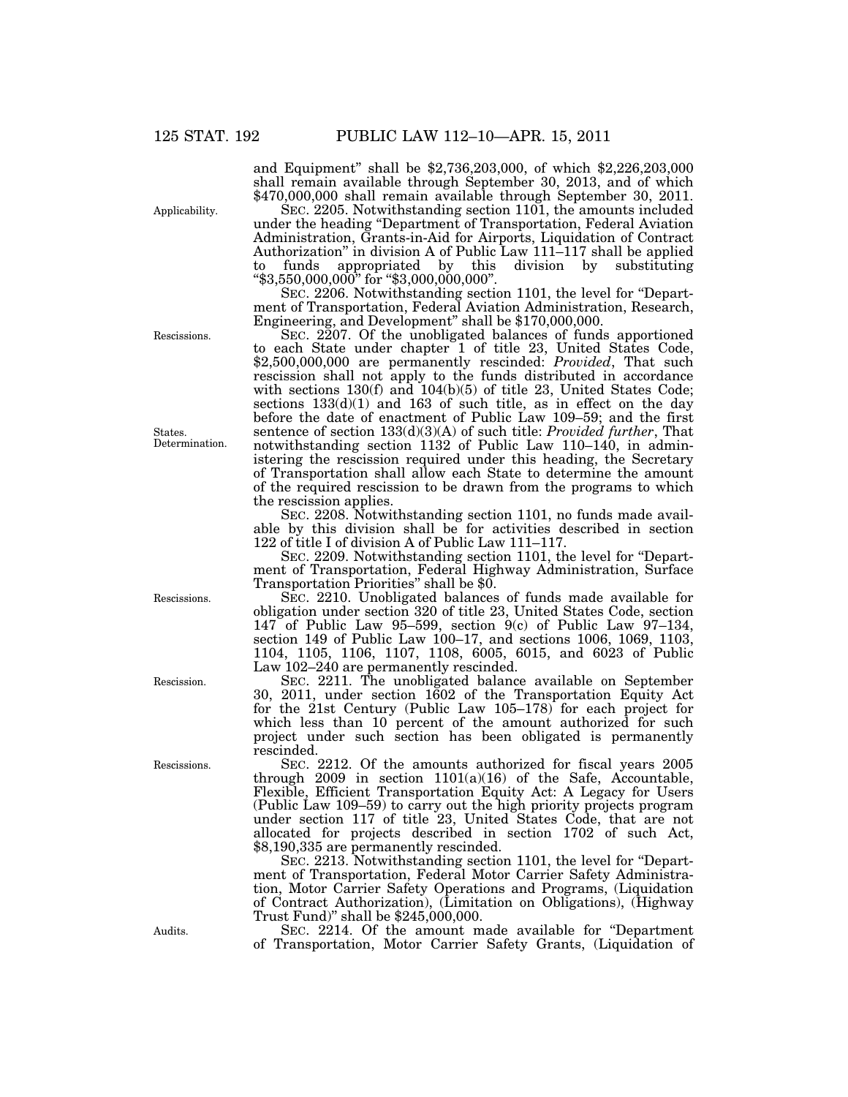and Equipment'' shall be \$2,736,203,000, of which \$2,226,203,000

Applicability.

shall remain available through September 30, 2013, and of which \$470,000,000 shall remain available through September 30, 2011. SEC. 2205. Notwithstanding section 1101, the amounts included under the heading ''Department of Transportation, Federal Aviation Administration, Grants-in-Aid for Airports, Liquidation of Contract Authorization'' in division A of Public Law 111–117 shall be applied

funds appropriated by this division by substituting ''\$3,550,000,000'' for ''\$3,000,000,000''. SEC. 2206. Notwithstanding section 1101, the level for ''Department of Transportation, Federal Aviation Administration, Research,

Engineering, and Development'' shall be \$170,000,000.

SEC. 2207. Of the unobligated balances of funds apportioned to each State under chapter 1 of title 23, United States Code, \$2,500,000,000 are permanently rescinded: *Provided*, That such rescission shall not apply to the funds distributed in accordance with sections  $130(f)$  and  $104(b)(5)$  of title 23, United States Code; sections  $133(d)(1)$  and  $163$  of such title, as in effect on the day before the date of enactment of Public Law 109–59; and the first sentence of section 133(d)(3)(A) of such title: *Provided further*, That notwithstanding section 1132 of Public Law 110–140, in administering the rescission required under this heading, the Secretary of Transportation shall allow each State to determine the amount of the required rescission to be drawn from the programs to which the rescission applies.

SEC. 2208. Notwithstanding section 1101, no funds made available by this division shall be for activities described in section 122 of title I of division A of Public Law 111–117.

SEC. 2209. Notwithstanding section 1101, the level for ''Department of Transportation, Federal Highway Administration, Surface Transportation Priorities'' shall be \$0.

SEC. 2210. Unobligated balances of funds made available for obligation under section 320 of title 23, United States Code, section 147 of Public Law 95–599, section  $9(c)$  of Public Law 97–134, section 149 of Public Law 100–17, and sections 1006, 1069, 1103, 1104, 1105, 1106, 1107, 1108, 6005, 6015, and 6023 of Public Law 102–240 are permanently rescinded.

SEC. 2211. The unobligated balance available on September 30, 2011, under section 1602 of the Transportation Equity Act for the 21st Century (Public Law 105–178) for each project for which less than 10 percent of the amount authorized for such project under such section has been obligated is permanently rescinded.

SEC. 2212. Of the amounts authorized for fiscal years 2005 through 2009 in section  $1101(a)(16)$  of the Safe, Accountable, Flexible, Efficient Transportation Equity Act: A Legacy for Users (Public Law 109–59) to carry out the high priority projects program under section 117 of title 23, United States Code, that are not allocated for projects described in section 1702 of such Act, \$8,190,335 are permanently rescinded.

SEC. 2213. Notwithstanding section 1101, the level for "Department of Transportation, Federal Motor Carrier Safety Administration, Motor Carrier Safety Operations and Programs, (Liquidation of Contract Authorization), (Limitation on Obligations), (Highway Trust Fund)'' shall be \$245,000,000.

SEC. 2214. Of the amount made available for ''Department of Transportation, Motor Carrier Safety Grants, (Liquidation of

Rescissions.

States. Determination.

Rescissions.

Rescission.

Rescissions.

Audits.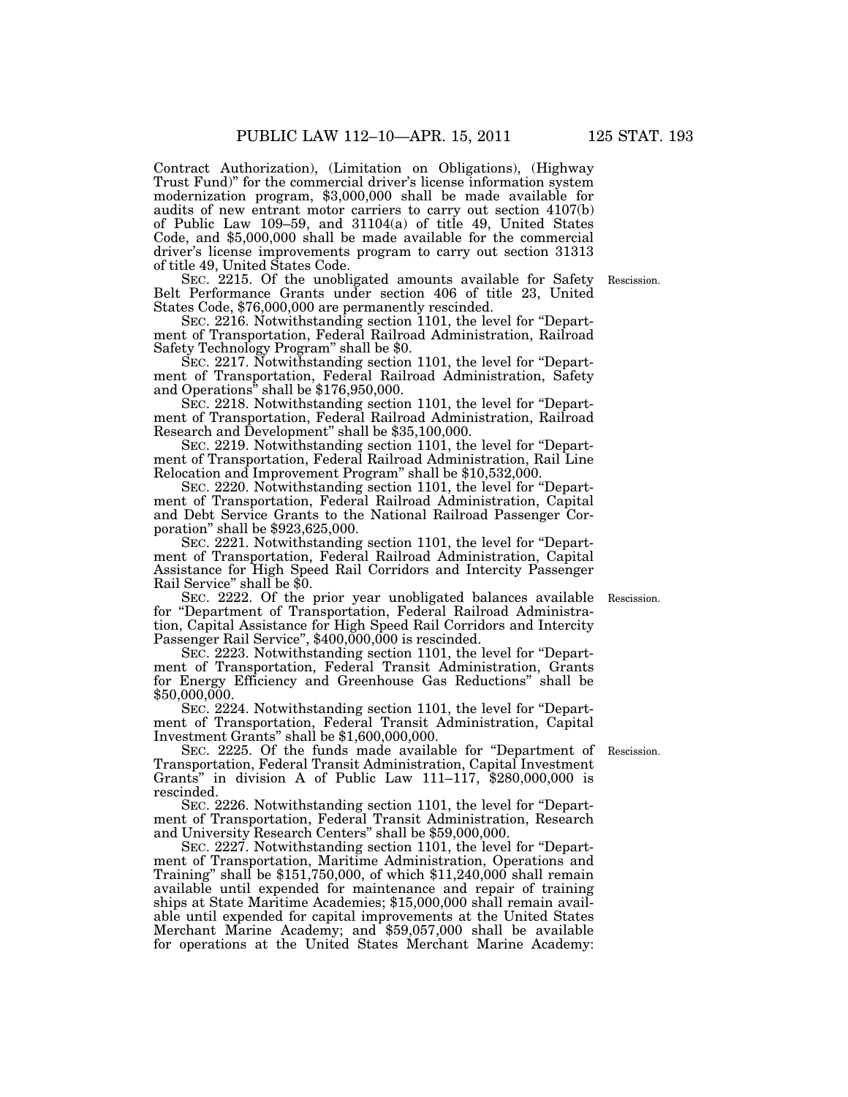Contract Authorization), (Limitation on Obligations), (Highway Trust Fund)'' for the commercial driver's license information system modernization program, \$3,000,000 shall be made available for audits of new entrant motor carriers to carry out section 4107(b) of Public Law 109–59, and 31104(a) of title 49, United States Code, and \$5,000,000 shall be made available for the commercial driver's license improvements program to carry out section 31313 of title 49, United States Code.

SEC. 2215. Of the unobligated amounts available for Safety Belt Performance Grants under section 406 of title 23, United States Code, \$76,000,000 are permanently rescinded.

SEC. 2216. Notwithstanding section 1101, the level for "Department of Transportation, Federal Railroad Administration, Railroad Safety Technology Program'' shall be \$0.

SEC. 2217. Notwithstanding section 1101, the level for "Department of Transportation, Federal Railroad Administration, Safety and Operations'' shall be \$176,950,000.

SEC. 2218. Notwithstanding section 1101, the level for ''Department of Transportation, Federal Railroad Administration, Railroad Research and Development'' shall be \$35,100,000.

SEC. 2219. Notwithstanding section 1101, the level for ''Department of Transportation, Federal Railroad Administration, Rail Line Relocation and Improvement Program'' shall be \$10,532,000.

SEC. 2220. Notwithstanding section 1101, the level for "Department of Transportation, Federal Railroad Administration, Capital and Debt Service Grants to the National Railroad Passenger Corporation'' shall be \$923,625,000.

SEC. 2221. Notwithstanding section 1101, the level for ''Department of Transportation, Federal Railroad Administration, Capital Assistance for High Speed Rail Corridors and Intercity Passenger Rail Service'' shall be \$0.

SEC. 2222. Of the prior year unobligated balances available for ''Department of Transportation, Federal Railroad Administration, Capital Assistance for High Speed Rail Corridors and Intercity Passenger Rail Service", \$400,000,000 is rescinded.

SEC. 2223. Notwithstanding section 1101, the level for "Department of Transportation, Federal Transit Administration, Grants for Energy Efficiency and Greenhouse Gas Reductions'' shall be \$50,000,000.

SEC. 2224. Notwithstanding section 1101, the level for "Department of Transportation, Federal Transit Administration, Capital Investment Grants'' shall be \$1,600,000,000.

SEC. 2225. Of the funds made available for ''Department of Rescission. Transportation, Federal Transit Administration, Capital Investment Grants'' in division A of Public Law 111–117, \$280,000,000 is rescinded.

SEC. 2226. Notwithstanding section 1101, the level for "Department of Transportation, Federal Transit Administration, Research and University Research Centers'' shall be \$59,000,000.

SEC. 2227. Notwithstanding section 1101, the level for ''Department of Transportation, Maritime Administration, Operations and Training'' shall be \$151,750,000, of which \$11,240,000 shall remain available until expended for maintenance and repair of training ships at State Maritime Academies; \$15,000,000 shall remain available until expended for capital improvements at the United States Merchant Marine Academy; and \$59,057,000 shall be available for operations at the United States Merchant Marine Academy:

Rescission.

Rescission.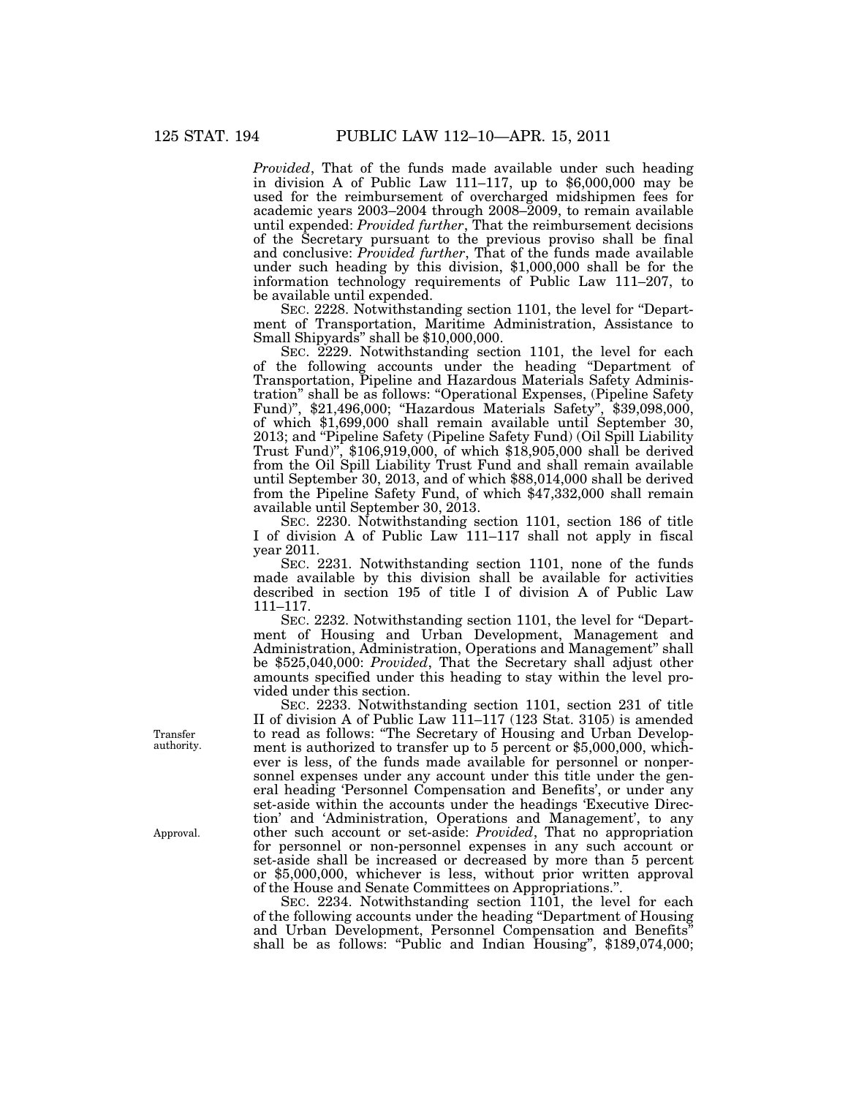*Provided*, That of the funds made available under such heading in division A of Public Law 111–117, up to \$6,000,000 may be used for the reimbursement of overcharged midshipmen fees for academic years 2003–2004 through 2008–2009, to remain available until expended: *Provided further*, That the reimbursement decisions of the Secretary pursuant to the previous proviso shall be final and conclusive: *Provided further*, That of the funds made available under such heading by this division, \$1,000,000 shall be for the information technology requirements of Public Law 111–207, to be available until expended.

SEC. 2228. Notwithstanding section 1101, the level for ''Department of Transportation, Maritime Administration, Assistance to Small Shipyards'' shall be \$10,000,000.

SEC. 2229. Notwithstanding section 1101, the level for each of the following accounts under the heading ''Department of Transportation, Pipeline and Hazardous Materials Safety Administration'' shall be as follows: ''Operational Expenses, (Pipeline Safety Fund)'', \$21,496,000; ''Hazardous Materials Safety'', \$39,098,000, of which \$1,699,000 shall remain available until September 30, 2013; and "Pipeline Safety (Pipeline Safety Fund) (Oil Spill Liability Trust Fund)'', \$106,919,000, of which \$18,905,000 shall be derived from the Oil Spill Liability Trust Fund and shall remain available until September 30, 2013, and of which \$88,014,000 shall be derived from the Pipeline Safety Fund, of which \$47,332,000 shall remain available until September 30, 2013.

SEC. 2230. Notwithstanding section 1101, section 186 of title I of division A of Public Law 111–117 shall not apply in fiscal year 2011.

SEC. 2231. Notwithstanding section 1101, none of the funds made available by this division shall be available for activities described in section 195 of title I of division A of Public Law 111–117.

SEC. 2232. Notwithstanding section 1101, the level for "Department of Housing and Urban Development, Management and Administration, Administration, Operations and Management'' shall be \$525,040,000: *Provided*, That the Secretary shall adjust other amounts specified under this heading to stay within the level provided under this section.

SEC. 2233. Notwithstanding section 1101, section 231 of title II of division A of Public Law 111–117 (123 Stat. 3105) is amended to read as follows: ''The Secretary of Housing and Urban Development is authorized to transfer up to 5 percent or \$5,000,000, whichever is less, of the funds made available for personnel or nonpersonnel expenses under any account under this title under the general heading 'Personnel Compensation and Benefits', or under any set-aside within the accounts under the headings 'Executive Direction' and 'Administration, Operations and Management', to any other such account or set-aside: *Provided*, That no appropriation for personnel or non-personnel expenses in any such account or set-aside shall be increased or decreased by more than 5 percent or \$5,000,000, whichever is less, without prior written approval of the House and Senate Committees on Appropriations.''.

SEC. 2234. Notwithstanding section 1101, the level for each of the following accounts under the heading ''Department of Housing and Urban Development, Personnel Compensation and Benefits'' shall be as follows: "Public and Indian Housing", \$189,074,000;

Transfer authority.

Approval.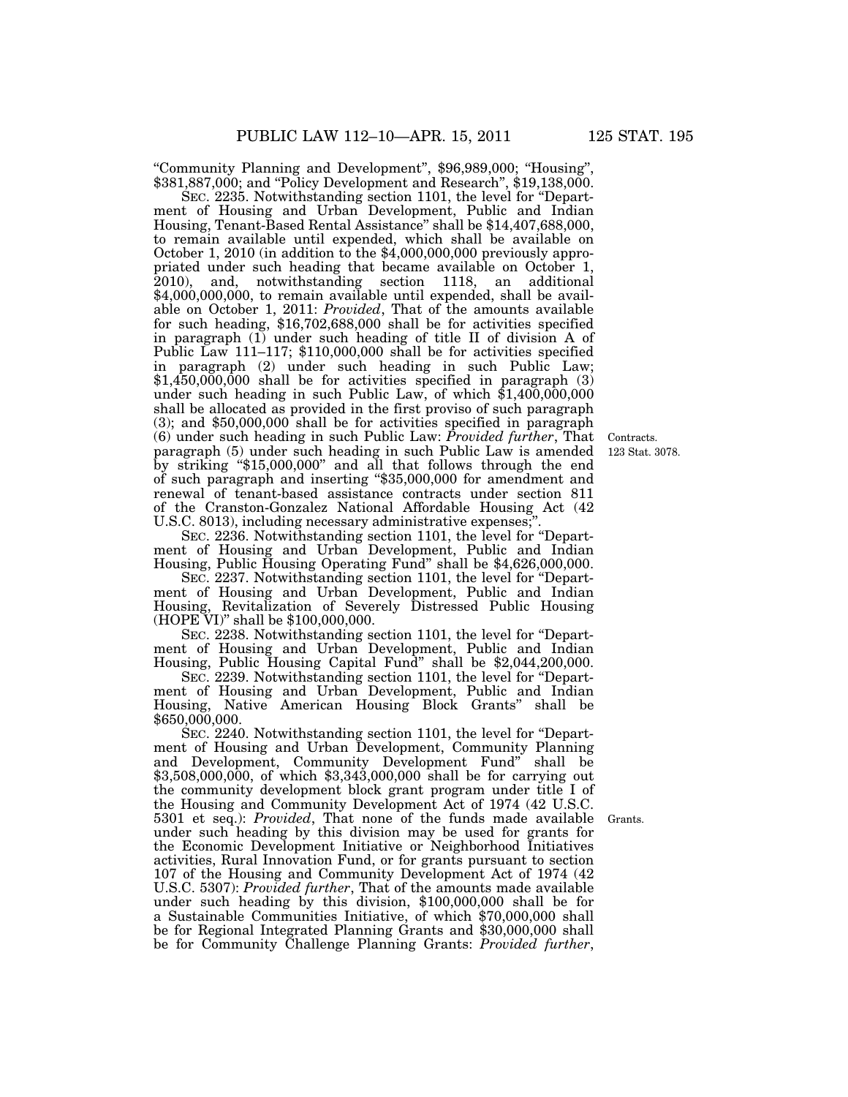"Community Planning and Development", \$96,989,000; "Housing" \$381,887,000; and "Policy Development and Research", \$19,138,000.

SEC. 2235. Notwithstanding section 1101, the level for "Department of Housing and Urban Development, Public and Indian Housing, Tenant-Based Rental Assistance'' shall be \$14,407,688,000, to remain available until expended, which shall be available on October 1, 2010 (in addition to the \$4,000,000,000 previously appropriated under such heading that became available on October 1, 2010), and, notwithstanding section 1118, an additional \$4,000,000,000, to remain available until expended, shall be available on October 1, 2011: *Provided*, That of the amounts available for such heading, \$16,702,688,000 shall be for activities specified in paragraph (1) under such heading of title II of division A of Public Law 111–117; \$110,000,000 shall be for activities specified in paragraph (2) under such heading in such Public Law; \$1,450,000,000 shall be for activities specified in paragraph (3) under such heading in such Public Law, of which \$1,400,000,000 shall be allocated as provided in the first proviso of such paragraph (3); and \$50,000,000 shall be for activities specified in paragraph (6) under such heading in such Public Law: *Provided further*, That paragraph (5) under such heading in such Public Law is amended by striking ''\$15,000,000'' and all that follows through the end of such paragraph and inserting ''\$35,000,000 for amendment and renewal of tenant-based assistance contracts under section 811 of the Cranston-Gonzalez National Affordable Housing Act (42 U.S.C. 8013), including necessary administrative expenses;

123 Stat. 3078.

Contracts.

SEC. 2236. Notwithstanding section 1101, the level for ''Department of Housing and Urban Development, Public and Indian Housing, Public Housing Operating Fund'' shall be \$4,626,000,000.

SEC. 2237. Notwithstanding section 1101, the level for "Department of Housing and Urban Development, Public and Indian Housing, Revitalization of Severely Distressed Public Housing (HOPE VI)'' shall be \$100,000,000.

SEC. 2238. Notwithstanding section 1101, the level for "Department of Housing and Urban Development, Public and Indian Housing, Public Housing Capital Fund'' shall be \$2,044,200,000.

SEC. 2239. Notwithstanding section 1101, the level for ''Department of Housing and Urban Development, Public and Indian Housing, Native American Housing Block Grants'' shall be \$650,000,000.

SEC. 2240. Notwithstanding section 1101, the level for ''Department of Housing and Urban Development, Community Planning and Development, Community Development Fund'' shall be \$3,508,000,000, of which \$3,343,000,000 shall be for carrying out the community development block grant program under title I of the Housing and Community Development Act of 1974 (42 U.S.C. 5301 et seq.): *Provided*, That none of the funds made available under such heading by this division may be used for grants for the Economic Development Initiative or Neighborhood Initiatives activities, Rural Innovation Fund, or for grants pursuant to section 107 of the Housing and Community Development Act of 1974 (42 U.S.C. 5307): *Provided further*, That of the amounts made available under such heading by this division, \$100,000,000 shall be for a Sustainable Communities Initiative, of which \$70,000,000 shall be for Regional Integrated Planning Grants and \$30,000,000 shall be for Community Challenge Planning Grants: *Provided further*,

Grants.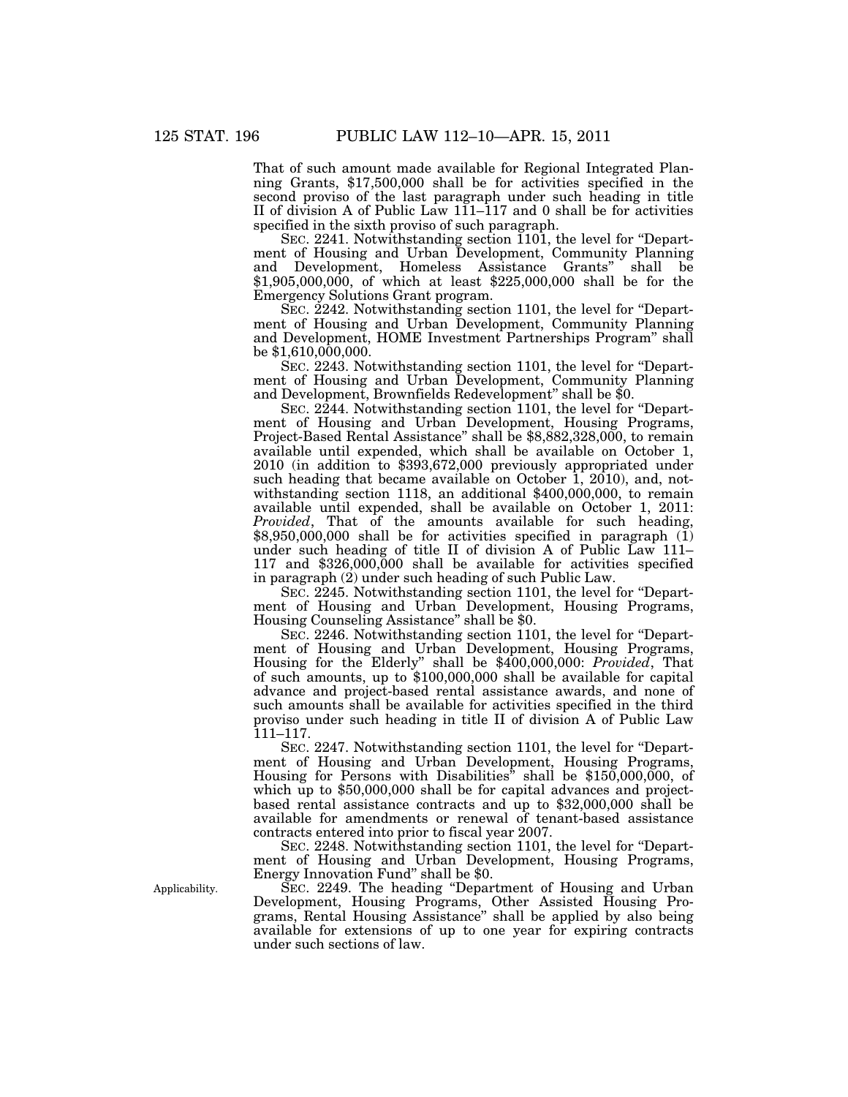That of such amount made available for Regional Integrated Planning Grants, \$17,500,000 shall be for activities specified in the second proviso of the last paragraph under such heading in title II of division A of Public Law 111–117 and 0 shall be for activities specified in the sixth proviso of such paragraph.

SEC. 2241. Notwithstanding section 1101, the level for ''Department of Housing and Urban Development, Community Planning and Development, Homeless Assistance Grants'' shall be \$1,905,000,000, of which at least \$225,000,000 shall be for the Emergency Solutions Grant program.

SEC. 2242. Notwithstanding section 1101, the level for ''Department of Housing and Urban Development, Community Planning and Development, HOME Investment Partnerships Program'' shall be \$1,610,000,000.

SEC. 2243. Notwithstanding section 1101, the level for ''Department of Housing and Urban Development, Community Planning and Development, Brownfields Redevelopment'' shall be \$0.

SEC. 2244. Notwithstanding section 1101, the level for "Department of Housing and Urban Development, Housing Programs, Project-Based Rental Assistance'' shall be \$8,882,328,000, to remain available until expended, which shall be available on October 1, 2010 (in addition to \$393,672,000 previously appropriated under such heading that became available on October 1, 2010), and, notwithstanding section 1118, an additional \$400,000,000, to remain available until expended, shall be available on October 1, 2011: *Provided*, That of the amounts available for such heading,  $$8,950,000,000$  shall be for activities specified in paragraph  $(1)$ under such heading of title II of division A of Public Law 111– 117 and  $$326,000,000$  shall be available for activities specified in paragraph (2) under such heading of such Public Law.

SEC. 2245. Notwithstanding section 1101, the level for "Department of Housing and Urban Development, Housing Programs, Housing Counseling Assistance'' shall be \$0.

SEC. 2246. Notwithstanding section 1101, the level for ''Department of Housing and Urban Development, Housing Programs, Housing for the Elderly'' shall be \$400,000,000: *Provided*, That of such amounts, up to \$100,000,000 shall be available for capital advance and project-based rental assistance awards, and none of such amounts shall be available for activities specified in the third proviso under such heading in title II of division A of Public Law 111–117.

SEC. 2247. Notwithstanding section 1101, the level for ''Department of Housing and Urban Development, Housing Programs, Housing for Persons with Disabilities'' shall be \$150,000,000, of which up to \$50,000,000 shall be for capital advances and projectbased rental assistance contracts and up to \$32,000,000 shall be available for amendments or renewal of tenant-based assistance contracts entered into prior to fiscal year 2007.

SEC. 2248. Notwithstanding section 1101, the level for ''Department of Housing and Urban Development, Housing Programs, Energy Innovation Fund'' shall be \$0.

SEC. 2249. The heading ''Department of Housing and Urban Development, Housing Programs, Other Assisted Housing Programs, Rental Housing Assistance'' shall be applied by also being available for extensions of up to one year for expiring contracts under such sections of law.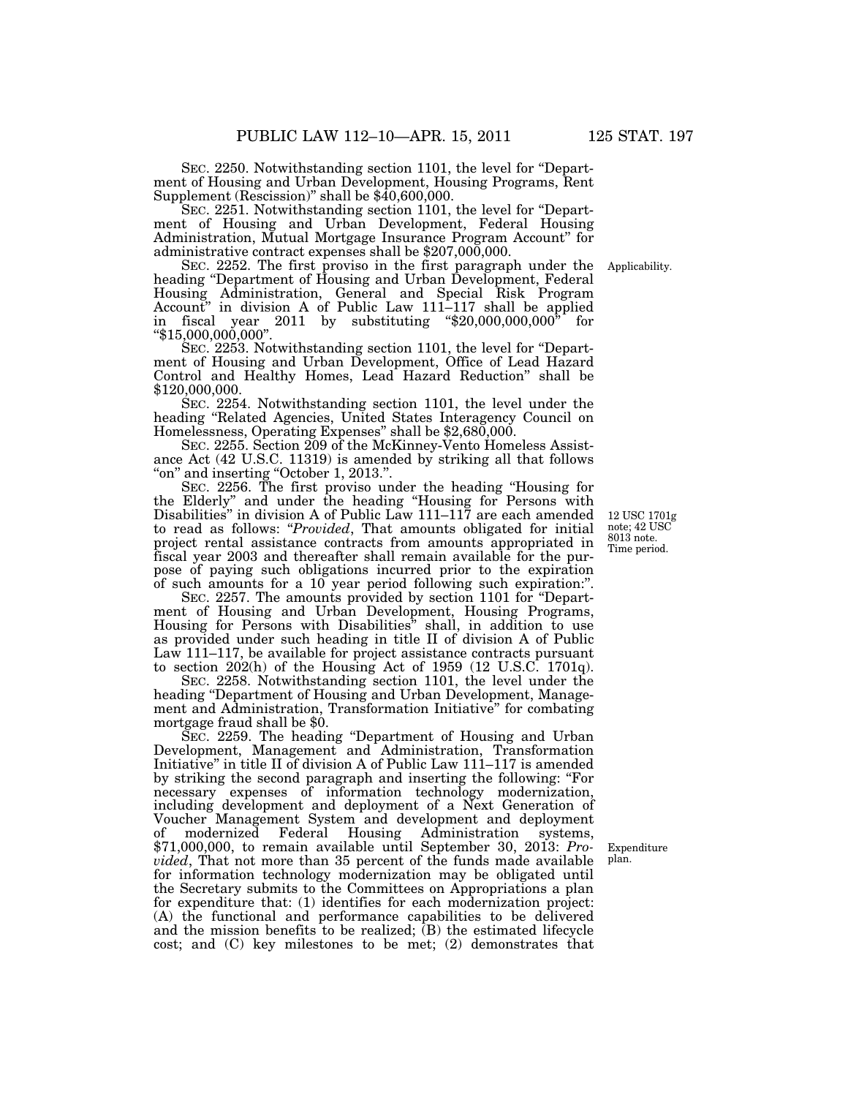SEC. 2250. Notwithstanding section 1101, the level for ''Department of Housing and Urban Development, Housing Programs, Rent Supplement (Rescission)" shall be  $$40,600,000$ .

SEC. 2251. Notwithstanding section 1101, the level for ''Department of Housing and Urban Development, Federal Housing Administration, Mutual Mortgage Insurance Program Account'' for administrative contract expenses shall be \$207,000,000.

SEC. 2252. The first proviso in the first paragraph under the heading ''Department of Housing and Urban Development, Federal Housing Administration, General and Special Risk Program Account'' in division A of Public Law 111–117 shall be applied in fiscal year 2011 by substituting " $$20,000,000,000$ " for  $"\$15,000,000,000".$ 

SEC. 2253. Notwithstanding section 1101, the level for ''Department of Housing and Urban Development, Office of Lead Hazard Control and Healthy Homes, Lead Hazard Reduction'' shall be \$120,000,000.

SEC. 2254. Notwithstanding section 1101, the level under the heading ''Related Agencies, United States Interagency Council on Homelessness, Operating Expenses'' shall be \$2,680,000.

SEC. 2255. Section 209 of the McKinney-Vento Homeless Assistance Act (42 U.S.C. 11319) is amended by striking all that follows ''on'' and inserting ''October 1, 2013.''.

SEC. 2256. The first proviso under the heading ''Housing for the Elderly'' and under the heading ''Housing for Persons with Disabilities" in division A of Public Law 111–117 are each amended to read as follows: ''*Provided*, That amounts obligated for initial project rental assistance contracts from amounts appropriated in fiscal year 2003 and thereafter shall remain available for the purpose of paying such obligations incurred prior to the expiration of such amounts for a 10 year period following such expiration:''.

SEC. 2257. The amounts provided by section 1101 for "Department of Housing and Urban Development, Housing Programs, Housing for Persons with Disabilities'' shall, in addition to use as provided under such heading in title II of division A of Public Law 111–117, be available for project assistance contracts pursuant to section 202(h) of the Housing Act of 1959 (12 U.S.C. 1701q).

SEC. 2258. Notwithstanding section 1101, the level under the heading ''Department of Housing and Urban Development, Management and Administration, Transformation Initiative'' for combating mortgage fraud shall be \$0.

SEC. 2259. The heading ''Department of Housing and Urban Development, Management and Administration, Transformation Initiative'' in title II of division A of Public Law 111–117 is amended by striking the second paragraph and inserting the following: ''For necessary expenses of information technology modernization, including development and deployment of a Next Generation of Voucher Management System and development and deployment of modernized Federal Housing Administration systems, \$71,000,000, to remain available until September 30, 2013: *Provided*, That not more than 35 percent of the funds made available for information technology modernization may be obligated until the Secretary submits to the Committees on Appropriations a plan for expenditure that: (1) identifies for each modernization project: (A) the functional and performance capabilities to be delivered and the mission benefits to be realized;  $(B)$  the estimated lifecycle cost; and (C) key milestones to be met; (2) demonstrates that

Time period. 12 USC 1701g note; 42 USC 8013 note.

Expenditure plan.

Applicability.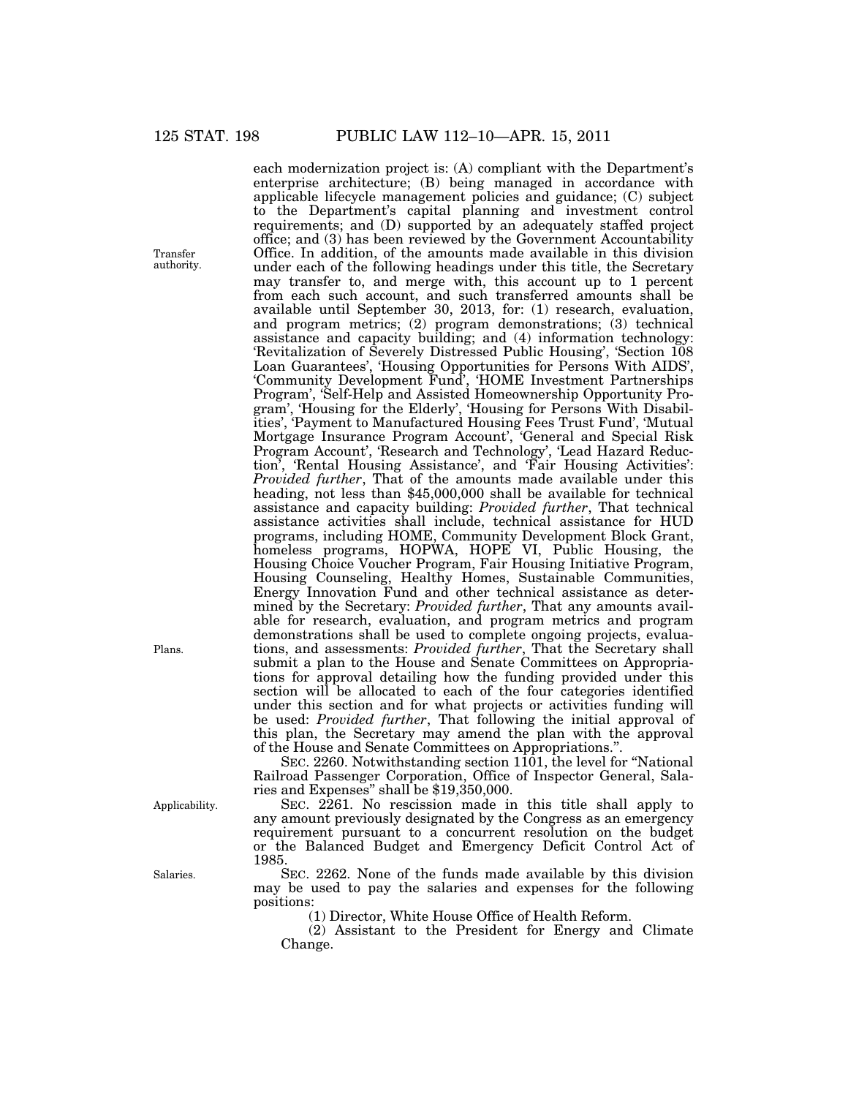each modernization project is: (A) compliant with the Department's enterprise architecture; (B) being managed in accordance with applicable lifecycle management policies and guidance; (C) subject to the Department's capital planning and investment control requirements; and (D) supported by an adequately staffed project office; and (3) has been reviewed by the Government Accountability Office. In addition, of the amounts made available in this division under each of the following headings under this title, the Secretary may transfer to, and merge with, this account up to 1 percent from each such account, and such transferred amounts shall be available until September 30, 2013, for: (1) research, evaluation, and program metrics; (2) program demonstrations; (3) technical assistance and capacity building; and (4) information technology: 'Revitalization of Severely Distressed Public Housing', 'Section 108 Loan Guarantees', 'Housing Opportunities for Persons With AIDS', 'Community Development Fund', 'HOME Investment Partnerships Program', 'Self-Help and Assisted Homeownership Opportunity Program', 'Housing for the Elderly', 'Housing for Persons With Disabilities', 'Payment to Manufactured Housing Fees Trust Fund', 'Mutual Mortgage Insurance Program Account', 'General and Special Risk Program Account', 'Research and Technology', 'Lead Hazard Reduction', 'Rental Housing Assistance', and 'Fair Housing Activities': *Provided further*, That of the amounts made available under this heading, not less than \$45,000,000 shall be available for technical assistance and capacity building: *Provided further*, That technical assistance activities shall include, technical assistance for HUD programs, including HOME, Community Development Block Grant, homeless programs, HOPWA, HOPE VI, Public Housing, the Housing Choice Voucher Program, Fair Housing Initiative Program, Housing Counseling, Healthy Homes, Sustainable Communities, Energy Innovation Fund and other technical assistance as determined by the Secretary: *Provided further*, That any amounts available for research, evaluation, and program metrics and program demonstrations shall be used to complete ongoing projects, evaluations, and assessments: *Provided further*, That the Secretary shall submit a plan to the House and Senate Committees on Appropriations for approval detailing how the funding provided under this section will be allocated to each of the four categories identified under this section and for what projects or activities funding will be used: *Provided further*, That following the initial approval of this plan, the Secretary may amend the plan with the approval of the House and Senate Committees on Appropriations.''.

SEC. 2260. Notwithstanding section  $1101$ , the level for "National Railroad Passenger Corporation, Office of Inspector General, Salaries and Expenses'' shall be \$19,350,000.

SEC. 2261. No rescission made in this title shall apply to any amount previously designated by the Congress as an emergency requirement pursuant to a concurrent resolution on the budget or the Balanced Budget and Emergency Deficit Control Act of 1985.

SEC. 2262. None of the funds made available by this division may be used to pay the salaries and expenses for the following positions:

(1) Director, White House Office of Health Reform.

(2) Assistant to the President for Energy and Climate Change.

Plans.

Applicability.

Salaries.

Transfer authority.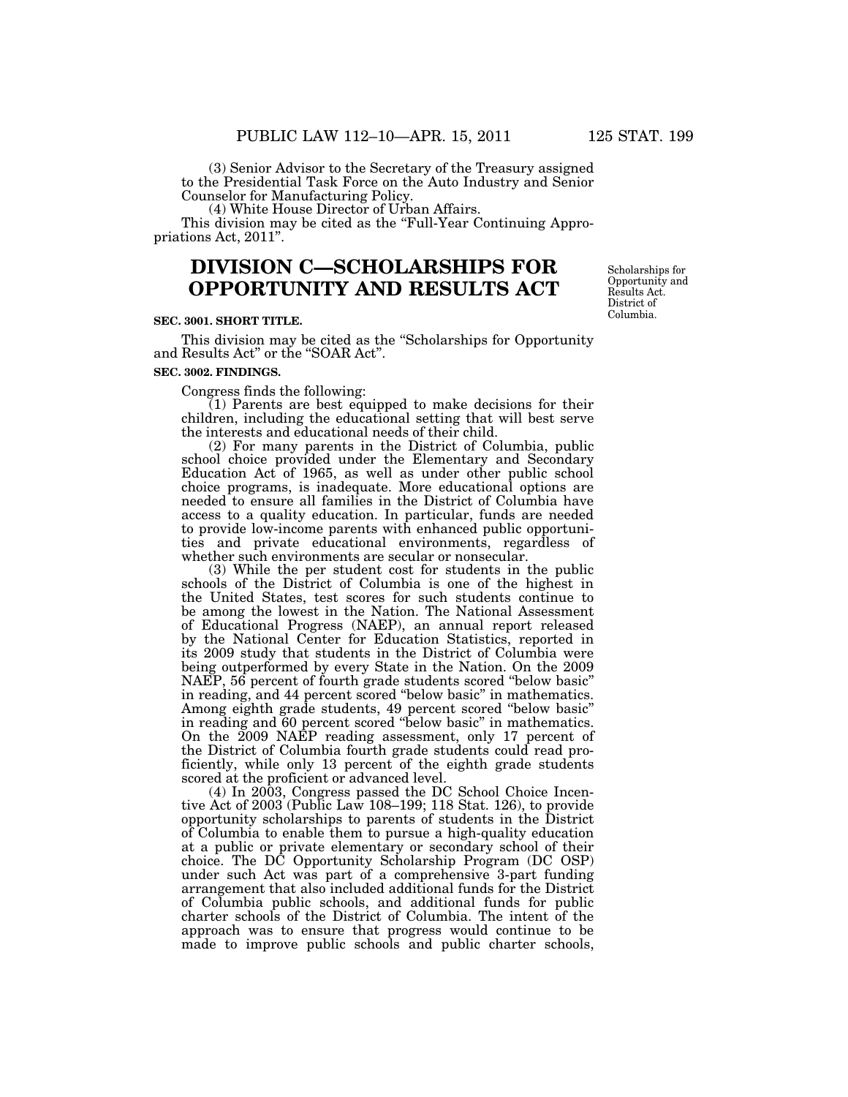(3) Senior Advisor to the Secretary of the Treasury assigned to the Presidential Task Force on the Auto Industry and Senior Counselor for Manufacturing Policy.

(4) White House Director of Urban Affairs. This division may be cited as the "Full-Year Continuing Appro-

priations Act, 2011''.

# **DIVISION C—SCHOLARSHIPS FOR OPPORTUNITY AND RESULTS ACT**

#### **SEC. 3001. SHORT TITLE.**

This division may be cited as the ''Scholarships for Opportunity and Results Act'' or the ''SOAR Act''.

## **SEC. 3002. FINDINGS.**

Congress finds the following:

 $(1)$  Parents are best equipped to make decisions for their children, including the educational setting that will best serve the interests and educational needs of their child.

(2) For many parents in the District of Columbia, public school choice provided under the Elementary and Secondary Education Act of 1965, as well as under other public school choice programs, is inadequate. More educational options are needed to ensure all families in the District of Columbia have access to a quality education. In particular, funds are needed to provide low-income parents with enhanced public opportunities and private educational environments, regardless of whether such environments are secular or nonsecular.

(3) While the per student cost for students in the public schools of the District of Columbia is one of the highest in the United States, test scores for such students continue to be among the lowest in the Nation. The National Assessment of Educational Progress (NAEP), an annual report released by the National Center for Education Statistics, reported in its 2009 study that students in the District of Columbia were being outperformed by every State in the Nation. On the 2009 NAEP, 56 percent of fourth grade students scored ''below basic'' in reading, and 44 percent scored ''below basic'' in mathematics. Among eighth grade students, 49 percent scored ''below basic'' in reading and 60 percent scored ''below basic'' in mathematics. On the 2009 NAEP reading assessment, only 17 percent of the District of Columbia fourth grade students could read proficiently, while only 13 percent of the eighth grade students scored at the proficient or advanced level.

(4) In 2003, Congress passed the DC School Choice Incentive Act of 2003 (Public Law 108–199; 118 Stat. 126), to provide opportunity scholarships to parents of students in the District of Columbia to enable them to pursue a high-quality education at a public or private elementary or secondary school of their choice. The DC Opportunity Scholarship Program (DC OSP) under such Act was part of a comprehensive 3-part funding arrangement that also included additional funds for the District of Columbia public schools, and additional funds for public charter schools of the District of Columbia. The intent of the approach was to ensure that progress would continue to be made to improve public schools and public charter schools,

Scholarships for Opportunity and Results Act. District of Columbia.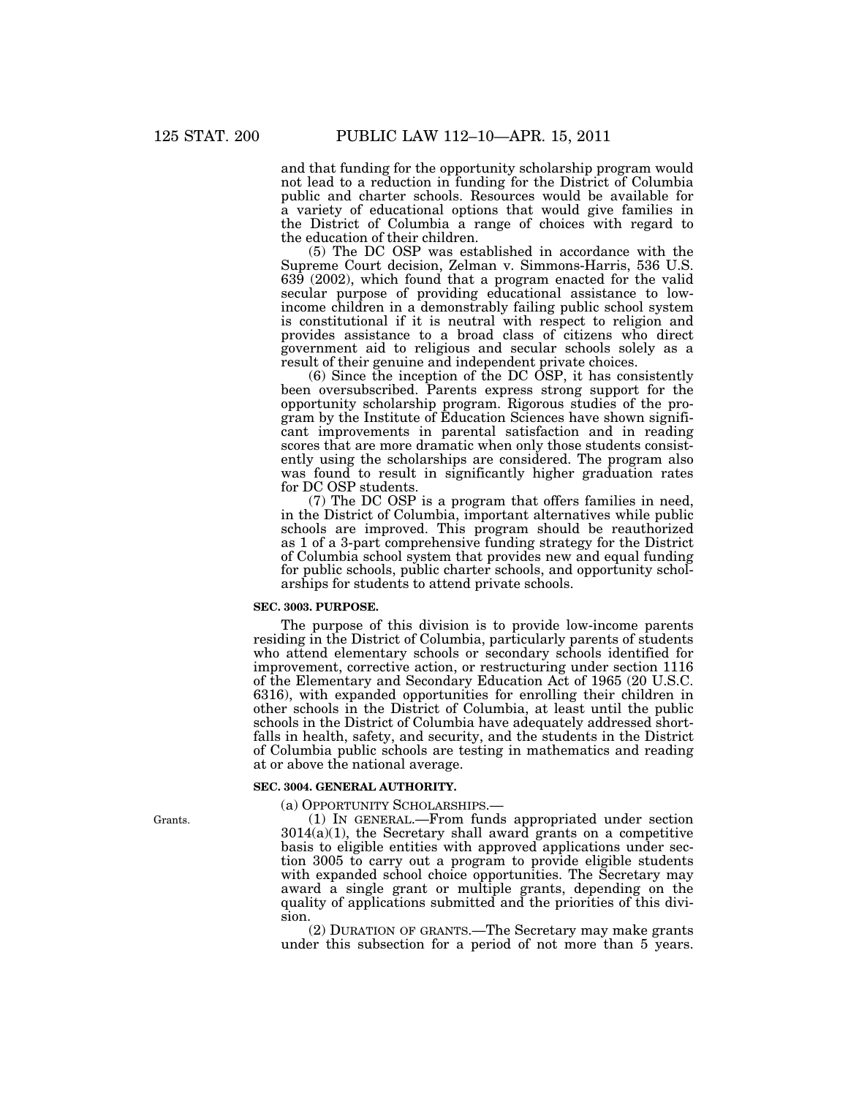and that funding for the opportunity scholarship program would not lead to a reduction in funding for the District of Columbia public and charter schools. Resources would be available for a variety of educational options that would give families in the District of Columbia a range of choices with regard to the education of their children.

(5) The DC OSP was established in accordance with the Supreme Court decision, Zelman v. Simmons-Harris, 536 U.S.  $639$  (2002), which found that a program enacted for the valid secular purpose of providing educational assistance to lowincome children in a demonstrably failing public school system is constitutional if it is neutral with respect to religion and provides assistance to a broad class of citizens who direct government aid to religious and secular schools solely as a result of their genuine and independent private choices.

(6) Since the inception of the DC OSP, it has consistently been oversubscribed. Parents express strong support for the opportunity scholarship program. Rigorous studies of the program by the Institute of Education Sciences have shown significant improvements in parental satisfaction and in reading scores that are more dramatic when only those students consistently using the scholarships are considered. The program also was found to result in significantly higher graduation rates for DC OSP students.

(7) The DC OSP is a program that offers families in need, in the District of Columbia, important alternatives while public schools are improved. This program should be reauthorized as 1 of a 3-part comprehensive funding strategy for the District of Columbia school system that provides new and equal funding for public schools, public charter schools, and opportunity scholarships for students to attend private schools.

#### **SEC. 3003. PURPOSE.**

The purpose of this division is to provide low-income parents residing in the District of Columbia, particularly parents of students who attend elementary schools or secondary schools identified for improvement, corrective action, or restructuring under section 1116 of the Elementary and Secondary Education Act of 1965 (20 U.S.C. 6316), with expanded opportunities for enrolling their children in other schools in the District of Columbia, at least until the public schools in the District of Columbia have adequately addressed shortfalls in health, safety, and security, and the students in the District of Columbia public schools are testing in mathematics and reading at or above the national average.

#### **SEC. 3004. GENERAL AUTHORITY.**

(a) OPPORTUNITY SCHOLARSHIPS.—

(1) IN GENERAL.—From funds appropriated under section 3014(a)(1), the Secretary shall award grants on a competitive basis to eligible entities with approved applications under section 3005 to carry out a program to provide eligible students with expanded school choice opportunities. The Secretary may award a single grant or multiple grants, depending on the quality of applications submitted and the priorities of this division.

(2) DURATION OF GRANTS.—The Secretary may make grants under this subsection for a period of not more than 5 years.

Grants.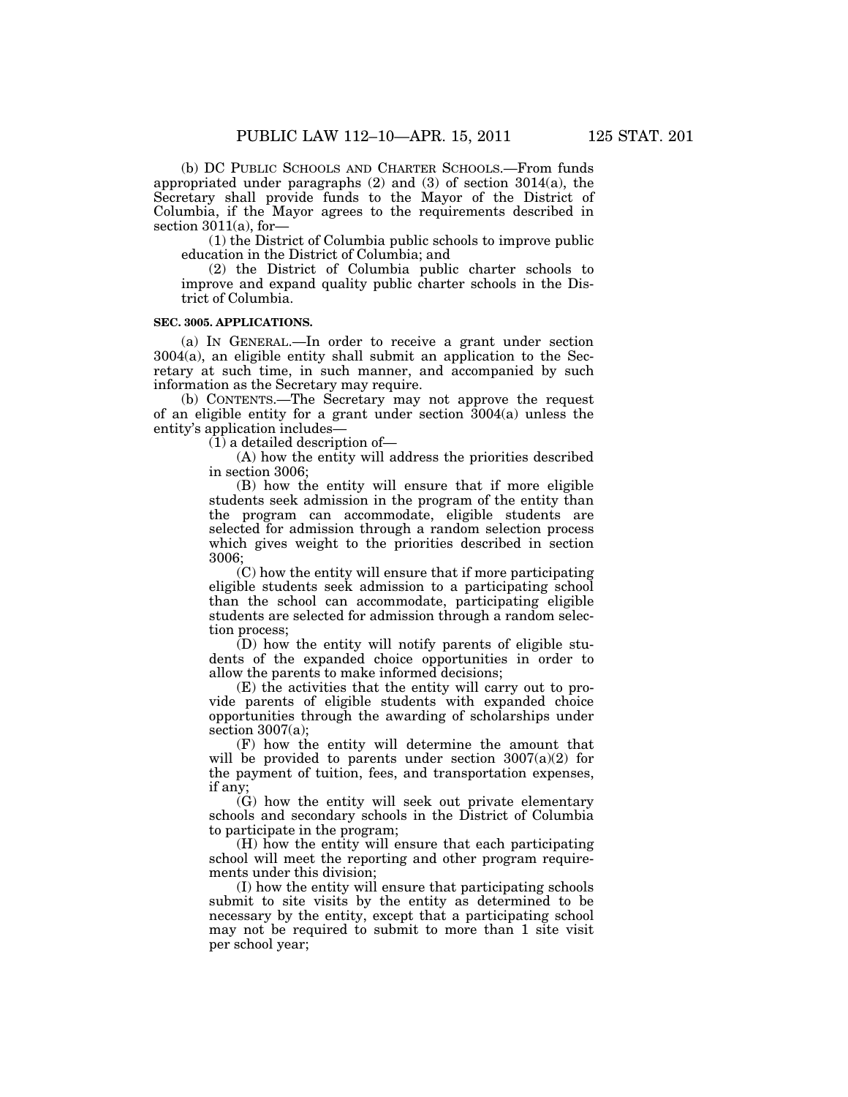(b) DC PUBLIC SCHOOLS AND CHARTER SCHOOLS.—From funds appropriated under paragraphs (2) and (3) of section 3014(a), the Secretary shall provide funds to the Mayor of the District of Columbia, if the Mayor agrees to the requirements described in section  $3011(a)$ , for-

(1) the District of Columbia public schools to improve public education in the District of Columbia; and

(2) the District of Columbia public charter schools to improve and expand quality public charter schools in the District of Columbia.

#### **SEC. 3005. APPLICATIONS.**

(a) IN GENERAL.—In order to receive a grant under section 3004(a), an eligible entity shall submit an application to the Secretary at such time, in such manner, and accompanied by such information as the Secretary may require.

(b) CONTENTS.—The Secretary may not approve the request of an eligible entity for a grant under section 3004(a) unless the entity's application includes—

(1) a detailed description of—

(A) how the entity will address the priorities described in section 3006;

(B) how the entity will ensure that if more eligible students seek admission in the program of the entity than the program can accommodate, eligible students are selected for admission through a random selection process which gives weight to the priorities described in section 3006;

(C) how the entity will ensure that if more participating eligible students seek admission to a participating school than the school can accommodate, participating eligible students are selected for admission through a random selection process;

(D) how the entity will notify parents of eligible students of the expanded choice opportunities in order to allow the parents to make informed decisions;

(E) the activities that the entity will carry out to provide parents of eligible students with expanded choice opportunities through the awarding of scholarships under section  $3007(a)$ ;

(F) how the entity will determine the amount that will be provided to parents under section  $3007(a)(2)$  for the payment of tuition, fees, and transportation expenses, if any;

(G) how the entity will seek out private elementary schools and secondary schools in the District of Columbia to participate in the program;

(H) how the entity will ensure that each participating school will meet the reporting and other program requirements under this division;

(I) how the entity will ensure that participating schools submit to site visits by the entity as determined to be necessary by the entity, except that a participating school may not be required to submit to more than 1 site visit per school year;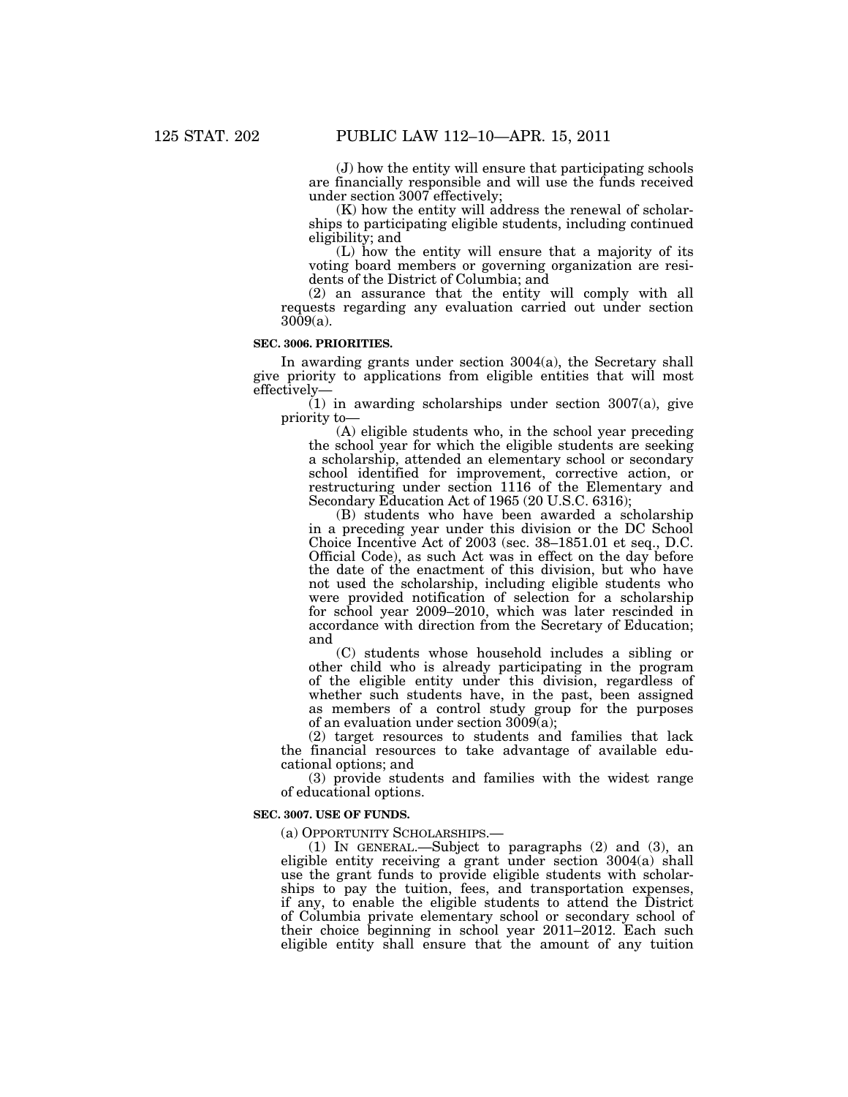(J) how the entity will ensure that participating schools are financially responsible and will use the funds received under section 3007 effectively;

(K) how the entity will address the renewal of scholarships to participating eligible students, including continued eligibility; and

(L) how the entity will ensure that a majority of its voting board members or governing organization are residents of the District of Columbia; and

(2) an assurance that the entity will comply with all requests regarding any evaluation carried out under section 3009(a).

## **SEC. 3006. PRIORITIES.**

In awarding grants under section 3004(a), the Secretary shall give priority to applications from eligible entities that will most effectively—

 $(1)$  in awarding scholarships under section 3007(a), give priority to—

(A) eligible students who, in the school year preceding the school year for which the eligible students are seeking a scholarship, attended an elementary school or secondary school identified for improvement, corrective action, or restructuring under section 1116 of the Elementary and Secondary Education Act of 1965 (20 U.S.C. 6316);

(B) students who have been awarded a scholarship in a preceding year under this division or the DC School Choice Incentive Act of 2003 (sec. 38–1851.01 et seq., D.C. Official Code), as such Act was in effect on the day before the date of the enactment of this division, but who have not used the scholarship, including eligible students who were provided notification of selection for a scholarship for school year 2009–2010, which was later rescinded in accordance with direction from the Secretary of Education; and

(C) students whose household includes a sibling or other child who is already participating in the program of the eligible entity under this division, regardless of whether such students have, in the past, been assigned as members of a control study group for the purposes of an evaluation under section 3009(a);

(2) target resources to students and families that lack the financial resources to take advantage of available educational options; and

(3) provide students and families with the widest range of educational options.

#### **SEC. 3007. USE OF FUNDS.**

(a) OPPORTUNITY SCHOLARSHIPS.—

(1) IN GENERAL.—Subject to paragraphs (2) and (3), an eligible entity receiving a grant under section 3004(a) shall use the grant funds to provide eligible students with scholarships to pay the tuition, fees, and transportation expenses, if any, to enable the eligible students to attend the District of Columbia private elementary school or secondary school of their choice beginning in school year 2011–2012. Each such eligible entity shall ensure that the amount of any tuition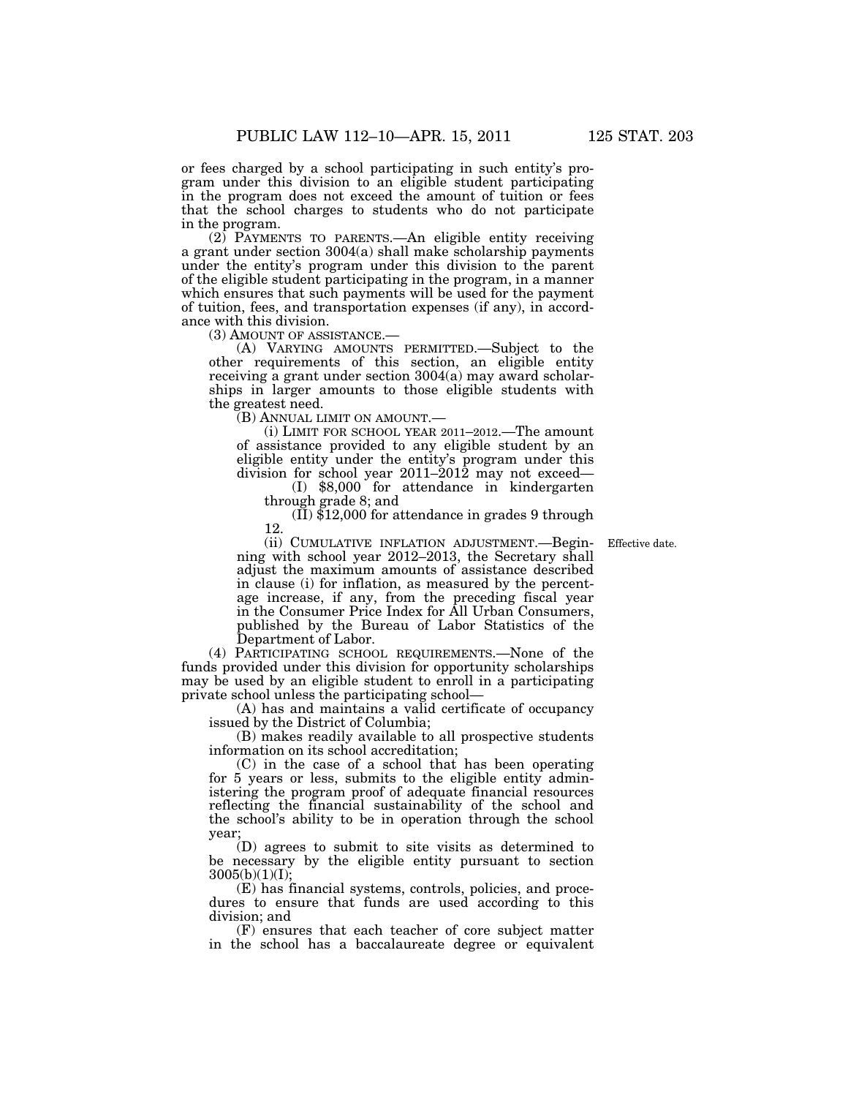or fees charged by a school participating in such entity's program under this division to an eligible student participating in the program does not exceed the amount of tuition or fees that the school charges to students who do not participate in the program.

(2) PAYMENTS TO PARENTS.—An eligible entity receiving a grant under section 3004(a) shall make scholarship payments under the entity's program under this division to the parent of the eligible student participating in the program, in a manner which ensures that such payments will be used for the payment of tuition, fees, and transportation expenses (if any), in accordance with this division.

(3) AMOUNT OF ASSISTANCE.— (A) VARYING AMOUNTS PERMITTED.—Subject to the other requirements of this section, an eligible entity receiving a grant under section 3004(a) may award scholarships in larger amounts to those eligible students with the greatest need.

(B) ANNUAL LIMIT ON AMOUNT.—

(i) LIMIT FOR SCHOOL YEAR 2011–2012.—The amount of assistance provided to any eligible student by an eligible entity under the entity's program under this division for school year 2011–2012 may not exceed—

(I) \$8,000 for attendance in kindergarten through grade 8; and

(II) \$12,000 for attendance in grades 9 through 12.

Effective date.

(ii) CUMULATIVE INFLATION ADJUSTMENT.—Beginning with school year 2012–2013, the Secretary shall adjust the maximum amounts of assistance described in clause (i) for inflation, as measured by the percentage increase, if any, from the preceding fiscal year in the Consumer Price Index for All Urban Consumers, published by the Bureau of Labor Statistics of the Department of Labor.

(4) PARTICIPATING SCHOOL REQUIREMENTS.—None of the funds provided under this division for opportunity scholarships may be used by an eligible student to enroll in a participating private school unless the participating school—

(A) has and maintains a valid certificate of occupancy issued by the District of Columbia;

(B) makes readily available to all prospective students information on its school accreditation;

(C) in the case of a school that has been operating for 5 years or less, submits to the eligible entity administering the program proof of adequate financial resources reflecting the financial sustainability of the school and the school's ability to be in operation through the school year;

(D) agrees to submit to site visits as determined to be necessary by the eligible entity pursuant to section 3005(b)(1)(I);

(E) has financial systems, controls, policies, and procedures to ensure that funds are used according to this division; and

(F) ensures that each teacher of core subject matter in the school has a baccalaureate degree or equivalent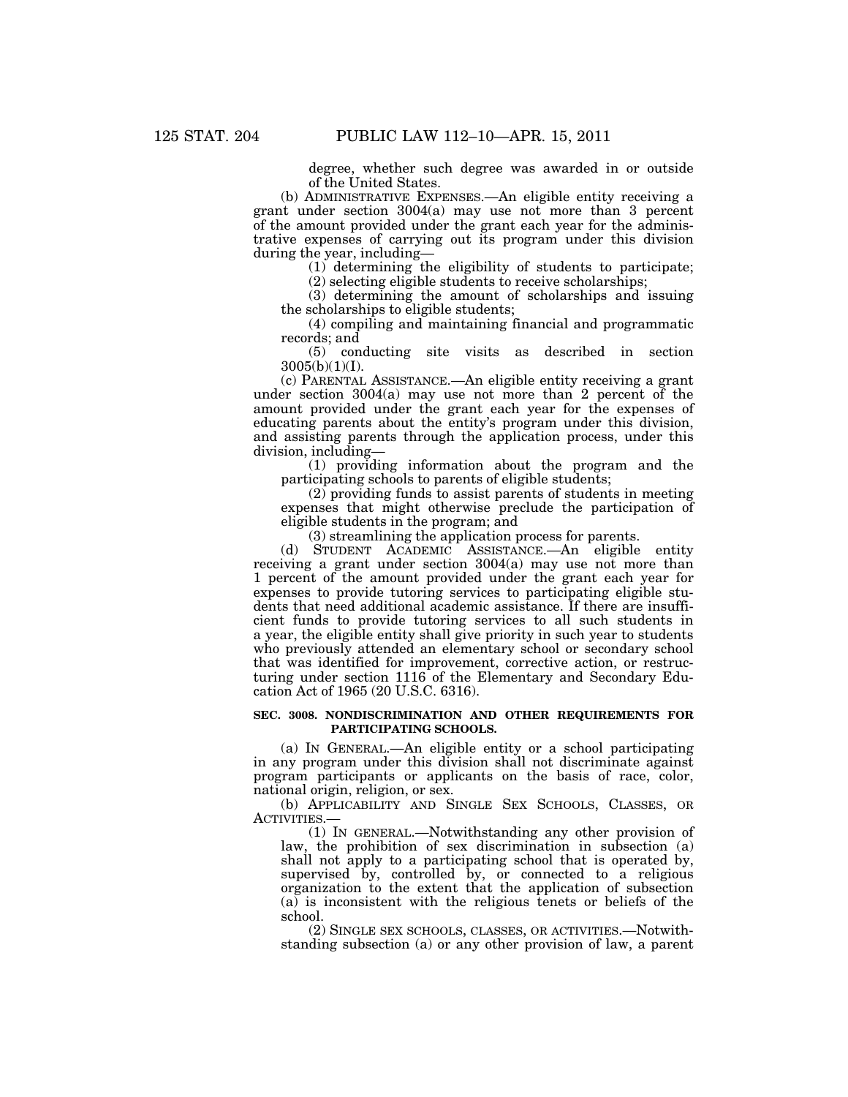degree, whether such degree was awarded in or outside of the United States.

(b) ADMINISTRATIVE EXPENSES.—An eligible entity receiving a grant under section 3004(a) may use not more than 3 percent of the amount provided under the grant each year for the administrative expenses of carrying out its program under this division during the year, including—

(1) determining the eligibility of students to participate;

(2) selecting eligible students to receive scholarships;

(3) determining the amount of scholarships and issuing the scholarships to eligible students;

(4) compiling and maintaining financial and programmatic records; and

(5) conducting site visits as described in section 3005(b)(1)(I).

(c) PARENTAL ASSISTANCE.—An eligible entity receiving a grant under section 3004(a) may use not more than 2 percent of the amount provided under the grant each year for the expenses of educating parents about the entity's program under this division, and assisting parents through the application process, under this division, including—

(1) providing information about the program and the participating schools to parents of eligible students;

 $(2)$  providing funds to assist parents of students in meeting expenses that might otherwise preclude the participation of eligible students in the program; and

(3) streamlining the application process for parents.

(d) STUDENT ACADEMIC ASSISTANCE.—An eligible entity receiving a grant under section 3004(a) may use not more than 1 percent of the amount provided under the grant each year for expenses to provide tutoring services to participating eligible students that need additional academic assistance. If there are insufficient funds to provide tutoring services to all such students in a year, the eligible entity shall give priority in such year to students who previously attended an elementary school or secondary school that was identified for improvement, corrective action, or restructuring under section 1116 of the Elementary and Secondary Education Act of 1965 (20 U.S.C. 6316).

#### **SEC. 3008. NONDISCRIMINATION AND OTHER REQUIREMENTS FOR PARTICIPATING SCHOOLS.**

(a) IN GENERAL.—An eligible entity or a school participating in any program under this division shall not discriminate against program participants or applicants on the basis of race, color, national origin, religion, or sex.

(b) APPLICABILITY AND SINGLE SEX SCHOOLS, CLASSES, OR ACTIVITIES.—

(1) IN GENERAL.—Notwithstanding any other provision of law, the prohibition of sex discrimination in subsection (a) shall not apply to a participating school that is operated by, supervised by, controlled by, or connected to a religious organization to the extent that the application of subsection (a) is inconsistent with the religious tenets or beliefs of the school.

(2) SINGLE SEX SCHOOLS, CLASSES, OR ACTIVITIES.—Notwithstanding subsection (a) or any other provision of law, a parent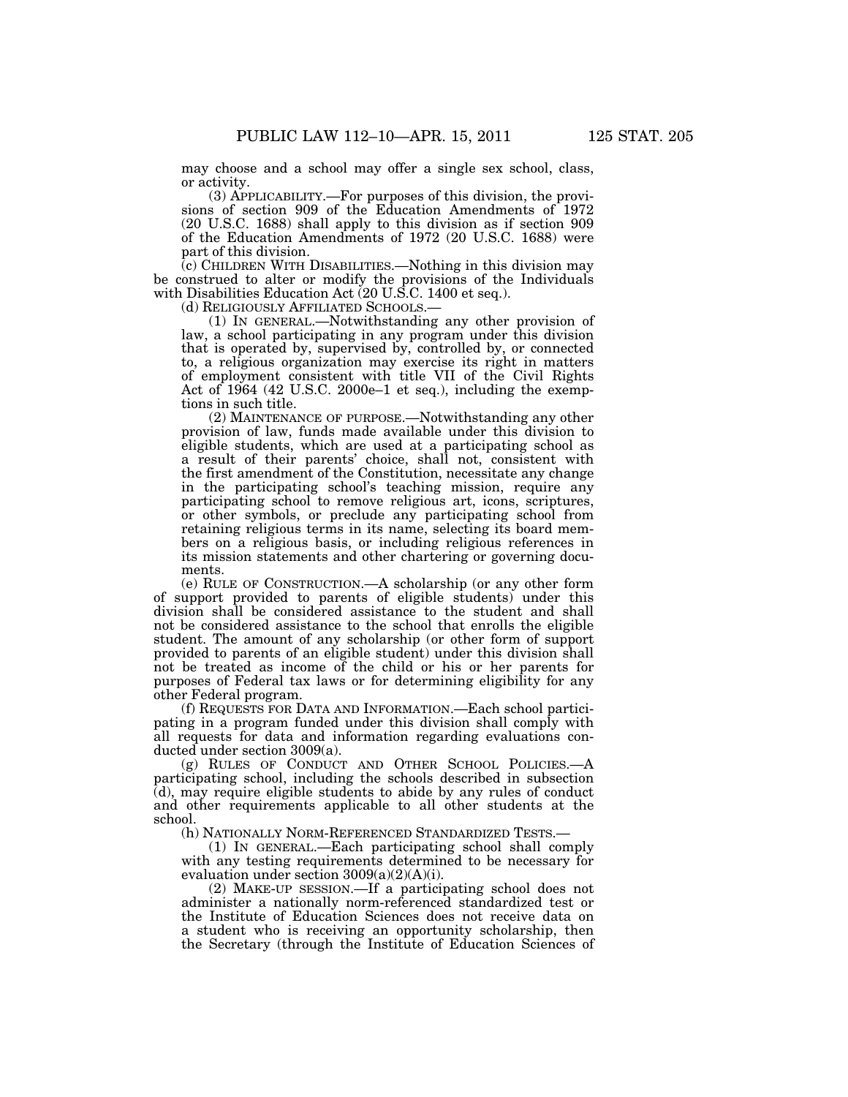may choose and a school may offer a single sex school, class, or activity.

(3) APPLICABILITY.—For purposes of this division, the provisions of section 909 of the Education Amendments of 1972 (20 U.S.C. 1688) shall apply to this division as if section 909 of the Education Amendments of 1972 (20 U.S.C. 1688) were part of this division.

 $\overline{c}$ ) CHILDREN WITH DISABILITIES.—Nothing in this division may be construed to alter or modify the provisions of the Individuals with Disabilities Education Act (20 U.S.C. 1400 et seq.).<br>(d) RELIGIOUSLY AFFILIATED SCHOOLS.—

(1) IN GENERAL.—Notwithstanding any other provision of law, a school participating in any program under this division that is operated by, supervised by, controlled by, or connected to, a religious organization may exercise its right in matters of employment consistent with title VII of the Civil Rights Act of 1964 (42 U.S.C. 2000e–1 et seq.), including the exemptions in such title.

(2) MAINTENANCE OF PURPOSE.—Notwithstanding any other provision of law, funds made available under this division to eligible students, which are used at a participating school as a result of their parents' choice, shall not, consistent with the first amendment of the Constitution, necessitate any change in the participating school's teaching mission, require any participating school to remove religious art, icons, scriptures, or other symbols, or preclude any participating school from retaining religious terms in its name, selecting its board members on a religious basis, or including religious references in its mission statements and other chartering or governing documents.

(e) RULE OF CONSTRUCTION.—A scholarship (or any other form of support provided to parents of eligible students) under this division shall be considered assistance to the student and shall not be considered assistance to the school that enrolls the eligible student. The amount of any scholarship (or other form of support provided to parents of an eligible student) under this division shall not be treated as income of the child or his or her parents for purposes of Federal tax laws or for determining eligibility for any other Federal program.

(f) REQUESTS FOR DATA AND INFORMATION.—Each school participating in a program funded under this division shall comply with all requests for data and information regarding evaluations conducted under section 3009(a).

(g) RULES OF CONDUCT AND OTHER SCHOOL POLICIES.—A participating school, including the schools described in subsection (d), may require eligible students to abide by any rules of conduct and other requirements applicable to all other students at the school.

(h) NATIONALLY NORM-REFERENCED STANDARDIZED TESTS.—

(1) IN GENERAL.—Each participating school shall comply with any testing requirements determined to be necessary for evaluation under section 3009(a)(2)(A)(i).

(2) MAKE-UP SESSION.—If a participating school does not administer a nationally norm-referenced standardized test or the Institute of Education Sciences does not receive data on a student who is receiving an opportunity scholarship, then the Secretary (through the Institute of Education Sciences of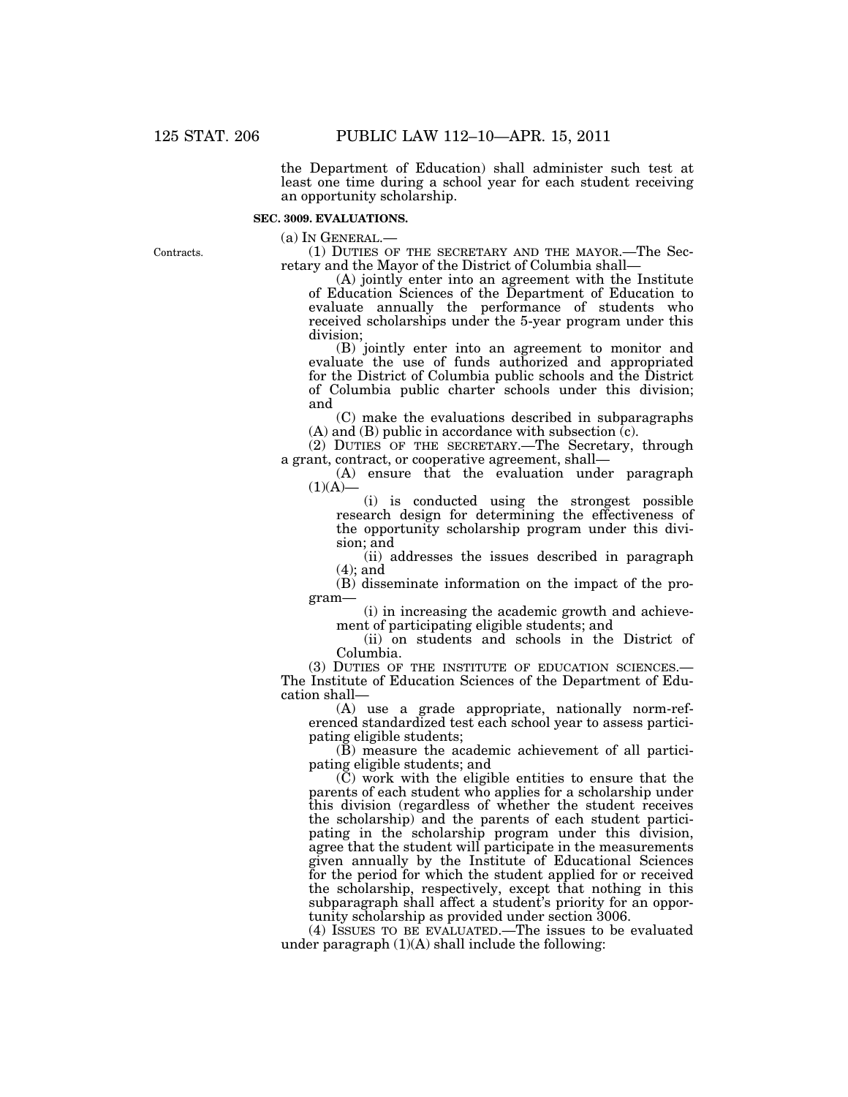the Department of Education) shall administer such test at least one time during a school year for each student receiving an opportunity scholarship.

## **SEC. 3009. EVALUATIONS.**

(a) IN GENERAL.— (1) DUTIES OF THE SECRETARY AND THE MAYOR.—The Secretary and the Mayor of the District of Columbia shall—

(A) jointly enter into an agreement with the Institute of Education Sciences of the Department of Education to evaluate annually the performance of students who received scholarships under the 5-year program under this division;

(B) jointly enter into an agreement to monitor and evaluate the use of funds authorized and appropriated for the District of Columbia public schools and the District of Columbia public charter schools under this division; and

(C) make the evaluations described in subparagraphs (A) and (B) public in accordance with subsection  $\overline{c}$ ).

(2) DUTIES OF THE SECRETARY.—The Secretary, through a grant, contract, or cooperative agreement, shall—

(A) ensure that the evaluation under paragraph  $(1)(A)$ 

(i) is conducted using the strongest possible research design for determining the effectiveness of the opportunity scholarship program under this division; and

(ii) addresses the issues described in paragraph (4); and

(B) disseminate information on the impact of the program—

(i) in increasing the academic growth and achievement of participating eligible students; and

(ii) on students and schools in the District of Columbia.

(3) DUTIES OF THE INSTITUTE OF EDUCATION SCIENCES.— The Institute of Education Sciences of the Department of Education shall—

(A) use a grade appropriate, nationally norm-referenced standardized test each school year to assess participating eligible students;

(B) measure the academic achievement of all participating eligible students; and

 $(\tilde{C})$  work with the eligible entities to ensure that the parents of each student who applies for a scholarship under this division (regardless of whether the student receives the scholarship) and the parents of each student participating in the scholarship program under this division, agree that the student will participate in the measurements given annually by the Institute of Educational Sciences for the period for which the student applied for or received the scholarship, respectively, except that nothing in this subparagraph shall affect a student's priority for an opportunity scholarship as provided under section 3006.

(4) ISSUES TO BE EVALUATED.—The issues to be evaluated under paragraph  $(1)(A)$  shall include the following:

Contracts.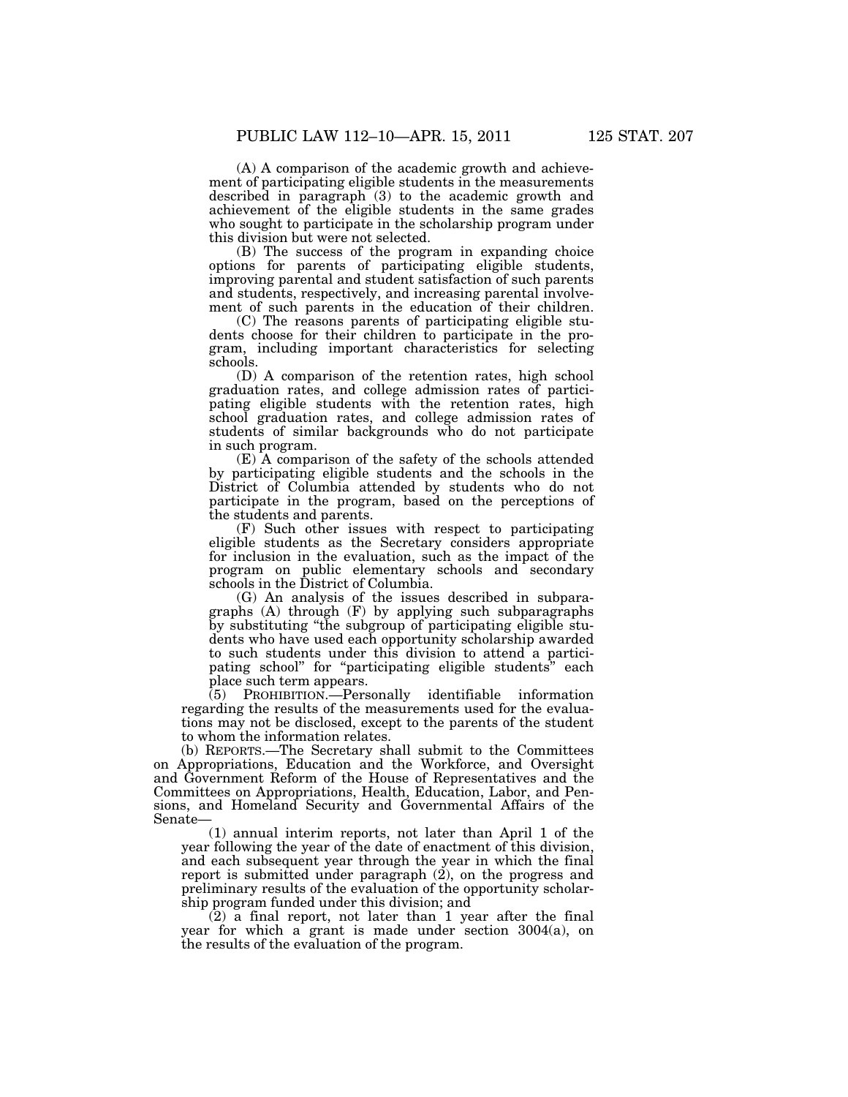(A) A comparison of the academic growth and achievement of participating eligible students in the measurements described in paragraph (3) to the academic growth and achievement of the eligible students in the same grades who sought to participate in the scholarship program under this division but were not selected.

(B) The success of the program in expanding choice options for parents of participating eligible students, improving parental and student satisfaction of such parents and students, respectively, and increasing parental involvement of such parents in the education of their children.

(C) The reasons parents of participating eligible students choose for their children to participate in the program, including important characteristics for selecting schools.

(D) A comparison of the retention rates, high school graduation rates, and college admission rates of participating eligible students with the retention rates, high school graduation rates, and college admission rates of students of similar backgrounds who do not participate in such program.

(E) A comparison of the safety of the schools attended by participating eligible students and the schools in the District of Columbia attended by students who do not participate in the program, based on the perceptions of the students and parents.

(F) Such other issues with respect to participating eligible students as the Secretary considers appropriate for inclusion in the evaluation, such as the impact of the program on public elementary schools and secondary schools in the District of Columbia.

(G) An analysis of the issues described in subparagraphs (A) through (F) by applying such subparagraphs by substituting ''the subgroup of participating eligible students who have used each opportunity scholarship awarded to such students under this division to attend a participating school" for "participating eligible students" each place such term appears.

(5) PROHIBITION.—Personally identifiable information regarding the results of the measurements used for the evaluations may not be disclosed, except to the parents of the student to whom the information relates.

(b) REPORTS.—The Secretary shall submit to the Committees on Appropriations, Education and the Workforce, and Oversight and Government Reform of the House of Representatives and the Committees on Appropriations, Health, Education, Labor, and Pensions, and Homeland Security and Governmental Affairs of the Senate—

(1) annual interim reports, not later than April 1 of the year following the year of the date of enactment of this division, and each subsequent year through the year in which the final report is submitted under paragraph  $(2)$ , on the progress and preliminary results of the evaluation of the opportunity scholarship program funded under this division; and

(2) a final report, not later than 1 year after the final year for which a grant is made under section 3004(a), on the results of the evaluation of the program.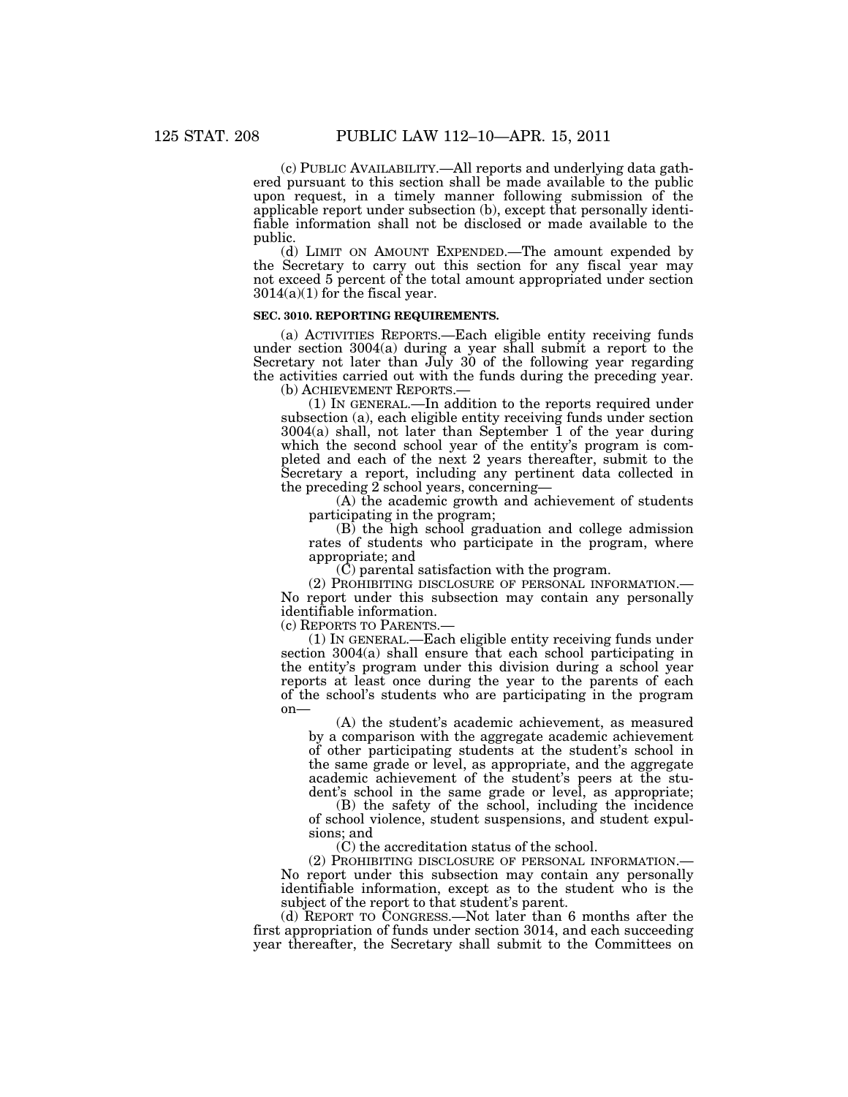(c) PUBLIC AVAILABILITY.—All reports and underlying data gathered pursuant to this section shall be made available to the public upon request, in a timely manner following submission of the applicable report under subsection (b), except that personally identifiable information shall not be disclosed or made available to the public.

(d) LIMIT ON AMOUNT EXPENDED.—The amount expended by the Secretary to carry out this section for any fiscal year may not exceed 5 percent of the total amount appropriated under section  $3014(a)(1)$  for the fiscal year.

## **SEC. 3010. REPORTING REQUIREMENTS.**

(a) ACTIVITIES REPORTS.—Each eligible entity receiving funds under section 3004(a) during a year shall submit a report to the Secretary not later than July 30 of the following year regarding the activities carried out with the funds during the preceding year. (b) ACHIEVEMENT REPORTS.—

(1) IN GENERAL.—In addition to the reports required under subsection (a), each eligible entity receiving funds under section 3004(a) shall, not later than September 1 of the year during which the second school year of the entity's program is completed and each of the next 2 years thereafter, submit to the Secretary a report, including any pertinent data collected in the preceding 2 school years, concerning—

(A) the academic growth and achievement of students participating in the program;

(B) the high school graduation and college admission rates of students who participate in the program, where appropriate; and

 $(\tilde{C})$  parental satisfaction with the program.

(2) PROHIBITING DISCLOSURE OF PERSONAL INFORMATION.— No report under this subsection may contain any personally identifiable information.

(c) REPORTS TO PARENTS.—

(1) IN GENERAL.—Each eligible entity receiving funds under section 3004(a) shall ensure that each school participating in the entity's program under this division during a school year reports at least once during the year to the parents of each of the school's students who are participating in the program on—

(A) the student's academic achievement, as measured by a comparison with the aggregate academic achievement of other participating students at the student's school in the same grade or level, as appropriate, and the aggregate academic achievement of the student's peers at the student's school in the same grade or level, as appropriate;

(B) the safety of the school, including the incidence of school violence, student suspensions, and student expulsions; and

(C) the accreditation status of the school.<br>(2) PROHIBITING DISCLOSURE OF PERSONAL INFORMATION.— No report under this subsection may contain any personally identifiable information, except as to the student who is the subject of the report to that student's parent.

(d) REPORT TO CONGRESS.—Not later than 6 months after the first appropriation of funds under section 3014, and each succeeding year thereafter, the Secretary shall submit to the Committees on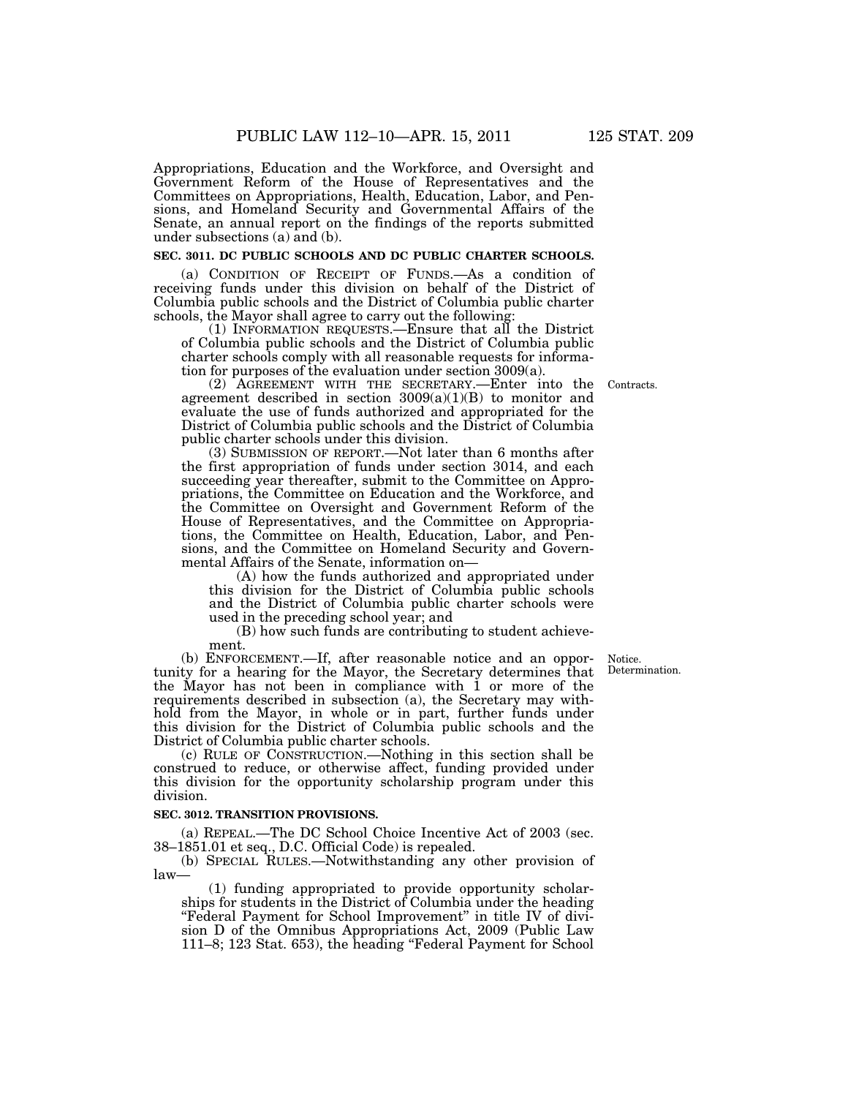Appropriations, Education and the Workforce, and Oversight and Government Reform of the House of Representatives and the Committees on Appropriations, Health, Education, Labor, and Pensions, and Homeland Security and Governmental Affairs of the Senate, an annual report on the findings of the reports submitted under subsections (a) and (b).

#### **SEC. 3011. DC PUBLIC SCHOOLS AND DC PUBLIC CHARTER SCHOOLS.**

(a) CONDITION OF RECEIPT OF FUNDS.—As a condition of receiving funds under this division on behalf of the District of Columbia public schools and the District of Columbia public charter schools, the Mayor shall agree to carry out the following:

(1) INFORMATION REQUESTS.—Ensure that all the District of Columbia public schools and the District of Columbia public charter schools comply with all reasonable requests for information for purposes of the evaluation under section 3009(a).

Contracts.

(2) AGREEMENT WITH THE SECRETARY.—Enter into the agreement described in section  $3009(a)(1)(B)$  to monitor and evaluate the use of funds authorized and appropriated for the District of Columbia public schools and the District of Columbia public charter schools under this division.

(3) SUBMISSION OF REPORT.—Not later than 6 months after the first appropriation of funds under section 3014, and each succeeding year thereafter, submit to the Committee on Appropriations, the Committee on Education and the Workforce, and the Committee on Oversight and Government Reform of the House of Representatives, and the Committee on Appropriations, the Committee on Health, Education, Labor, and Pensions, and the Committee on Homeland Security and Governmental Affairs of the Senate, information on—

(A) how the funds authorized and appropriated under this division for the District of Columbia public schools and the District of Columbia public charter schools were used in the preceding school year; and

(B) how such funds are contributing to student achievement.

> Notice. Determination.

(b) ENFORCEMENT.—If, after reasonable notice and an opportunity for a hearing for the Mayor, the Secretary determines that the Mayor has not been in compliance with 1 or more of the requirements described in subsection (a), the Secretary may withhold from the Mayor, in whole or in part, further funds under this division for the District of Columbia public schools and the District of Columbia public charter schools.

(c) RULE OF CONSTRUCTION.—Nothing in this section shall be construed to reduce, or otherwise affect, funding provided under this division for the opportunity scholarship program under this division.

## **SEC. 3012. TRANSITION PROVISIONS.**

(a) REPEAL.—The DC School Choice Incentive Act of 2003 (sec. 38–1851.01 et seq., D.C. Official Code) is repealed.

(b) SPECIAL RULES.—Notwithstanding any other provision of law—

(1) funding appropriated to provide opportunity scholarships for students in the District of Columbia under the heading "Federal Payment for School Improvement" in title IV of division D of the Omnibus Appropriations Act, 2009 (Public Law 111–8; 123 Stat. 653), the heading ''Federal Payment for School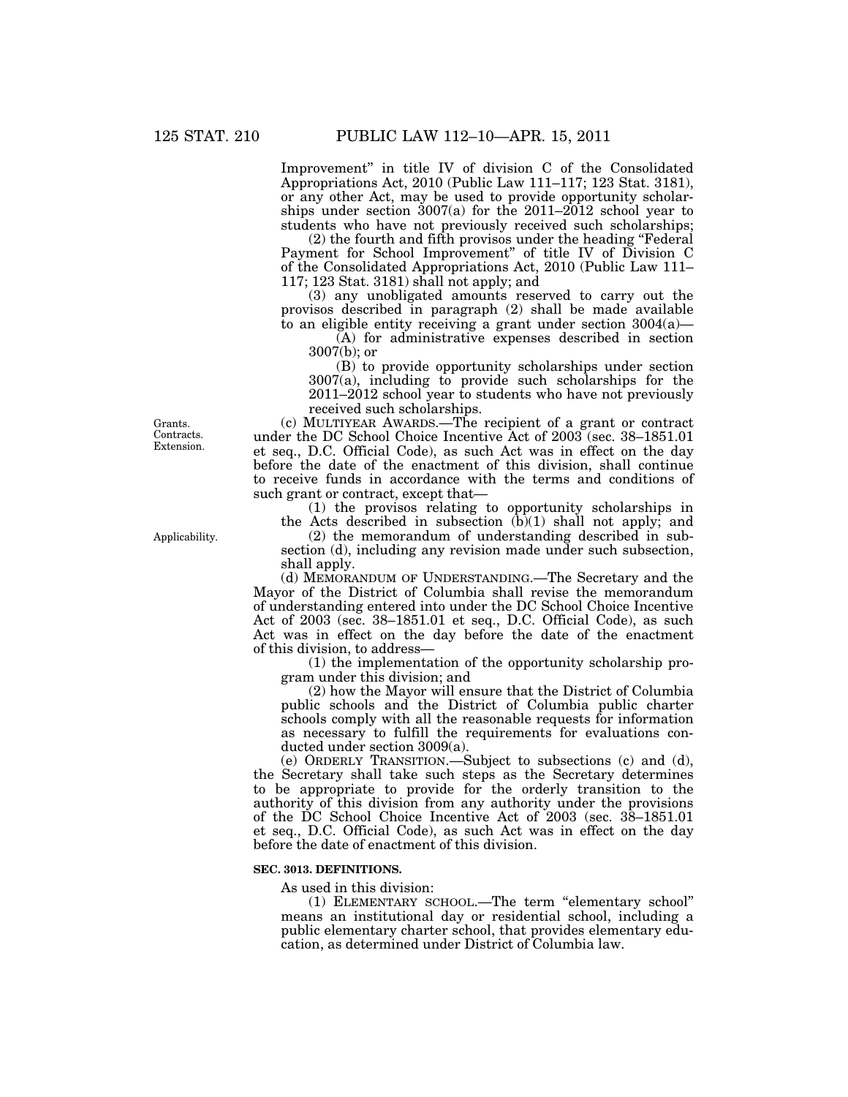Improvement'' in title IV of division C of the Consolidated Appropriations Act, 2010 (Public Law 111–117; 123 Stat. 3181), or any other Act, may be used to provide opportunity scholarships under section  $3007(a)$  for the 2011–2012 school year to students who have not previously received such scholarships;

(2) the fourth and fifth provisos under the heading ''Federal Payment for School Improvement'' of title IV of Division C of the Consolidated Appropriations Act, 2010 (Public Law 111– 117; 123 Stat. 3181) shall not apply; and

(3) any unobligated amounts reserved to carry out the provisos described in paragraph (2) shall be made available to an eligible entity receiving a grant under section  $3004(a)$ —

(A) for administrative expenses described in section 3007(b); or

(B) to provide opportunity scholarships under section 3007(a), including to provide such scholarships for the 2011–2012 school year to students who have not previously received such scholarships.

(c) MULTIYEAR AWARDS.—The recipient of a grant or contract under the DC School Choice Incentive Act of 2003 (sec. 38–1851.01 et seq., D.C. Official Code), as such Act was in effect on the day before the date of the enactment of this division, shall continue to receive funds in accordance with the terms and conditions of such grant or contract, except that—

(1) the provisos relating to opportunity scholarships in the Acts described in subsection (b)(1) shall not apply; and

(2) the memorandum of understanding described in subsection (d), including any revision made under such subsection, shall apply.

(d) MEMORANDUM OF UNDERSTANDING.—The Secretary and the Mayor of the District of Columbia shall revise the memorandum of understanding entered into under the DC School Choice Incentive Act of 2003 (sec. 38–1851.01 et seq., D.C. Official Code), as such Act was in effect on the day before the date of the enactment of this division, to address—

(1) the implementation of the opportunity scholarship program under this division; and

(2) how the Mayor will ensure that the District of Columbia public schools and the District of Columbia public charter schools comply with all the reasonable requests for information as necessary to fulfill the requirements for evaluations conducted under section 3009(a).

(e) ORDERLY TRANSITION.—Subject to subsections (c) and (d), the Secretary shall take such steps as the Secretary determines to be appropriate to provide for the orderly transition to the authority of this division from any authority under the provisions of the DC School Choice Incentive Act of 2003 (sec. 38–1851.01 et seq., D.C. Official Code), as such Act was in effect on the day before the date of enactment of this division.

### **SEC. 3013. DEFINITIONS.**

As used in this division:

(1) ELEMENTARY SCHOOL.—The term ''elementary school'' means an institutional day or residential school, including a public elementary charter school, that provides elementary education, as determined under District of Columbia law.

Grants. Contracts. Extension.

Applicability.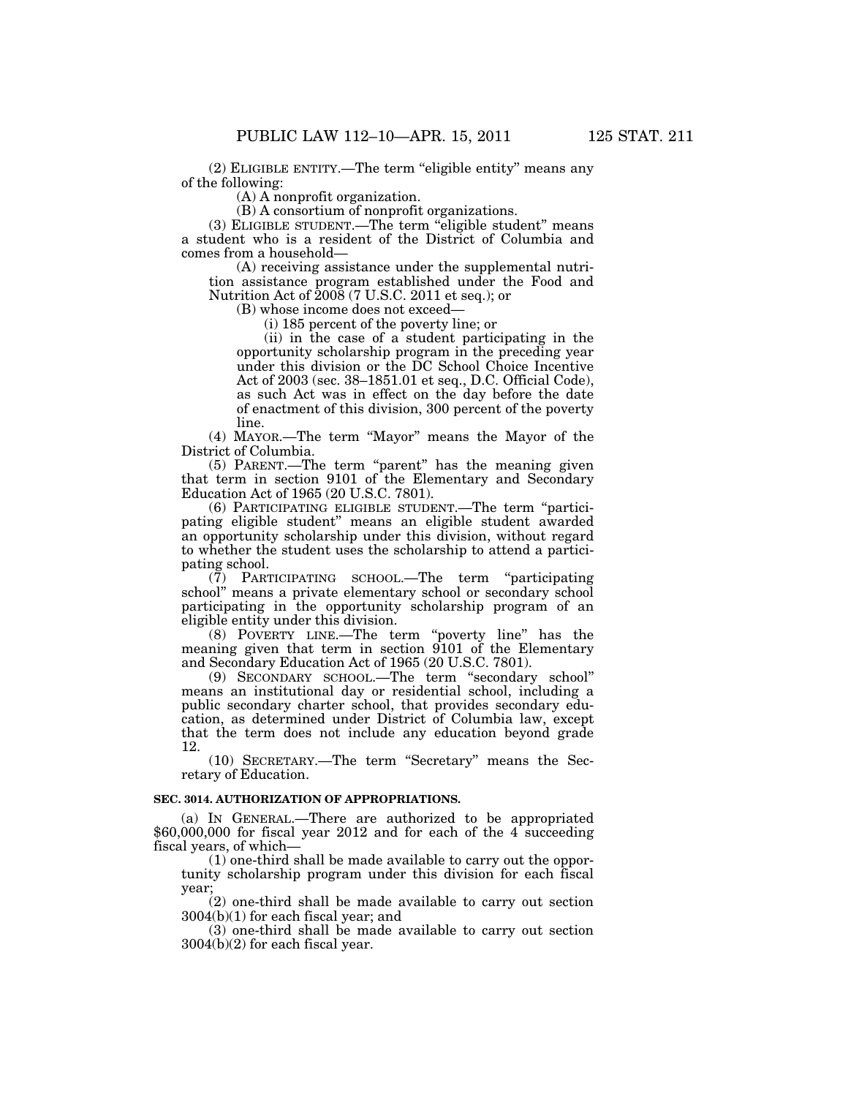(2) ELIGIBLE ENTITY.—The term ''eligible entity'' means any of the following:

(A) A nonprofit organization.

(B) A consortium of nonprofit organizations.

(3) ELIGIBLE STUDENT.—The term ''eligible student'' means a student who is a resident of the District of Columbia and comes from a household—

(A) receiving assistance under the supplemental nutrition assistance program established under the Food and Nutrition Act of  $2008$  (7 U.S.C. 2011 et seq.); or

(B) whose income does not exceed—

(i) 185 percent of the poverty line; or

(ii) in the case of a student participating in the opportunity scholarship program in the preceding year under this division or the DC School Choice Incentive Act of 2003 (sec. 38–1851.01 et seq., D.C. Official Code), as such Act was in effect on the day before the date of enactment of this division, 300 percent of the poverty line.

(4) MAYOR.—The term ''Mayor'' means the Mayor of the District of Columbia.

(5) PARENT.—The term ''parent'' has the meaning given that term in section 9101 of the Elementary and Secondary Education Act of 1965 (20 U.S.C. 7801).

(6) PARTICIPATING ELIGIBLE STUDENT.—The term ''participating eligible student'' means an eligible student awarded an opportunity scholarship under this division, without regard to whether the student uses the scholarship to attend a participating school.

(7) PARTICIPATING SCHOOL.—The term ''participating school'' means a private elementary school or secondary school participating in the opportunity scholarship program of an eligible entity under this division.

(8) POVERTY LINE.—The term ''poverty line'' has the meaning given that term in section 9101 of the Elementary and Secondary Education Act of 1965 (20 U.S.C. 7801).

(9) SECONDARY SCHOOL.—The term ''secondary school'' means an institutional day or residential school, including a public secondary charter school, that provides secondary education, as determined under District of Columbia law, except that the term does not include any education beyond grade 12.

(10) SECRETARY.—The term ''Secretary'' means the Secretary of Education.

## **SEC. 3014. AUTHORIZATION OF APPROPRIATIONS.**

(a) IN GENERAL.—There are authorized to be appropriated \$60,000,000 for fiscal year 2012 and for each of the 4 succeeding fiscal years, of which—

(1) one-third shall be made available to carry out the opportunity scholarship program under this division for each fiscal year;

(2) one-third shall be made available to carry out section 3004(b)(1) for each fiscal year; and

(3) one-third shall be made available to carry out section 3004(b)(2) for each fiscal year.